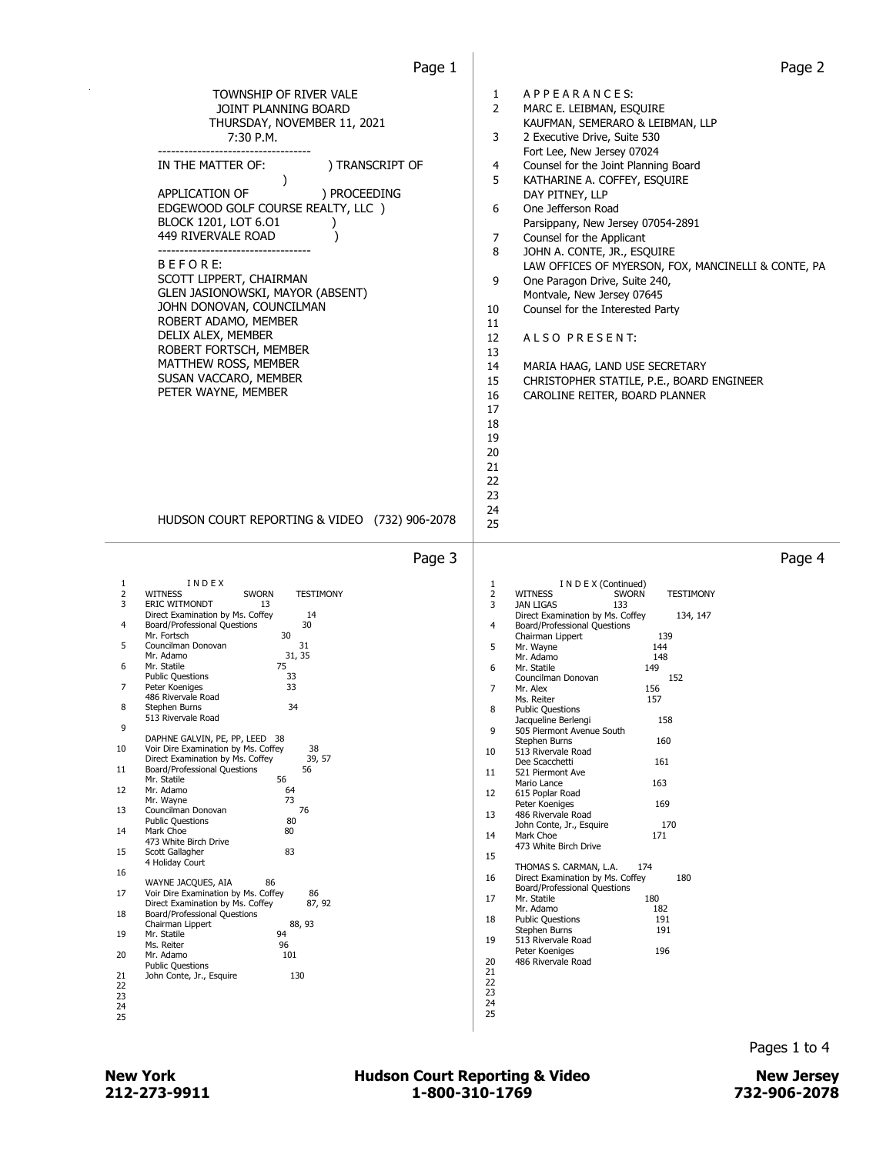| TOWNSHIP OF RIVER VALE<br>JOINT PLANNING BOARD<br>THURSDAY, NOVEMBER 11, 2021<br>7:30 P.M.<br>--------------------------------<br>) TRANSCRIPT OF<br>IN THE MATTER OF:<br>$\lambda$<br>APPLICATION OF<br>) PROCEEDING<br>EDGEWOOD GOLF COURSE REALTY, LLC )<br>BLOCK 1201, LOT 6.01<br>449 RIVERVALE ROAD<br>-----------------------------------<br>BEFORE:<br>SCOTT LIPPERT, CHAIRMAN<br>GLEN JASIONOWSKI, MAYOR (ABSENT)<br>JOHN DONOVAN, COUNCILMAN<br>ROBERT ADAMO, MEMBER<br>DELIX ALEX, MEMBER<br>ROBERT FORTSCH, MEMBER<br>MATTHEW ROSS, MEMBER<br>SUSAN VACCARO, MEMBER<br>PETER WAYNE, MEMBER<br>HUDSON COURT REPORTING & VIDEO (732) 906-2078<br>Page 3                                                                                                                                                                                                                                                                                                                                                                                                                                                                                                                                                                                  | APPEARANCES:<br>1<br>2<br>MARC E. LEIBMAN, ESQUIRE<br>KAUFMAN, SEMERARO & LEIBMAN, LLP<br>3<br>2 Executive Drive, Suite 530<br>Fort Lee, New Jersey 07024<br>4<br>Counsel for the Joint Planning Board<br>5<br>KATHARINE A. COFFEY, ESQUIRE<br>DAY PITNEY, LLP<br>6<br>One Jefferson Road<br>Parsippany, New Jersey 07054-2891<br>7<br>Counsel for the Applicant<br>8<br>JOHN A. CONTE, JR., ESQUIRE<br>LAW OFFICES OF MYERSON, FOX, MANCINELLI & CONTE, PA<br>9<br>One Paragon Drive, Suite 240,<br>Montvale, New Jersey 07645<br>Counsel for the Interested Party<br>10<br>11<br>12<br>ALSO PRESENT:<br>13<br>14<br>MARIA HAAG, LAND USE SECRETARY<br>15<br>CHRISTOPHER STATILE, P.E., BOARD ENGINEER<br>16<br>CAROLINE REITER, BOARD PLANNER<br>17<br>18<br>19<br>20<br>21<br>22<br>23<br>24<br>25<br>Page 4                                                                                                                                                                                                                                                                                                                                                           |
|----------------------------------------------------------------------------------------------------------------------------------------------------------------------------------------------------------------------------------------------------------------------------------------------------------------------------------------------------------------------------------------------------------------------------------------------------------------------------------------------------------------------------------------------------------------------------------------------------------------------------------------------------------------------------------------------------------------------------------------------------------------------------------------------------------------------------------------------------------------------------------------------------------------------------------------------------------------------------------------------------------------------------------------------------------------------------------------------------------------------------------------------------------------------------------------------------------------------------------------------------|---------------------------------------------------------------------------------------------------------------------------------------------------------------------------------------------------------------------------------------------------------------------------------------------------------------------------------------------------------------------------------------------------------------------------------------------------------------------------------------------------------------------------------------------------------------------------------------------------------------------------------------------------------------------------------------------------------------------------------------------------------------------------------------------------------------------------------------------------------------------------------------------------------------------------------------------------------------------------------------------------------------------------------------------------------------------------------------------------------------------------------------------------------------------------|
| INDEX<br>1<br>2<br><b>WITNESS</b><br><b>TESTIMONY</b><br><b>SWORN</b><br>3<br><b>ERIC WITMONDT</b><br>13<br>Direct Examination by Ms. Coffey<br>14<br>30<br>Board/Professional Questions<br>4<br>30<br>Mr. Fortsch<br>5<br>Councilman Donovan<br>31<br>31, 35<br>Mr. Adamo<br>6<br>Mr. Statile<br>75<br>33<br><b>Public Questions</b><br>33<br>Peter Koeniges<br>7<br>486 Rivervale Road<br>34<br>8<br>Stephen Burns<br>513 Rivervale Road<br>9<br>DAPHNE GALVIN, PE, PP, LEED 38<br>38<br>10<br>Voir Dire Examination by Ms. Coffey<br>Direct Examination by Ms. Coffey<br>39, 57<br>Board/Professional Questions<br>56<br>11<br>56<br>Mr. Statile<br>Mr. Adamo<br>64<br>12<br>73<br>Mr. Wayne<br>Councilman Donovan<br>76<br>13<br>80<br><b>Public Questions</b><br>Mark Choe<br>14<br>80<br>473 White Birch Drive<br>83<br>15<br>Scott Gallagher<br>4 Holiday Court<br>16<br>86<br>WAYNE JACQUES, AIA<br>17<br>Voir Dire Examination by Ms. Coffey<br>86<br>87, 92<br>Direct Examination by Ms. Coffey<br>Board/Professional Questions<br>18<br>Chairman Lippert<br>88, 93<br>Mr. Statile<br>94<br>19<br>Ms. Reiter<br>96<br>101<br>20<br>Mr. Adamo<br><b>Public Questions</b><br>130<br>21<br>John Conte, Jr., Esquire<br>22<br>23<br>24<br>25 | 1<br>I N D E X (Continued)<br>$\overline{2}$<br><b>WITNESS</b><br><b>SWORN</b><br><b>TESTIMONY</b><br>3<br><b>JAN LIGAS</b><br>133<br>Direct Examination by Ms. Coffey<br>134, 147<br>4<br>Board/Professional Questions<br>Chairman Lippert<br>139<br>5<br>Mr. Wayne<br>144<br>Mr. Adamo<br>148<br>6<br>Mr. Statile<br>149<br>Councilman Donovan<br>152<br>$\overline{7}$<br>Mr. Alex<br>156<br>157<br>Ms. Reiter<br>8<br><b>Public Questions</b><br>158<br>Jacqueline Berlengi<br>q<br>505 Piermont Avenue South<br>Stephen Burns<br>160<br>10<br>513 Rivervale Road<br>161<br>Dee Scacchetti<br>11<br>521 Piermont Ave<br>163<br>Mario Lance<br>12<br>615 Poplar Road<br>Peter Koeniges<br>169<br>13<br>486 Rivervale Road<br>John Conte, Jr., Esquire<br>170<br>14<br>Mark Choe<br>171<br>473 White Birch Drive<br>15<br>174<br>THOMAS S. CARMAN, L.A.<br>16<br>180<br>Direct Examination by Ms. Coffey<br>Board/Professional Questions<br>180<br>17<br>Mr. Statile<br>Mr. Adamo<br>182<br>18<br><b>Public Questions</b><br>191<br>191<br>Stephen Burns<br>19<br>513 Rivervale Road<br>196<br>Peter Koeniges<br>20<br>486 Rivervale Road<br>21<br>22<br>23<br>24<br>25 |

## 212-273-9911 1-800-310-1769 732-906-2078 New York **New York COUNTER Hudson Court Reporting & Video** New Jersey

Pages 1 to 4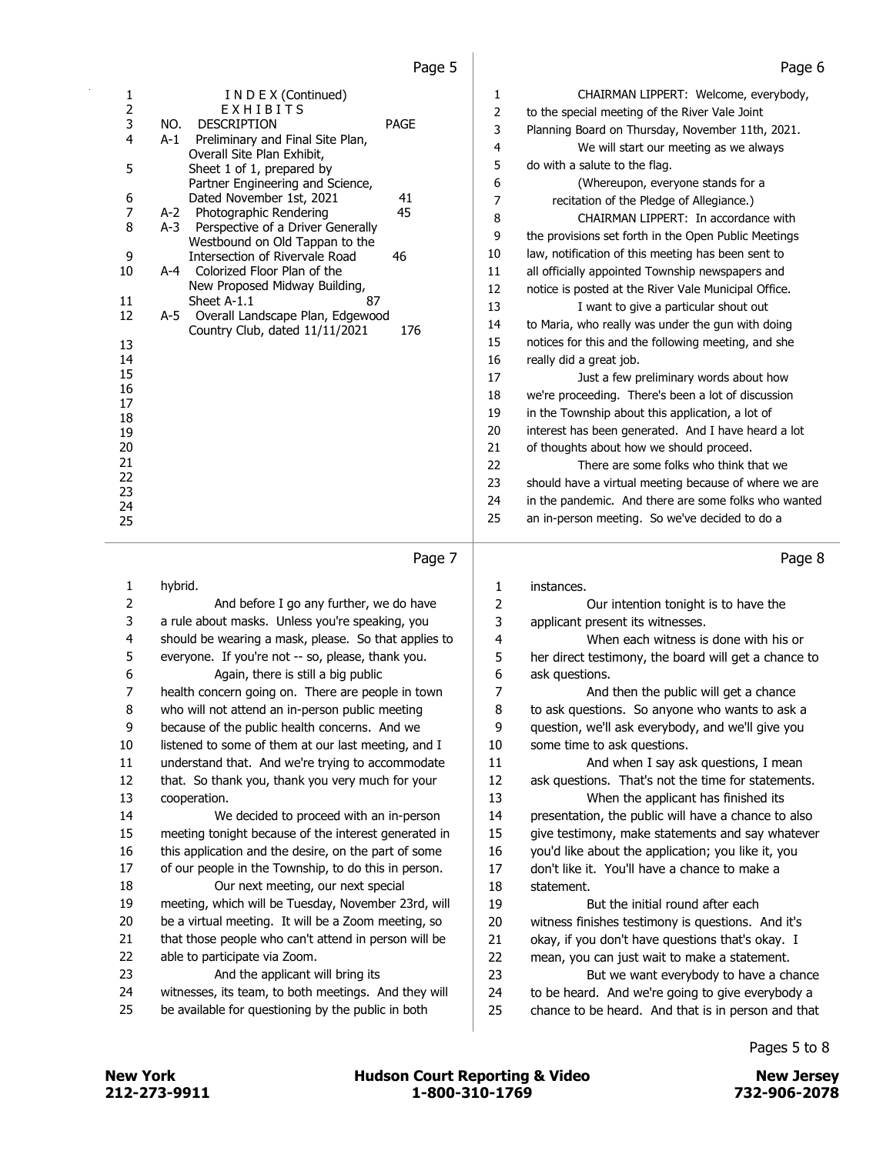| 1              |       | I N D E X (Continued)<br>EXHIBITS                                  |      | 1  | CHAIRMAN LIPPERT: Welcome, everybody,                 |
|----------------|-------|--------------------------------------------------------------------|------|----|-------------------------------------------------------|
| $\frac{2}{3}$  | NO.   | <b>DESCRIPTION</b>                                                 | PAGE | 2  | to the special meeting of the River Vale Joint        |
| 4              | $A-1$ | Preliminary and Final Site Plan,                                   |      | 3  | Planning Board on Thursday, November 11th, 2021.      |
|                |       | Overall Site Plan Exhibit,                                         |      | 4  | We will start our meeting as we always                |
| 5              |       | Sheet 1 of 1, prepared by                                          |      | 5  | do with a salute to the flag.                         |
|                |       | Partner Engineering and Science,                                   |      | 6  | (Whereupon, everyone stands for a                     |
| 6              |       | Dated November 1st, 2021                                           | 41   | 7  | recitation of the Pledge of Allegiance.)              |
| $\overline{7}$ | A-2   | Photographic Rendering                                             | 45   | 8  | CHAIRMAN LIPPERT: In accordance with                  |
| 8              | $A-3$ | Perspective of a Driver Generally                                  |      | 9  | the provisions set forth in the Open Public Meetings  |
| 9              |       | Westbound on Old Tappan to the<br>Intersection of Rivervale Road   | 46   | 10 | law, notification of this meeting has been sent to    |
| 10             |       | A-4 Colorized Floor Plan of the                                    |      | 11 | all officially appointed Township newspapers and      |
|                |       | New Proposed Midway Building,                                      |      | 12 | notice is posted at the River Vale Municipal Office.  |
| 11             |       | Sheet A-1.1<br>87                                                  |      | 13 | I want to give a particular shout out                 |
| 12             | A-5   | Overall Landscape Plan, Edgewood<br>Country Club, dated 11/11/2021 | 176  | 14 | to Maria, who really was under the gun with doing     |
| 13             |       |                                                                    |      | 15 | notices for this and the following meeting, and she   |
| 14             |       |                                                                    |      | 16 | really did a great job.                               |
| 15             |       |                                                                    |      | 17 | Just a few preliminary words about how                |
| 16             |       |                                                                    |      | 18 | we're proceeding. There's been a lot of discussion    |
| 17<br>18       |       |                                                                    |      | 19 | in the Township about this application, a lot of      |
| 19             |       |                                                                    |      | 20 | interest has been generated. And I have heard a lot   |
| 20             |       |                                                                    |      | 21 | of thoughts about how we should proceed.              |
| 21             |       |                                                                    |      | 22 | There are some folks who think that we                |
| 22             |       |                                                                    |      | 23 | should have a virtual meeting because of where we are |
| 23             |       |                                                                    |      | 24 | in the pandemic. And there are some folks who wanted  |
| 24             |       |                                                                    |      | 25 | an in-person meeting. So we've decided to do a        |
| 25             |       |                                                                    |      |    |                                                       |
|                |       |                                                                    |      |    |                                                       |

### Page 7

 hybrid. 2 And before I go any further, we do have a rule about masks. Unless you're speaking, you should be wearing a mask, please. So that applies to everyone. If you're not -- so, please, thank you. 6 Again, there is still a big public health concern going on. There are people in town who will not attend an in-person public meeting because of the public health concerns. And we 10 listened to some of them at our last meeting, and I understand that. And we're trying to accommodate that. So thank you, thank you very much for your cooperation. 14 We decided to proceed with an in-person meeting tonight because of the interest generated in 16 this application and the desire, on the part of some of our people in the Township, to do this in person. 18 Our next meeting, our next special meeting, which will be Tuesday, November 23rd, will be a virtual meeting. It will be a Zoom meeting, so 21 that those people who can't attend in person will be able to participate via Zoom. 23 And the applicant will bring its witnesses, its team, to both meetings. And they will be available for questioning by the public in both instances. 2 Our intention tonight is to have the applicant present its witnesses. 4 When each witness is done with his or her direct testimony, the board will get a chance to ask questions. 7 And then the public will get a chance to ask questions. So anyone who wants to ask a question, we'll ask everybody, and we'll give you some time to ask questions. 11 And when I say ask questions, I mean ask questions. That's not the time for statements. 13 When the applicant has finished its presentation, the public will have a chance to also give testimony, make statements and say whatever you'd like about the application; you like it, you don't like it. You'll have a chance to make a statement. 19 But the initial round after each witness finishes testimony is questions. And it's 21 okay, if you don't have questions that's okay. I mean, you can just wait to make a statement. 23 But we want everybody to have a chance 24 to be heard. And we're going to give everybody a chance to be heard. And that is in person and that

Pages 5 to 8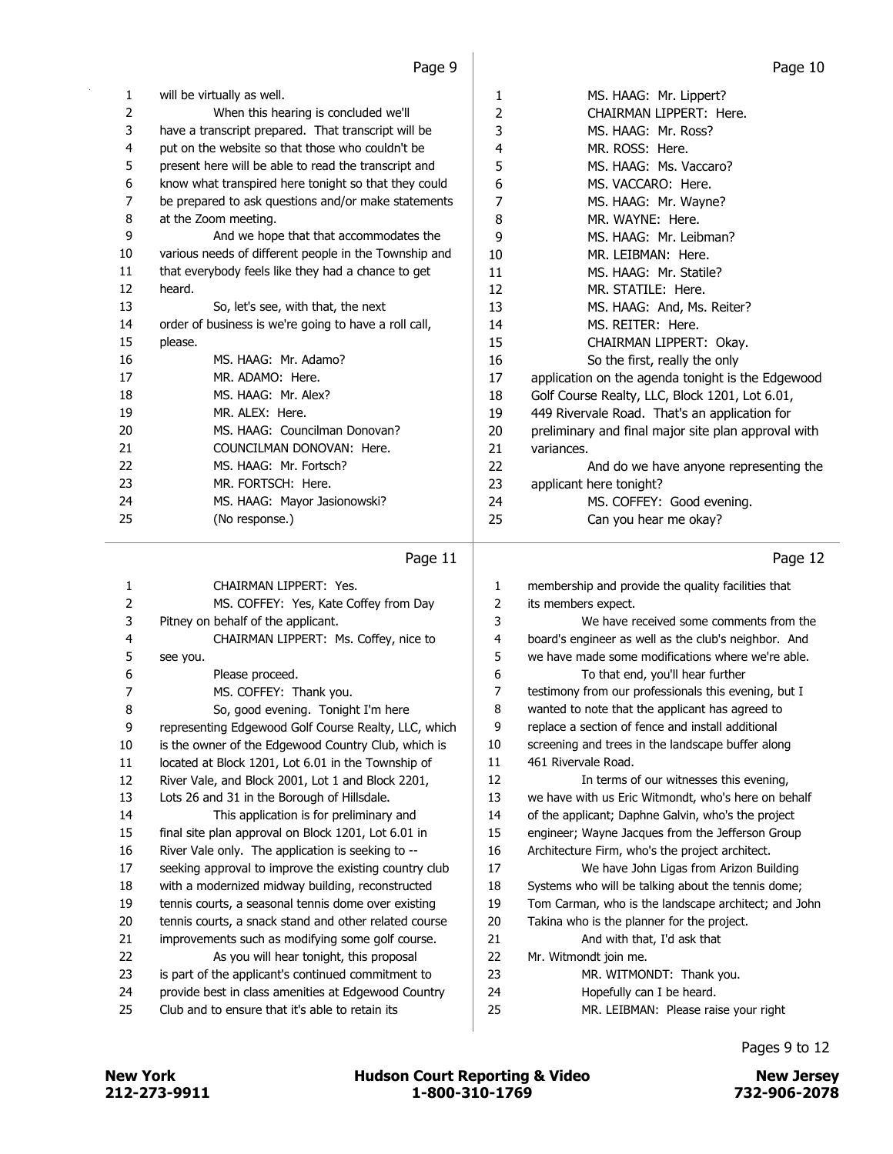| 1  | will be virtually as well.                            | 1  | MS. HAAG: Mr. Lippert?                              |
|----|-------------------------------------------------------|----|-----------------------------------------------------|
| 2  | When this hearing is concluded we'll                  | 2  | CHAIRMAN LIPPERT: Here.                             |
| 3  | have a transcript prepared. That transcript will be   | 3  | MS. HAAG: Mr. Ross?                                 |
| 4  | put on the website so that those who couldn't be      | 4  | MR. ROSS: Here.                                     |
| 5  | present here will be able to read the transcript and  | 5  | MS. HAAG: Ms. Vaccaro?                              |
| 6  | know what transpired here tonight so that they could  | 6  | MS. VACCARO: Here.                                  |
| 7  | be prepared to ask questions and/or make statements   | 7  | MS. HAAG: Mr. Wayne?                                |
| 8  | at the Zoom meeting.                                  | 8  | MR. WAYNE: Here.                                    |
| 9  | And we hope that that accommodates the                | 9  | MS. HAAG: Mr. Leibman?                              |
| 10 | various needs of different people in the Township and | 10 | MR. LEIBMAN: Here.                                  |
| 11 | that everybody feels like they had a chance to get    | 11 | MS. HAAG: Mr. Statile?                              |
| 12 | heard.                                                | 12 | MR. STATILE: Here.                                  |
| 13 | So, let's see, with that, the next                    | 13 | MS. HAAG: And, Ms. Reiter?                          |
| 14 | order of business is we're going to have a roll call, | 14 | MS. REITER: Here.                                   |
| 15 | please.                                               | 15 | CHAIRMAN LIPPERT: Okay.                             |
| 16 | MS. HAAG: Mr. Adamo?                                  | 16 | So the first, really the only                       |
| 17 | MR. ADAMO: Here.                                      | 17 | application on the agenda tonight is the Edgewood   |
| 18 | MS. HAAG: Mr. Alex?                                   | 18 | Golf Course Realty, LLC, Block 1201, Lot 6.01,      |
| 19 | MR. ALEX: Here.                                       | 19 | 449 Rivervale Road. That's an application for       |
| 20 | MS. HAAG: Councilman Donovan?                         | 20 | preliminary and final major site plan approval with |
| 21 | COUNCILMAN DONOVAN: Here.                             | 21 | variances.                                          |
| 22 | MS. HAAG: Mr. Fortsch?                                | 22 | And do we have anyone representing the              |
| 23 | MR. FORTSCH: Here.                                    | 23 | applicant here tonight?                             |
| 24 | MS. HAAG: Mayor Jasionowski?                          | 24 | MS. COFFEY: Good evening.                           |
| 25 | (No response.)                                        | 25 | Can you hear me okay?                               |
|    |                                                       |    |                                                     |

## Page 11  $\vert$

|    | Page 11                                               |              | Page 12                                              |
|----|-------------------------------------------------------|--------------|------------------------------------------------------|
| 1  | CHAIRMAN LIPPERT: Yes.                                | $\mathbf{1}$ | membership and provide the quality facilities that   |
| 2  | MS. COFFEY: Yes, Kate Coffey from Day                 | 2            | its members expect.                                  |
| 3  | Pitney on behalf of the applicant.                    | 3            | We have received some comments from the              |
| 4  | CHAIRMAN LIPPERT: Ms. Coffey, nice to                 | 4            | board's engineer as well as the club's neighbor. And |
| 5  | see you.                                              | 5            | we have made some modifications where we're able.    |
| 6  | Please proceed.                                       | 6            | To that end, you'll hear further                     |
| 7  | MS. COFFEY: Thank you.                                | 7            | testimony from our professionals this evening, but I |
| 8  | So, good evening. Tonight I'm here                    | 8            | wanted to note that the applicant has agreed to      |
| 9  | representing Edgewood Golf Course Realty, LLC, which  | 9            | replace a section of fence and install additional    |
| 10 | is the owner of the Edgewood Country Club, which is   | 10           | screening and trees in the landscape buffer along    |
| 11 | located at Block 1201, Lot 6.01 in the Township of    | 11           | 461 Rivervale Road.                                  |
| 12 | River Vale, and Block 2001, Lot 1 and Block 2201,     | 12           | In terms of our witnesses this evening,              |
| 13 | Lots 26 and 31 in the Borough of Hillsdale.           | 13           | we have with us Eric Witmondt, who's here on behalf  |
| 14 | This application is for preliminary and               | 14           | of the applicant; Daphne Galvin, who's the project   |
| 15 | final site plan approval on Block 1201, Lot 6.01 in   | 15           | engineer; Wayne Jacques from the Jefferson Group     |
| 16 | River Vale only. The application is seeking to --     | 16           | Architecture Firm, who's the project architect.      |
| 17 | seeking approval to improve the existing country club | 17           | We have John Ligas from Arizon Building              |
| 18 | with a modernized midway building, reconstructed      | 18           | Systems who will be talking about the tennis dome;   |
| 19 | tennis courts, a seasonal tennis dome over existing   | 19           | Tom Carman, who is the landscape architect; and John |
| 20 | tennis courts, a snack stand and other related course | 20           | Takina who is the planner for the project.           |
| 21 | improvements such as modifying some golf course.      | 21           | And with that, I'd ask that                          |
| 22 | As you will hear tonight, this proposal               | 22           | Mr. Witmondt join me.                                |
| 23 | is part of the applicant's continued commitment to    | 23           | MR. WITMONDT: Thank you.                             |
| 24 | provide best in class amenities at Edgewood Country   | 24           | Hopefully can I be heard.                            |
| 25 | Club and to ensure that it's able to retain its       | 25           | MR. LEIBMAN: Please raise your right                 |
|    |                                                       |              |                                                      |

Pages 9 to 12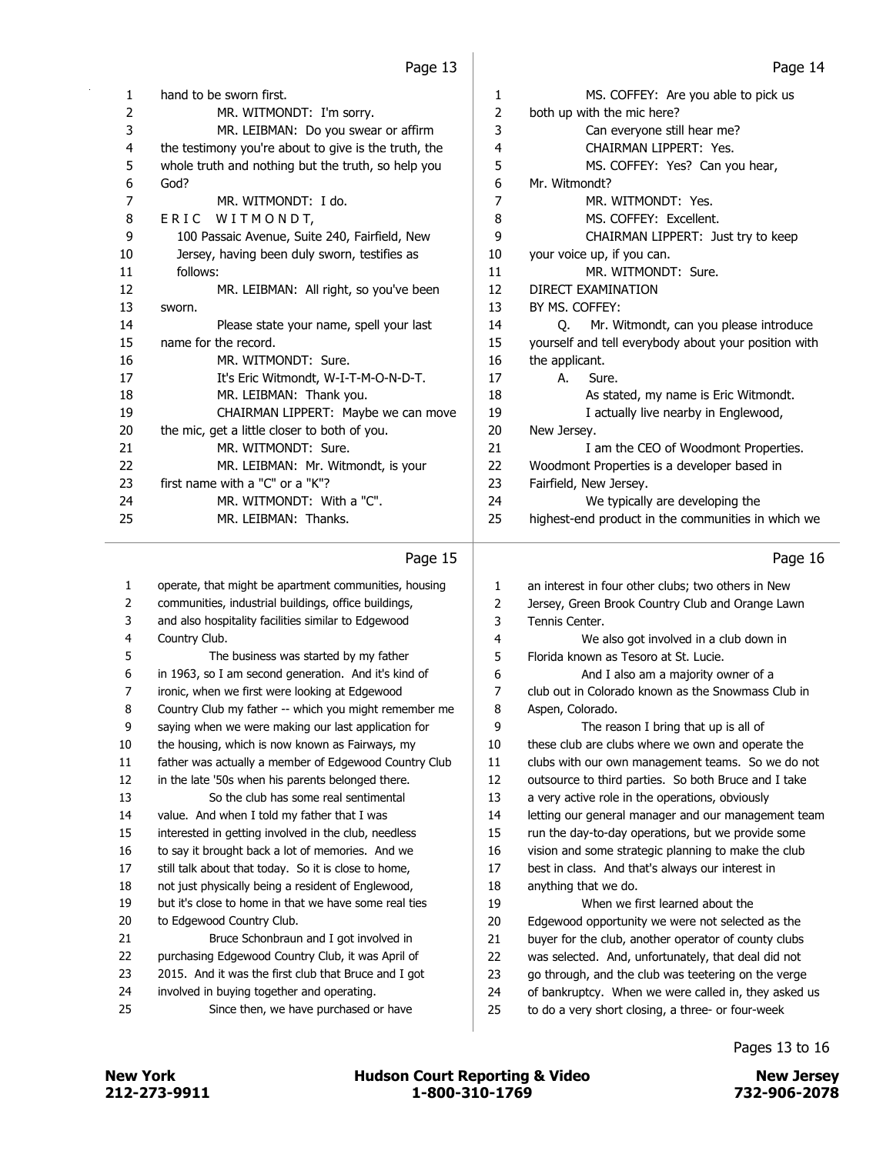MS. COFFEY: Are you able to pick us

| 1  | hand to be sworn first.                              | 1  | MS. COFFEY: Are you able to pick us                  |
|----|------------------------------------------------------|----|------------------------------------------------------|
| 2  | MR. WITMONDT: I'm sorry.                             | 2  | both up with the mic here?                           |
| 3  | MR. LEIBMAN: Do you swear or affirm                  | 3  | Can everyone still hear me?                          |
| 4  | the testimony you're about to give is the truth, the | 4  | CHAIRMAN LIPPERT: Yes.                               |
| 5  | whole truth and nothing but the truth, so help you   | 5  | MS. COFFEY: Yes? Can you hear,                       |
| 6  | God?                                                 | 6  | Mr. Witmondt?                                        |
| 7  | MR. WITMONDT: I do.                                  | 7  | MR. WITMONDT: Yes.                                   |
| 8  | WITMONDT,<br>ERIC                                    | 8  | MS. COFFEY: Excellent.                               |
| 9  | 100 Passaic Avenue, Suite 240, Fairfield, New        | 9  | CHAIRMAN LIPPERT: Just try to keep                   |
| 10 | Jersey, having been duly sworn, testifies as         | 10 | your voice up, if you can.                           |
| 11 | follows:                                             | 11 | MR. WITMONDT: Sure.                                  |
| 12 | MR. LEIBMAN: All right, so you've been               | 12 | DIRECT EXAMINATION                                   |
| 13 | sworn.                                               | 13 | BY MS. COFFEY:                                       |
| 14 | Please state your name, spell your last              | 14 | Mr. Witmondt, can you please introduce<br>O.         |
| 15 | name for the record.                                 | 15 | yourself and tell everybody about your position with |
| 16 | MR. WITMONDT: Sure.                                  | 16 | the applicant.                                       |
| 17 | It's Eric Witmondt, W-I-T-M-O-N-D-T.                 | 17 | Sure.<br>А.                                          |
| 18 | MR. LEIBMAN: Thank you.                              | 18 | As stated, my name is Eric Witmondt.                 |
| 19 | CHAIRMAN LIPPERT: Maybe we can move                  | 19 | I actually live nearby in Englewood,                 |
| 20 | the mic, get a little closer to both of you.         | 20 | New Jersey.                                          |
| 21 | MR. WITMONDT: Sure.                                  | 21 | I am the CEO of Woodmont Properties.                 |
| 22 | MR. LEIBMAN: Mr. Witmondt, is your                   | 22 | Woodmont Properties is a developer based in          |
| 23 | first name with a "C" or a "K"?                      | 23 | Fairfield, New Jersey.                               |
| 24 | MR. WITMONDT: With a "C".                            | 24 | We typically are developing the                      |
| 25 | MR. LEIBMAN: Thanks.                                 | 25 | highest-end product in the communities in which we   |
|    |                                                      |    |                                                      |

### Page 15

| 1  | operate, that might be apartment communities, housing | 1  | an interest in four other clubs; two others in New   |
|----|-------------------------------------------------------|----|------------------------------------------------------|
| 2  | communities, industrial buildings, office buildings,  | 2  | Jersey, Green Brook Country Club and Orange Lawn     |
| 3  | and also hospitality facilities similar to Edgewood   | 3  | Tennis Center.                                       |
| 4  | Country Club.                                         | 4  | We also got involved in a club down in               |
| 5  | The business was started by my father                 | 5  | Florida known as Tesoro at St. Lucie.                |
| 6  | in 1963, so I am second generation. And it's kind of  | 6  | And I also am a majority owner of a                  |
| 7  | ironic, when we first were looking at Edgewood        | 7  | club out in Colorado known as the Snowmass Club in   |
| 8  | Country Club my father -- which you might remember me | 8  | Aspen, Colorado.                                     |
| 9  | saying when we were making our last application for   | 9  | The reason I bring that up is all of                 |
| 10 | the housing, which is now known as Fairways, my       | 10 | these club are clubs where we own and operate the    |
| 11 | father was actually a member of Edgewood Country Club | 11 | clubs with our own management teams. So we do not    |
| 12 | in the late '50s when his parents belonged there.     | 12 | outsource to third parties. So both Bruce and I take |
| 13 | So the club has some real sentimental                 | 13 | a very active role in the operations, obviously      |
| 14 | value. And when I told my father that I was           | 14 | letting our general manager and our management team  |
| 15 | interested in getting involved in the club, needless  | 15 | run the day-to-day operations, but we provide some   |
| 16 | to say it brought back a lot of memories. And we      | 16 | vision and some strategic planning to make the club  |
| 17 | still talk about that today. So it is close to home,  | 17 | best in class. And that's always our interest in     |
| 18 | not just physically being a resident of Englewood,    | 18 | anything that we do.                                 |
| 19 | but it's close to home in that we have some real ties | 19 | When we first learned about the                      |
| 20 | to Edgewood Country Club.                             | 20 | Edgewood opportunity we were not selected as the     |
| 21 | Bruce Schonbraun and I got involved in                | 21 | buyer for the club, another operator of county clubs |
| 22 | purchasing Edgewood Country Club, it was April of     | 22 | was selected. And, unfortunately, that deal did not  |
| 23 | 2015. And it was the first club that Bruce and I got  | 23 | go through, and the club was teetering on the verge  |
| 24 | involved in buying together and operating.            | 24 | of bankruptcy. When we were called in, they asked us |
| 25 | Since then, we have purchased or have                 | 25 | to do a very short closing, a three- or four-week    |
|    |                                                       |    |                                                      |

## Page 16

Pages 13 to 16

212-273-9911 1-800-310-1769 732-906-2078 New York **New York Construction Court Reporting & Video** New Jersey New Jersey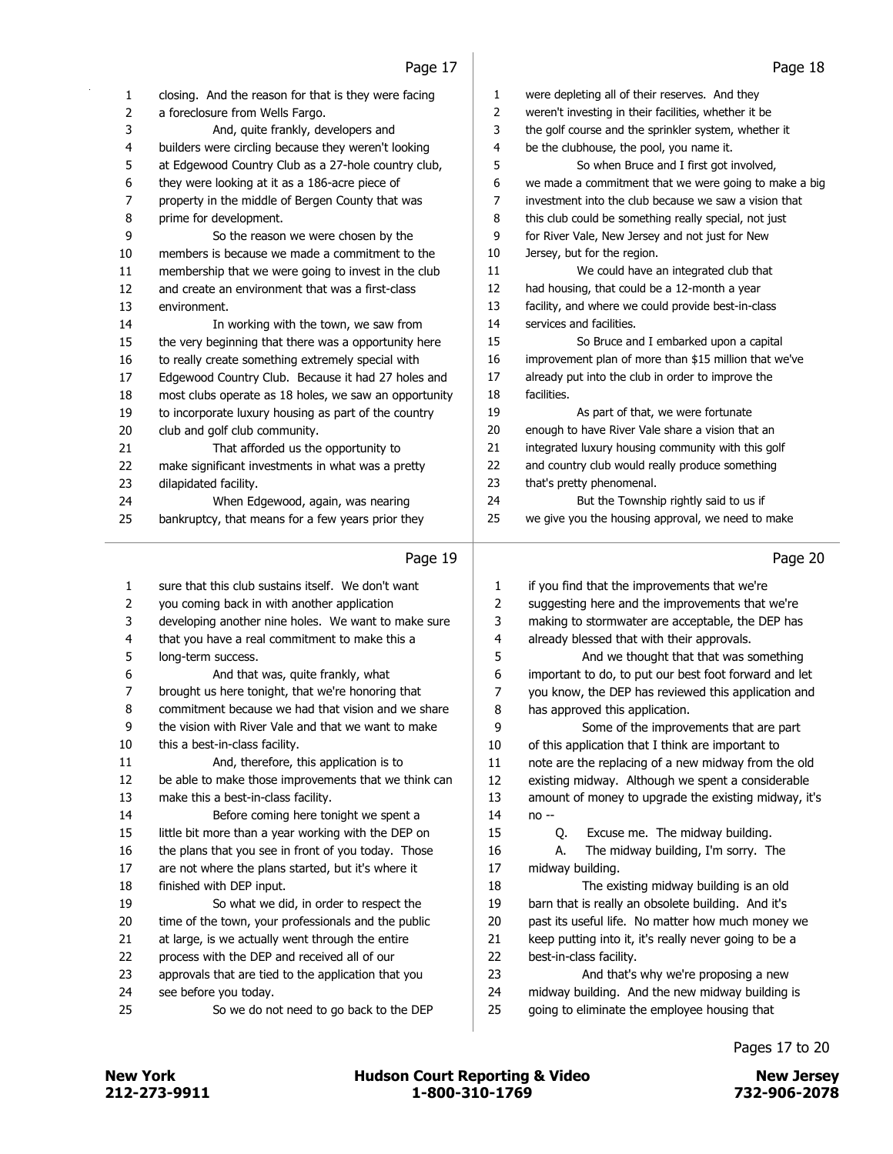| closing. And the reason for that is they were facing<br>1<br>were depleting all of their reserves. And they<br>1<br>2<br>2<br>a foreclosure from Wells Fargo.<br>weren't investing in their facilities, whether it be<br>3<br>the golf course and the sprinkler system, whether it<br>3<br>And, quite frankly, developers and<br>4<br>builders were circling because they weren't looking<br>be the clubhouse, the pool, you name it.<br>4<br>5<br>at Edgewood Country Club as a 27-hole country club,<br>So when Bruce and I first got involved,<br>5<br>6<br>6<br>they were looking at it as a 186-acre piece of<br>7<br>7<br>property in the middle of Bergen County that was<br>8<br>8<br>this club could be something really special, not just<br>prime for development.<br>9<br>9<br>for River Vale, New Jersey and not just for New<br>So the reason we were chosen by the<br>10<br>Jersey, but for the region.<br>10<br>members is because we made a commitment to the<br>11<br>We could have an integrated club that<br>11<br>membership that we were going to invest in the club<br>12<br>12<br>had housing, that could be a 12-month a year<br>and create an environment that was a first-class<br>13<br>13<br>facility, and where we could provide best-in-class<br>environment.<br>14<br>services and facilities.<br>14<br>In working with the town, we saw from<br>15<br>15<br>the very beginning that there was a opportunity here<br>So Bruce and I embarked upon a capital<br>16<br>to really create something extremely special with<br>16<br>17<br>already put into the club in order to improve the<br>Edgewood Country Club. Because it had 27 holes and<br>17<br>18<br>facilities.<br>most clubs operate as 18 holes, we saw an opportunity<br>18<br>19<br>19<br>to incorporate luxury housing as part of the country<br>As part of that, we were fortunate<br>20<br>enough to have River Vale share a vision that an<br>20<br>club and golf club community.<br>21<br>21<br>That afforded us the opportunity to<br>integrated luxury housing community with this golf<br>22<br>22<br>and country club would really produce something<br>make significant investments in what was a pretty<br>23<br>23<br>that's pretty phenomenal.<br>dilapidated facility.<br>24<br>But the Township rightly said to us if<br>24<br>When Edgewood, again, was nearing<br>25<br>we give you the housing approval, we need to make<br>25<br>bankruptcy, that means for a few years prior they<br>Page 19<br>sure that this club sustains itself. We don't want<br>$\mathbf{1}$<br>1<br>if you find that the improvements that we're<br>$\overline{2}$<br>$\overline{2}$<br>you coming back in with another application<br>suggesting here and the improvements that we're<br>3<br>3<br>developing another nine holes. We want to make sure<br>making to stormwater are acceptable, the DEP has<br>4<br>that you have a real commitment to make this a<br>4<br>already blessed that with their approvals.<br>5<br>5<br>And we thought that that was something<br>long-term success.<br>6<br>6<br>important to do, to put our best foot forward and let<br>And that was, quite frankly, what<br>brought us here tonight, that we're honoring that<br>7<br>7<br>you know, the DEP has reviewed this application and<br>8<br>8<br>commitment because we had that vision and we share<br>has approved this application.<br>9<br>9<br>the vision with River Vale and that we want to make<br>Some of the improvements that are part<br>10<br>this a best-in-class facility. |  |    |                                                       |
|----------------------------------------------------------------------------------------------------------------------------------------------------------------------------------------------------------------------------------------------------------------------------------------------------------------------------------------------------------------------------------------------------------------------------------------------------------------------------------------------------------------------------------------------------------------------------------------------------------------------------------------------------------------------------------------------------------------------------------------------------------------------------------------------------------------------------------------------------------------------------------------------------------------------------------------------------------------------------------------------------------------------------------------------------------------------------------------------------------------------------------------------------------------------------------------------------------------------------------------------------------------------------------------------------------------------------------------------------------------------------------------------------------------------------------------------------------------------------------------------------------------------------------------------------------------------------------------------------------------------------------------------------------------------------------------------------------------------------------------------------------------------------------------------------------------------------------------------------------------------------------------------------------------------------------------------------------------------------------------------------------------------------------------------------------------------------------------------------------------------------------------------------------------------------------------------------------------------------------------------------------------------------------------------------------------------------------------------------------------------------------------------------------------------------------------------------------------------------------------------------------------------------------------------------------------------------------------------------------------------------------------------------------------------------------------------------------------------------------------------------------------------------------------------------------------------------------------------------------------------------------------------------------------------------------------------------------------------------------------------------------------------------------------------------------------------------------------------------------------------------------------------------------------------------------------------------------------------------------------------------------------------------------------------------------------------------------------------------------------------------------------------------------------------------------------------------------------------------------------------------------------------------------------------------------------------------|--|----|-------------------------------------------------------|
|                                                                                                                                                                                                                                                                                                                                                                                                                                                                                                                                                                                                                                                                                                                                                                                                                                                                                                                                                                                                                                                                                                                                                                                                                                                                                                                                                                                                                                                                                                                                                                                                                                                                                                                                                                                                                                                                                                                                                                                                                                                                                                                                                                                                                                                                                                                                                                                                                                                                                                                                                                                                                                                                                                                                                                                                                                                                                                                                                                                                                                                                                                                                                                                                                                                                                                                                                                                                                                                                                                                                                                            |  |    |                                                       |
|                                                                                                                                                                                                                                                                                                                                                                                                                                                                                                                                                                                                                                                                                                                                                                                                                                                                                                                                                                                                                                                                                                                                                                                                                                                                                                                                                                                                                                                                                                                                                                                                                                                                                                                                                                                                                                                                                                                                                                                                                                                                                                                                                                                                                                                                                                                                                                                                                                                                                                                                                                                                                                                                                                                                                                                                                                                                                                                                                                                                                                                                                                                                                                                                                                                                                                                                                                                                                                                                                                                                                                            |  |    |                                                       |
|                                                                                                                                                                                                                                                                                                                                                                                                                                                                                                                                                                                                                                                                                                                                                                                                                                                                                                                                                                                                                                                                                                                                                                                                                                                                                                                                                                                                                                                                                                                                                                                                                                                                                                                                                                                                                                                                                                                                                                                                                                                                                                                                                                                                                                                                                                                                                                                                                                                                                                                                                                                                                                                                                                                                                                                                                                                                                                                                                                                                                                                                                                                                                                                                                                                                                                                                                                                                                                                                                                                                                                            |  |    |                                                       |
|                                                                                                                                                                                                                                                                                                                                                                                                                                                                                                                                                                                                                                                                                                                                                                                                                                                                                                                                                                                                                                                                                                                                                                                                                                                                                                                                                                                                                                                                                                                                                                                                                                                                                                                                                                                                                                                                                                                                                                                                                                                                                                                                                                                                                                                                                                                                                                                                                                                                                                                                                                                                                                                                                                                                                                                                                                                                                                                                                                                                                                                                                                                                                                                                                                                                                                                                                                                                                                                                                                                                                                            |  |    |                                                       |
|                                                                                                                                                                                                                                                                                                                                                                                                                                                                                                                                                                                                                                                                                                                                                                                                                                                                                                                                                                                                                                                                                                                                                                                                                                                                                                                                                                                                                                                                                                                                                                                                                                                                                                                                                                                                                                                                                                                                                                                                                                                                                                                                                                                                                                                                                                                                                                                                                                                                                                                                                                                                                                                                                                                                                                                                                                                                                                                                                                                                                                                                                                                                                                                                                                                                                                                                                                                                                                                                                                                                                                            |  |    |                                                       |
|                                                                                                                                                                                                                                                                                                                                                                                                                                                                                                                                                                                                                                                                                                                                                                                                                                                                                                                                                                                                                                                                                                                                                                                                                                                                                                                                                                                                                                                                                                                                                                                                                                                                                                                                                                                                                                                                                                                                                                                                                                                                                                                                                                                                                                                                                                                                                                                                                                                                                                                                                                                                                                                                                                                                                                                                                                                                                                                                                                                                                                                                                                                                                                                                                                                                                                                                                                                                                                                                                                                                                                            |  |    | we made a commitment that we were going to make a big |
|                                                                                                                                                                                                                                                                                                                                                                                                                                                                                                                                                                                                                                                                                                                                                                                                                                                                                                                                                                                                                                                                                                                                                                                                                                                                                                                                                                                                                                                                                                                                                                                                                                                                                                                                                                                                                                                                                                                                                                                                                                                                                                                                                                                                                                                                                                                                                                                                                                                                                                                                                                                                                                                                                                                                                                                                                                                                                                                                                                                                                                                                                                                                                                                                                                                                                                                                                                                                                                                                                                                                                                            |  |    | investment into the club because we saw a vision that |
|                                                                                                                                                                                                                                                                                                                                                                                                                                                                                                                                                                                                                                                                                                                                                                                                                                                                                                                                                                                                                                                                                                                                                                                                                                                                                                                                                                                                                                                                                                                                                                                                                                                                                                                                                                                                                                                                                                                                                                                                                                                                                                                                                                                                                                                                                                                                                                                                                                                                                                                                                                                                                                                                                                                                                                                                                                                                                                                                                                                                                                                                                                                                                                                                                                                                                                                                                                                                                                                                                                                                                                            |  |    |                                                       |
|                                                                                                                                                                                                                                                                                                                                                                                                                                                                                                                                                                                                                                                                                                                                                                                                                                                                                                                                                                                                                                                                                                                                                                                                                                                                                                                                                                                                                                                                                                                                                                                                                                                                                                                                                                                                                                                                                                                                                                                                                                                                                                                                                                                                                                                                                                                                                                                                                                                                                                                                                                                                                                                                                                                                                                                                                                                                                                                                                                                                                                                                                                                                                                                                                                                                                                                                                                                                                                                                                                                                                                            |  |    |                                                       |
|                                                                                                                                                                                                                                                                                                                                                                                                                                                                                                                                                                                                                                                                                                                                                                                                                                                                                                                                                                                                                                                                                                                                                                                                                                                                                                                                                                                                                                                                                                                                                                                                                                                                                                                                                                                                                                                                                                                                                                                                                                                                                                                                                                                                                                                                                                                                                                                                                                                                                                                                                                                                                                                                                                                                                                                                                                                                                                                                                                                                                                                                                                                                                                                                                                                                                                                                                                                                                                                                                                                                                                            |  |    |                                                       |
|                                                                                                                                                                                                                                                                                                                                                                                                                                                                                                                                                                                                                                                                                                                                                                                                                                                                                                                                                                                                                                                                                                                                                                                                                                                                                                                                                                                                                                                                                                                                                                                                                                                                                                                                                                                                                                                                                                                                                                                                                                                                                                                                                                                                                                                                                                                                                                                                                                                                                                                                                                                                                                                                                                                                                                                                                                                                                                                                                                                                                                                                                                                                                                                                                                                                                                                                                                                                                                                                                                                                                                            |  |    |                                                       |
|                                                                                                                                                                                                                                                                                                                                                                                                                                                                                                                                                                                                                                                                                                                                                                                                                                                                                                                                                                                                                                                                                                                                                                                                                                                                                                                                                                                                                                                                                                                                                                                                                                                                                                                                                                                                                                                                                                                                                                                                                                                                                                                                                                                                                                                                                                                                                                                                                                                                                                                                                                                                                                                                                                                                                                                                                                                                                                                                                                                                                                                                                                                                                                                                                                                                                                                                                                                                                                                                                                                                                                            |  |    |                                                       |
|                                                                                                                                                                                                                                                                                                                                                                                                                                                                                                                                                                                                                                                                                                                                                                                                                                                                                                                                                                                                                                                                                                                                                                                                                                                                                                                                                                                                                                                                                                                                                                                                                                                                                                                                                                                                                                                                                                                                                                                                                                                                                                                                                                                                                                                                                                                                                                                                                                                                                                                                                                                                                                                                                                                                                                                                                                                                                                                                                                                                                                                                                                                                                                                                                                                                                                                                                                                                                                                                                                                                                                            |  |    |                                                       |
|                                                                                                                                                                                                                                                                                                                                                                                                                                                                                                                                                                                                                                                                                                                                                                                                                                                                                                                                                                                                                                                                                                                                                                                                                                                                                                                                                                                                                                                                                                                                                                                                                                                                                                                                                                                                                                                                                                                                                                                                                                                                                                                                                                                                                                                                                                                                                                                                                                                                                                                                                                                                                                                                                                                                                                                                                                                                                                                                                                                                                                                                                                                                                                                                                                                                                                                                                                                                                                                                                                                                                                            |  |    |                                                       |
|                                                                                                                                                                                                                                                                                                                                                                                                                                                                                                                                                                                                                                                                                                                                                                                                                                                                                                                                                                                                                                                                                                                                                                                                                                                                                                                                                                                                                                                                                                                                                                                                                                                                                                                                                                                                                                                                                                                                                                                                                                                                                                                                                                                                                                                                                                                                                                                                                                                                                                                                                                                                                                                                                                                                                                                                                                                                                                                                                                                                                                                                                                                                                                                                                                                                                                                                                                                                                                                                                                                                                                            |  |    |                                                       |
|                                                                                                                                                                                                                                                                                                                                                                                                                                                                                                                                                                                                                                                                                                                                                                                                                                                                                                                                                                                                                                                                                                                                                                                                                                                                                                                                                                                                                                                                                                                                                                                                                                                                                                                                                                                                                                                                                                                                                                                                                                                                                                                                                                                                                                                                                                                                                                                                                                                                                                                                                                                                                                                                                                                                                                                                                                                                                                                                                                                                                                                                                                                                                                                                                                                                                                                                                                                                                                                                                                                                                                            |  |    | improvement plan of more than \$15 million that we've |
|                                                                                                                                                                                                                                                                                                                                                                                                                                                                                                                                                                                                                                                                                                                                                                                                                                                                                                                                                                                                                                                                                                                                                                                                                                                                                                                                                                                                                                                                                                                                                                                                                                                                                                                                                                                                                                                                                                                                                                                                                                                                                                                                                                                                                                                                                                                                                                                                                                                                                                                                                                                                                                                                                                                                                                                                                                                                                                                                                                                                                                                                                                                                                                                                                                                                                                                                                                                                                                                                                                                                                                            |  |    |                                                       |
|                                                                                                                                                                                                                                                                                                                                                                                                                                                                                                                                                                                                                                                                                                                                                                                                                                                                                                                                                                                                                                                                                                                                                                                                                                                                                                                                                                                                                                                                                                                                                                                                                                                                                                                                                                                                                                                                                                                                                                                                                                                                                                                                                                                                                                                                                                                                                                                                                                                                                                                                                                                                                                                                                                                                                                                                                                                                                                                                                                                                                                                                                                                                                                                                                                                                                                                                                                                                                                                                                                                                                                            |  |    |                                                       |
|                                                                                                                                                                                                                                                                                                                                                                                                                                                                                                                                                                                                                                                                                                                                                                                                                                                                                                                                                                                                                                                                                                                                                                                                                                                                                                                                                                                                                                                                                                                                                                                                                                                                                                                                                                                                                                                                                                                                                                                                                                                                                                                                                                                                                                                                                                                                                                                                                                                                                                                                                                                                                                                                                                                                                                                                                                                                                                                                                                                                                                                                                                                                                                                                                                                                                                                                                                                                                                                                                                                                                                            |  |    |                                                       |
|                                                                                                                                                                                                                                                                                                                                                                                                                                                                                                                                                                                                                                                                                                                                                                                                                                                                                                                                                                                                                                                                                                                                                                                                                                                                                                                                                                                                                                                                                                                                                                                                                                                                                                                                                                                                                                                                                                                                                                                                                                                                                                                                                                                                                                                                                                                                                                                                                                                                                                                                                                                                                                                                                                                                                                                                                                                                                                                                                                                                                                                                                                                                                                                                                                                                                                                                                                                                                                                                                                                                                                            |  |    |                                                       |
|                                                                                                                                                                                                                                                                                                                                                                                                                                                                                                                                                                                                                                                                                                                                                                                                                                                                                                                                                                                                                                                                                                                                                                                                                                                                                                                                                                                                                                                                                                                                                                                                                                                                                                                                                                                                                                                                                                                                                                                                                                                                                                                                                                                                                                                                                                                                                                                                                                                                                                                                                                                                                                                                                                                                                                                                                                                                                                                                                                                                                                                                                                                                                                                                                                                                                                                                                                                                                                                                                                                                                                            |  |    |                                                       |
|                                                                                                                                                                                                                                                                                                                                                                                                                                                                                                                                                                                                                                                                                                                                                                                                                                                                                                                                                                                                                                                                                                                                                                                                                                                                                                                                                                                                                                                                                                                                                                                                                                                                                                                                                                                                                                                                                                                                                                                                                                                                                                                                                                                                                                                                                                                                                                                                                                                                                                                                                                                                                                                                                                                                                                                                                                                                                                                                                                                                                                                                                                                                                                                                                                                                                                                                                                                                                                                                                                                                                                            |  |    |                                                       |
|                                                                                                                                                                                                                                                                                                                                                                                                                                                                                                                                                                                                                                                                                                                                                                                                                                                                                                                                                                                                                                                                                                                                                                                                                                                                                                                                                                                                                                                                                                                                                                                                                                                                                                                                                                                                                                                                                                                                                                                                                                                                                                                                                                                                                                                                                                                                                                                                                                                                                                                                                                                                                                                                                                                                                                                                                                                                                                                                                                                                                                                                                                                                                                                                                                                                                                                                                                                                                                                                                                                                                                            |  |    |                                                       |
|                                                                                                                                                                                                                                                                                                                                                                                                                                                                                                                                                                                                                                                                                                                                                                                                                                                                                                                                                                                                                                                                                                                                                                                                                                                                                                                                                                                                                                                                                                                                                                                                                                                                                                                                                                                                                                                                                                                                                                                                                                                                                                                                                                                                                                                                                                                                                                                                                                                                                                                                                                                                                                                                                                                                                                                                                                                                                                                                                                                                                                                                                                                                                                                                                                                                                                                                                                                                                                                                                                                                                                            |  |    |                                                       |
|                                                                                                                                                                                                                                                                                                                                                                                                                                                                                                                                                                                                                                                                                                                                                                                                                                                                                                                                                                                                                                                                                                                                                                                                                                                                                                                                                                                                                                                                                                                                                                                                                                                                                                                                                                                                                                                                                                                                                                                                                                                                                                                                                                                                                                                                                                                                                                                                                                                                                                                                                                                                                                                                                                                                                                                                                                                                                                                                                                                                                                                                                                                                                                                                                                                                                                                                                                                                                                                                                                                                                                            |  |    |                                                       |
|                                                                                                                                                                                                                                                                                                                                                                                                                                                                                                                                                                                                                                                                                                                                                                                                                                                                                                                                                                                                                                                                                                                                                                                                                                                                                                                                                                                                                                                                                                                                                                                                                                                                                                                                                                                                                                                                                                                                                                                                                                                                                                                                                                                                                                                                                                                                                                                                                                                                                                                                                                                                                                                                                                                                                                                                                                                                                                                                                                                                                                                                                                                                                                                                                                                                                                                                                                                                                                                                                                                                                                            |  |    | Page 20                                               |
|                                                                                                                                                                                                                                                                                                                                                                                                                                                                                                                                                                                                                                                                                                                                                                                                                                                                                                                                                                                                                                                                                                                                                                                                                                                                                                                                                                                                                                                                                                                                                                                                                                                                                                                                                                                                                                                                                                                                                                                                                                                                                                                                                                                                                                                                                                                                                                                                                                                                                                                                                                                                                                                                                                                                                                                                                                                                                                                                                                                                                                                                                                                                                                                                                                                                                                                                                                                                                                                                                                                                                                            |  |    |                                                       |
|                                                                                                                                                                                                                                                                                                                                                                                                                                                                                                                                                                                                                                                                                                                                                                                                                                                                                                                                                                                                                                                                                                                                                                                                                                                                                                                                                                                                                                                                                                                                                                                                                                                                                                                                                                                                                                                                                                                                                                                                                                                                                                                                                                                                                                                                                                                                                                                                                                                                                                                                                                                                                                                                                                                                                                                                                                                                                                                                                                                                                                                                                                                                                                                                                                                                                                                                                                                                                                                                                                                                                                            |  |    |                                                       |
|                                                                                                                                                                                                                                                                                                                                                                                                                                                                                                                                                                                                                                                                                                                                                                                                                                                                                                                                                                                                                                                                                                                                                                                                                                                                                                                                                                                                                                                                                                                                                                                                                                                                                                                                                                                                                                                                                                                                                                                                                                                                                                                                                                                                                                                                                                                                                                                                                                                                                                                                                                                                                                                                                                                                                                                                                                                                                                                                                                                                                                                                                                                                                                                                                                                                                                                                                                                                                                                                                                                                                                            |  |    |                                                       |
|                                                                                                                                                                                                                                                                                                                                                                                                                                                                                                                                                                                                                                                                                                                                                                                                                                                                                                                                                                                                                                                                                                                                                                                                                                                                                                                                                                                                                                                                                                                                                                                                                                                                                                                                                                                                                                                                                                                                                                                                                                                                                                                                                                                                                                                                                                                                                                                                                                                                                                                                                                                                                                                                                                                                                                                                                                                                                                                                                                                                                                                                                                                                                                                                                                                                                                                                                                                                                                                                                                                                                                            |  |    |                                                       |
|                                                                                                                                                                                                                                                                                                                                                                                                                                                                                                                                                                                                                                                                                                                                                                                                                                                                                                                                                                                                                                                                                                                                                                                                                                                                                                                                                                                                                                                                                                                                                                                                                                                                                                                                                                                                                                                                                                                                                                                                                                                                                                                                                                                                                                                                                                                                                                                                                                                                                                                                                                                                                                                                                                                                                                                                                                                                                                                                                                                                                                                                                                                                                                                                                                                                                                                                                                                                                                                                                                                                                                            |  |    |                                                       |
|                                                                                                                                                                                                                                                                                                                                                                                                                                                                                                                                                                                                                                                                                                                                                                                                                                                                                                                                                                                                                                                                                                                                                                                                                                                                                                                                                                                                                                                                                                                                                                                                                                                                                                                                                                                                                                                                                                                                                                                                                                                                                                                                                                                                                                                                                                                                                                                                                                                                                                                                                                                                                                                                                                                                                                                                                                                                                                                                                                                                                                                                                                                                                                                                                                                                                                                                                                                                                                                                                                                                                                            |  |    |                                                       |
|                                                                                                                                                                                                                                                                                                                                                                                                                                                                                                                                                                                                                                                                                                                                                                                                                                                                                                                                                                                                                                                                                                                                                                                                                                                                                                                                                                                                                                                                                                                                                                                                                                                                                                                                                                                                                                                                                                                                                                                                                                                                                                                                                                                                                                                                                                                                                                                                                                                                                                                                                                                                                                                                                                                                                                                                                                                                                                                                                                                                                                                                                                                                                                                                                                                                                                                                                                                                                                                                                                                                                                            |  |    |                                                       |
|                                                                                                                                                                                                                                                                                                                                                                                                                                                                                                                                                                                                                                                                                                                                                                                                                                                                                                                                                                                                                                                                                                                                                                                                                                                                                                                                                                                                                                                                                                                                                                                                                                                                                                                                                                                                                                                                                                                                                                                                                                                                                                                                                                                                                                                                                                                                                                                                                                                                                                                                                                                                                                                                                                                                                                                                                                                                                                                                                                                                                                                                                                                                                                                                                                                                                                                                                                                                                                                                                                                                                                            |  |    |                                                       |
|                                                                                                                                                                                                                                                                                                                                                                                                                                                                                                                                                                                                                                                                                                                                                                                                                                                                                                                                                                                                                                                                                                                                                                                                                                                                                                                                                                                                                                                                                                                                                                                                                                                                                                                                                                                                                                                                                                                                                                                                                                                                                                                                                                                                                                                                                                                                                                                                                                                                                                                                                                                                                                                                                                                                                                                                                                                                                                                                                                                                                                                                                                                                                                                                                                                                                                                                                                                                                                                                                                                                                                            |  |    |                                                       |
|                                                                                                                                                                                                                                                                                                                                                                                                                                                                                                                                                                                                                                                                                                                                                                                                                                                                                                                                                                                                                                                                                                                                                                                                                                                                                                                                                                                                                                                                                                                                                                                                                                                                                                                                                                                                                                                                                                                                                                                                                                                                                                                                                                                                                                                                                                                                                                                                                                                                                                                                                                                                                                                                                                                                                                                                                                                                                                                                                                                                                                                                                                                                                                                                                                                                                                                                                                                                                                                                                                                                                                            |  | 10 | of this application that I think are important to     |
| 11<br>And, therefore, this application is to<br>11                                                                                                                                                                                                                                                                                                                                                                                                                                                                                                                                                                                                                                                                                                                                                                                                                                                                                                                                                                                                                                                                                                                                                                                                                                                                                                                                                                                                                                                                                                                                                                                                                                                                                                                                                                                                                                                                                                                                                                                                                                                                                                                                                                                                                                                                                                                                                                                                                                                                                                                                                                                                                                                                                                                                                                                                                                                                                                                                                                                                                                                                                                                                                                                                                                                                                                                                                                                                                                                                                                                         |  |    | note are the replacing of a new midway from the old   |

 be able to make those improvements that we think can 14 Before coming here tonight we spent a little bit more than a year working with the DEP on 16 the plans that you see in front of you today. Those are not where the plans started, but it's where it 19 So what we did, in order to respect the time of the town, your professionals and the public 21 at large, is we actually went through the entire approvals that are tied to the application that you note are the replacing of a new midway from the old existing midway. Although we spent a considerable amount of money to upgrade the existing midway, it's no -- 15 Q. Excuse me. The midway building. 16 A. The midway building, I'm sorry. The midway building. 18 The existing midway building is an old barn that is really an obsolete building. And it's past its useful life. No matter how much money we keep putting into it, it's really never going to be a best-in-class facility. 23 And that's why we're proposing a new

- midway building. And the new midway building is
- going to eliminate the employee housing that

## Pages 17 to 20

make this a best-in-class facility.

process with the DEP and received all of our

25 So we do not need to go back to the DEP

finished with DEP input.

see before you today.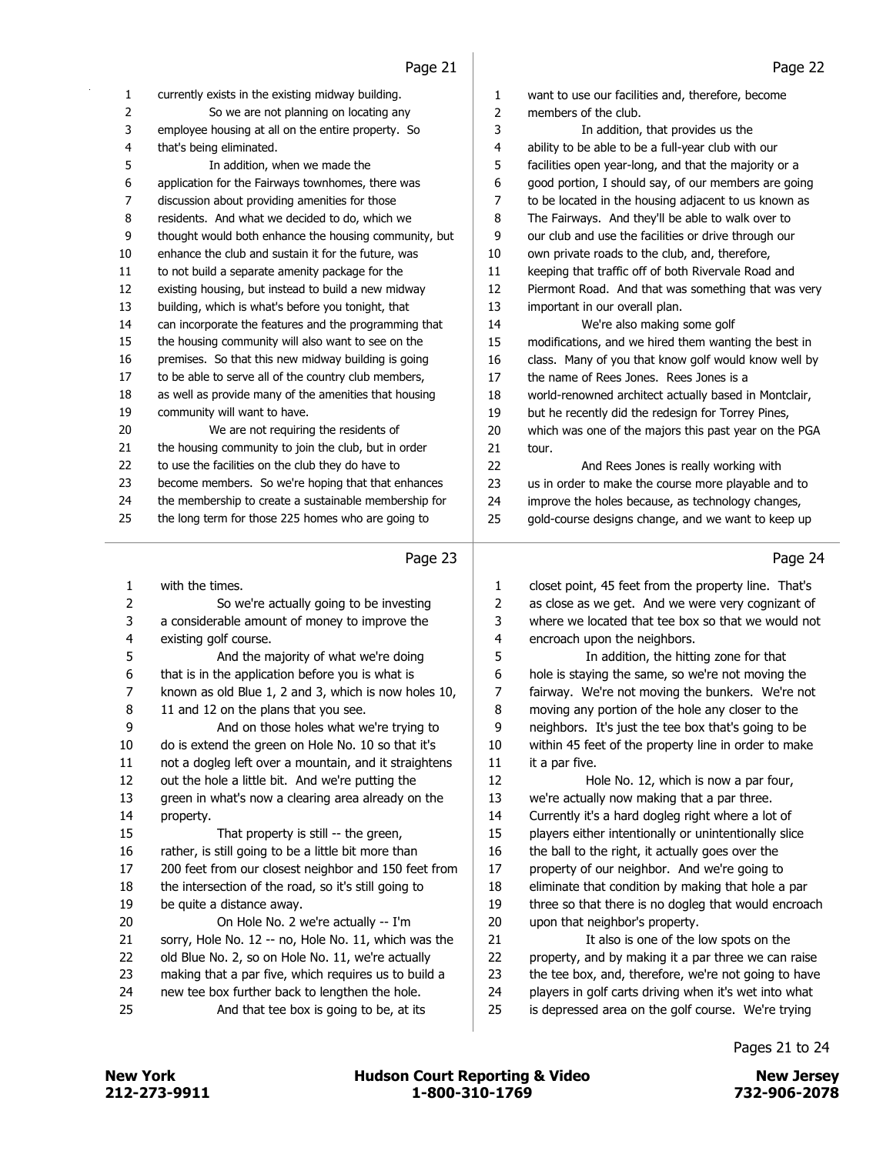| 1        | currently exists in the existing midway building.     | $\mathbf{1}$ | want to use our facilities and, therefore, become                                                           |
|----------|-------------------------------------------------------|--------------|-------------------------------------------------------------------------------------------------------------|
| 2        | So we are not planning on locating any                | 2            | members of the club.                                                                                        |
| 3        | employee housing at all on the entire property. So    | 3            | In addition, that provides us the                                                                           |
| 4        | that's being eliminated.                              | 4            | ability to be able to be a full-year club with our                                                          |
| 5        | In addition, when we made the                         | 5            | facilities open year-long, and that the majority or a                                                       |
| 6        | application for the Fairways townhomes, there was     | 6            | good portion, I should say, of our members are going                                                        |
| 7        | discussion about providing amenities for those        | 7            | to be located in the housing adjacent to us known as                                                        |
| 8        | residents. And what we decided to do, which we        | 8            | The Fairways. And they'll be able to walk over to                                                           |
| 9        | thought would both enhance the housing community, but | 9            | our club and use the facilities or drive through our                                                        |
| 10       | enhance the club and sustain it for the future, was   | 10           | own private roads to the club, and, therefore,                                                              |
| $11\,$   | to not build a separate amenity package for the       | 11           | keeping that traffic off of both Rivervale Road and                                                         |
| 12       | existing housing, but instead to build a new midway   | 12           | Piermont Road. And that was something that was very                                                         |
| 13       | building, which is what's before you tonight, that    | 13           | important in our overall plan.                                                                              |
| 14       | can incorporate the features and the programming that | 14           | We're also making some golf                                                                                 |
| 15       | the housing community will also want to see on the    | 15           | modifications, and we hired them wanting the best in                                                        |
| 16       | premises. So that this new midway building is going   | 16           | class. Many of you that know golf would know well by                                                        |
| 17       | to be able to serve all of the country club members,  | 17           | the name of Rees Jones. Rees Jones is a                                                                     |
| 18       | as well as provide many of the amenities that housing | 18           | world-renowned architect actually based in Montclair,                                                       |
| 19       | community will want to have.                          | 19           | but he recently did the redesign for Torrey Pines,                                                          |
| 20       | We are not requiring the residents of                 | 20           | which was one of the majors this past year on the PGA                                                       |
| 21       | the housing community to join the club, but in order  | 21           | tour.                                                                                                       |
| 22       | to use the facilities on the club they do have to     | 22           | And Rees Jones is really working with                                                                       |
| 23       | become members. So we're hoping that that enhances    | 23           | us in order to make the course more playable and to                                                         |
| 24       | the membership to create a sustainable membership for | 24           | improve the holes because, as technology changes,                                                           |
| 25       | the long term for those 225 homes who are going to    | 25           | gold-course designs change, and we want to keep up                                                          |
|          |                                                       |              |                                                                                                             |
|          |                                                       |              |                                                                                                             |
|          |                                                       |              |                                                                                                             |
|          | Page 23                                               |              | Page 24                                                                                                     |
| 1        | with the times.                                       | 1            | closet point, 45 feet from the property line. That's                                                        |
| 2        | So we're actually going to be investing               | 2            | as close as we get. And we were very cognizant of                                                           |
| 3        | a considerable amount of money to improve the         | 3            | where we located that tee box so that we would not                                                          |
| 4        | existing golf course.                                 | 4            | encroach upon the neighbors.                                                                                |
| 5        | And the majority of what we're doing                  | 5            | In addition, the hitting zone for that                                                                      |
| 6        | that is in the application before you is what is      | 6            | hole is staying the same, so we're not moving the                                                           |
| 7        | known as old Blue 1, 2 and 3, which is now holes 10,  | 7            | fairway. We're not moving the bunkers. We're not                                                            |
| 8        | 11 and 12 on the plans that you see.                  | 8            | moving any portion of the hole any closer to the                                                            |
| 9        | And on those holes what we're trying to               | 9            | neighbors. It's just the tee box that's going to be                                                         |
| 10       | do is extend the green on Hole No. 10 so that it's    | 10           | within 45 feet of the property line in order to make                                                        |
| 11       | not a dogleg left over a mountain, and it straightens | $11\,$       | it a par five.                                                                                              |
| 12       | out the hole a little bit. And we're putting the      | 12           | Hole No. 12, which is now a par four,                                                                       |
| 13       | green in what's now a clearing area already on the    | 13           | we're actually now making that a par three.                                                                 |
| 14       | property.                                             | 14           | Currently it's a hard dogleg right where a lot of                                                           |
| 15       | That property is still -- the green,                  | 15           | players either intentionally or unintentionally slice                                                       |
| $16\,$   | rather, is still going to be a little bit more than   | 16           | the ball to the right, it actually goes over the                                                            |
| 17       | 200 feet from our closest neighbor and 150 feet from  | $17\,$       | property of our neighbor. And we're going to                                                                |
| 18       | the intersection of the road, so it's still going to  | 18           | eliminate that condition by making that hole a par                                                          |
| 19       | be quite a distance away.                             | 19           | three so that there is no dogleg that would encroach                                                        |
| 20       | On Hole No. 2 we're actually -- I'm                   | 20           | upon that neighbor's property.                                                                              |
| 21       | sorry, Hole No. 12 -- no, Hole No. 11, which was the  | 21           | It also is one of the low spots on the                                                                      |
| 22       | old Blue No. 2, so on Hole No. 11, we're actually     | 22           | property, and by making it a par three we can raise                                                         |
| 23       | making that a par five, which requires us to build a  | 23           | the tee box, and, therefore, we're not going to have                                                        |
| 24<br>25 | new tee box further back to lengthen the hole.        | 24<br>25     | players in golf carts driving when it's wet into what<br>is depressed area on the golf course. We're trying |

Pages 21 to 24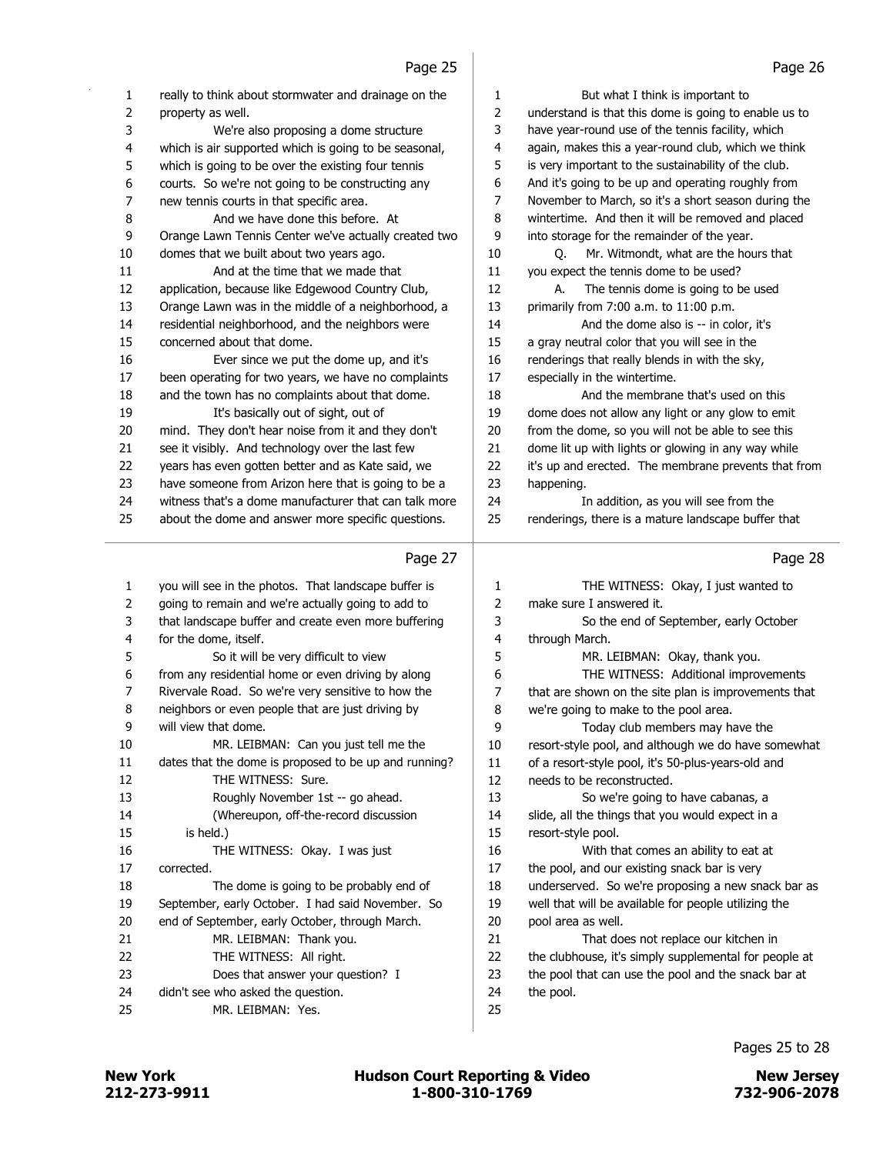| 1              | really to think about stormwater and drainage on the  | 1  | But what I think is important to                      |
|----------------|-------------------------------------------------------|----|-------------------------------------------------------|
| 2              | property as well.                                     | 2  | understand is that this dome is going to enable us to |
| 3              | We're also proposing a dome structure                 | 3  | have year-round use of the tennis facility, which     |
| 4              | which is air supported which is going to be seasonal, | 4  | again, makes this a year-round club, which we think   |
| 5              | which is going to be over the existing four tennis    | 5  | is very important to the sustainability of the club.  |
| 6              | courts. So we're not going to be constructing any     | 6  | And it's going to be up and operating roughly from    |
| $\overline{7}$ | new tennis courts in that specific area.              | 7  | November to March, so it's a short season during the  |
| 8              | And we have done this before. At                      | 8  | wintertime. And then it will be removed and placed    |
| 9              | Orange Lawn Tennis Center we've actually created two  | 9  | into storage for the remainder of the year.           |
| 10             | domes that we built about two years ago.              | 10 | Mr. Witmondt, what are the hours that<br>Ο.           |
| 11             | And at the time that we made that                     | 11 | you expect the tennis dome to be used?                |
| 12             | application, because like Edgewood Country Club,      | 12 | The tennis dome is going to be used<br>А.             |
| 13             | Orange Lawn was in the middle of a neighborhood, a    | 13 | primarily from 7:00 a.m. to 11:00 p.m.                |
| 14             | residential neighborhood, and the neighbors were      | 14 | And the dome also is -- in color, it's                |
| 15             | concerned about that dome.                            | 15 | a gray neutral color that you will see in the         |
| 16             | Ever since we put the dome up, and it's               | 16 | renderings that really blends in with the sky,        |
| 17             | been operating for two years, we have no complaints   | 17 | especially in the wintertime.                         |
| 18             | and the town has no complaints about that dome.       | 18 | And the membrane that's used on this                  |
| 19             | It's basically out of sight, out of                   | 19 | dome does not allow any light or any glow to emit     |
| 20             | mind. They don't hear noise from it and they don't    | 20 | from the dome, so you will not be able to see this    |
| 21             | see it visibly. And technology over the last few      | 21 | dome lit up with lights or glowing in any way while   |
| 22             | years has even gotten better and as Kate said, we     | 22 | it's up and erected. The membrane prevents that from  |
| 23             | have someone from Arizon here that is going to be a   | 23 | happening.                                            |
| 24             | witness that's a dome manufacturer that can talk more | 24 | In addition, as you will see from the                 |
| 25             | about the dome and answer more specific questions.    | 25 | renderings, there is a mature landscape buffer that   |
|                | Page 27                                               |    | Page 28                                               |
| 1              | you will see in the photos. That landscape buffer is  | 1  | THE WITNESS: Okay, I just wanted to                   |
| 2              | going to remain and we're actually going to add to    | 2  | make sure I answered it.                              |
| 3              | that landscape buffer and create even more buffering  | 3  | So the end of September, early October                |

through March.

5 MR. LEIBMAN: Okay, thank you.

13 So we're going to have cabanas, a slide, all the things that you would expect in a

16 With that comes an ability to eat at 17 the pool, and our existing snack bar is very

21 That does not replace our kitchen in 22 the clubhouse, it's simply supplemental for people at the pool that can use the pool and the snack bar at

 underserved. So we're proposing a new snack bar as well that will be available for people utilizing the

 we're going to make to the pool area. 9 Today club members may have the resort-style pool, and although we do have somewhat of a resort-style pool, it's 50-plus-years-old and

needs to be reconstructed.

resort-style pool.

pool area as well.

the pool.

6 THE WITNESS: Additional improvements that are shown on the site plan is improvements that

- for the dome, itself. 5 So it will be very difficult to view from any residential home or even driving by along
- Rivervale Road. So we're very sensitive to how the
- neighbors or even people that are just driving by will view that dome.
- 10 MR. LEIBMAN: Can you just tell me the dates that the dome is proposed to be up and running? 12 THE WITNESS: Sure. 13 Roughly November 1st -- go ahead. 14 (Whereupon, off-the-record discussion 15 is held.) 16 THE WITNESS: Okay. I was just corrected. 18 The dome is going to be probably end of
- September, early October. I had said November. So end of September, early October, through March.
- 21 MR. LEIBMAN: Thank you.
- 22 THE WITNESS: All right.
- 23 Does that answer your question? I
- didn't see who asked the question.
- 25 MR. LEIBMAN: Yes.

212-273-9911 1-800-310-1769 732-906-2078 New York **New York COULD Hudson Court Reporting & Video** New Jersey

Pages 25 to 28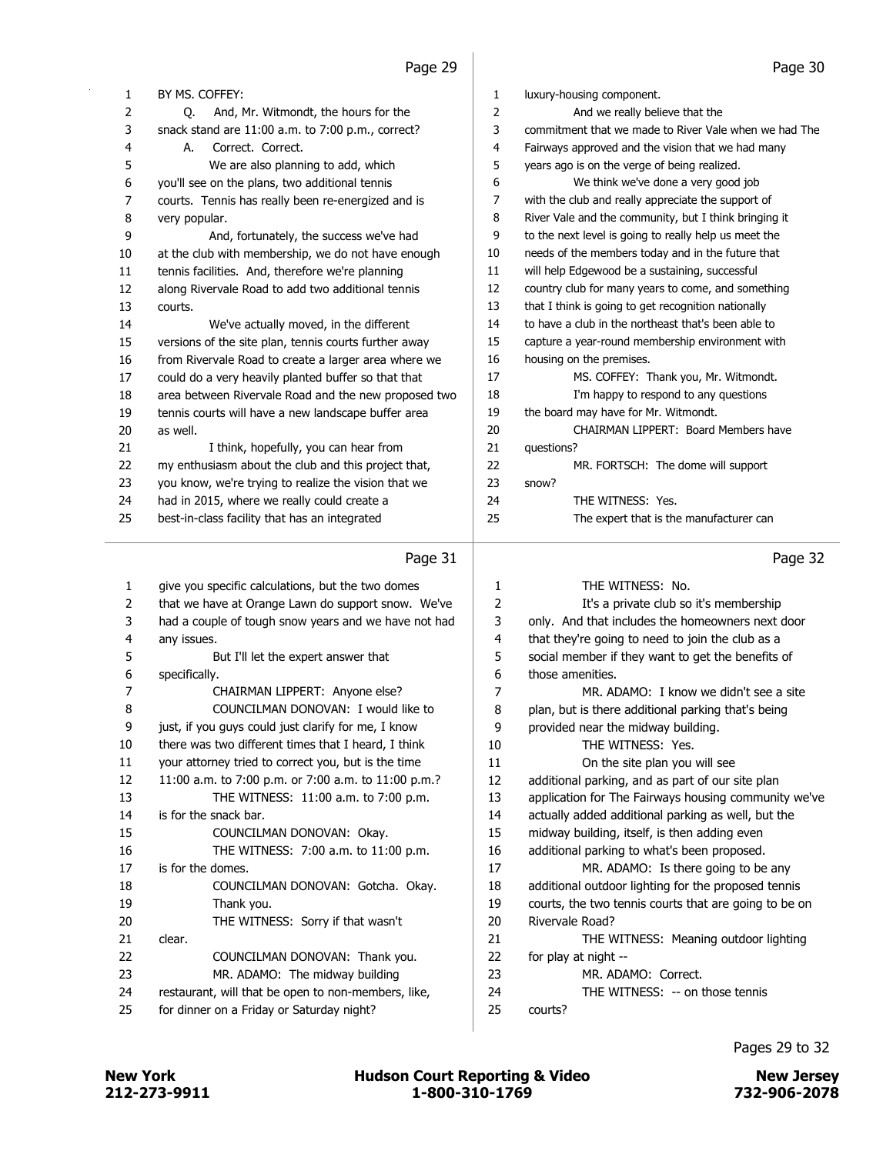| 1  | BY MS. COFFEY:                                        | 1  | luxury-housing component.                             |
|----|-------------------------------------------------------|----|-------------------------------------------------------|
| 2  | O.<br>And, Mr. Witmondt, the hours for the            | 2  | And we really believe that the                        |
| 3  | snack stand are 11:00 a.m. to 7:00 p.m., correct?     | 3  | commitment that we made to River Vale when we had The |
| 4  | Correct. Correct.<br>А.                               | 4  | Fairways approved and the vision that we had many     |
| 5  | We are also planning to add, which                    | 5  | years ago is on the verge of being realized.          |
| 6  | you'll see on the plans, two additional tennis        | 6  | We think we've done a very good job                   |
| 7  | courts. Tennis has really been re-energized and is    | 7  | with the club and really appreciate the support of    |
| 8  | very popular.                                         | 8  | River Vale and the community, but I think bringing it |
| 9  | And, fortunately, the success we've had               | 9  | to the next level is going to really help us meet the |
| 10 | at the club with membership, we do not have enough    | 10 | needs of the members today and in the future that     |
| 11 | tennis facilities. And, therefore we're planning      | 11 | will help Edgewood be a sustaining, successful        |
| 12 | along Rivervale Road to add two additional tennis     | 12 | country club for many years to come, and something    |
| 13 | courts.                                               | 13 | that I think is going to get recognition nationally   |
| 14 | We've actually moved, in the different                | 14 | to have a club in the northeast that's been able to   |
| 15 | versions of the site plan, tennis courts further away | 15 | capture a year-round membership environment with      |
| 16 | from Rivervale Road to create a larger area where we  | 16 | housing on the premises.                              |
| 17 | could do a very heavily planted buffer so that that   | 17 | MS. COFFEY: Thank you, Mr. Witmondt.                  |
| 18 | area between Rivervale Road and the new proposed two  | 18 | I'm happy to respond to any questions                 |
| 19 | tennis courts will have a new landscape buffer area   | 19 | the board may have for Mr. Witmondt.                  |
| 20 | as well.                                              | 20 | CHAIRMAN LIPPERT: Board Members have                  |
| 21 | I think, hopefully, you can hear from                 | 21 | questions?                                            |
| 22 | my enthusiasm about the club and this project that,   | 22 | MR. FORTSCH: The dome will support                    |
| 23 | you know, we're trying to realize the vision that we  | 23 | snow?                                                 |
| 24 | had in 2015, where we really could create a           | 24 | THE WITNESS: Yes.                                     |
| 25 | best-in-class facility that has an integrated         | 25 | The expert that is the manufacturer can               |
|    | Page 31                                               |    | Page 32                                               |

### Page 31

|                | ray <del>c</del> JI                                  |    | rayc Jz                                               |
|----------------|------------------------------------------------------|----|-------------------------------------------------------|
| $\mathbf{1}$   | give you specific calculations, but the two domes    | 1  | THE WITNESS: No.                                      |
| 2              | that we have at Orange Lawn do support snow. We've   | 2  | It's a private club so it's membership                |
| 3              | had a couple of tough snow years and we have not had | 3  | only. And that includes the homeowners next door      |
| 4              | any issues.                                          | 4  | that they're going to need to join the club as a      |
| 5              | But I'll let the expert answer that                  | 5  | social member if they want to get the benefits of     |
| 6              | specifically.                                        | 6  | those amenities.                                      |
| $\overline{7}$ | CHAIRMAN LIPPERT: Anyone else?                       | 7  | MR. ADAMO: I know we didn't see a site                |
| 8              | COUNCILMAN DONOVAN: I would like to                  | 8  | plan, but is there additional parking that's being    |
| 9              | just, if you guys could just clarify for me, I know  | 9  | provided near the midway building.                    |
| 10             | there was two different times that I heard, I think  | 10 | THE WITNESS: Yes.                                     |
| 11             | your attorney tried to correct you, but is the time  | 11 | On the site plan you will see                         |
| 12             | 11:00 a.m. to 7:00 p.m. or 7:00 a.m. to 11:00 p.m.?  | 12 | additional parking, and as part of our site plan      |
| 13             | THE WITNESS: 11:00 a.m. to 7:00 p.m.                 | 13 | application for The Fairways housing community we've  |
| 14             | is for the snack bar.                                | 14 | actually added additional parking as well, but the    |
| 15             | COUNCILMAN DONOVAN: Okay.                            | 15 | midway building, itself, is then adding even          |
| 16             | THE WITNESS: 7:00 a.m. to 11:00 p.m.                 | 16 | additional parking to what's been proposed.           |
| 17             | is for the domes.                                    | 17 | MR. ADAMO: Is there going to be any                   |
| 18             | COUNCILMAN DONOVAN: Gotcha. Okay.                    | 18 | additional outdoor lighting for the proposed tennis   |
| 19             | Thank you.                                           | 19 | courts, the two tennis courts that are going to be on |
| 20             | THE WITNESS: Sorry if that wasn't                    | 20 | Rivervale Road?                                       |
| 21             | clear.                                               | 21 | THE WITNESS: Meaning outdoor lighting                 |
| 22             | COUNCILMAN DONOVAN: Thank you.                       | 22 | for play at night --                                  |
| 23             | MR. ADAMO: The midway building                       | 23 | MR. ADAMO: Correct.                                   |
| 24             | restaurant, will that be open to non-members, like,  | 24 | THE WITNESS: -- on those tennis                       |
| 25             | for dinner on a Friday or Saturday night?            | 25 | courts?                                               |
|                |                                                      |    |                                                       |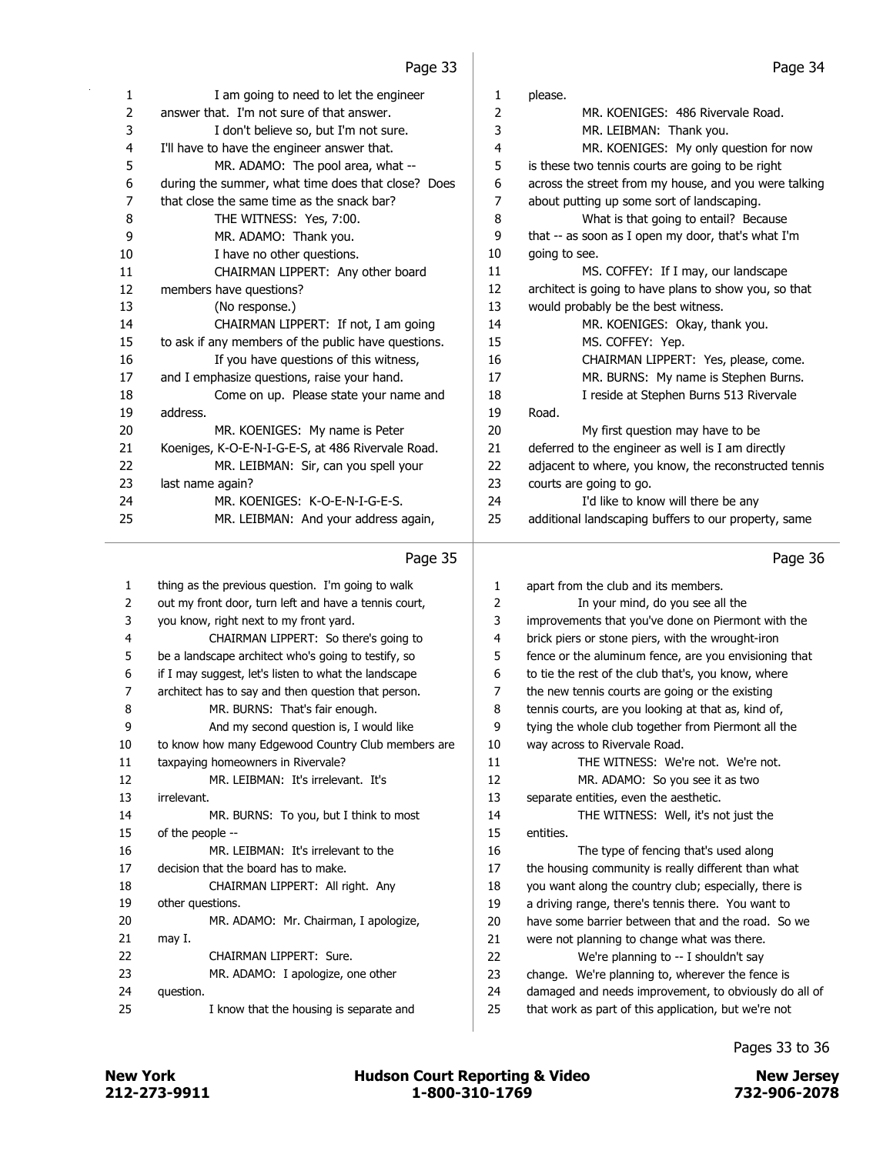| 1. | I am going to need to let the engineer              | 1  | please.                                               |
|----|-----------------------------------------------------|----|-------------------------------------------------------|
| 2  | answer that. I'm not sure of that answer.           | 2  | MR. KOENIGES: 486 Rivervale Road.                     |
| 3  | I don't believe so, but I'm not sure.               | 3  | MR. LEIBMAN: Thank you.                               |
| 4  | I'll have to have the engineer answer that.         | 4  | MR. KOENIGES: My only question for now                |
| 5  | MR. ADAMO: The pool area, what --                   | 5  | is these two tennis courts are going to be right      |
| 6  | during the summer, what time does that close? Does  | 6  | across the street from my house, and you were talking |
| 7  | that close the same time as the snack bar?          | 7  | about putting up some sort of landscaping.            |
| 8  | THE WITNESS: Yes, 7:00.                             | 8  | What is that going to entail? Because                 |
| 9  | MR. ADAMO: Thank you.                               | 9  | that -- as soon as I open my door, that's what I'm    |
| 10 | I have no other questions.                          | 10 | going to see.                                         |
| 11 | CHAIRMAN LIPPERT: Any other board                   | 11 | MS. COFFEY: If I may, our landscape                   |
| 12 | members have questions?                             | 12 | architect is going to have plans to show you, so that |
| 13 | (No response.)                                      | 13 | would probably be the best witness.                   |
| 14 | CHAIRMAN LIPPERT: If not, I am going                | 14 | MR. KOENIGES: Okay, thank you.                        |
| 15 | to ask if any members of the public have questions. | 15 | MS. COFFEY: Yep.                                      |
| 16 | If you have questions of this witness,              | 16 | CHAIRMAN LIPPERT: Yes, please, come.                  |
| 17 | and I emphasize questions, raise your hand.         | 17 | MR. BURNS: My name is Stephen Burns.                  |
| 18 | Come on up. Please state your name and              | 18 | I reside at Stephen Burns 513 Rivervale               |
| 19 | address.                                            | 19 | Road.                                                 |
| 20 | MR. KOENIGES: My name is Peter                      | 20 | My first question may have to be                      |
| 21 | Koeniges, K-O-E-N-I-G-E-S, at 486 Rivervale Road.   | 21 | deferred to the engineer as well is I am directly     |
| 22 | MR. LEIBMAN: Sir, can you spell your                | 22 | adjacent to where, you know, the reconstructed tennis |
| 23 | last name again?                                    | 23 | courts are going to go.                               |
| 24 | MR. KOENIGES: K-O-E-N-I-G-E-S.                      | 24 | I'd like to know will there be any                    |
| 25 | MR. LEIBMAN: And your address again,                | 25 | additional landscaping buffers to our property, same  |
|    |                                                     |    |                                                       |

|                | Page 35                                               |    | Page 36                                               |
|----------------|-------------------------------------------------------|----|-------------------------------------------------------|
| 1              | thing as the previous question. I'm going to walk     | 1  | apart from the club and its members.                  |
| 2              | out my front door, turn left and have a tennis court, | 2  | In your mind, do you see all the                      |
| 3              | you know, right next to my front yard.                | 3  | improvements that you've done on Piermont with the    |
| $\overline{4}$ | CHAIRMAN LIPPERT: So there's going to                 | 4  | brick piers or stone piers, with the wrought-iron     |
| 5              | be a landscape architect who's going to testify, so   | 5  | fence or the aluminum fence, are you envisioning that |
| 6              | if I may suggest, let's listen to what the landscape  | 6  | to tie the rest of the club that's, you know, where   |
| 7              | architect has to say and then question that person.   | 7  | the new tennis courts are going or the existing       |
| 8              | MR. BURNS: That's fair enough.                        | 8  | tennis courts, are you looking at that as, kind of,   |
| 9              | And my second question is, I would like               | 9  | tying the whole club together from Piermont all the   |
| 10             | to know how many Edgewood Country Club members are    | 10 | way across to Rivervale Road.                         |
| 11             | taxpaying homeowners in Rivervale?                    | 11 | THE WITNESS: We're not. We're not.                    |
| 12             | MR. LEIBMAN: It's irrelevant. It's                    | 12 | MR. ADAMO: So you see it as two                       |
| 13             | irrelevant.                                           | 13 | separate entities, even the aesthetic.                |
| 14             | MR. BURNS: To you, but I think to most                | 14 | THE WITNESS: Well, it's not just the                  |
| 15             | of the people --                                      | 15 | entities.                                             |
| 16             | MR. LEIBMAN: It's irrelevant to the                   | 16 | The type of fencing that's used along                 |
| 17             | decision that the board has to make.                  | 17 | the housing community is really different than what   |
| 18             | CHAIRMAN LIPPERT: All right. Any                      | 18 | you want along the country club; especially, there is |
| 19             | other questions.                                      | 19 | a driving range, there's tennis there. You want to    |
| 20             | MR. ADAMO: Mr. Chairman, I apologize,                 | 20 | have some barrier between that and the road. So we    |
| 21             | may I.                                                | 21 | were not planning to change what was there.           |
| 22             | CHAIRMAN LIPPERT: Sure.                               | 22 | We're planning to -- I shouldn't say                  |
| 23             | MR. ADAMO: I apologize, one other                     | 23 | change. We're planning to, wherever the fence is      |
| 24             | question.                                             | 24 | damaged and needs improvement, to obviously do all of |
| 25             | I know that the housing is separate and               | 25 | that work as part of this application, but we're not  |
|                |                                                       |    |                                                       |

Pages 33 to 36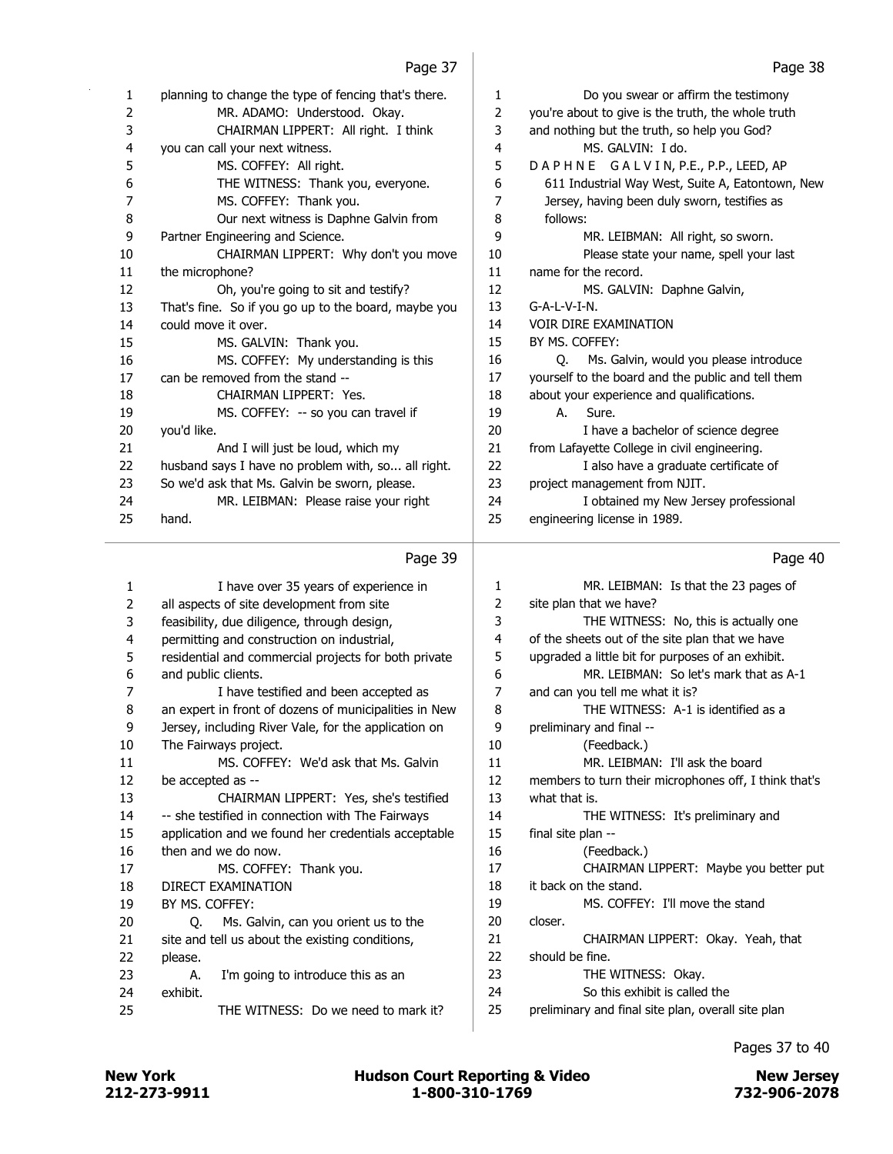| 1  | planning to change the type of fencing that's there. | 1  | Do you swear or affirm the testimony               |
|----|------------------------------------------------------|----|----------------------------------------------------|
| 2  | MR. ADAMO: Understood. Okay.                         | 2  | you're about to give is the truth, the whole truth |
| 3  | CHAIRMAN LIPPERT: All right. I think                 | 3  | and nothing but the truth, so help you God?        |
| 4  | you can call your next witness.                      | 4  | MS. GALVIN: I do.                                  |
| 5  | MS. COFFEY: All right.                               | 5  | DAPHNE GALVIN, P.E., P.P., LEED, AP                |
| 6  | THE WITNESS: Thank you, everyone.                    | 6  | 611 Industrial Way West, Suite A, Eatontown, New   |
| 7  | MS. COFFEY: Thank you.                               | 7  | Jersey, having been duly sworn, testifies as       |
| 8  | Our next witness is Daphne Galvin from               | 8  | follows:                                           |
| 9  | Partner Engineering and Science.                     | 9  | MR. LEIBMAN: All right, so sworn.                  |
| 10 | CHAIRMAN LIPPERT: Why don't you move                 | 10 | Please state your name, spell your last            |
| 11 | the microphone?                                      | 11 | name for the record.                               |
| 12 | Oh, you're going to sit and testify?                 | 12 | MS. GALVIN: Daphne Galvin,                         |
| 13 | That's fine. So if you go up to the board, maybe you | 13 | $G-A-L-V-I-N.$                                     |
| 14 | could move it over.                                  | 14 | <b>VOIR DIRE EXAMINATION</b>                       |
| 15 | MS. GALVIN: Thank you.                               | 15 | BY MS. COFFEY:                                     |
| 16 | MS. COFFEY: My understanding is this                 | 16 | Ms. Galvin, would you please introduce<br>O.       |
| 17 | can be removed from the stand --                     | 17 | yourself to the board and the public and tell them |
| 18 | CHAIRMAN LIPPERT: Yes.                               | 18 | about your experience and qualifications.          |
| 19 | MS. COFFEY: -- so you can travel if                  | 19 | Sure.<br>A.                                        |
| 20 | you'd like.                                          | 20 | I have a bachelor of science degree                |
| 21 | And I will just be loud, which my                    | 21 | from Lafayette College in civil engineering.       |
| 22 | husband says I have no problem with, so all right.   | 22 | I also have a graduate certificate of              |
| 23 | So we'd ask that Ms. Galvin be sworn, please.        | 23 | project management from NJIT.                      |
| 24 | MR. LEIBMAN: Please raise your right                 | 24 | I obtained my New Jersey professional              |
| 25 | hand.                                                | 25 | engineering license in 1989.                       |

### Page 39

### 1 I have over 35 years of experience in 2 all aspects of site development from site 3 feasibility, due diligence, through design, 4 permitting and construction on industrial, 5 residential and commercial projects for both private 6 and public clients. 7 I have testified and been accepted as 8 an expert in front of dozens of municipalities in New 9 Jersey, including River Vale, for the application on 10 The Fairways project. 11 MS. COFFEY: We'd ask that Ms. Galvin 12 be accepted as -- 13 CHAIRMAN LIPPERT: Yes, she's testified 14 -- she testified in connection with The Fairways 15 application and we found her credentials acceptable 16 then and we do now. 17 MS. COFFEY: Thank you. 18 DIRECT EXAMINATION 19 BY MS. COFFEY: 20 Q. Ms. Galvin, can you orient us to the 21 site and tell us about the existing conditions, 22 please. 23 A. I'm going to introduce this as an 24 exhibit. 25 THE WITNESS: Do we need to mark it? 1 MR. LEIBMAN: Is that the 23 pages of 2 site plan that we have? 3 THE WITNESS: No, this is actually one 4 of the sheets out of the site plan that we have 5 upgraded a little bit for purposes of an exhibit. 6 MR. LEIBMAN: So let's mark that as A-1 7 and can you tell me what it is? 8 THE WITNESS: A-1 is identified as a 9 preliminary and final -- 10 (Feedback.) 11 MR. LEIBMAN: I'll ask the board 12 members to turn their microphones off, I think that's 13 what that is. 14 THE WITNESS: It's preliminary and 15 final site plan -- 16 (Feedback.) 17 CHAIRMAN LIPPERT: Maybe you better put 18 it back on the stand. 19 MS. COFFEY: I'll move the stand 20 closer. 21 CHAIRMAN LIPPERT: Okay. Yeah, that 22 should be fine. 23 THE WITNESS: Okay. 24 So this exhibit is called the 25 preliminary and final site plan, overall site plan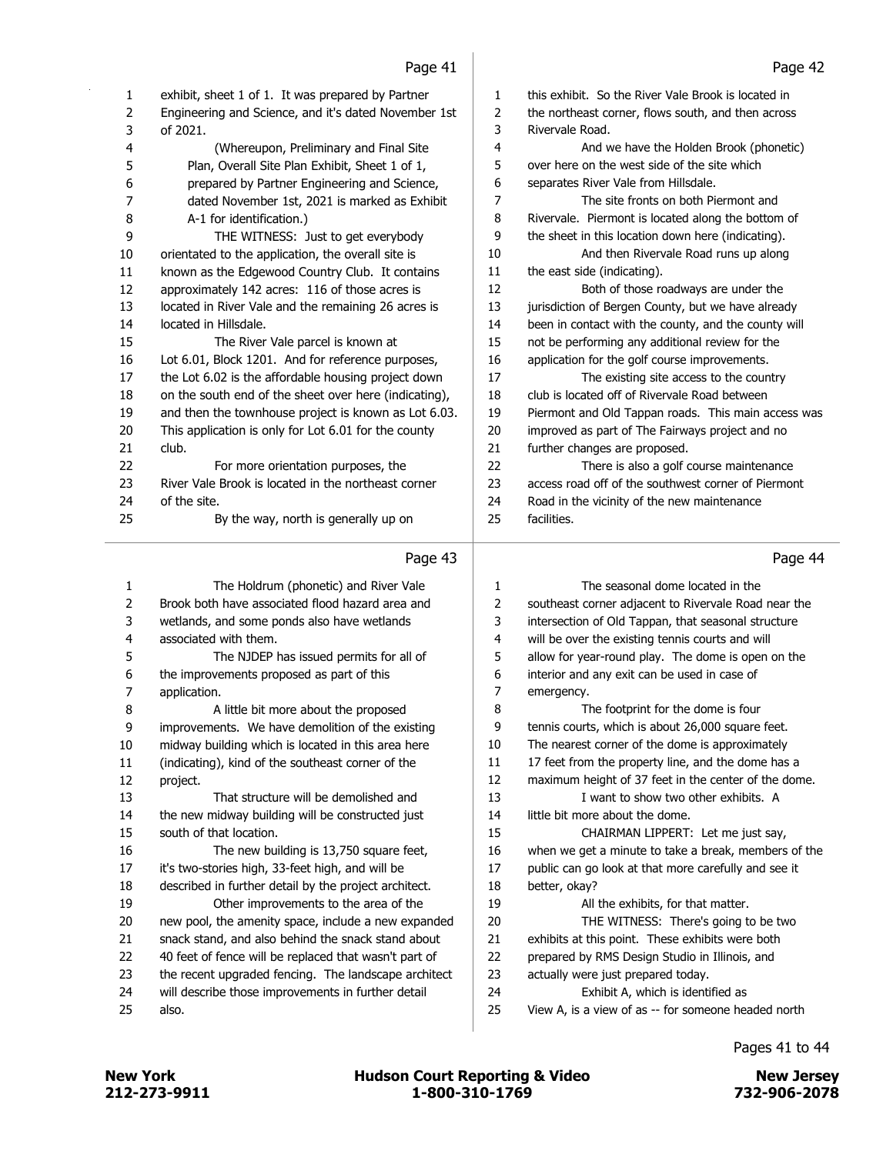| exhibit, sheet 1 of 1. It was prepared by Partner<br>1<br>this exhibit. So the River Vale Brook is located in<br>1<br>2<br>Engineering and Science, and it's dated November 1st<br>the northeast corner, flows south, and then across<br>2<br>3<br>of 2021.<br>Rivervale Road.<br>3<br>4<br>(Whereupon, Preliminary and Final Site<br>4<br>And we have the Holden Brook (phonetic)<br>5<br>Plan, Overall Site Plan Exhibit, Sheet 1 of 1,<br>over here on the west side of the site which<br>5<br>6<br>prepared by Partner Engineering and Science,<br>6<br>separates River Vale from Hillsdale. |         |
|--------------------------------------------------------------------------------------------------------------------------------------------------------------------------------------------------------------------------------------------------------------------------------------------------------------------------------------------------------------------------------------------------------------------------------------------------------------------------------------------------------------------------------------------------------------------------------------------------|---------|
|                                                                                                                                                                                                                                                                                                                                                                                                                                                                                                                                                                                                  |         |
|                                                                                                                                                                                                                                                                                                                                                                                                                                                                                                                                                                                                  |         |
|                                                                                                                                                                                                                                                                                                                                                                                                                                                                                                                                                                                                  |         |
|                                                                                                                                                                                                                                                                                                                                                                                                                                                                                                                                                                                                  |         |
|                                                                                                                                                                                                                                                                                                                                                                                                                                                                                                                                                                                                  |         |
|                                                                                                                                                                                                                                                                                                                                                                                                                                                                                                                                                                                                  |         |
| dated November 1st, 2021 is marked as Exhibit<br>7<br>The site fronts on both Piermont and<br>7                                                                                                                                                                                                                                                                                                                                                                                                                                                                                                  |         |
| 8<br>A-1 for identification.)<br>Rivervale. Piermont is located along the bottom of<br>8                                                                                                                                                                                                                                                                                                                                                                                                                                                                                                         |         |
| 9<br>THE WITNESS: Just to get everybody<br>the sheet in this location down here (indicating).<br>9                                                                                                                                                                                                                                                                                                                                                                                                                                                                                               |         |
| orientated to the application, the overall site is<br>10<br>10<br>And then Rivervale Road runs up along                                                                                                                                                                                                                                                                                                                                                                                                                                                                                          |         |
| 11<br>11<br>known as the Edgewood Country Club. It contains<br>the east side (indicating).                                                                                                                                                                                                                                                                                                                                                                                                                                                                                                       |         |
| 12<br>12<br>approximately 142 acres: 116 of those acres is<br>Both of those roadways are under the                                                                                                                                                                                                                                                                                                                                                                                                                                                                                               |         |
| 13<br>located in River Vale and the remaining 26 acres is<br>13<br>jurisdiction of Bergen County, but we have already                                                                                                                                                                                                                                                                                                                                                                                                                                                                            |         |
| 14<br>been in contact with the county, and the county will<br>14<br>located in Hillsdale.                                                                                                                                                                                                                                                                                                                                                                                                                                                                                                        |         |
| 15<br>not be performing any additional review for the<br>15<br>The River Vale parcel is known at                                                                                                                                                                                                                                                                                                                                                                                                                                                                                                 |         |
| 16<br>Lot 6.01, Block 1201. And for reference purposes,<br>16<br>application for the golf course improvements.                                                                                                                                                                                                                                                                                                                                                                                                                                                                                   |         |
| 17<br>17<br>the Lot 6.02 is the affordable housing project down<br>The existing site access to the country                                                                                                                                                                                                                                                                                                                                                                                                                                                                                       |         |
| 18<br>club is located off of Rivervale Road between<br>18<br>on the south end of the sheet over here (indicating),                                                                                                                                                                                                                                                                                                                                                                                                                                                                               |         |
| and then the townhouse project is known as Lot 6.03.<br>19<br>19<br>Piermont and Old Tappan roads. This main access was                                                                                                                                                                                                                                                                                                                                                                                                                                                                          |         |
| This application is only for Lot 6.01 for the county<br>20<br>20<br>improved as part of The Fairways project and no                                                                                                                                                                                                                                                                                                                                                                                                                                                                              |         |
| 21<br>21<br>further changes are proposed.<br>club.                                                                                                                                                                                                                                                                                                                                                                                                                                                                                                                                               |         |
| 22<br>22<br>There is also a golf course maintenance<br>For more orientation purposes, the                                                                                                                                                                                                                                                                                                                                                                                                                                                                                                        |         |
| River Vale Brook is located in the northeast corner<br>23<br>access road off of the southwest corner of Piermont<br>23                                                                                                                                                                                                                                                                                                                                                                                                                                                                           |         |
| 24<br>24<br>Road in the vicinity of the new maintenance<br>of the site.                                                                                                                                                                                                                                                                                                                                                                                                                                                                                                                          |         |
| 25<br>25<br>facilities.<br>By the way, north is generally up on                                                                                                                                                                                                                                                                                                                                                                                                                                                                                                                                  |         |
|                                                                                                                                                                                                                                                                                                                                                                                                                                                                                                                                                                                                  |         |
| Page 43                                                                                                                                                                                                                                                                                                                                                                                                                                                                                                                                                                                          | Page 44 |
|                                                                                                                                                                                                                                                                                                                                                                                                                                                                                                                                                                                                  |         |
|                                                                                                                                                                                                                                                                                                                                                                                                                                                                                                                                                                                                  |         |
| 1<br>The seasonal dome located in the<br>The Holdrum (phonetic) and River Vale<br>1                                                                                                                                                                                                                                                                                                                                                                                                                                                                                                              |         |
| 2<br>Brook both have associated flood hazard area and<br>2<br>southeast corner adjacent to Rivervale Road near the                                                                                                                                                                                                                                                                                                                                                                                                                                                                               |         |
| 3<br>3<br>wetlands, and some ponds also have wetlands<br>intersection of Old Tappan, that seasonal structure                                                                                                                                                                                                                                                                                                                                                                                                                                                                                     |         |
| 4<br>associated with them.<br>will be over the existing tennis courts and will<br>4                                                                                                                                                                                                                                                                                                                                                                                                                                                                                                              |         |
| 5<br>allow for year-round play. The dome is open on the<br>5<br>The NJDEP has issued permits for all of                                                                                                                                                                                                                                                                                                                                                                                                                                                                                          |         |
| 6<br>6<br>the improvements proposed as part of this<br>interior and any exit can be used in case of                                                                                                                                                                                                                                                                                                                                                                                                                                                                                              |         |
| 7<br>7<br>application.<br>emergency.                                                                                                                                                                                                                                                                                                                                                                                                                                                                                                                                                             |         |
| 8<br>8<br>A little bit more about the proposed<br>The footprint for the dome is four                                                                                                                                                                                                                                                                                                                                                                                                                                                                                                             |         |
| improvements. We have demolition of the existing<br>tennis courts, which is about 26,000 square feet.<br>9<br>9                                                                                                                                                                                                                                                                                                                                                                                                                                                                                  |         |
| 10<br>10<br>The nearest corner of the dome is approximately<br>midway building which is located in this area here                                                                                                                                                                                                                                                                                                                                                                                                                                                                                |         |
| 11<br>(indicating), kind of the southeast corner of the<br>11<br>17 feet from the property line, and the dome has a                                                                                                                                                                                                                                                                                                                                                                                                                                                                              |         |
| 12<br>12<br>maximum height of 37 feet in the center of the dome.<br>project.                                                                                                                                                                                                                                                                                                                                                                                                                                                                                                                     |         |
| 13<br>13<br>That structure will be demolished and<br>I want to show two other exhibits. A                                                                                                                                                                                                                                                                                                                                                                                                                                                                                                        |         |
| 14<br>14<br>the new midway building will be constructed just<br>little bit more about the dome.                                                                                                                                                                                                                                                                                                                                                                                                                                                                                                  |         |
| 15<br>south of that location.<br>15<br>CHAIRMAN LIPPERT: Let me just say,                                                                                                                                                                                                                                                                                                                                                                                                                                                                                                                        |         |
| 16<br>The new building is 13,750 square feet,<br>16<br>when we get a minute to take a break, members of the                                                                                                                                                                                                                                                                                                                                                                                                                                                                                      |         |
| 17<br>public can go look at that more carefully and see it<br>17<br>it's two-stories high, 33-feet high, and will be                                                                                                                                                                                                                                                                                                                                                                                                                                                                             |         |
| 18<br>described in further detail by the project architect.<br>18<br>better, okay?                                                                                                                                                                                                                                                                                                                                                                                                                                                                                                               |         |
| 19<br>Other improvements to the area of the<br>19<br>All the exhibits, for that matter.                                                                                                                                                                                                                                                                                                                                                                                                                                                                                                          |         |
| 20<br>THE WITNESS: There's going to be two<br>20<br>new pool, the amenity space, include a new expanded                                                                                                                                                                                                                                                                                                                                                                                                                                                                                          |         |
| 21<br>21<br>snack stand, and also behind the snack stand about<br>exhibits at this point. These exhibits were both                                                                                                                                                                                                                                                                                                                                                                                                                                                                               |         |
| 22<br>22<br>40 feet of fence will be replaced that wasn't part of<br>prepared by RMS Design Studio in Illinois, and                                                                                                                                                                                                                                                                                                                                                                                                                                                                              |         |
| 23<br>23<br>the recent upgraded fencing. The landscape architect<br>actually were just prepared today.                                                                                                                                                                                                                                                                                                                                                                                                                                                                                           |         |
| 24<br>24<br>will describe those improvements in further detail<br>Exhibit A, which is identified as<br>25<br>25<br>View A, is a view of as -- for someone headed north<br>also.                                                                                                                                                                                                                                                                                                                                                                                                                  |         |

Pages 41 to 44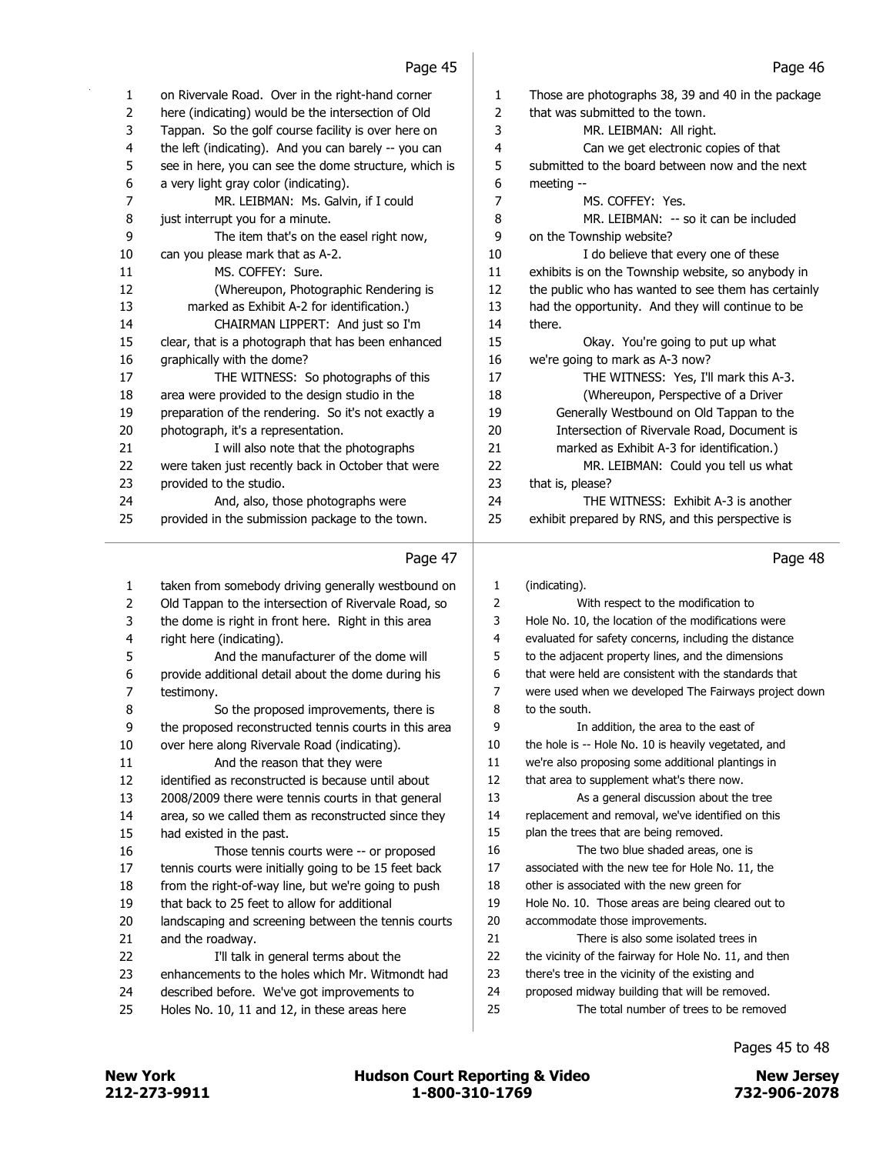Those are photographs 38, 39 and 40 in the package

4 Can we get electronic copies of that submitted to the board between now and the next

8 MR. LEIBMAN: -- so it can be included

10 I do believe that every one of these exhibits is on the Township website, so anybody in 12 the public who has wanted to see them has certainly had the opportunity. And they will continue to be

15 Okay. You're going to put up what

17 THE WITNESS: Yes, I'll mark this A-3. 18 (Whereupon, Perspective of a Driver 19 Generally Westbound on Old Tappan to the 20 Intersection of Rivervale Road, Document is 21 marked as Exhibit A-3 for identification.) 22 MR. LEIBMAN: Could you tell us what

24 THE WITNESS: Exhibit A-3 is another exhibit prepared by RNS, and this perspective is

we're going to mark as A-3 now?

 that was submitted to the town. 3 MR. LEIBMAN: All right.

7 MS. COFFEY: Yes.

on the Township website?

meeting --

there.

that is, please?

| 1  | on Rivervale Road. Over in the right-hand corner      |
|----|-------------------------------------------------------|
| 2  | here (indicating) would be the intersection of Old    |
| 3  | Tappan. So the golf course facility is over here on   |
| 4  | the left (indicating). And you can barely -- you can  |
| 5  | see in here, you can see the dome structure, which is |
| 6  | a very light gray color (indicating).                 |
| 7  | MR. LEIBMAN: Ms. Galvin, if I could                   |
| 8  | just interrupt you for a minute.                      |
| 9  | The item that's on the easel right now,               |
| 10 | can you please mark that as A-2.                      |
| 11 | MS. COFFEY: Sure.                                     |
| 12 | (Whereupon, Photographic Rendering is                 |
| 13 | marked as Exhibit A-2 for identification.)            |
| 14 | CHAIRMAN LIPPERT: And just so I'm                     |
| 15 | clear, that is a photograph that has been enhanced    |
| 16 | graphically with the dome?                            |
| 17 | THE WITNESS: So photographs of this                   |
| 18 | area were provided to the design studio in the        |
| 19 | preparation of the rendering. So it's not exactly a   |
| 20 | photograph, it's a representation.                    |
| 21 | I will also note that the photographs                 |
| 22 | were taken just recently back in October that were    |
| 23 | provided to the studio.                               |
| 24 | And, also, those photographs were                     |
| 25 | provided in the submission package to the town.       |

|    | Page 47                                               |                | Page 48                                               |
|----|-------------------------------------------------------|----------------|-------------------------------------------------------|
| 1  | taken from somebody driving generally westbound on    | $\mathbf{1}$   | (indicating).                                         |
| 2  | Old Tappan to the intersection of Rivervale Road, so  | 2              | With respect to the modification to                   |
| 3  | the dome is right in front here. Right in this area   | 3              | Hole No. 10, the location of the modifications were   |
| 4  | right here (indicating).                              | $\overline{4}$ | evaluated for safety concerns, including the distance |
| 5  | And the manufacturer of the dome will                 | 5              | to the adjacent property lines, and the dimensions    |
| 6  | provide additional detail about the dome during his   | 6              | that were held are consistent with the standards that |
| 7  | testimony.                                            | 7              | were used when we developed The Fairways project down |
| 8  | So the proposed improvements, there is                | 8              | to the south.                                         |
| 9  | the proposed reconstructed tennis courts in this area | 9              | In addition, the area to the east of                  |
| 10 | over here along Rivervale Road (indicating).          | 10             | the hole is -- Hole No. 10 is heavily vegetated, and  |
| 11 | And the reason that they were                         | 11             | we're also proposing some additional plantings in     |
| 12 | identified as reconstructed is because until about    | 12             | that area to supplement what's there now.             |
| 13 | 2008/2009 there were tennis courts in that general    | 13             | As a general discussion about the tree                |
| 14 | area, so we called them as reconstructed since they   | 14             | replacement and removal, we've identified on this     |
| 15 | had existed in the past.                              | 15             | plan the trees that are being removed.                |
| 16 | Those tennis courts were -- or proposed               | 16             | The two blue shaded areas, one is                     |
| 17 | tennis courts were initially going to be 15 feet back | 17             | associated with the new tee for Hole No. 11, the      |
| 18 | from the right-of-way line, but we're going to push   | 18             | other is associated with the new green for            |
| 19 | that back to 25 feet to allow for additional          | 19             | Hole No. 10. Those areas are being cleared out to     |
| 20 | landscaping and screening between the tennis courts   | 20             | accommodate those improvements.                       |
| 21 | and the roadway.                                      | 21             | There is also some isolated trees in                  |
| 22 | I'll talk in general terms about the                  | 22             | the vicinity of the fairway for Hole No. 11, and then |
| 23 | enhancements to the holes which Mr. Witmondt had      | 23             | there's tree in the vicinity of the existing and      |
| 24 | described before. We've got improvements to           | 24             | proposed midway building that will be removed.        |
| 25 | Holes No. 10, 11 and 12, in these areas here          | 25             | The total number of trees to be removed               |
|    |                                                       |                |                                                       |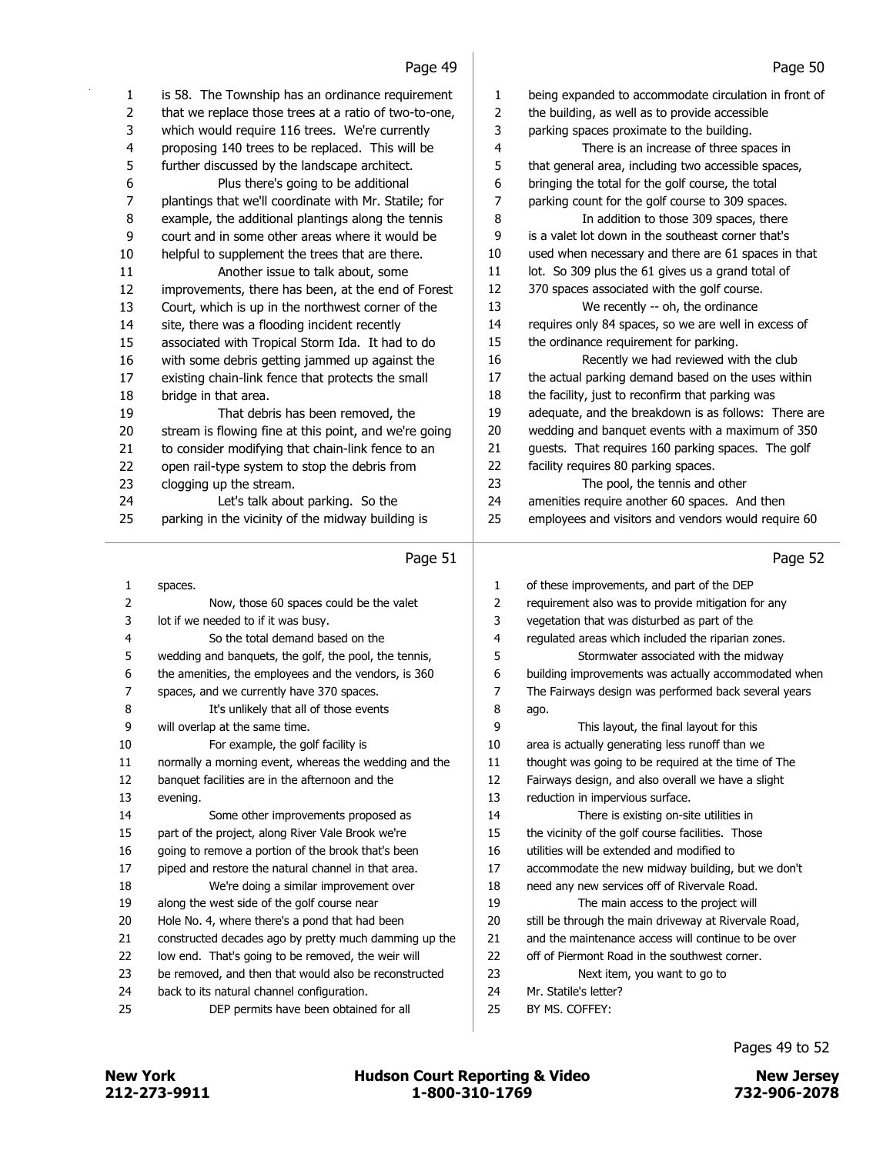$\overline{1}$ 

|                | Page 49                                               |                | Page 50                                               |
|----------------|-------------------------------------------------------|----------------|-------------------------------------------------------|
| 1              | is 58. The Township has an ordinance requirement      | 1              | being expanded to accommodate circulation in front of |
| $\overline{2}$ | that we replace those trees at a ratio of two-to-one, | $\overline{2}$ | the building, as well as to provide accessible        |
| 3              | which would require 116 trees. We're currently        | 3              | parking spaces proximate to the building.             |
| 4              | proposing 140 trees to be replaced. This will be      | 4              | There is an increase of three spaces in               |
| 5              | further discussed by the landscape architect.         | 5              | that general area, including two accessible spaces,   |
| 6              | Plus there's going to be additional                   | 6              | bringing the total for the golf course, the total     |
| 7              | plantings that we'll coordinate with Mr. Statile; for | 7              | parking count for the golf course to 309 spaces.      |
| 8              | example, the additional plantings along the tennis    | 8              | In addition to those 309 spaces, there                |
| 9              | court and in some other areas where it would be       | 9              | is a valet lot down in the southeast corner that's    |
| 10             | helpful to supplement the trees that are there.       | 10             | used when necessary and there are 61 spaces in that   |
| 11             | Another issue to talk about, some                     | 11             | lot. So 309 plus the 61 gives us a grand total of     |
| 12             | improvements, there has been, at the end of Forest    | 12             | 370 spaces associated with the golf course.           |
| 13             | Court, which is up in the northwest corner of the     | 13             | We recently -- oh, the ordinance                      |
| 14             | site, there was a flooding incident recently          | 14             | requires only 84 spaces, so we are well in excess of  |
| 15             | associated with Tropical Storm Ida. It had to do      | 15             | the ordinance requirement for parking.                |
| 16             | with some debris getting jammed up against the        | 16             | Recently we had reviewed with the club                |
| 17             | existing chain-link fence that protects the small     | 17             | the actual parking demand based on the uses within    |
| 18             | bridge in that area.                                  | 18             | the facility, just to reconfirm that parking was      |
| 19             | That debris has been removed, the                     | 19             | adequate, and the breakdown is as follows: There are  |
| 20             | stream is flowing fine at this point, and we're going | 20             | wedding and banquet events with a maximum of 350      |
| 21             | to consider modifying that chain-link fence to an     | 21             | guests. That requires 160 parking spaces. The golf    |
| 22             | open rail-type system to stop the debris from         | 22             | facility requires 80 parking spaces.                  |
| 23             | clogging up the stream.                               | 23             | The pool, the tennis and other                        |
| 24             | Let's talk about parking. So the                      | 24             | amenities require another 60 spaces. And then         |
| 25             | parking in the vicinity of the midway building is     | 25             | employees and visitors and vendors would require 60   |
|                |                                                       |                |                                                       |
|                | Page 51                                               |                | Page 52                                               |
| 1              | spaces.                                               | 1              | of these improvements, and part of the DEP            |
| 2              | Now, those 60 spaces could be the valet               | 2              | requirement also was to provide mitigation for any    |
| 3              | lot if we needed to if it was busy.                   | 3              | vegetation that was disturbed as part of the          |
| 4              | So the total demand based on the                      | 4              | regulated areas which included the riparian zones.    |
| 5              | wedding and banquets, the golf, the pool, the tennis, | 5              | Stormwater associated with the midway                 |
| 6              | the amenities, the employees and the vendors, is 360  | 6              | building improvements was actually accommodated when  |
| 7              | spaces, and we currently have 370 spaces.             | 7              | The Fairways design was performed back several years  |
| 8              | It's unlikely that all of those events                | 8              | ago.                                                  |
| 9              | will overlap at the same time.                        | 9              | This layout, the final layout for this                |
| 10             | For example, the golf facility is                     | 10             | area is actually generating less runoff than we       |
| 11             | normally a morning event, whereas the wedding and the | 11             | thought was going to be required at the time of The   |
| 12             | banquet facilities are in the afternoon and the       | 12             | Fairways design, and also overall we have a slight    |
| 13             | evening.                                              | 13             | reduction in impervious surface.                      |
| 14             | Some other improvements proposed as                   | 14             | There is existing on-site utilities in                |
| 15             | part of the project, along River Vale Brook we're     | 15             | the vicinity of the golf course facilities. Those     |
| 16             | going to remove a portion of the brook that's been    | 16             | utilities will be extended and modified to            |

piped and restore the natural channel in that area.

18 We're doing a similar improvement over along the west side of the golf course near

Hole No. 4, where there's a pond that had been

constructed decades ago by pretty much damming up the

- low end. That's going to be removed, the weir will be removed, and then that would also be reconstructed
- back to its natural channel configuration.

25 DEP permits have been obtained for all

Pages 49 to 52

accommodate the new midway building, but we don't

 need any new services off of Rivervale Road. 19 The main access to the project will still be through the main driveway at Rivervale Road, 21 and the maintenance access will continue to be over off of Piermont Road in the southwest corner. 23 Next item, you want to go to

 Mr. Statile's letter? BY MS. COFFEY:

New York 1273-9911 1-800-310-1769 Rev 2022-906-2078 Rew Jersey<br>212-273-9911 1-800-310-1769 1-800-310-1769 732-906-2078 New York **New York Count Reporting & Video**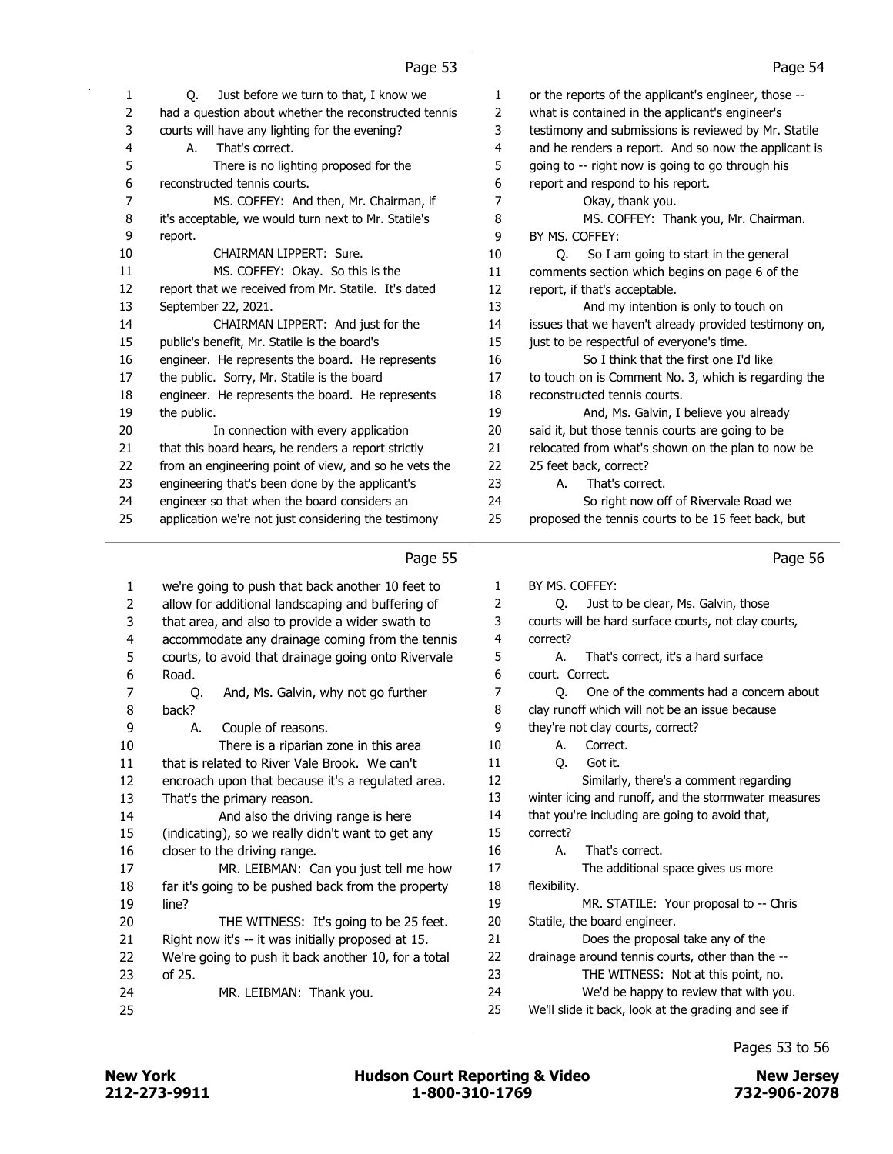|    | cc bye                                                |                | raye ɔ4                                               |
|----|-------------------------------------------------------|----------------|-------------------------------------------------------|
| 1  | Q.<br>Just before we turn to that, I know we          | 1              | or the reports of the applicant's engineer, those --  |
| 2  | had a question about whether the reconstructed tennis | 2              | what is contained in the applicant's engineer's       |
| 3  | courts will have any lighting for the evening?        | 3              | testimony and submissions is reviewed by Mr. Statile  |
| 4  | That's correct.<br>А.                                 | $\overline{4}$ | and he renders a report. And so now the applicant is  |
| 5  | There is no lighting proposed for the                 | 5              | going to -- right now is going to go through his      |
| 6  | reconstructed tennis courts.                          | 6              | report and respond to his report.                     |
| 7  | MS. COFFEY: And then, Mr. Chairman, if                | $\overline{7}$ | Okay, thank you.                                      |
| 8  | it's acceptable, we would turn next to Mr. Statile's  | 8              | MS. COFFEY: Thank you, Mr. Chairman.                  |
| 9  | report.                                               | 9              | BY MS. COFFEY:                                        |
| 10 | CHAIRMAN LIPPERT: Sure.                               | 10             | So I am going to start in the general<br>Q.           |
| 11 | MS. COFFEY: Okay. So this is the                      | 11             | comments section which begins on page 6 of the        |
| 12 | report that we received from Mr. Statile. It's dated  | 12             | report, if that's acceptable.                         |
| 13 | September 22, 2021.                                   | 13             | And my intention is only to touch on                  |
| 14 | CHAIRMAN LIPPERT: And just for the                    | 14             | issues that we haven't already provided testimony on, |
| 15 | public's benefit, Mr. Statile is the board's          | 15             | just to be respectful of everyone's time.             |
| 16 | engineer. He represents the board. He represents      | 16             | So I think that the first one I'd like                |
| 17 | the public. Sorry, Mr. Statile is the board           | 17             | to touch on is Comment No. 3, which is regarding the  |
| 18 | engineer. He represents the board. He represents      | 18             | reconstructed tennis courts.                          |
| 19 | the public.                                           | 19             | And, Ms. Galvin, I believe you already                |
| 20 | In connection with every application                  | 20             | said it, but those tennis courts are going to be      |
| 21 | that this board hears, he renders a report strictly   | 21             | relocated from what's shown on the plan to now be     |
| 22 | from an engineering point of view, and so he vets the | 22             | 25 feet back, correct?                                |
| 23 | engineering that's been done by the applicant's       | 23             | А.<br>That's correct.                                 |
| 24 | engineer so that when the board considers an          | 24             | So right now off of Rivervale Road we                 |
| 25 | application we're not just considering the testimony  | 25             | proposed the tennis courts to be 15 feet back, but    |
|    |                                                       |                |                                                       |
|    | Page 55                                               |                | Page 56                                               |
| 1  | we're going to push that back another 10 feet to      | 1              | BY MS. COFFEY:                                        |
| 2  | allow for additional landscaping and buffering of     | 2              | Just to be clear, Ms. Galvin, those<br>Q.             |
| 3  | that area, and also to provide a wider swath to       | 3              | courts will be hard surface courts, not clay courts,  |
| 4  | accommodate any drainage coming from the tennis       | 4              | correct?                                              |
| 5  | courts, to avoid that drainage going onto Rivervale   | 5              | That's correct, it's a hard surface<br>А.             |
| 6  | Road.                                                 | 6              | court. Correct.                                       |
| 7  | And, Ms. Galvin, why not go further<br>Q.             | 7              | One of the comments had a concern about<br>O.         |
| 8  | back?                                                 | 8              | clay runoff which will not be an issue because        |
| 9  | Couple of reasons.<br>А.                              | 9              | they're not clay courts, correct?                     |
| 10 | There is a riparian zone in this area                 | 10             | Correct.<br>А.                                        |
| 11 | that is related to River Vale Brook. We can't         | 11             | Got it.<br>Q.                                         |
| 12 | encroach upon that because it's a regulated area.     | 12             | Similarly, there's a comment regarding                |
| 13 | That's the primary reason.                            | 13             | winter icing and runoff, and the stormwater measures  |
| 14 | And also the driving range is here                    | 14             | that you're including are going to avoid that,        |
| 15 | (indicating), so we really didn't want to get any     | 15             | correct?                                              |
| 16 | closer to the driving range.                          | 16             | That's correct.<br>А.                                 |
| 17 | MR. LEIBMAN: Can you just tell me how                 | 17             | The additional space gives us more                    |
| 18 | far it's going to be pushed back from the property    | 18             | flexibility.                                          |
| 19 | line?                                                 | 19             | MR. STATILE: Your proposal to -- Chris                |
| 20 | THE WITNESS: It's going to be 25 feet.                | 20             | Statile, the board engineer.                          |
| 21 | Right now it's -- it was initially proposed at 15.    | 21             | Does the proposal take any of the                     |
| 22 | We're going to push it back another 10, for a total   | 22             | drainage around tennis courts, other than the --      |
|    |                                                       |                |                                                       |

24 MR. LEIBMAN: Thank you. 24 We'd be happy to review that with you. We'll slide it back, look at the grading and see if

 drainage around tennis courts, other than the -- 23 THE WITNESS: Not at this point, no.

Pages 53 to 56

of 25.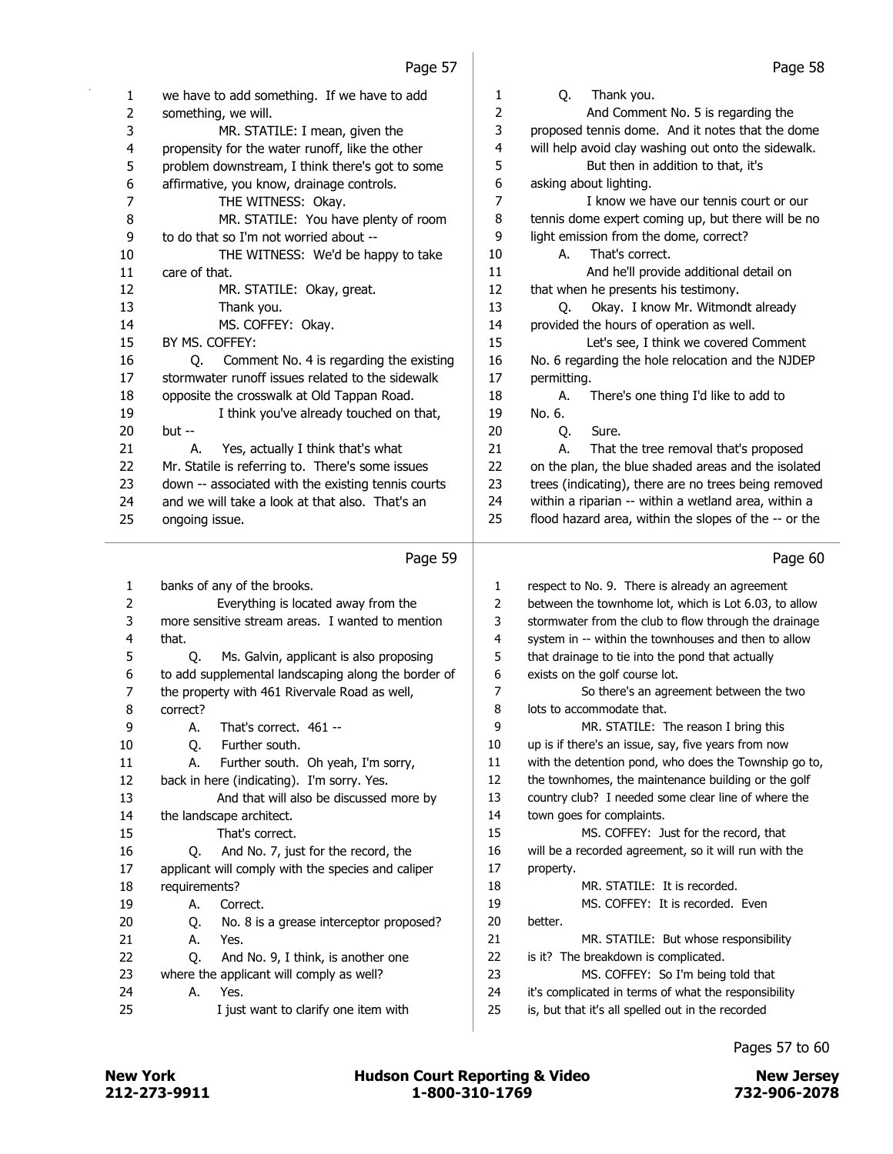| 1<br>2<br>3<br>4 | we have to add something. If we have to add<br>something, we will.<br>MR. STATILE: I mean, given the<br>propensity for the water runoff, like the other | 1<br>2<br>3<br>4 | Thank you.<br>Q.<br>And Comment No. 5 is regarding the<br>proposed tennis dome. And it notes that the dome<br>will help avoid clay washing out onto the sidewalk. |
|------------------|---------------------------------------------------------------------------------------------------------------------------------------------------------|------------------|-------------------------------------------------------------------------------------------------------------------------------------------------------------------|
| 5                | problem downstream, I think there's got to some                                                                                                         | 5<br>6           | But then in addition to that, it's                                                                                                                                |
| 6<br>7           | affirmative, you know, drainage controls.<br>THE WITNESS: Okay.                                                                                         | 7                | asking about lighting.<br>I know we have our tennis court or our                                                                                                  |
| 8                | MR. STATILE: You have plenty of room                                                                                                                    | 8                | tennis dome expert coming up, but there will be no                                                                                                                |
| 9                | to do that so I'm not worried about --                                                                                                                  | 9                | light emission from the dome, correct?                                                                                                                            |
| 10               | THE WITNESS: We'd be happy to take                                                                                                                      | 10               | That's correct.<br>А.                                                                                                                                             |
| 11               | care of that.                                                                                                                                           | 11               | And he'll provide additional detail on                                                                                                                            |
| 12               | MR. STATILE: Okay, great.                                                                                                                               | 12               | that when he presents his testimony.                                                                                                                              |
| 13               | Thank you.                                                                                                                                              | 13               | Okay. I know Mr. Witmondt already<br>O.                                                                                                                           |
| 14               | MS. COFFEY: Okay.                                                                                                                                       | 14               | provided the hours of operation as well.                                                                                                                          |
| 15               | BY MS. COFFEY:                                                                                                                                          | 15               | Let's see, I think we covered Comment                                                                                                                             |
| 16               | Comment No. 4 is regarding the existing<br>Q.                                                                                                           | 16               | No. 6 regarding the hole relocation and the NJDEP                                                                                                                 |
| 17               | stormwater runoff issues related to the sidewalk                                                                                                        | 17               | permitting.                                                                                                                                                       |
| 18               | opposite the crosswalk at Old Tappan Road.                                                                                                              | 18               | There's one thing I'd like to add to<br>А.                                                                                                                        |
| 19               | I think you've already touched on that,                                                                                                                 | 19               | No. 6.                                                                                                                                                            |
| 20               | but --                                                                                                                                                  | 20               | Sure.<br>Q.                                                                                                                                                       |
| 21               | А.<br>Yes, actually I think that's what                                                                                                                 | 21               | That the tree removal that's proposed<br>А.                                                                                                                       |
| 22               | Mr. Statile is referring to. There's some issues                                                                                                        | 22               | on the plan, the blue shaded areas and the isolated                                                                                                               |
| 23               | down -- associated with the existing tennis courts                                                                                                      | 23               | trees (indicating), there are no trees being removed                                                                                                              |
| 24               | and we will take a look at that also. That's an                                                                                                         | 24               | within a riparian -- within a wetland area, within a                                                                                                              |
| 25               | ongoing issue.                                                                                                                                          | 25               | flood hazard area, within the slopes of the -- or the                                                                                                             |
|                  |                                                                                                                                                         |                  |                                                                                                                                                                   |
|                  | Page 59                                                                                                                                                 |                  | Page 60                                                                                                                                                           |
|                  |                                                                                                                                                         |                  |                                                                                                                                                                   |
| 1                | banks of any of the brooks.                                                                                                                             | 1                | respect to No. 9. There is already an agreement                                                                                                                   |
| 2                | Everything is located away from the                                                                                                                     | 2                | between the townhome lot, which is Lot 6.03, to allow                                                                                                             |
| 3                | more sensitive stream areas. I wanted to mention                                                                                                        | 3                | stormwater from the club to flow through the drainage                                                                                                             |
| 4                | that.                                                                                                                                                   | 4                | system in -- within the townhouses and then to allow                                                                                                              |
| 5                | Q.<br>Ms. Galvin, applicant is also proposing                                                                                                           | 5                | that drainage to tie into the pond that actually                                                                                                                  |
| 6                | to add supplemental landscaping along the border of                                                                                                     | 6                | exists on the golf course lot.                                                                                                                                    |
| 7                | the property with 461 Rivervale Road as well,                                                                                                           | 7                | So there's an agreement between the two                                                                                                                           |
| 8                | correct?                                                                                                                                                | 8                | lots to accommodate that.                                                                                                                                         |
| 9                | That's correct. 461 --<br>А.                                                                                                                            | 9                | MR. STATILE: The reason I bring this                                                                                                                              |
| 10               | Q.<br>Further south.                                                                                                                                    | 10               | up is if there's an issue, say, five years from now                                                                                                               |
| 11               | Further south. Oh yeah, I'm sorry,<br>А.                                                                                                                | 11               | with the detention pond, who does the Township go to,                                                                                                             |
| 12               | back in here (indicating). I'm sorry. Yes.                                                                                                              | 12               | the townhomes, the maintenance building or the golf                                                                                                               |
| 13               | And that will also be discussed more by                                                                                                                 | 13               | country club? I needed some clear line of where the                                                                                                               |
| 14               | the landscape architect.                                                                                                                                | 14               | town goes for complaints.                                                                                                                                         |
| 15               | That's correct.                                                                                                                                         | 15               | MS. COFFEY: Just for the record, that                                                                                                                             |
| 16               | And No. 7, just for the record, the<br>Q.                                                                                                               | 16               | will be a recorded agreement, so it will run with the                                                                                                             |
| 17               | applicant will comply with the species and caliper                                                                                                      | 17               | property.                                                                                                                                                         |
| 18               | requirements?                                                                                                                                           | 18               | MR. STATILE: It is recorded.                                                                                                                                      |
| 19               | А.<br>Correct.                                                                                                                                          | 19               | MS. COFFEY: It is recorded. Even                                                                                                                                  |
| 20               | No. 8 is a grease interceptor proposed?<br>Q.                                                                                                           | 20               | better.                                                                                                                                                           |
| 21               | А.<br>Yes.                                                                                                                                              | 21               | MR. STATILE: But whose responsibility                                                                                                                             |
| 22               | Q.<br>And No. 9, I think, is another one                                                                                                                | 22               | is it? The breakdown is complicated.                                                                                                                              |
| 23               | where the applicant will comply as well?                                                                                                                | 23               | MS. COFFEY: So I'm being told that                                                                                                                                |
| 24<br>25         | Yes.<br>А.<br>I just want to clarify one item with                                                                                                      | 24<br>25         | it's complicated in terms of what the responsibility<br>is, but that it's all spelled out in the recorded                                                         |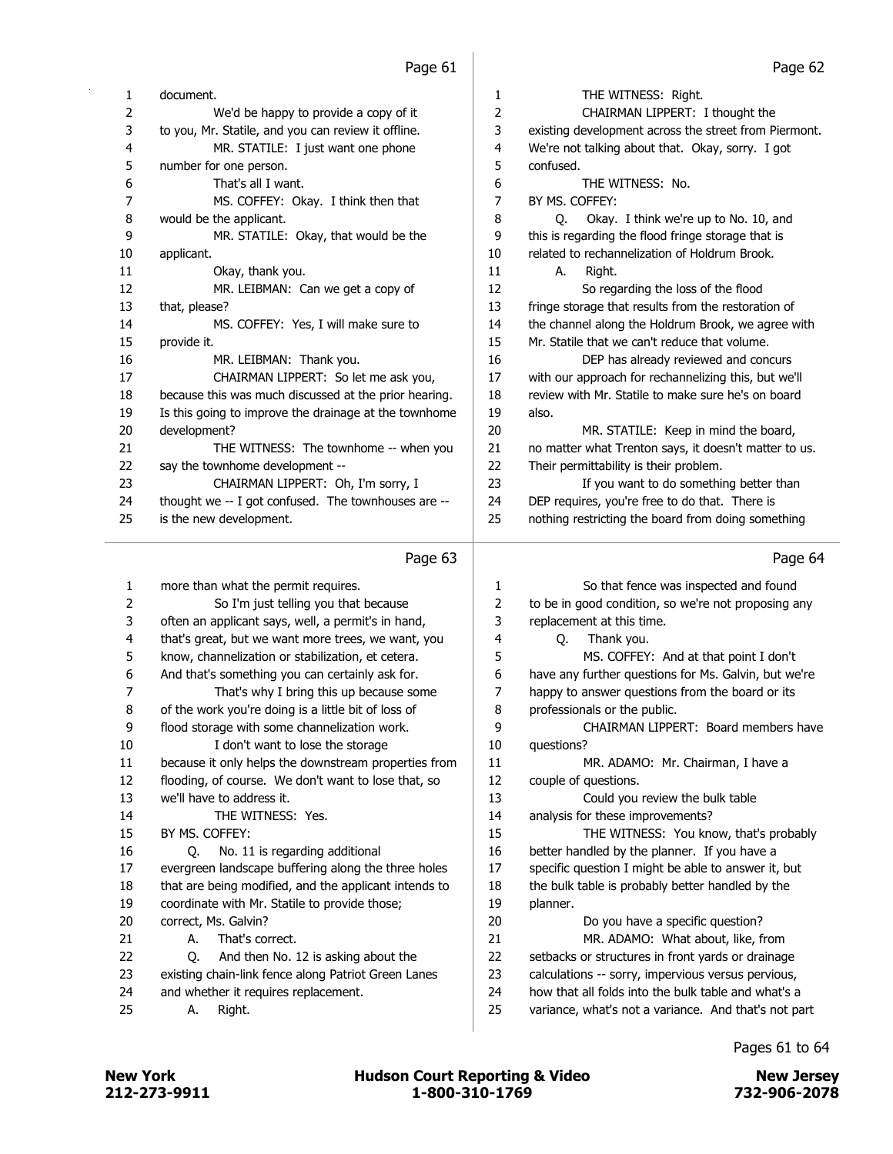| 1  | document.                                             | 1              | THE WITNESS: Right.                                   |
|----|-------------------------------------------------------|----------------|-------------------------------------------------------|
| 2  | We'd be happy to provide a copy of it                 | $\overline{2}$ | CHAIRMAN LIPPERT: I thought the                       |
| 3  | to you, Mr. Statile, and you can review it offline.   | 3              | existing development across the street from Piermont. |
| 4  | MR. STATILE: I just want one phone                    | 4              | We're not talking about that. Okay, sorry. I got      |
| 5  | number for one person.                                | 5              | confused.                                             |
| 6  | That's all I want.                                    | 6              | THE WITNESS: No.                                      |
| 7  | MS. COFFEY: Okay. I think then that                   | 7              | BY MS. COFFEY:                                        |
| 8  | would be the applicant.                               | 8              | Okay. I think we're up to No. 10, and<br>0.           |
| 9  | MR. STATILE: Okay, that would be the                  | 9              | this is regarding the flood fringe storage that is    |
| 10 | applicant.                                            | 10             | related to rechannelization of Holdrum Brook.         |
| 11 | Okay, thank you.                                      | 11             | Right.<br>А.                                          |
| 12 | MR. LEIBMAN: Can we get a copy of                     | 12             | So regarding the loss of the flood                    |
| 13 | that, please?                                         | 13             | fringe storage that results from the restoration of   |
| 14 | MS. COFFEY: Yes, I will make sure to                  | 14             | the channel along the Holdrum Brook, we agree with    |
| 15 | provide it.                                           | 15             | Mr. Statile that we can't reduce that volume.         |
| 16 | MR. LEIBMAN: Thank you.                               | 16             | DEP has already reviewed and concurs                  |
| 17 | CHAIRMAN LIPPERT: So let me ask you,                  | 17             | with our approach for rechannelizing this, but we'll  |
| 18 | because this was much discussed at the prior hearing. | 18             | review with Mr. Statile to make sure he's on board    |
| 19 | Is this going to improve the drainage at the townhome | 19             | also.                                                 |
| 20 | development?                                          | 20             | MR. STATILE: Keep in mind the board,                  |
| 21 | THE WITNESS: The townhome -- when you                 | 21             | no matter what Trenton says, it doesn't matter to us. |
| 22 | say the townhome development --                       | 22             | Their permittability is their problem.                |
| 23 | CHAIRMAN LIPPERT: Oh, I'm sorry, I                    | 23             | If you want to do something better than               |
| 24 | thought we -- I got confused. The townhouses are --   | 24             | DEP requires, you're free to do that. There is        |
| 25 | is the new development.                               | 25             | nothing restricting the board from doing something    |
|    | Page 63                                               |                | Page 64                                               |

| 1  | more than what the permit requires.                   | 1  | So that fence was inspected and found                |
|----|-------------------------------------------------------|----|------------------------------------------------------|
| 2  | So I'm just telling you that because                  | 2  | to be in good condition, so we're not proposing any  |
| 3  | often an applicant says, well, a permit's in hand,    | 3  | replacement at this time.                            |
| 4  | that's great, but we want more trees, we want, you    | 4  | Thank you.<br>O.                                     |
| 5  | know, channelization or stabilization, et cetera.     | 5  | MS. COFFEY: And at that point I don't                |
| 6  | And that's something you can certainly ask for.       | 6  | have any further questions for Ms. Galvin, but we're |
| 7  | That's why I bring this up because some               | 7  | happy to answer questions from the board or its      |
| 8  | of the work you're doing is a little bit of loss of   | 8  | professionals or the public.                         |
| 9  | flood storage with some channelization work.          | 9  | CHAIRMAN LIPPERT: Board members have                 |
| 10 | I don't want to lose the storage                      | 10 | questions?                                           |
| 11 | because it only helps the downstream properties from  | 11 | MR. ADAMO: Mr. Chairman, I have a                    |
| 12 | flooding, of course. We don't want to lose that, so   | 12 | couple of questions.                                 |
| 13 | we'll have to address it.                             | 13 | Could you review the bulk table                      |
| 14 | THE WITNESS: Yes.                                     | 14 | analysis for these improvements?                     |
| 15 | BY MS. COFFEY:                                        | 15 | THE WITNESS: You know, that's probably               |
| 16 | No. 11 is regarding additional<br>O.                  | 16 | better handled by the planner. If you have a         |
| 17 | evergreen landscape buffering along the three holes   | 17 | specific question I might be able to answer it, but  |
| 18 | that are being modified, and the applicant intends to | 18 | the bulk table is probably better handled by the     |
| 19 | coordinate with Mr. Statile to provide those;         | 19 | planner.                                             |
| 20 | correct, Ms. Galvin?                                  | 20 | Do you have a specific question?                     |
| 21 | That's correct.<br>А.                                 | 21 | MR. ADAMO: What about, like, from                    |
| 22 | And then No. 12 is asking about the<br>O.             | 22 | setbacks or structures in front yards or drainage    |
| 23 | existing chain-link fence along Patriot Green Lanes   | 23 | calculations -- sorry, impervious versus pervious,   |
| 24 | and whether it requires replacement.                  | 24 | how that all folds into the bulk table and what's a  |
| 25 | Right.<br>А.                                          | 25 | variance, what's not a variance. And that's not part |
|    |                                                       |    |                                                      |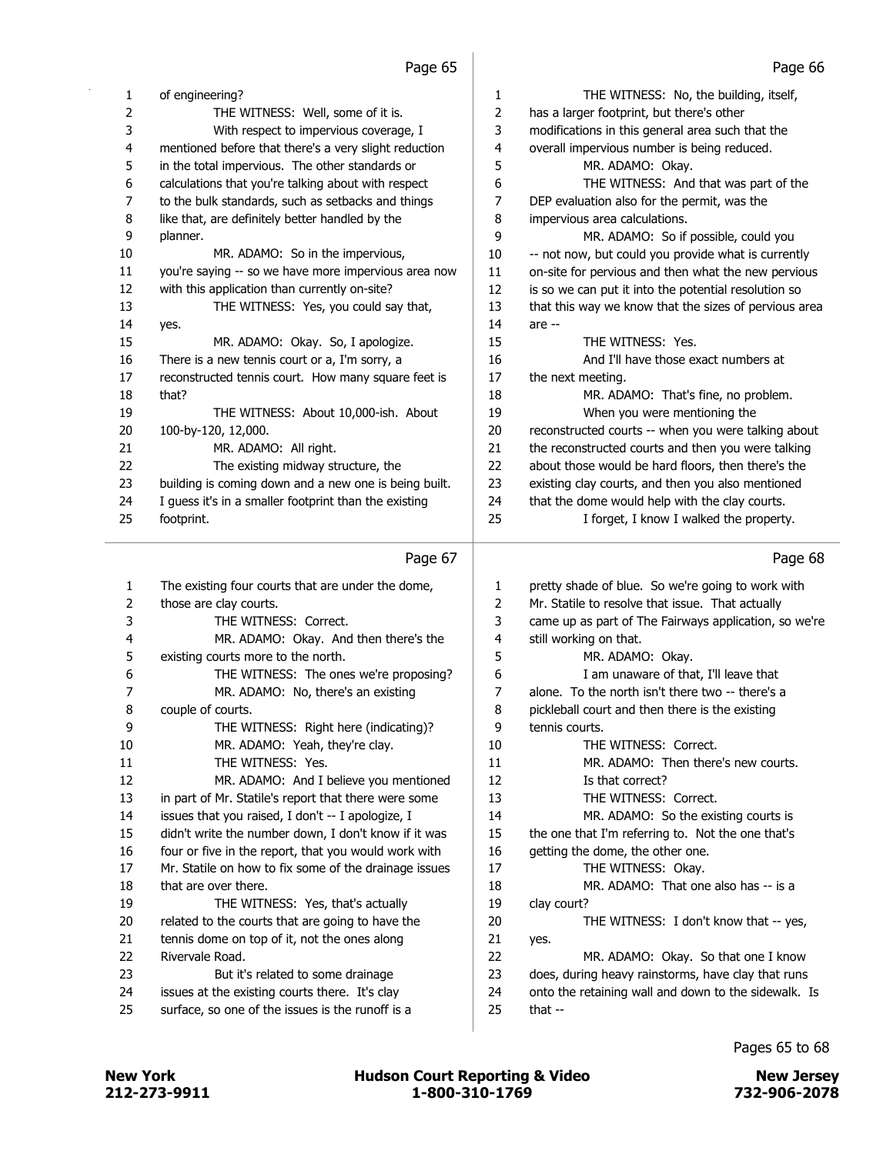|    | Page 65                                               |    | Page bb                                               |
|----|-------------------------------------------------------|----|-------------------------------------------------------|
| 1  | of engineering?                                       | 1  | THE WITNESS: No, the building, itself,                |
| 2  | THE WITNESS: Well, some of it is.                     | 2  | has a larger footprint, but there's other             |
| 3  | With respect to impervious coverage, I                | 3  | modifications in this general area such that the      |
| 4  | mentioned before that there's a very slight reduction | 4  | overall impervious number is being reduced.           |
| 5  | in the total impervious. The other standards or       | 5  | MR. ADAMO: Okay.                                      |
| 6  | calculations that you're talking about with respect   | 6  | THE WITNESS: And that was part of the                 |
| 7  | to the bulk standards, such as setbacks and things    | 7  | DEP evaluation also for the permit, was the           |
| 8  | like that, are definitely better handled by the       | 8  | impervious area calculations.                         |
| 9  | planner.                                              | 9  | MR. ADAMO: So if possible, could you                  |
| 10 | MR. ADAMO: So in the impervious,                      | 10 | -- not now, but could you provide what is currently   |
| 11 | you're saying -- so we have more impervious area now  | 11 | on-site for pervious and then what the new pervious   |
| 12 | with this application than currently on-site?         | 12 | is so we can put it into the potential resolution so  |
| 13 | THE WITNESS: Yes, you could say that,                 | 13 | that this way we know that the sizes of pervious area |
| 14 | yes.                                                  | 14 | are --                                                |
| 15 | MR. ADAMO: Okay. So, I apologize.                     | 15 | THE WITNESS: Yes.                                     |
| 16 | There is a new tennis court or a, I'm sorry, a        | 16 | And I'll have those exact numbers at                  |
| 17 | reconstructed tennis court. How many square feet is   | 17 | the next meeting.                                     |
| 18 | that?                                                 | 18 | MR. ADAMO: That's fine, no problem.                   |
| 19 | THE WITNESS: About 10,000-ish. About                  | 19 | When you were mentioning the                          |
| 20 | 100-by-120, 12,000.                                   | 20 | reconstructed courts -- when you were talking about   |
| 21 | MR. ADAMO: All right.                                 | 21 | the reconstructed courts and then you were talking    |
| 22 | The existing midway structure, the                    | 22 | about those would be hard floors, then there's the    |
| 23 | building is coming down and a new one is being built. | 23 | existing clay courts, and then you also mentioned     |
| 24 | I guess it's in a smaller footprint than the existing | 24 | that the dome would help with the clay courts.        |
| 25 | footprint.                                            | 25 | I forget, I know I walked the property.               |
|    | Page 67                                               |    | Page 68                                               |
| 1  | The existing four courts that are under the dome,     | 1  | pretty shade of blue. So we're going to work with     |
| 2  | those are clay courts.                                | 2  | Mr. Statile to resolve that issue. That actually      |
| 3  | THE WITNESS: Correct.                                 | 3  | came up as part of The Fairways application, so we're |
| 4  | MR. ADAMO: Okay. And then there's the                 | 4  | still working on that.                                |
| 5  | existing courts more to the north.                    | 5  | MR. ADAMO: Okay.                                      |
| 6  | THE WITNESS: The ones we're proposing?                | 6  | I am unaware of that, I'll leave that                 |
| 7  | MR. ADAMO: No, there's an existing                    | 7  | alone. To the north isn't there two -- there's a      |
| 8  | couple of courts.                                     | 8  | pickleball court and then there is the existing       |
| 9  | THE WITNESS: Right here (indicating)?                 | 9  | tennis courts.                                        |
| 10 | MR. ADAMO: Yeah, they're clay.                        | 10 | THE WITNESS: Correct.                                 |
| 11 | THE WITNESS: Yes.                                     | 11 | MR. ADAMO: Then there's new courts.                   |
| 12 | MR. ADAMO: And I believe you mentioned                | 12 | Is that correct?                                      |
| 13 | in part of Mr. Statile's report that there were some  | 13 | THE WITNESS: Correct.                                 |
| 14 | issues that you raised, I don't -- I apologize, I     | 14 | MR. ADAMO: So the existing courts is                  |
| 15 | didn't write the number down, I don't know if it was  | 15 | the one that I'm referring to. Not the one that's     |
| 16 | four or five in the report, that you would work with  | 16 | getting the dome, the other one.                      |
| 17 | Mr. Statile on how to fix some of the drainage issues | 17 | THE WITNESS: Okay.                                    |
| 18 | that are over there.                                  | 18 | MR. ADAMO: That one also has -- is a                  |

19 THE WITNESS: Yes, that's actually 20 related to the courts that are going to have the

21 tennis dome on top of it, not the ones along 22 Rivervale Road.

- 23 But it's related to some drainage
- 24 issues at the existing courts there. It's clay
- 25 surface, so one of the issues is the runoff is a

- Pages 65 to 68
- 

19 clay court?

21 yes.

25 that --

20 THE WITNESS: I don't know that -- yes,

22 MR. ADAMO: Okay. So that one I know 23 does, during heavy rainstorms, have clay that runs 24 onto the retaining wall and down to the sidewalk. Is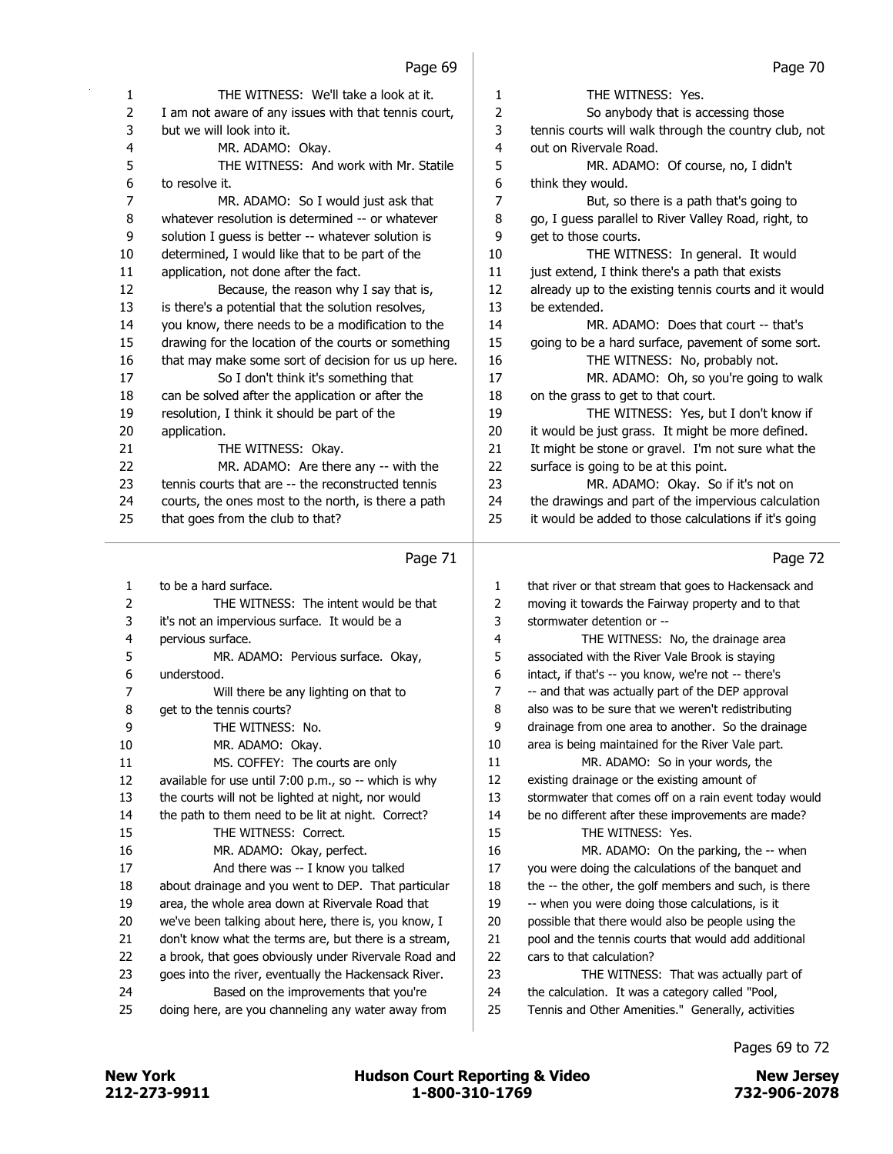| 1  | THE WITNESS: We'll take a look at it.                | 1  | THE WITNESS: Yes.                                     |
|----|------------------------------------------------------|----|-------------------------------------------------------|
| 2  | I am not aware of any issues with that tennis court, | 2  | So anybody that is accessing those                    |
| 3  | but we will look into it.                            | 3  | tennis courts will walk through the country club, not |
| 4  | MR. ADAMO: Okay.                                     | 4  | out on Rivervale Road.                                |
| 5  | THE WITNESS: And work with Mr. Statile               | 5  | MR. ADAMO: Of course, no, I didn't                    |
| 6  | to resolve it.                                       | 6  | think they would.                                     |
| 7  | MR. ADAMO: So I would just ask that                  | 7  | But, so there is a path that's going to               |
| 8  | whatever resolution is determined -- or whatever     | 8  | go, I guess parallel to River Valley Road, right, to  |
| 9  | solution I quess is better -- whatever solution is   | 9  | get to those courts.                                  |
| 10 | determined, I would like that to be part of the      | 10 | THE WITNESS: In general. It would                     |
| 11 | application, not done after the fact.                | 11 | just extend, I think there's a path that exists       |
| 12 | Because, the reason why I say that is,               | 12 | already up to the existing tennis courts and it would |
| 13 | is there's a potential that the solution resolves,   | 13 | be extended.                                          |
| 14 | you know, there needs to be a modification to the    | 14 | MR. ADAMO: Does that court -- that's                  |
| 15 | drawing for the location of the courts or something  | 15 | going to be a hard surface, pavement of some sort.    |
| 16 | that may make some sort of decision for us up here.  | 16 | THE WITNESS: No, probably not.                        |
| 17 | So I don't think it's something that                 | 17 | MR. ADAMO: Oh, so you're going to walk                |
| 18 | can be solved after the application or after the     | 18 | on the grass to get to that court.                    |
| 19 | resolution, I think it should be part of the         | 19 | THE WITNESS: Yes, but I don't know if                 |
| 20 | application.                                         | 20 | it would be just grass. It might be more defined.     |
| 21 | THE WITNESS: Okay.                                   | 21 | It might be stone or gravel. I'm not sure what the    |
| 22 | MR. ADAMO: Are there any -- with the                 | 22 | surface is going to be at this point.                 |
| 23 | tennis courts that are -- the reconstructed tennis   | 23 | MR. ADAMO: Okay. So if it's not on                    |
| 24 | courts, the ones most to the north, is there a path  | 24 | the drawings and part of the impervious calculation   |
| 25 | that goes from the club to that?                     | 25 | it would be added to those calculations if it's going |
|    | Page 71                                              |    | Page 72                                               |
| 1  | to be a hard surface.                                | 1  | that river or that stream that goes to Hackensack and |
| 2  | THE WITNESS: The intent would be that                | 2  | moving it towards the Fairway property and to that    |
| 3  | it's not an impervious surface. It would be a        | 3  | stormwater detention or --                            |
| 4  | pervious surface.                                    | 4  | THE WITNESS: No, the drainage area                    |

| 1  | to be a hard surface.                                 | 1  | that river or that stream that goes to Hackensack and |
|----|-------------------------------------------------------|----|-------------------------------------------------------|
| 2  | THE WITNESS: The intent would be that                 | 2  | moving it towards the Fairway property and to that    |
| 3  | it's not an impervious surface. It would be a         | 3  | stormwater detention or --                            |
| 4  | pervious surface.                                     | 4  | THE WITNESS: No, the drainage area                    |
| 5  | MR. ADAMO: Pervious surface. Okay,                    | 5  | associated with the River Vale Brook is staying       |
| 6  | understood.                                           | 6  | intact, if that's -- you know, we're not -- there's   |
| 7  | Will there be any lighting on that to                 | 7  | -- and that was actually part of the DEP approval     |
| 8  | get to the tennis courts?                             | 8  | also was to be sure that we weren't redistributing    |
| 9  | THE WITNESS: No.                                      | 9  | drainage from one area to another. So the drainage    |
| 10 | MR. ADAMO: Okay.                                      | 10 | area is being maintained for the River Vale part.     |
| 11 | MS. COFFEY: The courts are only                       | 11 | MR. ADAMO: So in your words, the                      |
| 12 | available for use until 7:00 p.m., so -- which is why | 12 | existing drainage or the existing amount of           |
| 13 | the courts will not be lighted at night, nor would    | 13 | stormwater that comes off on a rain event today would |
| 14 | the path to them need to be lit at night. Correct?    | 14 | be no different after these improvements are made?    |
| 15 | THE WITNESS: Correct.                                 | 15 | THE WITNESS: Yes.                                     |
| 16 | MR. ADAMO: Okay, perfect.                             | 16 | MR. ADAMO: On the parking, the -- when                |
| 17 | And there was -- I know you talked                    | 17 | you were doing the calculations of the banquet and    |
| 18 | about drainage and you went to DEP. That particular   | 18 | the -- the other, the golf members and such, is there |
| 19 | area, the whole area down at Rivervale Road that      | 19 | -- when you were doing those calculations, is it      |
| 20 | we've been talking about here, there is, you know, I  | 20 | possible that there would also be people using the    |
| 21 | don't know what the terms are, but there is a stream, | 21 | pool and the tennis courts that would add additional  |
| 22 | a brook, that goes obviously under Rivervale Road and | 22 | cars to that calculation?                             |
| 23 | goes into the river, eventually the Hackensack River. | 23 | THE WITNESS: That was actually part of                |
| 24 | Based on the improvements that you're                 | 24 | the calculation. It was a category called "Pool,      |
| 25 | doing here, are you channeling any water away from    | 25 | Tennis and Other Amenities." Generally, activities    |
|    |                                                       |    |                                                       |

Pages 69 to 72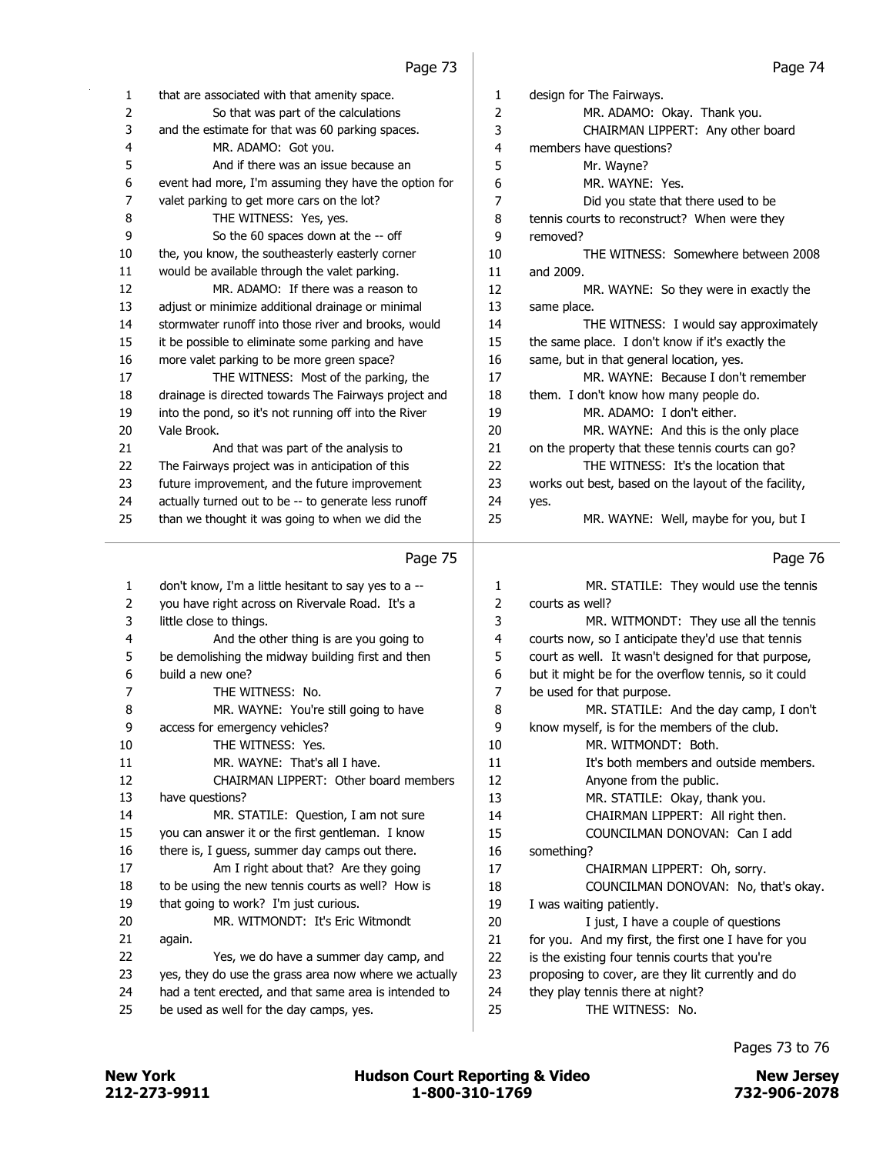| $\mathbf{1}$ | that are associated with that amenity space.          | 1              | design for The Fairways.                             |
|--------------|-------------------------------------------------------|----------------|------------------------------------------------------|
| 2            | So that was part of the calculations                  | $\overline{2}$ | MR. ADAMO: Okay. Thank you.                          |
| 3            | and the estimate for that was 60 parking spaces.      | 3              | CHAIRMAN LIPPERT: Any other board                    |
| 4            | MR. ADAMO: Got you.                                   | 4              | members have questions?                              |
| 5            | And if there was an issue because an                  | 5              | Mr. Wayne?                                           |
| 6            | event had more, I'm assuming they have the option for | 6              | MR. WAYNE: Yes.                                      |
| 7            | valet parking to get more cars on the lot?            | 7              | Did you state that there used to be                  |
| 8            | THE WITNESS: Yes, yes.                                | 8              | tennis courts to reconstruct? When were they         |
| 9            | So the 60 spaces down at the -- off                   | 9              | removed?                                             |
| 10           | the, you know, the southeasterly easterly corner      | 10             | THE WITNESS: Somewhere between 2008                  |
| 11           | would be available through the valet parking.         | 11             | and 2009.                                            |
| 12           | MR. ADAMO: If there was a reason to                   | 12             | MR. WAYNE: So they were in exactly the               |
| 13           | adjust or minimize additional drainage or minimal     | 13             | same place.                                          |
| 14           | stormwater runoff into those river and brooks, would  | 14             | THE WITNESS: I would say approximately               |
| 15           | it be possible to eliminate some parking and have     | 15             | the same place. I don't know if it's exactly the     |
| 16           | more valet parking to be more green space?            | 16             | same, but in that general location, yes.             |
| 17           | THE WITNESS: Most of the parking, the                 | 17             | MR. WAYNE: Because I don't remember                  |
| 18           | drainage is directed towards The Fairways project and | 18             | them. I don't know how many people do.               |
| 19           | into the pond, so it's not running off into the River | 19             | MR. ADAMO: I don't either.                           |
| 20           | Vale Brook.                                           | 20             | MR. WAYNE: And this is the only place                |
| 21           | And that was part of the analysis to                  | 21             | on the property that these tennis courts can go?     |
| 22           | The Fairways project was in anticipation of this      | 22             | THE WITNESS: It's the location that                  |
| 23           | future improvement, and the future improvement        | 23             | works out best, based on the layout of the facility, |
| 24           | actually turned out to be -- to generate less runoff  | 24             | yes.                                                 |
| 25           | than we thought it was going to when we did the       | 25             | MR. WAYNE: Well, maybe for you, but I                |
|              |                                                       |                |                                                      |
|              | Page 75                                               |                | Page 76                                              |
| 1            | don't know, I'm a little hesitant to say yes to a --  | 1              | MR. STATILE: They would use the tennis               |
| 2            | you have right across on Rivervale Road. It's a       | $\overline{2}$ | courts as well?                                      |
| 3            | little close to things.                               | 3              | MR. WITMONDT: They use all the tennis                |

| 4  | And the other thing is are you going to               |
|----|-------------------------------------------------------|
| 5  | be demolishing the midway building first and then     |
| 6  | build a new one?                                      |
| 7  | THE WITNESS: No.                                      |
| 8  | MR. WAYNE: You're still going to have                 |
| 9  | access for emergency vehicles?                        |
| 10 | THE WITNESS: Yes.                                     |
| 11 | MR. WAYNE: That's all I have.                         |
| 12 | CHAIRMAN LIPPERT: Other board members                 |
| 13 | have questions?                                       |
| 14 | MR. STATILE: Question, I am not sure                  |
| 15 | you can answer it or the first gentleman. I know      |
| 16 | there is, I guess, summer day camps out there.        |
| 17 | Am I right about that? Are they going                 |
| 18 | to be using the new tennis courts as well? How is     |
| 19 | that going to work? I'm just curious.                 |
| 20 | MR. WITMONDT: It's Eric Witmondt                      |
| 21 | again.                                                |
| 22 | Yes, we do have a summer day camp, and                |
| 23 | yes, they do use the grass area now where we actually |
| 24 | had a tent erected, and that same area is intended to |
| 25 | be used as well for the day camps, yes.               |

| 1  | MR. STATILE: They would use the tennis               |
|----|------------------------------------------------------|
| 2  | courts as well?                                      |
| 3  | MR. WITMONDT: They use all the tennis                |
| 4  | courts now, so I anticipate they'd use that tennis   |
| 5  | court as well. It wasn't designed for that purpose,  |
| 6  | but it might be for the overflow tennis, so it could |
| 7  | be used for that purpose.                            |
| 8  | MR. STATILE: And the day camp, I don't               |
| 9  | know myself, is for the members of the club.         |
| 10 | MR. WITMONDT: Both.                                  |
| 11 | It's both members and outside members.               |
| 12 | Anyone from the public.                              |
| 13 | MR. STATILE: Okay, thank you.                        |
| 14 | CHAIRMAN LIPPERT: All right then.                    |
| 15 | COUNCILMAN DONOVAN: Can I add                        |
| 16 | something?                                           |
| 17 | CHAIRMAN LIPPERT: Oh, sorry.                         |
| 18 | COUNCILMAN DONOVAN: No, that's okay.                 |
| 19 | I was waiting patiently.                             |
| 20 | I just, I have a couple of questions                 |
| 21 | for you. And my first, the first one I have for you  |
| 22 | is the existing four tennis courts that you're       |
| 23 | proposing to cover, are they lit currently and do    |
| 24 | they play tennis there at night?                     |
| 25 | THE WITNESS: No.                                     |
|    |                                                      |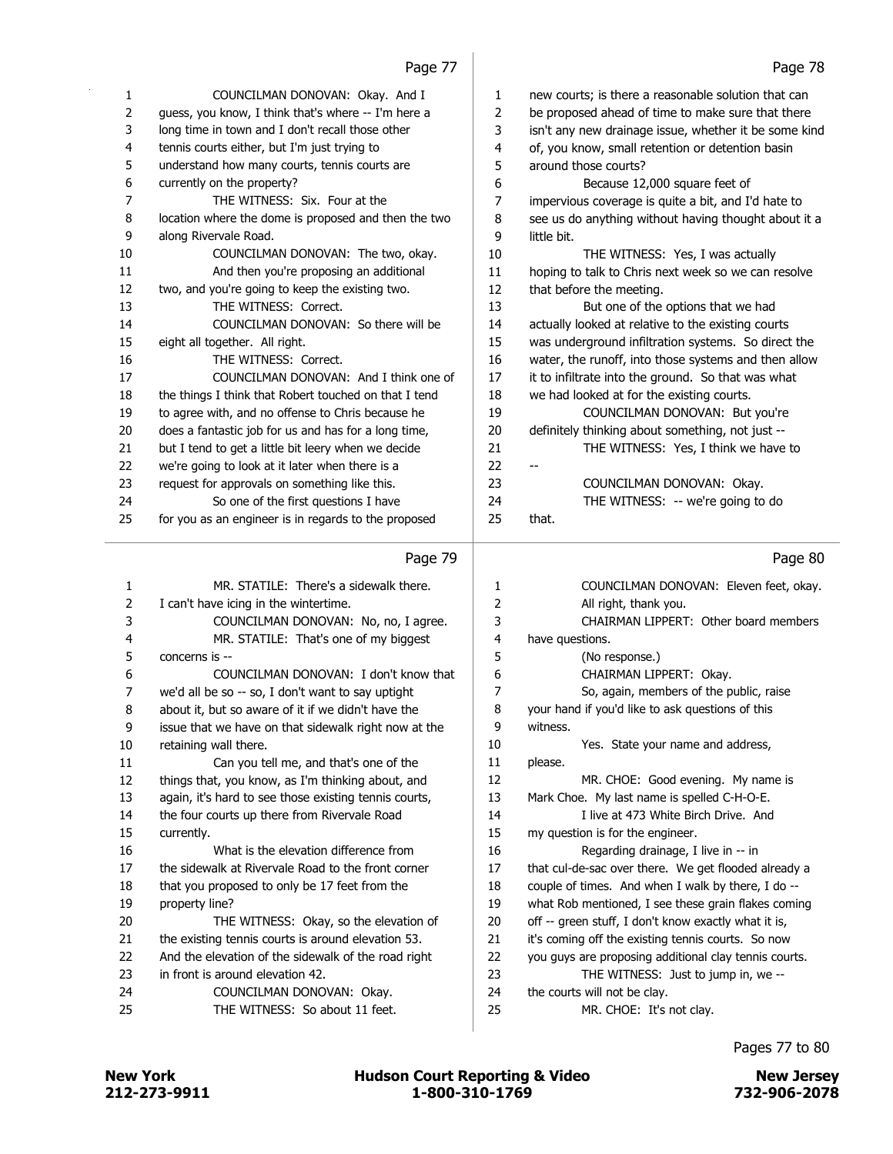| 1              | COUNCILMAN DONOVAN: Okay. And I                       | 1. | new courts; is there a reasonable solution that can   |
|----------------|-------------------------------------------------------|----|-------------------------------------------------------|
| $\overline{2}$ | guess, you know, I think that's where -- I'm here a   | 2  | be proposed ahead of time to make sure that there     |
| 3              | long time in town and I don't recall those other      | 3  | isn't any new drainage issue, whether it be some kind |
| 4              | tennis courts either, but I'm just trying to          | 4  | of, you know, small retention or detention basin      |
| 5              | understand how many courts, tennis courts are         | 5  | around those courts?                                  |
| 6              | currently on the property?                            | 6  | Because 12,000 square feet of                         |
| 7              | THE WITNESS: Six. Four at the                         | 7  | impervious coverage is quite a bit, and I'd hate to   |
| 8              | location where the dome is proposed and then the two  | 8  | see us do anything without having thought about it a  |
| 9              | along Rivervale Road.                                 | 9  | little bit.                                           |
| 10             | COUNCILMAN DONOVAN: The two, okay.                    | 10 | THE WITNESS: Yes, I was actually                      |
| 11             | And then you're proposing an additional               | 11 | hoping to talk to Chris next week so we can resolve   |
| 12             | two, and you're going to keep the existing two.       | 12 | that before the meeting.                              |
| 13             | THE WITNESS: Correct.                                 | 13 | But one of the options that we had                    |
| 14             | COUNCILMAN DONOVAN: So there will be                  | 14 | actually looked at relative to the existing courts    |
| 15             | eight all together. All right.                        | 15 | was underground infiltration systems. So direct the   |
| 16             | THE WITNESS: Correct.                                 | 16 | water, the runoff, into those systems and then allow  |
| 17             | COUNCILMAN DONOVAN: And I think one of                | 17 | it to infiltrate into the ground. So that was what    |
| 18             | the things I think that Robert touched on that I tend | 18 | we had looked at for the existing courts.             |
| 19             | to agree with, and no offense to Chris because he     | 19 | COUNCILMAN DONOVAN: But you're                        |
| 20             | does a fantastic job for us and has for a long time,  | 20 | definitely thinking about something, not just --      |
| 21             | but I tend to get a little bit leery when we decide   | 21 | THE WITNESS: Yes, I think we have to                  |
| 22             | we're going to look at it later when there is a       | 22 |                                                       |
| 23             | request for approvals on something like this.         | 23 | COUNCILMAN DONOVAN: Okay.                             |
| 24             | So one of the first questions I have                  | 24 | THE WITNESS: -- we're going to do                     |
| 25             | for you as an engineer is in regards to the proposed  | 25 | that.                                                 |
|                |                                                       |    |                                                       |

### 1 MR. STATILE: There's a sidewalk there. 2 I can't have icing in the wintertime. 3 COUNCILMAN DONOVAN: No, no, I agree. 4 MR. STATILE: That's one of my biggest 5 concerns is -- 6 COUNCILMAN DONOVAN: I don't know that 7 we'd all be so -- so, I don't want to say uptight 8 about it, but so aware of it if we didn't have the 9 issue that we have on that sidewalk right now at the 10 retaining wall there. 11 Can you tell me, and that's one of the 12 things that, you know, as I'm thinking about, and 13 again, it's hard to see those existing tennis courts, 14 the four courts up there from Rivervale Road 15 currently. 16 What is the elevation difference from 17 the sidewalk at Rivervale Road to the front corner 18 that you proposed to only be 17 feet from the 19 property line? 20 THE WITNESS: Okay, so the elevation of 21 the existing tennis courts is around elevation 53. 22 And the elevation of the sidewalk of the road right 23 in front is around elevation 42. 24 COUNCILMAN DONOVAN: Okay. 25 THE WITNESS: So about 11 feet. Page 80 1 COUNCILMAN DONOVAN: Eleven feet, okay. 2 All right, thank you. 3 CHAIRMAN LIPPERT: Other board members 4 have questions. 5 (No response.) 6 CHAIRMAN LIPPERT: Okay. 7 So, again, members of the public, raise 8 your hand if you'd like to ask questions of this 9 witness. 10 Yes. State your name and address, 11 please. 12 MR. CHOE: Good evening. My name is 13 Mark Choe. My last name is spelled C-H-O-E. 14 I live at 473 White Birch Drive. And 15 my question is for the engineer. 16 Regarding drainage, I live in -- in 17 that cul-de-sac over there. We get flooded already a 18 couple of times. And when I walk by there, I do -- 19 what Rob mentioned, I see these grain flakes coming 20 off -- green stuff, I don't know exactly what it is, 21 it's coming off the existing tennis courts. So now 22 you guys are proposing additional clay tennis courts. 23 THE WITNESS: Just to jump in, we -- 24 the courts will not be clay. 25 MR. CHOE: It's not clay.

212-273-9911 1-800-310-1769 732-906-2078 New York **New York COULD Hudson Court Reporting & Video** New Jersey

Pages 77 to 80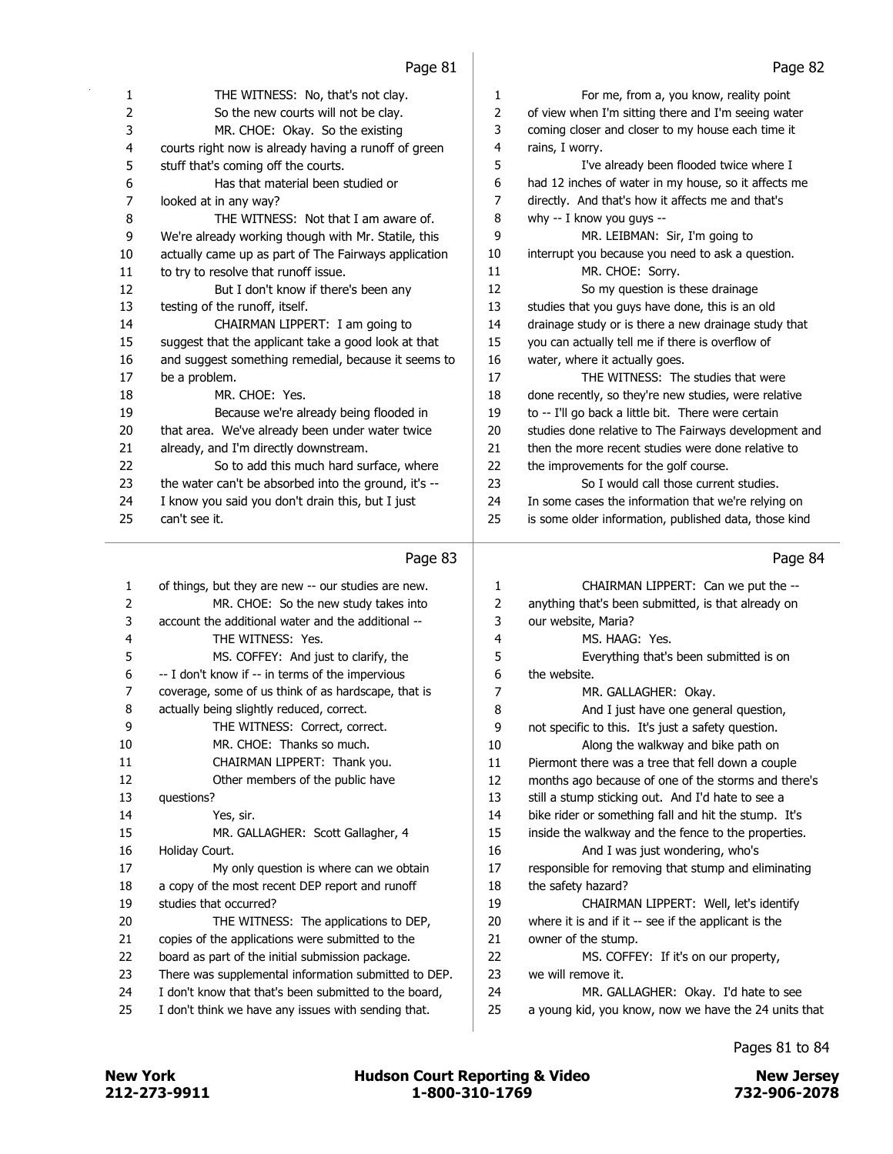| 1              | THE WITNESS: No, that's not clay.                    | $\mathbf{1}$ | For me, from a, you know, reality point               |
|----------------|------------------------------------------------------|--------------|-------------------------------------------------------|
| 2              | So the new courts will not be clay.                  | $\mathbf{2}$ | of view when I'm sitting there and I'm seeing water   |
| 3              | MR. CHOE: Okay. So the existing                      | 3            | coming closer and closer to my house each time it     |
| 4              | courts right now is already having a runoff of green | 4            | rains, I worry.                                       |
| 5              | stuff that's coming off the courts.                  | 5            | I've already been flooded twice where I               |
| 6              | Has that material been studied or                    | 6            | had 12 inches of water in my house, so it affects me  |
| 7              | looked at in any way?                                | 7            | directly. And that's how it affects me and that's     |
| 8              | THE WITNESS: Not that I am aware of.                 | 8            | why -- I know you guys --                             |
| 9              | We're already working though with Mr. Statile, this  | 9            | MR. LEIBMAN: Sir, I'm going to                        |
| 10             | actually came up as part of The Fairways application | 10           | interrupt you because you need to ask a question.     |
| 11             | to try to resolve that runoff issue.                 | 11           | MR. CHOE: Sorry.                                      |
| 12             | But I don't know if there's been any                 | 12           | So my question is these drainage                      |
| 13             | testing of the runoff, itself.                       | 13           | studies that you guys have done, this is an old       |
| 14             | CHAIRMAN LIPPERT: I am going to                      | 14           | drainage study or is there a new drainage study that  |
| 15             | suggest that the applicant take a good look at that  | 15           | you can actually tell me if there is overflow of      |
| 16             | and suggest something remedial, because it seems to  | 16           | water, where it actually goes.                        |
| 17             | be a problem.                                        | 17           | THE WITNESS: The studies that were                    |
| 18             | MR. CHOE: Yes.                                       | 18           | done recently, so they're new studies, were relative  |
| 19             | Because we're already being flooded in               | 19           | to -- I'll go back a little bit. There were certain   |
| 20             | that area. We've already been under water twice      | 20           | studies done relative to The Fairways development and |
| 21             | already, and I'm directly downstream.                | 21           | then the more recent studies were done relative to    |
| 22             | So to add this much hard surface, where              | 22           | the improvements for the golf course.                 |
| 23             | the water can't be absorbed into the ground, it's -- | 23           | So I would call those current studies.                |
| 24             | I know you said you don't drain this, but I just     | 24           | In some cases the information that we're relying on   |
| 25             | can't see it.                                        | 25           | is some older information, published data, those kind |
|                |                                                      |              |                                                       |
|                | Page 83                                              |              | Page 84                                               |
| $\mathbf{1}$   | of things, but they are new -- our studies are new.  | 1            | CHAIRMAN LIPPERT: Can we put the --                   |
| 2              | MR. CHOE: So the new study takes into                | 2            | anything that's been submitted, is that already on    |
| 3              | account the additional water and the additional --   | 3            | our website, Maria?                                   |
| 4              | THE WITNESS: Yes.                                    | 4            | MS. HAAG: Yes.                                        |
| 5              | MS. COFFEY: And just to clarify, the                 | 5            | Everything that's been submitted is on                |
| 6              | -- I don't know if -- in terms of the impervious     | 6            | the website.                                          |
| $\overline{7}$ | coverage, some of us think of as hardscape, that is  | 7            | MR. GALLAGHER: Okay.                                  |
| 8              | actually being slightly reduced, correct.            | 8            | And I just have one general question,                 |
| 9              | THE WITNESS: Correct, correct.                       | 9            | not specific to this. It's just a safety question.    |
| 10             | MR. CHOE: Thanks so much.                            | 10           | Along the walkway and bike path on                    |
| 11             | CHAIRMAN LIPPERT Thank you                           | 11           | Piermont there was a tree that fell down a couple     |

| 3              | account the additional water and the additional --    | 3  | our website, Maria?                                  |
|----------------|-------------------------------------------------------|----|------------------------------------------------------|
| 4              | THE WITNESS: Yes.                                     | 4  | MS, HAAG: Yes.                                       |
| 5              | MS. COFFEY: And just to clarify, the                  | 5  | Everything that's been submitted is on               |
| 6              | -- I don't know if -- in terms of the impervious      | 6  | the website.                                         |
| $\overline{7}$ | coverage, some of us think of as hardscape, that is   | 7  | MR. GALLAGHER: Okay.                                 |
| 8              | actually being slightly reduced, correct.             | 8  | And I just have one general question,                |
| 9              | THE WITNESS: Correct, correct.                        | 9  | not specific to this. It's just a safety question.   |
| 10             | MR. CHOE: Thanks so much.                             | 10 | Along the walkway and bike path on                   |
| 11             | CHAIRMAN LIPPERT: Thank you.                          | 11 | Piermont there was a tree that fell down a couple    |
| 12             | Other members of the public have                      | 12 | months ago because of one of the storms and there's  |
| 13             | questions?                                            | 13 | still a stump sticking out. And I'd hate to see a    |
| 14             | Yes, sir.                                             | 14 | bike rider or something fall and hit the stump. It's |
| 15             | MR. GALLAGHER: Scott Gallagher, 4                     | 15 | inside the walkway and the fence to the properties.  |
| 16             | Holiday Court.                                        | 16 | And I was just wondering, who's                      |
| 17             | My only question is where can we obtain               | 17 | responsible for removing that stump and eliminating  |
| 18             | a copy of the most recent DEP report and runoff       | 18 | the safety hazard?                                   |
| 19             | studies that occurred?                                | 19 | CHAIRMAN LIPPERT: Well, let's identify               |
| 20             | THE WITNESS: The applications to DEP,                 | 20 | where it is and if it -- see if the applicant is the |
| 21             | copies of the applications were submitted to the      | 21 | owner of the stump.                                  |
| 22             | board as part of the initial submission package.      | 22 | MS. COFFEY: If it's on our property,                 |
| 23             | There was supplemental information submitted to DEP.  | 23 | we will remove it.                                   |
| 24             | I don't know that that's been submitted to the board, | 24 | MR. GALLAGHER: Okay. I'd hate to see                 |
| 25             | I don't think we have any issues with sending that.   | 25 | a young kid, you know, now we have the 24 units that |
|                |                                                       |    |                                                      |

13 questions? 14

 $16$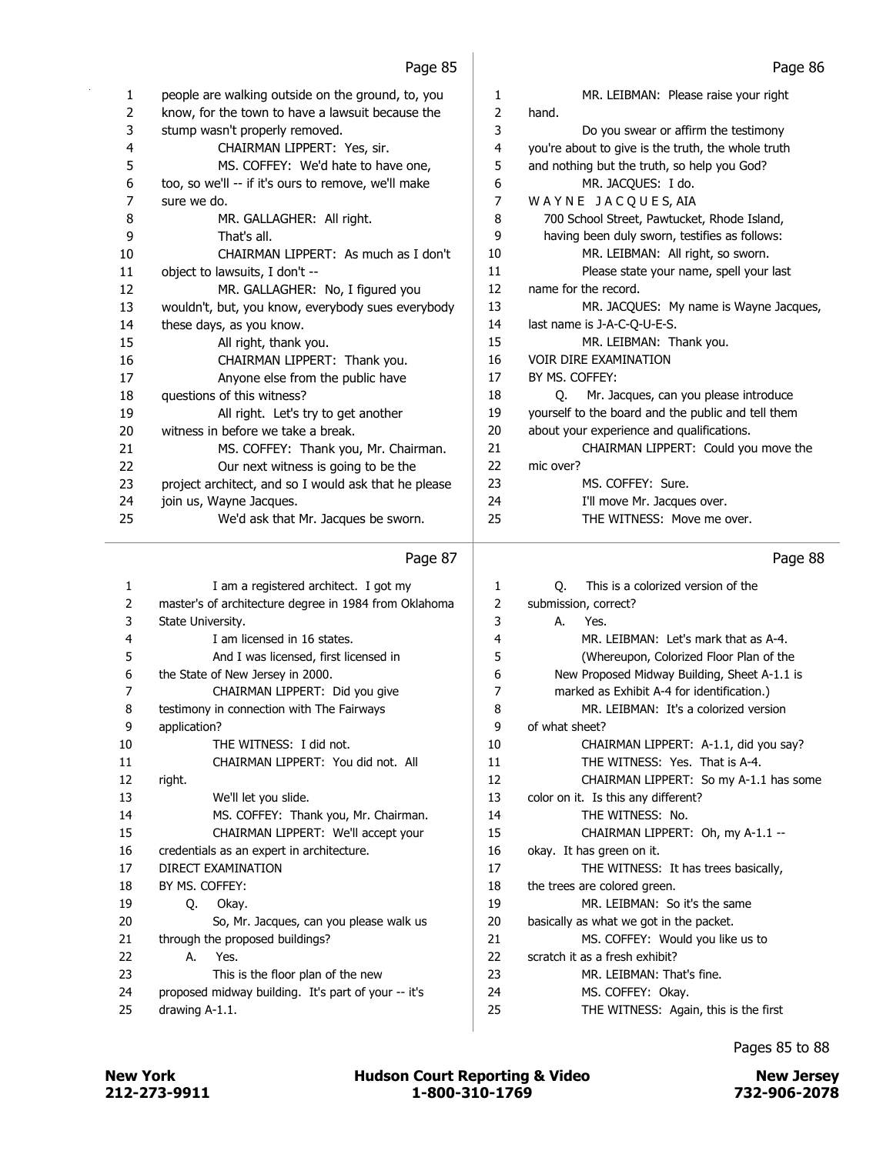| 1              | people are walking outside on the ground, to, you     | $\mathbf{1}$   | MR. LEIBMAN: Please raise your right               |
|----------------|-------------------------------------------------------|----------------|----------------------------------------------------|
| $\overline{2}$ | know, for the town to have a lawsuit because the      | 2              | hand.                                              |
| 3              | stump wasn't properly removed.                        | 3              | Do you swear or affirm the testimony               |
| 4              | CHAIRMAN LIPPERT: Yes, sir.                           | $\overline{4}$ | you're about to give is the truth, the whole truth |
| 5              | MS. COFFEY: We'd hate to have one,                    | 5              | and nothing but the truth, so help you God?        |
| 6              | too, so we'll -- if it's ours to remove, we'll make   | 6              | MR. JACQUES: I do.                                 |
| 7              | sure we do.                                           | $\overline{7}$ | WAYNE JACQUES, AIA                                 |
| 8              | MR. GALLAGHER: All right.                             | 8              | 700 School Street, Pawtucket, Rhode Island,        |
| 9              | That's all.                                           | 9              | having been duly sworn, testifies as follows:      |
| 10             | CHAIRMAN LIPPERT: As much as I don't                  | 10             | MR. LEIBMAN: All right, so sworn.                  |
| 11             | object to lawsuits, I don't --                        | 11             | Please state your name, spell your last            |
| 12             | MR. GALLAGHER: No, I figured you                      | 12             | name for the record.                               |
| 13             | wouldn't, but, you know, everybody sues everybody     | 13             | MR. JACQUES: My name is Wayne Jacques,             |
| 14             | these days, as you know.                              | 14             | last name is J-A-C-Q-U-E-S.                        |
| 15             | All right, thank you.                                 | 15             | MR. LEIBMAN: Thank you.                            |
| 16             | CHAIRMAN LIPPERT: Thank you.                          | 16             | <b>VOIR DIRE EXAMINATION</b>                       |
| 17             | Anyone else from the public have                      | 17             | BY MS. COFFEY:                                     |
| 18             | questions of this witness?                            | 18             | Mr. Jacques, can you please introduce<br>O.        |
| 19             | All right. Let's try to get another                   | 19             | yourself to the board and the public and tell them |
| 20             | witness in before we take a break.                    | 20             | about your experience and qualifications.          |
| 21             | MS. COFFEY: Thank you, Mr. Chairman.                  | 21             | CHAIRMAN LIPPERT: Could you move the               |
| 22             | Our next witness is going to be the                   | 22             | mic over?                                          |
| 23             | project architect, and so I would ask that he please  | 23             | MS. COFFEY: Sure.                                  |
| 24             | join us, Wayne Jacques.                               | 24             | I'll move Mr. Jacques over.                        |
| 25             | We'd ask that Mr. Jacques be sworn.                   | 25             | THE WITNESS: Move me over.                         |
|                | Page 87                                               |                | Page 88                                            |
| 1              | I am a registered architect. I got my                 | $\mathbf{1}$   | This is a colorized version of the<br>Q.           |
| 2              | master's of architecture degree in 1984 from Oklahoma | $\overline{2}$ | submission, correct?                               |
| 3              | State University.                                     | 3              | А.<br>Yes.                                         |
| 4              | I am licensed in 16 states.                           | 4              | MR. LEIBMAN: Let's mark that as A-4.               |
| 5              | And I was licensed, first licensed in                 | 5              | (Whereupon, Colorized Floor Plan of the            |
| 6              | the State of New Jersey in 2000.                      | 6              | New Proposed Midway Building, Sheet A-1.1 is       |
| 7              | CHAIRMAN LIPPERT: Did you give                        | 7              | marked as Exhibit A-4 for identification.)         |
|                |                                                       |                |                                                    |

|                | Page 87                                               |              | Page 88                                      |
|----------------|-------------------------------------------------------|--------------|----------------------------------------------|
| 1              | I am a registered architect. I got my                 | $\mathbf{1}$ | О.<br>This is a colorized version of the     |
| $\overline{2}$ | master's of architecture degree in 1984 from Oklahoma | 2            | submission, correct?                         |
| 3              | State University.                                     | 3            | Yes.<br>А.                                   |
| 4              | I am licensed in 16 states.                           | 4            | MR. LEIBMAN: Let's mark that as A-4.         |
| 5              | And I was licensed, first licensed in                 | 5            | (Whereupon, Colorized Floor Plan of the      |
| 6              | the State of New Jersey in 2000.                      | 6            | New Proposed Midway Building, Sheet A-1.1 is |
| 7              | CHAIRMAN LIPPERT: Did you give                        | 7            | marked as Exhibit A-4 for identification.)   |
| 8              | testimony in connection with The Fairways             | 8            | MR. LEIBMAN: It's a colorized version        |
| 9              | application?                                          | 9            | of what sheet?                               |
| 10             | THE WITNESS: I did not.                               | 10           | CHAIRMAN LIPPERT: A-1.1, did you say?        |
| 11             | CHAIRMAN LIPPERT: You did not. All                    | 11           | THE WITNESS: Yes. That is A-4.               |
| 12             | right.                                                | 12           | CHAIRMAN LIPPERT: So my A-1.1 has some       |
| 13             | We'll let you slide.                                  | 13           | color on it. Is this any different?          |
| 14             | MS. COFFEY: Thank you, Mr. Chairman.                  | 14           | THE WITNESS: No.                             |
| 15             | CHAIRMAN LIPPERT: We'll accept your                   | 15           | CHAIRMAN LIPPERT: Oh, my A-1.1 --            |
| 16             | credentials as an expert in architecture.             | 16           | okay. It has green on it.                    |
| 17             | <b>DIRECT EXAMINATION</b>                             | 17           | THE WITNESS: It has trees basically,         |
| 18             | BY MS. COFFEY:                                        | 18           | the trees are colored green.                 |
| 19             | Okay.<br>O.                                           | 19           | MR. LEIBMAN: So it's the same                |
| 20             | So, Mr. Jacques, can you please walk us               | 20           | basically as what we got in the packet.      |
| 21             | through the proposed buildings?                       | 21           | MS. COFFEY: Would you like us to             |
| 22             | Yes.<br>А.                                            | 22           | scratch it as a fresh exhibit?               |
| 23             | This is the floor plan of the new                     | 23           | MR. LEIBMAN: That's fine.                    |
| 24             | proposed midway building. It's part of your -- it's   | 24           | MS. COFFEY: Okay.                            |
| 25             | drawing A-1.1.                                        | 25           | THE WITNESS: Again, this is the first        |
|                |                                                       |              |                                              |

Pages 85 to 88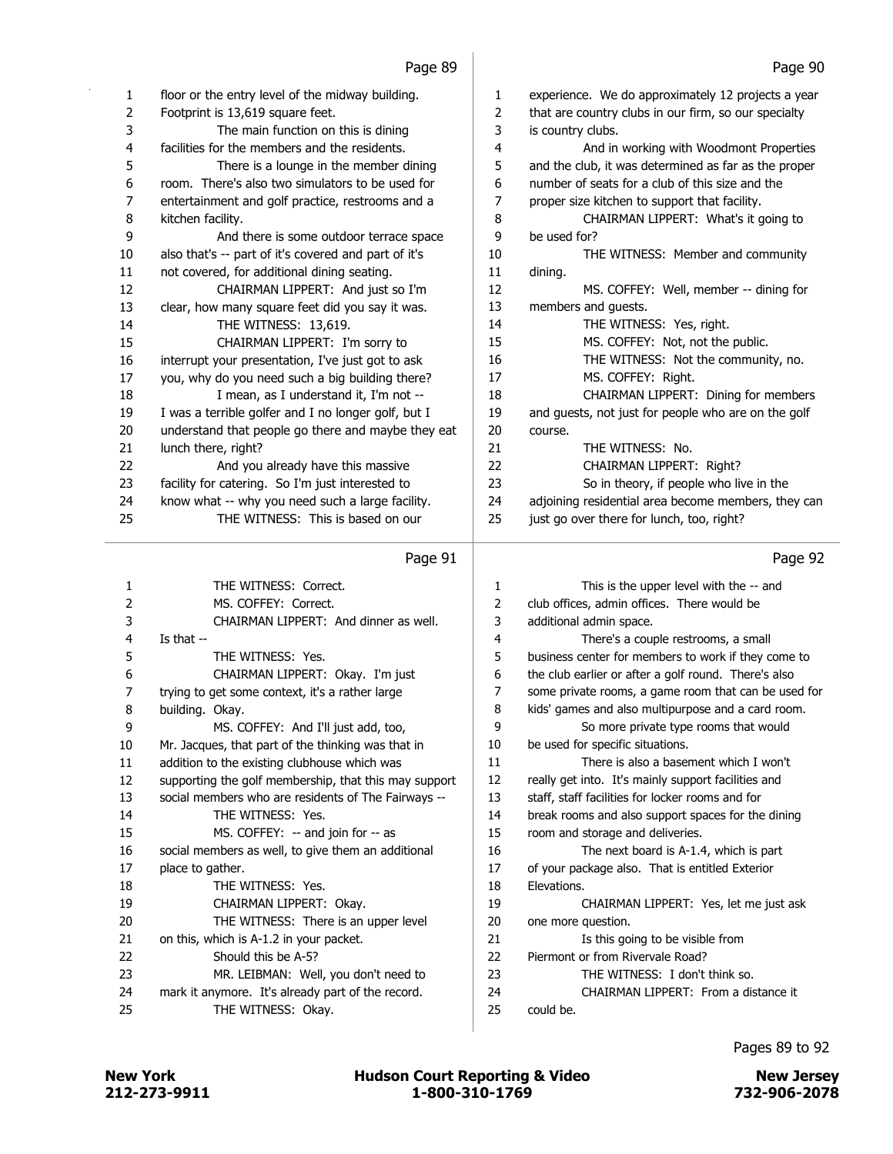| 1  | floor or the entry level of the midway building.     | 1  | experience. We do approximately 12 projects a year   |
|----|------------------------------------------------------|----|------------------------------------------------------|
| 2  | Footprint is 13,619 square feet.                     | 2  | that are country clubs in our firm, so our specialty |
| 3  | The main function on this is dining                  | 3  | is country clubs.                                    |
| 4  | facilities for the members and the residents.        | 4  | And in working with Woodmont Properties              |
| 5  | There is a lounge in the member dining               | 5  | and the club, it was determined as far as the proper |
| 6  | room. There's also two simulators to be used for     | 6  | number of seats for a club of this size and the      |
| 7  | entertainment and golf practice, restrooms and a     | 7  | proper size kitchen to support that facility.        |
| 8  | kitchen facility.                                    | 8  | CHAIRMAN LIPPERT: What's it going to                 |
| 9  | And there is some outdoor terrace space              | 9  | be used for?                                         |
| 10 | also that's -- part of it's covered and part of it's | 10 | THE WITNESS: Member and community                    |
| 11 | not covered, for additional dining seating.          | 11 | dining.                                              |
| 12 | CHAIRMAN LIPPERT: And just so I'm                    | 12 | MS. COFFEY: Well, member -- dining for               |
| 13 | clear, how many square feet did you say it was.      | 13 | members and guests.                                  |
| 14 | THE WITNESS: 13,619.                                 | 14 | THE WITNESS: Yes, right.                             |
| 15 | CHAIRMAN LIPPERT: I'm sorry to                       | 15 | MS. COFFEY: Not, not the public.                     |
| 16 | interrupt your presentation, I've just got to ask    | 16 | THE WITNESS: Not the community, no.                  |
| 17 | you, why do you need such a big building there?      | 17 | MS. COFFEY: Right.                                   |
| 18 | I mean, as I understand it, I'm not --               | 18 | CHAIRMAN LIPPERT: Dining for members                 |
| 19 | I was a terrible golfer and I no longer golf, but I  | 19 | and guests, not just for people who are on the golf  |
| 20 | understand that people go there and maybe they eat   | 20 | course.                                              |
| 21 | lunch there, right?                                  | 21 | THE WITNESS: No.                                     |
| 22 | And you already have this massive                    | 22 | <b>CHAIRMAN LIPPERT: Right?</b>                      |
| 23 | facility for catering. So I'm just interested to     | 23 | So in theory, if people who live in the              |
| 24 | know what -- why you need such a large facility.     | 24 | adjoining residential area become members, they can  |
| 25 | THE WITNESS: This is based on our                    | 25 | just go over there for lunch, too, right?            |
|    |                                                      |    |                                                      |

### 1 THE WITNESS: Correct. 2 MS. COFFEY: Correct. 3 CHAIRMAN LIPPERT: And dinner as well. 4 Is that -- 5 THE WITNESS: Yes. 6 CHAIRMAN LIPPERT: Okay. I'm just 7 trying to get some context, it's a rather large 8 building. Okay. 9 MS. COFFEY: And I'll just add, too, 10 Mr. Jacques, that part of the thinking was that in 11 addition to the existing clubhouse which was 12 supporting the golf membership, that this may support 13 social members who are residents of The Fairways -- 14 THE WITNESS: Yes. 15 MS. COFFEY: -- and join for -- as 16 social members as well, to give them an additional 17 place to gather. 18 THE WITNESS: Yes. 19 CHAIRMAN LIPPERT: Okay. 20 THE WITNESS: There is an upper level 21 on this, which is A-1.2 in your packet. 22 Should this be A-5? 23 MR. LEIBMAN: Well, you don't need to 24 mark it anymore. It's already part of the record. 25 THE WITNESS: Okay. 1 This is the upper level with the -- and 2 club offices, admin offices. There would be 3 additional admin space. 4 There's a couple restrooms, a small 5 business center for members to work if they come to 6 the club earlier or after a golf round. There's also 7 some private rooms, a game room that can be used for 8 kids' games and also multipurpose and a card room. 9 So more private type rooms that would 10 be used for specific situations. 11 There is also a basement which I won't 12 really get into. It's mainly support facilities and 13 staff, staff facilities for locker rooms and for 14 break rooms and also support spaces for the dining 15 room and storage and deliveries. 16 The next board is A-1.4, which is part 17 of your package also. That is entitled Exterior 18 Elevations. 19 CHAIRMAN LIPPERT: Yes, let me just ask 20 one more question. 21 **Is this going to be visible from** 22 Piermont or from Rivervale Road? 23 THE WITNESS: I don't think so. 24 CHAIRMAN LIPPERT: From a distance it 25 could be.

212-273-9911 1-800-310-1769 732-906-2078 New York **New York COULD Hudson Court Reporting & Video** New Jersey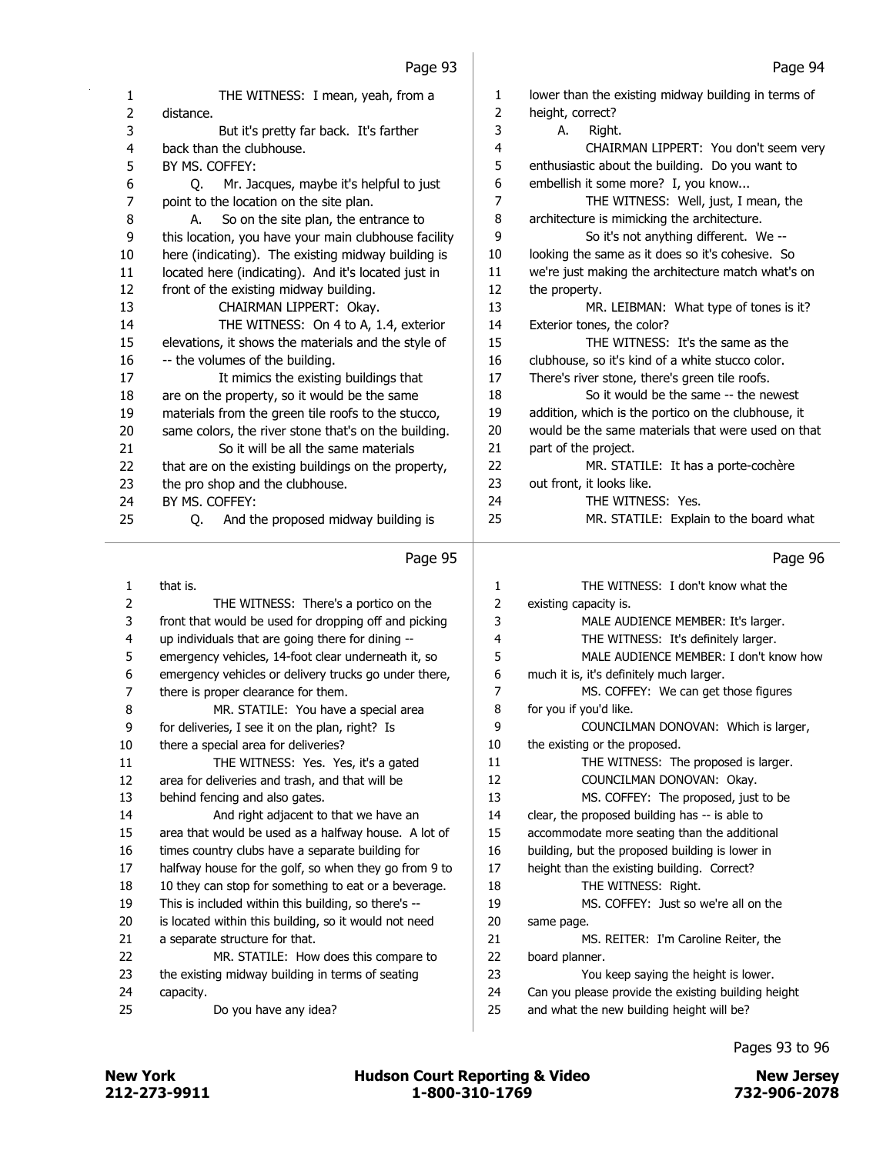| 1                       | THE WITNESS: I mean, yeah, from a                     | 1              | lower than the existing midway building in terms of |
|-------------------------|-------------------------------------------------------|----------------|-----------------------------------------------------|
| $\overline{2}$          | distance.                                             | $\overline{2}$ | height, correct?                                    |
| 3                       | But it's pretty far back. It's farther                | 3              | А.<br>Right.                                        |
| $\overline{4}$          | back than the clubhouse.                              | 4              | CHAIRMAN LIPPERT: You don't seem very               |
| 5                       | BY MS. COFFEY:                                        | 5              | enthusiastic about the building. Do you want to     |
| $\boldsymbol{6}$        | Mr. Jacques, maybe it's helpful to just<br>O.         | 6              | embellish it some more? I, you know                 |
| $\overline{7}$          | point to the location on the site plan.               | 7              | THE WITNESS: Well, just, I mean, the                |
| 8                       | So on the site plan, the entrance to<br>А.            | 8              | architecture is mimicking the architecture.         |
| 9                       | this location, you have your main clubhouse facility  | 9              | So it's not anything different. We --               |
| 10                      | here (indicating). The existing midway building is    | 10             | looking the same as it does so it's cohesive. So    |
| 11                      | located here (indicating). And it's located just in   | 11             | we're just making the architecture match what's on  |
| 12                      | front of the existing midway building.                | 12             | the property.                                       |
| 13                      | CHAIRMAN LIPPERT: Okay.                               | 13             | MR. LEIBMAN: What type of tones is it?              |
| 14                      | THE WITNESS: On 4 to A, 1.4, exterior                 | 14             | Exterior tones, the color?                          |
| 15                      | elevations, it shows the materials and the style of   | 15             | THE WITNESS: It's the same as the                   |
| 16                      | -- the volumes of the building.                       | 16             | clubhouse, so it's kind of a white stucco color.    |
| 17                      | It mimics the existing buildings that                 | 17             | There's river stone, there's green tile roofs.      |
| 18                      | are on the property, so it would be the same          | 18             | So it would be the same -- the newest               |
| 19                      | materials from the green tile roofs to the stucco,    | 19             | addition, which is the portico on the clubhouse, it |
| 20                      | same colors, the river stone that's on the building.  | 20             | would be the same materials that were used on that  |
| 21                      | So it will be all the same materials                  | 21             | part of the project.                                |
| 22                      | that are on the existing buildings on the property,   | 22             | MR. STATILE: It has a porte-cochère                 |
| 23                      | the pro shop and the clubhouse.                       | 23             | out front, it looks like.                           |
| 24                      | BY MS. COFFEY:                                        | 24             | THE WITNESS: Yes.                                   |
| 25                      | And the proposed midway building is<br>Q.             | 25             | MR. STATILE: Explain to the board what              |
|                         | Page 95                                               |                | Page 96                                             |
| $\mathbf{1}$            | that is.                                              | 1              | THE WITNESS: I don't know what the                  |
| $\overline{2}$          | THE WITNESS: There's a portico on the                 | 2              | existing capacity is.                               |
| 3                       | front that would be used for dropping off and picking | 3              | MALE AUDIENCE MEMBER: It's larger.                  |
| $\overline{\mathbf{4}}$ | up individuals that are going there for dining --     | 4              | THE WITNESS: It's definitely larger.                |
| 5                       | emergency vehicles, 14-foot clear underneath it, so   | 5              | MALE AUDIENCE MEMBER: I don't know how              |
| 6                       | emergency vehicles or delivery trucks go under there, | 6              | much it is, it's definitely much larger.            |
| 7                       | there is proper clearance for them.                   | 7              | MS. COFFEY: We can get those figures                |
| 8                       | MR. STATILE: You have a special area                  | 8              | for you if you'd like.                              |
| 9                       | for deliveries, I see it on the plan, right? Is       | 9              | COUNCILMAN DONOVAN: Which is larger,                |
| 10                      | there a special area for deliveries?                  | 10             | the existing or the proposed.                       |
| 11                      | THE WITNESS: Yes. Yes, it's a gated                   | 11             | THE WITNESS: The proposed is larger.                |
| 12                      | area for deliveries and trash, and that will be       | 12             | COUNCILMAN DONOVAN: Okay.                           |
|                         |                                                       |                |                                                     |

13 behind fencing and also gates. 14 And right adjacent to that we have an 15 area that would be used as a halfway house. A lot of

 times country clubs have a separate building for halfway house for the golf, so when they go from 9 to 18 10 they can stop for something to eat or a beverage. This is included within this building, so there's --

20 is located within this building, so it would not need 21 a separate structure for that.

- 22 MR. STATILE: How does this compare to 23 the existing midway building in terms of seating
- 24 capacity. 25 Do you have any idea?

| $\mathbf{1}$ | THE WITNESS: I don't know what the                  |
|--------------|-----------------------------------------------------|
|              |                                                     |
| 2            | existing capacity is.                               |
| 3            | MALE AUDIENCE MEMBER: It's larger.                  |
| 4            | THE WITNESS: It's definitely larger.                |
| 5            | MALE AUDIENCE MEMBER: I don't know how              |
| 6            | much it is, it's definitely much larger.            |
| 7            | MS. COFFEY: We can get those figures                |
| 8            | for you if you'd like.                              |
| 9            | COUNCILMAN DONOVAN: Which is larger,                |
| 10           | the existing or the proposed.                       |
| 11           | THE WITNESS: The proposed is larger.                |
| 12           | COUNCILMAN DONOVAN: Okay.                           |
| 13           | MS. COFFEY: The proposed, just to be                |
| 14           | clear, the proposed building has -- is able to      |
| 15           | accommodate more seating than the additional        |
| 16           | building, but the proposed building is lower in     |
| 17           | height than the existing building. Correct?         |
| 18           | THE WITNESS: Right.                                 |
| 19           | MS. COFFEY: Just so we're all on the                |
| 20           | same page.                                          |
| 21           | MS. REITER: I'm Caroline Reiter, the                |
| 22           | board planner.                                      |
| 23           | You keep saying the height is lower.                |
| 24           | Can you please provide the existing building height |
| 25           | and what the new building height will be?           |
|              |                                                     |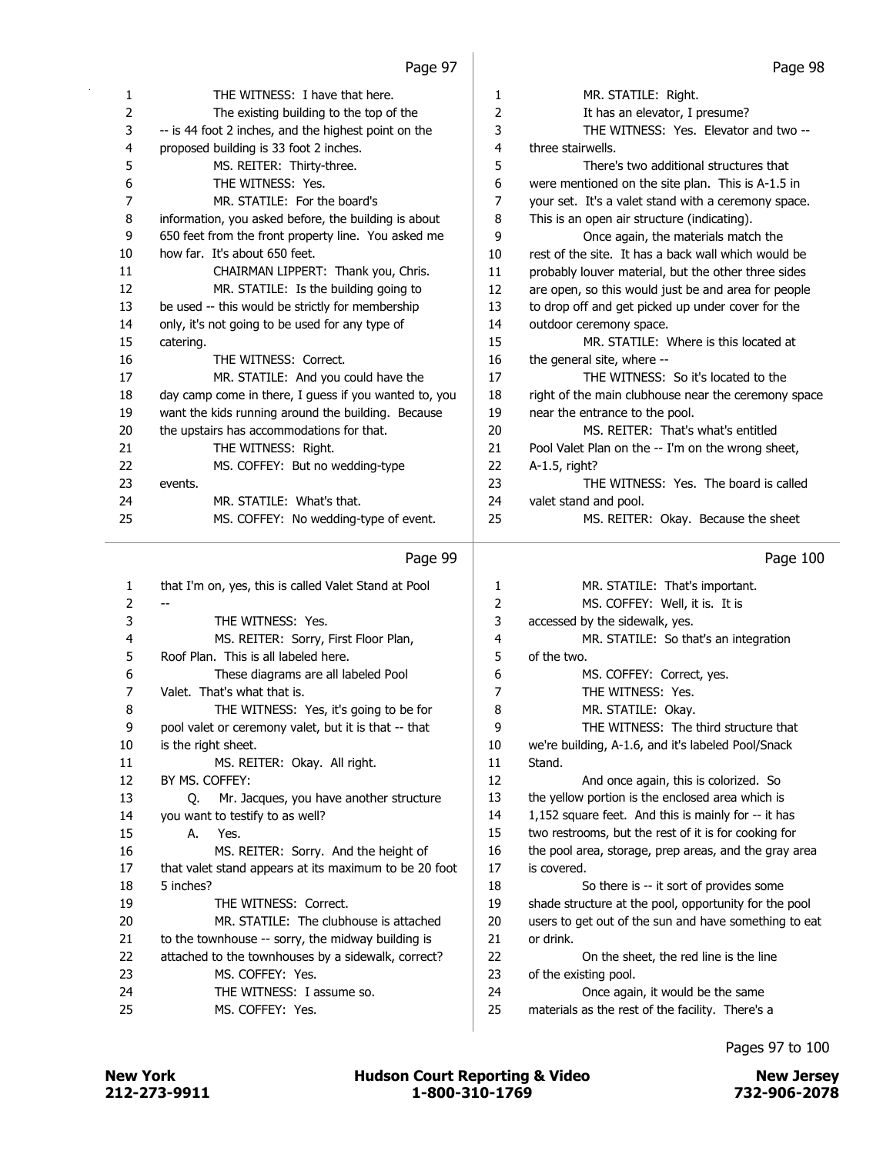| 1              | THE WITNESS: I have that here.                        | 1  | MR. STATILE: Right.                                 |
|----------------|-------------------------------------------------------|----|-----------------------------------------------------|
| $\overline{2}$ | The existing building to the top of the               | 2  | It has an elevator, I presume?                      |
| 3              | -- is 44 foot 2 inches, and the highest point on the  | 3  | THE WITNESS: Yes. Elevator and two --               |
| 4              | proposed building is 33 foot 2 inches.                | 4  | three stairwells.                                   |
| 5              | MS. REITER: Thirty-three.                             | 5  | There's two additional structures that              |
| 6              | THE WITNESS: Yes.                                     | 6  | were mentioned on the site plan. This is A-1.5 in   |
| 7              | MR. STATILE: For the board's                          | 7  | your set. It's a valet stand with a ceremony space. |
| 8              | information, you asked before, the building is about  | 8  | This is an open air structure (indicating).         |
| 9              | 650 feet from the front property line. You asked me   | 9  | Once again, the materials match the                 |
| 10             | how far. It's about 650 feet.                         | 10 | rest of the site. It has a back wall which would be |
| 11             | CHAIRMAN LIPPERT: Thank you, Chris.                   | 11 | probably louver material, but the other three sides |
| 12             | MR. STATILE: Is the building going to                 | 12 | are open, so this would just be and area for people |
| 13             | be used -- this would be strictly for membership      | 13 | to drop off and get picked up under cover for the   |
| 14             | only, it's not going to be used for any type of       | 14 | outdoor ceremony space.                             |
| 15             | catering.                                             | 15 | MR. STATILE: Where is this located at               |
| 16             | THE WITNESS: Correct.                                 | 16 | the general site, where --                          |
| 17             | MR. STATILE: And you could have the                   | 17 | THE WITNESS: So it's located to the                 |
| 18             | day camp come in there, I guess if you wanted to, you | 18 | right of the main clubhouse near the ceremony space |
| 19             | want the kids running around the building. Because    | 19 | near the entrance to the pool.                      |
| 20             | the upstairs has accommodations for that.             | 20 | MS. REITER: That's what's entitled                  |
| 21             | THE WITNESS: Right.                                   | 21 | Pool Valet Plan on the -- I'm on the wrong sheet,   |
| 22             | MS. COFFEY: But no wedding-type                       | 22 | A-1.5, right?                                       |
| 23             | events.                                               | 23 | THE WITNESS: Yes. The board is called               |
| 24             | MR. STATILE: What's that.                             | 24 | valet stand and pool.                               |
| 25             | MS. COFFEY: No wedding-type of event.                 | 25 | MS. REITER: Okay. Because the sheet                 |
|                |                                                       |    |                                                     |

| 1  | that I'm on, yes, this is called Valet Stand at Pool  | 1  | MR. STATILE: That's important.                        |
|----|-------------------------------------------------------|----|-------------------------------------------------------|
| 2  |                                                       | 2  | MS. COFFEY: Well, it is. It is                        |
| 3  | THE WITNESS: Yes.                                     | 3  | accessed by the sidewalk, yes.                        |
| 4  | MS. REITER: Sorry, First Floor Plan,                  | 4  | MR. STATILE: So that's an integration                 |
| 5  | Roof Plan. This is all labeled here.                  | 5  | of the two.                                           |
| 6  | These diagrams are all labeled Pool                   | 6  | MS. COFFEY: Correct, yes.                             |
| 7  | Valet. That's what that is.                           | 7  | THE WITNESS: Yes.                                     |
| 8  | THE WITNESS: Yes, it's going to be for                | 8  | MR. STATILE: Okay.                                    |
| 9  | pool valet or ceremony valet, but it is that -- that  | 9  | THE WITNESS: The third structure that                 |
| 10 | is the right sheet.                                   | 10 | we're building, A-1.6, and it's labeled Pool/Snack    |
| 11 | MS. REITER: Okay. All right.                          | 11 | Stand.                                                |
| 12 | BY MS. COFFEY:                                        | 12 | And once again, this is colorized. So                 |
| 13 | Mr. Jacques, you have another structure<br>O.         | 13 | the yellow portion is the enclosed area which is      |
| 14 | you want to testify to as well?                       | 14 | 1,152 square feet. And this is mainly for -- it has   |
| 15 | Yes.<br>А.                                            | 15 | two restrooms, but the rest of it is for cooking for  |
| 16 | MS. REITER: Sorry. And the height of                  | 16 | the pool area, storage, prep areas, and the gray area |
| 17 | that valet stand appears at its maximum to be 20 foot | 17 | is covered.                                           |
| 18 | 5 inches?                                             | 18 | So there is -- it sort of provides some               |
| 19 | THE WITNESS: Correct.                                 | 19 | shade structure at the pool, opportunity for the pool |
| 20 | MR. STATILE: The clubhouse is attached                | 20 | users to get out of the sun and have something to eat |
| 21 | to the townhouse -- sorry, the midway building is     | 21 | or drink.                                             |
| 22 | attached to the townhouses by a sidewalk, correct?    | 22 | On the sheet, the red line is the line                |
| 23 | MS. COFFEY: Yes.                                      | 23 | of the existing pool.                                 |
| 24 | THE WITNESS: I assume so.                             | 24 | Once again, it would be the same                      |
| 25 | MS. COFFEY: Yes.                                      | 25 | materials as the rest of the facility. There's a      |
|    |                                                       |    |                                                       |

# Page 100

Pages 97 to 100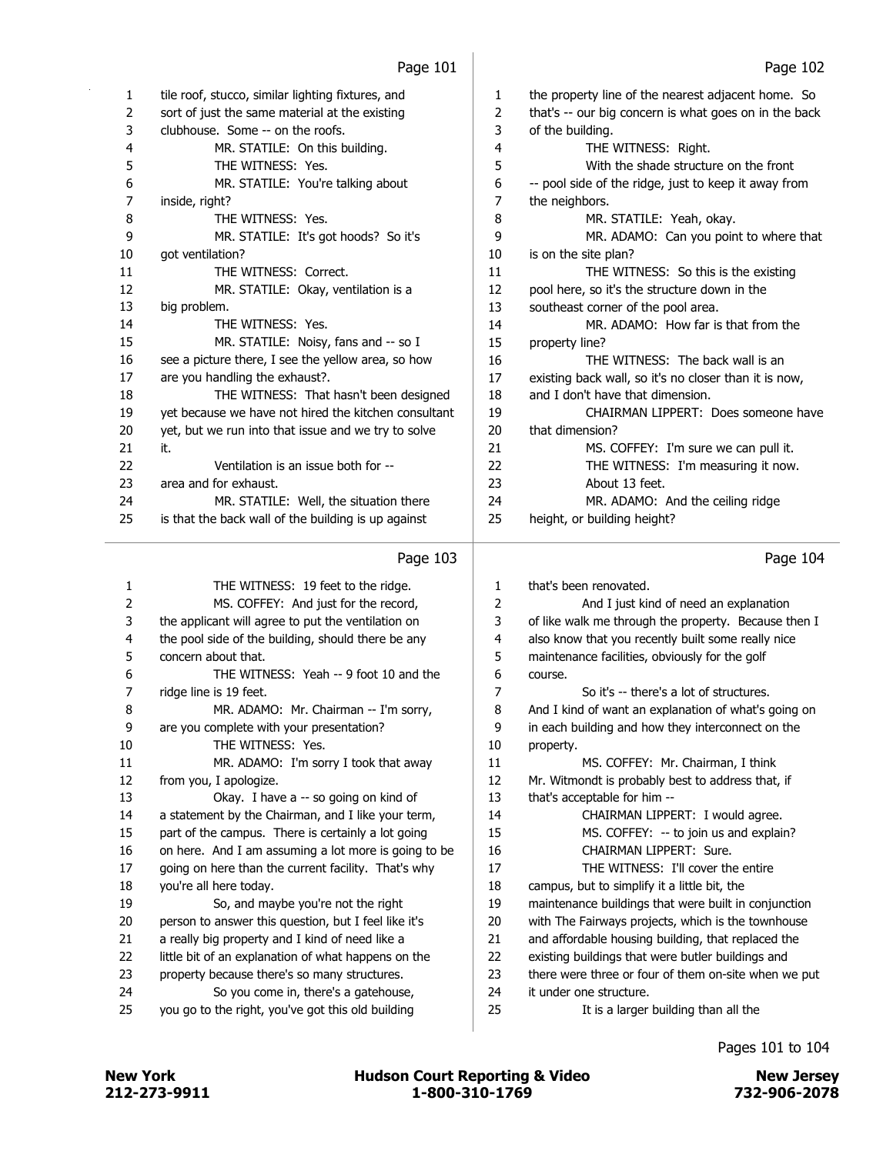|    | Page 103                                             |    | Page 104                                              |
|----|------------------------------------------------------|----|-------------------------------------------------------|
| 25 | is that the back wall of the building is up against  | 25 | height, or building height?                           |
| 24 | MR. STATILE: Well, the situation there               | 24 | MR. ADAMO: And the ceiling ridge                      |
| 23 | area and for exhaust.                                | 23 | About 13 feet.                                        |
| 22 | Ventilation is an issue both for --                  | 22 | THE WITNESS: I'm measuring it now.                    |
| 21 | it.                                                  | 21 | MS. COFFEY: I'm sure we can pull it.                  |
| 20 | yet, but we run into that issue and we try to solve  | 20 | that dimension?                                       |
| 19 | yet because we have not hired the kitchen consultant | 19 | CHAIRMAN LIPPERT: Does someone have                   |
| 18 | THE WITNESS: That hasn't been designed               | 18 | and I don't have that dimension.                      |
| 17 | are you handling the exhaust?.                       | 17 | existing back wall, so it's no closer than it is now, |
| 16 | see a picture there, I see the yellow area, so how   | 16 | THE WITNESS: The back wall is an                      |
| 15 | MR. STATILE: Noisy, fans and -- so I                 | 15 | property line?                                        |
| 14 | THE WITNESS: Yes.                                    | 14 | MR. ADAMO: How far is that from the                   |
| 13 | big problem.                                         | 13 | southeast corner of the pool area.                    |
| 12 | MR. STATILE: Okay, ventilation is a                  | 12 | pool here, so it's the structure down in the          |
| 11 | THE WITNESS: Correct.                                | 11 | THE WITNESS: So this is the existing                  |
| 10 | qot ventilation?                                     | 10 | is on the site plan?                                  |
| 9  | MR. STATILE: It's got hoods? So it's                 | 9  | MR. ADAMO: Can you point to where that                |
| 8  | THE WITNESS: Yes.                                    | 8  | MR. STATILE: Yeah, okay.                              |
| 7  | inside, right?                                       | 7  | the neighbors.                                        |
| 6  | MR. STATILE: You're talking about                    | 6  | -- pool side of the ridge, just to keep it away from  |
| 5  | THE WITNESS: Yes.                                    | 5  | With the shade structure on the front                 |
| 4  | MR. STATILE: On this building.                       | 4  | THE WITNESS: Right.                                   |
| 3  | clubhouse. Some -- on the roofs.                     | 3  | of the building.                                      |
| 2  | sort of just the same material at the existing       | 2  | that's -- our big concern is what goes on in the back |
| 1  | tile roof, stucco, similar lighting fixtures, and    | 1. | the property line of the nearest adjacent home. So    |
|    |                                                      |    |                                                       |

## Page 103 |

| $\mathbf{1}$ | THE WITNESS: 19 feet to the ridge.                   | $\mathbf{1}$ | that's been renovated.                               |
|--------------|------------------------------------------------------|--------------|------------------------------------------------------|
| 2            | MS. COFFEY: And just for the record,                 | 2            | And I just kind of need an explanation               |
| 3            | the applicant will agree to put the ventilation on   | 3            | of like walk me through the property. Because then I |
| 4            | the pool side of the building, should there be any   | 4            | also know that you recently built some really nice   |
| 5            | concern about that.                                  | 5            | maintenance facilities, obviously for the golf       |
| 6            | THE WITNESS: Yeah -- 9 foot 10 and the               | 6            | course.                                              |
| 7            | ridge line is 19 feet.                               | 7            | So it's -- there's a lot of structures.              |
| 8            | MR. ADAMO: Mr. Chairman -- I'm sorry,                | 8            | And I kind of want an explanation of what's going on |
| 9            | are you complete with your presentation?             | 9            | in each building and how they interconnect on the    |
| 10           | THE WITNESS: Yes.                                    | 10           | property.                                            |
| 11           | MR. ADAMO: I'm sorry I took that away                | 11           | MS. COFFEY: Mr. Chairman, I think                    |
| 12           | from you, I apologize.                               | 12           | Mr. Witmondt is probably best to address that, if    |
| 13           | Okay. I have a -- so going on kind of                | 13           | that's acceptable for him --                         |
| 14           | a statement by the Chairman, and I like your term,   | 14           | CHAIRMAN LIPPERT: I would agree.                     |
| 15           | part of the campus. There is certainly a lot going   | 15           | MS. COFFEY: -- to join us and explain?               |
| 16           | on here. And I am assuming a lot more is going to be | 16           | CHAIRMAN LIPPERT: Sure.                              |
| 17           | going on here than the current facility. That's why  | 17           | THE WITNESS: I'll cover the entire                   |
| 18           | you're all here today.                               | 18           | campus, but to simplify it a little bit, the         |
| 19           | So, and maybe you're not the right                   | 19           | maintenance buildings that were built in conjunction |
| 20           | person to answer this question, but I feel like it's | 20           | with The Fairways projects, which is the townhouse   |
| 21           | a really big property and I kind of need like a      | 21           | and affordable housing building, that replaced the   |
| 22           | little bit of an explanation of what happens on the  | 22           | existing buildings that were butler buildings and    |
| 23           | property because there's so many structures.         | 23           | there were three or four of them on-site when we put |
| 24           | So you come in, there's a gatehouse,                 | 24           | it under one structure.                              |
| 25           | you go to the right, you've got this old building    | 25           | It is a larger building than all the                 |
|              |                                                      |              |                                                      |

## Pages 101 to 104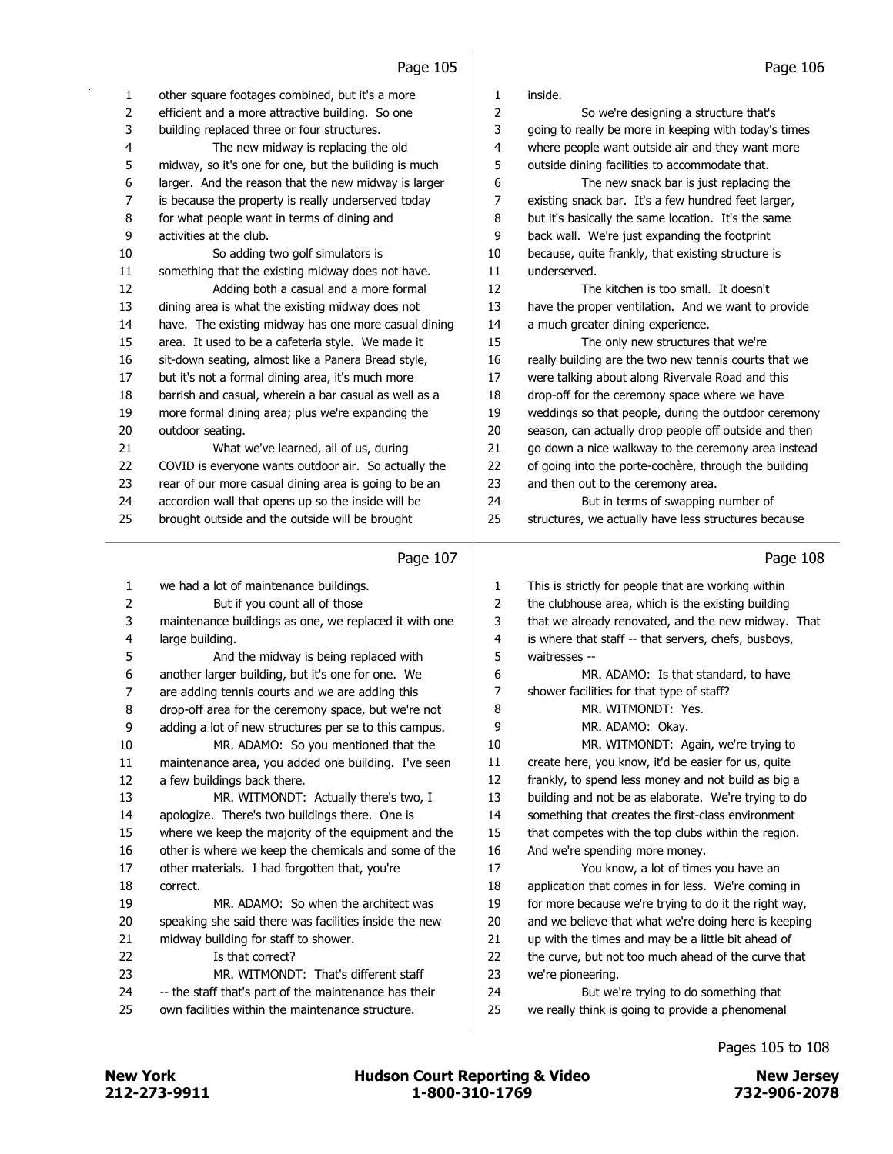| 1        | other square footages combined, but it's a more          | 1        | inside.                                                                  |
|----------|----------------------------------------------------------|----------|--------------------------------------------------------------------------|
| 2        | efficient and a more attractive building. So one         | 2        | So we're designing a structure that's                                    |
| 3        | building replaced three or four structures.              | 3        | going to really be more in keeping with today's times                    |
| 4        | The new midway is replacing the old                      | 4        | where people want outside air and they want more                         |
| 5        | midway, so it's one for one, but the building is much    | 5        | outside dining facilities to accommodate that.                           |
| 6        | larger. And the reason that the new midway is larger     | 6        | The new snack bar is just replacing the                                  |
| 7        | is because the property is really underserved today      | 7        | existing snack bar. It's a few hundred feet larger,                      |
| 8        | for what people want in terms of dining and              | 8        | but it's basically the same location. It's the same                      |
| 9        | activities at the club.                                  | 9        | back wall. We're just expanding the footprint                            |
| 10       | So adding two golf simulators is                         | 10       | because, quite frankly, that existing structure is                       |
| 11       | something that the existing midway does not have.        | 11       | underserved.                                                             |
| 12       | Adding both a casual and a more formal                   | 12       | The kitchen is too small. It doesn't                                     |
| 13       | dining area is what the existing midway does not         | 13       | have the proper ventilation. And we want to provide                      |
| 14       | have. The existing midway has one more casual dining     | 14       | a much greater dining experience.                                        |
| 15       | area. It used to be a cafeteria style. We made it        | 15       | The only new structures that we're                                       |
| 16       | sit-down seating, almost like a Panera Bread style,      | 16       | really building are the two new tennis courts that we                    |
| 17       | but it's not a formal dining area, it's much more        | 17       | were talking about along Rivervale Road and this                         |
| 18       | barrish and casual, wherein a bar casual as well as a    | 18       | drop-off for the ceremony space where we have                            |
| 19       | more formal dining area; plus we're expanding the        | 19       | weddings so that people, during the outdoor ceremony                     |
| $20\,$   | outdoor seating.                                         | 20       | season, can actually drop people off outside and then                    |
| 21       | What we've learned, all of us, during                    | 21       | go down a nice walkway to the ceremony area instead                      |
| 22       | COVID is everyone wants outdoor air. So actually the     | 22       | of going into the porte-cochère, through the building                    |
| 23       | rear of our more casual dining area is going to be an    | 23       | and then out to the ceremony area.                                       |
| 24       | accordion wall that opens up so the inside will be       | 24       | But in terms of swapping number of                                       |
| 25       | brought outside and the outside will be brought          | 25       | structures, we actually have less structures because                     |
|          |                                                          |          |                                                                          |
|          | Page 107                                                 |          | Page 108                                                                 |
|          |                                                          |          |                                                                          |
|          |                                                          |          |                                                                          |
| 1        | we had a lot of maintenance buildings.                   | 1        | This is strictly for people that are working within                      |
| 2        | But if you count all of those                            | 2        | the clubhouse area, which is the existing building                       |
| 3        | maintenance buildings as one, we replaced it with one    | 3        | that we already renovated, and the new midway. That                      |
| 4        | large building.                                          | 4        | is where that staff -- that servers, chefs, busboys,                     |
| 5        | And the midway is being replaced with                    | 5        | waitresses --                                                            |
| 6        | another larger building, but it's one for one. We        | 6        | MR. ADAMO: Is that standard, to have                                     |
| 7        | are adding tennis courts and we are adding this          | 7        | shower facilities for that type of staff?                                |
| 8        | drop-off area for the ceremony space, but we're not      | 8        | MR. WITMONDT: Yes.                                                       |
| 9        | adding a lot of new structures per se to this campus.    | 9        | MR. ADAMO: Okay.                                                         |
| $10\,$   | MR. ADAMO: So you mentioned that the                     | 10       | MR. WITMONDT: Again, we're trying to                                     |
| 11       | maintenance area, you added one building. I've seen      | 11       | create here, you know, it'd be easier for us, quite                      |
| 12       | a few buildings back there.                              | 12       | frankly, to spend less money and not build as big a                      |
| 13       | MR. WITMONDT: Actually there's two, I                    | 13<br>14 | building and not be as elaborate. We're trying to do                     |
| 14       | apologize. There's two buildings there. One is           |          | something that creates the first-class environment                       |
| 15       | where we keep the majority of the equipment and the      | 15       | that competes with the top clubs within the region.                      |
| 16       | other is where we keep the chemicals and some of the     | 16<br>17 | And we're spending more money.                                           |
| 17       | other materials. I had forgotten that, you're            |          | You know, a lot of times you have an                                     |
| 18       | correct.<br>MR. ADAMO: So when the architect was         | 18       | application that comes in for less. We're coming in                      |
| 19       |                                                          | 19<br>20 | for more because we're trying to do it the right way,                    |
| 20       | speaking she said there was facilities inside the new    | 21       | and we believe that what we're doing here is keeping                     |
| 21       | midway building for staff to shower.<br>Is that correct? | 22       | up with the times and may be a little bit ahead of                       |
| 22<br>23 | MR. WITMONDT: That's different staff                     | 23       | the curve, but not too much ahead of the curve that<br>we're pioneering. |
| 24       | -- the staff that's part of the maintenance has their    | 24       | But we're trying to do something that                                    |
| 25       | own facilities within the maintenance structure.         | 25       | we really think is going to provide a phenomenal                         |

Pages 105 to 108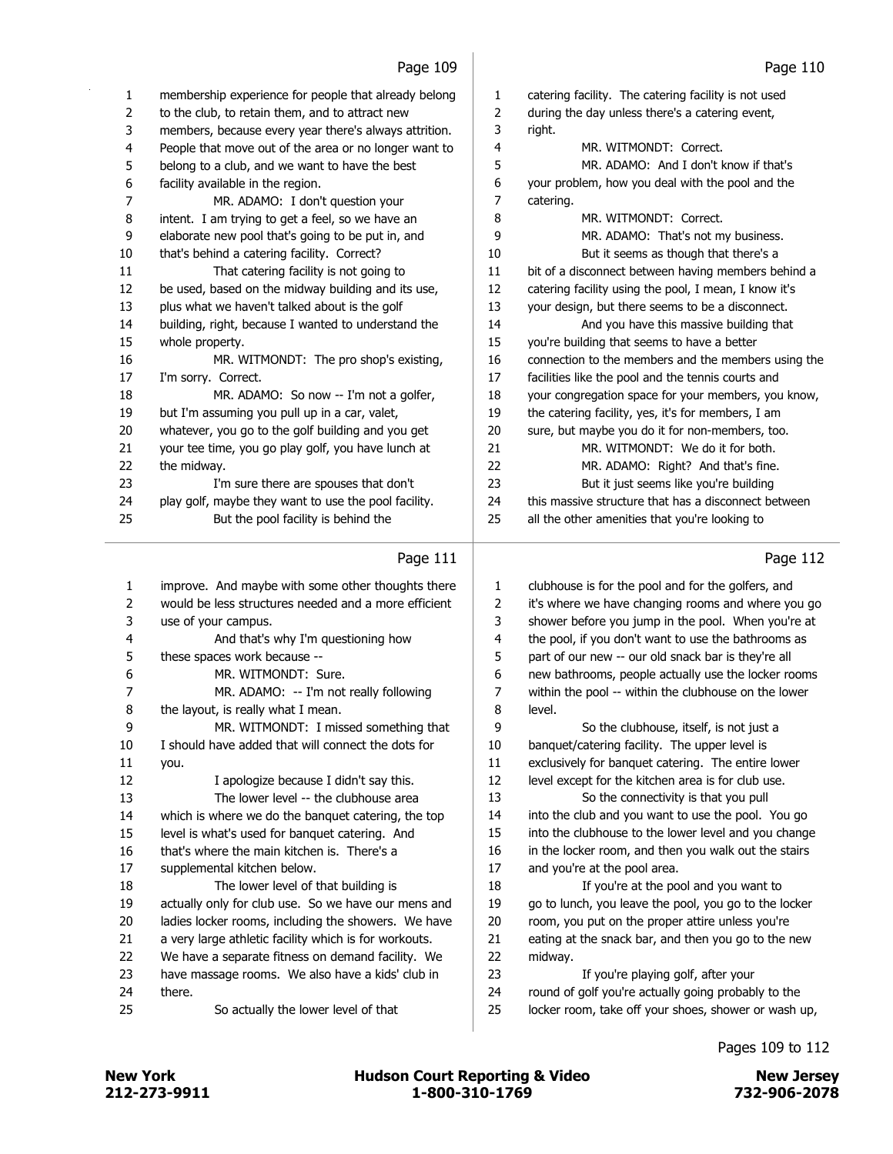## Page 109 |

| 1        | membership experience for people that already belong                                        | $\mathbf{1}$ | catering facility. The catering facility is not used                                                   |
|----------|---------------------------------------------------------------------------------------------|--------------|--------------------------------------------------------------------------------------------------------|
| 2        | to the club, to retain them, and to attract new                                             | 2            | during the day unless there's a catering event,                                                        |
| 3        | members, because every year there's always attrition.                                       | 3            | right.                                                                                                 |
| 4        | People that move out of the area or no longer want to                                       | 4            | MR. WITMONDT: Correct.                                                                                 |
| 5        | belong to a club, and we want to have the best                                              | 5            | MR. ADAMO: And I don't know if that's                                                                  |
| 6        | facility available in the region.                                                           | 6            | your problem, how you deal with the pool and the                                                       |
| 7        | MR. ADAMO: I don't question your                                                            | 7            | catering.                                                                                              |
| 8        | intent. I am trying to get a feel, so we have an                                            | 8            | MR. WITMONDT: Correct.                                                                                 |
| 9        | elaborate new pool that's going to be put in, and                                           | 9            | MR. ADAMO: That's not my business.                                                                     |
| 10       | that's behind a catering facility. Correct?                                                 | 10           | But it seems as though that there's a                                                                  |
| 11       | That catering facility is not going to                                                      | 11           | bit of a disconnect between having members behind a                                                    |
| 12       | be used, based on the midway building and its use,                                          | 12           | catering facility using the pool, I mean, I know it's                                                  |
| 13       | plus what we haven't talked about is the golf                                               | 13           | your design, but there seems to be a disconnect.                                                       |
| 14       | building, right, because I wanted to understand the                                         | 14           | And you have this massive building that                                                                |
| 15       | whole property.                                                                             | 15           | you're building that seems to have a better                                                            |
| 16       | MR. WITMONDT: The pro shop's existing,                                                      | 16           | connection to the members and the members using the                                                    |
| 17       | I'm sorry. Correct.                                                                         | 17           | facilities like the pool and the tennis courts and                                                     |
| 18       | MR. ADAMO: So now -- I'm not a golfer,                                                      | 18           | your congregation space for your members, you know,                                                    |
| 19       | but I'm assuming you pull up in a car, valet,                                               | 19           | the catering facility, yes, it's for members, I am                                                     |
| 20       | whatever, you go to the golf building and you get                                           | 20           | sure, but maybe you do it for non-members, too.                                                        |
| 21       | your tee time, you go play golf, you have lunch at                                          | 21           | MR. WITMONDT: We do it for both.                                                                       |
| 22       | the midway.                                                                                 | 22           | MR. ADAMO: Right? And that's fine.                                                                     |
| 23       | I'm sure there are spouses that don't                                                       | 23           | But it just seems like you're building                                                                 |
| 24<br>25 | play golf, maybe they want to use the pool facility.<br>But the pool facility is behind the | 24<br>25     | this massive structure that has a disconnect between<br>all the other amenities that you're looking to |
|          |                                                                                             |              |                                                                                                        |
|          | Page 111                                                                                    |              | Page 112                                                                                               |
| 1        | improve. And maybe with some other thoughts there                                           | $\mathbf{1}$ | clubhouse is for the pool and for the golfers, and                                                     |
| 2        | would be less structures needed and a more efficient                                        | 2            | it's where we have changing rooms and where you go                                                     |
| 3        | use of your campus.                                                                         | 3            | shower before you jump in the pool. When you're at                                                     |
| 4        | And that's why I'm questioning how                                                          | 4            | the pool, if you don't want to use the bathrooms as                                                    |
| 5        | these spaces work because --                                                                | 5            | part of our new -- our old snack bar is they're all                                                    |
| 6        | MR. WITMONDT: Sure.                                                                         | 6            | new bathrooms, people actually use the locker rooms                                                    |
| 7        | MR. ADAMO: -- I'm not really following                                                      | 7            | within the pool -- within the clubhouse on the lower                                                   |
| 8        | the layout, is really what I mean.                                                          | 8            | level.                                                                                                 |
| 9        | MR. WITMONDT: I missed something that                                                       | 9            | So the clubhouse, itself, is not just a                                                                |
| 10       | I should have added that will connect the dots for                                          | 10           | banquet/catering facility. The upper level is                                                          |
| 11       | you.                                                                                        | $11\,$       | exclusively for banquet catering. The entire lower                                                     |
| 12       | I apologize because I didn't say this.                                                      | 12           | level except for the kitchen area is for club use.                                                     |
| 13       | The lower level -- the clubhouse area                                                       | 13           | So the connectivity is that you pull                                                                   |
| 14       | which is where we do the banquet catering, the top                                          | 14           | into the club and you want to use the pool. You go                                                     |
| 15       | level is what's used for banquet catering. And                                              | 15           | into the clubhouse to the lower level and you change                                                   |
| 16       | that's where the main kitchen is. There's a                                                 | 16           | in the locker room, and then you walk out the stairs                                                   |
| 17       | supplemental kitchen below.                                                                 | 17           | and you're at the pool area.                                                                           |
| 18       | The lower level of that building is                                                         | 18           | If you're at the pool and you want to                                                                  |
| 19       | actually only for club use. So we have our mens and                                         | 19           | go to lunch, you leave the pool, you go to the locker                                                  |
| 20       | ladies locker rooms, including the showers. We have                                         | 20           | room, you put on the proper attire unless you're                                                       |
| 21       | a very large athletic facility which is for workouts.                                       | 21           | eating at the snack bar, and then you go to the new                                                    |
| 22       | We have a separate fitness on demand facility. We                                           | 22           | midway.                                                                                                |
| 23       | have massage rooms. We also have a kids' club in                                            | 23           | If you're playing golf, after your                                                                     |
| 24       | there.                                                                                      | 24           | round of golf you're actually going probably to the                                                    |
| 25       | So actually the lower level of that                                                         | 25           | locker room, take off your shoes, shower or wash up,                                                   |
|          |                                                                                             |              |                                                                                                        |

 $\sim$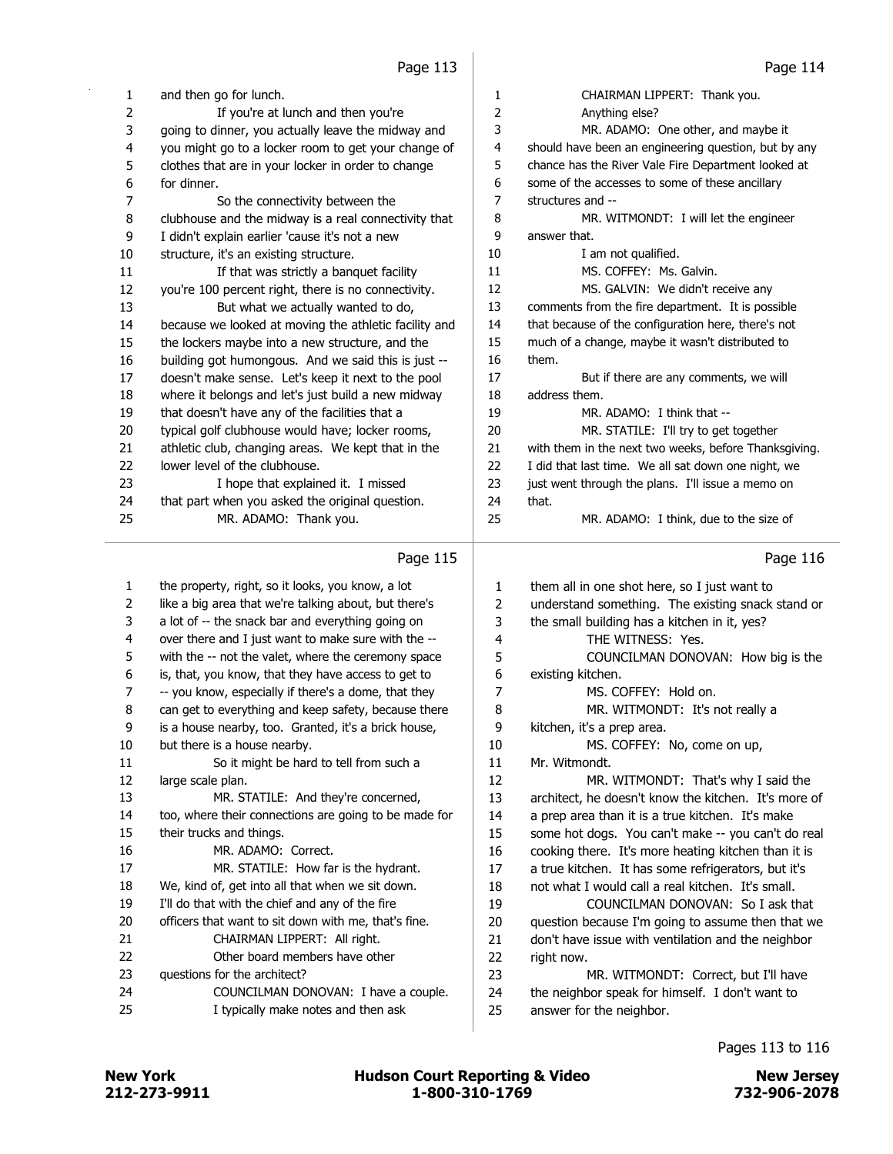a.

| 1            | and then go for lunch.                                | 1  | CHAIRMAN LIPPERT: Thank you.                          |
|--------------|-------------------------------------------------------|----|-------------------------------------------------------|
| 2            | If you're at lunch and then you're                    | 2  | Anything else?                                        |
| 3            | going to dinner, you actually leave the midway and    | 3  | MR. ADAMO: One other, and maybe it                    |
| 4            | you might go to a locker room to get your change of   | 4  | should have been an engineering question, but by any  |
| 5            | clothes that are in your locker in order to change    | 5  | chance has the River Vale Fire Department looked at   |
| 6            | for dinner.                                           | 6  | some of the accesses to some of these ancillary       |
| 7            | So the connectivity between the                       | 7  | structures and --                                     |
| 8            | clubhouse and the midway is a real connectivity that  | 8  | MR. WITMONDT: I will let the engineer                 |
| 9            | I didn't explain earlier 'cause it's not a new        | 9  | answer that.                                          |
| 10           | structure, it's an existing structure.                | 10 | I am not qualified.                                   |
| 11           | If that was strictly a banquet facility               | 11 | MS. COFFEY: Ms. Galvin.                               |
| 12           | you're 100 percent right, there is no connectivity.   | 12 | MS. GALVIN: We didn't receive any                     |
| 13           | But what we actually wanted to do,                    | 13 | comments from the fire department. It is possible     |
| 14           | because we looked at moving the athletic facility and | 14 | that because of the configuration here, there's not   |
| 15           | the lockers maybe into a new structure, and the       | 15 | much of a change, maybe it wasn't distributed to      |
| 16           | building got humongous. And we said this is just --   | 16 | them.                                                 |
| 17           | doesn't make sense. Let's keep it next to the pool    | 17 | But if there are any comments, we will                |
| 18           | where it belongs and let's just build a new midway    | 18 | address them.                                         |
| 19           | that doesn't have any of the facilities that a        | 19 | MR. ADAMO: I think that --                            |
| 20           | typical golf clubhouse would have; locker rooms,      | 20 | MR. STATILE: I'll try to get together                 |
| 21           | athletic club, changing areas. We kept that in the    | 21 | with them in the next two weeks, before Thanksgiving. |
| 22           | lower level of the clubhouse.                         | 22 | I did that last time. We all sat down one night, we   |
| 23           | I hope that explained it. I missed                    | 23 | just went through the plans. I'll issue a memo on     |
| 24           | that part when you asked the original question.       | 24 | that.                                                 |
| 25           | MR. ADAMO: Thank you.                                 | 25 | MR. ADAMO: I think, due to the size of                |
|              |                                                       |    |                                                       |
|              | Page 115                                              |    | Page 116                                              |
| $\mathbf{1}$ | the property, right, so it looks, you know, a lot     | 1  | them all in one shot here, so I just want to          |
| 2            | like a big area that we're talking about, but there's | 2  | understand something. The existing snack stand or     |
| 3            | a lot of -- the snack bar and everything going on     | 3  | the small building has a kitchen in it, yes?          |
|              |                                                       |    |                                                       |

| 1  | the property, right, so it looks, you know, a lot     | $\mathbf{1}$ | them all in one shot here, so I just want to         |
|----|-------------------------------------------------------|--------------|------------------------------------------------------|
| 2  | like a big area that we're talking about, but there's | 2            | understand something. The existing snack stand or    |
| 3  | a lot of -- the snack bar and everything going on     | 3            | the small building has a kitchen in it, yes?         |
| 4  | over there and I just want to make sure with the --   | 4            | THE WITNESS: Yes.                                    |
| 5  | with the -- not the valet, where the ceremony space   | 5            | COUNCILMAN DONOVAN: How big is the                   |
| 6  | is, that, you know, that they have access to get to   | 6            | existing kitchen.                                    |
| 7  | -- you know, especially if there's a dome, that they  | 7            | MS. COFFEY: Hold on.                                 |
| 8  | can get to everything and keep safety, because there  | 8            | MR. WITMONDT: It's not really a                      |
| 9  | is a house nearby, too. Granted, it's a brick house,  | 9            | kitchen, it's a prep area.                           |
| 10 | but there is a house nearby.                          | 10           | MS. COFFEY: No, come on up,                          |
| 11 | So it might be hard to tell from such a               | 11           | Mr. Witmondt.                                        |
| 12 | large scale plan.                                     | 12           | MR. WITMONDT: That's why I said the                  |
| 13 | MR. STATILE: And they're concerned,                   | 13           | architect, he doesn't know the kitchen. It's more of |
| 14 | too, where their connections are going to be made for | 14           | a prep area than it is a true kitchen. It's make     |
| 15 | their trucks and things.                              | 15           | some hot dogs. You can't make -- you can't do real   |
| 16 | MR. ADAMO: Correct.                                   | 16           | cooking there. It's more heating kitchen than it is  |
| 17 | MR. STATILE: How far is the hydrant.                  | 17           | a true kitchen. It has some refrigerators, but it's  |
| 18 | We, kind of, get into all that when we sit down.      | 18           | not what I would call a real kitchen. It's small,    |
| 19 | I'll do that with the chief and any of the fire       | 19           | COUNCILMAN DONOVAN: So I ask that                    |
| 20 | officers that want to sit down with me, that's fine.  | 20           | question because I'm going to assume then that we    |
| 21 | CHAIRMAN LIPPERT: All right.                          | 21           | don't have issue with ventilation and the neighbor   |
| 22 | Other board members have other                        | 22           | right now.                                           |
| 23 | questions for the architect?                          | 23           | MR. WITMONDT: Correct, but I'll have                 |
| 24 | COUNCILMAN DONOVAN: I have a couple.                  | 24           | the neighbor speak for himself. I don't want to      |
| 25 | I typically make notes and then ask                   | 25           | answer for the neighbor.                             |
|    |                                                       |              |                                                      |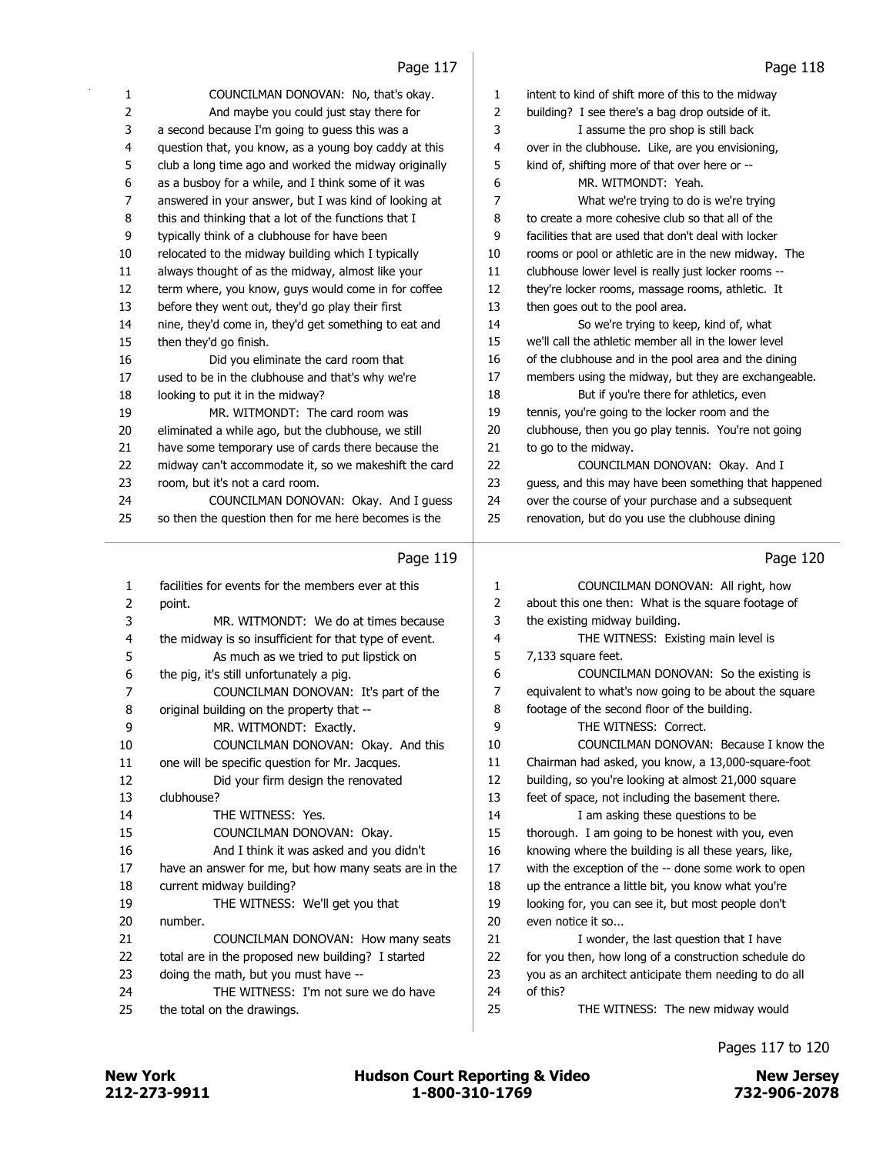| 1      | COUNCILMAN DONOVAN: No, that's okay.                  | 1      | intent to kind of shift more of this to the midway    |
|--------|-------------------------------------------------------|--------|-------------------------------------------------------|
| 2      | And maybe you could just stay there for               | 2      | building? I see there's a bag drop outside of it.     |
| 3      | a second because I'm going to guess this was a        | 3      | I assume the pro shop is still back                   |
| 4      | question that, you know, as a young boy caddy at this | 4      | over in the clubhouse. Like, are you envisioning,     |
| 5      | club a long time ago and worked the midway originally | 5      | kind of, shifting more of that over here or --        |
| 6      | as a busboy for a while, and I think some of it was   | 6      | MR. WITMONDT: Yeah.                                   |
| 7      | answered in your answer, but I was kind of looking at | 7      | What we're trying to do is we're trying               |
| 8      | this and thinking that a lot of the functions that I  | 8      | to create a more cohesive club so that all of the     |
| 9      | typically think of a clubhouse for have been          | 9      | facilities that are used that don't deal with locker  |
| 10     | relocated to the midway building which I typically    | 10     | rooms or pool or athletic are in the new midway. The  |
| 11     | always thought of as the midway, almost like your     | 11     | clubhouse lower level is really just locker rooms --  |
| 12     | term where, you know, guys would come in for coffee   | 12     | they're locker rooms, massage rooms, athletic. It     |
| 13     | before they went out, they'd go play their first      | 13     | then goes out to the pool area.                       |
| 14     | nine, they'd come in, they'd get something to eat and | 14     | So we're trying to keep, kind of, what                |
| 15     | then they'd go finish.                                | 15     | we'll call the athletic member all in the lower level |
| 16     | Did you eliminate the card room that                  | 16     | of the clubhouse and in the pool area and the dining  |
| 17     | used to be in the clubhouse and that's why we're      | 17     | members using the midway, but they are exchangeable.  |
| 18     | looking to put it in the midway?                      | 18     | But if you're there for athletics, even               |
| 19     | MR. WITMONDT: The card room was                       | 19     | tennis, you're going to the locker room and the       |
| 20     | eliminated a while ago, but the clubhouse, we still   | 20     | clubhouse, then you go play tennis. You're not going  |
| 21     | have some temporary use of cards there because the    | 21     | to go to the midway.                                  |
| 22     | midway can't accommodate it, so we makeshift the card | 22     | COUNCILMAN DONOVAN: Okay. And I                       |
| 23     | room, but it's not a card room.                       | 23     | guess, and this may have been something that happened |
| 24     | COUNCILMAN DONOVAN: Okay. And I guess                 | 24     | over the course of your purchase and a subsequent     |
| 25     | so then the question then for me here becomes is the  | 25     | renovation, but do you use the clubhouse dining       |
|        |                                                       |        |                                                       |
|        | Page 119                                              |        | Page 120                                              |
|        |                                                       |        |                                                       |
| 1      | facilities for events for the members ever at this    | 1      | COUNCILMAN DONOVAN: All right, how                    |
| 2      | point.                                                | 2      | about this one then: What is the square footage of    |
| 3      | MR. WITMONDT: We do at times because                  | 3      | the existing midway building.                         |
| 4      | the midway is so insufficient for that type of event. | 4      | THE WITNESS: Existing main level is                   |
| 5      | As much as we tried to put lipstick on                | 5      | 7,133 square feet.                                    |
| 6      | the pig, it's still unfortunately a pig.              | 6      | COUNCILMAN DONOVAN: So the existing is                |
| 7      | COUNCILMAN DONOVAN: It's part of the                  | 7      | equivalent to what's now going to be about the square |
| 8      | original building on the property that --             | 8      | footage of the second floor of the building.          |
| 9      | MR. WITMONDT: Exactly.                                | 9      | THE WITNESS: Correct.                                 |
| 10     | COUNCILMAN DONOVAN: Okay. And this                    | 10     | COUNCILMAN DONOVAN: Because I know the                |
| 11     | one will be specific question for Mr. Jacques.        | 11     | Chairman had asked, you know, a 13,000-square-foot    |
| 12     | Did your firm design the renovated                    | 12     | building, so you're looking at almost 21,000 square   |
| 13     | clubhouse?                                            | 13     | feet of space, not including the basement there.      |
| 14     | THE WITNESS: Yes.                                     | 14     | I am asking these questions to be                     |
| 15     | COUNCILMAN DONOVAN: Okay.                             | 15     | thorough. I am going to be honest with you, even      |
| 16     | And I think it was asked and you didn't               | 16     | knowing where the building is all these years, like,  |
| 17     | have an answer for me, but how many seats are in the  | $17\,$ | with the exception of the -- done some work to open   |
| 18     | current midway building?                              | 18     | up the entrance a little bit, you know what you're    |
| 19     | THE WITNESS: We'll get you that                       | 19     | looking for, you can see it, but most people don't    |
| $20\,$ | number.                                               | $20\,$ | even notice it so                                     |
| 21     | COUNCILMAN DONOVAN: How many seats                    | 21     | I wonder, the last question that I have               |
| 22     | total are in the proposed new building? I started     | 22     | for you then, how long of a construction schedule do  |
| 23     |                                                       |        |                                                       |
|        | doing the math, but you must have --                  | 23     | you as an architect anticipate them needing to do all |
| 24     | THE WITNESS: I'm not sure we do have                  | 24     | of this?                                              |
| 25     | the total on the drawings.                            | 25     | THE WITNESS: The new midway would                     |

## Pages 117 to 120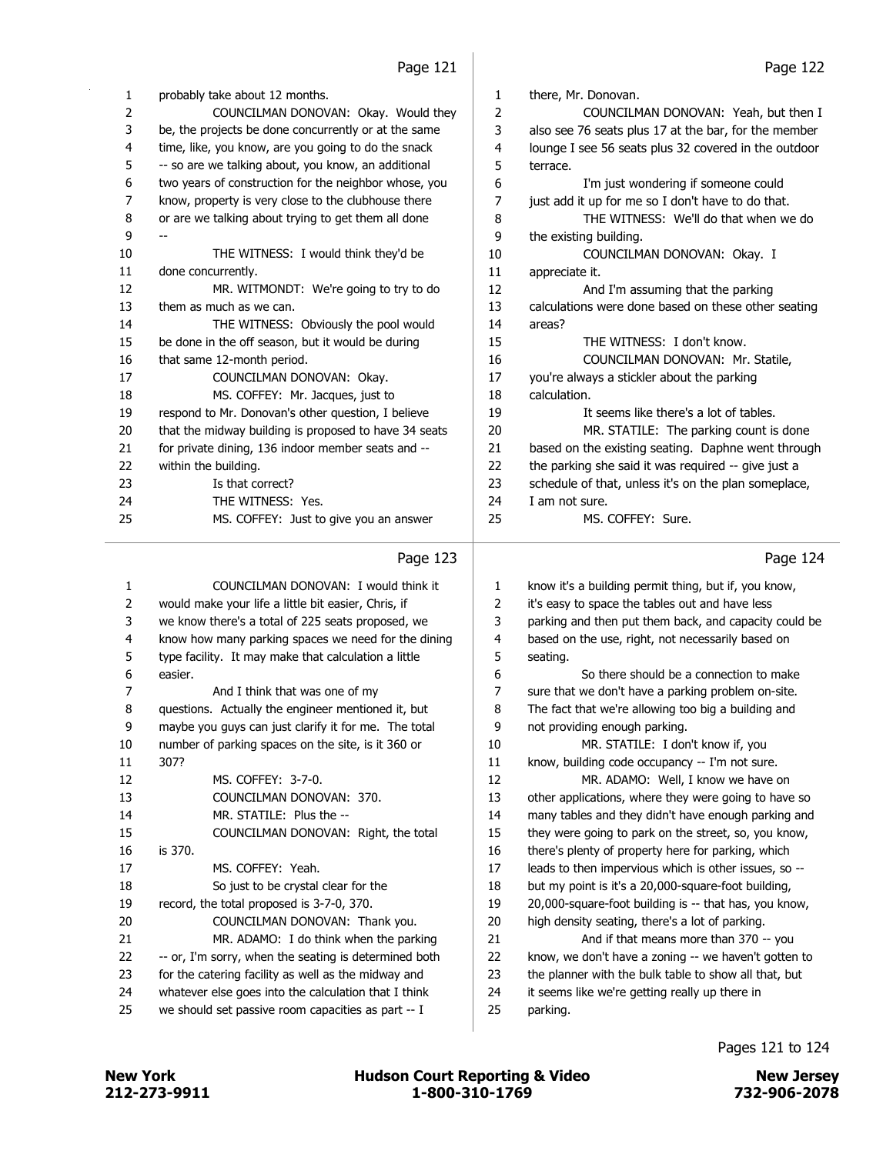| 1              | probably take about 12 months.                        | $\mathbf{1}$ | there, Mr. Donovan.                                  |
|----------------|-------------------------------------------------------|--------------|------------------------------------------------------|
| 2              | COUNCILMAN DONOVAN: Okay. Would they                  | 2            | COUNCILMAN DONOVAN: Yeah, but then I                 |
| 3              | be, the projects be done concurrently or at the same  | 3            | also see 76 seats plus 17 at the bar, for the member |
| 4              | time, like, you know, are you going to do the snack   | 4            | lounge I see 56 seats plus 32 covered in the outdoor |
| 5              | -- so are we talking about, you know, an additional   | 5            | terrace.                                             |
| 6              | two years of construction for the neighbor whose, you | 6            | I'm just wondering if someone could                  |
| $\overline{7}$ | know, property is very close to the clubhouse there   | 7            | just add it up for me so I don't have to do that.    |
| 8              | or are we talking about trying to get them all done   | 8            | THE WITNESS: We'll do that when we do                |
| 9              |                                                       | 9            | the existing building.                               |
| 10             | THE WITNESS: I would think they'd be                  | 10           | COUNCILMAN DONOVAN: Okay. I                          |
| 11             | done concurrently.                                    | 11           | appreciate it.                                       |
| 12             | MR. WITMONDT: We're going to try to do                | 12           | And I'm assuming that the parking                    |
| 13             | them as much as we can.                               | 13           | calculations were done based on these other seating  |
| 14             | THE WITNESS: Obviously the pool would                 | 14           | areas?                                               |
| 15             | be done in the off season, but it would be during     | 15           | THE WITNESS: I don't know.                           |
| 16             | that same 12-month period.                            | 16           | COUNCILMAN DONOVAN: Mr. Statile,                     |
| 17             | COUNCILMAN DONOVAN: Okay.                             | 17           | you're always a stickler about the parking           |
| 18             | MS. COFFEY: Mr. Jacques, just to                      | 18           | calculation.                                         |
| 19             | respond to Mr. Donovan's other question, I believe    | 19           | It seems like there's a lot of tables.               |
| 20             | that the midway building is proposed to have 34 seats | 20           | MR. STATILE: The parking count is done               |
| 21             | for private dining, 136 indoor member seats and --    | 21           | based on the existing seating. Daphne went through   |
| 22             | within the building.                                  | 22           | the parking she said it was required -- give just a  |
| 23             | Is that correct?                                      | 23           | schedule of that, unless it's on the plan someplace, |
| 24             | THE WITNESS: Yes.                                     | 24           | I am not sure.                                       |
| 25             | MS. COFFEY: Just to give you an answer                | 25           | MS. COFFEY: Sure.                                    |
|                |                                                       |              |                                                      |

## $P_{209}$  123

|                | Page 123                                              |                | Page 124                                              |
|----------------|-------------------------------------------------------|----------------|-------------------------------------------------------|
| 1              | COUNCILMAN DONOVAN: I would think it                  | 1              | know it's a building permit thing, but if, you know,  |
| $\overline{2}$ | would make your life a little bit easier, Chris, if   | $\overline{2}$ | it's easy to space the tables out and have less       |
| 3              | we know there's a total of 225 seats proposed, we     | 3              | parking and then put them back, and capacity could be |
| 4              | know how many parking spaces we need for the dining   | 4              | based on the use, right, not necessarily based on     |
| 5              | type facility. It may make that calculation a little  | 5              | seating.                                              |
| 6              | easier.                                               | 6              | So there should be a connection to make               |
| 7              | And I think that was one of my                        | 7              | sure that we don't have a parking problem on-site.    |
| 8              | questions. Actually the engineer mentioned it, but    | 8              | The fact that we're allowing too big a building and   |
| 9              | maybe you guys can just clarify it for me. The total  | 9              | not providing enough parking.                         |
| 10             | number of parking spaces on the site, is it 360 or    | 10             | MR. STATILE: I don't know if, you                     |
| 11             | 307?                                                  | 11             | know, building code occupancy -- I'm not sure.        |
| 12             | MS. COFFEY: 3-7-0.                                    | 12             | MR. ADAMO: Well, I know we have on                    |
| 13             | COUNCILMAN DONOVAN: 370.                              | 13             | other applications, where they were going to have so  |
| 14             | MR. STATILE: Plus the --                              | 14             | many tables and they didn't have enough parking and   |
| 15             | COUNCILMAN DONOVAN: Right, the total                  | 15             | they were going to park on the street, so, you know,  |
| 16             | is 370.                                               | 16             | there's plenty of property here for parking, which    |
| 17             | MS. COFFEY: Yeah.                                     | 17             | leads to then impervious which is other issues, so -- |
| 18             | So just to be crystal clear for the                   | 18             | but my point is it's a 20,000-square-foot building,   |
| 19             | record, the total proposed is 3-7-0, 370.             | 19             | 20,000-square-foot building is -- that has, you know, |
| 20             | COUNCILMAN DONOVAN: Thank you.                        | 20             | high density seating, there's a lot of parking.       |
| 21             | MR. ADAMO: I do think when the parking                | 21             | And if that means more than 370 -- you                |
| 22             | -- or, I'm sorry, when the seating is determined both | 22             | know, we don't have a zoning -- we haven't gotten to  |
| 23             | for the catering facility as well as the midway and   | 23             | the planner with the bulk table to show all that, but |
| 24             | whatever else goes into the calculation that I think  | 24             | it seems like we're getting really up there in        |
| 25             | we should set passive room capacities as part -- I    | 25             | parking.                                              |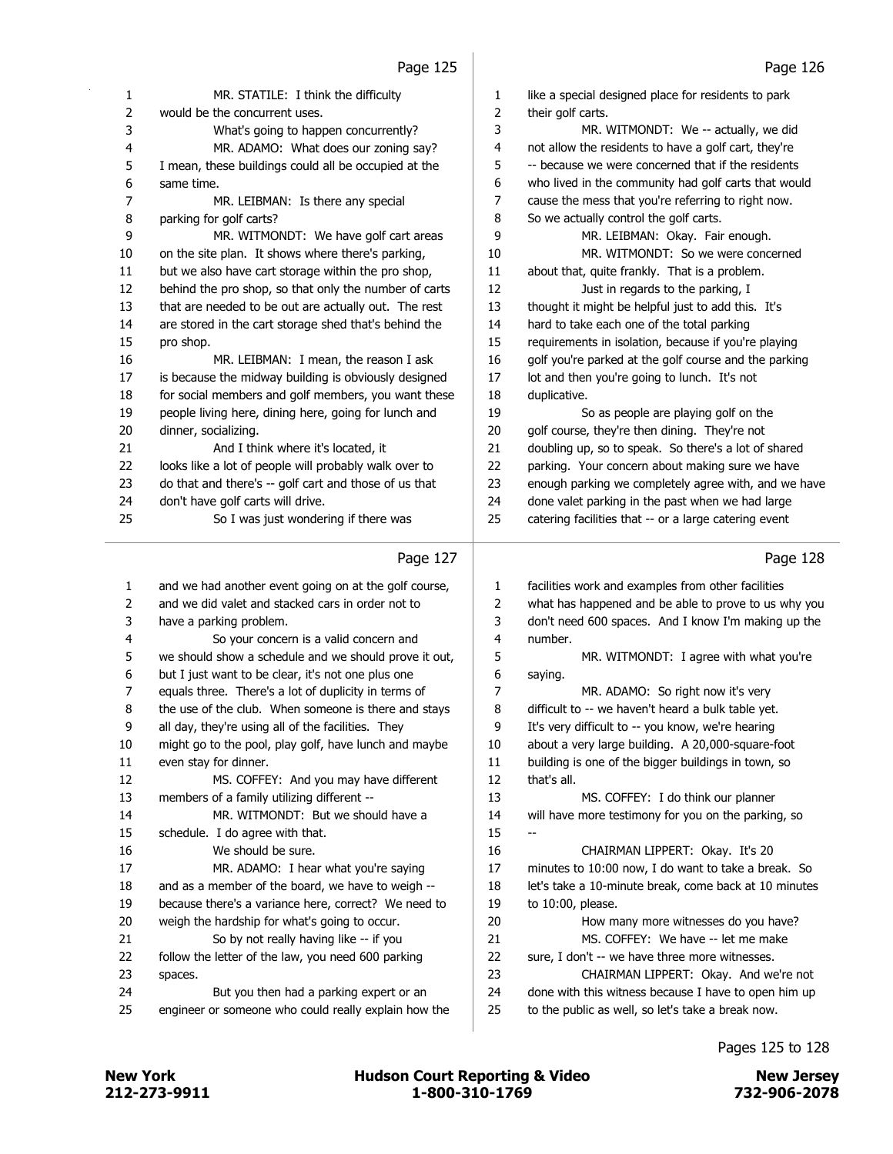| 1  | MR. STATILE: I think the difficulty                   | 1  | like a special designed place for residents to park                                     |
|----|-------------------------------------------------------|----|-----------------------------------------------------------------------------------------|
| 2  | would be the concurrent uses.                         | 2  | their golf carts.                                                                       |
| 3  | What's going to happen concurrently?                  | 3  | MR. WITMONDT: We -- actually, we did                                                    |
| 4  | MR. ADAMO: What does our zoning say?                  | 4  | not allow the residents to have a golf cart, they're                                    |
| 5  | I mean, these buildings could all be occupied at the  | 5  | -- because we were concerned that if the residents                                      |
| 6  | same time.                                            | 6  | who lived in the community had golf carts that would                                    |
| 7  | MR. LEIBMAN: Is there any special                     | 7  | cause the mess that you're referring to right now.                                      |
| 8  | parking for golf carts?                               | 8  | So we actually control the golf carts.                                                  |
| 9  | MR. WITMONDT: We have golf cart areas                 | 9  | MR. LEIBMAN: Okay. Fair enough.                                                         |
| 10 | on the site plan. It shows where there's parking,     | 10 | MR. WITMONDT: So we were concerned                                                      |
| 11 | but we also have cart storage within the pro shop,    | 11 | about that, quite frankly. That is a problem.                                           |
| 12 | behind the pro shop, so that only the number of carts | 12 | Just in regards to the parking, I                                                       |
| 13 | that are needed to be out are actually out. The rest  | 13 | thought it might be helpful just to add this. It's                                      |
| 14 | are stored in the cart storage shed that's behind the | 14 | hard to take each one of the total parking                                              |
| 15 | pro shop.                                             | 15 | requirements in isolation, because if you're playing                                    |
| 16 | MR. LEIBMAN: I mean, the reason I ask                 | 16 | golf you're parked at the golf course and the parking                                   |
| 17 | is because the midway building is obviously designed  | 17 | lot and then you're going to lunch. It's not                                            |
| 18 | for social members and golf members, you want these   | 18 | duplicative.                                                                            |
| 19 | people living here, dining here, going for lunch and  | 19 | So as people are playing golf on the                                                    |
| 20 | dinner, socializing.                                  | 20 | golf course, they're then dining. They're not                                           |
| 21 | And I think where it's located, it                    | 21 | doubling up, so to speak. So there's a lot of shared                                    |
| 22 | looks like a lot of people will probably walk over to | 22 | parking. Your concern about making sure we have                                         |
| 23 | do that and there's -- golf cart and those of us that | 23 | enough parking we completely agree with, and we have                                    |
| 24 | don't have golf carts will drive.                     | 24 | done valet parking in the past when we had large                                        |
| 25 | So I was just wondering if there was                  | 25 | catering facilities that -- or a large catering event                                   |
|    |                                                       |    |                                                                                         |
|    | Page 127                                              |    | Page 128                                                                                |
|    |                                                       |    |                                                                                         |
| 1  | and we had another event going on at the golf course, | 1  | facilities work and examples from other facilities                                      |
| 2  | and we did valet and stacked cars in order not to     | 2  | what has happened and be able to prove to us why you                                    |
| 3  | have a parking problem.                               | 3  | don't need 600 spaces. And I know I'm making up the                                     |
| 4  | So your concern is a valid concern and                | 4  | number.                                                                                 |
| 5  | we should show a schedule and we should prove it out, | 5  | MR. WITMONDT: I agree with what you're                                                  |
| 6  | but I just want to be clear, it's not one plus one    | 6  | saying.                                                                                 |
| 7  | equals three. There's a lot of duplicity in terms of  | 7  | MR. ADAMO: So right now it's very                                                       |
| 8  | the use of the club. When someone is there and stays  | 8  | difficult to -- we haven't heard a bulk table yet.                                      |
| ٩  | all day, they're using all of the facilities. They    | q  | It's very difficult to -- you know, we're hearing                                       |
| 10 | might go to the pool, play golf, have lunch and maybe | 10 | about a very large building. A 20,000-square-foot                                       |
| 11 | even stay for dinner.                                 | 11 | building is one of the bigger buildings in town, so                                     |
| 12 | MS. COFFEY: And you may have different                | 12 | that's all.                                                                             |
| 13 | members of a family utilizing different --            | 13 | MS. COFFEY: I do think our planner                                                      |
| 14 | MR. WITMONDT: But we should have a                    | 14 | will have more testimony for you on the parking, so                                     |
| 15 | schedule. I do agree with that.                       | 15 |                                                                                         |
| 16 | We should be sure.                                    | 16 | CHAIRMAN LIPPERT: Okay. It's 20                                                         |
| 17 | MR. ADAMO: I hear what you're saying                  | 17 | minutes to 10:00 now, I do want to take a break. So                                     |
| 18 | and as a member of the board, we have to weigh --     | 18 | let's take a 10-minute break, come back at 10 minutes                                   |
| 19 | because there's a variance here, correct? We need to  | 19 | to $10:00$ , please.                                                                    |
| 20 | weigh the hardship for what's going to occur.         | 20 | How many more witnesses do you have?                                                    |
| 21 | So by not really having like -- if you                | 21 | MS. COFFEY: We have -- let me make                                                      |
| 22 | follow the letter of the law, you need 600 parking    | 22 |                                                                                         |
| 23 |                                                       | 23 | sure, I don't -- we have three more witnesses.<br>CHAIRMAN LIPPERT: Okay. And we're not |
|    | spaces.                                               |    |                                                                                         |
| 24 |                                                       |    |                                                                                         |
|    | But you then had a parking expert or an               | 24 | done with this witness because I have to open him up                                    |
| 25 | engineer or someone who could really explain how the  | 25 | to the public as well, so let's take a break now.                                       |

## Pages 125 to 128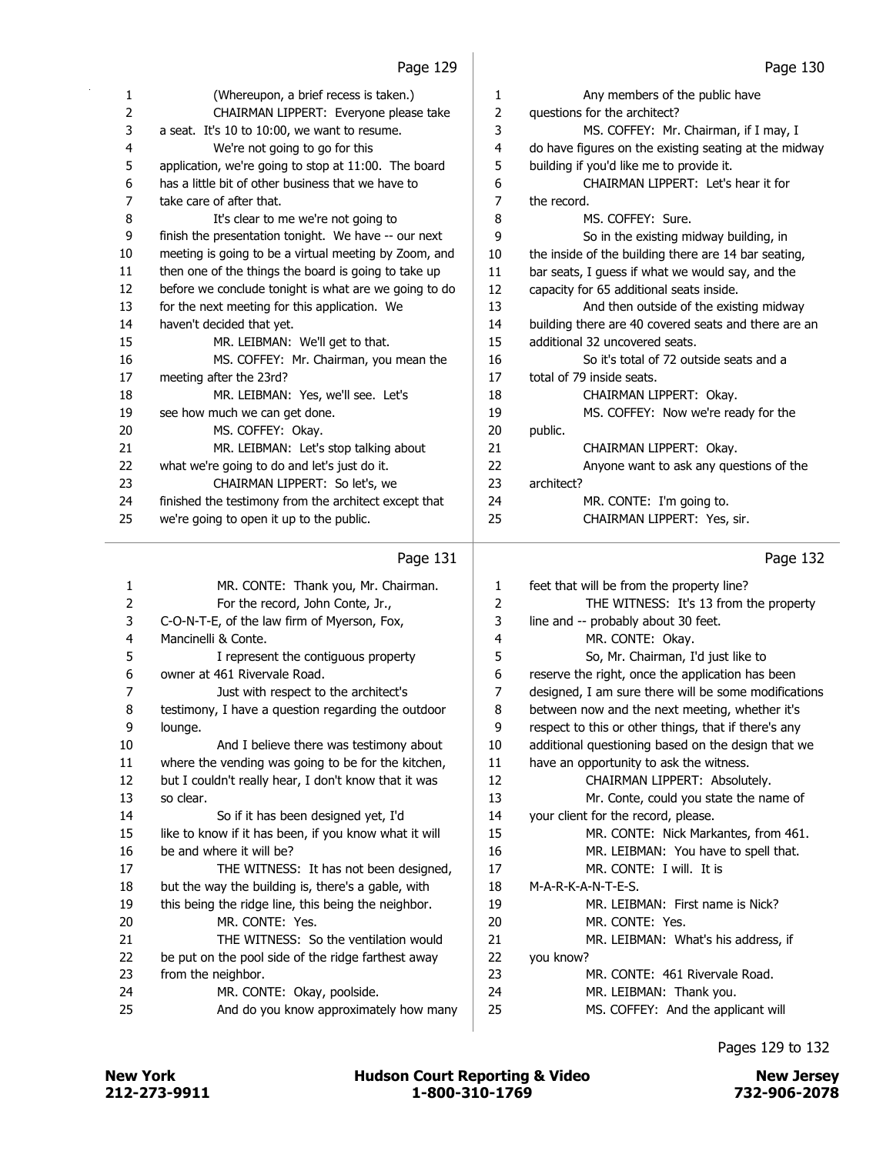| 1  | (Whereupon, a brief recess is taken.)                 | 1  | Any members of the public have                        |
|----|-------------------------------------------------------|----|-------------------------------------------------------|
| 2  | CHAIRMAN LIPPERT: Everyone please take                | 2  | questions for the architect?                          |
| 3  | a seat. It's 10 to 10:00, we want to resume.          | 3  | MS. COFFEY: Mr. Chairman, if I may, I                 |
| 4  | We're not going to go for this                        | 4  | do have figures on the existing seating at the midway |
| 5  | application, we're going to stop at 11:00. The board  | 5  | building if you'd like me to provide it.              |
| 6  | has a little bit of other business that we have to    | 6  | CHAIRMAN LIPPERT: Let's hear it for                   |
| 7  | take care of after that.                              | 7  | the record.                                           |
| 8  | It's clear to me we're not going to                   | 8  | MS. COFFFY: Sure.                                     |
| 9  | finish the presentation tonight. We have -- our next  | 9  | So in the existing midway building, in                |
| 10 | meeting is going to be a virtual meeting by Zoom, and | 10 | the inside of the building there are 14 bar seating,  |
| 11 | then one of the things the board is going to take up  | 11 | bar seats, I guess if what we would say, and the      |
| 12 | before we conclude tonight is what are we going to do | 12 | capacity for 65 additional seats inside.              |
| 13 | for the next meeting for this application. We         | 13 | And then outside of the existing midway               |
| 14 | haven't decided that yet.                             | 14 | building there are 40 covered seats and there are an  |
| 15 | MR. LEIBMAN: We'll get to that.                       | 15 | additional 32 uncovered seats.                        |
| 16 | MS. COFFEY: Mr. Chairman, you mean the                | 16 | So it's total of 72 outside seats and a               |
| 17 | meeting after the 23rd?                               | 17 | total of 79 inside seats.                             |
| 18 | MR. LEIBMAN: Yes, we'll see. Let's                    | 18 | CHAIRMAN LIPPERT: Okay.                               |
| 19 | see how much we can get done.                         | 19 | MS. COFFEY: Now we're ready for the                   |
| 20 | MS. COFFEY: Okay.                                     | 20 | public.                                               |
| 21 | MR. LEIBMAN: Let's stop talking about                 | 21 | CHAIRMAN LIPPERT: Okay.                               |
| 22 | what we're going to do and let's just do it.          | 22 | Anyone want to ask any questions of the               |
| 23 | CHAIRMAN LIPPERT: So let's, we                        | 23 | architect?                                            |
| 24 | finished the testimony from the architect except that | 24 | MR. CONTE: I'm going to.                              |
| 25 | we're going to open it up to the public.              | 25 | CHAIRMAN LIPPERT: Yes, sir.                           |
|    |                                                       |    |                                                       |

| 1  | MR. CONTE: Thank you, Mr. Chairman.                   | $\mathbf{1}$ | fe  |
|----|-------------------------------------------------------|--------------|-----|
| 2  | For the record, John Conte, Jr.,                      | 2            |     |
| 3  | C-O-N-T-E, of the law firm of Myerson, Fox,           | 3            | lir |
| 4  | Mancinelli & Conte.                                   | 4            |     |
| 5  | I represent the contiguous property                   | 5            |     |
| 6  | owner at 461 Rivervale Road.                          | 6            | re  |
| 7  | Just with respect to the architect's                  | 7            | d   |
| 8  | testimony, I have a question regarding the outdoor    | 8            | b   |
| 9  | lounge.                                               | 9            | re  |
| 10 | And I believe there was testimony about               | 10           | a   |
| 11 | where the vending was going to be for the kitchen,    | 11           | h,  |
| 12 | but I couldn't really hear, I don't know that it was  | 12           |     |
| 13 | so clear.                                             | 13           |     |
| 14 | So if it has been designed yet, I'd                   | 14           | y   |
| 15 | like to know if it has been, if you know what it will | 15           |     |
| 16 | be and where it will be?                              | 16           |     |
| 17 | THE WITNESS: It has not been designed,                | 17           |     |
| 18 | but the way the building is, there's a gable, with    | 18           | M   |
| 19 | this being the ridge line, this being the neighbor.   | 19           |     |
| 20 | MR. CONTE: Yes.                                       | 20           |     |
| 21 | THE WITNESS: So the ventilation would                 | 21           |     |
| 22 | be put on the pool side of the ridge farthest away    | 22           | y   |
| 23 | from the neighbor.                                    | 23           |     |
| 24 | MR. CONTE: Okay, poolside.                            | 24           |     |
| 25 | And do you know approximately how many                | 25           |     |
|    |                                                       |              |     |

## Page 132

| 1  | feet that will be from the property line?            |
|----|------------------------------------------------------|
| 2  | THE WITNESS: It's 13 from the property               |
| 3  | line and -- probably about 30 feet.                  |
| 4  | MR. CONTE: Okay.                                     |
| 5  | So, Mr. Chairman, I'd just like to                   |
| 6  | reserve the right, once the application has been     |
| 7  | designed, I am sure there will be some modifications |
| 8  | between now and the next meeting, whether it's       |
| 9  | respect to this or other things, that if there's any |
| 10 | additional questioning based on the design that we   |
| 11 | have an opportunity to ask the witness.              |
| 12 | CHAIRMAN LIPPERT: Absolutely.                        |
| 13 | Mr. Conte, could you state the name of               |
| 14 | your client for the record, please.                  |
| 15 | MR. CONTE: Nick Markantes, from 461.                 |
| 16 | MR. LEIBMAN: You have to spell that.                 |
| 17 | MR. CONTF: I will. It is                             |
| 18 | M-A-R-K-A-N-T-E-S.                                   |
| 19 | MR. LEIBMAN: First name is Nick?                     |
| 20 | MR. CONTE: Yes.                                      |
| 21 | MR. LEIBMAN: What's his address, if                  |
| 22 | you know?                                            |
| 23 | MR. CONTE: 461 Rivervale Road.                       |
| 24 | MR. LEIBMAN: Thank you.                              |
| 25 | MS. COFFEY: And the applicant will                   |
|    |                                                      |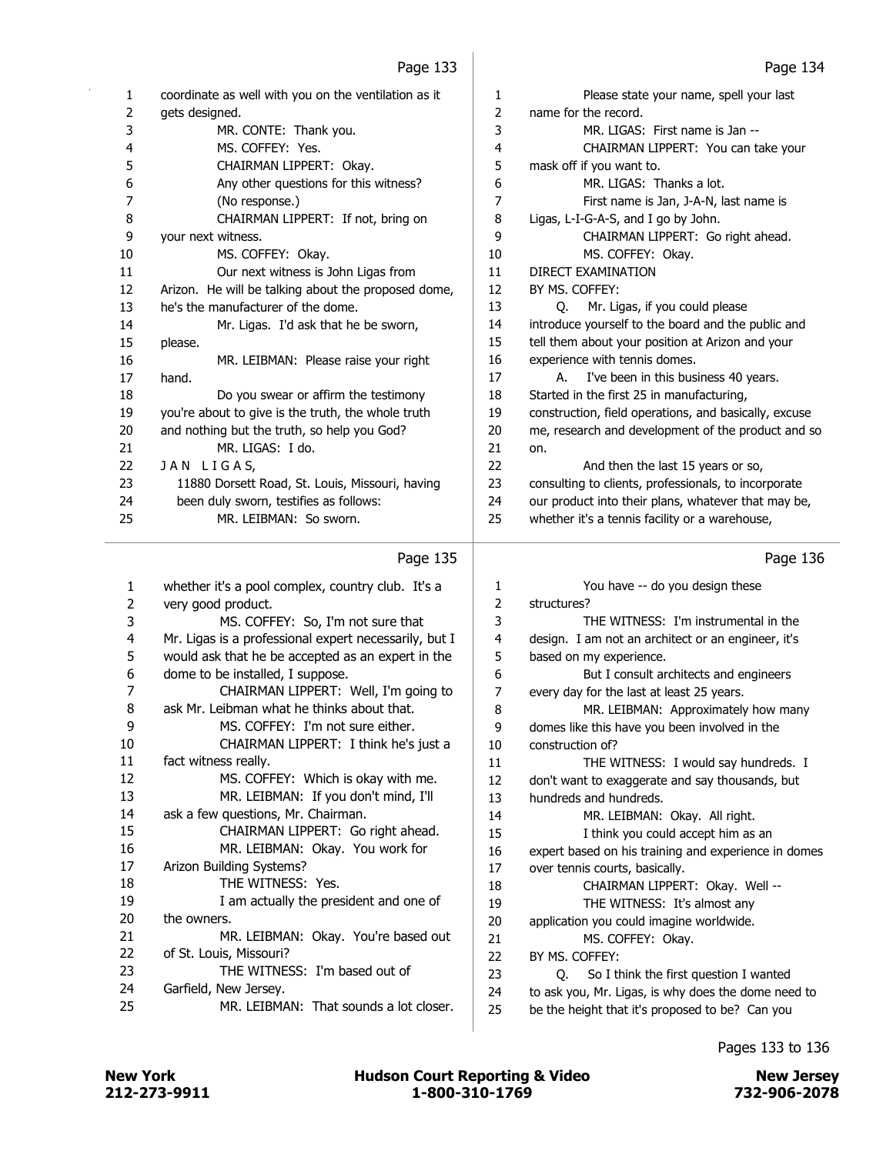| 1  | coordinate as well with you on the ventilation as it | $\mathbf{1}$   | Please state your name, spell your last               |
|----|------------------------------------------------------|----------------|-------------------------------------------------------|
| 2  | gets designed.                                       | $\overline{2}$ | name for the record.                                  |
| 3  | MR. CONTE: Thank you.                                | 3              | MR. LIGAS: First name is Jan --                       |
| 4  | MS. COFFEY: Yes.                                     | 4              | CHAIRMAN LIPPERT: You can take your                   |
| 5  | CHAIRMAN LIPPERT: Okay.                              | 5              | mask off if you want to.                              |
| 6  | Any other questions for this witness?                | 6              | MR. LIGAS: Thanks a lot.                              |
| 7  | (No response.)                                       | 7              | First name is Jan, J-A-N, last name is                |
| 8  | CHAIRMAN LIPPERT: If not, bring on                   | 8              | Ligas, L-I-G-A-S, and I go by John.                   |
| 9  | your next witness.                                   | 9              | CHAIRMAN LIPPERT: Go right ahead.                     |
| 10 | MS. COFFEY: Okay.                                    | 10             | MS. COFFEY: Okay.                                     |
| 11 | Our next witness is John Ligas from                  | 11             | <b>DIRECT EXAMINATION</b>                             |
| 12 | Arizon. He will be talking about the proposed dome,  | 12             | BY MS. COFFEY:                                        |
| 13 | he's the manufacturer of the dome.                   | 13             | Mr. Ligas, if you could please<br>0.                  |
| 14 | Mr. Ligas. I'd ask that he be sworn,                 | 14             | introduce yourself to the board and the public and    |
| 15 | please.                                              | 15             | tell them about your position at Arizon and your      |
| 16 | MR. LEIBMAN: Please raise your right                 | 16             | experience with tennis domes.                         |
| 17 | hand.                                                | 17             | I've been in this business 40 years.<br>A.            |
| 18 | Do you swear or affirm the testimony                 | 18             | Started in the first 25 in manufacturing,             |
| 19 | you're about to give is the truth, the whole truth   | 19             | construction, field operations, and basically, excuse |
| 20 | and nothing but the truth, so help you God?          | 20             | me, research and development of the product and so    |
| 21 | MR. LIGAS: I do.                                     | 21             | on.                                                   |
| 22 | JAN LIGAS,                                           | 22             | And then the last 15 years or so,                     |
| 23 | 11880 Dorsett Road, St. Louis, Missouri, having      | 23             | consulting to clients, professionals, to incorporate  |
| 24 | been duly sworn, testifies as follows:               | 24             | our product into their plans, whatever that may be,   |
| 25 | MR. LEIBMAN: So sworn.                               | 25             | whether it's a tennis facility or a warehouse,        |
|    | Page 135                                             |                | Page 136                                              |

## Page 135 |

| 1  | whether it's a pool complex, country club. It's a     | 1              | You have -- do you design these                      |
|----|-------------------------------------------------------|----------------|------------------------------------------------------|
| 2  | very good product.                                    | $\overline{2}$ | structures?                                          |
| 3  | MS. COFFEY: So, I'm not sure that                     | 3              | THE WITNESS: I'm instrumental in the                 |
| 4  | Mr. Ligas is a professional expert necessarily, but I | 4              | design. I am not an architect or an engineer, it's   |
| 5  | would ask that he be accepted as an expert in the     | 5              | based on my experience.                              |
| 6  | dome to be installed, I suppose.                      | 6              | But I consult architects and engineers               |
| 7  | CHAIRMAN LIPPERT: Well, I'm going to                  | 7              | every day for the last at least 25 years.            |
| 8  | ask Mr. Leibman what he thinks about that.            | 8              | MR. LEIBMAN: Approximately how many                  |
| 9  | MS. COFFEY: I'm not sure either.                      | 9              | domes like this have you been involved in the        |
| 10 | CHAIRMAN LIPPERT: I think he's just a                 | 10             | construction of?                                     |
| 11 | fact witness really.                                  | 11             | THE WITNESS: I would say hundreds. I                 |
| 12 | MS. COFFEY: Which is okay with me.                    | 12             | don't want to exaggerate and say thousands, but      |
| 13 | MR. LEIBMAN: If you don't mind, I'll                  | 13             | hundreds and hundreds.                               |
| 14 | ask a few questions, Mr. Chairman.                    | 14             | MR. LEIBMAN: Okay. All right.                        |
| 15 | CHAIRMAN LIPPERT: Go right ahead.                     | 15             | I think you could accept him as an                   |
| 16 | MR. LEIBMAN: Okay. You work for                       | 16             | expert based on his training and experience in domes |
| 17 | Arizon Building Systems?                              | 17             | over tennis courts, basically.                       |
| 18 | THE WITNESS: Yes.                                     | 18             | CHAIRMAN LIPPERT: Okay. Well --                      |
| 19 | I am actually the president and one of                | 19             | THE WITNESS: It's almost any                         |
| 20 | the owners.                                           | 20             | application you could imagine worldwide.             |
| 21 | MR. LEIBMAN: Okay. You're based out                   | 21             | MS. COFFEY: Okay.                                    |
| 22 | of St. Louis, Missouri?                               | 22             | BY MS. COFFEY:                                       |
| 23 | THE WITNESS: I'm based out of                         | 23             | So I think the first question I wanted<br>0.         |
| 24 | Garfield, New Jersey.                                 | 24             | to ask you, Mr. Ligas, is why does the dome need to  |
| 25 | MR. LEIBMAN: That sounds a lot closer.                | 25             | be the height that it's proposed to be? Can you      |
|    |                                                       |                |                                                      |

## Pages 133 to 136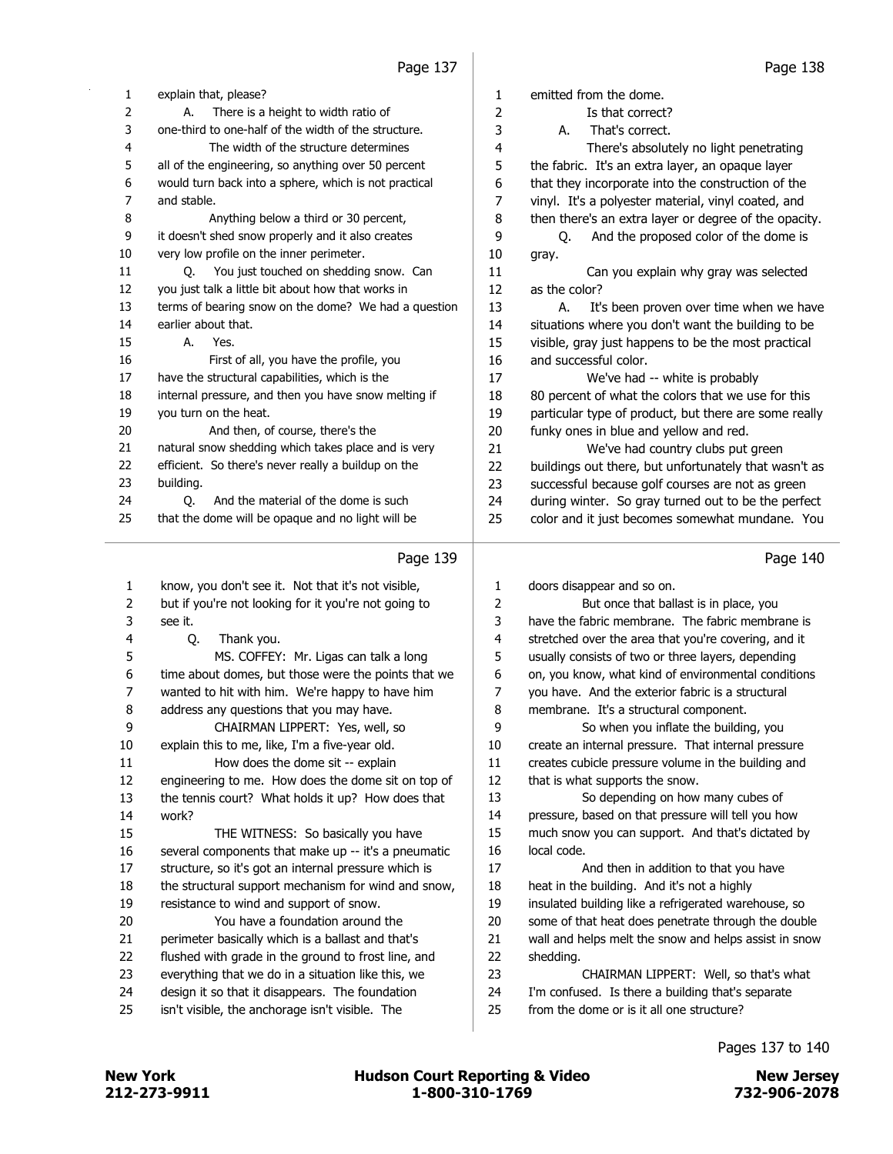| 1<br>explain that, please?<br>$\mathbf{1}$<br>emitted from the dome.<br>$\overline{c}$<br>2<br>There is a height to width ratio of<br>Is that correct?<br>А.<br>3<br>one-third to one-half of the width of the structure.<br>3<br>That's correct.<br>А.<br>4<br>The width of the structure determines<br>4<br>There's absolutely no light penetrating<br>5<br>5<br>all of the engineering, so anything over 50 percent<br>the fabric. It's an extra layer, an opaque layer<br>6<br>would turn back into a sphere, which is not practical<br>6<br>that they incorporate into the construction of the<br>7<br>$\overline{7}$<br>and stable.<br>vinyl. It's a polyester material, vinyl coated, and<br>8<br>8<br>Anything below a third or 30 percent,<br>then there's an extra layer or degree of the opacity.<br>9<br>it doesn't shed snow properly and it also creates<br>9<br>And the proposed color of the dome is<br>Q.<br>10<br>very low profile on the inner perimeter.<br>10<br>gray.<br>You just touched on shedding snow. Can<br>11<br>11<br>Can you explain why gray was selected<br>0.<br>12<br>you just talk a little bit about how that works in<br>12<br>as the color?<br>13<br>terms of bearing snow on the dome? We had a question<br>13<br>А.<br>It's been proven over time when we have<br>14<br>earlier about that.<br>14<br>situations where you don't want the building to be<br>15<br>А.<br>Yes.<br>15<br>visible, gray just happens to be the most practical<br>16<br>First of all, you have the profile, you<br>16<br>and successful color.<br>have the structural capabilities, which is the<br>17<br>17<br>We've had -- white is probably<br>internal pressure, and then you have snow melting if<br>18<br>18<br>80 percent of what the colors that we use for this<br>19<br>you turn on the heat.<br>particular type of product, but there are some really<br>19<br>20<br>20<br>And then, of course, there's the<br>funky ones in blue and yellow and red.<br>natural snow shedding which takes place and is very<br>21<br>21<br>We've had country clubs put green<br>22<br>efficient. So there's never really a buildup on the<br>22<br>buildings out there, but unfortunately that wasn't as<br>23<br>23<br>successful because golf courses are not as green<br>building.<br>24<br>24<br>And the material of the dome is such<br>during winter. So gray turned out to be the perfect<br>O.<br>25<br>that the dome will be opaque and no light will be<br>25<br>color and it just becomes somewhat mundane. You<br>Page 139<br>Page 140<br>know, you don't see it. Not that it's not visible,<br>doors disappear and so on.<br>1<br>1<br>but if you're not looking for it you're not going to<br>2<br>But once that ballast is in place, you<br>2<br>3<br>have the fabric membrane. The fabric membrane is<br>3<br>see it.<br>4<br>stretched over the area that you're covering, and it<br>4<br>Q.<br>Thank you.<br>5<br>5<br>MS. COFFEY: Mr. Ligas can talk a long<br>usually consists of two or three layers, depending<br>6<br>on, you know, what kind of environmental conditions<br>6<br>time about domes, but those were the points that we<br>wanted to hit with him. We're happy to have him<br>7<br>7<br>you have. And the exterior fabric is a structural<br>8<br>8<br>address any questions that you may have.<br>membrane. It's a structural component.<br>9<br>CHAIRMAN LIPPERT: Yes, well, so<br>9<br>So when you inflate the building, you<br>$10\,$<br>10<br>explain this to me, like, I'm a five-year old.<br>create an internal pressure. That internal pressure<br>11<br>How does the dome sit -- explain<br>11<br>creates cubicle pressure volume in the building and<br>12<br>12<br>engineering to me. How does the dome sit on top of<br>that is what supports the snow.<br>13<br>13<br>the tennis court? What holds it up? How does that<br>So depending on how many cubes of<br>14<br>14<br>pressure, based on that pressure will tell you how<br>work?<br>15<br>15<br>THE WITNESS: So basically you have<br>much snow you can support. And that's dictated by<br>16<br>local code.<br>16<br>several components that make up -- it's a pneumatic<br>structure, so it's got an internal pressure which is<br>17<br>17<br>And then in addition to that you have<br>18<br>the structural support mechanism for wind and snow,<br>18<br>heat in the building. And it's not a highly<br>19<br>19<br>resistance to wind and support of snow.<br>insulated building like a refrigerated warehouse, so<br>20<br>You have a foundation around the<br>20<br>some of that heat does penetrate through the double<br>21<br>wall and helps melt the snow and helps assist in snow<br>21<br>perimeter basically which is a ballast and that's<br>22<br>22<br>flushed with grade in the ground to frost line, and<br>shedding.<br>23<br>everything that we do in a situation like this, we<br>23<br>CHAIRMAN LIPPERT: Well, so that's what<br>24<br>24<br>design it so that it disappears. The foundation<br>I'm confused. Is there a building that's separate<br>25<br>25<br>isn't visible, the anchorage isn't visible. The<br>from the dome or is it all one structure? | rayc 197 | rage 190 |
|----------------------------------------------------------------------------------------------------------------------------------------------------------------------------------------------------------------------------------------------------------------------------------------------------------------------------------------------------------------------------------------------------------------------------------------------------------------------------------------------------------------------------------------------------------------------------------------------------------------------------------------------------------------------------------------------------------------------------------------------------------------------------------------------------------------------------------------------------------------------------------------------------------------------------------------------------------------------------------------------------------------------------------------------------------------------------------------------------------------------------------------------------------------------------------------------------------------------------------------------------------------------------------------------------------------------------------------------------------------------------------------------------------------------------------------------------------------------------------------------------------------------------------------------------------------------------------------------------------------------------------------------------------------------------------------------------------------------------------------------------------------------------------------------------------------------------------------------------------------------------------------------------------------------------------------------------------------------------------------------------------------------------------------------------------------------------------------------------------------------------------------------------------------------------------------------------------------------------------------------------------------------------------------------------------------------------------------------------------------------------------------------------------------------------------------------------------------------------------------------------------------------------------------------------------------------------------------------------------------------------------------------------------------------------------------------------------------------------------------------------------------------------------------------------------------------------------------------------------------------------------------------------------------------------------------------------------------------------------------------------------------------------------------------------------------------------------------------------------------------------------------------------------------------------------------------------------------------------------------------------------------------------------------------------------------------------------------------------------------------------------------------------------------------------------------------------------------------------------------------------------------------------------------------------------------------------------------------------------------------------------------------------------------------------------------------------------------------------------------------------------------------------------------------------------------------------------------------------------------------------------------------------------------------------------------------------------------------------------------------------------------------------------------------------------------------------------------------------------------------------------------------------------------------------------------------------------------------------------------------------------------------------------------------------------------------------------------------------------------------------------------------------------------------------------------------------------------------------------------------------------------------------------------------------------------------------------------------------------------------------------------------------------------------------------------------------------------------------------------------------------------------------------------------------------------------------------------------------------------------------------------------------------------------------------------------------------------------------------------------------------------------------------------------------------------------------------------------------------------------------------------------------------------------------------------------------------------|----------|----------|
|                                                                                                                                                                                                                                                                                                                                                                                                                                                                                                                                                                                                                                                                                                                                                                                                                                                                                                                                                                                                                                                                                                                                                                                                                                                                                                                                                                                                                                                                                                                                                                                                                                                                                                                                                                                                                                                                                                                                                                                                                                                                                                                                                                                                                                                                                                                                                                                                                                                                                                                                                                                                                                                                                                                                                                                                                                                                                                                                                                                                                                                                                                                                                                                                                                                                                                                                                                                                                                                                                                                                                                                                                                                                                                                                                                                                                                                                                                                                                                                                                                                                                                                                                                                                                                                                                                                                                                                                                                                                                                                                                                                                                                                                                                                                                                                                                                                                                                                                                                                                                                                                                                                                                                                                                |          |          |
|                                                                                                                                                                                                                                                                                                                                                                                                                                                                                                                                                                                                                                                                                                                                                                                                                                                                                                                                                                                                                                                                                                                                                                                                                                                                                                                                                                                                                                                                                                                                                                                                                                                                                                                                                                                                                                                                                                                                                                                                                                                                                                                                                                                                                                                                                                                                                                                                                                                                                                                                                                                                                                                                                                                                                                                                                                                                                                                                                                                                                                                                                                                                                                                                                                                                                                                                                                                                                                                                                                                                                                                                                                                                                                                                                                                                                                                                                                                                                                                                                                                                                                                                                                                                                                                                                                                                                                                                                                                                                                                                                                                                                                                                                                                                                                                                                                                                                                                                                                                                                                                                                                                                                                                                                |          |          |
|                                                                                                                                                                                                                                                                                                                                                                                                                                                                                                                                                                                                                                                                                                                                                                                                                                                                                                                                                                                                                                                                                                                                                                                                                                                                                                                                                                                                                                                                                                                                                                                                                                                                                                                                                                                                                                                                                                                                                                                                                                                                                                                                                                                                                                                                                                                                                                                                                                                                                                                                                                                                                                                                                                                                                                                                                                                                                                                                                                                                                                                                                                                                                                                                                                                                                                                                                                                                                                                                                                                                                                                                                                                                                                                                                                                                                                                                                                                                                                                                                                                                                                                                                                                                                                                                                                                                                                                                                                                                                                                                                                                                                                                                                                                                                                                                                                                                                                                                                                                                                                                                                                                                                                                                                |          |          |
|                                                                                                                                                                                                                                                                                                                                                                                                                                                                                                                                                                                                                                                                                                                                                                                                                                                                                                                                                                                                                                                                                                                                                                                                                                                                                                                                                                                                                                                                                                                                                                                                                                                                                                                                                                                                                                                                                                                                                                                                                                                                                                                                                                                                                                                                                                                                                                                                                                                                                                                                                                                                                                                                                                                                                                                                                                                                                                                                                                                                                                                                                                                                                                                                                                                                                                                                                                                                                                                                                                                                                                                                                                                                                                                                                                                                                                                                                                                                                                                                                                                                                                                                                                                                                                                                                                                                                                                                                                                                                                                                                                                                                                                                                                                                                                                                                                                                                                                                                                                                                                                                                                                                                                                                                |          |          |
|                                                                                                                                                                                                                                                                                                                                                                                                                                                                                                                                                                                                                                                                                                                                                                                                                                                                                                                                                                                                                                                                                                                                                                                                                                                                                                                                                                                                                                                                                                                                                                                                                                                                                                                                                                                                                                                                                                                                                                                                                                                                                                                                                                                                                                                                                                                                                                                                                                                                                                                                                                                                                                                                                                                                                                                                                                                                                                                                                                                                                                                                                                                                                                                                                                                                                                                                                                                                                                                                                                                                                                                                                                                                                                                                                                                                                                                                                                                                                                                                                                                                                                                                                                                                                                                                                                                                                                                                                                                                                                                                                                                                                                                                                                                                                                                                                                                                                                                                                                                                                                                                                                                                                                                                                |          |          |
|                                                                                                                                                                                                                                                                                                                                                                                                                                                                                                                                                                                                                                                                                                                                                                                                                                                                                                                                                                                                                                                                                                                                                                                                                                                                                                                                                                                                                                                                                                                                                                                                                                                                                                                                                                                                                                                                                                                                                                                                                                                                                                                                                                                                                                                                                                                                                                                                                                                                                                                                                                                                                                                                                                                                                                                                                                                                                                                                                                                                                                                                                                                                                                                                                                                                                                                                                                                                                                                                                                                                                                                                                                                                                                                                                                                                                                                                                                                                                                                                                                                                                                                                                                                                                                                                                                                                                                                                                                                                                                                                                                                                                                                                                                                                                                                                                                                                                                                                                                                                                                                                                                                                                                                                                |          |          |
|                                                                                                                                                                                                                                                                                                                                                                                                                                                                                                                                                                                                                                                                                                                                                                                                                                                                                                                                                                                                                                                                                                                                                                                                                                                                                                                                                                                                                                                                                                                                                                                                                                                                                                                                                                                                                                                                                                                                                                                                                                                                                                                                                                                                                                                                                                                                                                                                                                                                                                                                                                                                                                                                                                                                                                                                                                                                                                                                                                                                                                                                                                                                                                                                                                                                                                                                                                                                                                                                                                                                                                                                                                                                                                                                                                                                                                                                                                                                                                                                                                                                                                                                                                                                                                                                                                                                                                                                                                                                                                                                                                                                                                                                                                                                                                                                                                                                                                                                                                                                                                                                                                                                                                                                                |          |          |
|                                                                                                                                                                                                                                                                                                                                                                                                                                                                                                                                                                                                                                                                                                                                                                                                                                                                                                                                                                                                                                                                                                                                                                                                                                                                                                                                                                                                                                                                                                                                                                                                                                                                                                                                                                                                                                                                                                                                                                                                                                                                                                                                                                                                                                                                                                                                                                                                                                                                                                                                                                                                                                                                                                                                                                                                                                                                                                                                                                                                                                                                                                                                                                                                                                                                                                                                                                                                                                                                                                                                                                                                                                                                                                                                                                                                                                                                                                                                                                                                                                                                                                                                                                                                                                                                                                                                                                                                                                                                                                                                                                                                                                                                                                                                                                                                                                                                                                                                                                                                                                                                                                                                                                                                                |          |          |
|                                                                                                                                                                                                                                                                                                                                                                                                                                                                                                                                                                                                                                                                                                                                                                                                                                                                                                                                                                                                                                                                                                                                                                                                                                                                                                                                                                                                                                                                                                                                                                                                                                                                                                                                                                                                                                                                                                                                                                                                                                                                                                                                                                                                                                                                                                                                                                                                                                                                                                                                                                                                                                                                                                                                                                                                                                                                                                                                                                                                                                                                                                                                                                                                                                                                                                                                                                                                                                                                                                                                                                                                                                                                                                                                                                                                                                                                                                                                                                                                                                                                                                                                                                                                                                                                                                                                                                                                                                                                                                                                                                                                                                                                                                                                                                                                                                                                                                                                                                                                                                                                                                                                                                                                                |          |          |
|                                                                                                                                                                                                                                                                                                                                                                                                                                                                                                                                                                                                                                                                                                                                                                                                                                                                                                                                                                                                                                                                                                                                                                                                                                                                                                                                                                                                                                                                                                                                                                                                                                                                                                                                                                                                                                                                                                                                                                                                                                                                                                                                                                                                                                                                                                                                                                                                                                                                                                                                                                                                                                                                                                                                                                                                                                                                                                                                                                                                                                                                                                                                                                                                                                                                                                                                                                                                                                                                                                                                                                                                                                                                                                                                                                                                                                                                                                                                                                                                                                                                                                                                                                                                                                                                                                                                                                                                                                                                                                                                                                                                                                                                                                                                                                                                                                                                                                                                                                                                                                                                                                                                                                                                                |          |          |
|                                                                                                                                                                                                                                                                                                                                                                                                                                                                                                                                                                                                                                                                                                                                                                                                                                                                                                                                                                                                                                                                                                                                                                                                                                                                                                                                                                                                                                                                                                                                                                                                                                                                                                                                                                                                                                                                                                                                                                                                                                                                                                                                                                                                                                                                                                                                                                                                                                                                                                                                                                                                                                                                                                                                                                                                                                                                                                                                                                                                                                                                                                                                                                                                                                                                                                                                                                                                                                                                                                                                                                                                                                                                                                                                                                                                                                                                                                                                                                                                                                                                                                                                                                                                                                                                                                                                                                                                                                                                                                                                                                                                                                                                                                                                                                                                                                                                                                                                                                                                                                                                                                                                                                                                                |          |          |
|                                                                                                                                                                                                                                                                                                                                                                                                                                                                                                                                                                                                                                                                                                                                                                                                                                                                                                                                                                                                                                                                                                                                                                                                                                                                                                                                                                                                                                                                                                                                                                                                                                                                                                                                                                                                                                                                                                                                                                                                                                                                                                                                                                                                                                                                                                                                                                                                                                                                                                                                                                                                                                                                                                                                                                                                                                                                                                                                                                                                                                                                                                                                                                                                                                                                                                                                                                                                                                                                                                                                                                                                                                                                                                                                                                                                                                                                                                                                                                                                                                                                                                                                                                                                                                                                                                                                                                                                                                                                                                                                                                                                                                                                                                                                                                                                                                                                                                                                                                                                                                                                                                                                                                                                                |          |          |
|                                                                                                                                                                                                                                                                                                                                                                                                                                                                                                                                                                                                                                                                                                                                                                                                                                                                                                                                                                                                                                                                                                                                                                                                                                                                                                                                                                                                                                                                                                                                                                                                                                                                                                                                                                                                                                                                                                                                                                                                                                                                                                                                                                                                                                                                                                                                                                                                                                                                                                                                                                                                                                                                                                                                                                                                                                                                                                                                                                                                                                                                                                                                                                                                                                                                                                                                                                                                                                                                                                                                                                                                                                                                                                                                                                                                                                                                                                                                                                                                                                                                                                                                                                                                                                                                                                                                                                                                                                                                                                                                                                                                                                                                                                                                                                                                                                                                                                                                                                                                                                                                                                                                                                                                                |          |          |
|                                                                                                                                                                                                                                                                                                                                                                                                                                                                                                                                                                                                                                                                                                                                                                                                                                                                                                                                                                                                                                                                                                                                                                                                                                                                                                                                                                                                                                                                                                                                                                                                                                                                                                                                                                                                                                                                                                                                                                                                                                                                                                                                                                                                                                                                                                                                                                                                                                                                                                                                                                                                                                                                                                                                                                                                                                                                                                                                                                                                                                                                                                                                                                                                                                                                                                                                                                                                                                                                                                                                                                                                                                                                                                                                                                                                                                                                                                                                                                                                                                                                                                                                                                                                                                                                                                                                                                                                                                                                                                                                                                                                                                                                                                                                                                                                                                                                                                                                                                                                                                                                                                                                                                                                                |          |          |
|                                                                                                                                                                                                                                                                                                                                                                                                                                                                                                                                                                                                                                                                                                                                                                                                                                                                                                                                                                                                                                                                                                                                                                                                                                                                                                                                                                                                                                                                                                                                                                                                                                                                                                                                                                                                                                                                                                                                                                                                                                                                                                                                                                                                                                                                                                                                                                                                                                                                                                                                                                                                                                                                                                                                                                                                                                                                                                                                                                                                                                                                                                                                                                                                                                                                                                                                                                                                                                                                                                                                                                                                                                                                                                                                                                                                                                                                                                                                                                                                                                                                                                                                                                                                                                                                                                                                                                                                                                                                                                                                                                                                                                                                                                                                                                                                                                                                                                                                                                                                                                                                                                                                                                                                                |          |          |
|                                                                                                                                                                                                                                                                                                                                                                                                                                                                                                                                                                                                                                                                                                                                                                                                                                                                                                                                                                                                                                                                                                                                                                                                                                                                                                                                                                                                                                                                                                                                                                                                                                                                                                                                                                                                                                                                                                                                                                                                                                                                                                                                                                                                                                                                                                                                                                                                                                                                                                                                                                                                                                                                                                                                                                                                                                                                                                                                                                                                                                                                                                                                                                                                                                                                                                                                                                                                                                                                                                                                                                                                                                                                                                                                                                                                                                                                                                                                                                                                                                                                                                                                                                                                                                                                                                                                                                                                                                                                                                                                                                                                                                                                                                                                                                                                                                                                                                                                                                                                                                                                                                                                                                                                                |          |          |
|                                                                                                                                                                                                                                                                                                                                                                                                                                                                                                                                                                                                                                                                                                                                                                                                                                                                                                                                                                                                                                                                                                                                                                                                                                                                                                                                                                                                                                                                                                                                                                                                                                                                                                                                                                                                                                                                                                                                                                                                                                                                                                                                                                                                                                                                                                                                                                                                                                                                                                                                                                                                                                                                                                                                                                                                                                                                                                                                                                                                                                                                                                                                                                                                                                                                                                                                                                                                                                                                                                                                                                                                                                                                                                                                                                                                                                                                                                                                                                                                                                                                                                                                                                                                                                                                                                                                                                                                                                                                                                                                                                                                                                                                                                                                                                                                                                                                                                                                                                                                                                                                                                                                                                                                                |          |          |
|                                                                                                                                                                                                                                                                                                                                                                                                                                                                                                                                                                                                                                                                                                                                                                                                                                                                                                                                                                                                                                                                                                                                                                                                                                                                                                                                                                                                                                                                                                                                                                                                                                                                                                                                                                                                                                                                                                                                                                                                                                                                                                                                                                                                                                                                                                                                                                                                                                                                                                                                                                                                                                                                                                                                                                                                                                                                                                                                                                                                                                                                                                                                                                                                                                                                                                                                                                                                                                                                                                                                                                                                                                                                                                                                                                                                                                                                                                                                                                                                                                                                                                                                                                                                                                                                                                                                                                                                                                                                                                                                                                                                                                                                                                                                                                                                                                                                                                                                                                                                                                                                                                                                                                                                                |          |          |
|                                                                                                                                                                                                                                                                                                                                                                                                                                                                                                                                                                                                                                                                                                                                                                                                                                                                                                                                                                                                                                                                                                                                                                                                                                                                                                                                                                                                                                                                                                                                                                                                                                                                                                                                                                                                                                                                                                                                                                                                                                                                                                                                                                                                                                                                                                                                                                                                                                                                                                                                                                                                                                                                                                                                                                                                                                                                                                                                                                                                                                                                                                                                                                                                                                                                                                                                                                                                                                                                                                                                                                                                                                                                                                                                                                                                                                                                                                                                                                                                                                                                                                                                                                                                                                                                                                                                                                                                                                                                                                                                                                                                                                                                                                                                                                                                                                                                                                                                                                                                                                                                                                                                                                                                                |          |          |
|                                                                                                                                                                                                                                                                                                                                                                                                                                                                                                                                                                                                                                                                                                                                                                                                                                                                                                                                                                                                                                                                                                                                                                                                                                                                                                                                                                                                                                                                                                                                                                                                                                                                                                                                                                                                                                                                                                                                                                                                                                                                                                                                                                                                                                                                                                                                                                                                                                                                                                                                                                                                                                                                                                                                                                                                                                                                                                                                                                                                                                                                                                                                                                                                                                                                                                                                                                                                                                                                                                                                                                                                                                                                                                                                                                                                                                                                                                                                                                                                                                                                                                                                                                                                                                                                                                                                                                                                                                                                                                                                                                                                                                                                                                                                                                                                                                                                                                                                                                                                                                                                                                                                                                                                                |          |          |
|                                                                                                                                                                                                                                                                                                                                                                                                                                                                                                                                                                                                                                                                                                                                                                                                                                                                                                                                                                                                                                                                                                                                                                                                                                                                                                                                                                                                                                                                                                                                                                                                                                                                                                                                                                                                                                                                                                                                                                                                                                                                                                                                                                                                                                                                                                                                                                                                                                                                                                                                                                                                                                                                                                                                                                                                                                                                                                                                                                                                                                                                                                                                                                                                                                                                                                                                                                                                                                                                                                                                                                                                                                                                                                                                                                                                                                                                                                                                                                                                                                                                                                                                                                                                                                                                                                                                                                                                                                                                                                                                                                                                                                                                                                                                                                                                                                                                                                                                                                                                                                                                                                                                                                                                                |          |          |
|                                                                                                                                                                                                                                                                                                                                                                                                                                                                                                                                                                                                                                                                                                                                                                                                                                                                                                                                                                                                                                                                                                                                                                                                                                                                                                                                                                                                                                                                                                                                                                                                                                                                                                                                                                                                                                                                                                                                                                                                                                                                                                                                                                                                                                                                                                                                                                                                                                                                                                                                                                                                                                                                                                                                                                                                                                                                                                                                                                                                                                                                                                                                                                                                                                                                                                                                                                                                                                                                                                                                                                                                                                                                                                                                                                                                                                                                                                                                                                                                                                                                                                                                                                                                                                                                                                                                                                                                                                                                                                                                                                                                                                                                                                                                                                                                                                                                                                                                                                                                                                                                                                                                                                                                                |          |          |
|                                                                                                                                                                                                                                                                                                                                                                                                                                                                                                                                                                                                                                                                                                                                                                                                                                                                                                                                                                                                                                                                                                                                                                                                                                                                                                                                                                                                                                                                                                                                                                                                                                                                                                                                                                                                                                                                                                                                                                                                                                                                                                                                                                                                                                                                                                                                                                                                                                                                                                                                                                                                                                                                                                                                                                                                                                                                                                                                                                                                                                                                                                                                                                                                                                                                                                                                                                                                                                                                                                                                                                                                                                                                                                                                                                                                                                                                                                                                                                                                                                                                                                                                                                                                                                                                                                                                                                                                                                                                                                                                                                                                                                                                                                                                                                                                                                                                                                                                                                                                                                                                                                                                                                                                                |          |          |
|                                                                                                                                                                                                                                                                                                                                                                                                                                                                                                                                                                                                                                                                                                                                                                                                                                                                                                                                                                                                                                                                                                                                                                                                                                                                                                                                                                                                                                                                                                                                                                                                                                                                                                                                                                                                                                                                                                                                                                                                                                                                                                                                                                                                                                                                                                                                                                                                                                                                                                                                                                                                                                                                                                                                                                                                                                                                                                                                                                                                                                                                                                                                                                                                                                                                                                                                                                                                                                                                                                                                                                                                                                                                                                                                                                                                                                                                                                                                                                                                                                                                                                                                                                                                                                                                                                                                                                                                                                                                                                                                                                                                                                                                                                                                                                                                                                                                                                                                                                                                                                                                                                                                                                                                                |          |          |
|                                                                                                                                                                                                                                                                                                                                                                                                                                                                                                                                                                                                                                                                                                                                                                                                                                                                                                                                                                                                                                                                                                                                                                                                                                                                                                                                                                                                                                                                                                                                                                                                                                                                                                                                                                                                                                                                                                                                                                                                                                                                                                                                                                                                                                                                                                                                                                                                                                                                                                                                                                                                                                                                                                                                                                                                                                                                                                                                                                                                                                                                                                                                                                                                                                                                                                                                                                                                                                                                                                                                                                                                                                                                                                                                                                                                                                                                                                                                                                                                                                                                                                                                                                                                                                                                                                                                                                                                                                                                                                                                                                                                                                                                                                                                                                                                                                                                                                                                                                                                                                                                                                                                                                                                                |          |          |
|                                                                                                                                                                                                                                                                                                                                                                                                                                                                                                                                                                                                                                                                                                                                                                                                                                                                                                                                                                                                                                                                                                                                                                                                                                                                                                                                                                                                                                                                                                                                                                                                                                                                                                                                                                                                                                                                                                                                                                                                                                                                                                                                                                                                                                                                                                                                                                                                                                                                                                                                                                                                                                                                                                                                                                                                                                                                                                                                                                                                                                                                                                                                                                                                                                                                                                                                                                                                                                                                                                                                                                                                                                                                                                                                                                                                                                                                                                                                                                                                                                                                                                                                                                                                                                                                                                                                                                                                                                                                                                                                                                                                                                                                                                                                                                                                                                                                                                                                                                                                                                                                                                                                                                                                                |          |          |
|                                                                                                                                                                                                                                                                                                                                                                                                                                                                                                                                                                                                                                                                                                                                                                                                                                                                                                                                                                                                                                                                                                                                                                                                                                                                                                                                                                                                                                                                                                                                                                                                                                                                                                                                                                                                                                                                                                                                                                                                                                                                                                                                                                                                                                                                                                                                                                                                                                                                                                                                                                                                                                                                                                                                                                                                                                                                                                                                                                                                                                                                                                                                                                                                                                                                                                                                                                                                                                                                                                                                                                                                                                                                                                                                                                                                                                                                                                                                                                                                                                                                                                                                                                                                                                                                                                                                                                                                                                                                                                                                                                                                                                                                                                                                                                                                                                                                                                                                                                                                                                                                                                                                                                                                                |          |          |
|                                                                                                                                                                                                                                                                                                                                                                                                                                                                                                                                                                                                                                                                                                                                                                                                                                                                                                                                                                                                                                                                                                                                                                                                                                                                                                                                                                                                                                                                                                                                                                                                                                                                                                                                                                                                                                                                                                                                                                                                                                                                                                                                                                                                                                                                                                                                                                                                                                                                                                                                                                                                                                                                                                                                                                                                                                                                                                                                                                                                                                                                                                                                                                                                                                                                                                                                                                                                                                                                                                                                                                                                                                                                                                                                                                                                                                                                                                                                                                                                                                                                                                                                                                                                                                                                                                                                                                                                                                                                                                                                                                                                                                                                                                                                                                                                                                                                                                                                                                                                                                                                                                                                                                                                                |          |          |
|                                                                                                                                                                                                                                                                                                                                                                                                                                                                                                                                                                                                                                                                                                                                                                                                                                                                                                                                                                                                                                                                                                                                                                                                                                                                                                                                                                                                                                                                                                                                                                                                                                                                                                                                                                                                                                                                                                                                                                                                                                                                                                                                                                                                                                                                                                                                                                                                                                                                                                                                                                                                                                                                                                                                                                                                                                                                                                                                                                                                                                                                                                                                                                                                                                                                                                                                                                                                                                                                                                                                                                                                                                                                                                                                                                                                                                                                                                                                                                                                                                                                                                                                                                                                                                                                                                                                                                                                                                                                                                                                                                                                                                                                                                                                                                                                                                                                                                                                                                                                                                                                                                                                                                                                                |          |          |
|                                                                                                                                                                                                                                                                                                                                                                                                                                                                                                                                                                                                                                                                                                                                                                                                                                                                                                                                                                                                                                                                                                                                                                                                                                                                                                                                                                                                                                                                                                                                                                                                                                                                                                                                                                                                                                                                                                                                                                                                                                                                                                                                                                                                                                                                                                                                                                                                                                                                                                                                                                                                                                                                                                                                                                                                                                                                                                                                                                                                                                                                                                                                                                                                                                                                                                                                                                                                                                                                                                                                                                                                                                                                                                                                                                                                                                                                                                                                                                                                                                                                                                                                                                                                                                                                                                                                                                                                                                                                                                                                                                                                                                                                                                                                                                                                                                                                                                                                                                                                                                                                                                                                                                                                                |          |          |
|                                                                                                                                                                                                                                                                                                                                                                                                                                                                                                                                                                                                                                                                                                                                                                                                                                                                                                                                                                                                                                                                                                                                                                                                                                                                                                                                                                                                                                                                                                                                                                                                                                                                                                                                                                                                                                                                                                                                                                                                                                                                                                                                                                                                                                                                                                                                                                                                                                                                                                                                                                                                                                                                                                                                                                                                                                                                                                                                                                                                                                                                                                                                                                                                                                                                                                                                                                                                                                                                                                                                                                                                                                                                                                                                                                                                                                                                                                                                                                                                                                                                                                                                                                                                                                                                                                                                                                                                                                                                                                                                                                                                                                                                                                                                                                                                                                                                                                                                                                                                                                                                                                                                                                                                                |          |          |
|                                                                                                                                                                                                                                                                                                                                                                                                                                                                                                                                                                                                                                                                                                                                                                                                                                                                                                                                                                                                                                                                                                                                                                                                                                                                                                                                                                                                                                                                                                                                                                                                                                                                                                                                                                                                                                                                                                                                                                                                                                                                                                                                                                                                                                                                                                                                                                                                                                                                                                                                                                                                                                                                                                                                                                                                                                                                                                                                                                                                                                                                                                                                                                                                                                                                                                                                                                                                                                                                                                                                                                                                                                                                                                                                                                                                                                                                                                                                                                                                                                                                                                                                                                                                                                                                                                                                                                                                                                                                                                                                                                                                                                                                                                                                                                                                                                                                                                                                                                                                                                                                                                                                                                                                                |          |          |
|                                                                                                                                                                                                                                                                                                                                                                                                                                                                                                                                                                                                                                                                                                                                                                                                                                                                                                                                                                                                                                                                                                                                                                                                                                                                                                                                                                                                                                                                                                                                                                                                                                                                                                                                                                                                                                                                                                                                                                                                                                                                                                                                                                                                                                                                                                                                                                                                                                                                                                                                                                                                                                                                                                                                                                                                                                                                                                                                                                                                                                                                                                                                                                                                                                                                                                                                                                                                                                                                                                                                                                                                                                                                                                                                                                                                                                                                                                                                                                                                                                                                                                                                                                                                                                                                                                                                                                                                                                                                                                                                                                                                                                                                                                                                                                                                                                                                                                                                                                                                                                                                                                                                                                                                                |          |          |
|                                                                                                                                                                                                                                                                                                                                                                                                                                                                                                                                                                                                                                                                                                                                                                                                                                                                                                                                                                                                                                                                                                                                                                                                                                                                                                                                                                                                                                                                                                                                                                                                                                                                                                                                                                                                                                                                                                                                                                                                                                                                                                                                                                                                                                                                                                                                                                                                                                                                                                                                                                                                                                                                                                                                                                                                                                                                                                                                                                                                                                                                                                                                                                                                                                                                                                                                                                                                                                                                                                                                                                                                                                                                                                                                                                                                                                                                                                                                                                                                                                                                                                                                                                                                                                                                                                                                                                                                                                                                                                                                                                                                                                                                                                                                                                                                                                                                                                                                                                                                                                                                                                                                                                                                                |          |          |
|                                                                                                                                                                                                                                                                                                                                                                                                                                                                                                                                                                                                                                                                                                                                                                                                                                                                                                                                                                                                                                                                                                                                                                                                                                                                                                                                                                                                                                                                                                                                                                                                                                                                                                                                                                                                                                                                                                                                                                                                                                                                                                                                                                                                                                                                                                                                                                                                                                                                                                                                                                                                                                                                                                                                                                                                                                                                                                                                                                                                                                                                                                                                                                                                                                                                                                                                                                                                                                                                                                                                                                                                                                                                                                                                                                                                                                                                                                                                                                                                                                                                                                                                                                                                                                                                                                                                                                                                                                                                                                                                                                                                                                                                                                                                                                                                                                                                                                                                                                                                                                                                                                                                                                                                                |          |          |
|                                                                                                                                                                                                                                                                                                                                                                                                                                                                                                                                                                                                                                                                                                                                                                                                                                                                                                                                                                                                                                                                                                                                                                                                                                                                                                                                                                                                                                                                                                                                                                                                                                                                                                                                                                                                                                                                                                                                                                                                                                                                                                                                                                                                                                                                                                                                                                                                                                                                                                                                                                                                                                                                                                                                                                                                                                                                                                                                                                                                                                                                                                                                                                                                                                                                                                                                                                                                                                                                                                                                                                                                                                                                                                                                                                                                                                                                                                                                                                                                                                                                                                                                                                                                                                                                                                                                                                                                                                                                                                                                                                                                                                                                                                                                                                                                                                                                                                                                                                                                                                                                                                                                                                                                                |          |          |
|                                                                                                                                                                                                                                                                                                                                                                                                                                                                                                                                                                                                                                                                                                                                                                                                                                                                                                                                                                                                                                                                                                                                                                                                                                                                                                                                                                                                                                                                                                                                                                                                                                                                                                                                                                                                                                                                                                                                                                                                                                                                                                                                                                                                                                                                                                                                                                                                                                                                                                                                                                                                                                                                                                                                                                                                                                                                                                                                                                                                                                                                                                                                                                                                                                                                                                                                                                                                                                                                                                                                                                                                                                                                                                                                                                                                                                                                                                                                                                                                                                                                                                                                                                                                                                                                                                                                                                                                                                                                                                                                                                                                                                                                                                                                                                                                                                                                                                                                                                                                                                                                                                                                                                                                                |          |          |
|                                                                                                                                                                                                                                                                                                                                                                                                                                                                                                                                                                                                                                                                                                                                                                                                                                                                                                                                                                                                                                                                                                                                                                                                                                                                                                                                                                                                                                                                                                                                                                                                                                                                                                                                                                                                                                                                                                                                                                                                                                                                                                                                                                                                                                                                                                                                                                                                                                                                                                                                                                                                                                                                                                                                                                                                                                                                                                                                                                                                                                                                                                                                                                                                                                                                                                                                                                                                                                                                                                                                                                                                                                                                                                                                                                                                                                                                                                                                                                                                                                                                                                                                                                                                                                                                                                                                                                                                                                                                                                                                                                                                                                                                                                                                                                                                                                                                                                                                                                                                                                                                                                                                                                                                                |          |          |
|                                                                                                                                                                                                                                                                                                                                                                                                                                                                                                                                                                                                                                                                                                                                                                                                                                                                                                                                                                                                                                                                                                                                                                                                                                                                                                                                                                                                                                                                                                                                                                                                                                                                                                                                                                                                                                                                                                                                                                                                                                                                                                                                                                                                                                                                                                                                                                                                                                                                                                                                                                                                                                                                                                                                                                                                                                                                                                                                                                                                                                                                                                                                                                                                                                                                                                                                                                                                                                                                                                                                                                                                                                                                                                                                                                                                                                                                                                                                                                                                                                                                                                                                                                                                                                                                                                                                                                                                                                                                                                                                                                                                                                                                                                                                                                                                                                                                                                                                                                                                                                                                                                                                                                                                                |          |          |
|                                                                                                                                                                                                                                                                                                                                                                                                                                                                                                                                                                                                                                                                                                                                                                                                                                                                                                                                                                                                                                                                                                                                                                                                                                                                                                                                                                                                                                                                                                                                                                                                                                                                                                                                                                                                                                                                                                                                                                                                                                                                                                                                                                                                                                                                                                                                                                                                                                                                                                                                                                                                                                                                                                                                                                                                                                                                                                                                                                                                                                                                                                                                                                                                                                                                                                                                                                                                                                                                                                                                                                                                                                                                                                                                                                                                                                                                                                                                                                                                                                                                                                                                                                                                                                                                                                                                                                                                                                                                                                                                                                                                                                                                                                                                                                                                                                                                                                                                                                                                                                                                                                                                                                                                                |          |          |
|                                                                                                                                                                                                                                                                                                                                                                                                                                                                                                                                                                                                                                                                                                                                                                                                                                                                                                                                                                                                                                                                                                                                                                                                                                                                                                                                                                                                                                                                                                                                                                                                                                                                                                                                                                                                                                                                                                                                                                                                                                                                                                                                                                                                                                                                                                                                                                                                                                                                                                                                                                                                                                                                                                                                                                                                                                                                                                                                                                                                                                                                                                                                                                                                                                                                                                                                                                                                                                                                                                                                                                                                                                                                                                                                                                                                                                                                                                                                                                                                                                                                                                                                                                                                                                                                                                                                                                                                                                                                                                                                                                                                                                                                                                                                                                                                                                                                                                                                                                                                                                                                                                                                                                                                                |          |          |
|                                                                                                                                                                                                                                                                                                                                                                                                                                                                                                                                                                                                                                                                                                                                                                                                                                                                                                                                                                                                                                                                                                                                                                                                                                                                                                                                                                                                                                                                                                                                                                                                                                                                                                                                                                                                                                                                                                                                                                                                                                                                                                                                                                                                                                                                                                                                                                                                                                                                                                                                                                                                                                                                                                                                                                                                                                                                                                                                                                                                                                                                                                                                                                                                                                                                                                                                                                                                                                                                                                                                                                                                                                                                                                                                                                                                                                                                                                                                                                                                                                                                                                                                                                                                                                                                                                                                                                                                                                                                                                                                                                                                                                                                                                                                                                                                                                                                                                                                                                                                                                                                                                                                                                                                                |          |          |
|                                                                                                                                                                                                                                                                                                                                                                                                                                                                                                                                                                                                                                                                                                                                                                                                                                                                                                                                                                                                                                                                                                                                                                                                                                                                                                                                                                                                                                                                                                                                                                                                                                                                                                                                                                                                                                                                                                                                                                                                                                                                                                                                                                                                                                                                                                                                                                                                                                                                                                                                                                                                                                                                                                                                                                                                                                                                                                                                                                                                                                                                                                                                                                                                                                                                                                                                                                                                                                                                                                                                                                                                                                                                                                                                                                                                                                                                                                                                                                                                                                                                                                                                                                                                                                                                                                                                                                                                                                                                                                                                                                                                                                                                                                                                                                                                                                                                                                                                                                                                                                                                                                                                                                                                                |          |          |
|                                                                                                                                                                                                                                                                                                                                                                                                                                                                                                                                                                                                                                                                                                                                                                                                                                                                                                                                                                                                                                                                                                                                                                                                                                                                                                                                                                                                                                                                                                                                                                                                                                                                                                                                                                                                                                                                                                                                                                                                                                                                                                                                                                                                                                                                                                                                                                                                                                                                                                                                                                                                                                                                                                                                                                                                                                                                                                                                                                                                                                                                                                                                                                                                                                                                                                                                                                                                                                                                                                                                                                                                                                                                                                                                                                                                                                                                                                                                                                                                                                                                                                                                                                                                                                                                                                                                                                                                                                                                                                                                                                                                                                                                                                                                                                                                                                                                                                                                                                                                                                                                                                                                                                                                                |          |          |
|                                                                                                                                                                                                                                                                                                                                                                                                                                                                                                                                                                                                                                                                                                                                                                                                                                                                                                                                                                                                                                                                                                                                                                                                                                                                                                                                                                                                                                                                                                                                                                                                                                                                                                                                                                                                                                                                                                                                                                                                                                                                                                                                                                                                                                                                                                                                                                                                                                                                                                                                                                                                                                                                                                                                                                                                                                                                                                                                                                                                                                                                                                                                                                                                                                                                                                                                                                                                                                                                                                                                                                                                                                                                                                                                                                                                                                                                                                                                                                                                                                                                                                                                                                                                                                                                                                                                                                                                                                                                                                                                                                                                                                                                                                                                                                                                                                                                                                                                                                                                                                                                                                                                                                                                                |          |          |
|                                                                                                                                                                                                                                                                                                                                                                                                                                                                                                                                                                                                                                                                                                                                                                                                                                                                                                                                                                                                                                                                                                                                                                                                                                                                                                                                                                                                                                                                                                                                                                                                                                                                                                                                                                                                                                                                                                                                                                                                                                                                                                                                                                                                                                                                                                                                                                                                                                                                                                                                                                                                                                                                                                                                                                                                                                                                                                                                                                                                                                                                                                                                                                                                                                                                                                                                                                                                                                                                                                                                                                                                                                                                                                                                                                                                                                                                                                                                                                                                                                                                                                                                                                                                                                                                                                                                                                                                                                                                                                                                                                                                                                                                                                                                                                                                                                                                                                                                                                                                                                                                                                                                                                                                                |          |          |
|                                                                                                                                                                                                                                                                                                                                                                                                                                                                                                                                                                                                                                                                                                                                                                                                                                                                                                                                                                                                                                                                                                                                                                                                                                                                                                                                                                                                                                                                                                                                                                                                                                                                                                                                                                                                                                                                                                                                                                                                                                                                                                                                                                                                                                                                                                                                                                                                                                                                                                                                                                                                                                                                                                                                                                                                                                                                                                                                                                                                                                                                                                                                                                                                                                                                                                                                                                                                                                                                                                                                                                                                                                                                                                                                                                                                                                                                                                                                                                                                                                                                                                                                                                                                                                                                                                                                                                                                                                                                                                                                                                                                                                                                                                                                                                                                                                                                                                                                                                                                                                                                                                                                                                                                                |          |          |
|                                                                                                                                                                                                                                                                                                                                                                                                                                                                                                                                                                                                                                                                                                                                                                                                                                                                                                                                                                                                                                                                                                                                                                                                                                                                                                                                                                                                                                                                                                                                                                                                                                                                                                                                                                                                                                                                                                                                                                                                                                                                                                                                                                                                                                                                                                                                                                                                                                                                                                                                                                                                                                                                                                                                                                                                                                                                                                                                                                                                                                                                                                                                                                                                                                                                                                                                                                                                                                                                                                                                                                                                                                                                                                                                                                                                                                                                                                                                                                                                                                                                                                                                                                                                                                                                                                                                                                                                                                                                                                                                                                                                                                                                                                                                                                                                                                                                                                                                                                                                                                                                                                                                                                                                                |          |          |
|                                                                                                                                                                                                                                                                                                                                                                                                                                                                                                                                                                                                                                                                                                                                                                                                                                                                                                                                                                                                                                                                                                                                                                                                                                                                                                                                                                                                                                                                                                                                                                                                                                                                                                                                                                                                                                                                                                                                                                                                                                                                                                                                                                                                                                                                                                                                                                                                                                                                                                                                                                                                                                                                                                                                                                                                                                                                                                                                                                                                                                                                                                                                                                                                                                                                                                                                                                                                                                                                                                                                                                                                                                                                                                                                                                                                                                                                                                                                                                                                                                                                                                                                                                                                                                                                                                                                                                                                                                                                                                                                                                                                                                                                                                                                                                                                                                                                                                                                                                                                                                                                                                                                                                                                                |          |          |
|                                                                                                                                                                                                                                                                                                                                                                                                                                                                                                                                                                                                                                                                                                                                                                                                                                                                                                                                                                                                                                                                                                                                                                                                                                                                                                                                                                                                                                                                                                                                                                                                                                                                                                                                                                                                                                                                                                                                                                                                                                                                                                                                                                                                                                                                                                                                                                                                                                                                                                                                                                                                                                                                                                                                                                                                                                                                                                                                                                                                                                                                                                                                                                                                                                                                                                                                                                                                                                                                                                                                                                                                                                                                                                                                                                                                                                                                                                                                                                                                                                                                                                                                                                                                                                                                                                                                                                                                                                                                                                                                                                                                                                                                                                                                                                                                                                                                                                                                                                                                                                                                                                                                                                                                                |          |          |
|                                                                                                                                                                                                                                                                                                                                                                                                                                                                                                                                                                                                                                                                                                                                                                                                                                                                                                                                                                                                                                                                                                                                                                                                                                                                                                                                                                                                                                                                                                                                                                                                                                                                                                                                                                                                                                                                                                                                                                                                                                                                                                                                                                                                                                                                                                                                                                                                                                                                                                                                                                                                                                                                                                                                                                                                                                                                                                                                                                                                                                                                                                                                                                                                                                                                                                                                                                                                                                                                                                                                                                                                                                                                                                                                                                                                                                                                                                                                                                                                                                                                                                                                                                                                                                                                                                                                                                                                                                                                                                                                                                                                                                                                                                                                                                                                                                                                                                                                                                                                                                                                                                                                                                                                                |          |          |
|                                                                                                                                                                                                                                                                                                                                                                                                                                                                                                                                                                                                                                                                                                                                                                                                                                                                                                                                                                                                                                                                                                                                                                                                                                                                                                                                                                                                                                                                                                                                                                                                                                                                                                                                                                                                                                                                                                                                                                                                                                                                                                                                                                                                                                                                                                                                                                                                                                                                                                                                                                                                                                                                                                                                                                                                                                                                                                                                                                                                                                                                                                                                                                                                                                                                                                                                                                                                                                                                                                                                                                                                                                                                                                                                                                                                                                                                                                                                                                                                                                                                                                                                                                                                                                                                                                                                                                                                                                                                                                                                                                                                                                                                                                                                                                                                                                                                                                                                                                                                                                                                                                                                                                                                                |          |          |
|                                                                                                                                                                                                                                                                                                                                                                                                                                                                                                                                                                                                                                                                                                                                                                                                                                                                                                                                                                                                                                                                                                                                                                                                                                                                                                                                                                                                                                                                                                                                                                                                                                                                                                                                                                                                                                                                                                                                                                                                                                                                                                                                                                                                                                                                                                                                                                                                                                                                                                                                                                                                                                                                                                                                                                                                                                                                                                                                                                                                                                                                                                                                                                                                                                                                                                                                                                                                                                                                                                                                                                                                                                                                                                                                                                                                                                                                                                                                                                                                                                                                                                                                                                                                                                                                                                                                                                                                                                                                                                                                                                                                                                                                                                                                                                                                                                                                                                                                                                                                                                                                                                                                                                                                                |          |          |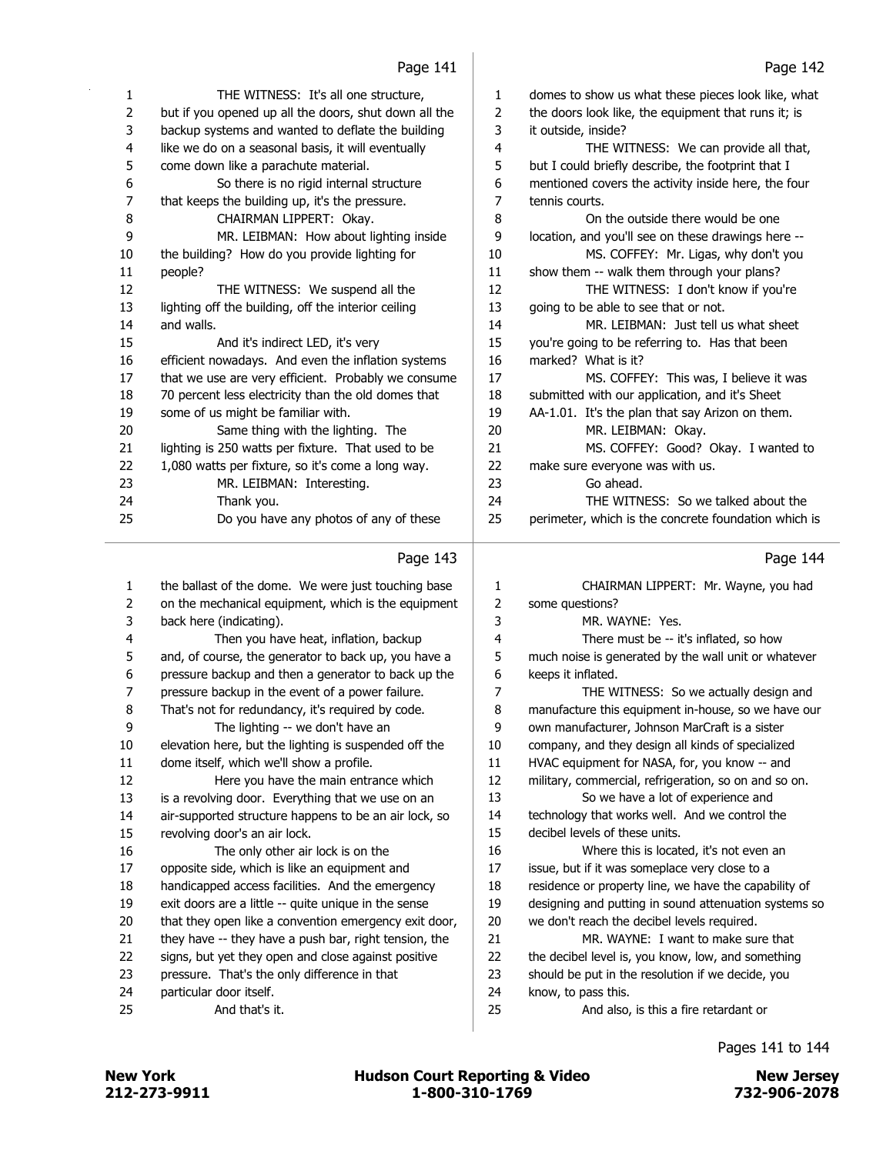| 1              | THE WITNESS: It's all one structure,                  | $\mathbf{1}$   | domes to show us what these pieces look like, what   |
|----------------|-------------------------------------------------------|----------------|------------------------------------------------------|
| $\overline{2}$ | but if you opened up all the doors, shut down all the | $\overline{2}$ | the doors look like, the equipment that runs it; is  |
| 3              | backup systems and wanted to deflate the building     | 3              | it outside, inside?                                  |
| 4              | like we do on a seasonal basis, it will eventually    | 4              | THE WITNESS: We can provide all that,                |
| 5              | come down like a parachute material.                  | 5              | but I could briefly describe, the footprint that I   |
| 6              | So there is no rigid internal structure               | 6              | mentioned covers the activity inside here, the four  |
| 7              | that keeps the building up, it's the pressure.        | 7              | tennis courts.                                       |
| 8              | CHAIRMAN LIPPERT: Okay.                               | 8              | On the outside there would be one                    |
| 9              | MR. LEIBMAN: How about lighting inside                | 9              | location, and you'll see on these drawings here --   |
| 10             | the building? How do you provide lighting for         | 10             | MS. COFFEY: Mr. Ligas, why don't you                 |
| 11             | people?                                               | 11             | show them -- walk them through your plans?           |
| 12             | THE WITNESS: We suspend all the                       | 12             | THE WITNESS: I don't know if you're                  |
| 13             | lighting off the building, off the interior ceiling   | 13             | going to be able to see that or not.                 |
| 14             | and walls.                                            | 14             | MR. LEIBMAN: Just tell us what sheet                 |
| 15             | And it's indirect LED, it's very                      | 15             | you're going to be referring to. Has that been       |
| 16             | efficient nowadays. And even the inflation systems    | 16             | marked? What is it?                                  |
| 17             | that we use are very efficient. Probably we consume   | 17             | MS. COFFEY: This was, I believe it was               |
| 18             | 70 percent less electricity than the old domes that   | 18             | submitted with our application, and it's Sheet       |
| 19             | some of us might be familiar with.                    | 19             | AA-1.01. It's the plan that say Arizon on them.      |
| 20             | Same thing with the lighting. The                     | 20             | MR. LEIBMAN: Okay.                                   |
| 21             | lighting is 250 watts per fixture. That used to be    | 21             | MS. COFFEY: Good? Okay. I wanted to                  |
| 22             | 1,080 watts per fixture, so it's come a long way.     | 22             | make sure everyone was with us.                      |
| 23             | MR. LEIBMAN: Interesting.                             | 23             | Go ahead.                                            |
| 24             | Thank you.                                            | 24             | THE WITNESS: So we talked about the                  |
| 25             | Do you have any photos of any of these                | 25             | perimeter, which is the concrete foundation which is |
|                | Page 143                                              |                | Page 144                                             |
| 1              | the ballast of the dome. We were just touching base   | 1              | CHAIRMAN LIPPERT: Mr. Wayne, you had                 |

| $\mathbf{1}$ | the ballast of the dome. We were just touching base   | 1              | CHAIRMAN LIPPERT: Mr. Wayne, you had                  |
|--------------|-------------------------------------------------------|----------------|-------------------------------------------------------|
| 2            | on the mechanical equipment, which is the equipment   | $\overline{2}$ | some questions?                                       |
| 3            | back here (indicating).                               | 3              | MR. WAYNE: Yes.                                       |
| 4            | Then you have heat, inflation, backup                 | 4              | There must be -- it's inflated, so how                |
| 5            | and, of course, the generator to back up, you have a  | 5              | much noise is generated by the wall unit or whatever  |
| 6            | pressure backup and then a generator to back up the   | 6              | keeps it inflated.                                    |
| 7            | pressure backup in the event of a power failure.      | 7              | THE WITNESS: So we actually design and                |
| 8            | That's not for redundancy, it's required by code.     | 8              | manufacture this equipment in-house, so we have our   |
| 9            | The lighting -- we don't have an                      | 9              | own manufacturer, Johnson MarCraft is a sister        |
| 10           | elevation here, but the lighting is suspended off the | 10             | company, and they design all kinds of specialized     |
| 11           | dome itself, which we'll show a profile.              | 11             | HVAC equipment for NASA, for, you know -- and         |
| 12           | Here you have the main entrance which                 | 12             | military, commercial, refrigeration, so on and so on. |
| 13           | is a revolving door. Everything that we use on an     | 13             | So we have a lot of experience and                    |
| 14           | air-supported structure happens to be an air lock, so | 14             | technology that works well. And we control the        |
| 15           | revolving door's an air lock.                         | 15             | decibel levels of these units.                        |
| 16           | The only other air lock is on the                     | 16             | Where this is located, it's not even an               |
| 17           | opposite side, which is like an equipment and         | 17             | issue, but if it was someplace very close to a        |
| 18           | handicapped access facilities. And the emergency      | 18             | residence or property line, we have the capability of |
| 19           | exit doors are a little -- quite unique in the sense  | 19             | designing and putting in sound attenuation systems so |
| 20           | that they open like a convention emergency exit door, | 20             | we don't reach the decibel levels required.           |
| 21           | they have -- they have a push bar, right tension, the | 21             | MR. WAYNE: I want to make sure that                   |
| 22           | signs, but yet they open and close against positive   | 22             | the decibel level is, you know, low, and something    |
| 23           | pressure. That's the only difference in that          | 23             | should be put in the resolution if we decide, you     |
| 24           | particular door itself.                               | 24             | know, to pass this.                                   |
| 25           | And that's it.                                        | 25             | And also, is this a fire retardant or                 |
|              |                                                       |                |                                                       |

### 

Pages 141 to 144

 $\overline{\phantom{0}}$ 

New York 1980 12/273-9911 1-800-310-1769 1-800-310-1769 12-800-310-1769 12-800-310-1769 12-800-2078 New York **New York 1988** Hudson Court Reporting & Video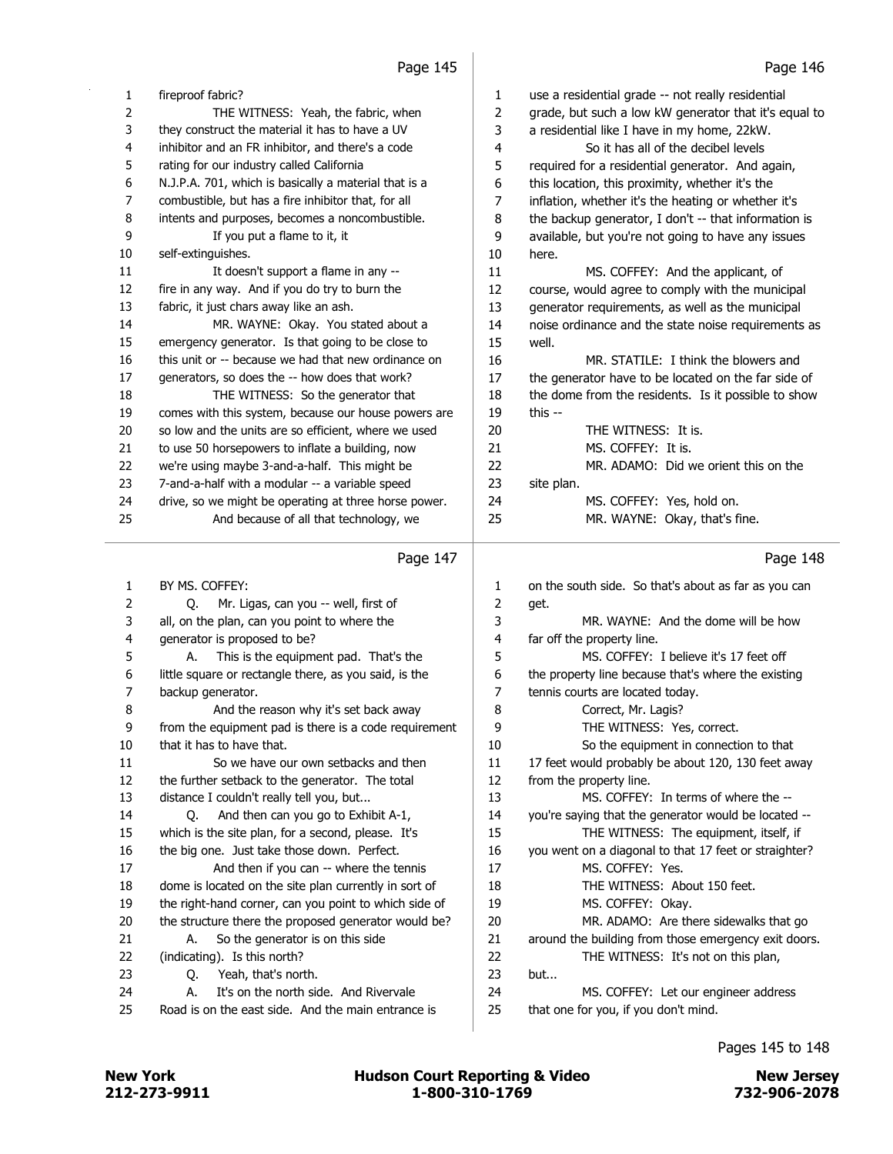| 1              | fireproof fabric?                                     | 1  | use a residential grade -- not really residential     |
|----------------|-------------------------------------------------------|----|-------------------------------------------------------|
| $\overline{2}$ | THE WITNESS: Yeah, the fabric, when                   | 2  | grade, but such a low kW generator that it's equal to |
| 3              | they construct the material it has to have a UV       | 3  | a residential like I have in my home, 22kW.           |
| 4              | inhibitor and an FR inhibitor, and there's a code     | 4  | So it has all of the decibel levels                   |
| 5.             | rating for our industry called California             | 5  | required for a residential generator. And again,      |
| 6              | N.J.P.A. 701, which is basically a material that is a | 6  | this location, this proximity, whether it's the       |
| 7              | combustible, but has a fire inhibitor that, for all   | 7  | inflation, whether it's the heating or whether it's   |
| 8              | intents and purposes, becomes a noncombustible.       | 8  | the backup generator, I don't -- that information is  |
| 9              | If you put a flame to it, it                          | 9  | available, but you're not going to have any issues    |
| 10             | self-extinguishes.                                    | 10 | here.                                                 |
| 11             | It doesn't support a flame in any --                  | 11 | MS. COFFEY: And the applicant, of                     |
| 12             | fire in any way. And if you do try to burn the        | 12 | course, would agree to comply with the municipal      |
| 13             | fabric, it just chars away like an ash.               | 13 | generator requirements, as well as the municipal      |
| 14             | MR. WAYNE: Okay. You stated about a                   | 14 | noise ordinance and the state noise requirements as   |
| 15             | emergency generator. Is that going to be close to     | 15 | well.                                                 |
| 16             | this unit or -- because we had that new ordinance on  | 16 | MR. STATILE: I think the blowers and                  |
| 17             | generators, so does the -- how does that work?        | 17 | the generator have to be located on the far side of   |
| 18             | THE WITNESS: So the generator that                    | 18 | the dome from the residents. Is it possible to show   |
| 19             | comes with this system, because our house powers are  | 19 | this $-$                                              |
| 20             | so low and the units are so efficient, where we used  | 20 | THE WITNESS: It is.                                   |
| 21             | to use 50 horsepowers to inflate a building, now      | 21 | MS. COFFEY: It is.                                    |
| 22             | we're using maybe 3-and-a-half. This might be         | 22 | MR. ADAMO: Did we orient this on the                  |
| 23             | 7-and-a-half with a modular -- a variable speed       | 23 | site plan.                                            |
| 24             | drive, so we might be operating at three horse power. | 24 | MS. COFFEY: Yes, hold on.                             |
| 25             | And because of all that technology, we                | 25 | MR. WAYNE: Okay, that's fine.                         |
|                | Page 147                                              |    | Page 148                                              |

# Page 147  $\vert$

| 1              | BY MS. COFFEY:                                        | 1  | on the south side. So that's about as far as you can  |
|----------------|-------------------------------------------------------|----|-------------------------------------------------------|
| $\overline{2}$ | Mr. Ligas, can you -- well, first of<br>0.            | 2  | get.                                                  |
| 3              | all, on the plan, can you point to where the          | 3  | MR. WAYNE: And the dome will be how                   |
| 4              | generator is proposed to be?                          | 4  | far off the property line.                            |
| 5.             | This is the equipment pad. That's the<br>А.           | 5  | MS. COFFFY: I believe it's 17 feet off                |
| 6              | little square or rectangle there, as you said, is the | 6  | the property line because that's where the existing   |
| $\overline{7}$ | backup generator.                                     | 7  | tennis courts are located today.                      |
| 8              | And the reason why it's set back away                 | 8  | Correct, Mr. Lagis?                                   |
| 9              | from the equipment pad is there is a code requirement | 9  | THE WITNESS: Yes, correct.                            |
| 10             | that it has to have that.                             | 10 | So the equipment in connection to that                |
| 11             | So we have our own setbacks and then                  | 11 | 17 feet would probably be about 120, 130 feet away    |
| 12             | the further setback to the generator. The total       | 12 | from the property line.                               |
| 13             | distance I couldn't really tell you, but              | 13 | MS. COFFEY: In terms of where the --                  |
| 14             | And then can you go to Exhibit A-1,<br>0.             | 14 | you're saying that the generator would be located --  |
| 15             | which is the site plan, for a second, please. It's    | 15 | THE WITNESS: The equipment, itself, if                |
| 16             | the big one. Just take those down. Perfect.           | 16 | you went on a diagonal to that 17 feet or straighter? |
| 17             | And then if you can -- where the tennis               | 17 | MS. COFFEY: Yes.                                      |
| 18             | dome is located on the site plan currently in sort of | 18 | THE WITNESS: About 150 feet.                          |
| 19             | the right-hand corner, can you point to which side of | 19 | MS. COFFEY: Okay.                                     |
| 20             | the structure there the proposed generator would be?  | 20 | MR. ADAMO: Are there sidewalks that go                |
| 21             | So the generator is on this side.<br>А.               | 21 | around the building from those emergency exit doors.  |
| 22             | (indicating). Is this north?                          | 22 | THE WITNESS: It's not on this plan,                   |
| 23             | Yeah, that's north.<br>0.                             | 23 | but                                                   |
| 24             | It's on the north side. And Rivervale<br>А.           | 24 | MS. COFFEY: Let our engineer address                  |
| 25             | Road is on the east side. And the main entrance is    | 25 | that one for you, if you don't mind.                  |
|                |                                                       |    |                                                       |

# Pages 145 to 148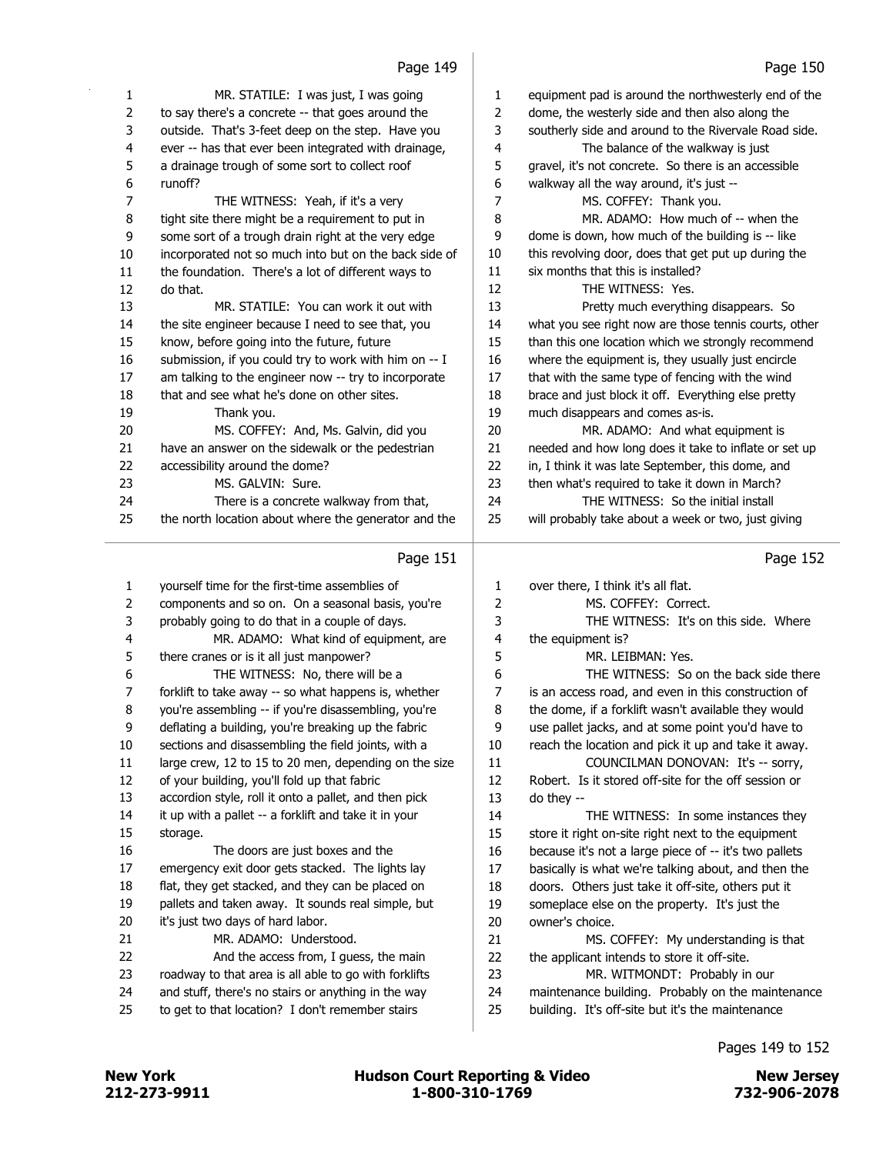| 1  | MR. STATILE: I was just, I was going                  | 1              | equipment pad is around the northwesterly end of the  |
|----|-------------------------------------------------------|----------------|-------------------------------------------------------|
| 2  | to say there's a concrete -- that goes around the     | $\overline{2}$ | dome, the westerly side and then also along the       |
| 3  | outside. That's 3-feet deep on the step. Have you     | 3              | southerly side and around to the Rivervale Road side. |
| 4  | ever -- has that ever been integrated with drainage,  | 4              | The balance of the walkway is just                    |
| 5  | a drainage trough of some sort to collect roof        | 5              | gravel, it's not concrete. So there is an accessible  |
| 6  | runoff?                                               | 6              | walkway all the way around, it's just --              |
| 7  | THE WITNESS: Yeah, if it's a very                     | 7              | MS. COFFEY: Thank you.                                |
| 8  | tight site there might be a requirement to put in     | 8              | MR. ADAMO: How much of -- when the                    |
| 9  | some sort of a trough drain right at the very edge    | 9              | dome is down, how much of the building is -- like     |
| 10 | incorporated not so much into but on the back side of | 10             | this revolving door, does that get put up during the  |
| 11 | the foundation. There's a lot of different ways to    | 11             | six months that this is installed?                    |
| 12 | do that.                                              | 12             | THE WITNESS: Yes.                                     |
| 13 | MR. STATILE: You can work it out with                 | 13             | Pretty much everything disappears. So                 |
| 14 | the site engineer because I need to see that, you     | 14             | what you see right now are those tennis courts, other |
| 15 | know, before going into the future, future            | 15             | than this one location which we strongly recommend    |
| 16 | submission, if you could try to work with him on -- I | 16             | where the equipment is, they usually just encircle    |
| 17 | am talking to the engineer now -- try to incorporate  | 17             | that with the same type of fencing with the wind      |
| 18 | that and see what he's done on other sites.           | 18             | brace and just block it off. Everything else pretty   |
| 19 | Thank you.                                            | 19             | much disappears and comes as-is.                      |
| 20 | MS. COFFEY: And, Ms. Galvin, did you                  | 20             | MR. ADAMO: And what equipment is                      |
| 21 | have an answer on the sidewalk or the pedestrian      | 21             | needed and how long does it take to inflate or set up |
| 22 | accessibility around the dome?                        | 22             | in, I think it was late September, this dome, and     |
| 23 | MS. GALVIN: Sure.                                     | 23             | then what's required to take it down in March?        |
| 24 | There is a concrete walkway from that,                | 24             | THE WITNESS: So the initial install                   |
| 25 | the north location about where the generator and the  | 25             | will probably take about a week or two, just giving   |
|    | Page 151                                              |                | Page 152                                              |
|    | vouraalf time for the first time accomplies of        |                | thank those Titleble itle all flat                    |

| 1              | yourself time for the first-time assemblies of        | $\mathbf{1}$   | over there, I think it's all flat.                    |
|----------------|-------------------------------------------------------|----------------|-------------------------------------------------------|
| $\overline{2}$ | components and so on. On a seasonal basis, you're     | $\overline{2}$ | MS. COFFEY: Correct.                                  |
| 3              | probably going to do that in a couple of days.        | 3              | THE WITNESS: It's on this side. Where                 |
| 4              | MR. ADAMO: What kind of equipment, are                | 4              | the equipment is?                                     |
| 5              | there cranes or is it all just manpower?              | 5              | MR. I FIBMAN: Yes.                                    |
| 6              | THE WITNESS: No, there will be a                      | 6              | THE WITNESS: So on the back side there                |
| 7              | forklift to take away -- so what happens is, whether  | 7              | is an access road, and even in this construction of   |
| 8              | you're assembling -- if you're disassembling, you're  | 8              | the dome, if a forklift wasn't available they would   |
| 9              | deflating a building, you're breaking up the fabric   | 9              | use pallet jacks, and at some point you'd have to     |
| 10             | sections and disassembling the field joints, with a   | 10             | reach the location and pick it up and take it away.   |
| 11             | large crew, 12 to 15 to 20 men, depending on the size | 11             | COUNCILMAN DONOVAN: It's -- sorry,                    |
| 12             | of your building, you'll fold up that fabric          | 12             | Robert. Is it stored off-site for the off session or  |
| 13             | accordion style, roll it onto a pallet, and then pick | 13             | do they --                                            |
| 14             | it up with a pallet -- a forklift and take it in your | 14             | THE WITNESS: In some instances they                   |
| 15             | storage.                                              | 15             | store it right on-site right next to the equipment    |
| 16             | The doors are just boxes and the                      | 16             | because it's not a large piece of -- it's two pallets |
| 17             | emergency exit door gets stacked. The lights lay      | 17             | basically is what we're talking about, and then the   |
| 18             | flat, they get stacked, and they can be placed on     | 18             | doors. Others just take it off-site, others put it    |
| 19             | pallets and taken away. It sounds real simple, but    | 19             | someplace else on the property. It's just the         |
| 20             | it's just two days of hard labor.                     | 20             | owner's choice.                                       |
| 21             | MR. ADAMO: Understood.                                | 21             | MS. COFFEY: My understanding is that                  |
| 22             | And the access from, I guess, the main                | 22             | the applicant intends to store it off-site.           |
| 23             | roadway to that area is all able to go with forklifts | 23             | MR. WITMONDT: Probably in our                         |
| 24             | and stuff, there's no stairs or anything in the way   | 24             | maintenance building. Probably on the maintenance     |
| 25             | to get to that location? I don't remember stairs      | 25             | building. It's off-site but it's the maintenance      |
|                |                                                       |                |                                                       |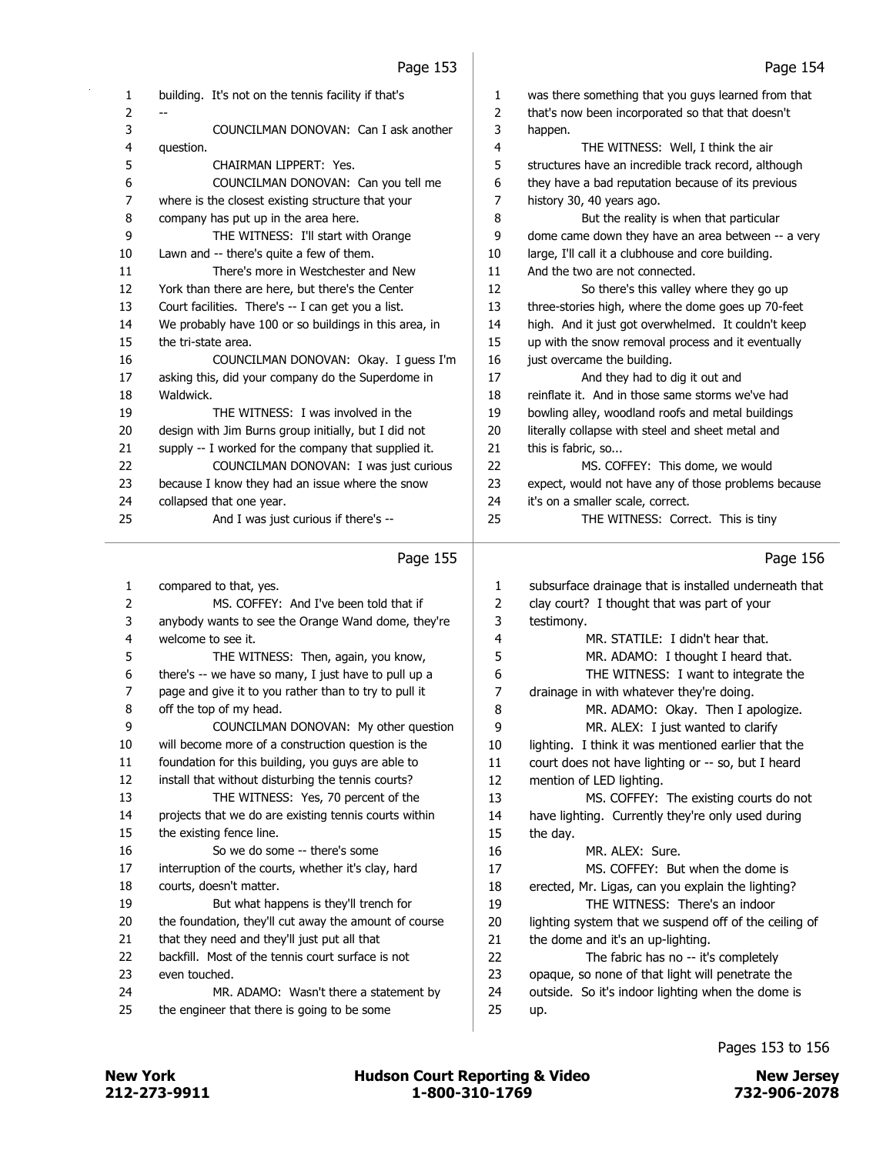| раде |  |
|------|--|
|      |  |

|          | ccr age                                                                               |             | raye 154                                                 |
|----------|---------------------------------------------------------------------------------------|-------------|----------------------------------------------------------|
| 1        | building. It's not on the tennis facility if that's                                   | 1           | was there something that you guys learned from that      |
| 2        |                                                                                       | 2           | that's now been incorporated so that that doesn't        |
| 3        | COUNCILMAN DONOVAN: Can I ask another                                                 | 3           | happen.                                                  |
| 4        | question.                                                                             | 4           | THE WITNESS: Well, I think the air                       |
| 5        | CHAIRMAN LIPPERT: Yes.                                                                | 5           | structures have an incredible track record, although     |
| 6        | COUNCILMAN DONOVAN: Can you tell me                                                   | 6           | they have a bad reputation because of its previous       |
| 7        | where is the closest existing structure that your                                     | 7           | history 30, 40 years ago.                                |
| 8        | company has put up in the area here.                                                  | 8           | But the reality is when that particular                  |
| 9        | THE WITNESS: I'll start with Orange                                                   | 9           | dome came down they have an area between -- a very       |
| 10       | Lawn and -- there's quite a few of them.                                              | 10          | large, I'll call it a clubhouse and core building.       |
| 11       | There's more in Westchester and New                                                   | 11          | And the two are not connected.                           |
| 12       | York than there are here, but there's the Center                                      | 12          | So there's this valley where they go up                  |
| 13       | Court facilities. There's -- I can get you a list.                                    | 13          | three-stories high, where the dome goes up 70-feet       |
| 14       | We probably have 100 or so buildings in this area, in                                 | 14          | high. And it just got overwhelmed. It couldn't keep      |
| 15       | the tri-state area.                                                                   | 15          | up with the snow removal process and it eventually       |
| 16       | COUNCILMAN DONOVAN: Okay. I guess I'm                                                 | 16          | just overcame the building.                              |
| 17       | asking this, did your company do the Superdome in                                     | 17          | And they had to dig it out and                           |
| 18       | Waldwick.                                                                             | 18          | reinflate it. And in those same storms we've had         |
| 19       | THE WITNESS: I was involved in the                                                    | 19          | bowling alley, woodland roofs and metal buildings        |
| 20       | design with Jim Burns group initially, but I did not                                  | 20          | literally collapse with steel and sheet metal and        |
| 21       | supply -- I worked for the company that supplied it.                                  | 21          | this is fabric, so                                       |
| 22       | COUNCILMAN DONOVAN: I was just curious                                                | 22          | MS. COFFEY: This dome, we would                          |
| 23       | because I know they had an issue where the snow                                       | 23          | expect, would not have any of those problems because     |
| 24       | collapsed that one year.                                                              | 24          | it's on a smaller scale, correct.                        |
| 25       | And I was just curious if there's --                                                  | 25          | THE WITNESS: Correct. This is tiny                       |
|          |                                                                                       |             |                                                          |
|          |                                                                                       |             |                                                          |
|          |                                                                                       |             |                                                          |
|          | Page 155                                                                              |             | Page 156                                                 |
| 1        | compared to that, yes.                                                                | 1           | subsurface drainage that is installed underneath that    |
| 2        | MS. COFFEY: And I've been told that if                                                | $\mathbf 2$ | clay court? I thought that was part of your              |
| 3        | anybody wants to see the Orange Wand dome, they're                                    | 3           | testimony.                                               |
| 4        | welcome to see it.                                                                    | 4           | MR. STATILE: I didn't hear that.                         |
| 5        | THE WITNESS: Then, again, you know,                                                   | 5           | MR. ADAMO: I thought I heard that.                       |
| 6        | there's -- we have so many, I just have to pull up a                                  | 6           | THE WITNESS: I want to integrate the                     |
| 7        | page and give it to you rather than to try to pull it                                 | 7           | drainage in with whatever they're doing.                 |
| 8        | off the top of my head.                                                               | 8           | MR. ADAMO: Okay. Then I apologize.                       |
| 9        | COUNCILMAN DONOVAN: My other question                                                 | 9           | MR. ALEX: I just wanted to clarify                       |
| 10       | will become more of a construction question is the                                    | 10          | lighting. I think it was mentioned earlier that the      |
| 11       | foundation for this building, you guys are able to                                    | 11          | court does not have lighting or -- so, but I heard       |
| 12       | install that without disturbing the tennis courts?                                    | 12          | mention of LED lighting.                                 |
| 13       | THE WITNESS: Yes, 70 percent of the                                                   | 13          | MS. COFFEY: The existing courts do not                   |
| 14       | projects that we do are existing tennis courts within                                 | 14          | have lighting. Currently they're only used during        |
| 15       | the existing fence line.                                                              | 15          | the day.                                                 |
| 16       | So we do some -- there's some                                                         | 16          | MR. ALEX: Sure.                                          |
| 17       | interruption of the courts, whether it's clay, hard                                   | 17          | MS. COFFEY: But when the dome is                         |
| 18       | courts, doesn't matter.                                                               | 18          | erected, Mr. Ligas, can you explain the lighting?        |
| 19       | But what happens is they'll trench for                                                | 19          | THE WITNESS: There's an indoor                           |
| 20       | the foundation, they'll cut away the amount of course                                 | 20          | lighting system that we suspend off of the ceiling of    |
| 21       | that they need and they'll just put all that                                          | 21          | the dome and it's an up-lighting.                        |
| 22       | backfill. Most of the tennis court surface is not                                     | 22          | The fabric has no -- it's completely                     |
| 23       | even touched.                                                                         | 23          | opaque, so none of that light will penetrate the         |
| 24<br>25 | MR. ADAMO: Wasn't there a statement by<br>the engineer that there is going to be some | 24<br>25    | outside. So it's indoor lighting when the dome is<br>up. |

# Pages 153 to 156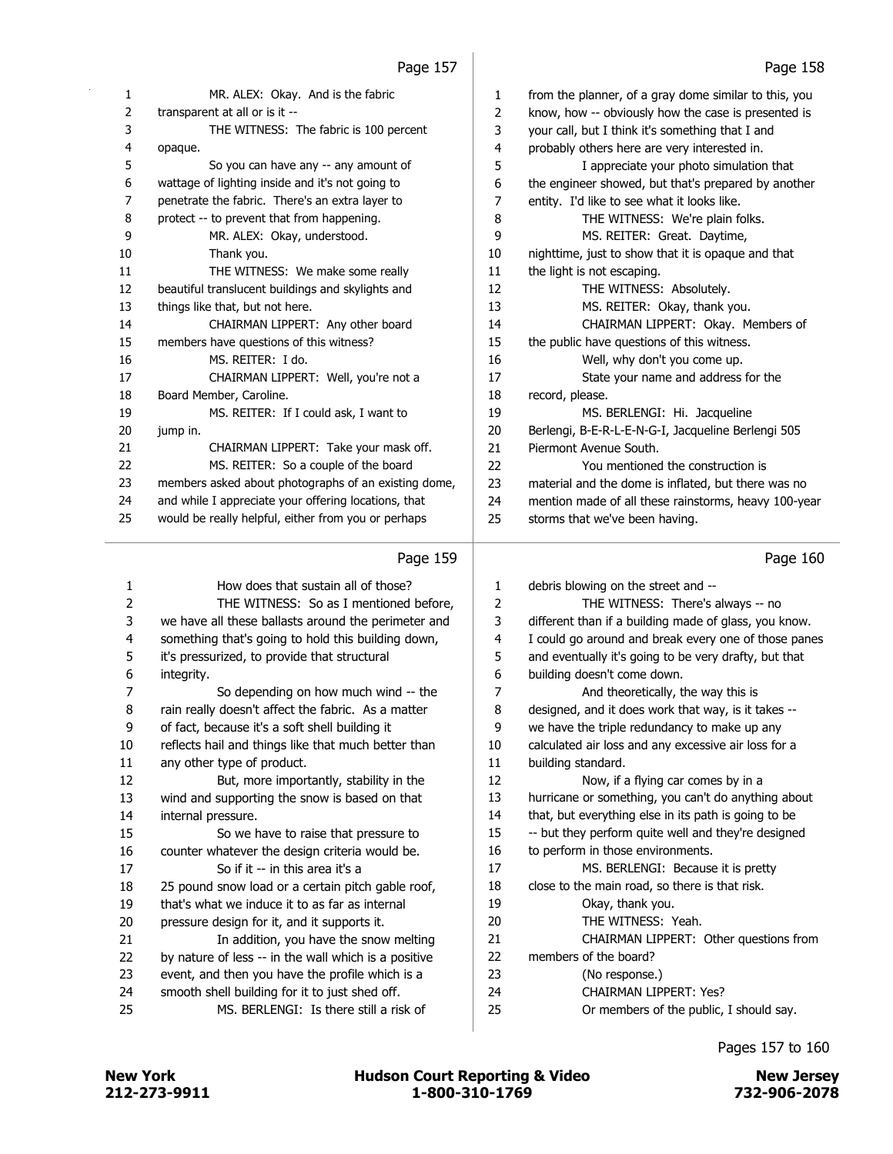| 1              | MR. ALEX: Okay. And is the fabric                    | 1              | from the planner, of a gray dome similar to this, you |
|----------------|------------------------------------------------------|----------------|-------------------------------------------------------|
| 2              | transparent at all or is it --                       | $\overline{2}$ | know, how -- obviously how the case is presented is   |
| 3              | THE WITNESS: The fabric is 100 percent               | 3              | your call, but I think it's something that I and      |
| 4              | opaque.                                              | 4              | probably others here are very interested in.          |
| 5              | So you can have any -- any amount of                 | 5              | I appreciate your photo simulation that               |
| 6              | wattage of lighting inside and it's not going to     | 6              | the engineer showed, but that's prepared by another   |
| 7              | penetrate the fabric. There's an extra layer to      | 7              | entity. I'd like to see what it looks like.           |
| 8              | protect -- to prevent that from happening.           | 8              | THE WITNESS: We're plain folks.                       |
| 9              | MR. ALEX: Okay, understood.                          | 9              | MS. REITER: Great. Daytime,                           |
| 10             | Thank you.                                           | 10             | nighttime, just to show that it is opaque and that    |
| 11             | THE WITNESS: We make some really                     | 11             | the light is not escaping.                            |
| 12             | beautiful translucent buildings and skylights and    | 12             | THE WITNESS: Absolutely.                              |
| 13             | things like that, but not here.                      | 13             | MS. REITER: Okay, thank you.                          |
| 14             | CHAIRMAN LIPPERT: Any other board                    | 14             | CHAIRMAN LIPPERT: Okay. Members of                    |
| 15             | members have questions of this witness?              | 15             | the public have questions of this witness.            |
| 16             | MS. REITER: I do.                                    | 16             | Well, why don't you come up.                          |
| 17             | CHAIRMAN LIPPERT: Well, you're not a                 | 17             | State your name and address for the                   |
| 18             | Board Member, Caroline.                              | 18             | record, please.                                       |
| 19             | MS. REITER: If I could ask, I want to                | 19             | MS. BERLENGI: Hi. Jacqueline                          |
| 20             | jump in.                                             | 20             | Berlengi, B-E-R-L-E-N-G-I, Jacqueline Berlengi 505    |
| 21             | CHAIRMAN LIPPERT: Take your mask off.                | 21             | Piermont Avenue South.                                |
| 22             | MS. REITER: So a couple of the board                 | 22             | You mentioned the construction is                     |
| 23             | members asked about photographs of an existing dome, | 23             | material and the dome is inflated, but there was no   |
| 24             | and while I appreciate your offering locations, that | 24             | mention made of all these rainstorms, heavy 100-year  |
| 25             | would be really helpful, either from you or perhaps  | 25             | storms that we've been having.                        |
|                | Page 159                                             |                | Page 160                                              |
| 1              | How does that sustain all of those?                  | 1              | debris blowing on the street and --                   |
| $\overline{2}$ | THE WITNESS: So as I mentioned before,               | 2              | THE WITNESS: There's always -- no                     |
| 3              | we have all these ballasts around the perimeter and  | 3              | different than if a building made of glass, you know. |
| 4              | something that's going to hold this building down,   | 4              | I could go around and break every one of those panes  |
| 5              | it's pressurized, to provide that structural         | 5              | and eventually it's going to be very drafty, but that |
| 6              | integrity.                                           | 6              | building doesn't come down.                           |
| 7              | So depending on how much wind -- the                 | 7              | And theoretically, the way this is                    |
| 8              | rain really doesn't affect the fabric. As a matter   | 8              | designed, and it does work that way, is it takes --   |
| 9              | of fact, because it's a soft shell building it       | 9              | we have the triple redundancy to make up any          |
| 10             | reflects hail and things like that much better than  | 10             | calculated air loss and any excessive air loss for a  |

 reflects hail and things like that much better than any other type of product. 12 But, more importantly, stability in the wind and supporting the snow is based on that internal pressure. 15 So we have to raise that pressure to counter whatever the design criteria would be. 17 So if it -- in this area it's a 25 pound snow load or a certain pitch gable roof, that's what we induce it to as far as internal pressure design for it, and it supports it.

21 In addition, you have the snow melting 22 by nature of less -- in the wall which is a positive 23 event, and then you have the profile which is a 24 smooth shell building for it to just shed off. 25 MS. BERLENGI: Is there still a risk of

| $\mathbf{1}$ | debris blowing on the street and --                   |
|--------------|-------------------------------------------------------|
| 2            | THE WITNESS: There's always -- no                     |
| 3            | different than if a building made of glass, you know. |
| 4            | I could go around and break every one of those panes  |
| 5            | and eventually it's going to be very drafty, but that |
| 6            | building doesn't come down.                           |
| 7            | And theoretically, the way this is                    |
| 8            | designed, and it does work that way, is it takes --   |
| 9            | we have the triple redundancy to make up any          |
| 10           | calculated air loss and any excessive air loss for a  |
| 11           | building standard.                                    |
| 12           | Now, if a flying car comes by in a                    |
| 13           | hurricane or something, you can't do anything about   |
| 14           | that, but everything else in its path is going to be  |
| 15           | -- but they perform quite well and they're designed   |
| 16           | to perform in those environments.                     |
| 17           | MS. BERLENGI: Because it is pretty                    |
| 18           | close to the main road, so there is that risk.        |
| 19           | Okay, thank you.                                      |
| 20           | THE WITNESS: Yeah.                                    |
| 21           | CHAIRMAN LIPPERT: Other questions from                |
| 22           | members of the board?                                 |
| 23           | (No response.)                                        |
| 24           | <b>CHAIRMAN LIPPERT: Yes?</b>                         |
| 25           | Or members of the public, I should say.               |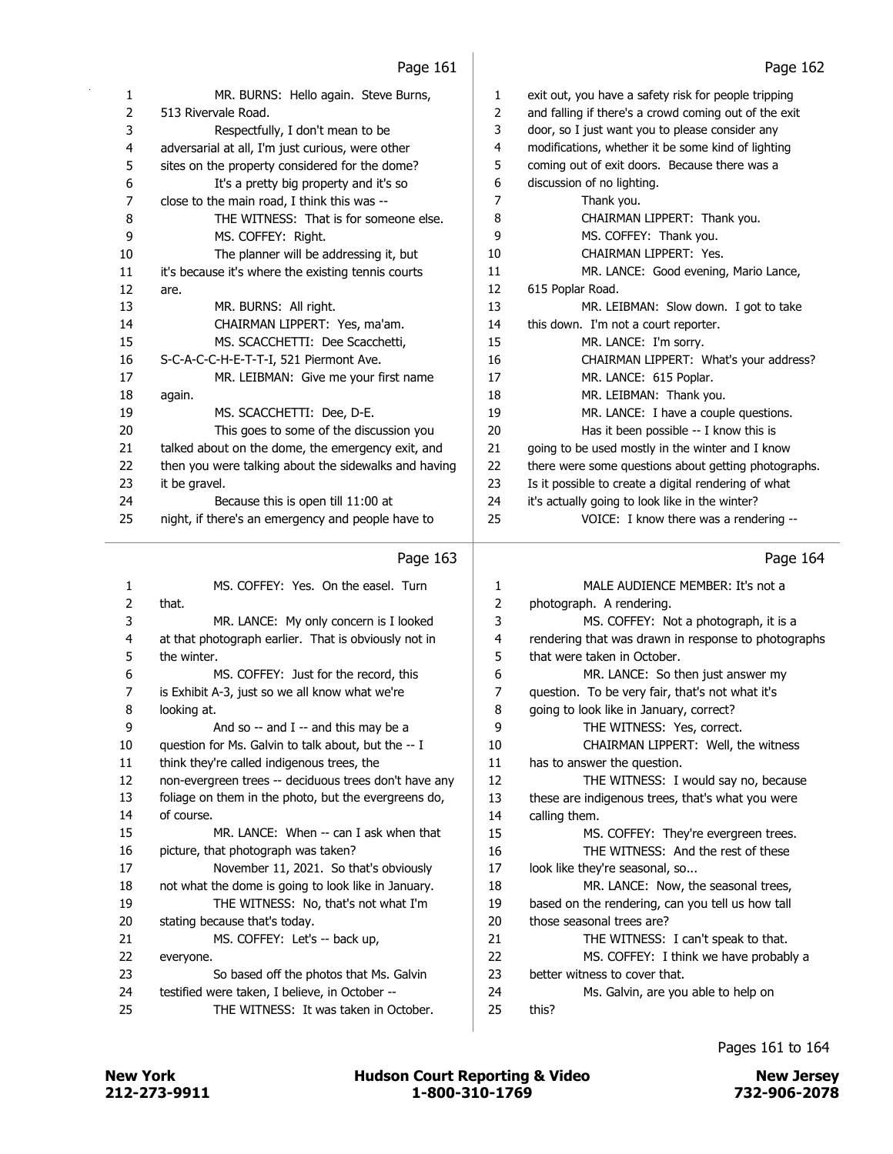| 1  | MR. BURNS: Hello again. Steve Burns,                 | 1  | exit out, you have a safety risk for people tripping  |
|----|------------------------------------------------------|----|-------------------------------------------------------|
| 2  | 513 Rivervale Road.                                  | 2  | and falling if there's a crowd coming out of the exit |
| 3  | Respectfully, I don't mean to be                     | 3  | door, so I just want you to please consider any       |
| 4  | adversarial at all, I'm just curious, were other     | 4  | modifications, whether it be some kind of lighting    |
| 5  | sites on the property considered for the dome?       | 5  | coming out of exit doors. Because there was a         |
| 6  | It's a pretty big property and it's so               | 6  | discussion of no lighting.                            |
| 7  | close to the main road, I think this was --          | 7  | Thank you.                                            |
| 8  | THE WITNESS: That is for someone else.               | 8  | CHAIRMAN LIPPERT: Thank you.                          |
| 9  | MS. COFFEY: Right.                                   | 9  | MS. COFFEY: Thank you.                                |
| 10 | The planner will be addressing it, but               | 10 | CHAIRMAN LIPPERT: Yes.                                |
| 11 | it's because it's where the existing tennis courts   | 11 | MR. LANCE: Good evening, Mario Lance,                 |
| 12 | are.                                                 | 12 | 615 Poplar Road.                                      |
| 13 | MR. BURNS: All right.                                | 13 | MR. LEIBMAN: Slow down. I got to take                 |
| 14 | CHAIRMAN LIPPERT: Yes, ma'am.                        | 14 | this down. I'm not a court reporter.                  |
| 15 | MS. SCACCHETTI: Dee Scacchetti,                      | 15 | MR. LANCE: I'm sorry.                                 |
| 16 | S-C-A-C-C-H-E-T-T-I, 521 Piermont Ave.               | 16 | CHAIRMAN LIPPERT: What's your address?                |
| 17 | MR. LEIBMAN: Give me your first name                 | 17 | MR. LANCE: 615 Poplar.                                |
| 18 | again.                                               | 18 | MR. LEIBMAN: Thank you.                               |
| 19 | MS. SCACCHETTI: Dee, D-E.                            | 19 | MR. LANCE: I have a couple questions.                 |
| 20 | This goes to some of the discussion you              | 20 | Has it been possible -- I know this is                |
| 21 | talked about on the dome, the emergency exit, and    | 21 | going to be used mostly in the winter and I know      |
| 22 | then you were talking about the sidewalks and having | 22 | there were some questions about getting photographs.  |
| 23 | it be gravel.                                        | 23 | Is it possible to create a digital rendering of what  |
| 24 | Because this is open till 11:00 at                   | 24 | it's actually going to look like in the winter?       |
| 25 | night, if there's an emergency and people have to    | 25 | VOICE: I know there was a rendering --                |
|    |                                                      |    |                                                       |

# Page  $163$

|    | i ayu Ios                                             |                | i ayu ⊥u⊤                                           |
|----|-------------------------------------------------------|----------------|-----------------------------------------------------|
| 1  | MS. COFFEY: Yes. On the easel. Turn                   | 1              | MALE AUDIENCE MEMBER: It's not a                    |
| 2  | that.                                                 | $\overline{2}$ | photograph. A rendering.                            |
| 3  | MR. LANCE: My only concern is I looked                | 3              | MS. COFFEY: Not a photograph, it is a               |
| 4  | at that photograph earlier. That is obviously not in  | 4              | rendering that was drawn in response to photographs |
| 5  | the winter.                                           | 5              | that were taken in October.                         |
| 6  | MS. COFFEY: Just for the record, this                 | 6              | MR. LANCE: So then just answer my                   |
| 7  | is Exhibit A-3, just so we all know what we're        | 7              | question. To be very fair, that's not what it's     |
| 8  | looking at.                                           | 8              | going to look like in January, correct?             |
| 9  | And so $-$ and I $-$ and this may be a                | 9              | THE WITNESS: Yes, correct.                          |
| 10 | question for Ms. Galvin to talk about, but the -- I   | 10             | CHAIRMAN LIPPERT: Well, the witness                 |
| 11 | think they're called indigenous trees, the            | 11             | has to answer the question.                         |
| 12 | non-evergreen trees -- deciduous trees don't have any | 12             | THE WITNESS: I would say no, because                |
| 13 | foliage on them in the photo, but the evergreens do,  | 13             | these are indigenous trees, that's what you were    |
| 14 | of course.                                            | 14             | calling them.                                       |
| 15 | MR. LANCE: When -- can I ask when that                | 15             | MS. COFFEY: They're evergreen trees.                |
| 16 | picture, that photograph was taken?                   | 16             | THE WITNESS: And the rest of these                  |
| 17 | November 11, 2021. So that's obviously                | 17             | look like they're seasonal, so                      |
| 18 | not what the dome is going to look like in January.   | 18             | MR. LANCE: Now, the seasonal trees,                 |
| 19 | THE WITNESS: No, that's not what I'm                  | 19             | based on the rendering, can you tell us how tall    |
| 20 | stating because that's today.                         | 20             | those seasonal trees are?                           |
| 21 | MS. COFFEY: Let's -- back up,                         | 21             | THE WITNESS: I can't speak to that.                 |
| 22 | everyone.                                             | 22             | MS. COFFEY: I think we have probably a              |
| 23 | So based off the photos that Ms. Galvin               | 23             | better witness to cover that.                       |
| 24 | testified were taken, I believe, in October --        | 24             | Ms. Galvin, are you able to help on                 |
| 25 | THE WITNESS: It was taken in October.                 | 25             | this?                                               |
|    |                                                       |                |                                                     |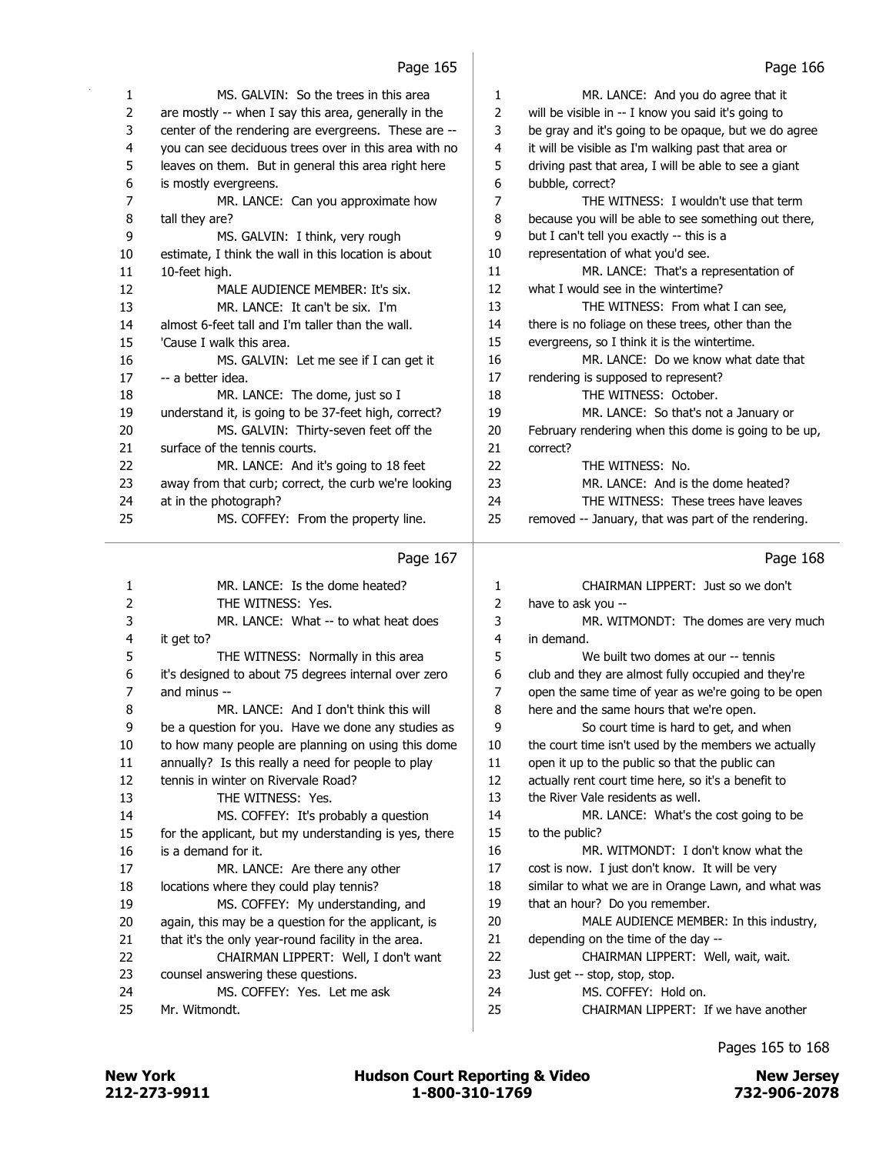| 1              | MS. GALVIN: So the trees in this area                 | 1  | MR. LANCE: And you do agree that it                   |
|----------------|-------------------------------------------------------|----|-------------------------------------------------------|
| $\overline{2}$ | are mostly -- when I say this area, generally in the  | 2  | will be visible in -- I know you said it's going to   |
| 3              | center of the rendering are evergreens. These are --  | 3  | be gray and it's going to be opaque, but we do agree  |
| 4              | you can see deciduous trees over in this area with no | 4  | it will be visible as I'm walking past that area or   |
| 5              | leaves on them. But in general this area right here   | 5  | driving past that area, I will be able to see a giant |
| 6              | is mostly evergreens.                                 | 6  | bubble, correct?                                      |
| 7              | MR. LANCE: Can you approximate how                    | 7  | THE WITNESS: I wouldn't use that term                 |
| 8              | tall they are?                                        | 8  | because you will be able to see something out there,  |
| 9              | MS. GALVIN: I think, very rough                       | 9  | but I can't tell you exactly -- this is a             |
| 10             | estimate, I think the wall in this location is about  | 10 | representation of what you'd see.                     |
| 11             | 10-feet high.                                         | 11 | MR. LANCE: That's a representation of                 |
| 12             | MALE AUDIENCE MEMBER: It's six.                       | 12 | what I would see in the wintertime?                   |
| 13             | MR. LANCE: It can't be six. I'm                       | 13 | THE WITNESS: From what I can see,                     |
| 14             | almost 6-feet tall and I'm taller than the wall.      | 14 | there is no foliage on these trees, other than the    |
| 15             | 'Cause I walk this area.                              | 15 | evergreens, so I think it is the wintertime.          |
| 16             | MS. GALVIN: Let me see if I can get it                | 16 | MR. LANCE: Do we know what date that                  |
| 17             | -- a better idea.                                     | 17 | rendering is supposed to represent?                   |
| 18             | MR. LANCE: The dome, just so I                        | 18 | THE WITNESS: October.                                 |
| 19             | understand it, is going to be 37-feet high, correct?  | 19 | MR. LANCE: So that's not a January or                 |
| 20             | MS. GALVIN: Thirty-seven feet off the                 | 20 | February rendering when this dome is going to be up,  |
| 21             | surface of the tennis courts.                         | 21 | correct?                                              |
| 22             | MR. LANCE: And it's going to 18 feet                  | 22 | THE WITNESS: No.                                      |
| 23             | away from that curb; correct, the curb we're looking  | 23 | MR. LANCE: And is the dome heated?                    |
| 24             | at in the photograph?                                 | 24 | THE WITNESS: These trees have leaves                  |
| 25             | MS. COFFEY: From the property line.                   | 25 | removed -- January, that was part of the rendering.   |
|                |                                                       |    |                                                       |

|    | Page 167                                              |                | Page 168                                             |
|----|-------------------------------------------------------|----------------|------------------------------------------------------|
| 1  | MR. LANCE: Is the dome heated?                        | 1              | CHAIRMAN LIPPERT: Just so we don't                   |
| 2  | THE WITNESS: Yes.                                     | $\overline{2}$ | have to ask you --                                   |
| 3  | MR. LANCE: What -- to what heat does                  | 3              | MR. WITMONDT: The domes are very much                |
| 4  | it get to?                                            | 4              | in demand.                                           |
| 5  | THE WITNESS: Normally in this area                    | 5              | We built two domes at our -- tennis                  |
| 6  | it's designed to about 75 degrees internal over zero  | 6              | club and they are almost fully occupied and they're  |
| 7  | and minus --                                          | 7              | open the same time of year as we're going to be open |
| 8  | MR. LANCE: And I don't think this will                | 8              | here and the same hours that we're open.             |
| 9  | be a question for you. Have we done any studies as    | 9              | So court time is hard to get, and when               |
| 10 | to how many people are planning on using this dome    | 10             | the court time isn't used by the members we actually |
| 11 | annually? Is this really a need for people to play    | 11             | open it up to the public so that the public can      |
| 12 | tennis in winter on Rivervale Road?                   | 12             | actually rent court time here, so it's a benefit to  |
| 13 | THE WITNESS: Yes.                                     | 13             | the River Vale residents as well.                    |
| 14 | MS. COFFEY: It's probably a question                  | 14             | MR. LANCE: What's the cost going to be               |
| 15 | for the applicant, but my understanding is yes, there | 15             | to the public?                                       |
| 16 | is a demand for it.                                   | 16             | MR. WITMONDT: I don't know what the                  |
| 17 | MR. LANCE: Are there any other                        | 17             | cost is now. I just don't know. It will be very      |
| 18 | locations where they could play tennis?               | 18             | similar to what we are in Orange Lawn, and what was  |
| 19 | MS. COFFEY: My understanding, and                     | 19             | that an hour? Do you remember.                       |
| 20 | again, this may be a question for the applicant, is   | 20             | MALE AUDIENCE MEMBER: In this industry,              |
| 21 | that it's the only year-round facility in the area.   | 21             | depending on the time of the day --                  |
| 22 | CHAIRMAN LIPPERT: Well, I don't want                  | 22             | CHAIRMAN LIPPERT: Well, wait, wait.                  |
| 23 | counsel answering these questions.                    | 23             | Just get -- stop, stop, stop.                        |
| 24 | MS. COFFEY: Yes. Let me ask                           | 24             | MS. COFFEY: Hold on.                                 |
| 25 | Mr. Witmondt.                                         | 25             | CHAIRMAN LIPPERT: If we have another                 |
|    |                                                       |                |                                                      |

Pages 165 to 168

212-273-9911 1-800-310-1769 732-906-2078 New York **New York COUNTER Hudson Court Reporting & Video** New Jersey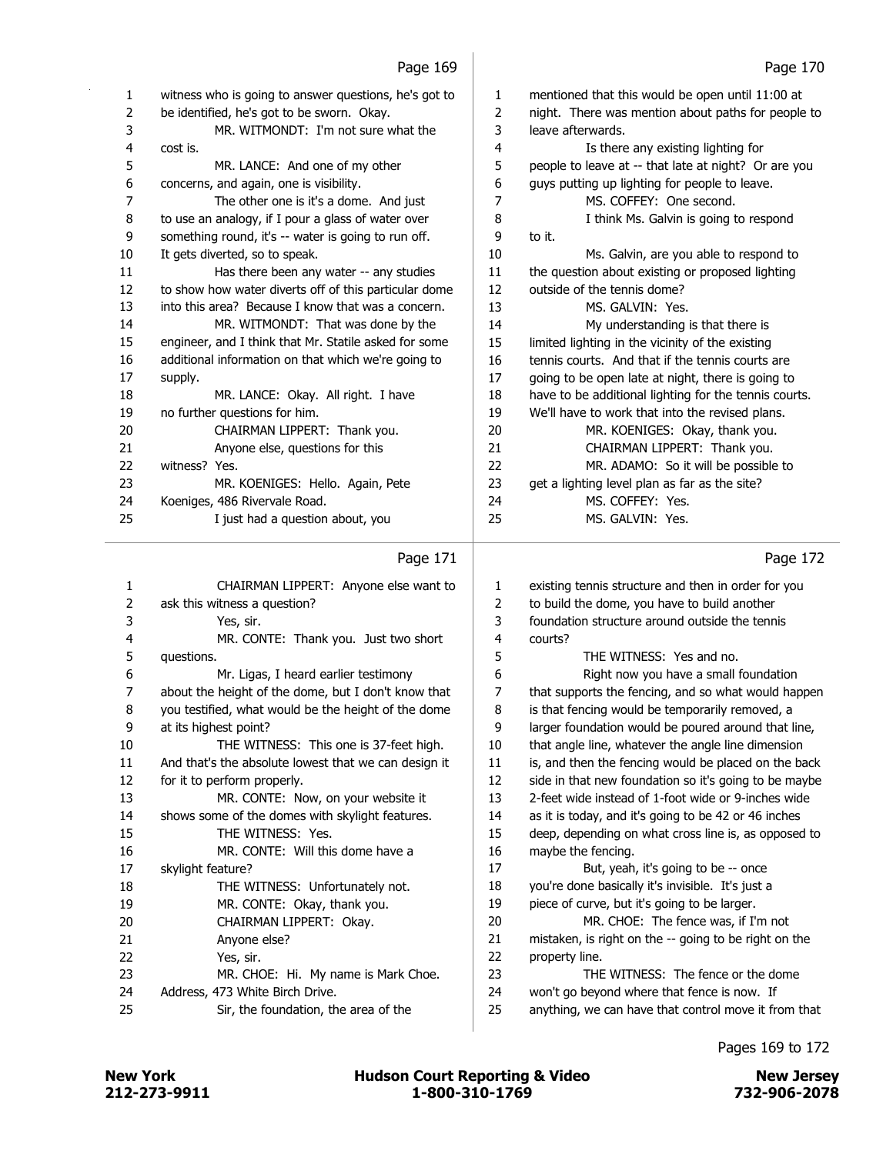J

| 1  | witness who is going to answer questions, he's got to | 1  | mentioned that this would be open until 11:00 at      |
|----|-------------------------------------------------------|----|-------------------------------------------------------|
| 2  | be identified, he's got to be sworn. Okay.            | 2  | night. There was mention about paths for people to    |
| 3  | MR. WITMONDT: I'm not sure what the                   | 3  | leave afterwards.                                     |
| 4  | cost is.                                              | 4  | Is there any existing lighting for                    |
| 5  | MR. LANCE: And one of my other                        | 5  | people to leave at -- that late at night? Or are you  |
| 6  | concerns, and again, one is visibility.               | 6  | guys putting up lighting for people to leave.         |
| 7  | The other one is it's a dome. And just                | 7  | MS. COFFEY: One second.                               |
| 8  | to use an analogy, if I pour a glass of water over    | 8  | I think Ms. Galvin is going to respond                |
| 9  | something round, it's -- water is going to run off.   | 9  | to it.                                                |
| 10 | It gets diverted, so to speak.                        | 10 | Ms. Galvin, are you able to respond to                |
| 11 | Has there been any water -- any studies               | 11 | the question about existing or proposed lighting      |
| 12 | to show how water diverts off of this particular dome | 12 | outside of the tennis dome?                           |
| 13 | into this area? Because I know that was a concern.    | 13 | MS. GALVIN: Yes.                                      |
| 14 | MR. WITMONDT: That was done by the                    | 14 | My understanding is that there is                     |
| 15 | engineer, and I think that Mr. Statile asked for some | 15 | limited lighting in the vicinity of the existing      |
| 16 | additional information on that which we're going to   | 16 | tennis courts. And that if the tennis courts are      |
| 17 | supply.                                               | 17 | going to be open late at night, there is going to     |
| 18 | MR. LANCE: Okay. All right. I have                    | 18 | have to be additional lighting for the tennis courts. |
| 19 | no further questions for him.                         | 19 | We'll have to work that into the revised plans.       |
| 20 | CHAIRMAN LIPPERT: Thank you.                          | 20 | MR. KOENIGES: Okay, thank you.                        |
| 21 | Anyone else, questions for this                       | 21 | CHAIRMAN LIPPERT: Thank you.                          |
| 22 | witness? Yes.                                         | 22 | MR. ADAMO: So it will be possible to                  |
| 23 | MR. KOENIGES: Hello. Again, Pete                      | 23 | get a lighting level plan as far as the site?         |
| 24 | Koeniges, 486 Rivervale Road.                         | 24 | MS. COFFEY: Yes.                                      |
| 25 | I just had a question about, you                      | 25 | MS. GALVIN: Yes.                                      |
|    |                                                       |    |                                                       |
|    |                                                       |    |                                                       |

# Page  $171$

| $\mathbf{1}$ | CHAIRMAN LIPPERT: Anyone else want to                |                          |
|--------------|------------------------------------------------------|--------------------------|
| 2            | ask this witness a question?                         |                          |
| 3            | Yes, sir.                                            |                          |
| 4            | MR. CONTE: Thank you. Just two short                 |                          |
| 5            | questions.                                           |                          |
| 6            | Mr. Ligas, I heard earlier testimony                 |                          |
| 7            | about the height of the dome, but I don't know that  |                          |
| 8            | you testified, what would be the height of the dome  |                          |
| 9            | at its highest point?                                |                          |
| 10           | THE WITNESS: This one is 37-feet high.               |                          |
| 11           | And that's the absolute lowest that we can design it |                          |
| 12           | for it to perform properly.                          |                          |
| 13           | MR. CONTE: Now, on your website it                   |                          |
| 14           | shows some of the domes with skylight features.      |                          |
| 15           | THE WITNESS: Yes.                                    |                          |
| 16           | MR. CONTE: Will this dome have a                     |                          |
| 17           | skylight feature?                                    |                          |
| 18           | THE WITNESS: Unfortunately not.                      |                          |
| 19           | MR. CONTE: Okay, thank you.                          |                          |
| 20           | CHAIRMAN LIPPERT: Okay.                              |                          |
| 21           | Anyone else?                                         | 2                        |
| 22           | Yes, sir.                                            | 2                        |
| 23           | MR. CHOE: Hi. My name is Mark Choe.                  | $\overline{\phantom{a}}$ |
| 24           | Address, 473 White Birch Drive.                      | ï                        |
| 25           | Sir, the foundation, the area of the                 |                          |
|              |                                                      |                          |

Page 172

| 1  | existing tennis structure and then in order for you   |
|----|-------------------------------------------------------|
| 2  | to build the dome, you have to build another          |
| 3  | foundation structure around outside the tennis        |
| 4  | courts?                                               |
| 5  | THE WITNESS: Yes and no.                              |
| 6  | Right now you have a small foundation                 |
| 7  | that supports the fencing, and so what would happen   |
| 8  | is that fencing would be temporarily removed, a       |
| 9  | larger foundation would be poured around that line,   |
| 10 | that angle line, whatever the angle line dimension    |
| 11 | is, and then the fencing would be placed on the back  |
| 12 | side in that new foundation so it's going to be maybe |
| 13 | 2-feet wide instead of 1-foot wide or 9-inches wide   |
| 14 | as it is today, and it's going to be 42 or 46 inches  |
| 15 | deep, depending on what cross line is, as opposed to  |
| 16 | maybe the fencing.                                    |
| 17 | But, yeah, it's going to be -- once                   |
| 18 | you're done basically it's invisible. It's just a     |
| 19 | piece of curve, but it's going to be larger.          |
| 20 | MR. CHOE: The fence was, if I'm not                   |
| 21 | mistaken, is right on the -- going to be right on the |
| 22 | property line.                                        |
| 23 | THE WITNESS: The fence or the dome                    |
| 24 | won't go beyond where that fence is now. If           |
| 25 | anything, we can have that control move it from that  |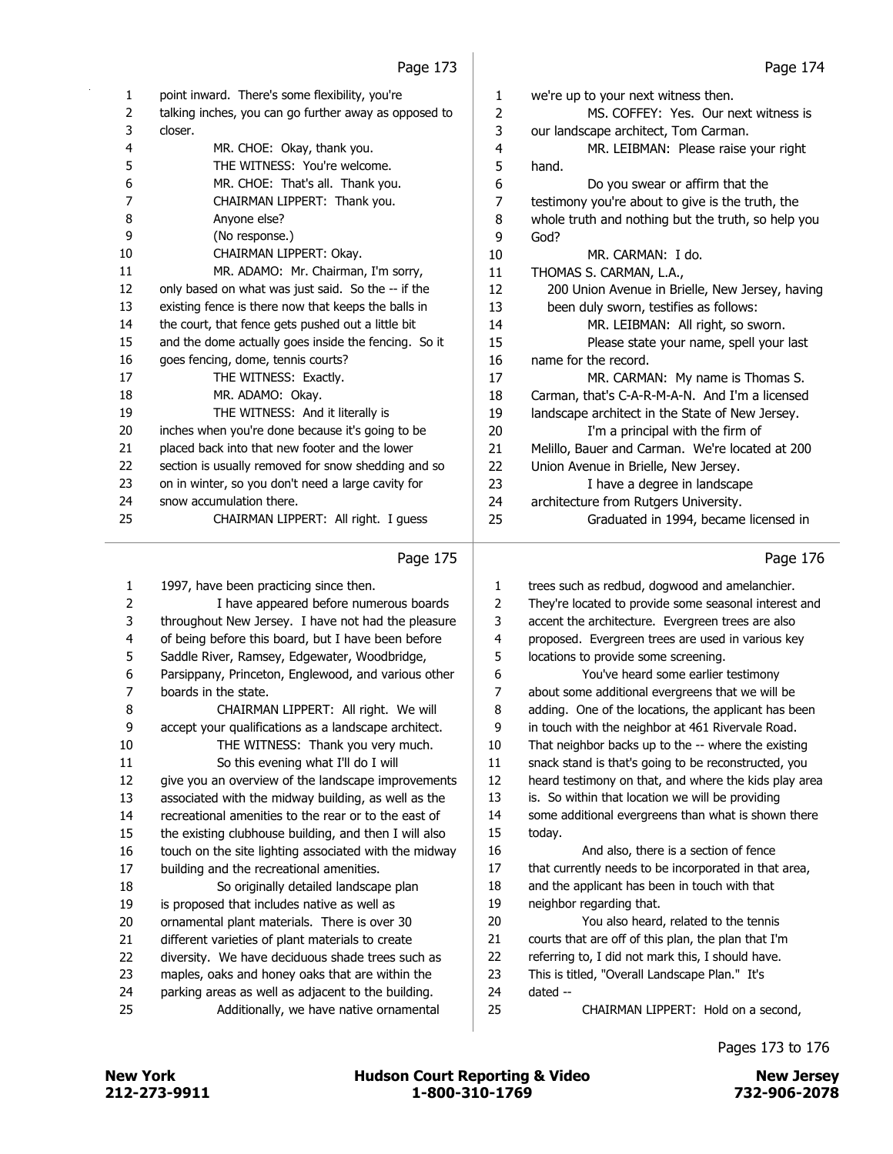| 1              | point inward. There's some flexibility, you're        | 1      | we're up to your next witness then.                   |
|----------------|-------------------------------------------------------|--------|-------------------------------------------------------|
| $\overline{2}$ | talking inches, you can go further away as opposed to | 2      | MS. COFFEY: Yes. Our next witness is                  |
| 3              | closer.                                               | 3      | our landscape architect, Tom Carman.                  |
| 4              | MR. CHOE: Okay, thank you.                            | 4      | MR. LEIBMAN: Please raise your right                  |
| 5              | THE WITNESS: You're welcome.                          | 5      | hand.                                                 |
| 6              | MR. CHOE: That's all. Thank you.                      | 6      | Do you swear or affirm that the                       |
| $\overline{7}$ | CHAIRMAN LIPPERT: Thank you.                          | 7      | testimony you're about to give is the truth, the      |
| 8              | Anyone else?                                          | $\, 8$ | whole truth and nothing but the truth, so help you    |
| 9              | (No response.)                                        | 9      | God?                                                  |
| 10             | CHAIRMAN LIPPERT: Okay.                               | 10     | MR. CARMAN: I do.                                     |
| 11             | MR. ADAMO: Mr. Chairman, I'm sorry,                   | 11     | THOMAS S. CARMAN, L.A.,                               |
| 12             | only based on what was just said. So the -- if the    | 12     | 200 Union Avenue in Brielle, New Jersey, having       |
| 13             | existing fence is there now that keeps the balls in   | 13     | been duly sworn, testifies as follows:                |
| 14             | the court, that fence gets pushed out a little bit    | 14     | MR. LEIBMAN: All right, so sworn.                     |
| 15             | and the dome actually goes inside the fencing. So it  | 15     | Please state your name, spell your last               |
| 16             | goes fencing, dome, tennis courts?                    | 16     | name for the record.                                  |
| 17             | THE WITNESS: Exactly.                                 | 17     | MR. CARMAN: My name is Thomas S.                      |
| 18             | MR. ADAMO: Okay.                                      | 18     | Carman, that's C-A-R-M-A-N. And I'm a licensed        |
| 19             | THE WITNESS: And it literally is                      | 19     | landscape architect in the State of New Jersey.       |
| 20             | inches when you're done because it's going to be      | 20     | I'm a principal with the firm of                      |
| 21             | placed back into that new footer and the lower        | 21     | Melillo, Bauer and Carman. We're located at 200       |
| 22             | section is usually removed for snow shedding and so   | 22     | Union Avenue in Brielle, New Jersey.                  |
| 23             | on in winter, so you don't need a large cavity for    | 23     | I have a degree in landscape                          |
| 24             | snow accumulation there.                              | 24     | architecture from Rutgers University.                 |
| 25             | CHAIRMAN LIPPERT: All right. I guess                  | 25     | Graduated in 1994, became licensed in                 |
|                | Page 175                                              |        | Page 176                                              |
| $\mathbf{1}$   | 1997, have been practicing since then.                | 1      | trees such as redbud, dogwood and amelanchier.        |
| 2              | I have appeared before numerous boards                | 2      | They're located to provide some seasonal interest and |
| 3              | throughout New Jersey. I have not had the pleasure    | 3      | accent the architecture. Evergreen trees are also     |
| 4              | of being before this board, but I have been before    | 4      | proposed. Evergreen trees are used in various key     |
| 5              | Saddle River, Ramsey, Edgewater, Woodbridge,          | 5      | locations to provide some screening.                  |
| 6              | Parsippany, Princeton, Englewood, and various other   | 6      | You've heard some earlier testimony                   |
| 7              | boards in the state.                                  | 7      | about some additional evergreens that we will be      |

8 CHAIRMAN LIPPERT: All right. We will 9 accept your qualifications as a landscape architect. 10 THE WITNESS: Thank you very much. 11 So this evening what I'll do I will 12 give you an overview of the landscape improvements 13 associated with the midway building, as well as the 14 recreational amenities to the rear or to the east of

15 the existing clubhouse building, and then I will also 16 touch on the site lighting associated with the midway 17 building and the recreational amenities. 18 So originally detailed landscape plan 19 is proposed that includes native as well as

- 20 ornamental plant materials. There is over 30
- 21 different varieties of plant materials to create
- 22 diversity. We have deciduous shade trees such as
- 23 maples, oaks and honey oaks that are within the
- 24 parking areas as well as adjacent to the building. 25 Additionally, we have native ornamental

| 1              | trees such as redbud, dogwood and amelanchier.        |
|----------------|-------------------------------------------------------|
| $\overline{2}$ | They're located to provide some seasonal interest and |
| 3              | accent the architecture. Evergreen trees are also     |
| $\overline{4}$ | proposed. Evergreen trees are used in various key     |
| 5              | locations to provide some screening.                  |
| 6              | You've heard some earlier testimony                   |
| 7              | about some additional evergreens that we will be      |
| 8              | adding. One of the locations, the applicant has been  |
| 9              | in touch with the neighbor at 461 Rivervale Road.     |
| 10             | That neighbor backs up to the -- where the existing   |
| 11             | snack stand is that's going to be reconstructed, you  |
| 12             | heard testimony on that, and where the kids play area |
| 13             | is. So within that location we will be providing      |
| 14             | some additional evergreens than what is shown there   |
| 15             | today.                                                |
| 16             | And also, there is a section of fence                 |
| 17             | that currently needs to be incorporated in that area, |
| 18             | and the applicant has been in touch with that         |
| 19             | neighbor regarding that.                              |
| 20             | You also heard, related to the tennis                 |
| 21             | courts that are off of this plan, the plan that I'm   |
| 22             | referring to, I did not mark this, I should have.     |
| 23             | This is titled, "Overall Landscape Plan." It's        |
| 24             | $dataed -$                                            |
| 25             | CHAIRMAN LIPPERT: Hold on a second,                   |
|                |                                                       |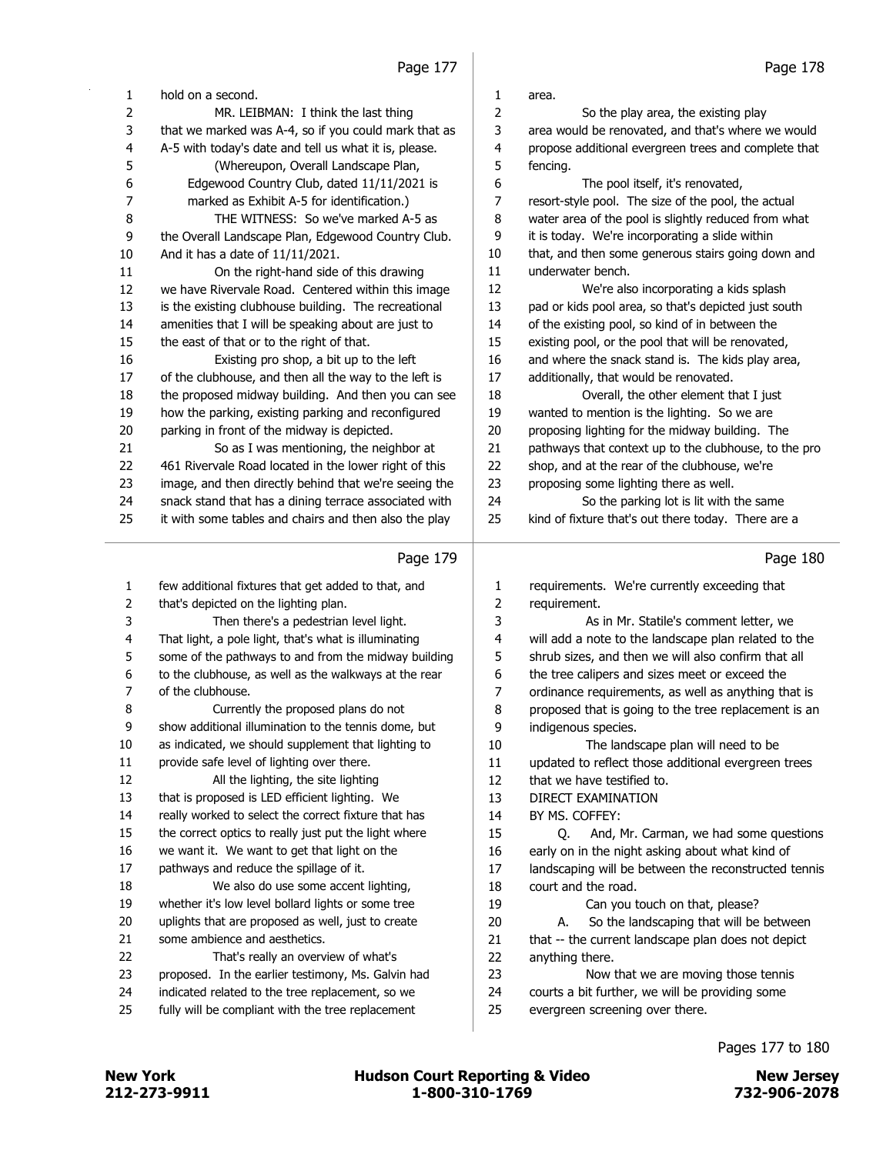| 1        | hold on a second.                                                                                     | 1        | area.                                                                              |
|----------|-------------------------------------------------------------------------------------------------------|----------|------------------------------------------------------------------------------------|
| 2        | MR. LEIBMAN: I think the last thing                                                                   | 2        | So the play area, the existing play                                                |
| 3        | that we marked was A-4, so if you could mark that as                                                  | 3        | area would be renovated, and that's where we would                                 |
| 4        | A-5 with today's date and tell us what it is, please.                                                 | 4        | propose additional evergreen trees and complete that                               |
| 5        | (Whereupon, Overall Landscape Plan,                                                                   | 5        | fencing.                                                                           |
| 6        | Edgewood Country Club, dated 11/11/2021 is                                                            | 6        | The pool itself, it's renovated,                                                   |
| 7        | marked as Exhibit A-5 for identification.)                                                            | 7        | resort-style pool. The size of the pool, the actual                                |
| 8        | THE WITNESS: So we've marked A-5 as                                                                   | 8        | water area of the pool is slightly reduced from what                               |
| 9        | the Overall Landscape Plan, Edgewood Country Club.                                                    | 9        | it is today. We're incorporating a slide within                                    |
| 10       | And it has a date of 11/11/2021.                                                                      | 10       | that, and then some generous stairs going down and                                 |
| 11       | On the right-hand side of this drawing                                                                | 11       | underwater bench.                                                                  |
| 12       | we have Rivervale Road. Centered within this image                                                    | 12       | We're also incorporating a kids splash                                             |
| 13       | is the existing clubhouse building. The recreational                                                  | 13       | pad or kids pool area, so that's depicted just south                               |
| 14       | amenities that I will be speaking about are just to                                                   | 14       | of the existing pool, so kind of in between the                                    |
| 15       | the east of that or to the right of that.                                                             | 15       | existing pool, or the pool that will be renovated,                                 |
| 16       | Existing pro shop, a bit up to the left                                                               | 16       | and where the snack stand is. The kids play area,                                  |
| 17       | of the clubhouse, and then all the way to the left is                                                 | 17       | additionally, that would be renovated.                                             |
| 18       | the proposed midway building. And then you can see                                                    | 18       | Overall, the other element that I just                                             |
| 19       | how the parking, existing parking and reconfigured                                                    | 19       | wanted to mention is the lighting. So we are                                       |
| 20       | parking in front of the midway is depicted.                                                           | 20       | proposing lighting for the midway building. The                                    |
| 21       | So as I was mentioning, the neighbor at                                                               | 21       | pathways that context up to the clubhouse, to the pro                              |
| 22       | 461 Rivervale Road located in the lower right of this                                                 | 22       | shop, and at the rear of the clubhouse, we're                                      |
| 23       | image, and then directly behind that we're seeing the                                                 | 23       | proposing some lighting there as well.                                             |
| 24       | snack stand that has a dining terrace associated with                                                 | 24       | So the parking lot is lit with the same                                            |
| 25       | it with some tables and chairs and then also the play                                                 | 25       | kind of fixture that's out there today. There are a                                |
|          | Page 179                                                                                              |          | Page 180                                                                           |
|          |                                                                                                       |          |                                                                                    |
|          |                                                                                                       |          |                                                                                    |
| 1        | few additional fixtures that get added to that, and                                                   | 1        | requirements. We're currently exceeding that                                       |
| 2        | that's depicted on the lighting plan.                                                                 | 2        | requirement.                                                                       |
| 3        | Then there's a pedestrian level light.                                                                | 3        | As in Mr. Statile's comment letter, we                                             |
| 4        | That light, a pole light, that's what is illuminating                                                 | 4        | will add a note to the landscape plan related to the                               |
| 5        | some of the pathways to and from the midway building                                                  | 5        | shrub sizes, and then we will also confirm that all                                |
| 6        | to the clubhouse, as well as the walkways at the rear                                                 | 6        | the tree calipers and sizes meet or exceed the                                     |
| 7        | of the clubhouse.                                                                                     | 7        | ordinance requirements, as well as anything that is                                |
| 8        | Currently the proposed plans do not                                                                   | 8        | proposed that is going to the tree replacement is an                               |
| 9        | show additional illumination to the tennis dome, but                                                  | 9        | indigenous species.                                                                |
| 10       | as indicated, we should supplement that lighting to                                                   | 10       | The landscape plan will need to be                                                 |
| 11       | provide safe level of lighting over there.                                                            | 11       | updated to reflect those additional evergreen trees                                |
| 12       | All the lighting, the site lighting                                                                   | 12       | that we have testified to.                                                         |
| 13       | that is proposed is LED efficient lighting. We                                                        | 13       | DIRECT EXAMINATION                                                                 |
| 14       | really worked to select the correct fixture that has                                                  | 14       | BY MS. COFFEY:                                                                     |
| 15       | the correct optics to really just put the light where                                                 | 15       | And, Mr. Carman, we had some questions<br>Q.                                       |
| 16       | we want it. We want to get that light on the                                                          | 16       | early on in the night asking about what kind of                                    |
| 17       | pathways and reduce the spillage of it.                                                               | 17       | landscaping will be between the reconstructed tennis                               |
| 18       | We also do use some accent lighting,                                                                  | 18       | court and the road.                                                                |
| 19       | whether it's low level bollard lights or some tree                                                    | 19       | Can you touch on that, please?<br>А.                                               |
| 20       | uplights that are proposed as well, just to create                                                    | 20       | So the landscaping that will be between                                            |
| 21       | some ambience and aesthetics.                                                                         | 21       | that -- the current landscape plan does not depict                                 |
| 22       | That's really an overview of what's                                                                   | 22       | anything there.                                                                    |
| 23       | proposed. In the earlier testimony, Ms. Galvin had                                                    | 23       | Now that we are moving those tennis                                                |
| 24<br>25 | indicated related to the tree replacement, so we<br>fully will be compliant with the tree replacement | 24<br>25 | courts a bit further, we will be providing some<br>evergreen screening over there. |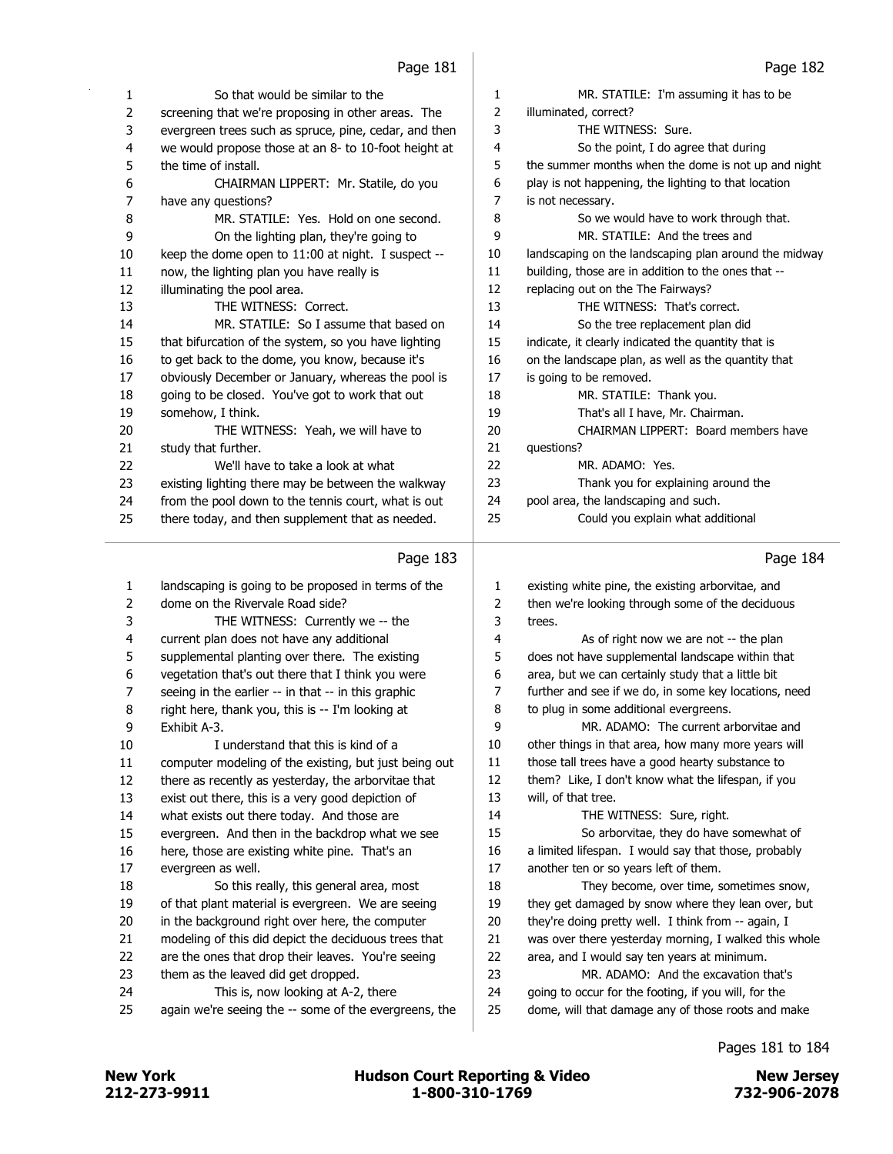| 1                       | So that would be similar to the                       | 1  | MR. STATILE: I'm assuming it has to be                |
|-------------------------|-------------------------------------------------------|----|-------------------------------------------------------|
| $\overline{2}$          | screening that we're proposing in other areas. The    | 2  | illuminated, correct?                                 |
| 3                       | evergreen trees such as spruce, pine, cedar, and then | 3  | THE WITNESS: Sure.                                    |
| $\overline{\mathbf{4}}$ | we would propose those at an 8- to 10-foot height at  | 4  | So the point, I do agree that during                  |
| 5                       | the time of install.                                  | 5  | the summer months when the dome is not up and night   |
| 6                       | CHAIRMAN LIPPERT: Mr. Statile, do you                 | 6  | play is not happening, the lighting to that location  |
| $\boldsymbol{7}$        | have any questions?                                   | 7  | is not necessary.                                     |
| 8                       | MR. STATILE: Yes. Hold on one second.                 | 8  | So we would have to work through that.                |
| 9                       | On the lighting plan, they're going to                | 9  | MR. STATILE: And the trees and                        |
| 10                      | keep the dome open to 11:00 at night. I suspect --    | 10 | landscaping on the landscaping plan around the midway |
| 11                      | now, the lighting plan you have really is             | 11 | building, those are in addition to the ones that --   |
| 12                      | illuminating the pool area.                           | 12 | replacing out on the The Fairways?                    |
| 13                      | THE WITNESS: Correct.                                 | 13 | THE WITNESS: That's correct.                          |
| 14                      | MR. STATILE: So I assume that based on                | 14 | So the tree replacement plan did                      |
| 15                      | that bifurcation of the system, so you have lighting  | 15 | indicate, it clearly indicated the quantity that is   |
| 16                      | to get back to the dome, you know, because it's       | 16 | on the landscape plan, as well as the quantity that   |
| 17                      | obviously December or January, whereas the pool is    | 17 | is going to be removed.                               |
| 18                      | going to be closed. You've got to work that out       | 18 | MR. STATILE: Thank you.                               |
|                         |                                                       | 19 | That's all I have, Mr. Chairman.                      |
| 19<br>20                | somehow, I think.                                     | 20 | CHAIRMAN LIPPERT: Board members have                  |
|                         | THE WITNESS: Yeah, we will have to                    | 21 |                                                       |
| 21                      | study that further.                                   |    | questions?                                            |
| 22                      | We'll have to take a look at what                     | 22 | MR. ADAMO: Yes.                                       |
| 23                      | existing lighting there may be between the walkway    | 23 | Thank you for explaining around the                   |
| 24                      | from the pool down to the tennis court, what is out   | 24 | pool area, the landscaping and such.                  |
| 25                      | there today, and then supplement that as needed.      | 25 | Could you explain what additional                     |
|                         |                                                       |    |                                                       |
|                         | Page 183                                              |    | Page 184                                              |
|                         |                                                       |    |                                                       |
| 1                       | landscaping is going to be proposed in terms of the   | 1  | existing white pine, the existing arborvitae, and     |
| $\overline{2}$          | dome on the Rivervale Road side?                      | 2  | then we're looking through some of the deciduous      |
| 3                       | THE WITNESS: Currently we -- the                      | 3  | trees.                                                |
| 4                       | current plan does not have any additional             | 4  | As of right now we are not -- the plan                |
| 5                       | supplemental planting over there. The existing        | 5  | does not have supplemental landscape within that      |
| 6                       | vegetation that's out there that I think you were     | 6  | area, but we can certainly study that a little bit    |
| 7                       | seeing in the earlier -- in that -- in this graphic   | 7  | further and see if we do, in some key locations, need |
| 8                       | right here, thank you, this is -- I'm looking at      | 8  | to plug in some additional evergreens.                |
| 9                       | Exhibit A-3.                                          | 9  | MR. ADAMO: The current arborvitae and                 |
| 10                      | I understand that this is kind of a                   | 10 | other things in that area, how many more years will   |
| $11\,$                  | computer modeling of the existing, but just being out | 11 | those tall trees have a good hearty substance to      |
| 12                      | there as recently as yesterday, the arborvitae that   | 12 | them? Like, I don't know what the lifespan, if you    |
| 13                      | exist out there, this is a very good depiction of     | 13 | will, of that tree.                                   |
| 14                      | what exists out there today. And those are            | 14 | THE WITNESS: Sure, right.                             |
| 15                      | evergreen. And then in the backdrop what we see       | 15 | So arborvitae, they do have somewhat of               |
| 16                      | here, those are existing white pine. That's an        | 16 | a limited lifespan. I would say that those, probably  |
| 17                      | evergreen as well.                                    | 17 | another ten or so years left of them.                 |
| 18                      | So this really, this general area, most               | 18 | They become, over time, sometimes snow,               |
| 19                      | of that plant material is evergreen. We are seeing    | 19 | they get damaged by snow where they lean over, but    |
| 20                      | in the background right over here, the computer       | 20 | they're doing pretty well. I think from -- again, I   |
| 21                      | modeling of this did depict the deciduous trees that  | 21 | was over there yesterday morning, I walked this whole |

- them as the leaved did get dropped. 24 This is, now looking at A-2, there
- again we're seeing the -- some of the evergreens, the

Pages 181 to 184

23 MR. ADAMO: And the excavation that's going to occur for the footing, if you will, for the dome, will that damage any of those roots and make

212-273-9911 1-800-310-1769 732-906-2078 New York **New York Engles** Hudson Court Reporting & Video New Jersey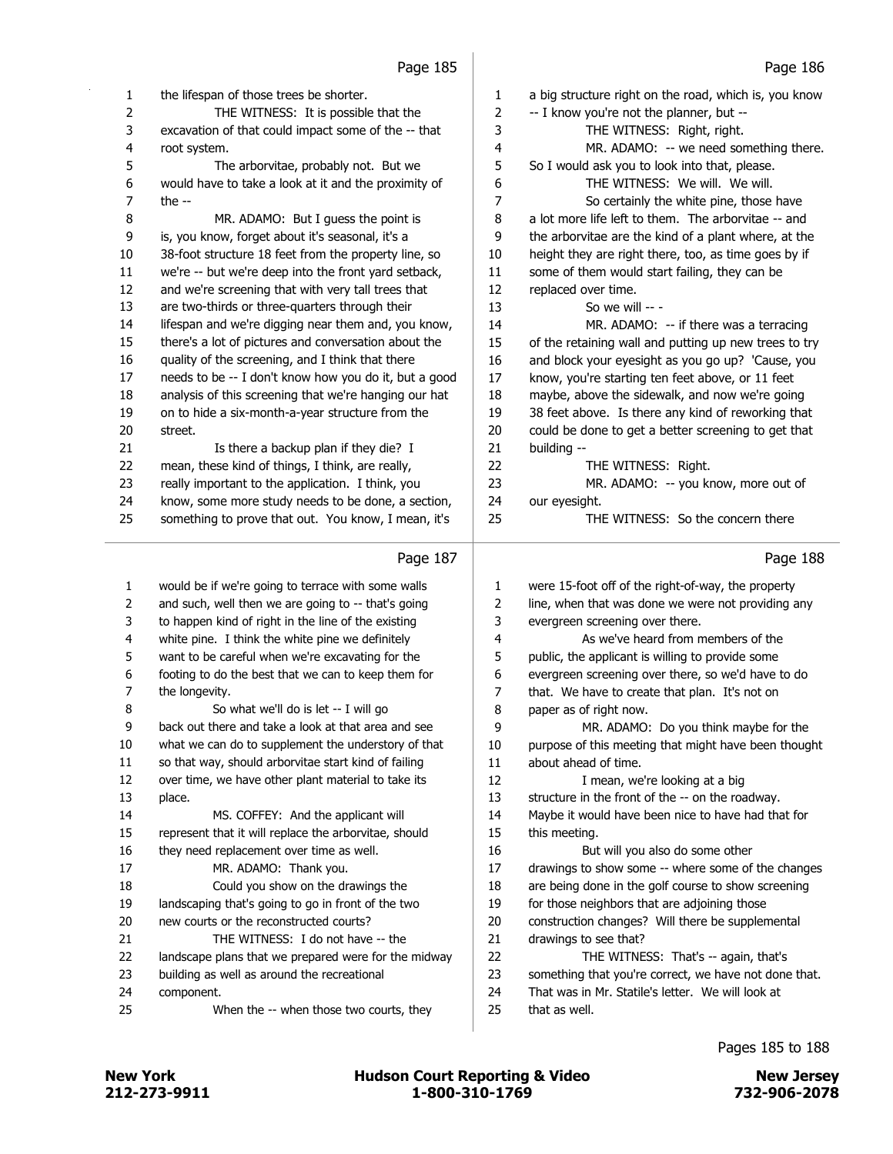| 1  | the lifespan of those trees be shorter.               | 1  | a big structure right on the road, which is, you know                                                    |
|----|-------------------------------------------------------|----|----------------------------------------------------------------------------------------------------------|
| 2  | THE WITNESS: It is possible that the                  | 2  | -- I know you're not the planner, but --                                                                 |
| 3  | excavation of that could impact some of the -- that   | 3  | THE WITNESS: Right, right.                                                                               |
| 4  | root system.                                          | 4  | MR. ADAMO: -- we need something there.                                                                   |
| 5  | The arborvitae, probably not. But we                  | 5  | So I would ask you to look into that, please.                                                            |
| 6  | would have to take a look at it and the proximity of  | 6  | THE WITNESS: We will. We will.                                                                           |
| 7  | the $-$                                               | 7  | So certainly the white pine, those have                                                                  |
| 8  | MR. ADAMO: But I guess the point is                   | 8  | a lot more life left to them. The arborvitae -- and                                                      |
| 9  | is, you know, forget about it's seasonal, it's a      | 9  | the arborvitae are the kind of a plant where, at the                                                     |
| 10 | 38-foot structure 18 feet from the property line, so  | 10 | height they are right there, too, as time goes by if                                                     |
| 11 | we're -- but we're deep into the front yard setback,  | 11 | some of them would start failing, they can be                                                            |
| 12 | and we're screening that with very tall trees that    | 12 | replaced over time.                                                                                      |
| 13 | are two-thirds or three-quarters through their        | 13 | So we will -- -                                                                                          |
| 14 | lifespan and we're digging near them and, you know,   | 14 | MR. ADAMO: -- if there was a terracing                                                                   |
| 15 | there's a lot of pictures and conversation about the  | 15 | of the retaining wall and putting up new trees to try                                                    |
| 16 | quality of the screening, and I think that there      | 16 | and block your eyesight as you go up? 'Cause, you                                                        |
| 17 | needs to be -- I don't know how you do it, but a good | 17 | know, you're starting ten feet above, or 11 feet                                                         |
| 18 | analysis of this screening that we're hanging our hat | 18 | maybe, above the sidewalk, and now we're going                                                           |
| 19 | on to hide a six-month-a-year structure from the      | 19 | 38 feet above. Is there any kind of reworking that                                                       |
| 20 | street.                                               | 20 | could be done to get a better screening to get that                                                      |
| 21 | Is there a backup plan if they die? I                 | 21 | building --                                                                                              |
| 22 | mean, these kind of things, I think, are really,      | 22 | THE WITNESS: Right.                                                                                      |
| 23 | really important to the application. I think, you     | 23 | MR. ADAMO: -- you know, more out of                                                                      |
| 24 | know, some more study needs to be done, a section,    | 24 | our eyesight.                                                                                            |
| 25 | something to prove that out. You know, I mean, it's   | 25 | THE WITNESS: So the concern there                                                                        |
|    |                                                       |    |                                                                                                          |
|    | Page 187                                              |    | Page 188                                                                                                 |
|    |                                                       |    |                                                                                                          |
| 1  | would be if we're going to terrace with some walls    | 1  |                                                                                                          |
| 2  | and such, well then we are going to -- that's going   | 2  | were 15-foot off of the right-of-way, the property<br>line, when that was done we were not providing any |
| 3  | to happen kind of right in the line of the existing   | 3  | evergreen screening over there.                                                                          |
| 4  | white pine. I think the white pine we definitely      | 4  | As we've heard from members of the                                                                       |
| 5  | want to be careful when we're excavating for the      | 5  | public, the applicant is willing to provide some                                                         |
| 6  | footing to do the best that we can to keep them for   | 6  | evergreen screening over there, so we'd have to do                                                       |
| 7  | the longevity.                                        | 7  | that. We have to create that plan. It's not on                                                           |
| 8  | So what we'll do is let -- I will go                  | 8  | paper as of right now.                                                                                   |
| 9  | back out there and take a look at that area and see   | 9  | MR. ADAMO: Do you think maybe for the                                                                    |
| 10 | what we can do to supplement the understory of that   | 10 | purpose of this meeting that might have been thought                                                     |
| 11 | so that way, should arborvitae start kind of failing  | 11 | about ahead of time.                                                                                     |
| 12 | over time, we have other plant material to take its   | 12 | I mean, we're looking at a big                                                                           |
| 13 | place.                                                | 13 | structure in the front of the -- on the roadway.                                                         |
| 14 | MS. COFFEY: And the applicant will                    | 14 | Maybe it would have been nice to have had that for                                                       |
| 15 | represent that it will replace the arborvitae, should | 15 | this meeting.                                                                                            |
| 16 | they need replacement over time as well.              | 16 | But will you also do some other                                                                          |
| 17 | MR. ADAMO: Thank you.                                 | 17 | drawings to show some -- where some of the changes                                                       |
| 18 | Could you show on the drawings the                    | 18 | are being done in the golf course to show screening                                                      |
| 19 | landscaping that's going to go in front of the two    | 19 | for those neighbors that are adjoining those                                                             |
| 20 | new courts or the reconstructed courts?               | 20 | construction changes? Will there be supplemental                                                         |
| 21 | THE WITNESS: I do not have -- the                     | 21 | drawings to see that?                                                                                    |
| 22 | landscape plans that we prepared were for the midway  | 22 | THE WITNESS: That's -- again, that's                                                                     |
| 23 | building as well as around the recreational           | 23 | something that you're correct, we have not done that.                                                    |
| 24 | component.                                            | 24 | That was in Mr. Statile's letter. We will look at                                                        |
| 25 | When the -- when those two courts, they               | 25 | that as well.                                                                                            |

Pages 185 to 188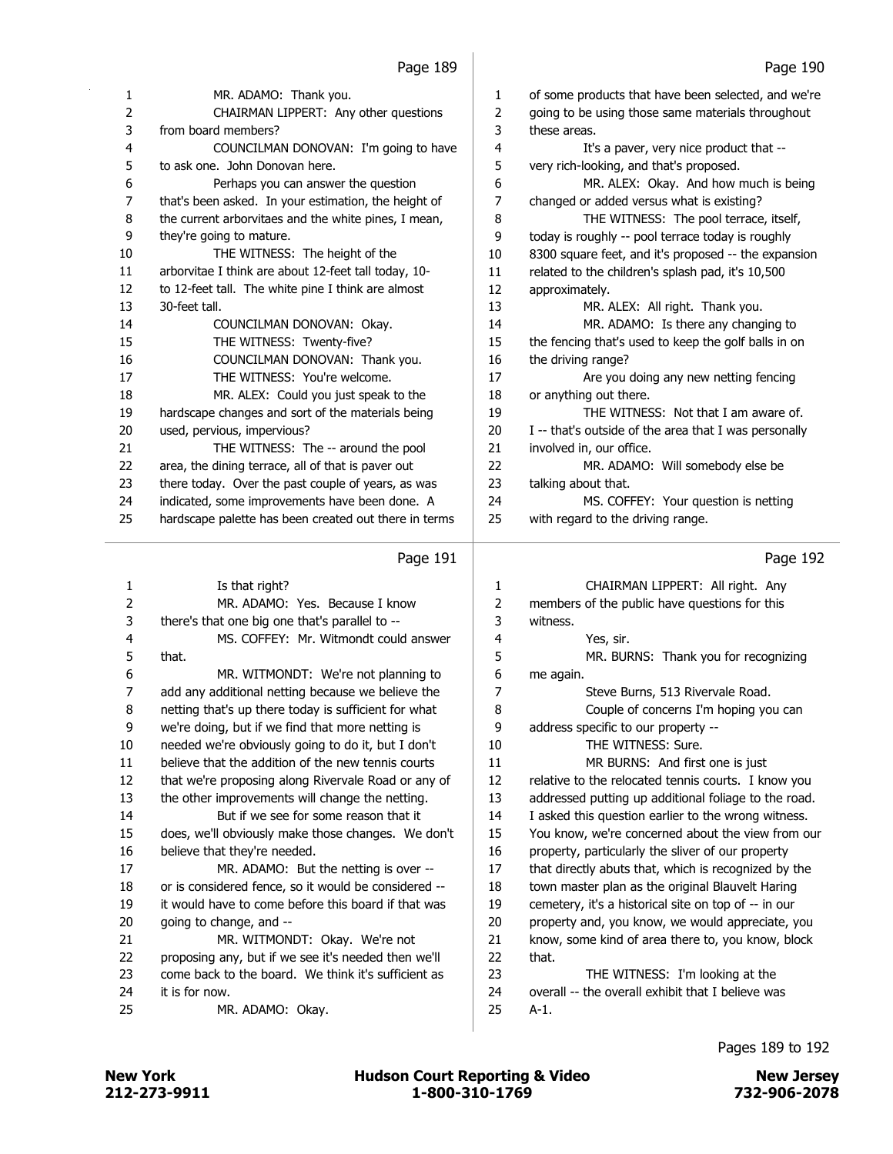| 1              | MR. ADAMO: Thank you.                                 | 1  | of some products that have been selected, and we're   |
|----------------|-------------------------------------------------------|----|-------------------------------------------------------|
| 2              | CHAIRMAN LIPPERT: Any other questions                 | 2  | going to be using those same materials throughout     |
| 3              | from board members?                                   | 3  | these areas.                                          |
| 4              | COUNCILMAN DONOVAN: I'm going to have                 | 4  | It's a paver, very nice product that --               |
| 5              | to ask one. John Donovan here.                        | 5  | very rich-looking, and that's proposed.               |
| 6              | Perhaps you can answer the question                   | 6  | MR. ALEX: Okay. And how much is being                 |
| $\overline{7}$ | that's been asked. In your estimation, the height of  | 7  | changed or added versus what is existing?             |
| 8              | the current arborvitaes and the white pines, I mean,  | 8  | THE WITNESS: The pool terrace, itself,                |
| 9              | they're going to mature.                              | 9  | today is roughly -- pool terrace today is roughly     |
| 10             | THE WITNESS: The height of the                        | 10 | 8300 square feet, and it's proposed -- the expansion  |
| 11             | arborvitae I think are about 12-feet tall today, 10-  | 11 | related to the children's splash pad, it's 10,500     |
| 12             | to 12-feet tall. The white pine I think are almost    | 12 | approximately.                                        |
| 13             | 30-feet tall.                                         | 13 | MR. ALEX: All right. Thank you.                       |
| 14             | COUNCILMAN DONOVAN: Okay.                             | 14 | MR. ADAMO: Is there any changing to                   |
| 15             | THE WITNESS: Twenty-five?                             | 15 | the fencing that's used to keep the golf balls in on  |
| 16             | COUNCILMAN DONOVAN: Thank you.                        | 16 | the driving range?                                    |
| 17             | THE WITNESS: You're welcome.                          | 17 | Are you doing any new netting fencing                 |
| 18             | MR. ALEX: Could you just speak to the                 | 18 | or anything out there.                                |
| 19             | hardscape changes and sort of the materials being     | 19 | THE WITNESS: Not that I am aware of.                  |
| 20             | used, pervious, impervious?                           | 20 | I -- that's outside of the area that I was personally |
| 21             | THE WITNESS: The -- around the pool                   | 21 | involved in, our office.                              |
| 22             | area, the dining terrace, all of that is paver out    | 22 | MR. ADAMO: Will somebody else be                      |
| 23             | there today. Over the past couple of years, as was    | 23 | talking about that.                                   |
| 24             | indicated, some improvements have been done. A        | 24 | MS. COFFEY: Your question is netting                  |
| 25             | hardscape palette has been created out there in terms | 25 | with regard to the driving range.                     |
|                |                                                       |    |                                                       |

| 1  | Is that right?                                       | 1  | CHAIRMAN LIPPERT: All right. Any                     |
|----|------------------------------------------------------|----|------------------------------------------------------|
| 2  | MR. ADAMO: Yes. Because I know                       | 2  | members of the public have questions for this        |
| 3  | there's that one big one that's parallel to --       | 3  | witness.                                             |
| 4  | MS. COFFEY: Mr. Witmondt could answer                | 4  | Yes, sir.                                            |
| 5  | that.                                                | 5  | MR. BURNS: Thank you for recognizing                 |
| 6  | MR. WITMONDT: We're not planning to                  | 6  | me again.                                            |
| 7  | add any additional netting because we believe the    | 7  | Steve Burns, 513 Rivervale Road.                     |
| 8  | netting that's up there today is sufficient for what | 8  | Couple of concerns I'm hoping you can                |
| 9  | we're doing, but if we find that more netting is     | 9  | address specific to our property --                  |
| 10 | needed we're obviously going to do it, but I don't   | 10 | THE WITNESS: Sure.                                   |
| 11 | believe that the addition of the new tennis courts   | 11 | MR BURNS: And first one is just                      |
| 12 | that we're proposing along Rivervale Road or any of  | 12 | relative to the relocated tennis courts. I know you  |
| 13 | the other improvements will change the netting.      | 13 | addressed putting up additional foliage to the road. |
| 14 | But if we see for some reason that it                | 14 | I asked this question earlier to the wrong witness.  |
| 15 | does, we'll obviously make those changes. We don't   | 15 | You know, we're concerned about the view from our    |
| 16 | believe that they're needed.                         | 16 | property, particularly the sliver of our property    |
| 17 | MR. ADAMO: But the netting is over --                | 17 | that directly abuts that, which is recognized by the |
| 18 | or is considered fence, so it would be considered -- | 18 | town master plan as the original Blauvelt Haring     |
| 19 | it would have to come before this board if that was  | 19 | cemetery, it's a historical site on top of -- in our |
| 20 | going to change, and --                              | 20 | property and, you know, we would appreciate, you     |
| 21 | MR. WITMONDT: Okay. We're not                        | 21 | know, some kind of area there to, you know, block    |
| 22 | proposing any, but if we see it's needed then we'll  | 22 | that.                                                |
| 23 | come back to the board. We think it's sufficient as  | 23 | THE WITNESS: I'm looking at the                      |
| 24 | it is for now.                                       | 24 | overall -- the overall exhibit that I believe was    |
| 25 | MR. ADAMO: Okay.                                     | 25 | $A-1$ .                                              |
|    |                                                      |    |                                                      |

### Pages 189 to 192

# Page 192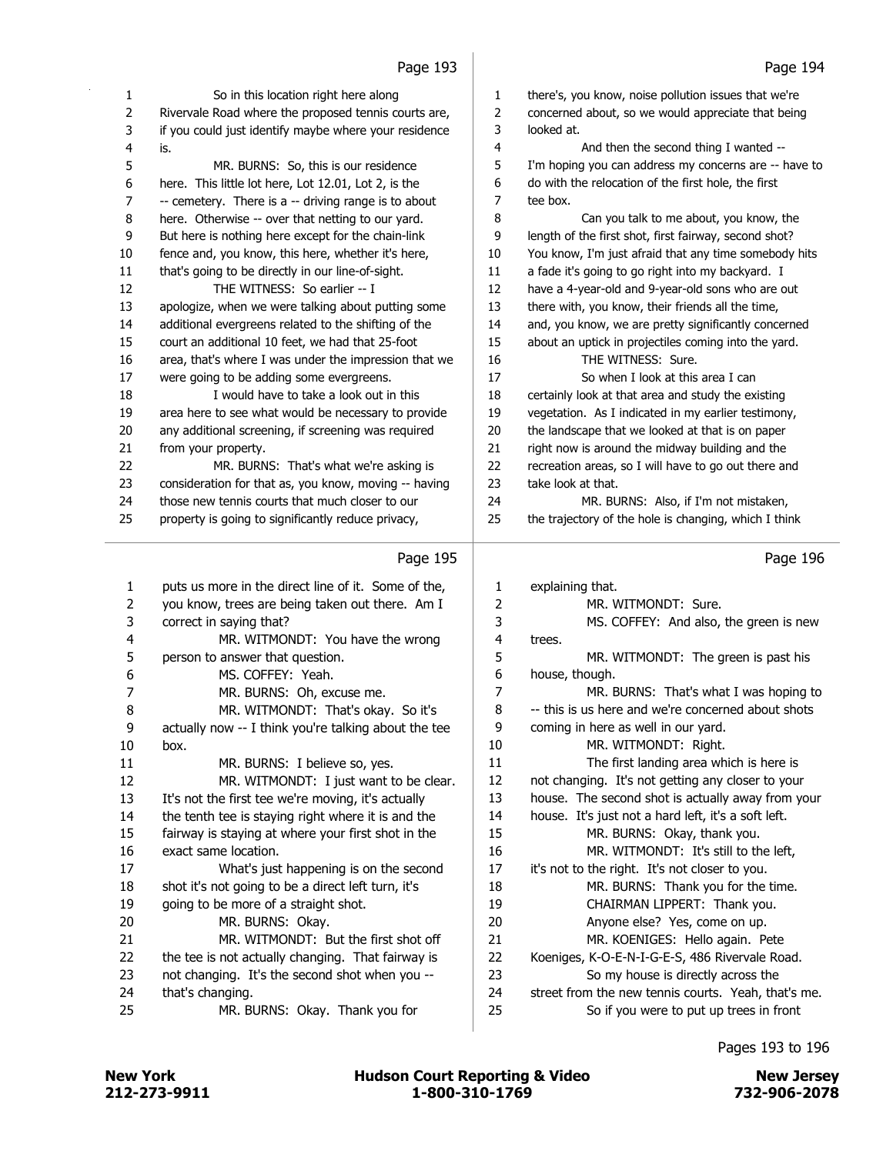| 1              | So in this location right here along                  | $\mathbf{1}$   | there's, you know, noise pollution issues that we're  |
|----------------|-------------------------------------------------------|----------------|-------------------------------------------------------|
| $\overline{2}$ | Rivervale Road where the proposed tennis courts are,  | $\overline{2}$ | concerned about, so we would appreciate that being    |
| 3              | if you could just identify maybe where your residence | 3              | looked at.                                            |
| 4              | is.                                                   | $\overline{4}$ | And then the second thing I wanted --                 |
| 5              | MR. BURNS: So, this is our residence                  | 5              | I'm hoping you can address my concerns are -- have to |
| 6              | here. This little lot here, Lot 12.01, Lot 2, is the  | 6              | do with the relocation of the first hole, the first   |
| 7              | -- cemetery. There is a -- driving range is to about  | $\overline{7}$ | tee box.                                              |
| 8              | here. Otherwise -- over that netting to our yard.     | 8              | Can you talk to me about, you know, the               |
| 9              | But here is nothing here except for the chain-link    | 9              | length of the first shot, first fairway, second shot? |
| 10             | fence and, you know, this here, whether it's here,    | 10             | You know, I'm just afraid that any time somebody hits |
| 11             | that's going to be directly in our line-of-sight.     | 11             | a fade it's going to go right into my backyard. I     |
| 12             | THE WITNESS: So earlier -- I                          | 12             | have a 4-year-old and 9-year-old sons who are out     |
| 13             | apologize, when we were talking about putting some    | 13             | there with, you know, their friends all the time,     |
| 14             | additional evergreens related to the shifting of the  | 14             | and, you know, we are pretty significantly concerned  |
| 15             | court an additional 10 feet, we had that 25-foot      | 15             | about an uptick in projectiles coming into the yard.  |
| 16             | area, that's where I was under the impression that we | 16             | THE WITNESS: Sure.                                    |
| 17             | were going to be adding some evergreens.              | 17             | So when I look at this area I can                     |
| 18             | I would have to take a look out in this               | 18             | certainly look at that area and study the existing    |
| 19             | area here to see what would be necessary to provide   | 19             | vegetation. As I indicated in my earlier testimony,   |
| 20             | any additional screening, if screening was required   | 20             | the landscape that we looked at that is on paper      |
| 21             | from your property.                                   | 21             | right now is around the midway building and the       |
| 22             | MR. BURNS: That's what we're asking is                | 22             | recreation areas, so I will have to go out there and  |
| 23             | consideration for that as, you know, moving -- having | 23             | take look at that.                                    |
| 24             | those new tennis courts that much closer to our       | 24             | MR. BURNS: Also, if I'm not mistaken,                 |
| 25             | property is going to significantly reduce privacy,    | 25             | the trajectory of the hole is changing, which I think |
|                |                                                       |                |                                                       |
|                | Page 195                                              |                | Page 196                                              |
| 1              | puts us more in the direct line of it. Some of the,   | 1              | explaining that.                                      |
| 2              | you know, trees are being taken out there. Am I       | 2              | MR. WITMONDT: Sure.                                   |
| 3              | correct in saying that?                               | 3              | MS. COFFEY: And also, the green is new                |
| 4              | MR. WITMONDT: You have the wrong                      | 4              | trees.                                                |
| 5              | person to answer that question.                       | 5              | MR. WITMONDT: The green is past his                   |
| 6              | MS. COFFEY: Yeah.                                     | 6              | house, though.                                        |
| 7              | MR. BURNS: Oh, excuse me.                             | 7              | MR. BURNS: That's what I was hoping to                |
| 8              | MR. WITMONDT: That's okay. So it's                    | 8              | -- this is us here and we're concerned about shots    |
| q              | actually now -- I think you're talking about the tee  | 9              | coming in here as well in our vard.                   |

| 1  | puts us more in the direct line of it. Some of the,  | 1  | explaining that.                                    |
|----|------------------------------------------------------|----|-----------------------------------------------------|
| 2  | you know, trees are being taken out there. Am I      | 2  | MR. WITMONDT: Sure.                                 |
| 3  | correct in saying that?                              | 3  | MS. COFFEY: And also, the green is new              |
| 4  | MR. WITMONDT: You have the wrong                     | 4  | trees.                                              |
| 5  | person to answer that question.                      | 5  | MR. WITMONDT: The green is past his                 |
| 6  | MS. COFFEY: Yeah.                                    | 6  | house, though.                                      |
| 7  | MR. BURNS: Oh, excuse me.                            | 7  | MR. BURNS: That's what I was hoping to              |
| 8  | MR. WITMONDT: That's okay. So it's                   | 8  | -- this is us here and we're concerned about shots  |
| 9  | actually now -- I think you're talking about the tee | 9  | coming in here as well in our yard.                 |
| 10 | box.                                                 | 10 | MR. WITMONDT: Right.                                |
| 11 | MR. BURNS: I believe so, yes.                        | 11 | The first landing area which is here is             |
| 12 | MR. WITMONDT: I just want to be clear.               | 12 | not changing. It's not getting any closer to your   |
| 13 | It's not the first tee we're moving, it's actually   | 13 | house. The second shot is actually away from your   |
| 14 | the tenth tee is staying right where it is and the   | 14 | house. It's just not a hard left, it's a soft left. |
| 15 | fairway is staying at where your first shot in the   | 15 | MR. BURNS: Okay, thank you.                         |
| 16 | exact same location.                                 | 16 | MR. WITMONDT: It's still to the left,               |
| 17 | What's just happening is on the second               | 17 | it's not to the right. It's not closer to you.      |
| 18 | shot it's not going to be a direct left turn, it's   | 18 | MR. BURNS: Thank you for the time.                  |
| 19 | going to be more of a straight shot.                 | 19 | CHAIRMAN LIPPERT: Thank you.                        |
| 20 | MR. BURNS: Okay.                                     | 20 | Anyone else? Yes, come on up.                       |
| 21 | MR. WITMONDT: But the first shot off                 | 21 | MR. KOENIGES: Hello again. Pete                     |
| 22 | the tee is not actually changing. That fairway is    | 22 | Koeniges, K-O-E-N-I-G-E-S, 486 Rivervale Road.      |
| 23 | not changing. It's the second shot when you --       | 23 | So my house is directly across the                  |
| 24 | that's changing.                                     | 24 | street from the new tennis courts. Yeah, that's me. |
| 25 | MR. BURNS: Okay. Thank you for                       | 25 | So if you were to put up trees in front             |
|    |                                                      |    |                                                     |

Pages 193 to 196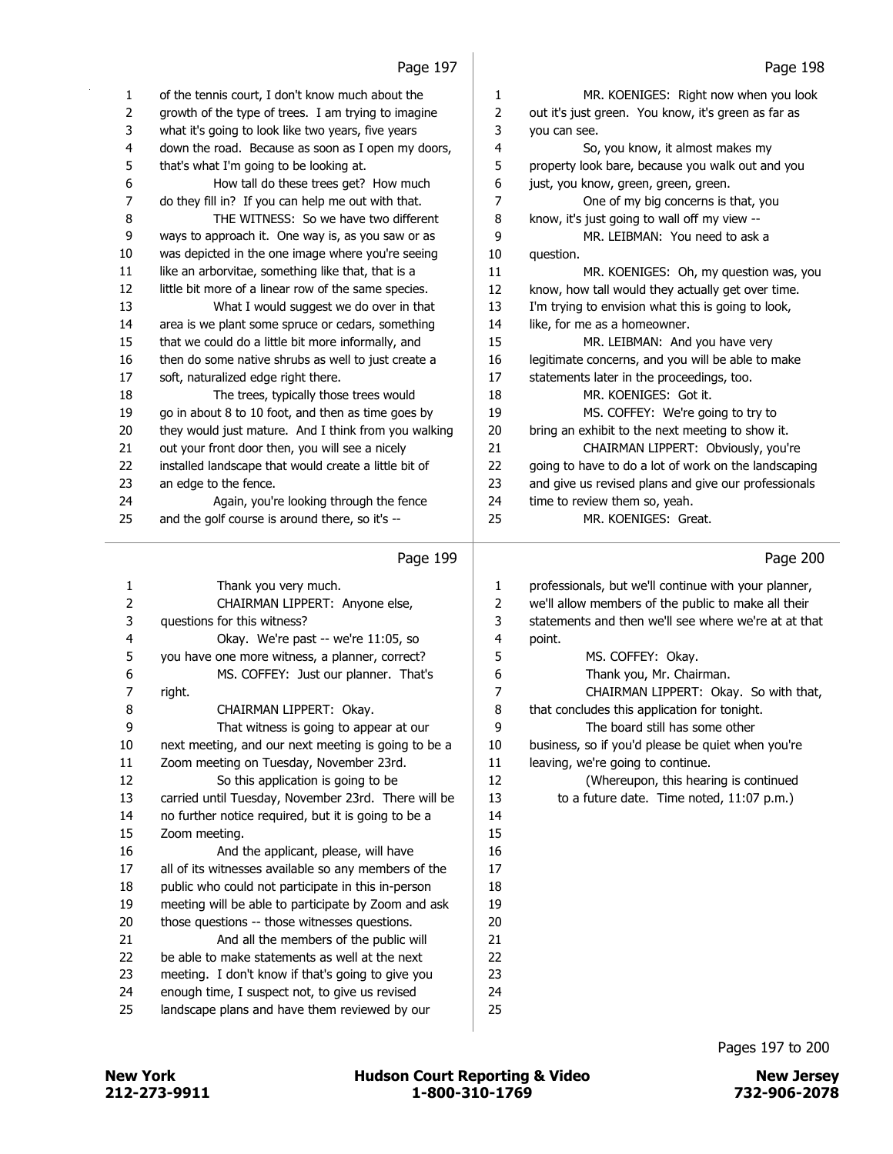# $P_{200}$  107

|          | Paye 197                                                                                               |                         | Paye 190                                             |
|----------|--------------------------------------------------------------------------------------------------------|-------------------------|------------------------------------------------------|
| 1        | of the tennis court, I don't know much about the                                                       | 1                       | MR. KOENIGES: Right now when you look                |
| 2        | growth of the type of trees. I am trying to imagine                                                    | $\overline{2}$          | out it's just green. You know, it's green as far as  |
| 3        | what it's going to look like two years, five years                                                     | 3                       | you can see.                                         |
| 4        | down the road. Because as soon as I open my doors,                                                     | $\overline{\mathbf{4}}$ | So, you know, it almost makes my                     |
| 5        | that's what I'm going to be looking at.                                                                | 5                       | property look bare, because you walk out and you     |
| 6        | How tall do these trees get? How much                                                                  | 6                       | just, you know, green, green, green.                 |
| 7        | do they fill in? If you can help me out with that.                                                     | $\overline{7}$          | One of my big concerns is that, you                  |
| 8        | THE WITNESS: So we have two different                                                                  | 8                       | know, it's just going to wall off my view --         |
| 9        |                                                                                                        | 9                       | MR. LEIBMAN: You need to ask a                       |
| 10       | ways to approach it. One way is, as you saw or as<br>was depicted in the one image where you're seeing | $10\,$                  | question.                                            |
| $11\,$   | like an arborvitae, something like that, that is a                                                     | 11                      |                                                      |
|          |                                                                                                        |                         | MR. KOENIGES: Oh, my question was, you               |
| 12       | little bit more of a linear row of the same species.                                                   | 12                      | know, how tall would they actually get over time.    |
| 13       | What I would suggest we do over in that                                                                | 13                      | I'm trying to envision what this is going to look,   |
| 14       | area is we plant some spruce or cedars, something                                                      | 14                      | like, for me as a homeowner.                         |
| 15       | that we could do a little bit more informally, and                                                     | 15                      | MR. LEIBMAN: And you have very                       |
| 16       | then do some native shrubs as well to just create a                                                    | 16                      | legitimate concerns, and you will be able to make    |
| 17       | soft, naturalized edge right there.                                                                    | 17                      | statements later in the proceedings, too.            |
| 18       | The trees, typically those trees would                                                                 | 18                      | MR. KOENIGES: Got it.                                |
| 19       | go in about 8 to 10 foot, and then as time goes by                                                     | 19                      | MS. COFFEY: We're going to try to                    |
| 20       | they would just mature. And I think from you walking                                                   | 20                      | bring an exhibit to the next meeting to show it.     |
| 21       | out your front door then, you will see a nicely                                                        | 21                      | CHAIRMAN LIPPERT: Obviously, you're                  |
| 22       | installed landscape that would create a little bit of                                                  | 22                      | going to have to do a lot of work on the landscaping |
| 23       | an edge to the fence.                                                                                  | 23                      | and give us revised plans and give our professionals |
| 24       | Again, you're looking through the fence                                                                | 24                      | time to review them so, yeah.                        |
| 25       | and the golf course is around there, so it's --                                                        | 25                      | MR. KOENIGES: Great.                                 |
|          |                                                                                                        |                         |                                                      |
|          |                                                                                                        |                         |                                                      |
|          | Page 199                                                                                               |                         | Page 200                                             |
| 1        | Thank you very much.                                                                                   | 1                       | professionals, but we'll continue with your planner, |
|          |                                                                                                        | 2                       | we'll allow members of the public to make all their  |
| 2<br>3   | CHAIRMAN LIPPERT: Anyone else,<br>questions for this witness?                                          | 3                       | statements and then we'll see where we're at at that |
| 4        | Okay. We're past -- we're 11:05, so                                                                    | 4                       | point.                                               |
| 5        | you have one more witness, a planner, correct?                                                         | 5                       | MS. COFFEY: Okay.                                    |
| 6        |                                                                                                        |                         |                                                      |
|          | MS. COFFEY: Just our planner. That's                                                                   | 6<br>7                  | Thank you, Mr. Chairman.                             |
| 7        | right.                                                                                                 |                         | CHAIRMAN LIPPERT: Okay. So with that,                |
| 8        | CHAIRMAN LIPPERT: Okay.                                                                                | 8                       | that concludes this application for tonight.         |
| 9        | That witness is going to appear at our                                                                 | 9                       | The board still has some other                       |
| $10\,$   | next meeting, and our next meeting is going to be a                                                    | $10\,$                  | business, so if you'd please be quiet when you're    |
| 11       | Zoom meeting on Tuesday, November 23rd.                                                                | 11                      | leaving, we're going to continue.                    |
| 12       | So this application is going to be                                                                     | 12                      | (Whereupon, this hearing is continued                |
| 13       | carried until Tuesday, November 23rd. There will be                                                    | 13                      | to a future date. Time noted, 11:07 p.m.)            |
| 14       | no further notice required, but it is going to be a                                                    | 14                      |                                                      |
| 15       | Zoom meeting.                                                                                          | 15                      |                                                      |
| $16\,$   | And the applicant, please, will have                                                                   | 16                      |                                                      |
| 17       | all of its witnesses available so any members of the                                                   | 17                      |                                                      |
| 18       | public who could not participate in this in-person                                                     | 18                      |                                                      |
| 19       | meeting will be able to participate by Zoom and ask                                                    | 19                      |                                                      |
| $20\,$   | those questions -- those witnesses questions.                                                          | 20                      |                                                      |
| 21       | And all the members of the public will                                                                 | 21                      |                                                      |
| 22       | be able to make statements as well at the next                                                         | 22                      |                                                      |
| 23<br>24 | meeting. I don't know if that's going to give you<br>enough time, I suspect not, to give us revised    | 23<br>24                |                                                      |

 enough time, I suspect not, to give us revised landscape plans and have them reviewed by our

Pages 197 to 200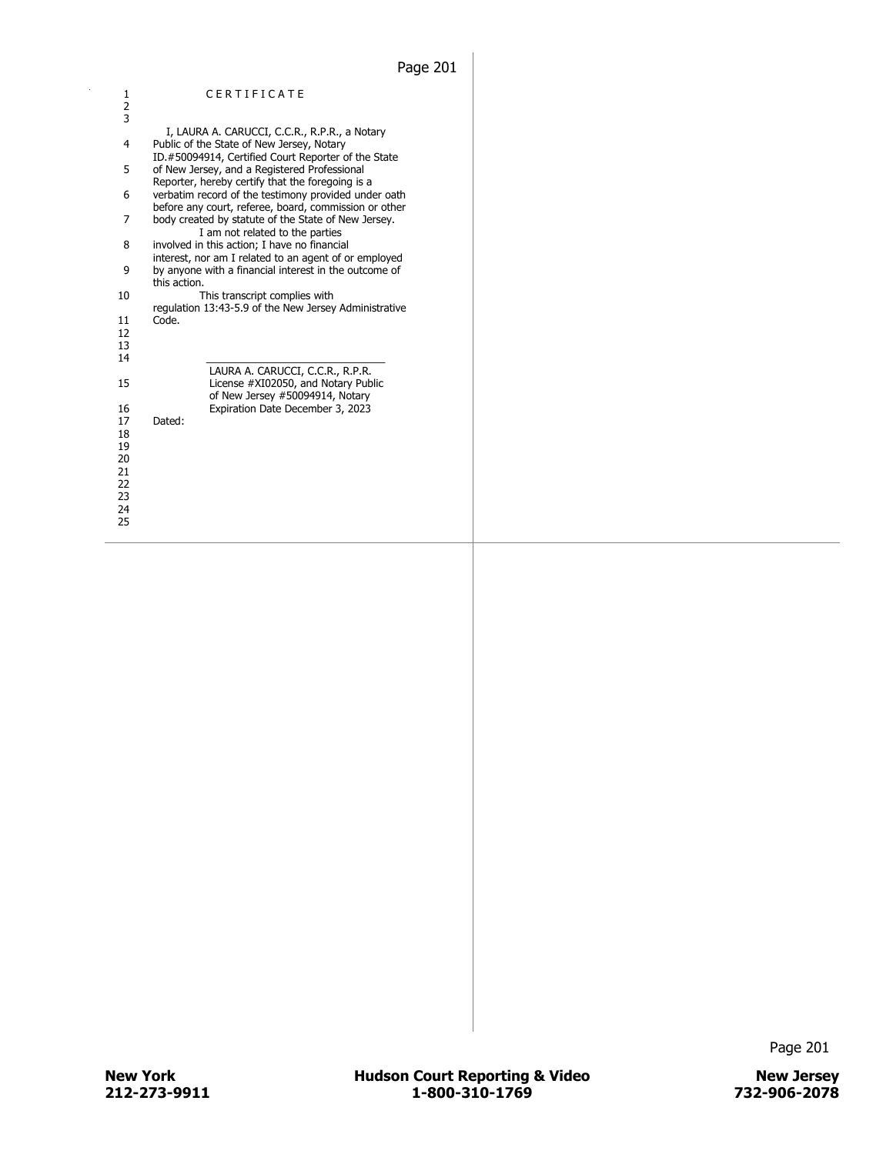| 1             | CERTIFICATE                                           |
|---------------|-------------------------------------------------------|
| $\frac{2}{3}$ |                                                       |
|               |                                                       |
|               | I, LAURA A. CARUCCI, C.C.R., R.P.R., a Notary         |
| 4             | Public of the State of New Jersey, Notary             |
|               | ID.#50094914, Certified Court Reporter of the State   |
| 5             | of New Jersey, and a Registered Professional          |
|               | Reporter, hereby certify that the foregoing is a      |
|               |                                                       |
| 6             | verbatim record of the testimony provided under oath  |
|               | before any court, referee, board, commission or other |
| 7             | body created by statute of the State of New Jersey.   |
|               | I am not related to the parties                       |
| 8             | involved in this action; I have no financial          |
|               | interest, nor am I related to an agent of or employed |
| 9             | by anyone with a financial interest in the outcome of |
|               | this action.                                          |
| 10            | This transcript complies with                         |
|               | regulation 13:43-5.9 of the New Jersey Administrative |
| 11            | Code.                                                 |
| 12            |                                                       |
| 13            |                                                       |
|               |                                                       |
| 14            |                                                       |
|               | LAURA A. CARUCCI, C.C.R., R.P.R.                      |
| 15            | License #XI02050, and Notary Public                   |
|               | of New Jersey #50094914, Notary                       |
| 16            | Expiration Date December 3, 2023                      |
| 17            | Dated:                                                |
| 18            |                                                       |
| 19            |                                                       |
| 20            |                                                       |
| 21            |                                                       |
| 22            |                                                       |
| 23            |                                                       |
| 24            |                                                       |
|               |                                                       |
| 25            |                                                       |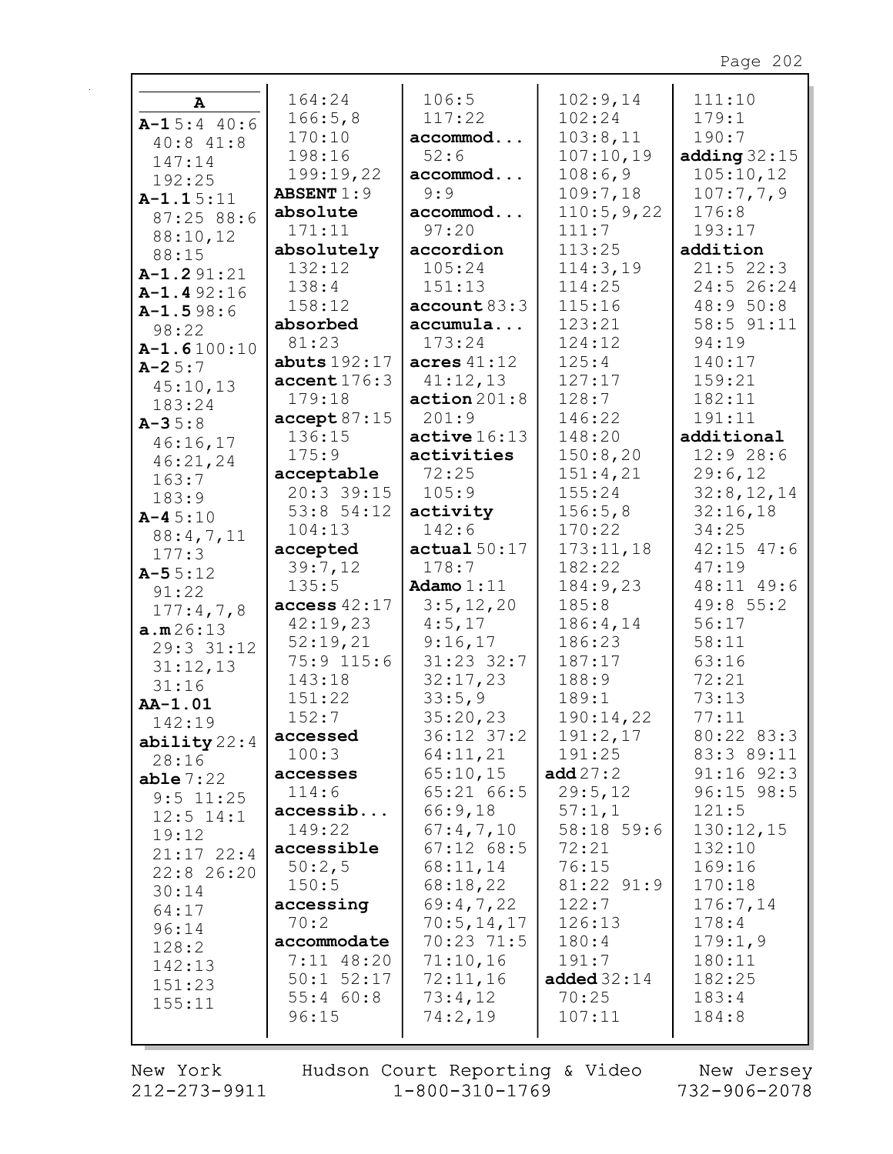| A              | 164:24                 | 106:5          | 102:9,14      | 111:10         |
|----------------|------------------------|----------------|---------------|----------------|
| $A-15:440:6$   | 166:5,8                | 117:22         | 102:24        | 179:1          |
| $40:8$ $41:8$  | 170:10                 | accommod       | 103:8,11      | 190:7          |
| 147:14         | 198:16                 | 52:6           | 107:10,19     | adding $32:15$ |
| 192:25         | 199:19,22              | accommod       | 108:6,9       | 105:10,12      |
|                | <b>ABSENT 1:9</b>      | 9:9            | 109:7,18      | 107:7,7,9      |
| $A-1.15:11$    | absolute               | accommod       | 110:5,9,22    | 176:8          |
| 87:25 88:6     | 171:11                 | 97:20          | 111:7         | 193:17         |
| 88:10,12       | absolutely             | accordion      | 113:25        | addition       |
| 88:15          | 132:12                 | 105:24         | 114:3,19      | $21:5$ 22:3    |
| $A-1.291:21$   | 138:4                  | 151:13         | 114:25        | 24:5 26:24     |
| $A-1.492:16$   | 158:12                 | account 83:3   | 115:16        | 48:9 50:8      |
| $A-1.598:6$    |                        |                |               | 58:5 91:11     |
| 98:22          | absorbed               | accumula       | 123:21        |                |
| $A-1.6100:10$  | 81:23                  | 173:24         | 124:12        | 94:19          |
| $A - 25:7$     | abuts $192:17$         | acres $41:12$  | 125:4         | 140:17         |
| 45:10,13       | $\texttt{accept176:3}$ | 41:12,13       | 127:17        | 159:21         |
| 183:24         | 179:18                 | action201:8    | 128:7         | 182:11         |
| $A - 35:8$     | accept 87:15           | 201:9          | 146:22        | 191:11         |
| 46:16,17       | 136:15                 | active 16:13   | 148:20        | additional     |
| 46:21,24       | 175:9                  | activities     | 150:8,20      | 12:928:6       |
| 163:7          | acceptable             | 72:25          | 151:4,21      | 29:6,12        |
| 183:9          | $20:3$ 39:15           | 105:9          | 155:24        | 32:8,12,14     |
| $A-45:10$      | 53:8 54:12             | activity       | 156:5,8       | 32:16,18       |
| 88:4,7,11      | 104:13                 | 142:6          | 170:22        | 34:25          |
| 177:3          | accepted               | actual50:17    | 173:11,18     | $42:15$ $47:6$ |
| $A - 55:12$    | 39:7,12                | 178:7          | 182:22        | 47:19          |
| 91:22          | 135:5                  | Adamo $1:11$   | 184:9,23      | 48:11 49:6     |
| 177:4,7,8      | access $42:17$         | 3:5, 12, 20    | 185:8         | 49:8 55:2      |
| a.m.26:13      | 42:19,23               | 4:5,17         | 186:4,14      | 56:17          |
| 29:3 31:12     | 52:19,21               | 9:16,17        | 186:23        | 58:11          |
| 31:12,13       | 75:9 115:6             | $31:23$ $32:7$ | 187:17        | 63:16          |
| 31:16          | 143:18                 | 32:17,23       | 188:9         | 72:21          |
| AA-1.01        | 151:22                 | 33:5,9         | 189:1         | 73:13          |
| 142:19         | 152:7                  | 35:20,23       | 190:14,22     | 77:11          |
| ability $22:4$ | accessed               | $36:12$ $37:2$ | 191:2,17      | 80:22 83:3     |
| 28:16          | 100:3                  | 64:11,21       | 191:25        | 83:3 89:11     |
| able $7:22$    | accesses               | 65:10,15       | add $27:2$    | $91:16$ $92:3$ |
| $9:5$ 11:25    | 114:6                  | 65:2166:5      | 29:5,12       | $96:15$ $98:5$ |
| $12:5$ $14:1$  | accessib               | 66:9,18        | 57:1,1        | 121:5          |
| 19:12          | 149:22                 | 67:4,7,10      | 58:18 59:6    | 130:12,15      |
| $21:17$ $22:4$ | accessible             | $67:12$ $68:5$ | 72:21         | 132:10         |
| $22:8$ 26:20   | 50:2,5                 | 68:11,14       | 76:15         | 169:16         |
| 30:14          | 150:5                  | 68:18,22       | 81:22 91:9    | 170:18         |
| 64:17          | accessing              | 69:4,7,22      | 122:7         | 176:7,14       |
| 96:14          | 70:2                   | 70:5, 14, 17   | 126:13        | 178:4          |
| 128:2          | accommodate            | 70:23 71:5     | 180:4         | 179:1,9        |
| 142:13         | 7:11 48:20             | 71:10,16       | 191:7         | 180:11         |
| 151:23         | $50:1$ 52:17           | 72:11,16       | added $32:14$ | 182:25         |
| 155:11         | 55:460:8               | 73:4,12        | 70:25         | 183:4          |
|                | 96:15                  | 74:2,19        | 107:11        | 184:8          |
|                |                        |                |               |                |

New York 212-273-9911 Hudson Court Reporting & Video<br>1-800-310-1769

New Jersey<br>732-906-2078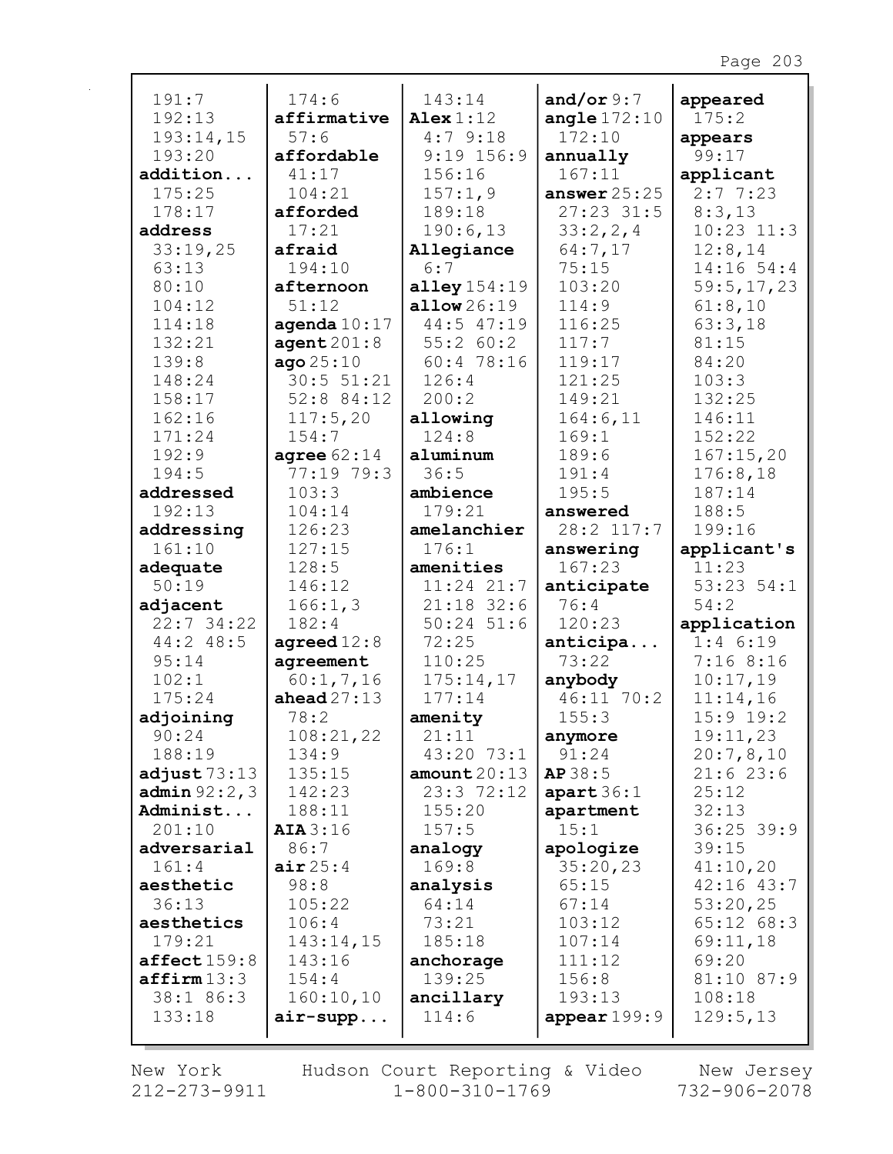| 191:7                     | 174:6           | 143:14                | and/or $9:7$          | appeared          |
|---------------------------|-----------------|-----------------------|-----------------------|-------------------|
| 192:13                    | affirmative     | Alex $1:12$           | angle $172:10$        | 175:2             |
| 193:14,15                 | 57:6            | 4:79:18               | 172:10                | appears           |
| 193:20                    | affordable      | $9:19$ 156:9          | annually              | 99:17             |
| addition                  | 41:17           | 156:16                | 167:11                | applicant         |
| 175:25                    | 104:21          | 157:1,9               | answer $25:25$        | 2:77:23           |
| 178:17                    | afforded        | 189:18                | $27:23$ 31:5          | 8:3,13            |
| address                   | 17:21           | 190:6,13              | 33:2,2,4              | $10:23$ $11:3$    |
| 33:19,25                  | afraid          | Allegiance            | 64:7,17               | 12:8,14           |
| 63:13                     | 194:10          | 6:7                   | 75:15                 | $14:16$ 54:4      |
| 80:10                     | afternoon       | alley $154:19$        | 103:20                | 59:5, 17, 23      |
| 104:12                    | 51:12           | $\texttt{allow26:19}$ | 114:9                 | 61:8,10           |
| 114:18                    | agenda $10:17$  | 44:5 47:19            | 116:25                | 63:3,18           |
| 132:21                    | agent201:8      | 55:260:2              | 117:7                 | 81:15             |
| 139:8                     | ago25:10        | 60:478:16             | 119:17                | 84:20             |
| 148:24                    | 30:5 51:21      | 126:4                 | 121:25                | 103:3             |
| 158:17                    | 52:8 84:12      | 200:2                 | 149:21                | 132:25            |
| 162:16                    | 117:5,20        | allowing              | 164:6,11              | 146:11            |
| 171:24                    | 154:7           | 124:8                 | 169:1                 | 152:22            |
| 192:9                     | agree $62:14$   | aluminum              | 189:6                 | 167:15,20         |
| 194:5                     | 77:19 79:3      | 36:5                  | 191:4                 | 176:8,18          |
| addressed                 | 103:3           | ambience              | 195:5                 | 187:14            |
| 192:13                    | 104:14          | 179:21                | answered              | 188:5             |
| addressing                | 126:23          | amelanchier           | 28:2 117:7            | 199:16            |
| 161:10                    | 127:15          | 176:1                 | answering             | applicant's       |
| adequate                  | 128:5           | amenities             | 167:23                | 11:23             |
| 50:19                     | 146:12          | $11:24$ $21:7$        | anticipate            | $53:23$ $54:1$    |
| adjacent                  | 166:1,3         | $21:18$ 32:6          | 76:4                  | 54:2              |
| $22:7$ 34:22              | 182:4           | $50:24$ 51:6          | 120:23                | application       |
| 44:2 48:5                 | agreed $12:8$   | 72:25                 | anticipa              | $1:4$ 6:19        |
| 95:14                     | agreement       | 110:25                | 73:22                 | 7:168:16          |
| 102:1                     | 60:1, 7, 16     | 175:14,17             | anybody               | 10:17,19          |
| 175:24                    | ahead $27:13$   | 177:14                | 46:11 70:2            | 11:14,16          |
| adjoining                 | 78:2            | amenity               | 155:3                 | $15:9$ 19:2       |
| 90:24                     | 108:21,22       | 21:11                 | anymore               | 19:11,23          |
| 188:19                    | 134:9           | 43:20 73:1            | 91:24                 | 20:7,8,10         |
| adjust $73:13$            | 135:15          | amount $20:13$        | AP38:5                | 21:623:6          |
| <b>admin</b> $92:2,3$     | 142:23          | 23:372:12             | apart 36:1            | 25:12             |
| Administ                  | 188:11          | 155:20                | apartment             | 32:13             |
| 201:10                    | AIA 3:16        | 157:5                 | 15:1                  | $36:25$ 39:9      |
| adversarial<br>161:4      | 86:7<br>air25:4 | analogy<br>169:8      | apologize<br>35:20,23 | 39:15<br>41:10,20 |
| aesthetic                 | 98:8            | analysis              | 65:15                 | $42:16$ $43:7$    |
| 36:13                     | 105:22          | 64:14                 | 67:14                 | 53:20,25          |
| aesthetics                | 106:4           | 73:21                 | 103:12                | $65:12$ $68:3$    |
| 179:21                    | 143:14,15       | 185:18                | 107:14                | 69:11,18          |
| $\texttt{affect}$ $159:8$ | 143:16          | anchorage             | 111:12                | 69:20             |
| affirm13:3                | 154:4           | 139:25                | 156:8                 | 81:10 87:9        |
| 38:1 86:3                 | 160:10,10       | ancillary             | 193:13                | 108:18            |
| 133:18                    | $air-supp$      | 114:6                 | appear $199:9$        | 129:5,13          |
|                           |                 |                       |                       |                   |
|                           |                 |                       |                       |                   |

New York  $212 - 273 - 9911$  Hudson Court Reporting & Video<br>1-800-310-1769

New Jersey 732-906-2078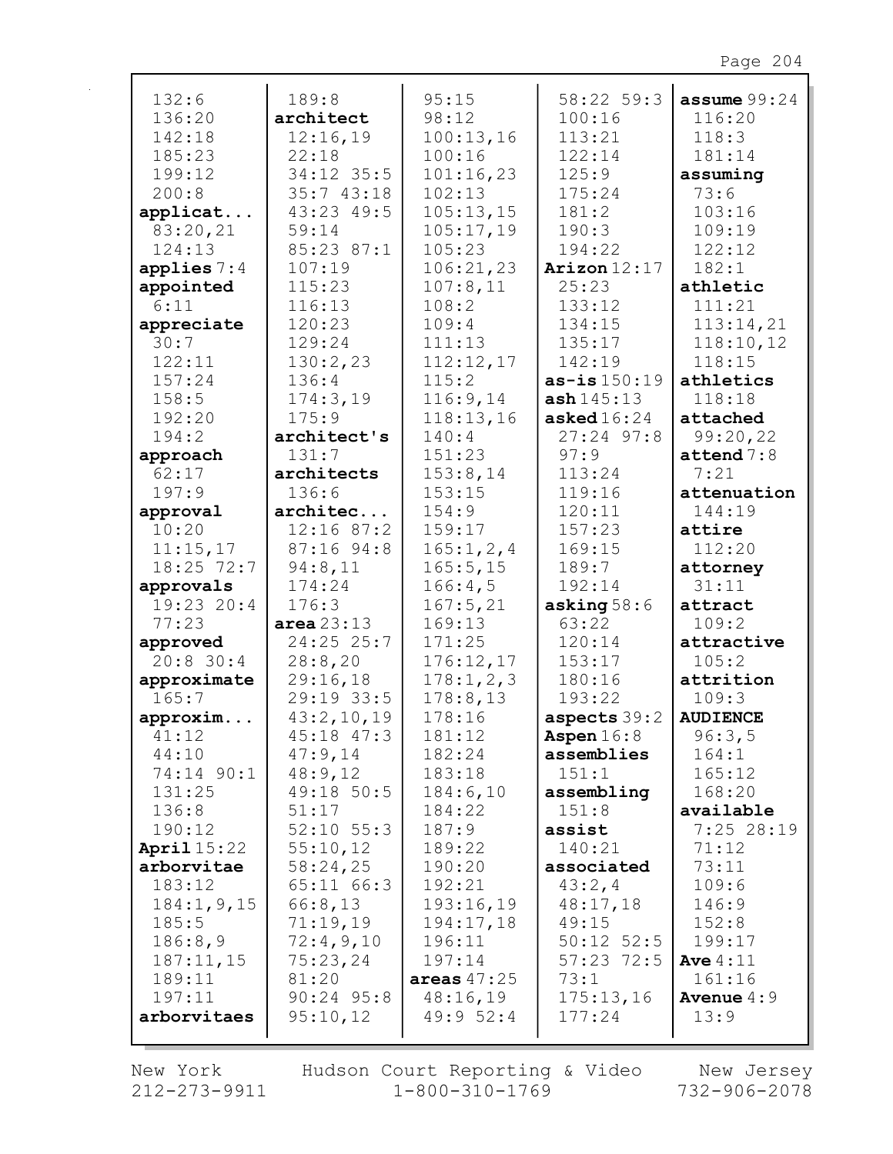| 132:6         | 189:8          | 95:15         | 58:22 59:3     | assume $99:24$        |
|---------------|----------------|---------------|----------------|-----------------------|
| 136:20        | architect      | 98:12         | 100:16         | 116:20                |
| 142:18        | 12:16,19       | 100:13,16     | 113:21         | 118:3                 |
| 185:23        | 22:18          | 100:16        | 122:14         | 181:14                |
| 199:12        | 34:12 35:5     | 101:16,23     | 125:9          | assuming              |
| 200:8         | 35:743:18      | 102:13        | 175:24         | 73:6                  |
| applicat      | 43:23 49:5     | 105:13,15     | 181:2          | 103:16                |
| 83:20,21      | 59:14          | 105:17,19     | 190:3          | 109:19                |
| 124:13        | 85:23 87:1     | 105:23        | 194:22         | 122:12                |
| applies $7:4$ | 107:19         | 106:21,23     | Arizon $12:17$ | 182:1                 |
| appointed     | 115:23         | 107:8,11      | 25:23          | athletic              |
| 6:11          | 116:13         | 108:2         | 133:12         | 111:21                |
| appreciate    | 120:23         | 109:4         | 134:15         | 113:14,21             |
| 30:7          | 129:24         | 111:13        | 135:17         | 118:10,12             |
| 122:11        | 130:2,23       | 112:12,17     | 142:19         | 118:15                |
| 157:24        | 136:4          | 115:2         | $as-is 150:19$ | athletics             |
| 158:5         | 174:3,19       | 116:9,14      | ash145:13      | 118:18                |
| 192:20        | 175:9          | 118:13,16     | asked $16:24$  | attached              |
| 194:2         | architect's    | 140:4         | $27:24$ 97:8   | 99:20,22              |
| approach      | 131:7          | 151:23        | 97:9           | $\texttt{attend} 7:8$ |
| 62:17         | architects     | 153:8,14      | 113:24         | 7:21                  |
| 197:9         | 136:6          | 153:15        | 119:16         | attenuation           |
| approval      | architec       | 154:9         | 120:11         | 144:19                |
| 10:20         | $12:16$ 87:2   | 159:17        | 157:23         | attire                |
| 11:15,17      | 87:16 94:8     | 165:1, 2, 4   | 169:15         | 112:20                |
| $18:25$ 72:7  | 94:8,11        | 165:5, 15     | 189:7          | attorney              |
| approvals     | 174:24         | 166:4,5       | 192:14         | 31:11                 |
| 19:23 20:4    | 176:3          | 167:5,21      | asking $58:6$  | attract               |
| 77:23         | area $23:13$   | 169:13        | 63:22          | 109:2                 |
| approved      | 24:25 25:7     | 171:25        | 120:14         | attractive            |
| $20:8$ 30:4   | 28:8,20        | 176:12,17     | 153:17         | 105:2                 |
| approximate   | 29:16,18       | 178:1, 2, 3   | 180:16         | attrition             |
| 165:7         | 29:19 33:5     | 178:8,13      | 193:22         | 109:3                 |
| approxim      | 43:2,10,19     | 178:16        | aspects $39:2$ | <b>AUDIENCE</b>       |
| 41:12         | $45:18$ $47:3$ | 181:12        | Aspen $16:8$   | 96:3,5                |
| 44:10         | 47:9,14        | 182:24        | assemblies     | 164:1                 |
| 74:14 90:1    | 48:9,12        | 183:18        | 151:1          | 165:12                |
| 131:25        | 49:18 50:5     | 184:6,10      | assembling     | 168:20                |
| 136:8         | 51:17          | 184:22        | 151:8          | available             |
| 190:12        | $52:10$ $55:3$ | 187:9         | assist         | 7:25 28:19            |
| April $15:22$ | 55:10,12       | 189:22        | 140:21         | 71:12                 |
| arborvitae    | 58:24,25       | 190:20        | associated     | 73:11                 |
| 183:12        | 65:11 66:3     | 192:21        | 43:2,4         | 109:6                 |
| 184:1, 9, 15  | 66:8,13        | 193:16,19     | 48:17,18       | 146:9                 |
| 185:5         | 71:19,19       | 194:17,18     | 49:15          | 152:8                 |
| 186:8,9       | 72:4,9,10      | 196:11        | $50:12$ $52:5$ | 199:17                |
| 187:11,15     | 75:23,24       | 197:14        | $57:23$ 72:5   | Ave $4:11$            |
| 189:11        | 81:20          | areas $47:25$ | 73:1           | 161:16                |
| 197:11        | $90:24$ 95:8   | 48:16,19      | 175:13,16      | <b>Avenue</b> $4:9$   |
| arborvitaes   | 95:10,12       | 49:952:4      | 177:24         | 13:9                  |
|               |                |               |                |                       |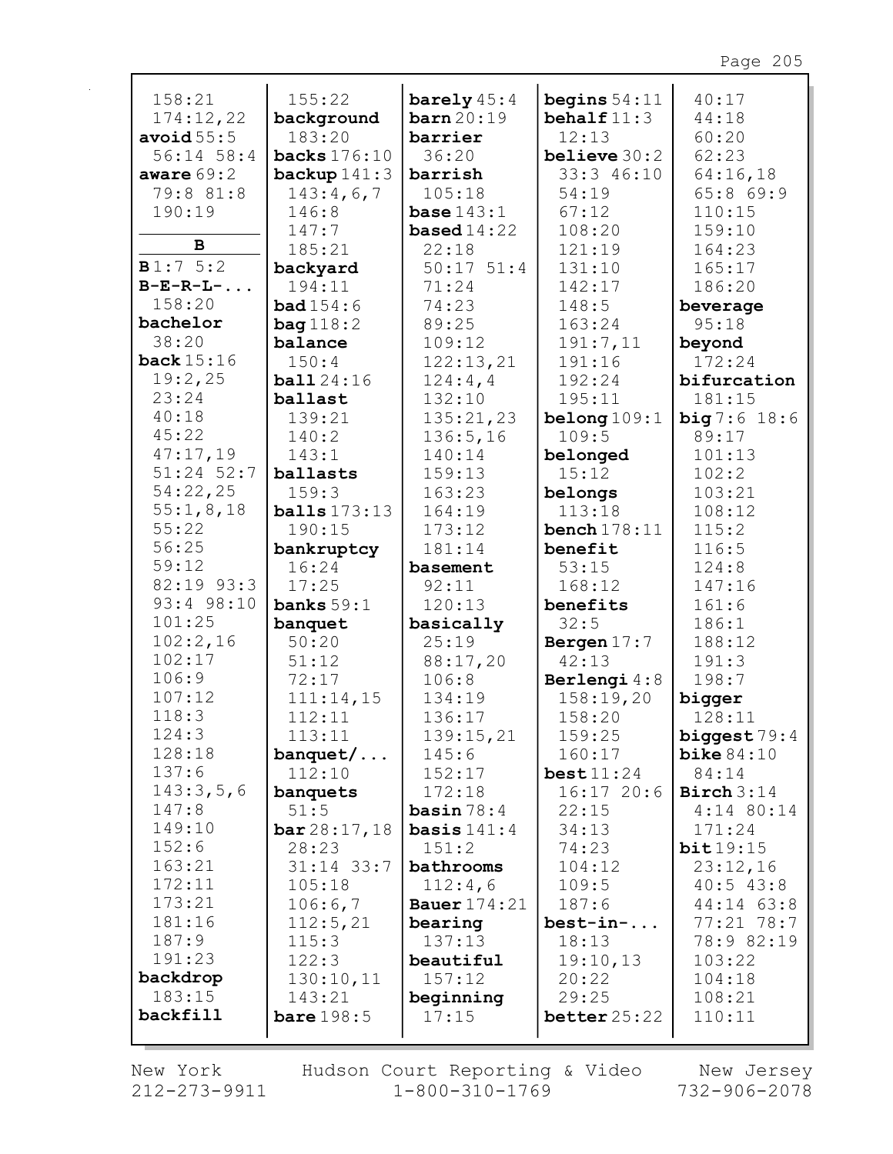| 158:21             | 155:22         | barely $45:4$        | begins $54:11$ | 40:17                 |
|--------------------|----------------|----------------------|----------------|-----------------------|
| 174:12,22          | background     | $\mathtt{barn}20:19$ | behalf $11:3$  | 44:18                 |
| avoid $55:5$       | 183:20         | barrier              | 12:13          | 60:20                 |
| 56:14 58:4         | backs $176:10$ | 36:20                | believe $30:2$ | 62:23                 |
| aware $69:2$       | backup $141:3$ | barrish              | 33:3 46:10     | 64:16,18              |
| 79:8 81:8          | 143:4,6,7      | 105:18               | 54:19          | 65:869:9              |
| 190:19             | 146:8          | base $143:1$         | 67:12          | 110:15                |
| B                  | 147:7          | <b>based</b> $14:22$ | 108:20         | 159:10                |
|                    | 185:21         | 22:18                | 121:19         | 164:23                |
| B1:75:2            | backyard       | $50:17$ $51:4$       | 131:10         | 165:17                |
| $B-E-R-L-.$        | 194:11         | 71:24                | 142:17         | 186:20                |
| 158:20             | bad154:6       | 74:23                | 148:5          | beverage              |
| bachelor           | bag 118:2      | 89:25                | 163:24         | 95:18                 |
| 38:20              | balance        | 109:12               | 191:7,11       | beyond                |
| back $15:16$       | 150:4          | 122:13,21            | 191:16         | 172:24                |
| 19:2,25            | ball24:16      | 124:4,4              | 192:24         | bifurcation           |
| 23:24              | ballast        | 132:10               | 195:11         | 181:15                |
| 40:18              | 139:21         | 135:21,23            | belong $109:1$ | <b>big</b> $7:6$ 18:6 |
| 45:22              | 140:2          | 136:5,16             | 109:5          | 89:17                 |
| 47:17,19           | 143:1          | 140:14               | belonged       | 101:13                |
| 51:24 52:7         | ballasts       | 159:13               | 15:12          | 102:2                 |
| 54:22,25           | 159:3          | 163:23               | belongs        | 103:21                |
| 55:1,8,18          | balls 173:13   | 164:19               | 113:18         | 108:12                |
| 55:22              | 190:15         | 173:12               | bench $178:11$ | 115:2                 |
| 56:25              | bankruptcy     | 181:14               | benefit        | 116:5                 |
| 59:12              | 16:24          | basement             | 53:15          | 124:8                 |
| 82:19 93:3         | 17:25          | 92:11                | 168:12         | 147:16                |
| 93:4 98:10         | banks $59:1$   | 120:13               | benefits       | 161:6                 |
| 101:25             | banquet        | basically            | 32:5           | 186:1                 |
| 102:2,16           | 50:20          | 25:19                | Bergen $17:7$  | 188:12                |
| 102:17             | 51:12          | 88:17,20             | 42:13          | 191:3                 |
| 106:9              | 72:17          | 106:8                | Berlengi 4:8   | 198:7                 |
| 107:12             | 111:14,15      | 134:19               | 158:19,20      | bigger                |
| 118:3              | 112:11         | 136:17               | 158:20         | 128:11                |
| 124:3              | 113:11         | 139:15,21            | 159:25         | biggest 79:4          |
| 128:18             | $b$ anquet $/$ | 145:6                | 160:17         | bike $84:10$          |
| 137:6              | 112:10         | 152:17               | best11:24      | 84:14                 |
| 143:3,5,6          | banquets       | 172:18               | 16:1720:6      | Birch $3:14$          |
| 147:8              | 51:5           | basin $78:4$         | 22:15          | $4:14$ 80:14          |
| 149:10             | bar 28:17, 18  | basis $141:4$        | 34:13          | 171:24                |
| 152:6              | 28:23          | 151:2                | 74:23          | bit19:15              |
| 163:21             | 31:14 33:7     | bathrooms            | 104:12         | 23:12,16              |
| 172:11             | 105:18         | 112:4,6              | 109:5          | $40:5$ 43:8           |
| 173:21             | 106:6,7        | Bauer $174:21$       | 187:6          | 44:14 63:8            |
| 181:16             | 112:5,21       | bearing              | $best-in-.$    | 77:21 78:7            |
| 187:9              | 115:3          | 137:13               | 18:13          | 78:9 82:19            |
| 191:23             | 122:3          | beautiful            | 19:10,13       | 103:22                |
| backdrop<br>183:15 | 130:10,11      | 157:12               | 20:22          | 104:18                |
| backfill           | 143:21         | beginning            | 29:25          | 108:21                |
|                    | bare $198:5$   | 17:15                | better 25:22   | 110:11                |
|                    |                |                      |                |                       |

New York  $212 - 273 - 9911$ 

 $\mathbf{r}$ 

Hudson Court Reporting & Video<br>1-800-310-1769

New Jersey<br>732-906-2078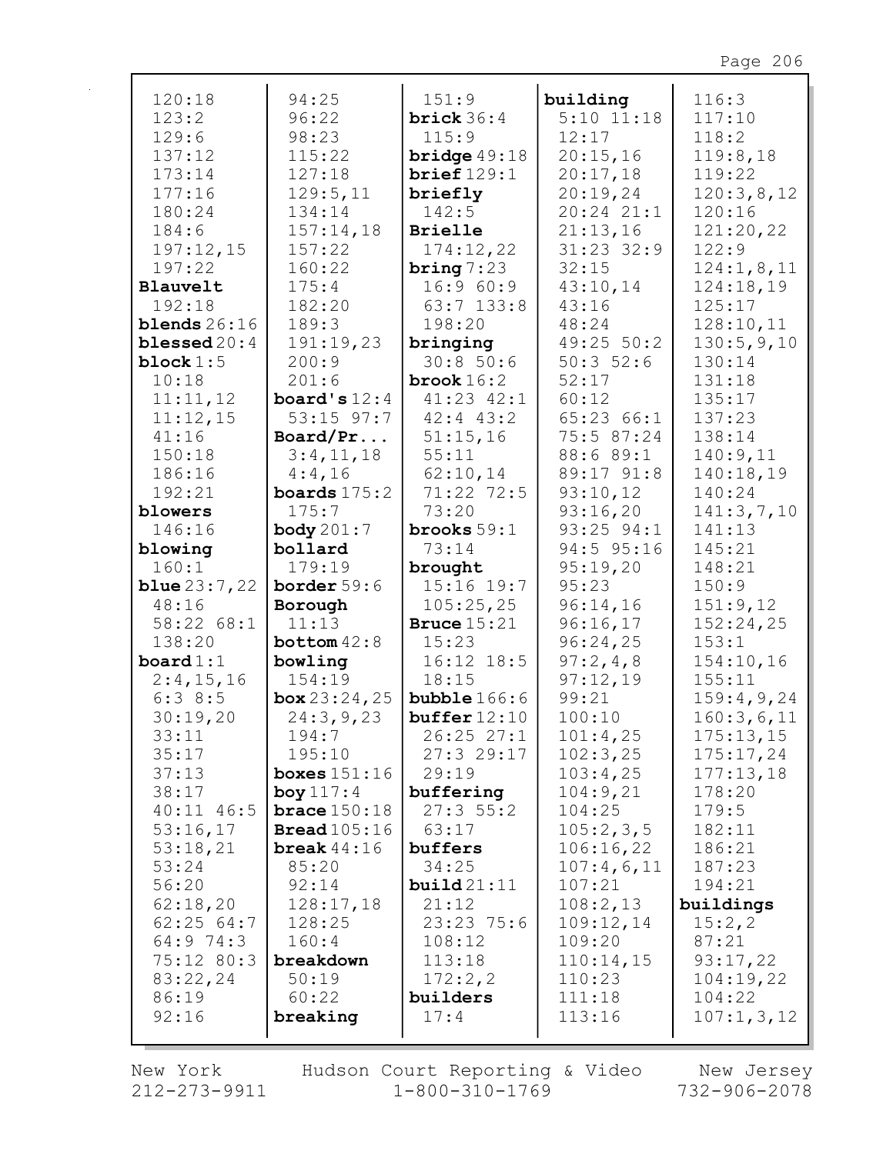| 120:18                | 94:25                 | 151:9                 | building         | 116:3               |
|-----------------------|-----------------------|-----------------------|------------------|---------------------|
| 123:2                 | 96:22                 | brick $36:4$          | $5:10$ $11:18$   | 117:10              |
| 129:6                 | 98:23                 | 115:9                 | 12:17            | 118:2               |
| 137:12                | 115:22                | bridge $49:18$        | 20:15,16         | 119:8,18            |
| 173:14                | 127:18                | brief129:1            | 20:17,18         | 119:22              |
| 177:16                | 129:5,11              | briefly               | 20:19,24         | 120:3,8,12          |
| 180:24                | 134:14                | 142:5                 | 20:24 21:1       | 120:16              |
| 184:6                 | 157:14,18             | <b>Brielle</b>        | 21:13,16         | 121:20,22           |
| 197:12,15             | 157:22                | 174:12,22             | 31:23 32:9       | 122:9               |
| 197:22                | 160:22                | bring $7:23$          | 32:15            | 124:1,8,11          |
| Blauvelt              | 175:4                 | 16:960:9              | 43:10,14         | 124:18,19           |
| 192:18                | 182:20                | $63:7$ 133:8          | 43:16            | 125:17              |
| blends $26:16$        | 189:3                 | 198:20                | 48:24            | 128:10,11           |
| blessed $20:4$        | 191:19,23             | bringing              | 49:25 50:2       | 130:5,9,10          |
| block $1:5$           | 200:9                 | 30:8 50:6             | 50:352:6         | 130:14              |
| 10:18                 | 201:6                 | brook $16:2$          | 52:17            | 131:18              |
| 11:11,12              | board's $12:4$        | $41:23$ $42:1$        | 60:12            | 135:17              |
| 11:12,15              | $53:15$ $97:7$        | $42:4$ $43:2$         | 65:23 66:1       | 137:23              |
| 41:16                 | Board/Pr              | 51:15,16              | 75:5 87:24       | 138:14              |
| 150:18                | 3:4,11,18             | 55:11                 | 88:6 89:1        | 140:9,11            |
| 186:16                | 4:4,16                | 62:10,14              | 89:17 91:8       | 140:18,19           |
| 192:21                | boards $175:2$        | 71:22 72:5            | 93:10,12         | 140:24              |
| blowers               | 175:7                 | 73:20                 | 93:16,20         | 141:3,7,10          |
| 146:16                | body $201:7$          | brooks $59:1$         | 93:25 94:1       | 141:13              |
| blowing               | bollard               | 73:14                 | 94:5 95:16       | 145:21              |
| 160:1                 | 179:19                | brought               | 95:19,20         | 148:21              |
| <b>blue</b> $23:7,22$ | border $59:6$         | $15:16$ 19:7          | 95:23            | 150:9               |
| 48:16                 | Borough               | 105:25,25             | 96:14,16         | 151:9,12            |
| 58:22 68:1            | 11:13                 | Bruce $15:21$         | 96:16,17         | 152:24,25           |
| 138:20                | bottom $42:8$         | 15:23                 | 96:24,25         | 153:1               |
| board $1:1$           | bowling               | $16:12$ $18:5$        | 97:2,4,8         | 154:10,16           |
| 2:4,15,16             | 154:19                | 18:15                 | 97:12,19         | 155:11              |
| 6:38:5                | box 23:24,25          | <b>bubble</b> $166:6$ | 99:21            | 159:4,9,24          |
| 30:19,20              | 24:3,9,23             | buffer 12:10          | 100:10           | 160:3,6,11          |
| 33:11                 | 194:7                 | 26:2527:1             | 101:4,25         | 175:13,15           |
| 35:17                 | 195:10                | 27:329:17             | 102:3,25         | 175:17,24           |
| 37:13                 | boxes $151:16$        | 29:19                 | 103:4,25         | 177:13,18           |
| 38:17                 | boy $117:4$           | buffering             | 104:9,21         | 178:20              |
| $40:11$ $46:5$        | brace $150:18$        | 27:355:2              | 104:25           | 179:5               |
| 53:16,17              | <b>Bread</b> $105:16$ | 63:17                 | 105:2,3,5        | 182:11              |
| 53:18,21              | break $44:16$         | buffers               | 106:16,22        | 186:21              |
| 53:24                 | 85:20                 | 34:25                 | 107:4,6,11       | 187:23              |
| 56:20                 | 92:14                 | build21:11            | 107:21           | 194:21              |
| 62:18,20              | 128:17,18             | 21:12                 | 108:2,13         | buildings           |
| 62:2564:7             | 128:25                | 23:23 75:6            | 109:12,14        | 15:2,2              |
| 64:9 74:3             | 160:4                 | 108:12                | 109:20           | 87:21               |
| 75:12 80:3            | breakdown             | 113:18                | 110:14,15        | 93:17,22            |
| 83:22,24<br>86:19     | 50:19<br>60:22        | 172:2,2<br>builders   | 110:23<br>111:18 | 104:19,22<br>104:22 |
| 92:16                 | breaking              | 17:4                  | 113:16           | 107:1, 3, 12        |
|                       |                       |                       |                  |                     |
|                       |                       |                       |                  |                     |

New York  $212 - 273 - 9911$  Hudson Court Reporting & Video<br>1-800-310-1769

New Jersey<br>732-906-2078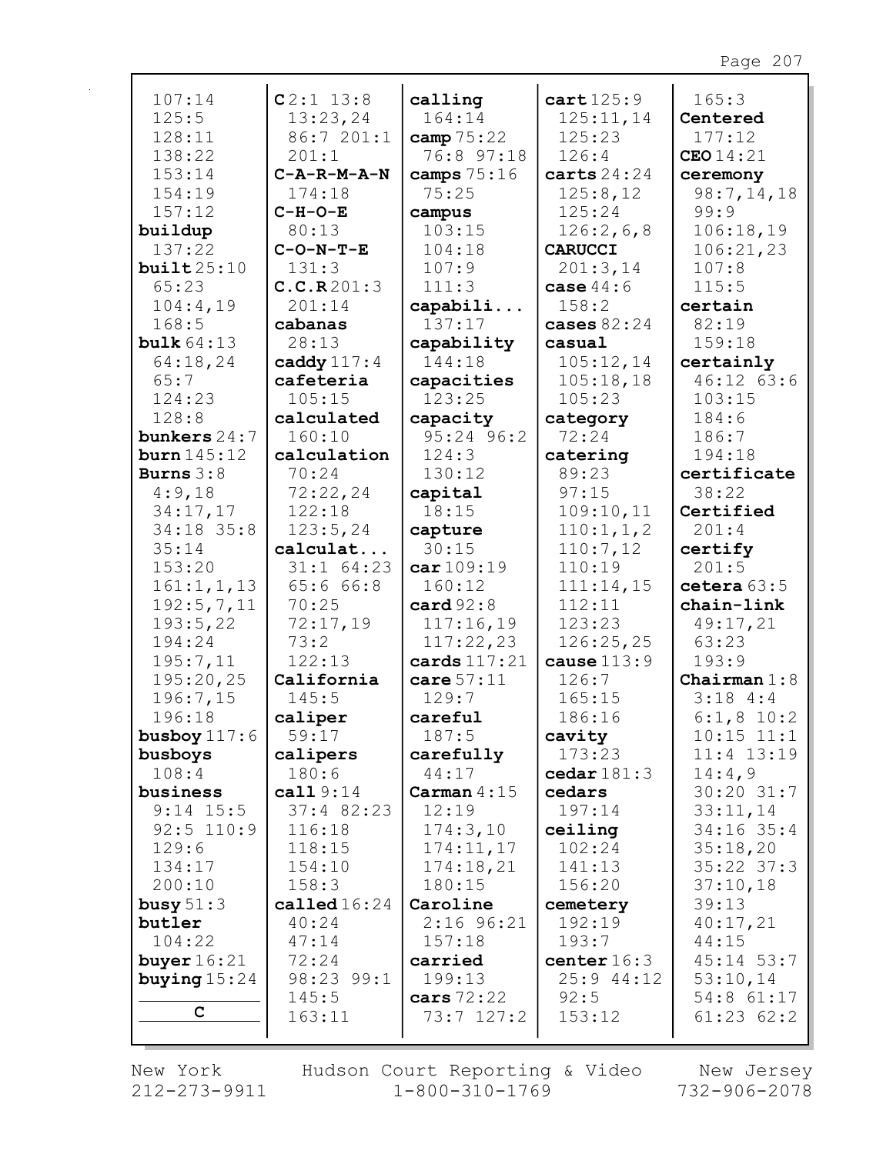| 107:14                | $C2:1$ 13:8             | calling            | cart125:9                        | 165:3                    |
|-----------------------|-------------------------|--------------------|----------------------------------|--------------------------|
| 125:5                 | 13:23,24                | 164:14             | 125:11,14                        | Centered                 |
| 128:11                | 86:7 201:1              | camp $75:22$       | 125:23                           | 177:12                   |
| 138:22                | 201:1                   | 76:8 97:18         | 126:4                            | <b>CEO</b> 14:21         |
| 153:14                | $C - A - R - M - A - N$ | camps $75:16$      | carts $24:24$                    | ceremony                 |
| 154:19                | 174:18                  | 75:25              | 125:8,12                         | 98:7,14,18               |
| 157:12                | $C-H-O-E$               | campus             | 125:24                           | 99:9                     |
| buildup               | 80:13                   | 103:15             | 126:2,6,8                        | 106:18,19                |
| 137:22                | $C-O-N-T-E$             | 104:18             | <b>CARUCCI</b>                   | 106:21,23                |
| buit25:10             | 131:3                   | 107:9              | 201:3,14                         | 107:8                    |
| 65:23                 | C.C.R201:3              | 111:3              | case $44:6$                      | 115:5                    |
| 104:4,19              | 201:14                  | capabili           | 158:2                            | certain                  |
| 168:5                 | cabanas                 | 137:17             | cases $82:24$                    | 82:19                    |
| bulk $64:13$          | 28:13                   | capability         | casual                           | 159:18                   |
| 64:18,24              | caddy $117:4$           | 144:18             | 105:12,14                        | certainly                |
| 65:7                  | cafeteria               | capacities         | 105:18,18                        | 46:12 63:6               |
| 124:23                | 105:15                  | 123:25             | 105:23                           | 103:15                   |
| 128:8                 | calculated              | capacity           | category                         | 184:6                    |
| bunkers $24:7$        | 160:10                  | 95:24 96:2         | 72:24                            | 186:7                    |
| burn $145:12$         | calculation             | 124:3              | catering                         | 194:18                   |
| Burns $3:8$           | 70:24                   | 130:12             | 89:23                            | certificate              |
| 4:9,18                | 72:22,24                | capital            | 97:15                            | 38:22                    |
| 34:17,17              | 122:18                  | 18:15              | 109:10,11                        | Certified                |
| 34:18 35:8            | 123:5,24                | capture            | 110:1, 1, 2                      | 201:4                    |
| 35:14                 | calculat                | 30:15              | 110:7,12                         | certify                  |
| 153:20                | $31:1$ 64:23            | car 109:19         | 110:19                           | 201:5                    |
| 161:1, 1, 13          | 65:666:8                | 160:12             | 111:14,15                        | cetera 63:5              |
| 192:5,7,11            | 70:25                   | card $92:8$        | 112:11                           | chain-link               |
| 193:5,22              | 72:17,19                | 117:16,19          | 123:23                           | 49:17,21                 |
| 194:24                | 73:2                    | 117:22,23          | 126:25,25                        | 63:23                    |
| 195:7,11              | 122:13                  | cards $117:21$     | cause $113:9$                    | 193:9                    |
| 195:20,25             | California              | care $57:11$       | 126:7                            | Chairman $1:8$           |
| 196:7,15              | 145:5                   | 129:7              | 165:15                           | 3:184:4                  |
| 196:18                | caliper                 | careful            | 186:16                           | $6:1, 8$ 10:2            |
| <b>bushoy</b> $117:6$ | 59:17                   | 187:5              | cavity                           | $10:15$ $11:1$           |
| busboys<br>108:4      | calipers                | carefully<br>44:17 | 173:23                           | $11:4$ $13:19$           |
| business              | 180:6<br>cal 119:14     | Carman $4:15$      | $\texttt{cedar} 181:3$<br>cedars | 14:4,9<br>$30:20$ $31:7$ |
| $9:14$ 15:5           | $37:4$ 82:23            | 12:19              | 197:14                           | 33:11,14                 |
| $92:5$ 110:9          | 116:18                  | 174:3,10           | ceiling                          | 34:16 35:4               |
| 129:6                 | 118:15                  | 174:11,17          | 102:24                           | 35:18,20                 |
| 134:17                | 154:10                  | 174:18,21          | 141:13                           | $35:22$ $37:3$           |
| 200:10                | 158:3                   | 180:15             | 156:20                           | 37:10,18                 |
| busy $51:3$           | called 16:24            | Caroline           | cemetery                         | 39:13                    |
| butler                | 40:24                   | $2:16$ 96:21       | 192:19                           | 40:17,21                 |
| 104:22                | 47:14                   | 157:18             | 193:7                            | 44:15                    |
| buyer $16:21$         | 72:24                   | carried            | center $16:3$                    | 45:14 53:7               |
| buying $15:24$        | 98:23 99:1              | 199:13             | $25:9$ 44:12                     | 53:10,14                 |
|                       | 145:5                   | cars $72:22$       | 92:5                             | 54:8 61:17               |
| C                     | 163:11                  | $73:7$ 127:2       | 153:12                           | $61:23$ $62:2$           |
|                       |                         |                    |                                  |                          |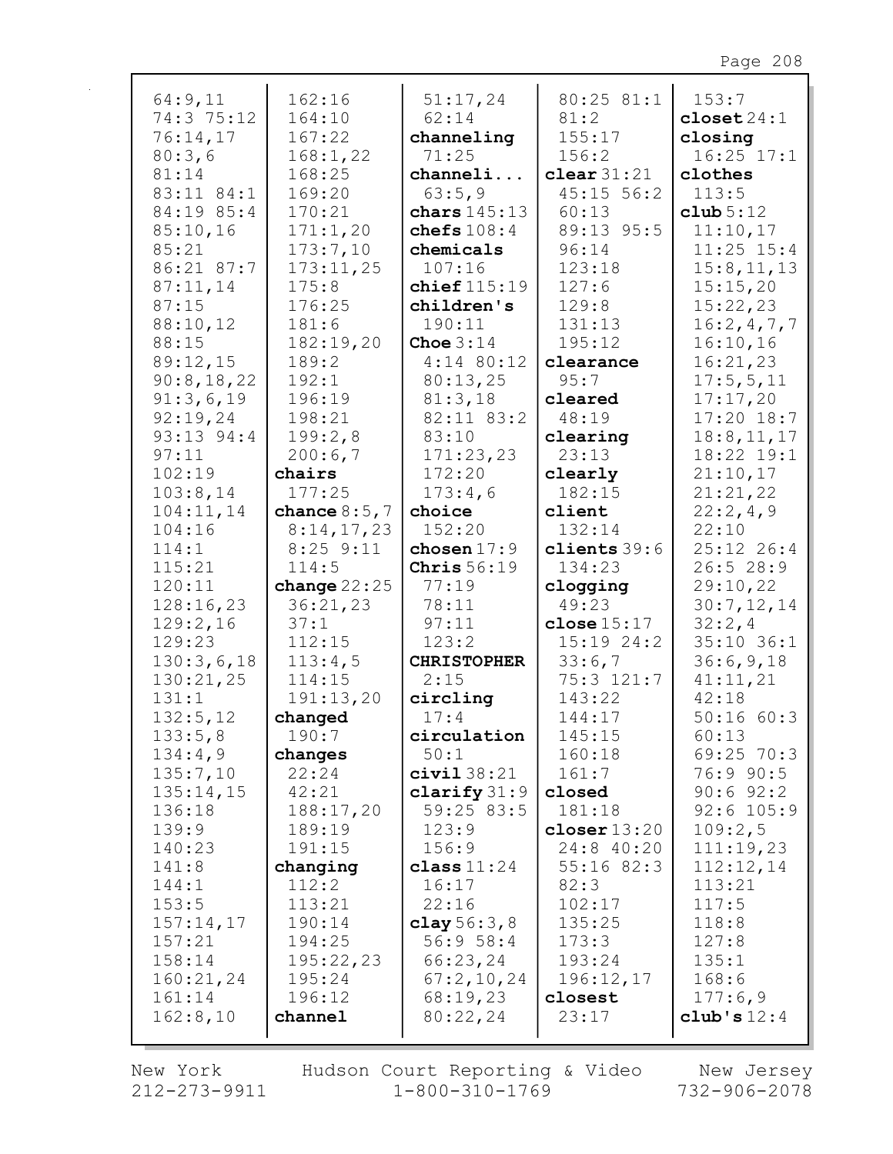| 64:9,11<br>74:3 75:12<br>76:14,17<br>80:3,6<br>81:14<br>83:11 84:1 | 162:16<br>164:10<br>167:22<br>168:1,22<br>168:25<br>169:20 | 51:17,24<br>62:14<br>channeling<br>71:25<br>channeli<br>63:5,9 | 80:25 81:1<br>81:2<br>155:17<br>156:2<br>clear $31:21$<br>45:15 56:2 | 153:7<br>close 24:1<br>closing<br>$16:25$ $17:1$<br>clothes<br>113:5 |
|--------------------------------------------------------------------|------------------------------------------------------------|----------------------------------------------------------------|----------------------------------------------------------------------|----------------------------------------------------------------------|
| 84:19 85:4<br>85:10,16                                             | 170:21<br>171:1,20                                         | chars $145:13$<br>chefs $108:4$                                | 60:13<br>89:13 95:5                                                  | club 5:12<br>11:10,17                                                |
| 85:21                                                              | 173:7,10                                                   | chemicals                                                      | 96:14                                                                | $11:25$ $15:4$                                                       |
| 86:21 87:7                                                         | 173:11,25                                                  | 107:16                                                         | 123:18                                                               | 15:8, 11, 13                                                         |
| 87:11,14                                                           | 175:8                                                      | chief $115:19$                                                 | 127:6                                                                | 15:15,20                                                             |
| 87:15                                                              | 176:25                                                     | children's                                                     | 129:8                                                                | 15:22,23                                                             |
| 88:10,12                                                           | 181:6                                                      | 190:11                                                         | 131:13                                                               | 16:2,4,7,7                                                           |
| 88:15                                                              | 182:19,20                                                  | Choe $3:14$                                                    | 195:12                                                               | 16:10,16                                                             |
| 89:12,15<br>90:8,18,22                                             | 189:2<br>192:1                                             | $4:14$ 80:12<br>80:13,25                                       | clearance<br>95:7                                                    | 16:21,23<br>17:5,5,11                                                |
| 91:3,6,19                                                          | 196:19                                                     | 81:3,18                                                        | cleared                                                              | 17:17,20                                                             |
| 92:19,24                                                           | 198:21                                                     | 82:11 83:2                                                     | 48:19                                                                | $17:20$ 18:7                                                         |
| 93:13 94:4                                                         | 199:2,8                                                    | 83:10                                                          | clearing                                                             | 18:8, 11, 17                                                         |
| 97:11                                                              | 200:6,7                                                    | 171:23,23                                                      | 23:13                                                                | 18:22 19:1                                                           |
| 102:19                                                             | chairs                                                     | 172:20                                                         | clearly                                                              | 21:10,17                                                             |
| 103:8,14                                                           | 177:25                                                     | 173:4,6                                                        | 182:15                                                               | 21:21,22                                                             |
| 104:11,14                                                          | chance $8:5,7$                                             | choice                                                         | client                                                               | 22:2,4,9                                                             |
| 104:16<br>114:1                                                    | 8:14,17,23<br>$8:25$ $9:11$                                | 152:20<br>chosen $17:9$                                        | 132:14<br>clients $39:6$                                             | 22:10<br>25:12 26:4                                                  |
| 115:21                                                             | 114:5                                                      | Chris $56:19$                                                  | 134:23                                                               | 26:528:9                                                             |
| 120:11                                                             | change $22:25$                                             | 77:19                                                          | clogging                                                             | 29:10,22                                                             |
| 128:16,23                                                          | 36:21,23                                                   | 78:11                                                          | 49:23                                                                | 30:7,12,14                                                           |
| 129:2,16                                                           | 37:1                                                       | 97:11                                                          | close 15:17                                                          | 32:2,4                                                               |
| 129:23                                                             | 112:15                                                     | 123:2                                                          | 15:19 24:2                                                           | $35:10$ $36:1$                                                       |
| 130:3,6,18                                                         | 113:4,5                                                    | <b>CHRISTOPHER</b>                                             | 33:6,7                                                               | 36:6,9,18                                                            |
| 130:21,25                                                          | 114:15                                                     | 2:15                                                           | 75:3 121:7                                                           | 41:11,21                                                             |
| 131:1<br>132:5,12                                                  | 191:13,20                                                  | circling<br>17:4                                               | 143:22<br>144:17                                                     | 42:18<br>50:1660:3                                                   |
| 133:5,8                                                            | changed<br>190:7                                           | circulation                                                    | 145:15                                                               | 60:13                                                                |
| 134:4,9                                                            | changes                                                    | 50:1                                                           | 160:18                                                               | $69:25$ 70:3                                                         |
| 135:7,10                                                           | 22:24                                                      | civial 38:21                                                   | 161:7                                                                | 76:9 90:5                                                            |
| 135:14,15                                                          | 42:21                                                      | clarify $31:9$                                                 | closed                                                               | $90:6$ $92:2$                                                        |
| 136:18                                                             | 188:17,20                                                  | 59:25 83:5                                                     | 181:18                                                               | $92:6$ 105:9                                                         |
| 139:9                                                              | 189:19                                                     | 123:9                                                          | closer $13:20$                                                       | 109:2,5                                                              |
| 140:23                                                             | 191:15                                                     | 156:9                                                          | 24:8 40:20                                                           | 111:19,23                                                            |
| 141:8<br>144:1                                                     | changing<br>112:2                                          | class $11:24$<br>16:17                                         | $55:16$ 82:3<br>82:3                                                 | 112:12,14<br>113:21                                                  |
| 153:5                                                              | 113:21                                                     | 22:16                                                          | 102:17                                                               | 117:5                                                                |
| 157:14,17                                                          | 190:14                                                     | clay $56:3,8$                                                  | 135:25                                                               | 118:8                                                                |
| 157:21                                                             | 194:25                                                     | 56:958:4                                                       | 173:3                                                                | 127:8                                                                |
| 158:14                                                             | 195:22,23                                                  | 66:23,24                                                       | 193:24                                                               | 135:1                                                                |
| 160:21,24                                                          | 195:24                                                     | 67:2,10,24                                                     | 196:12,17                                                            | 168:6                                                                |
| 161:14                                                             | 196:12                                                     | 68:19,23                                                       | closest                                                              | 177:6,9                                                              |
| 162:8,10                                                           | channel                                                    | 80:22,24                                                       | 23:17                                                                | club's $12:4$                                                        |

New York  $212 - 273 - 9911$ 

Hudson Court Reporting & Video<br>11 1-800-310-1769

New Jersey<br>732-906-2078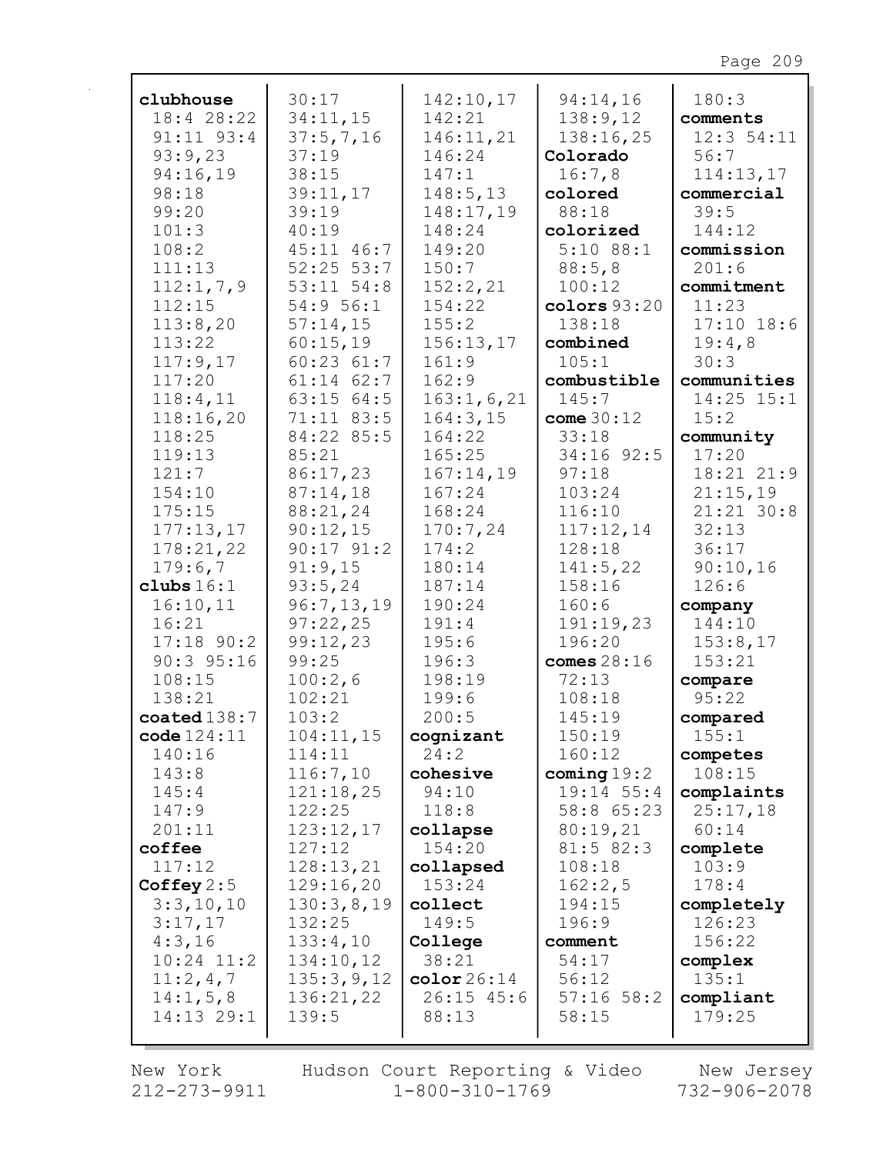| clubhouse              | 30:17          | 142:10,17    | 94:14,16       | 180:3          |
|------------------------|----------------|--------------|----------------|----------------|
| 18:4 28:22             | 34:11,15       | 142:21       | 138:9,12       | comments       |
| $91:11$ $93:4$         | 37:5,7,16      | 146:11,21    | 138:16,25      | 12:354:11      |
| 93:9,23                | 37:19          | 146:24       | Colorado       | 56:7           |
| 94:16,19               | 38:15          | 147:1        | 16:7,8         | 114:13,17      |
| 98:18                  | 39:11,17       | 148:5, 13    | colored        | commercial     |
| 99:20                  | 39:19          | 148:17,19    | 88:18          | 39:5           |
| 101:3                  | 40:19          | 148:24       | colorized      | 144:12         |
| 108:2                  | 45:11 46:7     | 149:20       | $5:10$ 88:1    | commission     |
| 111:13                 | $52:25$ $53:7$ | 150:7        | 88:5,8         | 201:6          |
| 112:1,7,9              | $53:11$ $54:8$ | 152:2,21     | 100:12         | commitment     |
| 112:15                 | 54:9 56:1      | 154:22       | colors $93:20$ | 11:23          |
| 113:8,20               | 57:14,15       | 155:2        | 138:18         | $17:10$ 18:6   |
| 113:22                 | 60:15,19       | 156:13,17    | combined       | 19:4,8         |
| 117:9,17               | $60:23$ $61:7$ | 161:9        | 105:1          | 30:3           |
| 117:20                 | $61:14$ $62:7$ | 162:9        | combustible    | communities    |
| 118:4,11               | 63:15 64:5     | 163:1, 6, 21 | 145:7          | $14:25$ $15:1$ |
| 118:16,20              | 71:11 83:5     | 164:3,15     | come $30:12$   | 15:2           |
| 118:25                 | 84:22 85:5     | 164:22       | 33:18          | community      |
| 119:13                 | 85:21          | 165:25       | 34:16 92:5     | 17:20          |
| 121:7                  | 86:17,23       | 167:14,19    | 97:18          | 18:21 21:9     |
| 154:10                 | 87:14,18       | 167:24       | 103:24         | 21:15,19       |
| 175:15                 | 88:21,24       | 168:24       | 116:10         | $21:21$ 30:8   |
| 177:13,17              | 90:12,15       | 170:7,24     | 117:12,14      | 32:13          |
| 178:21,22              | $90:17$ $91:2$ | 174:2        | 128:18         | 36:17          |
| 179:6,7                | 91:9,15        | 180:14       | 141:5,22       | 90:10,16       |
| clubs $16:1$           | 93:5, 24       | 187:14       | 158:16         | 126:6          |
| 16:10,11               | 96:7,13,19     | 190:24       | 160:6          | company        |
| 16:21                  | 97:22,25       | 191:4        | 191:19,23      | 144:10         |
| $17:18$ 90:2           | 99:12,23       | 195:6        | 196:20         | 153:8,17       |
| $90:3$ 95:16           | 99:25          | 196:3        | comes $28:16$  | 153:21         |
| 108:15                 | 100:2,6        | 198:19       | 72:13          | compare        |
| 138:21                 | 102:21         | 199:6        | 108:18         | 95:22          |
| $\texttt{coated138:7}$ | 103:2          | 200:5        | 145:19         | compared       |
| code 124:11            | 104:11,15      | cognizant    | 150:19         | 155:1          |
| 140:16                 | 114:11         | 24:2         | 160:12         | competes       |
| 143:8                  | 116:7,10       | cohesive     | coming $19:2$  | 108:15         |
| 145:4                  | 121:18,25      | 94:10        | $19:14$ 55:4   | complaints     |
| 147:9                  | 122:25         | 118:8        | 58:8 65:23     | 25:17,18       |
| 201:11                 | 123:12,17      | collapse     | 80:19,21       | 60:14          |
| coffee                 | 127:12         | 154:20       | 81:5 82:3      | complete       |
| 117:12                 | 128:13,21      | collapsed    | 108:18         | 103:9          |
| Coffey $2:5$           | 129:16,20      | 153:24       | 162:2,5        | 178:4          |
| 3:3,10,10              | 130:3,8,19     | collect      | 194:15         | completely     |
| 3:17,17                | 132:25         | 149:5        | 196:9          | 126:23         |
| 4:3,16                 | 133:4,10       | College      | comment        | 156:22         |
| $10:24$ $11:2$         | 134:10,12      | 38:21        | 54:17          | complex        |
| 11:2,4,7               | 135:3,9,12     | color26:14   | 56:12          | 135:1          |
| 14:1, 5, 8             | 136:21,22      | $26:15$ 45:6 | $57:16$ $58:2$ | compliant      |
| 14:13 29:1             | 139:5          | 88:13        | 58:15          | 179:25         |
|                        |                |              |                |                |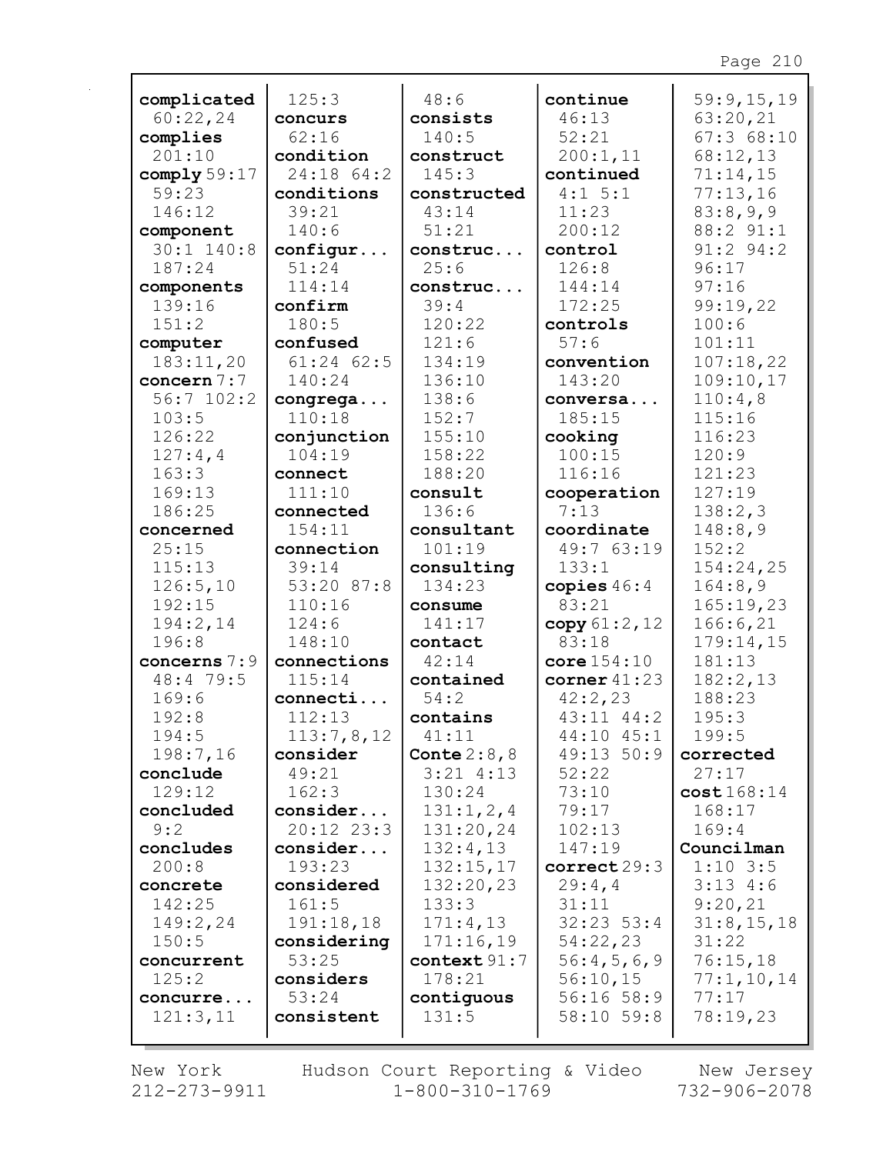| complicated    | 125:3                  | 48:6                   | continue              | 59:9,15,19         |
|----------------|------------------------|------------------------|-----------------------|--------------------|
| 60:22,24       | concurs                | consists               | 46:13                 | 63:20,21           |
| complies       | 62:16                  | 140:5                  | 52:21                 | 67:368:10          |
| 201:10         | condition              | construct              | 200:1,11              | 68:12,13           |
| comply $59:17$ | 24:18 64:2             | 145:3                  | continued             | 71:14,15           |
| 59:23          | conditions             | constructed            | $4:1 \ 5:1$           | 77:13,16           |
| 146:12         | 39:21                  | 43:14                  | 11:23                 | 83:8,9,9           |
| component      | 140:6                  | 51:21                  | 200:12                | 88:2 91:1          |
| $30:1$ 140:8   | configur               | construc               | control               | $91:2$ $94:2$      |
| 187:24         | 51:24                  | 25:6                   | 126:8                 | 96:17              |
| components     | 114:14                 | construc               | 144:14                | 97:16              |
| 139:16         | confirm                | 39:4                   | 172:25                | 99:19,22           |
| 151:2          | 180:5                  | 120:22                 | controls              | 100:6              |
| computer       | confused               | 121:6                  | 57:6                  | 101:11             |
| 183:11,20      | $61:24$ $62:5$         | 134:19                 | convention            | 107:18,22          |
| concern 7:7    | 140:24                 | 136:10                 | 143:20                | 109:10,17          |
| $56:7$ 102:2   | congrega               | 138:6                  | conversa              | 110:4,8            |
| 103:5          | 110:18                 | 152:7                  | 185:15                | 115:16             |
| 126:22         | conjunction            | 155:10                 | cooking               | 116:23             |
| 127:4,4        | 104:19                 | 158:22                 | 100:15                | 120:9              |
| 163:3          | connect                | 188:20                 | 116:16                | 121:23             |
| 169:13         | 111:10                 | consult                | cooperation           | 127:19             |
| 186:25         | connected              | 136:6                  | 7:13                  | 138:2,3            |
| concerned      | 154:11                 | consultant             | coordinate            | 148:8,9            |
| 25:15          | connection             | 101:19                 | 49:7 63:19            | 152:2              |
| 115:13         | 39:14                  | consulting             | 133:1                 | 154:24,25          |
| 126:5,10       | 53:20 87:8             | 134:23                 | copies $46:4$         | 164:8,9            |
| 192:15         | 110:16                 | consume                | 83:21                 | 165:19,23          |
| 194:2,14       | 124:6                  | 141:17                 | copy $61:2, 12$       | 166:6,21           |
| 196:8          | 148:10                 | contact                | 83:18                 | 179:14,15          |
| concerns 7:9   | connections            | 42:14                  | $core$ $154:10$       | 181:13             |
| 48:4 79:5      | 115:14                 | contained              | corner $41:23$        | 182:2,13<br>188:23 |
| 169:6<br>192:8 | connecti<br>112:13     | 54:2                   | 42:2,23<br>43:11 44:2 | 195:3              |
| 194:5          |                        | contains               | 44:10 45:1            | 199:5              |
| 198:7,16       | 113:7,8,12<br>consider | 41:11<br>Conte $2:8,8$ | 49:13 50:9            | corrected          |
| conclude       | 49:21                  | $3:21$ 4:13            | 52:22                 | 27:17              |
| 129:12         | 162:3                  | 130:24                 | 73:10                 | cost168:14         |
| concluded      | consider               | 131:1, 2, 4            | 79:17                 | 168:17             |
| 9:2            | 20:12 23:3             | 131:20,24              | 102:13                | 169:4              |
| concludes      | consider               | 132:4,13               | 147:19                | Councilman         |
| 200:8          | 193:23                 | 132:15,17              | correct29:3           | $1:10$ 3:5         |
| concrete       | considered             | 132:20,23              | 29:4,4                | 3:134:5            |
| 142:25         | 161:5                  | 133:3                  | 31:11                 | 9:20,21            |
| 149:2,24       | 191:18,18              | 171:4,13               | $32:23$ 53:4          | 31:8, 15, 18       |
| 150:5          | considering            | 171:16,19              | 54:22,23              | 31:22              |
| concurrent     | 53:25                  | context $91:7$         | 56:4,5,6,9            | 76:15,18           |
| 125:2          | considers              | 178:21                 | 56:10,15              | 77:1,10,14         |
| concurre       | 53:24                  | contiguous             | 56:16 58:9            | 77:17              |
| 121:3,11       | consistent             | 131:5                  | 58:10 59:8            | 78:19,23           |
|                |                        |                        |                       |                    |

 $\mathbf{r}$ 

New York Hudson Court Reporting & Video New Jersey<br>212-273-9911 1-800-310-1769 732-906-2078 Hudson Court Reporting & Video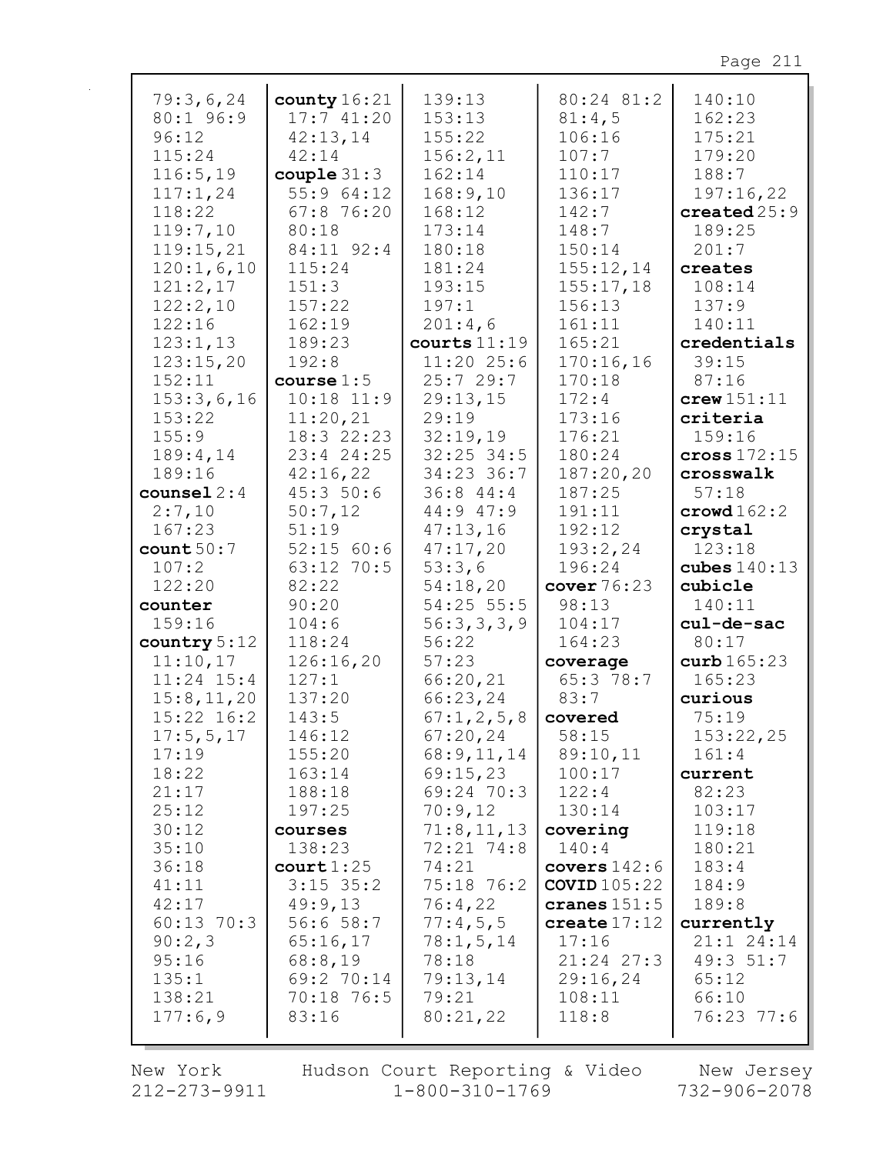| 79:3,6,24      | county $16:21$         | 139:13         | 80:24 81:2     | 140:10                 |
|----------------|------------------------|----------------|----------------|------------------------|
| 80:1 96:9      | 17:741:20              | 153:13         | 81:4,5         | 162:23                 |
|                |                        |                |                |                        |
| 96:12          | 42:13,14               | 155:22         | 106:16         | 175:21                 |
| 115:24         | 42:14                  | 156:2,11       | 107:7          | 179:20                 |
| 116:5, 19      | $\texttt{couple} 31:3$ | 162:14         | 110:17         | 188:7                  |
| 117:1,24       | 55:9 64:12             | 168:9,10       | 136:17         | 197:16,22              |
| 118:22         | 67:8 76:20             | 168:12         | 142:7          | created $25:9$         |
| 119:7,10       | 80:18                  | 173:14         | 148:7          | 189:25                 |
| 119:15,21      | 84:11 92:4             | 180:18         | 150:14         | 201:7                  |
| 120:1,6,10     | 115:24                 | 181:24         | 155:12,14      | creates                |
| 121:2,17       | 151:3                  | 193:15         | 155:17,18      | 108:14                 |
|                |                        |                |                |                        |
| 122:2,10       | 157:22                 | 197:1          | 156:13         | 137:9                  |
| 122:16         | 162:19                 | 201:4,6        | 161:11         | 140:11                 |
| 123:1,13       | 189:23                 | courts $11:19$ | 165:21         | credentials            |
| 123:15,20      | 192:8                  | $11:20$ 25:6   | 170:16,16      | 39:15                  |
| 152:11         | course 1:5             | 25:729:7       | 170:18         | 87:16                  |
| 153:3,6,16     | $10:18$ $11:9$         | 29:13,15       | 172:4          | $c$ rew $151:11$       |
| 153:22         | 11:20,21               | 29:19          | 173:16         | criteria               |
| 155:9          | 18:3 22:23             | 32:19,19       | 176:21         | 159:16                 |
| 189:4,14       | 23:4 24:25             | $32:25$ 34:5   | 180:24         | cross $172:15$         |
| 189:16         | 42:16,22               | 34:23 36:7     | 187:20,20      | crosswalk              |
|                |                        |                |                |                        |
| $course1 2:4$  | 45:350:6               | 36:844:4       | 187:25         | 57:18                  |
| 2:7,10         | 50:7,12                | 44:947:9       | 191:11         | $\texttt{crowd} 162:2$ |
| 167:23         | 51:19                  | 47:13,16       | 192:12         | crystal                |
| count 50:7     | 52:15 60:6             | 47:17,20       | 193:2,24       | 123:18                 |
| 107:2          | 63:12 70:5             | 53:3,6         | 196:24         | cubes $140:13$         |
| 122:20         | 82:22                  | 54:18,20       | cover $76:23$  | cubicle                |
| counter        | 90:20                  | $54:25$ 55:5   | 98:13          | 140:11                 |
| 159:16         | 104:6                  | 56:3,3,3,9     | 104:17         | cul-de-sac             |
| country $5:12$ | 118:24                 | 56:22          | 164:23         | 80:17                  |
| 11:10,17       | 126:16,20              | 57:23          | coverage       | curb $165:23$          |
| $11:24$ $15:4$ | 127:1                  | 66:20,21       | 65:3 78:7      | 165:23                 |
| 15:8, 11, 20   | 137:20                 | 66:23,24       | 83:7           | curious                |
| 15:22 16:2     | 143:5                  | 67:1, 2, 5, 8  | covered        | 75:19                  |
|                | 146:12                 | 67:20,24       | 58:15          | 153:22,25              |
| 17:5,5,17      |                        |                |                |                        |
| 17:19          | 155:20                 | 68:9,11,14     | 89:10,11       | 161:4                  |
| 18:22          | 163:14                 | 69:15,23       | 100:17         | current                |
| 21:17          | 188:18                 | 69:24 70:3     | 122:4          | 82:23                  |
| 25:12          | 197:25                 | 70:9,12        | 130:14         | 103:17                 |
| 30:12          | courses                | 71:8, 11, 13   | covering       | 119:18                 |
| 35:10          | 138:23                 | 72:21 74:8     | 140:4          | 180:21                 |
| 36:18          | court 1:25             | 74:21          | covers $142:6$ | 183:4                  |
| 41:11          | $3:15$ 35:2            | 75:18 76:2     | COVID $105:22$ | 184:9                  |
| 42:17          | 49:9,13                | 76:4,22        | cranes $151:5$ | 189:8                  |
| $60:13$ 70:3   | 56:658:7               | 77:4,5,5       | create $17:12$ | currently              |
| 90:2,3         | 65:16,17               | 78:1, 5, 14    | 17:16          | 21:1 24:14             |
| 95:16          | 68:8,19                | 78:18          | 21:24 27:3     | 49:3 51:7              |
| 135:1          | 69:2 70:14             | 79:13,14       | 29:16,24       | 65:12                  |
|                |                        |                |                |                        |
| 138:21         | 70:18 76:5             | 79:21          | 108:11         | 66:10                  |
| 177:6,9        | 83:16                  | 80:21,22       | 118:8          | 76:23 77:6             |
|                |                        |                |                |                        |

New York 212-273-9911 Hudson Court Reporting & Video<br>1-800-310-1769

New Jersey  $732 - 906 - 2078$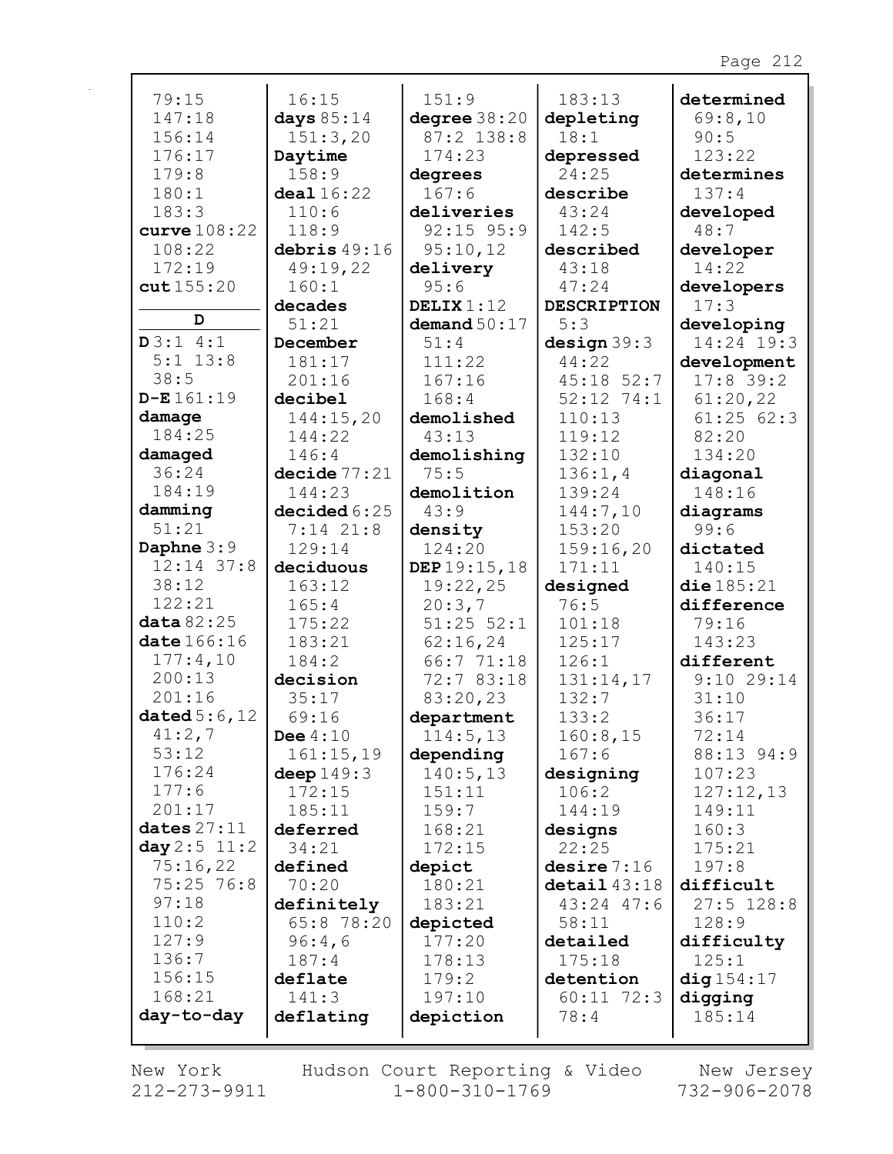| 79:15                      | 16:15                  | 151:9                 | 183:13                  | determined          |
|----------------------------|------------------------|-----------------------|-------------------------|---------------------|
| 147:18                     | days $85:14$           | degree $38:20$        | depleting               | 69:8,10             |
| 156:14                     | 151:3,20               | 87:2 138:8            | 18:1                    | 90:5                |
| 176:17                     | Daytime                | 174:23                | depressed               | 123:22              |
| 179:8                      | 158:9                  | degrees               | 24:25                   | determines          |
| 180:1                      | deal 16:22             | 167:6                 | describe                | 137:4               |
| 183:3                      | 110:6                  | deliveries            | 43:24                   | developed           |
| curve $108:22$             | 118:9                  | $92:15$ $95:9$        | 142:5                   | 48:7                |
| 108:22                     | debris $49:16$         | 95:10,12              | described               | developer           |
| 172:19                     | 49:19,22               | delivery              | 43:18                   | 14:22               |
| cut155:20                  | 160:1                  | 95:6                  | 47:24                   | developers          |
|                            | decades                | DELIX $1:12$          | <b>DESCRIPTION</b>      | 17:3                |
| D                          | 51:21                  | demand $50:17$        | 5:3                     | developing          |
| D3:14:1                    | December               | 51:4                  | design 39:3             | 14:24 19:3          |
| $5:1$ 13:8                 | 181:17                 | 111:22                | 44:22                   | development         |
| 38:5                       | 201:16                 | 167:16                | $45:18$ 52:7            | $17:8$ 39:2         |
| $D - E 161:19$             | decibel                | 168:4                 | $52:12$ 74:1            | 61:20,22            |
| damage                     | 144:15,20              | demolished            | 110:13                  | 61:2562:3           |
| 184:25                     | 144:22                 | 43:13                 | 119:12                  | 82:20               |
| damaged                    | 146:4                  | demolishing           | 132:10                  | 134:20              |
| 36:24                      | decide 77:21           | 75:5                  | 136:1,4                 | diagonal            |
| 184:19                     | 144:23                 | demolition            | 139:24                  | 148:16              |
| damming                    | decided6:25            | 43:9                  | 144:7,10                | diagrams            |
| 51:21                      | $7:14$ 21:8            | density               | 153:20                  | 99:6                |
| Daphne $3:9$               | 129:14                 | 124:20                | 159:16,20               | dictated            |
| $12:14$ 37:8               | deciduous              | DEP 19:15, 18         | 171:11                  | 140:15              |
| 38:12                      | 163:12                 | 19:22,25              | designed                | die 185:21          |
| 122:21                     | 165:4                  | 20:3,7                | 76:5                    | difference          |
| data 82:25                 | 175:22                 | $51:25$ $52:1$        | 101:18                  | 79:16               |
| date 166:16                | 183:21                 | 62:16,24              | 125:17                  | 143:23              |
| 177:4,10                   | 184:2                  | 66:7 71:18            | 126:1                   | different           |
| 200:13<br>201:16           | decision               | 72:7 83:18            | 131:14,17               | $9:10$ 29:14        |
|                            | 35:17                  | 83:20,23              | 132:7                   | 31:10               |
| dated $5:6$ , 12<br>41:2,7 | 69:16                  | department            | 133:2                   | 36:17               |
| 53:12                      | Dee $4:10$             | 114:5, 13             | 160:8,15                | 72:14               |
| 176:24                     | 161:15,19              | depending<br>140:5,13 | 167:6                   | 88:13 94:9          |
| 177:6                      | deep $149:3$<br>172:15 | 151:11                | designing<br>106:2      | 107:23              |
| 201:17                     | 185:11                 | 159:7                 | 144:19                  | 127:12,13<br>149:11 |
| dates $27:11$              | deferred               | 168:21                | designs                 | 160:3               |
| day $2:5$ 11:2             | 34:21                  | 172:15                | 22:25                   | 175:21              |
| 75:16,22                   | defined                | depict                | desire 7:16             | 197:8               |
| 75:25 76:8                 | 70:20                  | 180:21                | $\texttt{detail}$ 43:18 | difficult           |
| 97:18                      | definitely             | 183:21                | 43:24 47:6              | $27:5$ 128:8        |
| 110:2                      | 65:8 78:20             | depicted              | 58:11                   | 128:9               |
| 127:9                      | 96:4,6                 | 177:20                | detailed                | difficulty          |
| 136:7                      | 187:4                  | 178:13                | 175:18                  | 125:1               |
| 156:15                     | deflate                | 179:2                 | detention               | diag154:17          |
| 168:21                     | 141:3                  | 197:10                | $60:11$ 72:3            | digging             |
| day-to-day                 | deflating              | depiction             | 78:4                    | 185:14              |
|                            |                        |                       |                         |                     |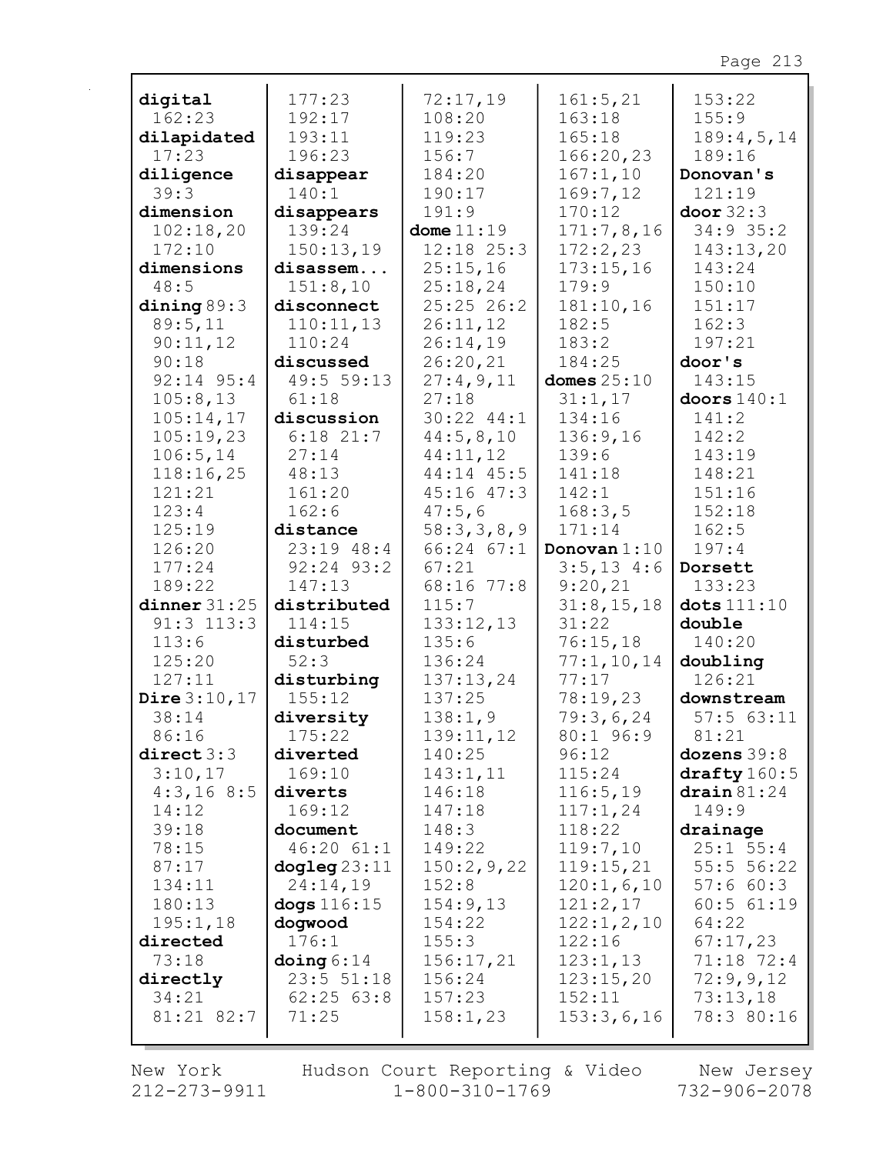| digital                 | 177:23                      | 72:17,19            | 161:5,21              | 153:22                       |
|-------------------------|-----------------------------|---------------------|-----------------------|------------------------------|
| 162:23                  | 192:17                      | 108:20              | 163:18                | 155:9                        |
| dilapidated             | 193:11                      | 119:23              | 165:18                | 189:4,5,14                   |
| 17:23                   | 196:23                      | 156:7               | 166:20,23             | 189:16                       |
| diligence               | disappear                   | 184:20              | 167:1,10              | Donovan's                    |
| 39:3                    | 140:1                       | 190:17              | 169:7,12              | 121:19                       |
| dimension               | disappears                  | 191:9               | 170:12                | door 32:3                    |
| 102:18,20               | 139:24                      | dome $11:19$        | 171:7,8,16            | $34:9$ 35:2                  |
| 172:10                  | 150:13,19                   | $12:18$ $25:3$      | 172:2,23              | 143:13,20                    |
| dimensions              | disassem                    | 25:15,16            | 173:15,16             | 143:24                       |
| 48:5                    | 151:8,10                    | 25:18,24            | 179:9                 | 150:10                       |
| dining $89:3$           | disconnect                  | 25:25 26:2          | 181:10,16             | 151:17                       |
| 89:5,11                 | 110:11,13                   | 26:11,12            | 182:5                 | 162:3                        |
| 90:11,12                | 110:24                      | 26:14,19            | 183:2                 | 197:21                       |
| 90:18                   | discussed                   | 26:20,21            | 184:25                | door's                       |
| $92:14$ $95:4$          | 49:5 59:13                  | 27:4,9,11           | domes $25:10$         | 143:15                       |
| 105:8,13                | 61:18                       | 27:18               | 31:1,17               | doors $140:1$                |
| 105:14,17               | discussion                  | $30:22$ $44:1$      | 134:16                | 141:2                        |
| 105:19,23               | $6:18$ 21:7                 | 44:5,8,10           | 136:9,16              | 142:2                        |
| 106:5, 14               | 27:14                       | 44:11,12            | 139:6                 | 143:19                       |
| 118:16,25               | 48:13                       | 44:14 45:5          | 141:18                | 148:21                       |
| 121:21                  | 161:20                      | $45:16$ $47:3$      | 142:1                 | 151:16                       |
| 123:4                   | 162:6                       | 47:5,6              | 168:3,5               | 152:18                       |
| 125:19                  | distance                    | 58:3,3,8,9          | 171:14                | 162:5                        |
| 126:20                  | 23:19 48:4                  | $66:24$ $67:1$      | Donovan $1:10$        | 197:4                        |
| 177:24                  | 92:24 93:2                  | 67:21               | $3:5, 13$ 4:6         | Dorsett                      |
| 189:22                  | 147:13                      | 68:16 77:8          | 9:20,21               | 133:23                       |
| dinner $31:25$          | distributed                 | 115:7               | 31:8, 15, 18          | $dots$ $111:10$              |
| $91:3$ 113:3            | 114:15                      | 133:12,13           | 31:22                 | double                       |
| 113:6                   | disturbed                   | 135:6               | 76:15,18              | 140:20                       |
| 125:20                  | 52:3                        | 136:24              | 77:1, 10, 14<br>77:17 | doubling                     |
| 127:11                  | disturbing<br>155:12        | 137:13,24<br>137:25 | 78:19,23              | 126:21                       |
| Dire $3:10,17$<br>38:14 |                             |                     |                       | downstream<br>57:563:11      |
| 86:16                   | diversity                   | 138:1,9             | 79:3,6,24             |                              |
| direct 3:3              | 175:22<br>diverted          | 139:11,12<br>140:25 | 80:1 96:9<br>96:12    | 81:21<br>dozens 39:8         |
| 3:10,17                 | 169:10                      | 143:1,11            | 115:24                | drafty $160:5$               |
| 4:3,168:5               | diverts                     | 146:18              | 116:5,19              | $\frac{\text{drain}}{81:24}$ |
| 14:12                   | 169:12                      | 147:18              | 117:1,24              | 149:9                        |
| 39:18                   | document                    | 148:3               | 118:22                | drainage                     |
| 78:15                   | 46:2061:1                   | 149:22              | 119:7,10              | $25:1$ 55:4                  |
| 87:17                   | $\text{dogleg } 23:11$      | 150:2,9,22          | 119:15,21             | 55:5 56:22                   |
| 134:11                  | 24:14,19                    | 152:8               | 120:1,6,10            | 57:660:3                     |
| 180:13                  | dogs $116:15$               | 154:9,13            | 121:2,17              | 60:5 61:19                   |
| 195:1,18                | dogwood                     | 154:22              | 122:1, 2, 10          | 64:22                        |
| directed                | 176:1                       | 155:3               | 122:16                | 67:17,23                     |
| 73:18                   | $\frac{\text{doing}}{6.14}$ | 156:17,21           | 123:1,13              | 71:18 72:4                   |
| directly                | 23:5 51:18                  | 156:24              | 123:15,20             | 72:9,9,12                    |
| 34:21                   | $62:25$ $63:8$              | 157:23              | 152:11                | 73:13,18                     |
| 81:21 82:7              | 71:25                       | 158:1,23            | 153:3,6,16            | 78:3 80:16                   |
|                         |                             |                     |                       |                              |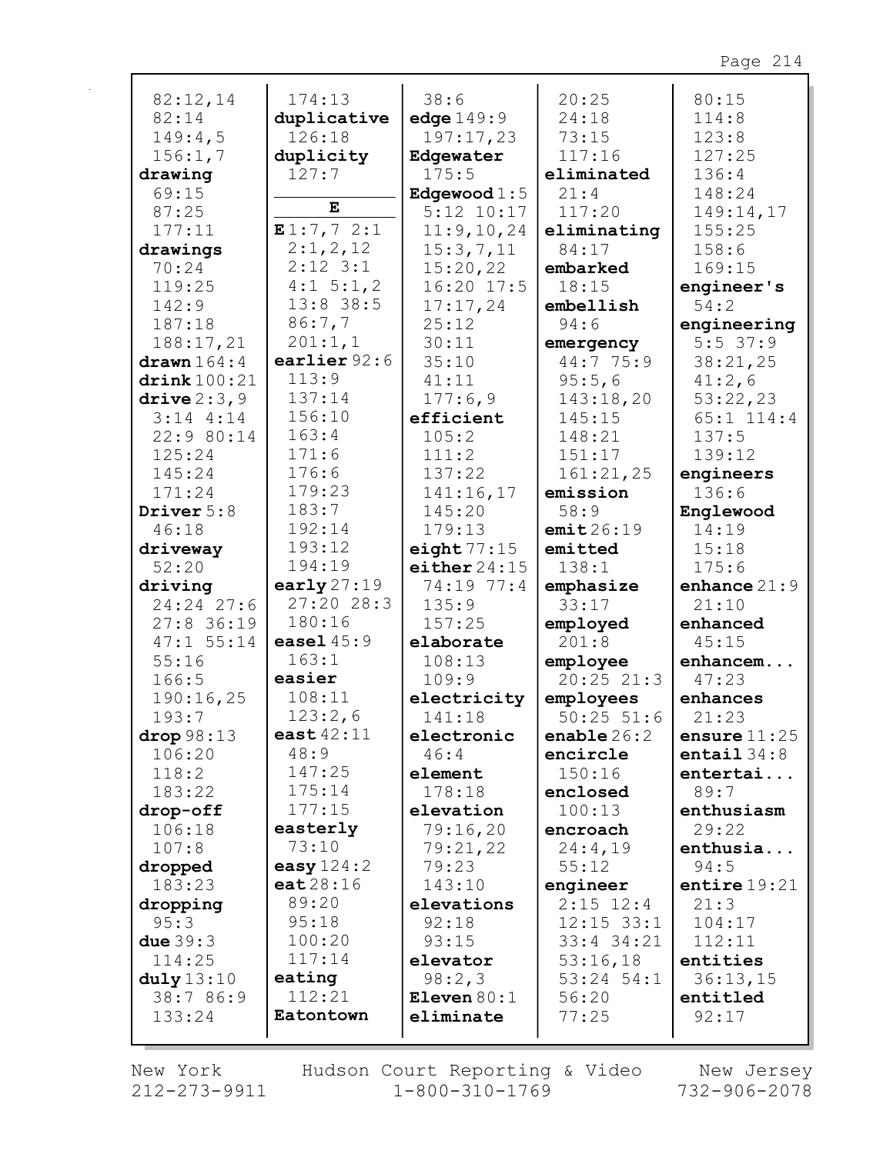| 82:12,14                | 174:13        | 38:6           | 20:25              | 80:15                   |
|-------------------------|---------------|----------------|--------------------|-------------------------|
| 82:14                   | duplicative   | edge $149:9$   | 24:18              | 114:8                   |
| 149:4,5                 | 126:18        | 197:17,23      | 73:15              | 123:8                   |
| 156:1,7                 | duplicity     | Edgewater      | 117:16             | 127:25                  |
| drawing                 | 127:7         | 175:5          | eliminated         | 136:4                   |
| 69:15                   |               | Edgewood $1:5$ | 21:4               | 148:24                  |
| 87:25                   | Е             | $5:12$ $10:17$ | 117:20             | 149:14,17               |
| 177:11                  | E1:7,72:1     | 11:9, 10, 24   | eliminating        | 155:25                  |
| drawings                | 2:1,2,12      | 15:3,7,11      | 84:17              | 158:6                   |
| 70:24                   | $2:12$ 3:1    | 15:20,22       |                    | 169:15                  |
|                         | $4:1 \ 5:1,2$ |                | embarked           |                         |
| 119:25                  |               | $16:20$ 17:5   | 18:15              | engineer's              |
| 142:9                   | 13:8 38:5     | 17:17,24       | embellish          | 54:2                    |
| 187:18                  | 86:7,7        | 25:12          | 94:6               | engineering             |
| 188:17,21               | 201:1,1       | 30:11          | emergency          | $5:5$ 37:9              |
| $d$ rawn $164:4$        | earlier 92:6  | 35:10          | 44:7 75:9          | 38:21,25                |
| $\text{drink}$ 100:21   | 113:9         | 41:11          | 95:5,6             | 41:2,6                  |
| drive $2:3,9$           | 137:14        | 177:6,9        | 143:18,20          | 53:22,23                |
| $3:14$ 4:14             | 156:10        | efficient      | 145:15             | $65:1$ 114:4            |
| 22:9 80:14              | 163:4         | 105:2          | 148:21             | 137:5                   |
| 125:24                  | 171:6         | 111:2          | 151:17             | 139:12                  |
| 145:24                  | 176:6         | 137:22         | 161:21,25          | engineers               |
| 171:24                  | 179:23        | 141:16,17      | emission           | 136:6                   |
| Driver 5:8              | 183:7         | 145:20         | 58:9               | Englewood               |
| 46:18                   | 192:14        | 179:13         | emit26:19          | 14:19                   |
| driveway                | 193:12        | eight $77:15$  | emitted            | 15:18                   |
| 52:20                   | 194:19        | either $24:15$ | 138:1              | 175:6                   |
|                         | early $27:19$ | 74:19 77:4     |                    |                         |
| driving<br>$24:24$ 27:6 | 27:20 28:3    | 135:9          | emphasize<br>33:17 | enhance $21:9$<br>21:10 |
|                         | 180:16        | 157:25         |                    |                         |
| $27:8$ 36:19            | easel $45:9$  |                | employed           | enhanced                |
| $47:1$ 55:14            | 163:1         | elaborate      | 201:8              | 45:15                   |
| 55:16                   |               | 108:13         | employee           | enhancem                |
| 166:5                   | easier        | 109:9          | $20:25$ $21:3$     | 47:23                   |
| 190:16,25               | 108:11        | electricity    | employees          | enhances                |
| 193:7                   | 123:2,6       | 141:18         | $50:25$ $51:6$     | 21:23                   |
| drop 98:13              | east $42:11$  | electronic     | enable $26:2$      | ensure $11:25$          |
| 106:20                  | 48:9          | 46:4           | encircle           | entail $34:8$           |
| 118:2                   | 147:25        | element        | 150:16             | entertai                |
| 183:22                  | 175:14        | 178:18         | enclosed           | 89:7                    |
| drop-off                | 177:15        | elevation      | 100:13             | enthusiasm              |
| 106:18                  | easterly      | 79:16,20       | encroach           | 29:22                   |
| 107:8                   | 73:10         | 79:21,22       | 24:4,19            | enthusia                |
| dropped                 | easy $124:2$  | 79:23          | 55:12              | 94:5                    |
| 183:23                  | eat28:16      | 143:10         | engineer           | entire $19:21$          |
| dropping                | 89:20         | elevations     | $2:15$ 12:4        | 21:3                    |
| 95:3                    | 95:18         | 92:18          | $12:15$ 33:1       | 104:17                  |
| due $39:3$              | 100:20        | 93:15          | 33:4 34:21         | 112:11                  |
| 114:25                  | 117:14        | elevator       | 53:16,18           | entities                |
| duly13:10               | eating        | 98:2,3         | $53:24$ $54:1$     | 36:13,15                |
| 38:7 86:9               | 112:21        | Eleven $80:1$  | 56:20              | entitled                |
| 133:24                  | Eatontown     | eliminate      | 77:25              | 92:17                   |
|                         |               |                |                    |                         |

New York  $212 - 273 - 9911$  Hudson Court Reporting & Video  $1 - 800 - 310 - 1769$ 

New Jersey 732-906-2078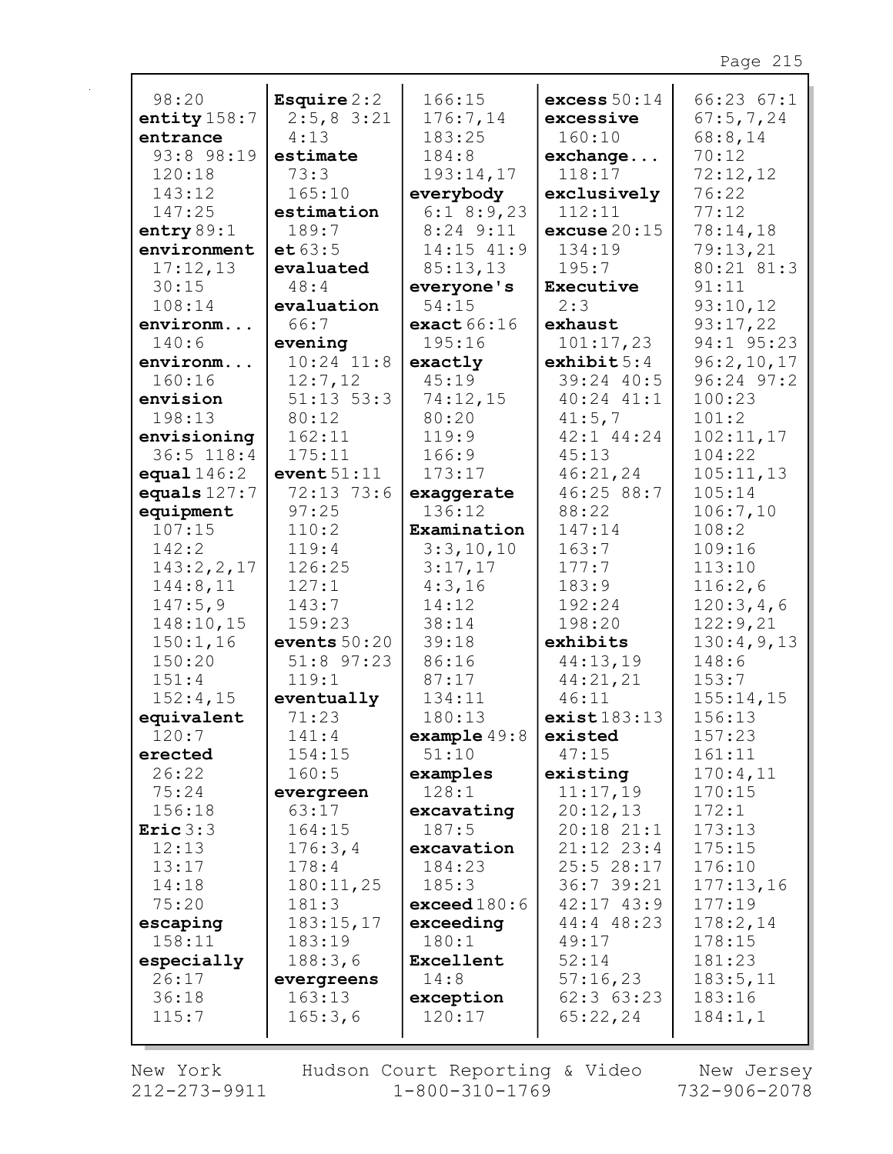| 98:20                       | Esquire $2:2$       | 166:15                        | excess $50:14$           | 66:2367:1            |
|-----------------------------|---------------------|-------------------------------|--------------------------|----------------------|
| entity $158:7$              | $2:5,8$ 3:21        | 176:7,14                      | excessive                | 67:5,7,24            |
| entrance                    | 4:13                | 183:25                        | 160:10                   | 68:8,14              |
| 93:8 98:19                  | estimate            | 184:8                         | $\verb exchange $        | 70:12                |
| 120:18                      | 73:3                | 193:14,17                     | 118:17                   | 72:12,12             |
| 143:12                      | 165:10              | everybody                     | exclusively              | 76:22                |
| 147:25                      | estimation<br>189:7 | $6:1$ 8:9,23                  | 112:11                   | 77:12                |
| entry $89:1$<br>environment | et 63:5             | $8:24$ 9:11<br>$14:15$ $41:9$ | excuse $20:15$<br>134:19 | 78:14,18<br>79:13,21 |
| 17:12,13                    | evaluated           | 85:13,13                      | 195:7                    | 80:21 81:3           |
| 30:15                       | 48:4                | everyone's                    | Executive                | 91:11                |
| 108:14                      | evaluation          | 54:15                         | 2:3                      | 93:10,12             |
| environm                    | 66:7                | exact 66:16                   | exhaust                  | 93:17,22             |
| 140:6                       | evening             | 195:16                        | 101:17,23                | 94:1 95:23           |
| environm                    | $10:24$ $11:8$      | exactly                       | exhibit 5:4              | 96:2,10,17           |
| 160:16                      | 12:7,12             | 45:19                         | 39:24 40:5               | $96:24$ $97:2$       |
| envision                    | $51:13$ $53:3$      | 74:12,15                      | 40:24 41:1               | 100:23               |
| 198:13                      | 80:12               | 80:20                         | 41:5,7                   | 101:2                |
| envisioning                 | 162:11              | 119:9                         | $42:1$ $44:24$           | 102:11,17            |
| $36:5$ 118:4                | 175:11              | 166:9                         | 45:13                    | 104:22               |
| equal $146:2$               | event $51:11$       | 173:17                        | 46:21,24                 | 105:11,13            |
| equals $127:7$              | 72:13 73:6          | exaggerate                    | 46:25 88:7               | 105:14               |
| equipment                   | 97:25               | 136:12                        | 88:22                    | 106:7,10             |
| 107:15                      | 110:2               | Examination                   | 147:14                   | 108:2                |
| 142:2                       | 119:4               | 3:3,10,10                     | 163:7                    | 109:16               |
| 143:2, 2, 17                | 126:25              | 3:17,17                       | 177:7                    | 113:10               |
| 144:8,11                    | 127:1               | 4:3,16                        | 183:9                    | 116:2,6              |
| 147:5,9                     | 143:7               | 14:12                         | 192:24                   | 120:3,4,6            |
| 148:10,15                   | 159:23              | 38:14                         | 198:20                   | 122:9,21             |
| 150:1,16                    | events $50:20$      | 39:18                         | exhibits                 | 130:4,9,13           |
| 150:20                      | 51:8 97:23          | 86:16                         | 44:13,19                 | 148:6                |
| 151:4                       | 119:1               | 87:17                         | 44:21,21                 | 153:7                |
| 152:4,15                    | eventually          | 134:11                        | 46:11                    | 155:14,15            |
| equivalent                  | 71:23               | 180:13                        | exist183:13              | 156:13               |
| 120:7                       | 141:4               | $\texttt{example49:8}$        | existed                  | 157:23               |
| erected                     | 154:15              | 51:10                         | 47:15                    | 161:11               |
| 26:22                       | 160:5               | examples                      | existing                 | 170:4,11             |
| 75:24                       | evergreen           | 128:1                         | 11:17,19                 | 170:15               |
| 156:18                      | 63:17               | excavating                    | 20:12,13                 | 172:1                |
| Eric $3:3$                  | 164:15              | 187:5                         | $20:18$ $21:1$           | 173:13               |
| 12:13                       | 176:3,4             | excavation                    | $21:12$ $23:4$           | 175:15               |
| 13:17                       | 178:4               | 184:23                        | 25:528:17                | 176:10               |
| 14:18                       | 180:11,25           | 185:3                         | 36:7 39:21               | 177:13,16            |
| 75:20                       | 181:3               | exceed 180:6                  | $42:17$ $43:9$           | 177:19               |
| escaping                    | 183:15,17           | exceeding                     | 44:4 48:23               | 178:2,14             |
| 158:11                      | 183:19              | 180:1                         | 49:17                    | 178:15               |
| especially                  | 188:3,6             | Excellent                     | 52:14                    | 181:23               |
| 26:17                       | evergreens          | 14:8                          | 57:16,23                 | 183:5,11             |
| 36:18                       | 163:13              | exception                     | 62:3 63:23               | 183:16               |
| 115:7                       | 165:3,6             | 120:17                        | 65:22,24                 | 184:1,1              |
|                             |                     |                               |                          |                      |

New York  $212 - 273 - 9911$ 

r

Hudson Court Reporting & Video<br>1-800-310-1769

New Jersey<br>732-906-2078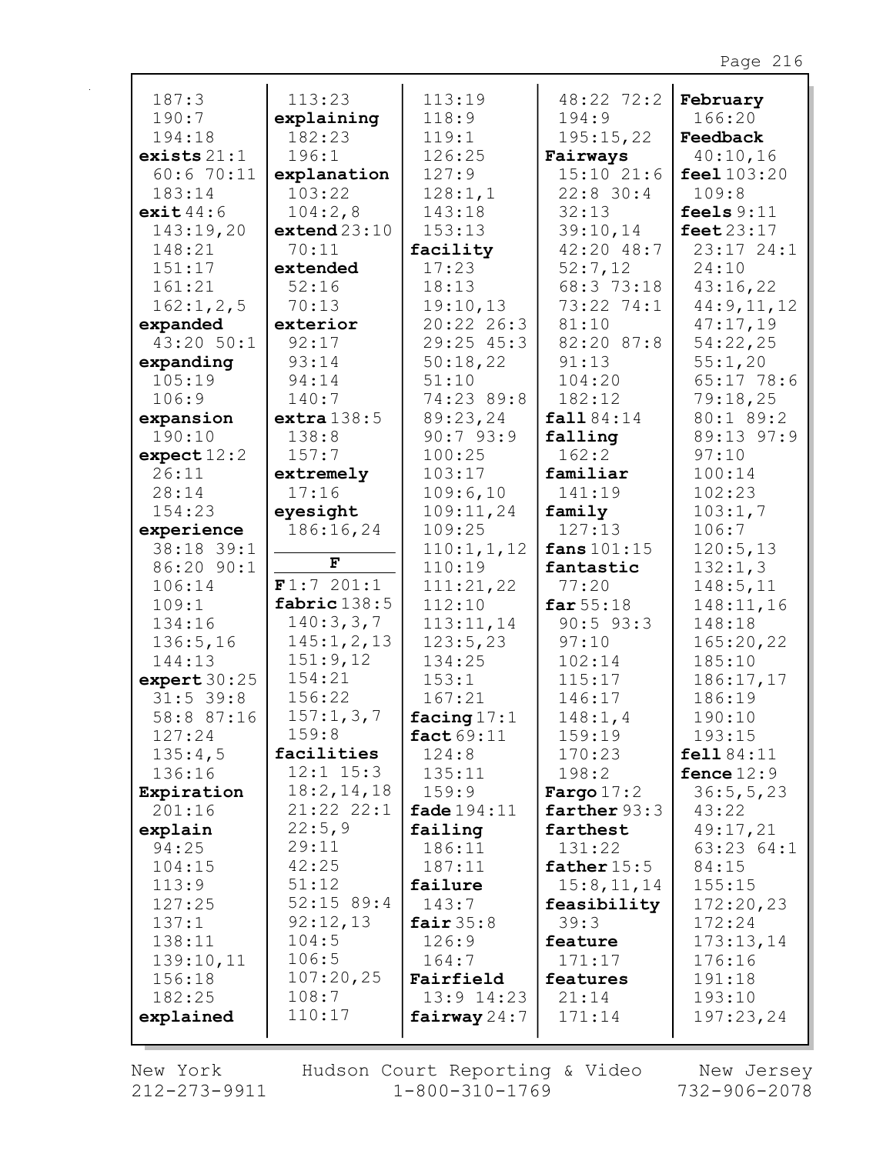| 187:3          | 113:23         | 113:19         | 48:22 72:2    | February     |
|----------------|----------------|----------------|---------------|--------------|
| 190:7          | explaining     | 118:9          | 194:9         | 166:20       |
| 194:18         | 182:23         | 119:1          | 195:15,22     | Feedback     |
| exists $21:1$  | 196:1          | 126:25         | Fairways      | 40:10,16     |
| 60:670:11      | explanation    | 127:9          | 15:1021:6     | feel 103:20  |
| 183:14         | 103:22         | 128:1,1        | $22:8$ 30:4   | 109:8        |
| exit $44:6$    | 104:2,8        | 143:18         | 32:13         | feels $9:11$ |
| 143:19,20      | extend 23:10   | 153:13         | 39:10,14      | feet $23:17$ |
| 148:21         | 70:11          | facility       | 42:20 48:7    | 23:17 24:1   |
| 151:17         | extended       | 17:23          | 52:7,12       | 24:10        |
| 161:21         | 52:16          | 18:13          | 68:3 73:18    | 43:16,22     |
| 162:1, 2, 5    | 70:13          | 19:10,13       | 73:22 74:1    | 44:9,11,12   |
| expanded       | exterior       | 20:22 26:3     | 81:10         | 47:17,19     |
| 43:20 50:1     | 92:17          | 29:25 45:3     | 82:20 87:8    | 54:22,25     |
| expanding      | 93:14          | 50:18,22       | 91:13         | 55:1,20      |
| 105:19         | 94:14          | 51:10          | 104:20        | $65:17$ 78:6 |
| 106:9          | 140:7          | 74:23 89:8     | 182:12        | 79:18,25     |
| expansion      | extra138:5     | 89:23,24       | fall 84:14    | 80:1 89:2    |
| 190:10         | 138:8          | 90:793:9       | falling       | 89:13 97:9   |
| expect $12:2$  | 157:7          | 100:25         | 162:2         | 97:10        |
| 26:11          | extremely      | 103:17         | familiar      | 100:14       |
| 28:14          | 17:16          | 109:6,10       | 141:19        | 102:23       |
| 154:23         | eyesight       | 109:11,24      | family        | 103:1,7      |
| experience     | 186:16,24      | 109:25         | 127:13        | 106:7        |
| 38:18 39:1     |                | 110:1, 1, 12   | fans $101:15$ | 120:5,13     |
| 86:20 90:1     | F              | 110:19         | fantastic     | 132:1,3      |
| 106:14         | F1:7201:1      | 111:21,22      | 77:20         | 148:5, 11    |
| 109:1          | fabric $138:5$ | 112:10         | far $55:18$   | 148:11,16    |
| 134:16         | 140:3,3,7      | 113:11,14      | $90:5$ 93:3   | 148:18       |
| 136:5,16       | 145:1, 2, 13   | 123:5,23       | 97:10         | 165:20,22    |
| 144:13         | 151:9,12       | 134:25         | 102:14        | 185:10       |
| expert $30:25$ | 154:21         | 153:1          | 115:17        | 186:17,17    |
| $31:5$ 39:8    | 156:22         | 167:21         | 146:17        | 186:19       |
| 58:8 87:16     | 157:1,3,7      | facing $17:1$  | 148:1, 4      | 190:10       |
| 127:24         | 159:8          | fact 69:11     | 159:19        | 193:15       |
| 135:4,5        | facilities     | 124:8          | 170:23        | fell184:11   |
| 136:16         | $12:1$ $15:3$  | 135:11         | 198:2         | fence $12:9$ |
| Expiration     | 18:2, 14, 18   | 159:9          | Fargo $17:2$  | 36:5, 5, 23  |
| 201:16         | 21:22 22:1     | fade 194:11    | farther 93:3  | 43:22        |
| explain        | 22:5,9         | failing        | farthest      | 49:17,21     |
| 94:25          | 29:11          | 186:11         | 131:22        | 63:23 64:1   |
| 104:15         | 42:25          | 187:11         | father $15:5$ | 84:15        |
| 113:9          | 51:12          | failure        | 15:8, 11, 14  | 155:15       |
| 127:25         | 52:15 89:4     | 143:7          | feasibility   | 172:20,23    |
| 137:1          | 92:12,13       | fair $35:8$    | 39:3          | 172:24       |
| 138:11         | 104:5          | 126:9          | feature       | 173:13,14    |
| 139:10,11      | 106:5          | 164:7          | 171:17        | 176:16       |
| 156:18         | 107:20,25      | Fairfield      | features      | 191:18       |
| 182:25         | 108:7          | 13:9 14:23     | 21:14         | 193:10       |
| explained      | 110:17         | fairway $24:7$ | 171:14        | 197:23,24    |
|                |                |                |               |              |

New York  $212 - 273 - 9911$ 

Hudson Court Reporting & Video<br>11 1-800-310-1769

New Jersey 732-906-2078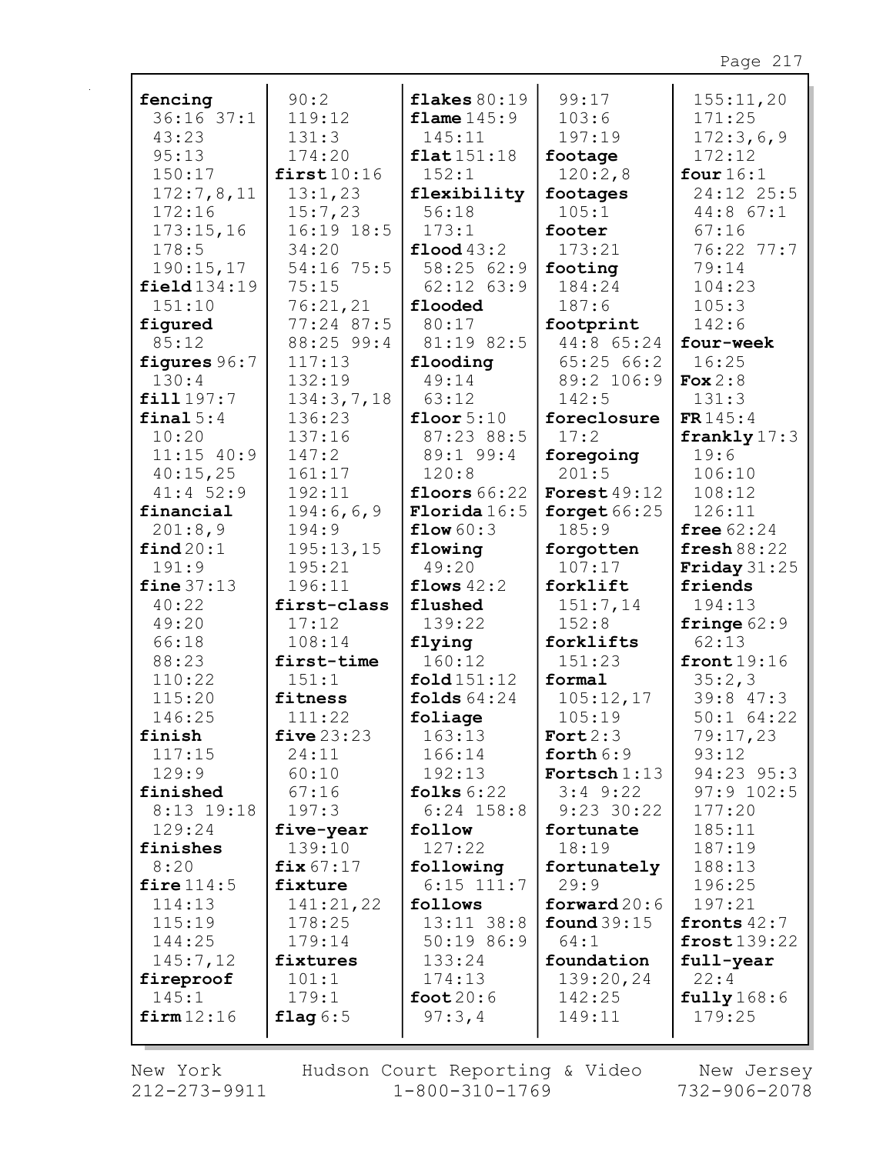| fencing            | 90:2           | flakes $80:19$        | 99:17            | 155:11,20                 |
|--------------------|----------------|-----------------------|------------------|---------------------------|
| $36:16$ $37:1$     | 119:12         | flame $145:9$         | 103:6            | 171:25                    |
| 43:23              | 131:3          | 145:11                | 197:19           | 172:3,6,9                 |
| 95:13              | 174:20         | flat151:18            | footage          | 172:12                    |
| 150:17             | first10:16     | 152:1                 | 120:2,8          | four $16:1$               |
| 172:7,8,11         | 13:1,23        | flexibility           | footages         | 24:12 25:5                |
| 172:16             | 15:7,23        | 56:18                 | 105:1            | 44:8 67:1                 |
| 173:15,16          | 16:19 18:5     | 173:1                 | footer           | 67:16                     |
| 178:5              | 34:20          | $\text{flood } 43:2$  | 173:21           | 76:22 77:7                |
| 190:15,17          | 54:16 75:5     | 58:25 62:9            | footing          | 79:14                     |
| field134:19        | 75:15          | $62:12$ $63:9$        | 184:24           | 104:23                    |
| 151:10             | 76:21,21       | flooded               | 187:6            | 105:3                     |
| figured            | 77:24 87:5     | 80:17                 | footprint        | 142:6                     |
| 85:12              | 88:25 99:4     | 81:19 82:5            | 44:8 65:24       | four-week                 |
| figures 96:7       | 117:13         | flooding              | 65:2566:2        | 16:25                     |
| 130:4              | 132:19         | 49:14                 | 89:2 106:9       | Fox $2:8$                 |
| fill 197:7         | 134:3,7,18     | 63:12                 | 142:5            | 131:3                     |
| final $5:4$        | 136:23         | floor $5:10$          | foreclosure      | FR145:4                   |
| 10:20              | 137:16         | 87:23 88:5            | 17:2             | frankly $17:3$            |
| $11:15$ 40:9       | 147:2          | 89:1 99:4             | foregoing        | 19:6                      |
| 40:15,25           | 161:17         | 120:8                 | 201:5            | 106:10                    |
| $41:4$ 52:9        | 192:11         | floors $66:22$        | Forest $49:12$   | 108:12                    |
| financial          | 194:6,6,9      | Florida16:5           | forget $66:25$   | 126:11                    |
| 201:8,9            | 194:9          | flow 60:3             | 185:9            | free $62:24$              |
| find 20:1          | 195:13,15      | flowing               | forgotten        | fresh $88:22$             |
| 191:9              | 195:21         | 49:20                 | 107:17           | Friday $31:25$            |
| fine $37:13$       | 196:11         | flows $42:2$          | forklift         | friends                   |
| 40:22              | first-class    | flushed               | 151:7,14         | 194:13                    |
| 49:20              | 17:12          | 139:22                | 152:8            | fringe $62:9$             |
| 66:18              | 108:14         | flying                | forklifts        | 62:13                     |
| 88:23              | first-time     | 160:12                | 151:23           | front $19:16$             |
| 110:22             | 151:1          | fold 151:12           | formal           | 35:2,3                    |
| 115:20             | fitness        | folds $64:24$         | 105:12,17        | 39:8 47:3                 |
| 146:25             | 111:22         | foliage               | 105:19           | $50:1$ 64:22              |
| finish             | five $23:23$   | 163:13                | Fort $2:3$       | 79:17,23                  |
| 117:15             | 24:11          | 166:14                | forth $6:9$      | 93:12                     |
| 129:9              | 60:10          | 192:13                | Fortsch $1:13$   | 94:23 95:3                |
| finished           | 67:16          | folks $6:22$          | $3:4$ $9:22$     | $97:9$ 102:5              |
| 8:13 19:18         | 197:3          | $6:24$ 158:8          | $9:23$ 30:22     | 177:20                    |
| 129:24             | five-year      | follow                | fortunate        | 185:11                    |
| finishes           | 139:10         | 127:22                | 18:19            | 187:19                    |
| 8:20               | fix $67:17$    | following             | fortunately      | 188:13                    |
| fire $114:5$       | fixture        | $6:15$ 111:7          | 29:9             | 196:25                    |
| 114:13             | 141:21,22      | follows<br>13:11 38:8 | forward $20:6$   | 197:21                    |
| 115:19             | 178:25         |                       | found $39:15$    | fronts $42:7$             |
| 144:25             | 179:14         | 50:19 86:9            | 64:1             | front139:22               |
| 145:7,12           | fixtures       | 133:24                | foundation       | full-year                 |
| fireproof<br>145:1 | 101:1<br>179:1 | 174:13                | 139:20,24        | 22:4                      |
| firm12:16          | flag $6:5$     | foot $20:6$<br>97:3,4 | 142:25<br>149:11 | $fully$ $168:6$<br>179:25 |
|                    |                |                       |                  |                           |
|                    |                |                       |                  |                           |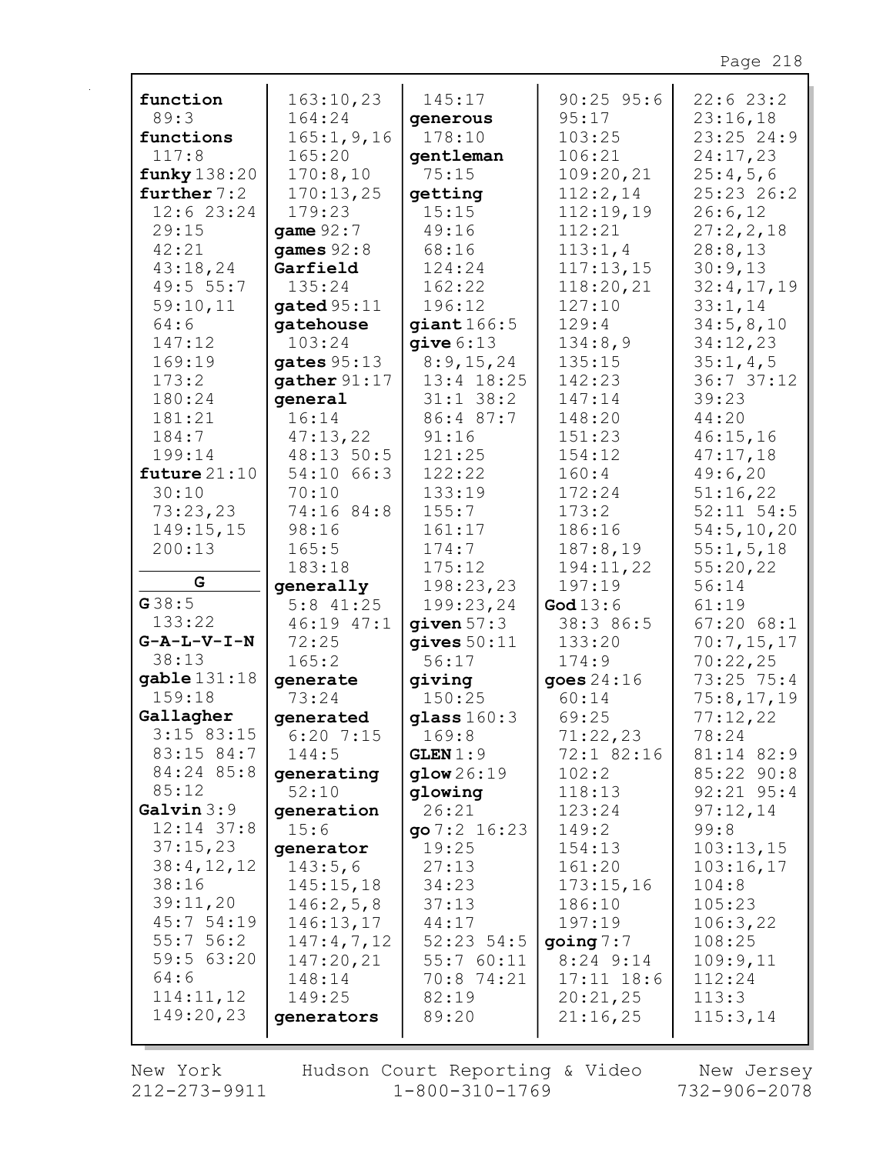| function                | 163:10,23      | 145:17         | $90:25$ 95:6   | 22:623:2       |
|-------------------------|----------------|----------------|----------------|----------------|
| 89:3                    | 164:24         | generous       | 95:17          | 23:16,18       |
| functions               | 165:1, 9, 16   | 178:10         | 103:25         | $23:25$ 24:9   |
| 117:8                   | 165:20         | gentleman      | 106:21         | 24:17,23       |
| funky 138:20            | 170:8,10       | 75:15          | 109:20,21      | 25:4,5,6       |
| further $7:2$           | 170:13,25      | getting        | 112:2,14       | 25:23 26:2     |
| 12:6 23:24              | 179:23         | 15:15          | 112:19,19      | 26:6,12        |
| 29:15                   | game 92:7      | 49:16          | 112:21         | 27:2,2,18      |
| 42:21                   | games $92:8$   | 68:16          | 113:1,4        | 28:8,13        |
| 43:18,24                | Garfield       | 124:24         | 117:13,15      | 30:9,13        |
| 49:5 55:7               | 135:24         | 162:22         | 118:20,21      | 32:4,17,19     |
| 59:10,11                | gated $95:11$  | 196:12         | 127:10         | 33:1,14        |
| 64:6                    | gatehouse      | giant 166:5    | 129:4          | 34:5,8,10      |
| 147:12                  | 103:24         | qive 6:13      | 134:8,9        | 34:12,23       |
| 169:19                  | gates $95:13$  | 8:9,15,24      | 135:15         | 35:1,4,5       |
| 173:2                   | gather $91:17$ | 13:4 18:25     | 142:23         | 36:737:12      |
| 180:24                  | qeneral        | $31:1$ $38:2$  | 147:14         | 39:23          |
| 181:21                  | 16:14          | 86:4 87:7      | 148:20         | 44:20          |
| 184:7                   | 47:13,22       | 91:16          | 151:23         | 46:15,16       |
| 199:14                  | 48:13 50:5     | 121:25         | 154:12         | 47:17,18       |
| future $21:10$          | 54:10 66:3     | 122:22         | 160:4          | 49:6,20        |
| 30:10                   | 70:10          | 133:19         | 172:24         | 51:16,22       |
| 73:23,23                | 74:16 84:8     | 155:7          | 173:2          | $52:11$ $54:5$ |
| 149:15,15               | 98:16          | 161:17         | 186:16         | 54:5, 10, 20   |
| 200:13                  | 165:5          | 174:7          | 187:8,19       | 55:1, 5, 18    |
|                         | 183:18         | 175:12         | 194:11,22      | 55:20,22       |
| G                       | generally      | 198:23,23      | 197:19         | 56:14          |
| G38:5                   | $5:8$ 41:25    | 199:23,24      | God $13:6$     | 61:19          |
| 133:22                  | 46:19 47:1     | given $57:3$   | 38:3 86:5      | 67:2068:1      |
| $G - A - L - V - I - N$ | 72:25          | qives 50:11    | 133:20         | 70:7,15,17     |
| 38:13                   | 165:2          | 56:17          | 174:9          | 70:22,25       |
| gable 131:18            | generate       | giving         | goes $24:16$   | 73:25 75:4     |
| 159:18                  | 73:24          | 150:25         | 60:14          | 75:8,17,19     |
| Gallagher               | generated      | glass 160:3    | 69:25          | 77:12,22       |
| $3:15$ 83:15            | $6:20$ 7:15    | 169:8          | 71:22,23       | 78:24          |
| 83:15 84:7              | 144:5          | GLEN 1:9       | 72:1 82:16     | 81:14 82:9     |
| 84:24 85:8              | generating     | glow 26:19     | 102:2          | 85:22 90:8     |
| 85:12                   | 52:10          | qlowing        | 118:13         | $92:21$ $95:4$ |
| Galvin 3:9              | generation     | 26:21          | 123:24         | 97:12,14       |
| $12:14$ 37:8            | 15:6           | go $7:2$ 16:23 | 149:2          | 99:8           |
| 37:15,23                | generator      | 19:25          | 154:13         | 103:13,15      |
| 38:4,12,12              | 143:5,6        | 27:13          | 161:20         | 103:16,17      |
| 38:16                   | 145:15,18      | 34:23          | 173:15,16      | 104:8          |
| 39:11,20                | 146:2,5,8      | 37:13          | 186:10         | 105:23         |
| 45:754:19               | 146:13,17      | 44:17          | 197:19         | 106:3,22       |
| 55:756:2                | 147:4,7,12     | $52:23$ 54:5   | going 7:7      | 108:25         |
| 59:5 63:20              | 147:20,21      | 55:760:11      | $8:24$ 9:14    | 109:9,11       |
| 64:6                    | 148:14         | 70:8 74:21     | $17:11$ $18:6$ | 112:24         |
| 114:11,12               | 149:25         | 82:19          | 20:21,25       | 113:3          |
| 149:20,23               | generators     | 89:20          | 21:16,25       | 115:3,14       |
|                         |                |                |                |                |

New York  $212 - 273 - 9911$  Hudson Court Reporting & Video<br>1-800-310-1769

New Jersey<br>732-906-2078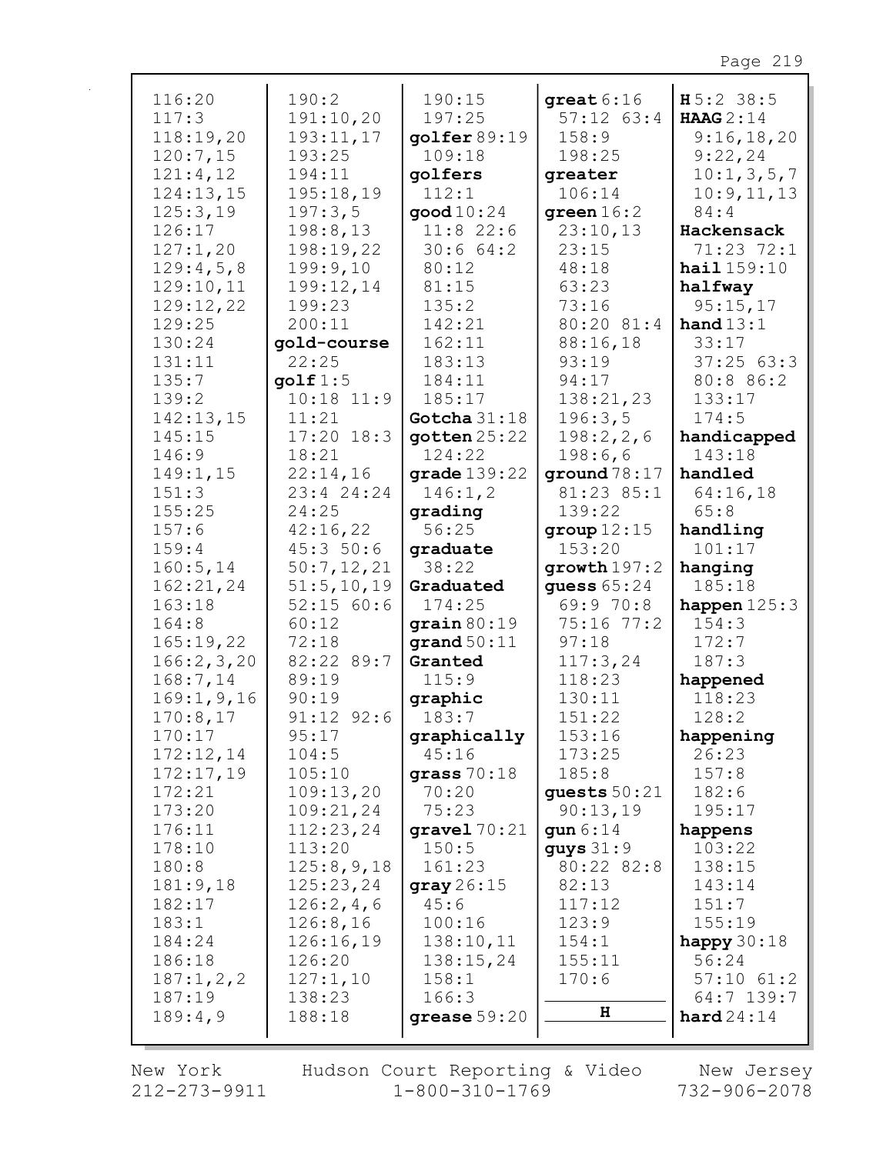| 116:20       | 190:2          | 190:15                     | $qreat6:16$    | $H5:2$ 38:5      |
|--------------|----------------|----------------------------|----------------|------------------|
| 117:3        | 191:10,20      | 197:25                     | $57:12$ $63:4$ | <b>HAAG</b> 2:14 |
| 118:19,20    | 193:11,17      | $g$ olfer 89:19            | 158:9          | 9:16,18,20       |
| 120:7,15     | 193:25         | 109:18                     | 198:25         | 9:22,24          |
| 121:4,12     | 194:11         | golfers                    | greater        | 10:1, 3, 5, 7    |
| 124:13,15    | 195:18,19      | 112:1                      | 106:14         | 10:9, 11, 13     |
| 125:3,19     | 197:3,5        | $\mathsf{good}\,10\!:\!24$ | green $16:2$   | 84:4             |
| 126:17       | 198:8,13       | $11:8$ 22:6                | 23:10,13       | Hackensack       |
| 127:1,20     | 198:19,22      | 30:664:2                   | 23:15          | 71:23 72:1       |
| 129:4,5,8    | 199:9,10       | 80:12                      | 48:18          | hail 159:10      |
| 129:10,11    | 199:12,14      | 81:15                      | 63:23          | halfway          |
| 129:12,22    | 199:23         | 135:2                      | 73:16          | 95:15,17         |
| 129:25       | 200:11         | 142:21                     | 80:20 81:4     | hand $13:1$      |
|              |                |                            |                |                  |
| 130:24       | gold-course    | 162:11                     | 88:16,18       | 33:17            |
| 131:11       | 22:25          | 183:13                     | 93:19          | 37:2563:3        |
| 135:7        | qolf 1:5       | 184:11                     | 94:17          | 80:8 86:2        |
| 139:2        | $10:18$ $11:9$ | 185:17                     | 138:21,23      | 133:17           |
| 142:13,15    | 11:21          | Gotcha $31:18$             | 196:3,5        | 174:5            |
| 145:15       | $17:20$ $18:3$ | $q$ otten $25:22$          | 198:2, 2, 6    | handicapped      |
| 146:9        | 18:21          | 124:22                     | 198:6,6        | 143:18           |
| 149:1,15     | 22:14,16       | grade $139:22$             | ground $78:17$ | handled          |
| 151:3        | 23:4 24:24     | 146:1,2                    | 81:23 85:1     | 64:16,18         |
| 155:25       | 24:25          | qrading                    | 139:22         | 65:8             |
| 157:6        | 42:16,22       | 56:25                      | group $12:15$  | handling         |
| 159:4        | 45:350:6       | graduate                   | 153:20         | 101:17           |
| 160:5, 14    | 50:7,12,21     | 38:22                      | growth $197:2$ | hanging          |
| 162:21,24    | 51:5, 10, 19   | Graduated                  | guess 65:24    | 185:18           |
| 163:18       | 52:15 60:6     | 174:25                     | 69:9 70:8      | happen $125:3$   |
| 164:8        | 60:12          | grain 80:19                | 75:16 77:2     | 154:3            |
| 165:19,22    | 72:18          | $\texttt{grand} 50:11$     | 97:18          | 172:7            |
| 166:2,3,20   | 82:22 89:7     | Granted                    | 117:3,24       | 187:3            |
| 168:7,14     | 89:19          | 115:9                      | 118:23         | happened         |
| 169:1, 9, 16 | 90:19          | graphic                    | 130:11         | 118:23           |
| 170:8,17     | $91:12$ $92:6$ | 183:7                      | 151:22         | 128:2            |
| 170:17       | 95:17          | graphically                | 153:16         | happening        |
| 172:12,14    | 104:5          | 45:16                      | 173:25         | 26:23            |
| 172:17,19    | 105:10         | grass $70:18$              | 185:8          | 157:8            |
| 172:21       | 109:13,20      | 70:20                      | quests $50:21$ | 182:6            |
| 173:20       | 109:21,24      | 75:23                      | 90:13,19       | 195:17           |
| 176:11       | 112:23,24      | gravel $70:21$             | gun $6:14$     | happens          |
| 178:10       | 113:20         | 150:5                      | guys $31:9$    | 103:22           |
| 180:8        | 125:8,9,18     | 161:23                     | 80:22 82:8     | 138:15           |
| 181:9,18     | 125:23,24      | gray 26:15                 | 82:13          | 143:14           |
| 182:17       |                | 45:6                       | 117:12         | 151:7            |
|              | 126:2,4,6      | 100:16                     |                |                  |
| 183:1        | 126:8,16       |                            | 123:9          | 155:19           |
| 184:24       | 126:16,19      | 138:10,11                  | 154:1          | happy $30:18$    |
| 186:18       | 126:20         | 138:15,24                  | 155:11         | 56:24            |
| 187:1,2,2    | 127:1,10       | 158:1                      | 170:6          | $57:10$ $61:2$   |
| 187:19       | 138:23         | 166:3                      | н              | 64:7 139:7       |
| 189:4,9      | 188:18         | grease $59:20$             |                | hard24:14        |
|              |                |                            |                |                  |

New York  $212 - 273 - 9911$  Hudson Court Reporting & Video<br>1-800-310-1769

New Jersey 732-906-2078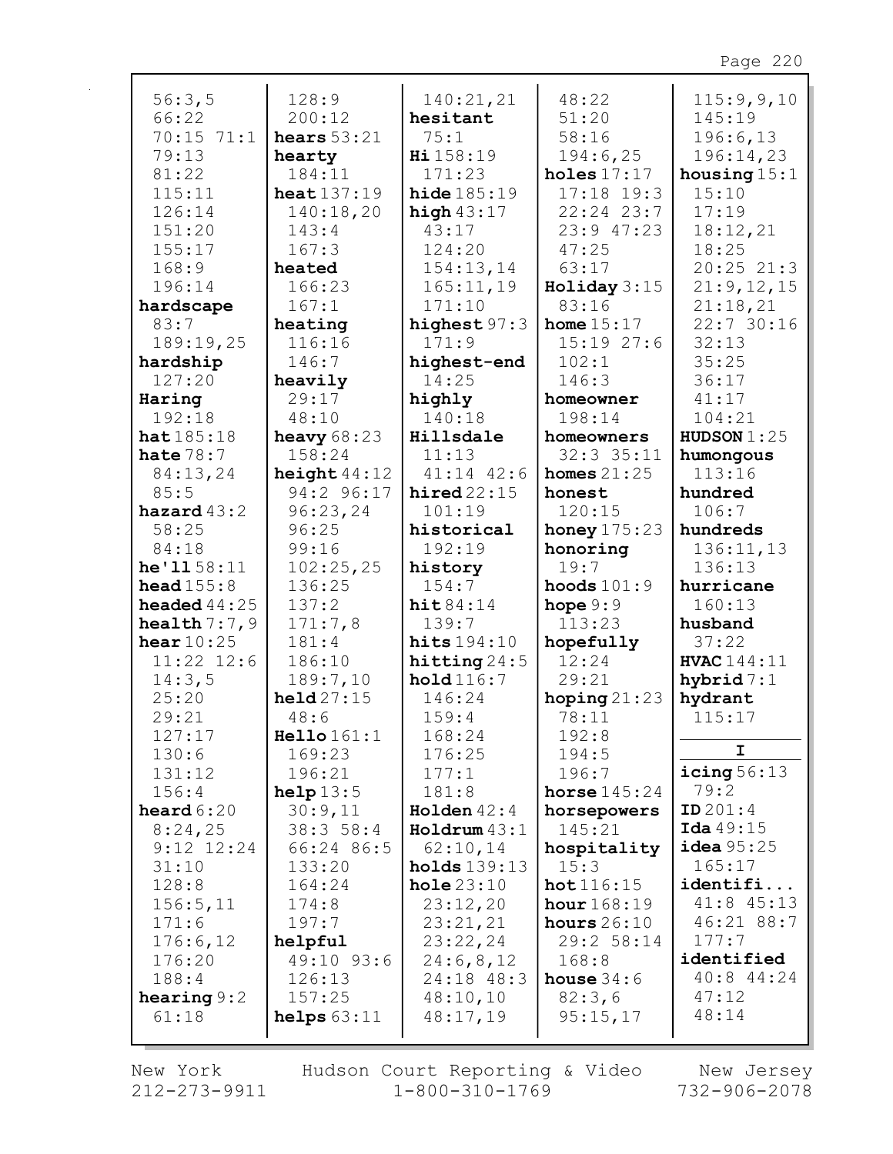| 56:3,5                | 128:9              | 140:21,21              | 48:22          | 115:9,9,10         |
|-----------------------|--------------------|------------------------|----------------|--------------------|
| 66:22                 | 200:12             | hesitant               | 51:20          | 145:19             |
| $70:15$ $71:1$        | hears $53:21$      | 75:1                   | 58:16          | 196:6,13           |
| 79:13                 | hearty             | Hi 158:19              | 194:6,25       | 196:14,23          |
| 81:22                 | 184:11             | 171:23                 | holes $17:17$  | housing $15:1$     |
| 115:11                | heat $137:19$      | hide $185:19$          | $17:18$ 19:3   | 15:10              |
| 126:14                | 140:18,20          | high $43:17$           | $22:24$ $23:7$ | 17:19              |
| 151:20                | 143:4              | 43:17                  | $23:9$ 47:23   | 18:12,21           |
| 155:17                | 167:3              | 124:20                 | 47:25          | 18:25              |
| 168:9                 | heated             | 154:13,14              | 63:17          | 20:2521:3          |
| 196:14                | 166:23             | 165:11,19              | Holiday 3:15   | 21:9,12,15         |
| hardscape             | 167:1              | 171:10                 | 83:16          | 21:18,21           |
| 83:7                  | heating            | highest 97:3           | home $15:17$   | 22:730:16          |
| 189:19,25             | 116:16             | 171:9                  | 15:1927:6      | 32:13              |
| hardship              | 146:7              | highest-end            | 102:1          | 35:25              |
| 127:20                | heavily            | 14:25                  | 146:3          | 36:17              |
| Haring                | 29:17              | highly                 | homeowner      | 41:17              |
| 192:18                | 48:10              | 140:18                 | 198:14         | 104:21             |
| hat185:18             | heavy $68:23$      | Hillsdale              | homeowners     | HUDSON $1:25$      |
| hate $78:7$           | 158:24             | 11:13                  | $32:3$ $35:11$ | humongous          |
| 84:13,24              | height $44:12$     | $41:14$ $42:6$         | homes $21:25$  | 113:16             |
| 85:5                  | 94:2 96:17         | hired $22:15$          | honest         | hundred            |
| hazard $43:2$         | 96:23,24           | 101:19                 | 120:15         | 106:7              |
| 58:25                 | 96:25              | historical             | honey $175:23$ | hundreds           |
| 84:18                 | 99:16              | 192:19                 | honoring       | 136:11,13          |
| he'1158:11            | 102:25,25          | history                | 19:7           | 136:13             |
| head $155:8$          | 136:25             | 154:7                  | hoods $101:9$  | hurricane          |
| <b>headed</b> $44:25$ | 137:2              | hit 84:14              | hope $9:9$     | 160:13             |
| health $7:7,9$        | 171:7,8            | 139:7                  | 113:23         | husband            |
| hear $10:25$          | 181:4              | hits $194:10$          | hopefully      | 37:22              |
| $11:22$ $12:6$        | 186:10             | hitting $24:5$         | 12:24          | <b>HVAC</b> 144:11 |
| 14:3,5                | 189:7,10           | hold116:7              | 29:21          | hybrid $7:1$       |
| 25:20                 | $\text{held}27:15$ | 146:24                 | hoping $21:23$ | hydrant            |
| 29:21                 | 48:6               | 159:4                  | 78:11          | 115:17             |
| 127:17                | Hello 161:1        | 168:24                 | 192:8          |                    |
| 130:6                 | 169:23             | 176:25                 | 194:5          | I.                 |
| 131:12                | 196:21             | 177:1                  | 196:7          | icing $56:13$      |
| 156:4                 | help13:5           | 181:8                  | horse $145:24$ | 79:2               |
| heard $6:20$          | 30:9,11            | Holden $42:4$          | horsepowers    | ID 201:4           |
| 8:24,25               | 38:358:4           | $\texttt{Holrum}$ 43:1 | 145:21         | Ida 49:15          |
| $9:12$ $12:24$        | 66:24 86:5         | 62:10,14               | hospitality    | $i$ dea $95:25$    |
| 31:10                 | 133:20             | holds 139:13           | 15:3           | 165:17             |
| 128:8                 | 164:24             | hole23:10              | hot 116:15     | identifi           |
| 156:5, 11             | 174:8              | 23:12,20               | hour $168:19$  | 41:8 45:13         |
| 171:6                 | 197:7              | 23:21,21               | hours $26:10$  | 46:21 88:7         |
| 176:6,12              | helpful            | 23:22,24               | 29:2 58:14     | 177:7              |
| 176:20                | 49:10 93:6         | 24:6,8,12              | 168:8          | identified         |
| 188:4                 | 126:13             | 24:18 48:3             | house $34:6$   | $40:8$ 44:24       |
| hearing $9:2$         | 157:25             | 48:10,10               | 82:3,6         | 47:12              |
| 61:18                 | helps $63:11$      | 48:17,19               | 95:15,17       | 48:14              |
|                       |                    |                        |                |                    |

New York  $212 - 273 - 9911$  Hudson Court Reporting & Video<br>1-800-310-1769

New Jersey 732-906-2078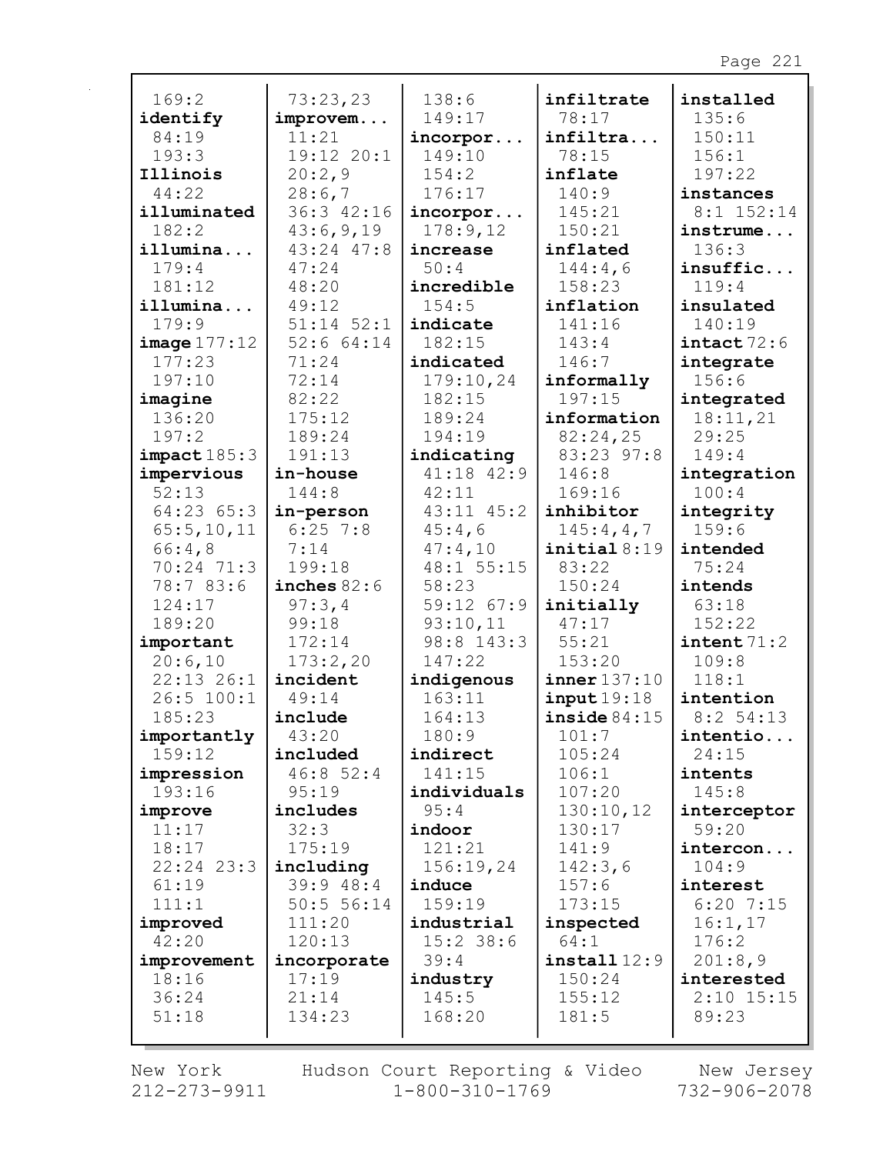| 169:2                | 73:23,23              | 138:6              | infiltrate      | installed              |
|----------------------|-----------------------|--------------------|-----------------|------------------------|
| identify             | improvem              | 149:17             | 78:17           | 135:6                  |
| 84:19                | 11:21                 | incorpor           | infiltra        | 150:11                 |
| 193:3                | 19:12 20:1            | 149:10             | 78:15           | 156:1                  |
| Illinois             | 20:2,9                | 154:2              | inflate         | 197:22                 |
| 44:22                | 28:6,7                | 176:17             | 140:9           | instances              |
| illuminated          | 36:3 42:16            | incorpor           | 145:21          | $8:1$ 152:14           |
| 182:2                | 43:6,9,19             | 178:9,12           | 150:21          | instrume               |
| illumina             | 43:24 47:8            | increase           | inflated        | 136:3                  |
| 179:4                | 47:24                 | 50:4               | 144:4,6         | insuffic               |
| 181:12               | 48:20                 | incredible         | 158:23          | 119:4                  |
| illumina             | 49:12                 | 154:5              | inflation       | insulated              |
| 179:9                | $51:14$ $52:1$        | indicate           | 141:16          | 140:19                 |
| image 177:12         | 52:664:14             | 182:15             | 143:4           | intact 72:6            |
| 177:23               | 71:24                 | indicated          | 146:7           | integrate              |
| 197:10               | 72:14                 | 179:10,24          | informally      | 156:6                  |
| imagine              | 82:22                 | 182:15             | 197:15          | integrated             |
| 136:20               | 175:12                | 189:24             | information     | 18:11,21               |
| 197:2                | 189:24                | 194:19             | 82:24,25        | 29:25                  |
| impact 185:3         | 191:13                | indicating         | 83:23 97:8      | 149:4                  |
| impervious           | in-house              | $41:18$ $42:9$     | 146:8           | integration            |
| 52:13                | 144:8                 | 42:11              | 169:16          | 100:4                  |
| $64:23$ $65:3$       | in-person             | 43:11 45:2         | inhibitor       | integrity              |
| 65:5, 10, 11         | $6:25$ 7:8            | 45:4,6             | 145:4,4,7       | 159:6                  |
| 66:4,8               | 7:14                  | 47:4,10            | initial 8:19    | intended               |
| 70:24 71:3           | 199:18                | 48:1 55:15         | 83:22           | 75:24                  |
| 78:7 83:6            | inches $82:6$         | 58:23              | 150:24          | intends                |
| 124:17               | 97:3,4                | 59:12 67:9         | initially       | 63:18                  |
| 189:20               | 99:18                 | 93:10,11           | 47:17           | 152:22                 |
| important            | 172:14                | 98:8 143:3         | 55:21           | $\texttt{intent}$ 71:2 |
| 20:6,10              | 173:2,20              | 147:22             | 153:20          | 109:8                  |
| $22:13$ $26:1$       | incident              | indigenous         | inner 137:10    | 118:1                  |
| 26:5 100:1           | 49:14                 | 163:11             | input19:18      | intention              |
| 185:23               | include               | 164:13             | inside $84:15$  | $8:2$ 54:13            |
| importantly          | 43:20                 | 180:9              | 101:7           | intentio               |
| 159:12               | included<br>46:8 52:4 | indirect<br>141:15 | 105:24<br>106:1 | 24:15<br>intents       |
| impression<br>193:16 | 95:19                 | individuals        | 107:20          | 145:8                  |
| improve              | includes              | 95:4               | 130:10,12       | interceptor            |
| 11:17                | 32:3                  | indoor             | 130:17          | 59:20                  |
| 18:17                | 175:19                | 121:21             | 141:9           | intercon               |
| $22:24$ $23:3$       | including             | 156:19,24          | 142:3,6         | 104:9                  |
| 61:19                | 39:948:4              | induce             | 157:6           | interest               |
| 111:1                | 50:5 56:14            | 159:19             | 173:15          | $6:20$ 7:15            |
| improved             | 111:20                | industrial         | inspected       | 16:1, 17               |
| 42:20                | 120:13                | $15:2$ 38:6        | 64:1            | 176:2                  |
| improvement          | incorporate           | 39:4               | install12:9     | 201:8,9                |
| 18:16                | 17:19                 | industry           | 150:24          | interested             |
| 36:24                | 21:14                 | 145:5              | 155:12          | $2:10$ 15:15           |
| 51:18                | 134:23                | 168:20             | 181:5           | 89:23                  |
|                      |                       |                    |                 |                        |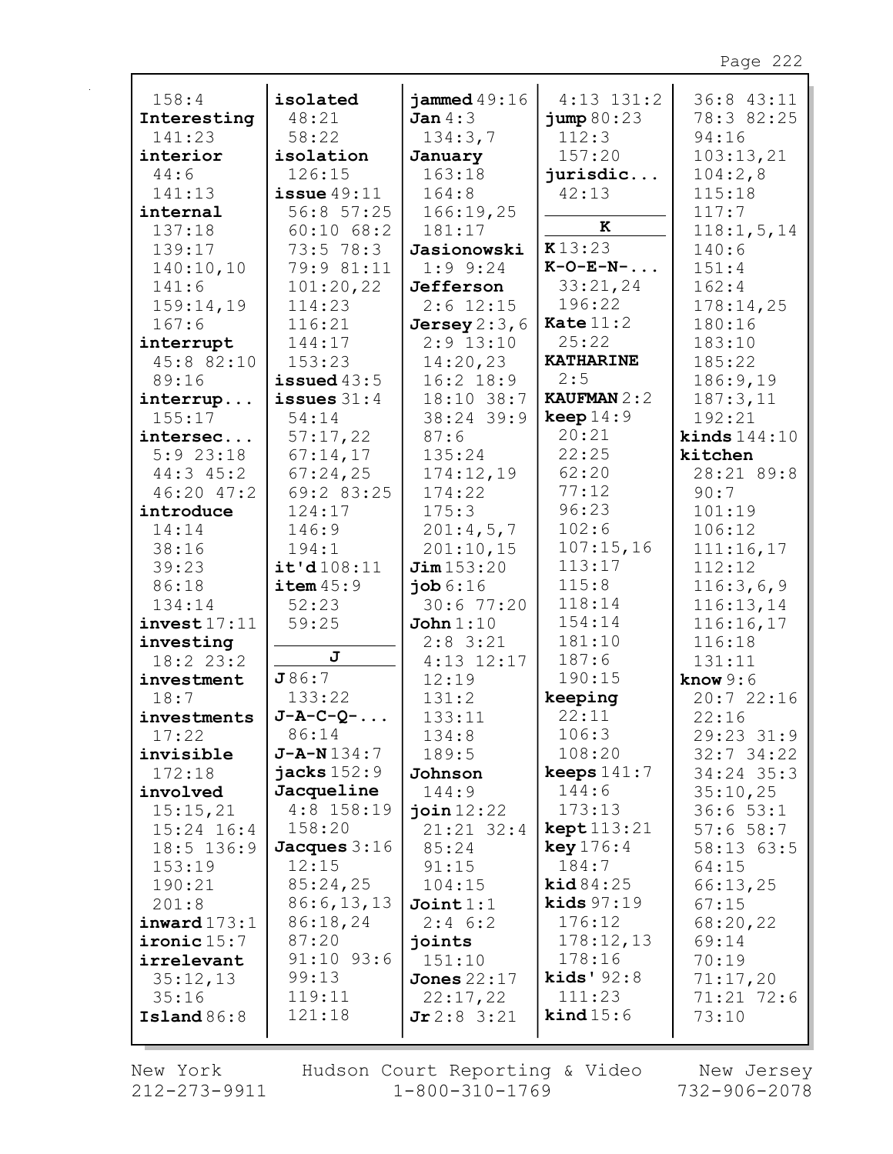| 158:4           | isolated                   | jammed $49:16$  | $4:13$ $131:2$                 | 36:8 43:11        |
|-----------------|----------------------------|-----------------|--------------------------------|-------------------|
| Interesting     | 48:21                      | Jan $4:3$       | jump 80:23                     | 78:3 82:25        |
| 141:23          | 58:22                      | 134:3,7         | 112:3                          | 94:16             |
| interior        | isolation                  | January         | 157:20                         | 103:13,21         |
| 44:6            | 126:15                     | 163:18          | jurisdic                       | 104:2,8           |
| 141:13          | $i$ ssue $49:11$           | 164:8           | 42:13                          | 115:18            |
| internal        | 56:8 57:25                 | 166:19,25       |                                | 117:7             |
| 137:18          | $60:10$ $68:2$             | 181:17          | K                              | 118:1, 5, 14      |
| 139:17          | 73:5 78:3                  | Jasionowski     | K13:23                         | 140:6             |
| 140:10,10       | 79:9 81:11                 | $1:9$ 9:24      | $K-O-E-N-$                     | 151:4             |
| 141:6           | 101:20,22                  | Jefferson       | 33:21,24                       | 162:4             |
| 159:14,19       | 114:23                     | $2:6$ 12:15     | 196:22                         | 178:14,25         |
| 167:6           | 116:21                     | Jersey $2:3, 6$ | Kate $11:2$                    | 180:16            |
| interrupt       | 144:17                     | $2:9$ 13:10     | 25:22                          | 183:10            |
| 45:8 82:10      | 153:23                     | 14:20,23        | <b>KATHARINE</b>               | 185:22            |
| 89:16           | issued $43:5$              | $16:2$ 18:9     | 2:5                            | 186:9,19          |
| interrup        | issues $31:4$              | $18:10$ 38:7    | <b>KAUFMAN 2:2</b>             | 187:3,11          |
| 155:17          | 54:14                      | 38:24 39:9      | keep $14:9$                    | 192:21            |
| intersec        | 57:17,22                   | 87:6            | 20:21                          | kinds $144:10$    |
| $5:9$ 23:18     | 67:14,17                   | 135:24          | 22:25                          | kitchen           |
| $44:3$ $45:2$   | 67:24,25                   | 174:12,19       | 62:20                          | 28:21 89:8        |
| 46:20 47:2      | 69:2 83:25                 | 174:22          | 77:12                          | 90:7              |
| introduce       | 124:17                     | 175:3           | 96:23                          | 101:19            |
| 14:14           | 146:9                      | 201:4,5,7       | 102:6                          | 106:12            |
| 38:16           | 194:1                      | 201:10,15       | 107:15,16                      | 111:16,17         |
| 39:23           | it'd108:11                 | Jim153:20       | 113:17                         | 112:12            |
| 86:18           | item45:9                   | job 6:16        | 115:8                          | 116:3,6,9         |
| 134:14          | 52:23                      | 30:677:20       | 118:14                         | 116:13,14         |
| invest17:11     | 59:25                      | John $1:10$     | 154:14                         | 116:16,17         |
| investing       | J                          | $2:8$ 3:21      | 181:10                         | 116:18            |
| $18:2$ 23:2     |                            | $4:13$ $12:17$  | 187:6                          | 131:11            |
| investment      | J86:7                      | 12:19           | 190:15                         | know $9:6$        |
| 18:7            | 133:22                     | 131:2           | keeping                        | 20:722:16         |
| investments     | $J-A-C-Q-$                 | 133:11          | 22:11                          | 22:16             |
| 17:22           | 86:14                      | 134:8           | 106:3                          | 29:23 31:9        |
| invisible       | $J - A - N 134:7$          | 189:5           | 108:20                         | $32:7$ 34:22      |
| 172:18          | jacks $152:9$              | Johnson         | keeps $141:7$                  | $34:24$ 35:3      |
| involved        | Jacqueline<br>$4:8$ 158:19 | 144:9           | 144:6                          | 35:10,25          |
| 15:15,21        | 158:20                     | join $12:22$    | 173:13<br>$\text{kept }113:21$ | 36:653:1          |
| $15:24$ 16:4    |                            | $21:21$ 32:4    |                                | 57:658:7          |
| $18:5$ 136:9    | Jacques $3:16$<br>12:15    | 85:24<br>91:15  | key 176:4<br>184:7             | 58:13 63:5        |
| 153:19          | 85:24,25                   | 104:15          | $\text{kid } 84:25$            | 64:15             |
| 190:21<br>201:8 | 86:6, 13, 13               | Join1:1         | kids $97:19$                   | 66:13,25<br>67:15 |
| invard173:1     | 86:18,24                   | $2:4$ 6:2       | 176:12                         | 68:20,22          |
| ironic $15:7$   | 87:20                      | joints          | 178:12,13                      | 69:14             |
| irrelevant      | $91:10$ $93:6$             | 151:10          | 178:16                         | 70:19             |
| 35:12,13        | 99:13                      | Jones $22:17$   | kids' $92:8$                   | 71:17,20          |
| 35:16           | 119:11                     | 22:17,22        | 111:23                         | 71:21 72:6        |
| Island $86:8$   | 121:18                     | Jr2:83:21       | $\text{kind } 15:6$            | 73:10             |
|                 |                            |                 |                                |                   |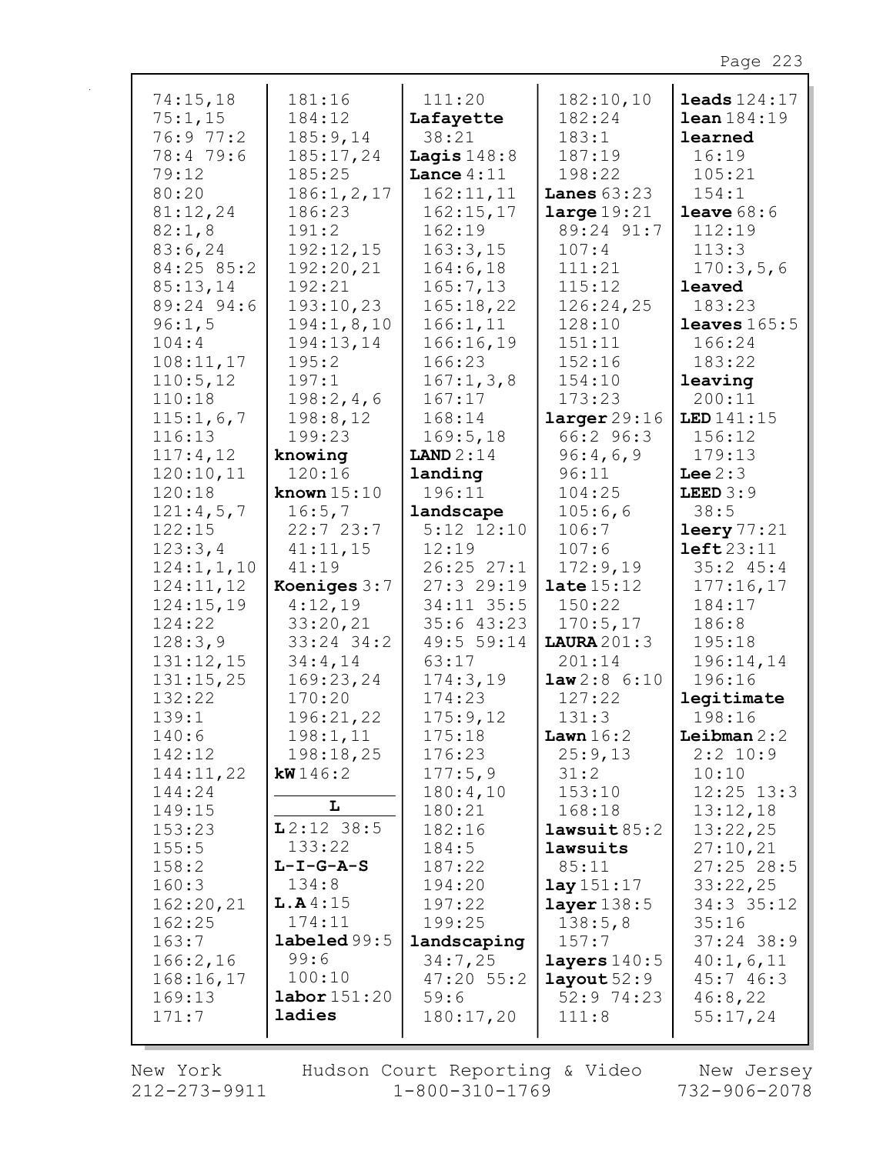| 74:15,18     | 181:16                 | 111:20         | 182:10,10            | $leads 124:17$      |
|--------------|------------------------|----------------|----------------------|---------------------|
| 75:1,15      | 184:12                 | Lafayette      | 182:24               | $lean$ $184:19$     |
| 76:9 77:2    | 185:9,14               | 38:21          | 183:1                | learned             |
| 78:4 79:6    | 185:17,24              | Lagis $148:8$  | 187:19               | 16:19               |
| 79:12        | 185:25                 | Lance $4:11$   | 198:22               | 105:21              |
| 80:20        | 186:1, 2, 17           | 162:11,11      | Lanes $63:23$        | 154:1               |
| 81:12,24     | 186:23                 | 162:15,17      | large 19:21          | <b>leave</b> $68:6$ |
| 82:1,8       | 191:2                  | 162:19         | 89:24 91:7           | 112:19              |
| 83:6,24      | 192:12,15              | 163:3,15       | 107:4                | 113:3               |
| 84:25 85:2   | 192:20,21              | 164:6,18       | 111:21               | 170:3,5,6           |
| 85:13,14     | 192:21                 | 165:7,13       | 115:12               | leaved              |
|              |                        |                |                      |                     |
| 89:24 94:6   | 193:10,23              | 165:18,22      | 126:24,25            | 183:23              |
| 96:1,5       | 194:1,8,10             | 166:1, 11      | 128:10               | leaves $165:5$      |
| 104:4        | 194:13,14              | 166:16,19      | 151:11               | 166:24              |
| 108:11,17    | 195:2                  | 166:23         | 152:16               | 183:22              |
| 110:5, 12    | 197:1                  | 167:1,3,8      | 154:10               | leaving             |
| 110:18       | 198:2,4,6              | 167:17         | 173:23               | 200:11              |
| 115:1,6,7    | 198:8,12               | 168:14         | larger 29:16         | LED 141:15          |
| 116:13       | 199:23                 | 169:5, 18      | 66:2 96:3            | 156:12              |
| 117:4,12     | knowing                | LAND $2:14$    | 96:4,6,9             | 179:13              |
| 120:10,11    | 120:16                 | landing        | 96:11                | Lee $2:3$           |
| 120:18       | known $15:10$          | 196:11         | 104:25               | LEED $3:9$          |
| 121:4,5,7    | 16:5,7                 | landscape      | 105:6,6              | 38:5                |
| 122:15       | 22:723:7               | $5:12$ $12:10$ | 106:7                | leery 77:21         |
| 123:3,4      | 41:11,15               | 12:19          | 107:6                | left23:11           |
| 124:1, 1, 10 | 41:19                  | $26:25$ $27:1$ | 172:9,19             | 35:245:4            |
| 124:11,12    | Koeniges 3:7           | 27:329:19      | late $15:12$         | 177:16,17           |
| 124:15,19    | 4:12,19                | 34:11 35:5     | 150:22               | 184:17              |
| 124:22       | 33:20,21               | 35:643:23      | 170:5, 17            | 186:8               |
| 128:3,9      | 33:24 34:2             | 49:5 59:14     | LAURA201:3           | 195:18              |
| 131:12,15    | 34:4,14                | 63:17          | 201:14               | 196:14,14           |
| 131:15,25    | 169:23,24              | 174:3,19       | law2:86:10           | 196:16              |
| 132:22       | 170:20                 | 174:23         | 127:22               | legitimate          |
| 139:1        | 196:21,22              | 175:9,12       | 131:3                | 198:16              |
| 140:6        | 198:1,11               | 175:18         | Lawn $16:2$          | Leibman $2:2$       |
| 142:12       | 198:18,25              | 176:23         | 25:9,13              | $2:2$ 10:9          |
| 144:11,22    | kW146:2                | 177:5,9        | 31:2                 | 10:10               |
| 144:24       |                        | 180:4,10       | 153:10               | $12:25$ $13:3$      |
| 149:15       | L                      | 180:21         | 168:18               | 13:12,18            |
| 153:23       | $L2:12$ 38:5           | 182:16         | $l$ awsuit $85:2$    | 13:22,25            |
| 155:5        | 133:22                 | 184:5          | lawsuits             | 27:10,21            |
| 158:2        | $L-I-G-A-S$            | 187:22         | 85:11                | $27:25$ 28:5        |
| 160:3        | 134:8                  | 194:20         | $\text{lay } 151:17$ | 33:22,25            |
| 162:20,21    | L.A4:15                | 197:22         | layer $138:5$        | 34:3 35:12          |
| 162:25       | 174:11                 | 199:25         | 138:5,8              | 35:16               |
| 163:7        | $\texttt{labeled99:5}$ | landscaping    | 157:7                | $37:24$ 38:9        |
| 166:2,16     | 99:6                   | 34:7,25        | layers $140:5$       | 40:1,6,11           |
| 168:16,17    | 100:10                 | $47:20$ 55:2   | layout $52:9$        | 45:746:3            |
| 169:13       | $\texttt{labor}151:20$ | 59:6           | 52:9 74:23           | 46:8,22             |
| 171:7        | ladies                 | 180:17,20      | 111:8                | 55:17,24            |
|              |                        |                |                      |                     |

New York  $212 - 273 - 9911$  Hudson Court Reporting & Video<br>1-800-310-1769

New Jersey<br>732-906-2078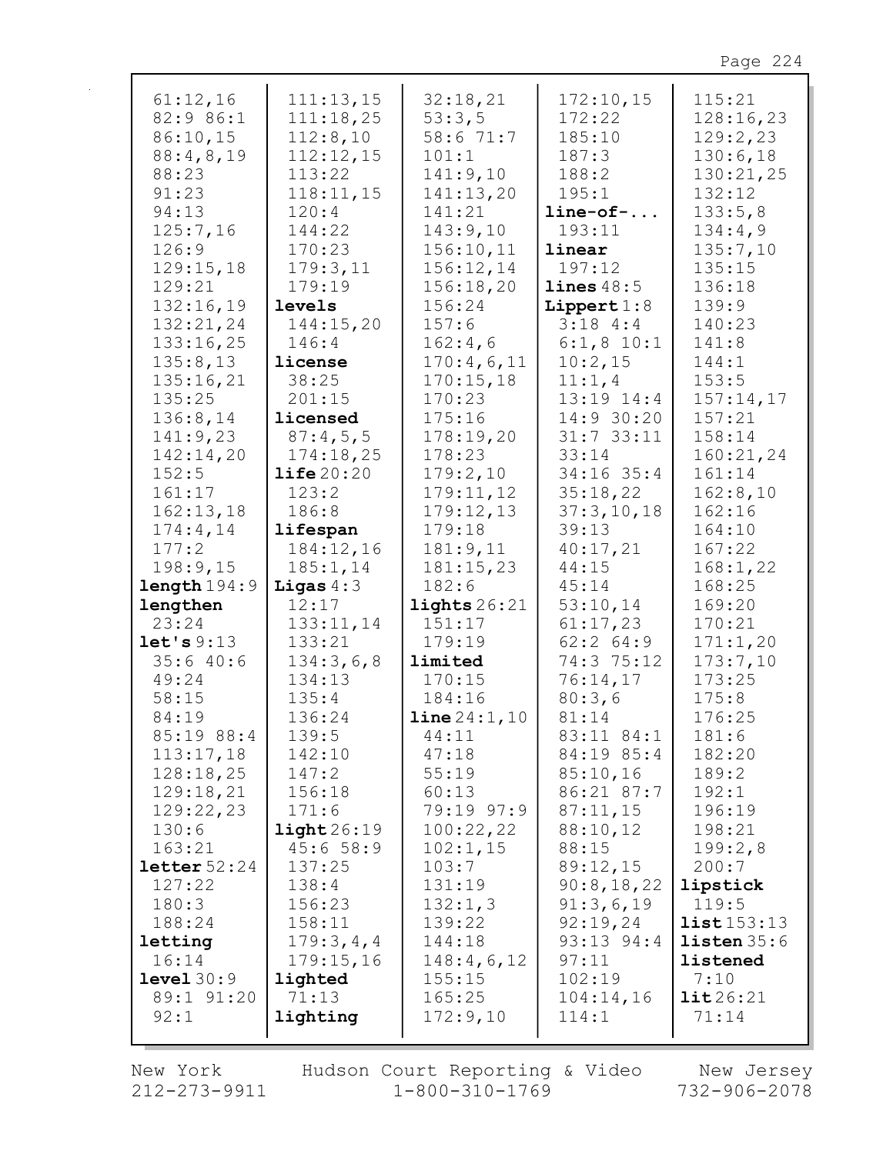| 61:12,16               | 111:13,15             | 32:18,21              | 172:10,15     | 115:21              |
|------------------------|-----------------------|-----------------------|---------------|---------------------|
| 82:9 86:1              | 111:18,25             | 53:3,5                | 172:22        | 128:16,23           |
|                        |                       |                       |               |                     |
| 86:10,15               | 112:8,10              | 58:6 71:7             | 185:10        | 129:2,23            |
| 88:4,8,19              | 112:12,15             | 101:1                 | 187:3         | 130:6,18            |
| 88:23                  | 113:22                | 141:9,10              | 188:2         | 130:21,25           |
| 91:23                  | 118:11,15             | 141:13,20             | 195:1         | 132:12              |
| 94:13                  | 120:4                 | 141:21                | $line-of-$    | 133:5,8             |
| 125:7,16               | 144:22                | 143:9,10              | 193:11        | 134:4,9             |
| 126:9                  | 170:23                | 156:10,11             | linear        | 135:7,10            |
| 129:15,18              | 179:3,11              | 156:12,14             | 197:12        | 135:15              |
|                        |                       |                       |               |                     |
| 129:21                 | 179:19                | 156:18,20             | lines 48:5    | 136:18              |
| 132:16,19              | levels                | 156:24                | Lippert $1:8$ | 139:9               |
| 132:21,24              | 144:15,20             | 157:6                 | 3:184:3       | 140:23              |
| 133:16,25              | 146:4                 | 162:4,6               | $6:1, 8$ 10:1 | 141:8               |
| 135:8,13               | license               | 170:4,6,11            | 10:2,15       | 144:1               |
| 135:16,21              | 38:25                 | 170:15,18             | 11:1,4        | 153:5               |
| 135:25                 | 201:15                | 170:23                | 13:19 14:4    | 157:14,17           |
| 136:8,14               | licensed              | 175:16                | 14:9 30:20    | 157:21              |
|                        |                       |                       |               |                     |
| 141:9,23               | 87:4,5,5              | 178:19,20             | $31:7$ 33:11  | 158:14              |
| 142:14,20              | 174:18,25             | 178:23                | 33:14         | 160:21,24           |
| 152:5                  | $\text{life}$ 20:20   | 179:2,10              | 34:16 35:4    | 161:14              |
| 161:17                 | 123:2                 | 179:11,12             | 35:18,22      | 162:8,10            |
| 162:13,18              | 186:8                 | 179:12,13             | 37:3,10,18    | 162:16              |
| 174:4,14               | lifespan              | 179:18                | 39:13         | 164:10              |
| 177:2                  | 184:12,16             | 181:9,11              | 40:17,21      | 167:22              |
| 198:9,15               | 185:1, 14             | 181:15,23             | 44:15         | 168:1,22            |
| length 194:9           | Ligas $4:3$           | 182:6                 | 45:14         | 168:25              |
|                        |                       |                       |               |                     |
| lengthen               | 12:17                 | lights $26:21$        | 53:10,14      | 169:20              |
| 23:24                  | 133:11,14             | 151:17                | 61:17,23      | 170:21              |
| let's 9:13             | 133:21                | 179:19                | $62:2$ $64:9$ | 171:1,20            |
| 35:640:6               | 134:3,6,8             | limited               | 74:3 75:12    | 173:7,10            |
| 49:24                  | 134:13                | 170:15                | 76:14,17      | 173:25              |
| 58:15                  | 135:4                 | 184:16                | 80:3,6        | 175:8               |
| 84:19                  | 136:24                | <b>line</b> $24:1,10$ | 81:14         | 176:25              |
| $85:19$ $88:4$         | 139:5                 | 44:11                 | 83:11 84:1    | 181:6               |
| 113:17,18              | 142:10                | 47:18                 | 84:19 85:4    | 182:20              |
|                        |                       |                       |               |                     |
| 128:18,25              | 147:2                 | 55:19                 | 85:10,16      | 189:2               |
| 129:18,21              | 156:18                | 60:13                 | 86:21 87:7    | 192:1               |
| 129:22,23              | 171:6                 | 79:19 97:9            | 87:11,15      | 196:19              |
| 130:6                  | $\texttt{light26:19}$ | 100:22,22             | 88:10,12      | 198:21              |
| 163:21                 | 45:658:9              | 102:1,15              | 88:15         | 199:2,8             |
| $\text{letter } 52:24$ | 137:25                | 103:7                 | 89:12,15      | 200:7               |
| 127:22                 | 138:4                 | 131:19                | 90:8,18,22    | lipstick            |
| 180:3                  | 156:23                | 132:1,3               | 91:3,6,19     | 119:5               |
| 188:24                 | 158:11                | 139:22                | 92:19,24      | list153:13          |
| letting                | 179:3,4,4             | 144:18                | 93:13 94:4    | listen 35:6         |
|                        |                       |                       |               |                     |
| 16:14                  | 179:15,16             | 148:4,6,12            | 97:11         | listened            |
| level 30:9             | lighted               | 155:15                | 102:19        | 7:10                |
| 89:1 91:20             | 71:13                 | 165:25                | 104:14,16     | $\texttt{lit26:21}$ |
| 92:1                   | lighting              | 172:9,10              | 114:1         | 71:14               |
|                        |                       |                       |               |                     |

New York  $212 - 273 - 9911$ 

Hudson Court Reporting & Video<br>11 1-800-310-1769

New Jersey<br>732-906-2078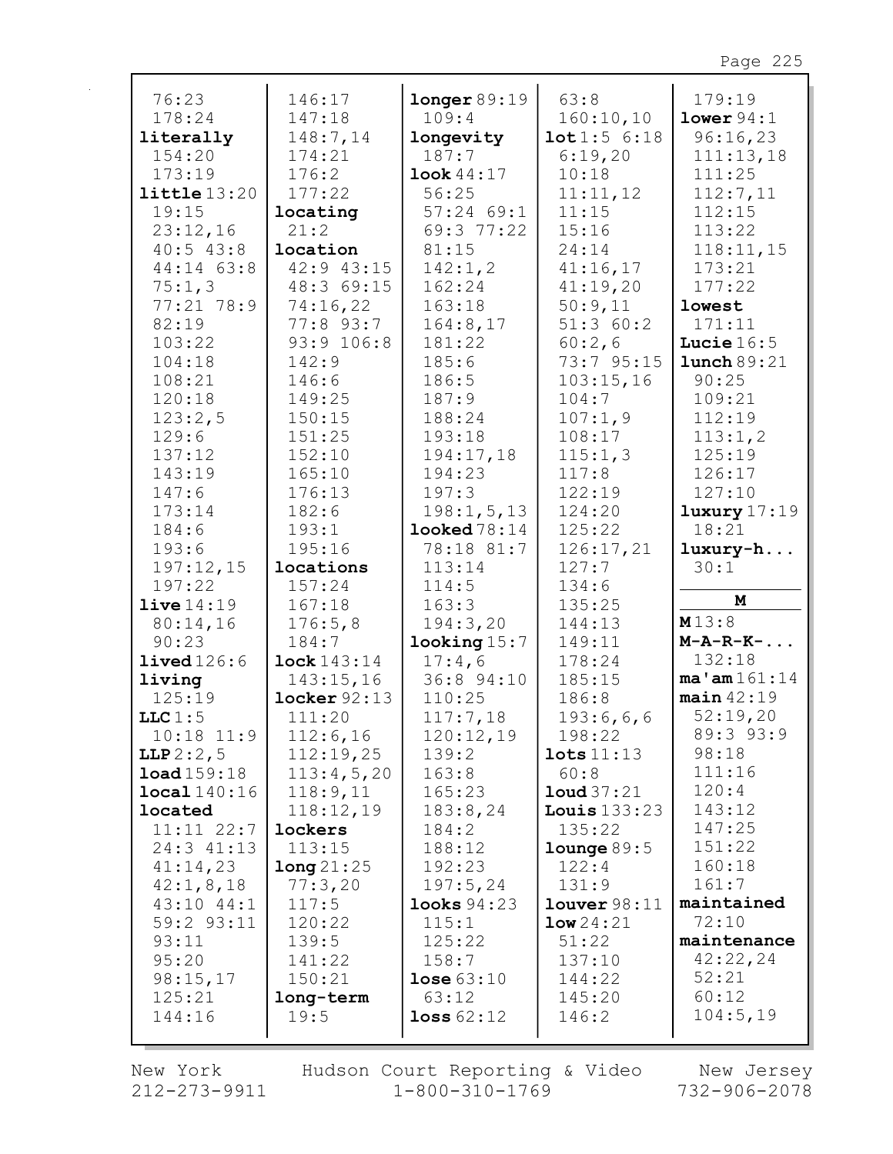| 76:23                    | 146:17                | longer 89:19      | 63:8                 | 179:19            |
|--------------------------|-----------------------|-------------------|----------------------|-------------------|
| 178:24                   | 147:18                | 109:4             | 160:10,10            | lower94:1         |
| literally                | 148:7,14              | longevity         | 10t1:56:18           | 96:16,23          |
| 154:20                   | 174:21                | 187:7             | 6:19,20              | 111:13,18         |
| 173:19                   | 176:2                 | look 44:17        | 10:18                | 111:25            |
| $l$ ittle $13:20$        | 177:22                | 56:25             | 11:11,12             | 112:7,11          |
| 19:15                    | locating              | $57:24$ 69:1      | 11:15                | 112:15            |
| 23:12,16                 | 21:2                  | 69:3 77:22        | 15:16                | 113:22            |
| $40:5$ $43:8$            | location              | 81:15             | 24:14                | 118:11,15         |
| 44:14 63:8               | 42:9 43:15            | 142:1, 2          | 41:16,17             | 173:21            |
| 75:1,3                   | 48:3 69:15            | 162:24            | 41:19,20             | 177:22            |
| 77:21 78:9               | 74:16,22              | 163:18            | 50:9,11              | lowest            |
| 82:19                    | 77:8 93:7             | 164:8,17          | 51:360:2             | 171:11            |
| 103:22                   | 93:9 106:8            | 181:22            | 60:2,6               | Lucie $16:5$      |
| 104:18                   | 142:9                 | 185:6             | 73:7 95:15           | lunch 89:21       |
| 108:21                   | 146:6                 | 186:5             | 103:15,16            | 90:25             |
| 120:18                   | 149:25                | 187:9             | 104:7                | 109:21            |
| 123:2,5                  | 150:15                | 188:24            | 107:1,9              | 112:19            |
| 129:6                    | 151:25                | 193:18            | 108:17               | 113:1,2           |
| 137:12                   | 152:10                | 194:17,18         | 115:1,3              | 125:19            |
| 143:19                   | 165:10                | 194:23            | 117:8                | 126:17            |
| 147:6                    | 176:13                | 197:3             | 122:19               | 127:10            |
| 173:14                   | 182:6                 | 198:1, 5, 13      | 124:20               | luxury 17:19      |
| 184:6                    | 193:1                 | $1$ ooked $78:14$ | 125:22               | 18:21             |
| 193:6                    | 195:16                | 78:18 81:7        | 126:17,21            | luxury-h          |
| 197:12,15                | locations             | 113:14            | 127:7                | 30:1              |
| 197:22                   | 157:24                | 114:5             | 134:6                |                   |
| live14:19                | 167:18                | 163:3             | 135:25               | M                 |
| 80:14,16                 | 176:5,8               | 194:3,20          | 144:13               | M13:8             |
| 90:23                    | 184:7                 | $1$ ooking $15:7$ | 149:11               | $M-A-R-K-$        |
| lived126:6               | lock 143:14           | 17:4,6            | 178:24               | 132:18            |
| living                   | 143:15,16             | 36:8 94:10        | 185:15               | $ma'$ am $161:14$ |
| 125:19                   | $locker$ $92:13$      | 110:25            | 186:8                | $main$ 42:19      |
| LLC $1:5$                | 111:20                |                   | 193:6,6,6            | 52:19,20          |
| $10:18$ $11:9$           |                       | 117:7,18          | 198:22               | 89:3 93:9         |
|                          | 112:6,16<br>112:19,25 | 120:12,19         | $\texttt{lets}11:13$ | 98:18             |
| LLP 2:2, 5<br>load159:18 |                       | 139:2             |                      | 111:16            |
|                          | 113:4,5,20            | 163:8             | 60:8                 | 120:4             |
| local 140:16             | 118:9,11              | 165:23            | $1$ oud $37:21$      | 143:12            |
| located                  | 118:12,19             | 183:8,24          | Louis $133:23$       | 147:25            |
| $11:11$ $22:7$           | lockers               | 184:2             | 135:22               |                   |
| 24:3 41:13               | 113:15                | 188:12            | $1$ ounge $89:5$     | 151:22            |
| 41:14,23                 | long21:25             | 192:23            | 122:4                | 160:18            |
| 42:1,8,18                | 77:3,20               | 197:5,24          | 131:9                | 161:7             |
| $43:10$ $44:1$           | 117:5                 | $1$ ooks $94:23$  | lower98:11           | maintained        |
| $59:2$ $93:11$           | 120:22                | 115:1             | low24:21             | 72:10             |
| 93:11                    | 139:5                 | 125:22            | 51:22                | maintenance       |
| 95:20                    | 141:22                | 158:7             | 137:10               | 42:22,24          |
| 98:15,17                 | 150:21                | lose 63:10        | 144:22               | 52:21             |
| 125:21                   | long-term             | 63:12             | 145:20               | 60:12             |
| 144:16                   | 19:5                  | loss 62:12        | 146:2                | 104:5,19          |
|                          |                       |                   |                      |                   |

New York 212-273-9911 Hudson Court Reporting & Video<br>1-800-310-1769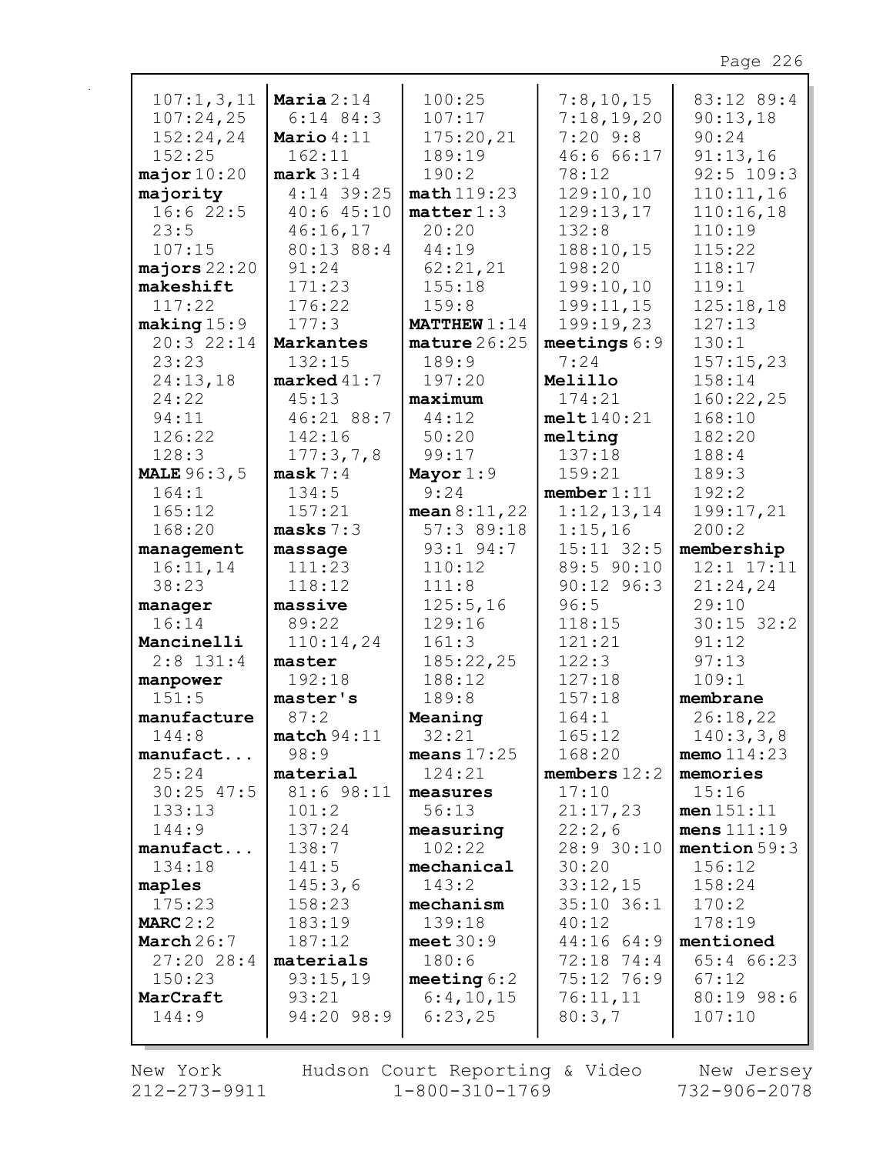| 107:1,3,11             | Maria $2:14$          | 100:25                  | 7:8,10,15      | 83:12 89:4     |
|------------------------|-----------------------|-------------------------|----------------|----------------|
| 107:24,25              | $6:14$ 84:3           | 107:17                  | 7:18,19,20     | 90:13,18       |
| 152:24,24              | Mario $4:11$          | 175:20,21               | $7:20$ 9:8     | 90:24          |
|                        |                       |                         |                |                |
| 152:25                 | 162:11                | 189:19                  | 46:6 66:17     | 91:13,16       |
| $\texttt{major} 10:20$ | mark 3:14             | 190:2                   | 78:12          | 92:5 109:3     |
| majority               | $4:14$ 39:25          | math 119:23             | 129:10,10      | 110:11,16      |
| 16:622:5               | 40:645:10             | matter 1:3              | 129:13,17      | 110:16,18      |
| 23:5                   | 46:16,17              | 20:20                   | 132:8          | 110:19         |
| 107:15                 | 80:13 88:4            | 44:19                   | 188:10,15      | 115:22         |
| majors $22:20$         | 91:24                 | 62:21,21                | 198:20         | 118:17         |
| makeshift              | 171:23                | 155:18                  | 199:10,10      | 119:1          |
| 117:22                 | 176:22                | 159:8                   | 199:11,15      | 125:18,18      |
| $\texttt{making} 15:9$ | 177:3                 | <b>MATTHEW</b> $1:14$   | 199:19,23      | 127:13         |
| $20:3$ 22:14           | Markantes             | $\texttt{mature} 26:25$ | meetings $6:9$ | 130:1          |
| 23:23                  | 132:15                | 189:9                   | 7:24           | 157:15,23      |
| 24:13,18               | $\texttt{marked}41:7$ | 197:20                  | Melillo        | 158:14         |
| 24:22                  | 45:13                 | maximum                 | 174:21         | 160:22,25      |
| 94:11                  | 46:21 88:7            | 44:12                   | melt140:21     | 168:10         |
| 126:22                 | 142:16                | 50:20                   | melting        | 182:20         |
| 128:3                  | 177:3,7,8             | 99:17                   | 137:18         | 188:4          |
| <b>MALE 96:3,5</b>     | mask 7:4              | Mayor $1:9$             | 159:21         | 189:3          |
| 164:1                  | 134:5                 | 9:24                    | member 1:11    | 192:2          |
| 165:12                 | 157:21                | mean $8:11,22$          | 1:12,13,14     | 199:17,21      |
| 168:20                 | $masks 7:3$           | 57:3 89:18              | 1:15,16        | 200:2          |
|                        |                       | $93:1$ $94:7$           | 15:11 32:5     | membership     |
| management             | massage               |                         |                | $12:1$ $17:11$ |
| 16:11,14<br>38:23      | 111:23                | 110:12                  | 89:5 90:10     |                |
|                        | 118:12                | 111:8                   | $90:12$ $96:3$ | 21:24,24       |
| manager                | massive               | 125:5,16                | 96:5           | 29:10          |
| 16:14                  | 89:22                 | 129:16                  | 118:15         | $30:15$ 32:2   |
| Mancinelli             | 110:14,24             | 161:3                   | 121:21         | 91:12          |
| $2:8$ 131:4            | master                | 185:22,25               | 122:3          | 97:13          |
| manpower               | 192:18                | 188:12                  | 127:18         | 109:1          |
| 151:5                  | master's              | 189:8                   | 157:18         | membrane       |
| manufacture            | 87:2                  | Meaning                 | 164:1          | 26:18,22       |
| 144:8                  | match94:11            | 32:21                   | 165:12         | 140:3,3,8      |
| manufact               | 98:9                  | means $17:25$           | 168:20         | memo $114:23$  |
| 25:24                  | material              | 124:21                  | members $12:2$ | memories       |
| $30:25$ 47:5           | 81:6 98:11            | measures                | 17:10          | 15:16          |
| 133:13                 | 101:2                 | 56:13                   | 21:17,23       | men 151:11     |
| 144:9                  | 137:24                | measuring               | 22:2,6         | mens $111:19$  |
| manufact               | 138:7                 | 102:22                  | 28:9 30:10     | mention $59:3$ |
| 134:18                 | 141:5                 | mechanical              | 30:20          | 156:12         |
| maples                 | 145:3,6               | 143:2                   | 33:12,15       | 158:24         |
| 175:23                 | 158:23                | mechanism               | $35:10$ 36:1   | 170:2          |
| MARC $2:2$             | 183:19                | 139:18                  | 40:12          | 178:19         |
| March $26:7$           | 187:12                | meet $30:9$             | 44:16 64:9     | mentioned      |
| 27:2028:4              | materials             | 180:6                   | $72:18$ $74:4$ | 65:4 66:23     |
| 150:23                 | 93:15,19              | meeting $6:2$           | 75:12 76:9     | 67:12          |
| MarCraft               | 93:21                 | 6:4,10,15               | 76:11,11       | 80:19 98:6     |
| 144:9                  | 94:20 98:9            | 6:23,25                 | 80:3,7         | 107:10         |
|                        |                       |                         |                |                |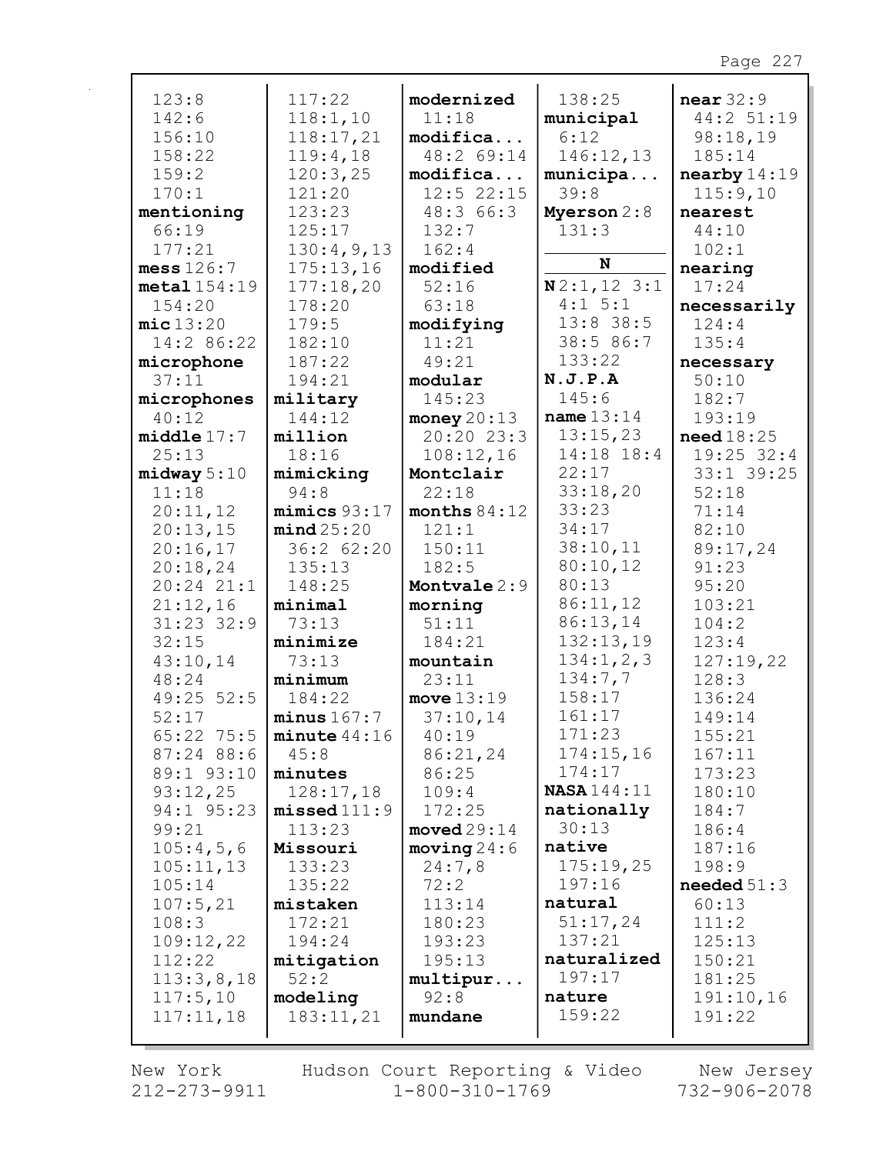| 123:8            | 117:22           | modernized            | 138:25             | near 32:9     |
|------------------|------------------|-----------------------|--------------------|---------------|
| 142:6            | 118:1,10         | 11:18                 | municipal          | 44:2 51:19    |
| 156:10           | 118:17,21        | modifica              | 6:12               | 98:18,19      |
| 158:22           | 119:4,18         | 48:2 69:14            | 146:12,13          | 185:14        |
| 159:2            | 120:3,25         | modifica              | municipa           | nearly 14:19  |
| 170:1            | 121:20           | $12:5$ 22:15          | 39:8               | 115:9,10      |
| mentioning       | 123:23           | 48:366:3              | Myerson 2:8        | nearest       |
| 66:19            | 125:17           | 132:7                 | 131:3              | 44:10         |
| 177:21           | 130:4,9,13       | 162:4                 |                    | 102:1         |
| mess $126:7$     | 175:13,16        | modified              | N                  | nearing       |
| $metal$ $154:19$ | 177:18,20        | 52:16                 | N2:1, 123:1        | 17:24         |
| 154:20           | 178:20           | 63:18                 | 4:1 5:1            | necessarily   |
| mic13:20         | 179:5            | modifying             | $13:8$ 38:5        | 124:4         |
| 14:2 86:22       | 182:10           | 11:21                 | 38:5 86:7          | 135:4         |
| microphone       | 187:22           | 49:21                 | 133:22             | necessary     |
| 37:11            | 194:21           | modular               | N.J.P.A            | 50:10         |
| microphones      | military         | 145:23                | 145:6              | 182:7         |
| 40:12            | 144:12           | money $20:13$         | name $13:14$       | 193:19        |
| middle17:7       | million          | 20:2023:3             | 13:15,23           | need18:25     |
| 25:13            | 18:16            | 108:12,16             | 14:18 18:4         | $19:25$ 32:4  |
| midway 5:10      | mimicking        | Montclair             | 22:17              | 33:1 39:25    |
| 11:18            | 94:8             | 22:18                 | 33:18,20           | 52:18         |
| 20:11,12         | minus 93:17      | months $84:12$        | 33:23              | 71:14         |
| 20:13,15         | mind25:20        | 121:1                 | 34:17              | 82:10         |
| 20:16,17         | 36:2 62:20       | 150:11                | 38:10,11           | 89:17,24      |
| 20:18,24         | 135:13           | 182:5                 | 80:10,12           | 91:23         |
| $20:24$ $21:1$   | 148:25           | Montvale 2:9          | 80:13              | 95:20         |
| 21:12,16         | minimal          | morning               | 86:11,12           | 103:21        |
| $31:23$ $32:9$   | 73:13            | 51:11                 | 86:13,14           | 104:2         |
| 32:15            | minimize         | 184:21                | 132:13,19          | 123:4         |
| 43:10,14         | 73:13            | mountain              | 134:1, 2, 3        | 127:19,22     |
| 48:24            | minimum          | 23:11                 | 134:7,7            | 128:3         |
| 49:25 52:5       | 184:22           | move $13:19$          | 158:17             | 136:24        |
| 52:17            | minus 167:7      | 37:10,14              | 161:17             | 149:14        |
| 65:22 75:5       | minute $44:16$   | 40:19                 | 171:23             | 155:21        |
| 87:24 88:6       | 45:8             | 86:21,24              | 174:15,16          | 167:11        |
| 89:1 93:10       | minutes          | 86:25                 | 174:17             | 173:23        |
| 93:12,25         | 128:17,18        | 109:4                 | <b>NASA</b> 144:11 | 180:10        |
| 94:1 95:23       | $missed$ $111:9$ | 172:25                | nationally         | 184:7         |
| 99:21            | 113:23           | $\texttt{moved29:14}$ | 30:13              | 186:4         |
| 105:4,5,6        | Missouri         | moving 24:6           | native             | 187:16        |
| 105:11,13        | 133:23           | 24:7,8                | 175:19,25          | 198:9         |
| 105:14           | 135:22           | 72:2                  | 197:16             | needed $51:3$ |
| 107:5,21         | mistaken         | 113:14                | natural            | 60:13         |
| 108:3            | 172:21           | 180:23                | 51:17,24           | 111:2         |
| 109:12,22        | 194:24           | 193:23                | 137:21             | 125:13        |
| 112:22           | mitigation       | 195:13                | naturalized        | 150:21        |
| 113:3,8,18       | 52:2             | multipur              | 197:17             | 181:25        |
| 117:5,10         | modeling         | 92:8                  | nature             | 191:10,16     |
| 117:11,18        | 183:11,21        | mundane               | 159:22             | 191:22        |
|                  |                  |                       |                    |               |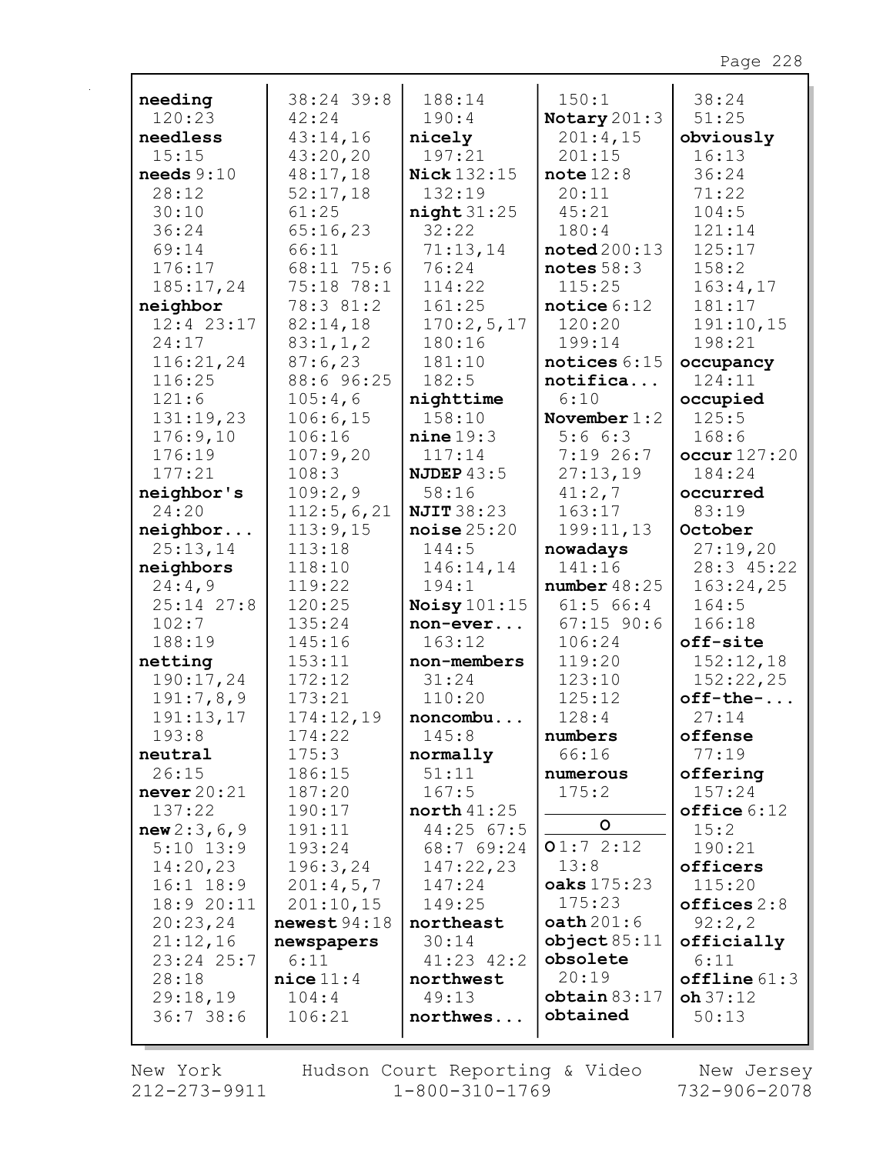| needing        | 38:24 39:8   | 188:14             | 150:1                      | 38:24          |
|----------------|--------------|--------------------|----------------------------|----------------|
| 120:23         | 42:24        | 190:4              | Notary 201:3               | 51:25          |
| needless       | 43:14,16     | nicely             | 201:4,15                   | obviously      |
| 15:15          | 43:20,20     | 197:21             | 201:15                     | 16:13          |
| needs $9:10$   | 48:17,18     | <b>Nick 132:15</b> | note $12:8$                | 36:24          |
| 28:12          | 52:17,18     | 132:19             | 20:11                      | 71:22          |
| 30:10          | 61:25        | night31:25         | 45:21                      | 104:5          |
| 36:24          | 65:16,23     | 32:22              | 180:4                      | 121:14         |
| 69:14          | 66:11        | 71:13,14           | $\texttt{noted} \, 200:13$ | 125:17         |
| 176:17         | 68:11 75:6   | 76:24              | notes $58:3$               | 158:2          |
| 185:17,24      | 75:18 78:1   | 114:22             | 115:25                     | 163:4,17       |
| neighbor       | 78:3 81:2    | 161:25             | notice $6:12$              | 181:17         |
| $12:4$ 23:17   | 82:14,18     | 170:2,5,17         | 120:20                     | 191:10,15      |
| 24:17          | 83:1, 1, 2   | 180:16             | 199:14                     | 198:21         |
| 116:21,24      | 87:6,23      | 181:10             | notices $6:15$             | occupancy      |
| 116:25         | 88:6 96:25   | 182:5              | notifica                   | 124:11         |
| 121:6          | 105:4,6      | nighttime          | 6:10                       | occupied       |
| 131:19,23      | 106:6,15     | 158:10             | November $1:2$             | 125:5          |
| 176:9,10       | 106:16       | nine 19:3          | 5:66:3                     | 168:6          |
| 176:19         | 107:9,20     | 117:14             | 7:1926:7                   | occur127:20    |
| 177:21         | 108:3        | NJDEP $43:5$       | 27:13,19                   | 184:24         |
| neighbor's     | 109:2,9      | 58:16              | 41:2,7                     | occurred       |
| 24:20          | 112:5,6,21   | <b>NJIT 38:23</b>  | 163:17                     | 83:19          |
| neighbor       | 113:9,15     | noise25:20         | 199:11,13                  | October        |
| 25:13,14       | 113:18       | 144:5              | nowadays                   | 27:19,20       |
| neighbors      | 118:10       | 146:14,14          | 141:16                     | 28:3 45:22     |
| 24:4,9         | 119:22       | 194:1              | number48:25                | 163:24,25      |
| $25:14$ $27:8$ | 120:25       | Noisy $101:15$     | $61:5$ $66:4$              | 164:5          |
| 102:7          | 135:24       | non-ever           | $67:15$ 90:6               | 166:18         |
| 188:19         | 145:16       | 163:12             | 106:24                     | off-site       |
| netting        | 153:11       | non-members        | 119:20                     | 152:12,18      |
| 190:17,24      | 172:12       | 31:24              | 123:10                     | 152:22,25      |
| 191:7,8,9      | 173:21       | 110:20             | 125:12                     | $off$ -the-    |
| 191:13,17      | 174:12,19    | noncombu           | 128:4                      | 27:14          |
| 193:8          | 174:22       | 145:8              | numbers                    | offense        |
| neutral        | 175:3        | normally           | 66:16                      | 77:19          |
| 26:15          | 186:15       | 51:11              | numerous                   | offering       |
| never $20:21$  | 187:20       | 167:5              | 175:2                      | 157:24         |
| 137:22         | 190:17       | north $41:25$      |                            | $offline 6:12$ |
| new 2:3, 6, 9  | 191:11       | $44:25$ 67:5       | $\circ$                    | 15:2           |
| $5:10$ 13:9    | 193:24       | 68:7 69:24         | 01:72:12                   | 190:21         |
| 14:20,23       | 196:3,24     | 147:22,23          | 13:8                       | officers       |
| $16:1$ $18:9$  | 201:4,5,7    | 147:24             | oaks 175:23                | 115:20         |
| 18:9 20:11     | 201:10,15    | 149:25             | 175:23                     | offices 2:8    |
| 20:23,24       | newest 94:18 | northeast          | $\texttt{path201:6}$       | 92:2,2         |
| 21:12,16       | newspapers   | 30:14              | object 85:11               | officially     |
| 23:24 25:7     | 6:11         | $41:23$ $42:2$     | obsolete                   | 6:11           |
| 28:18          | $nice$ 11:4  | northwest          | 20:19                      | offline 61:3   |
| 29:18,19       | 104:4        | 49:13              | obtain 83:17<br>obtained   | $oh\,37:12$    |
| 36:738:6       | 106:21       | northwes           |                            | 50:13          |
|                |              |                    |                            |                |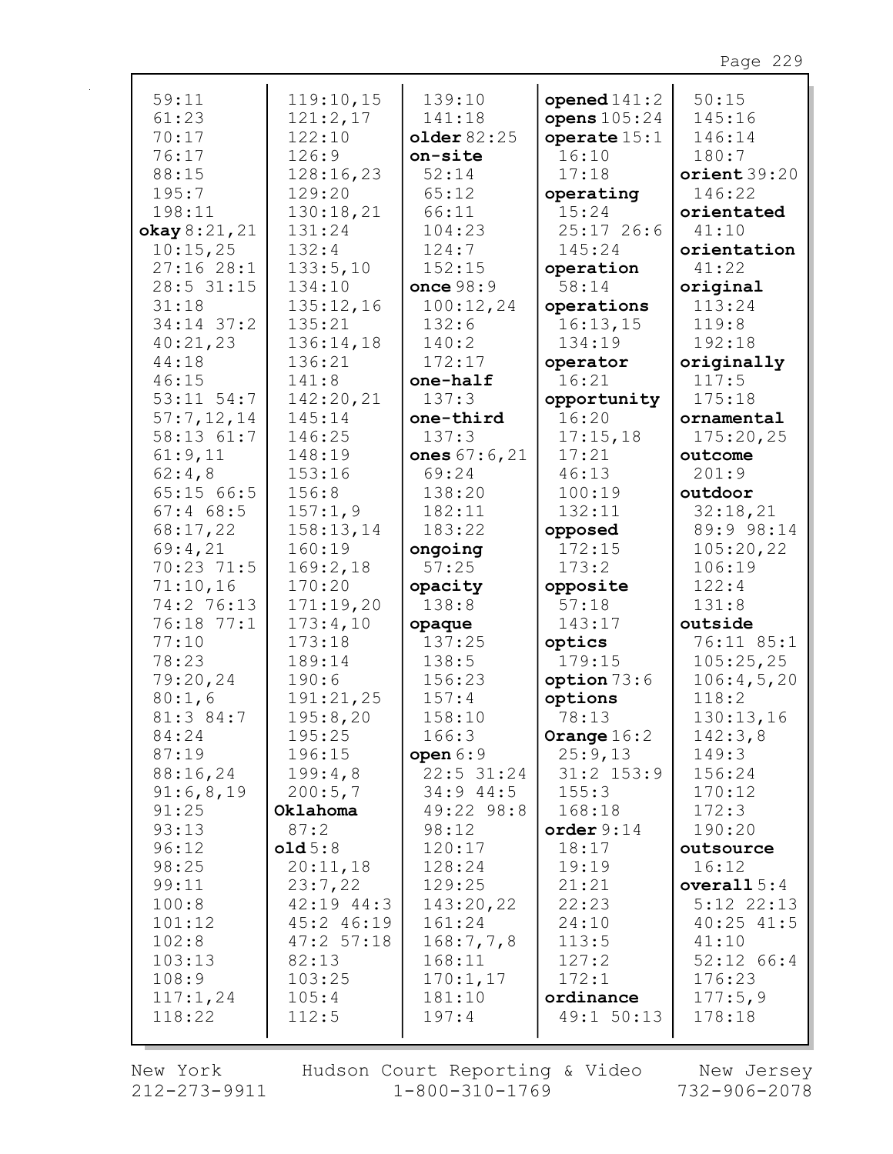| 59:11          | 119:10,15      | 139:10       | opened $141:2$ | 50:15          |
|----------------|----------------|--------------|----------------|----------------|
| 61:23          | 121:2,17       | 141:18       | opens $105:24$ | 145:16         |
| 70:17          | 122:10         | older 82:25  | operate $15:1$ | 146:14         |
| 76:17          | 126:9          | on-site      | 16:10          | 180:7          |
| 88:15          | 128:16,23      | 52:14        | 17:18          | orient39:20    |
| 195:7          | 129:20         | 65:12        | operating      | 146:22         |
| 198:11         | 130:18,21      | 66:11        | 15:24          | orientated     |
| okay 8:21, 21  | 131:24         | 104:23       | $25:17$ 26:6   | 41:10          |
| 10:15,25       | 132:4          | 124:7        | 145:24         | orientation    |
| 27:1628:1      | 133:5,10       | 152:15       | operation      | 41:22          |
| 28:5 31:15     | 134:10         | once 98:9    | 58:14          | original       |
| 31:18          | 135:12,16      | 100:12,24    | operations     | 113:24         |
| $34:14$ 37:2   | 135:21         | 132:6        | 16:13,15       | 119:8          |
| 40:21,23       | 136:14,18      | 140:2        | 134:19         | 192:18         |
| 44:18          | 136:21         | 172:17       | operator       | originally     |
| 46:15          | 141:8          | one-half     | 16:21          | 117:5          |
| $53:11$ $54:7$ | 142:20,21      | 137:3        | opportunity    | 175:18         |
| 57:7,12,14     | 145:14         | one-third    | 16:20          | ornamental     |
| 58:13 61:7     | 146:25         | 137:3        | 17:15,18       | 175:20,25      |
| 61:9,11        | 148:19         | ones 67:6,21 | 17:21          | outcome        |
| 62:4,8         | 153:16         | 69:24        | 46:13          | 201:9          |
| 65:1566:5      | 156:8          | 138:20       | 100:19         | outdoor        |
| $67:4$ 68:5    | 157:1,9        | 182:11       | 132:11         | 32:18,21       |
| 68:17,22       | 158:13,14      | 183:22       | opposed        | 89:9 98:14     |
| 69:4,21        | 160:19         | ongoing      | 172:15         | 105:20,22      |
| 70:23 71:5     | 169:2,18       | 57:25        | 173:2          | 106:19         |
| 71:10,16       | 170:20         | opacity      | opposite       | 122:4          |
| 74:2 76:13     | 171:19,20      | 138:8        | 57:18          | 131:8          |
| 76:18 77:1     | 173:4,10       | opaque       | 143:17         | outside        |
| 77:10          | 173:18         | 137:25       | optics         | 76:11 85:1     |
| 78:23          | 189:14         | 138:5        | 179:15         | 105:25,25      |
| 79:20,24       | 190:6          | 156:23       | option 73:6    | 106:4,5,20     |
| 80:1,6         | 191:21,25      | 157:4        | options        | 118:2          |
| 81:3 84:7      | 195:8,20       | 158:10       | 78:13          | 130:13,16      |
| 84:24          | 195:25         | 166:3        | Orange $16:2$  | 142:3,8        |
| 87:19          | 196:15         | open $6:9$   | 25:9,13        | 149:3          |
| 88:16,24       | 199:4,8        | $22:5$ 31:24 | $31:2$ $153:9$ | 156:24         |
| 91:6,8,19      | 200:5,7        | $34:9$ 44:5  | 155:3          | 170:12         |
| 91:25          | Oklahoma       | 49:22 98:8   | 168:18         | 172:3          |
| 93:13          | 87:2           | 98:12        | order $9:14$   | 190:20         |
| 96:12          | old5:8         | 120:17       | 18:17          | outsource      |
| 98:25          | 20:11,18       | 128:24       | 19:19          | 16:12          |
| 99:11          | 23:7,22        | 129:25       | 21:21          | overall $5:4$  |
| 100:8          | $42:19$ $44:3$ | 143:20,22    | 22:23          | $5:12$ $22:13$ |
| 101:12         | 45:2 46:19     | 161:24       | 24:10          | $40:25$ $41:5$ |
| 102:8          | 47:257:18      | 168:7,7,8    | 113:5          | 41:10          |
| 103:13         | 82:13          | 168:11       | 127:2          | $52:12$ 66:4   |
| 108:9          | 103:25         | 170:1,17     | 172:1          | 176:23         |
| 117:1,24       | 105:4          | 181:10       | ordinance      | 177:5,9        |
| 118:22         | 112:5          | 197:4        | 49:1 50:13     | 178:18         |
|                |                |              |                |                |

New York 212-273-9911 Hudson Court Reporting & Video<br>1-800-310-1769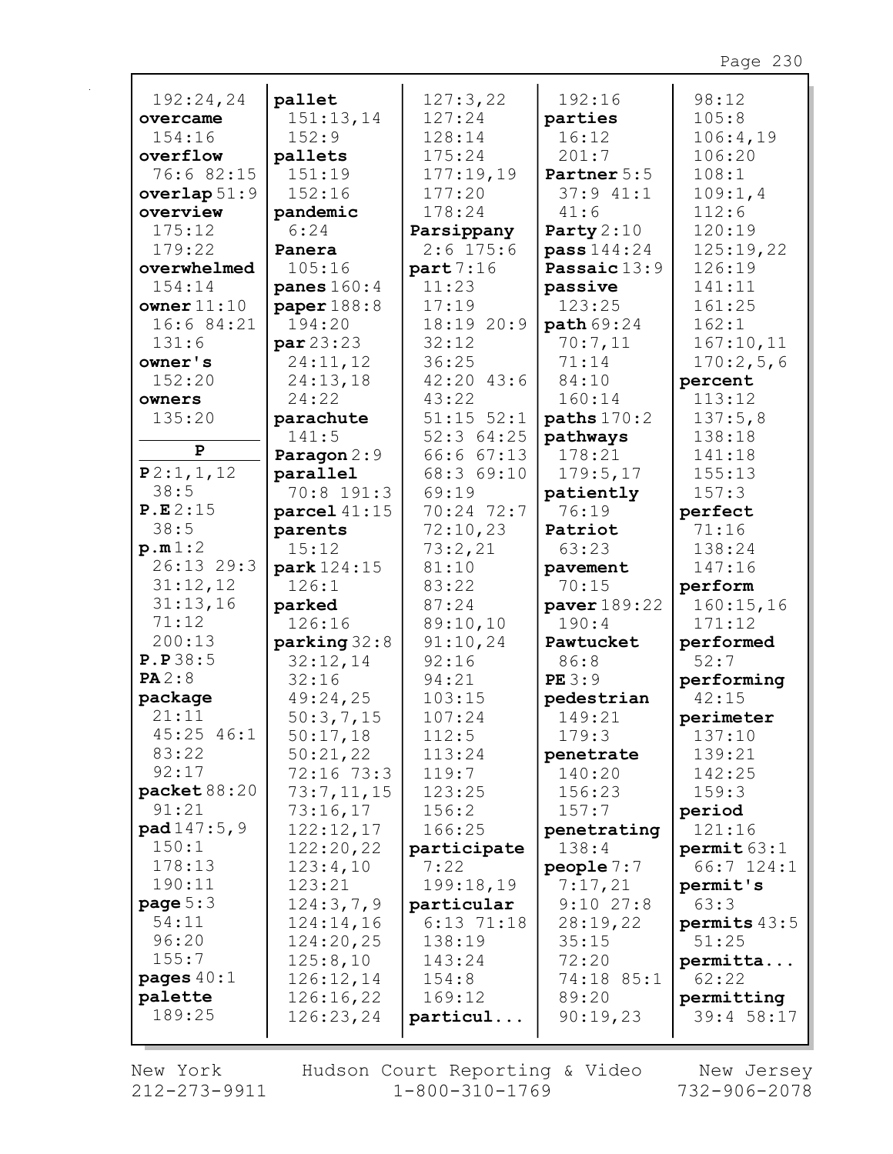| 192:24,24            | pallet               | 127:3,22         | 192:16            | 98:12               |
|----------------------|----------------------|------------------|-------------------|---------------------|
| overcame             | 151:13,14            | 127:24           | parties           | 105:8               |
| 154:16               | 152:9                | 128:14           | 16:12             | 106:4,19            |
| overflow             | pallets              | 175:24           | 201:7             | 106:20              |
| 76:6 82:15           | 151:19               | 177:19,19        | Partner 5:5       | 108:1               |
| overlap $51:9$       | 152:16               | 177:20           | 37:941:1          | 109:1,4             |
| overview             | pandemic             | 178:24           | 41:6              | 112:6               |
| 175:12               | 6:24                 | Parsippany       | Party $2:10$      | 120:19              |
| 179:22               | Panera               | $2:6$ 175:6      | pass 144:24       | 125:19,22           |
| overwhelmed          | 105:16               | part7:16         | Passaic 13:9      | 126:19              |
| 154:14               | panes $160:4$        | 11:23            | passive           | 141:11              |
| owner $11:10$        | paper $188:8$        | 17:19            | 123:25            | 161:25              |
| 16:6 84:21           | 194:20               | 18:19 20:9       | path 69:24        | 162:1               |
| 131:6                | par 23:23            | 32:12            | 70:7,11           | 167:10,11           |
| owner's              | 24:11,12             | 36:25            | 71:14             | 170:2,5,6           |
| 152:20               | 24:13,18             | $42:20$ $43:6$   | 84:10             | percent             |
| owners               | 24:22                | 43:22            | 160:14            | 113:12              |
| 135:20               | parachute            | $51:15$ $52:1$   | paths $170:2$     | 137:5,8             |
| P                    | 141:5                | 52:364:25        | pathways          | 138:18              |
|                      | Paragon 2:9          | 66:6 67:13       | 178:21            | 141:18              |
| P2:1, 1, 12<br>38:5  | parallel             | 68:3 69:10       | 179:5,17          | 155:13              |
| P.E.2:15             | 70:8 191:3           | 69:19            | patiently         | 157:3               |
| 38:5                 | parcel $41:15$       | 70:24 72:7       | 76:19             | perfect             |
|                      | parents              | 72:10,23         | Patriot           | 71:16               |
| p.m1:2<br>26:13 29:3 | 15:12                | 73:2,21<br>81:10 | 63:23             | 138:24<br>147:16    |
| 31:12,12             | park 124:15<br>126:1 | 83:22            | pavement<br>70:15 |                     |
| 31:13,16             | parked               | 87:24            | paver 189:22      | perform             |
| 71:12                | 126:16               | 89:10,10         | 190:4             | 160:15,16<br>171:12 |
| 200:13               | parking 32:8         | 91:10,24         | Pawtucket         | performed           |
| P.P38:5              | 32:12,14             | 92:16            | 86:8              | 52:7                |
| PA2:8                | 32:16                | 94:21            | PE3:9             | performing          |
| package              | 49:24,25             | 103:15           | pedestrian        | 42:15               |
| 21:11                | 50:3,7,15            | 107:24           | 149:21            | perimeter           |
| 45:25 46:1           | 50:17,18             | 112:5            | 179:3             | 137:10              |
| 83:22                | 50:21,22             | 113:24           | penetrate         | 139:21              |
| 92:17                | 72:16 73:3           | 119:7            | 140:20            | 142:25              |
| packet $88:20$       | 73:7,11,15           | 123:25           | 156:23            | 159:3               |
| 91:21                | 73:16,17             | 156:2            | 157:7             | period              |
| pad147:5,9           | 122:12,17            | 166:25           | penetrating       | 121:16              |
| 150:1                | 122:20,22            | participate      | 138:4             | permit 63:1         |
| 178:13               | 123:4,10             | 7:22             | people $7:7$      | $66:7$ 124:1        |
| 190:11               | 123:21               | 199:18,19        | 7:17,21           | permit's            |
| page $5:3$           | 124:3,7,9            | particular       | $9:10$ 27:8       | 63:3                |
| 54:11                | 124:14,16            | $6:13$ $71:18$   | 28:19,22          | permits $43:5$      |
| 96:20                | 124:20,25            | 138:19           | 35:15             | 51:25               |
| 155:7                | 125:8,10             | 143:24           | 72:20             | permitta            |
| pages $40:1$         | 126:12,14            | 154:8            | 74:18 85:1        | 62:22               |
| palette              |                      |                  |                   |                     |
|                      | 126:16,22            | 169:12           | 89:20             | permitting          |
| 189:25               | 126:23,24            | particul         | 90:19,23          | 39:4 58:17          |

 $\mathbf{r}$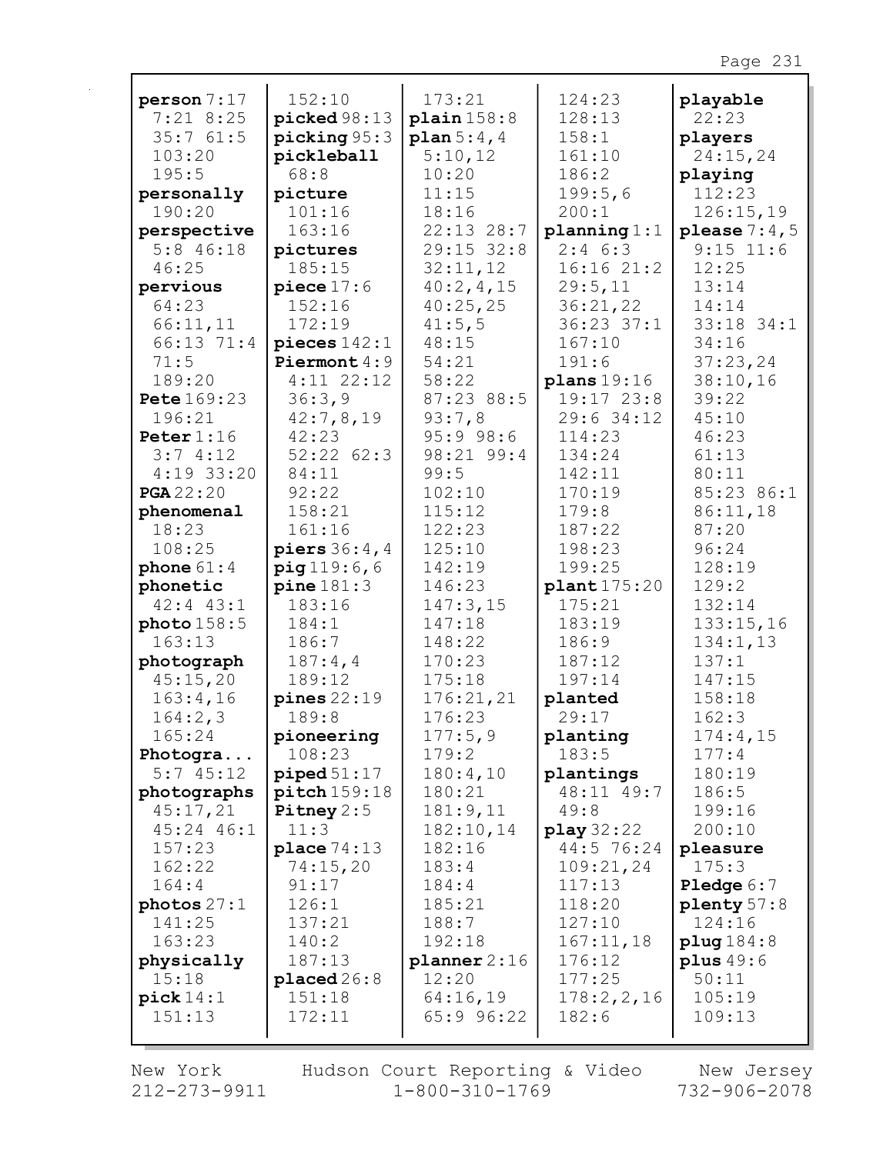| person 7:17        | 152:10               | 173:21              | 124:23            | playable              |
|--------------------|----------------------|---------------------|-------------------|-----------------------|
| $7:21$ 8:25        | picked 98:13         | plain 158:8         | 128:13            | 22:23                 |
| 35:761:5           | picture 95:3         | plan 5:4,4          | 158:1             | players               |
| 103:20             | pickleball           | 5:10,12             | 161:10            | 24:15,24              |
| 195:5              | 68:8                 | 10:20               | 186:2             | playing               |
| personally         | picture              | 11:15               | 199:5,6           | 112:23                |
| 190:20             | 101:16               | 18:16               | 200:1             | 126:15,19             |
| perspective        | 163:16               | 22:13 28:7          | planning 1:1      | please $7:4,5$        |
| $5:8$ 46:18        | pictures             | 29:15 32:8          | $2:4$ 6:3         | $9:15$ 11:6           |
| 46:25              | 185:15               | 32:11,12            | 16:1621:2         | 12:25                 |
| pervious           | piece $17:6$         | 40:2, 4, 15         | 29:5,11           | 13:14                 |
| 64:23              | 152:16               | 40:25,25            | 36:21,22          | 14:14                 |
| 66:11,11           | 172:19               | 41:5,5              | $36:23$ $37:1$    | 33:18 34:1            |
| 66:13 71:4         | pieces $142:1$       | 48:15               | 167:10            | 34:16                 |
| 71:5               | Piermont 4:9         | 54:21               | 191:6             | 37:23,24              |
| 189:20             | $4:11$ $22:12$       | 58:22               | plans 19:16       | 38:10,16              |
| <b>Pete</b> 169:23 | 36:3,9               | 87:23 88:5          | $19:17$ $23:8$    | 39:22                 |
| 196:21             | 42:7,8,19            | 93:7,8              | 29:6 34:12        | 45:10                 |
| Peter $1:16$       | 42:23                | 95:998:6            | 114:23            | 46:23                 |
| 3:74:12            | 52:22 62:3           | 98:21 99:4          | 134:24            | 61:13                 |
| $4:19$ 33:20       | 84:11                | 99:5                | 142:11            | 80:11                 |
| <b>PGA</b> 22:20   | 92:22                | 102:10              | 170:19            | 85:23 86:1            |
| phenomenal         | 158:21               | 115:12              | 179:8             | 86:11,18              |
| 18:23              | 161:16               | 122:23              | 187:22            | 87:20                 |
| 108:25             | piers $36:4,4$       | 125:10              | 198:23            | 96:24                 |
| phone $61:4$       | piq119:6,6           | 142:19              | 199:25            | 128:19                |
| phonetic           | pine 181:3           | 146:23              | plant175:20       | 129:2                 |
| $42:4$ $43:1$      | 183:16               | 147:3,15            | 175:21            | 132:14                |
| photo158:5         | 184:1                | 147:18              | 183:19            | 133:15,16             |
| 163:13             | 186:7                | 148:22              | 186:9             | 134:1,13              |
| photograph         | 187:4,4              | 170:23              | 187:12            | 137:1                 |
| 45:15,20           | 189:12               | 175:18              | 197:14            | 147:15                |
| 163:4,16           | pines 22:19<br>189:8 | 176:21,21<br>176:23 | planted<br>29:17  | 158:18<br>162:3       |
| 164:2,3<br>165:24  | pioneering           | 177:5,9             |                   | 174:4,15              |
| Photogra           | 108:23               | 179:2               | planting<br>183:5 | 177:4                 |
| 5:745:12           | piped51:17           | 180:4,10            | plantings         | 180:19                |
| photographs        | pitch159:18          | 180:21              | 48:11 49:7        | 186:5                 |
| 45:17,21           | Pitney $2:5$         | 181:9,11            | 49:8              | 199:16                |
| 45:24 46:1         | 11:3                 | 182:10,14           | play $32:22$      | 200:10                |
| 157:23             | place $74:13$        | 182:16              | 44:5 76:24        | pleasure              |
| 162:22             | 74:15,20             | 183:4               | 109:21,24         | 175:3                 |
| 164:4              | 91:17                | 184:4               | 117:13            | Pledge $6:7$          |
| photos $27:1$      | 126:1                | 185:21              | 118:20            | $\text{plenty } 57:8$ |
| 141:25             | 137:21               | 188:7               | 127:10            | 124:16                |
| 163:23             | 140:2                | 192:18              | 167:11,18         | plug $184:8$          |
| physically         | 187:13               | $planner$ $2:16$    | 176:12            | plus 49:6             |
| 15:18              | placed26:8           | 12:20               | 177:25            | 50:11                 |
| pick 14:1          | 151:18               | 64:16,19            | 178:2, 2, 16      | 105:19                |
| 151:13             | 172:11               | $65:9$ $96:22$      | 182:6             | 109:13                |
|                    |                      |                     |                   |                       |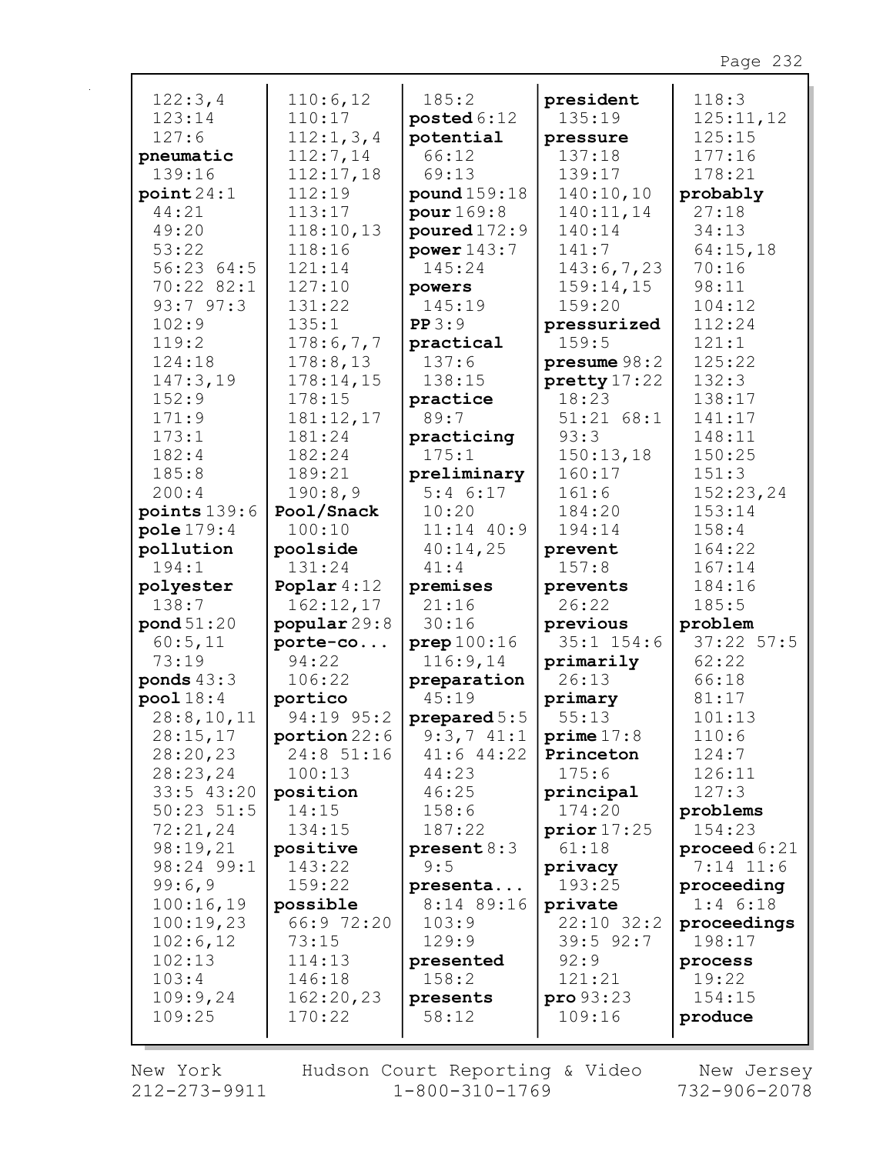| 122:3,4<br>123:14<br>127:6<br>pneumatic<br>139:16<br>point24:1<br>44:21<br>49:20<br>53:22<br>56:23 64:5<br>70:22 82:1<br>93:797:3<br>102:9<br>119:2<br>124:18<br>147:3,19<br>152:9<br>171:9<br>173:1<br>182:4<br>185:8<br>200:4 | 110:6,12<br>110:17<br>112:1,3,4<br>112:7,14<br>112:17,18<br>112:19<br>113:17<br>118:10,13<br>118:16<br>121:14<br>127:10<br>131:22<br>135:1<br>178:6,7,7<br>178:8,13<br>178:14,15<br>178:15<br>181:12,17<br>181:24<br>182:24<br>189:21<br>190:8,9 | 185:2<br>posted $6:12$<br>potential<br>66:12<br>69:13<br>pound 159:18<br>pour 169:8<br>poured $172:9$<br>power $143:7$<br>145:24<br>powers<br>145:19<br>PP3:9<br>practical<br>137:6<br>138:15<br>practice<br>89:7<br>practicing<br>175:1<br>preliminary<br>5:46:17<br>10:20 | president<br>135:19<br>pressure<br>137:18<br>139:17<br>140:10,10<br>140:11,14<br>140:14<br>141:7<br>143:6,7,23<br>159:14,15<br>159:20<br>pressurized<br>159:5<br>presume 98:2<br>pretty 17:22<br>18:23<br>51:21 68:1<br>93:3<br>150:13,18<br>160:17<br>161:6 | 118:3<br>125:11,12<br>125:15<br>177:16<br>178:21<br>probably<br>27:18<br>34:13<br>64:15,18<br>70:16<br>98:11<br>104:12<br>112:24<br>121:1<br>125:22<br>132:3<br>138:17<br>141:17<br>148:11<br>150:25<br>151:3<br>152:23,24 |
|---------------------------------------------------------------------------------------------------------------------------------------------------------------------------------------------------------------------------------|--------------------------------------------------------------------------------------------------------------------------------------------------------------------------------------------------------------------------------------------------|-----------------------------------------------------------------------------------------------------------------------------------------------------------------------------------------------------------------------------------------------------------------------------|--------------------------------------------------------------------------------------------------------------------------------------------------------------------------------------------------------------------------------------------------------------|----------------------------------------------------------------------------------------------------------------------------------------------------------------------------------------------------------------------------|
| points $139:6$<br>pole179:4                                                                                                                                                                                                     | Pool/Snack<br>100:10                                                                                                                                                                                                                             | $11:14$ $40:9$                                                                                                                                                                                                                                                              | 184:20<br>194:14                                                                                                                                                                                                                                             | 153:14<br>158:4                                                                                                                                                                                                            |
| pollution                                                                                                                                                                                                                       | poolside                                                                                                                                                                                                                                         | 40:14,25                                                                                                                                                                                                                                                                    | prevent                                                                                                                                                                                                                                                      | 164:22                                                                                                                                                                                                                     |
| 194:1                                                                                                                                                                                                                           | 131:24                                                                                                                                                                                                                                           | 41:4                                                                                                                                                                                                                                                                        | 157:8                                                                                                                                                                                                                                                        | 167:14                                                                                                                                                                                                                     |
| polyester                                                                                                                                                                                                                       | Poplar $4:12$                                                                                                                                                                                                                                    | premises                                                                                                                                                                                                                                                                    | prevents                                                                                                                                                                                                                                                     | 184:16                                                                                                                                                                                                                     |
| 138:7                                                                                                                                                                                                                           | 162:12,17                                                                                                                                                                                                                                        | 21:16                                                                                                                                                                                                                                                                       | 26:22                                                                                                                                                                                                                                                        | 185:5                                                                                                                                                                                                                      |
| pond 51:20                                                                                                                                                                                                                      | popular 29:8                                                                                                                                                                                                                                     | 30:16                                                                                                                                                                                                                                                                       | previous                                                                                                                                                                                                                                                     | problem                                                                                                                                                                                                                    |
| 60:5,11                                                                                                                                                                                                                         | porte-co                                                                                                                                                                                                                                         | prep100:16                                                                                                                                                                                                                                                                  | $35:1$ $154:6$                                                                                                                                                                                                                                               | $37:22$ 57:5                                                                                                                                                                                                               |
| 73:19                                                                                                                                                                                                                           | 94:22                                                                                                                                                                                                                                            | 116:9,14                                                                                                                                                                                                                                                                    | primarily                                                                                                                                                                                                                                                    | 62:22                                                                                                                                                                                                                      |
| ponds $43:3$                                                                                                                                                                                                                    | 106:22                                                                                                                                                                                                                                           | preparation                                                                                                                                                                                                                                                                 | 26:13                                                                                                                                                                                                                                                        | 66:18                                                                                                                                                                                                                      |
| pool18:4                                                                                                                                                                                                                        | portico                                                                                                                                                                                                                                          | 45:19                                                                                                                                                                                                                                                                       | primary                                                                                                                                                                                                                                                      | 81:17                                                                                                                                                                                                                      |
| 28:8, 10, 11                                                                                                                                                                                                                    | 94:19 95:2                                                                                                                                                                                                                                       | prepared $5:5$                                                                                                                                                                                                                                                              | 55:13                                                                                                                                                                                                                                                        | 101:13                                                                                                                                                                                                                     |
| 28:15,17                                                                                                                                                                                                                        | portion 22:6                                                                                                                                                                                                                                     | $9:3,7$ $41:1$                                                                                                                                                                                                                                                              | prime 17:8                                                                                                                                                                                                                                                   | 110:6                                                                                                                                                                                                                      |
| 28:20,23                                                                                                                                                                                                                        | 24:8 51:16<br>100:13                                                                                                                                                                                                                             | $41:6$ $44:22$<br>44:23                                                                                                                                                                                                                                                     | Princeton<br>175:6                                                                                                                                                                                                                                           | 124:7<br>126:11                                                                                                                                                                                                            |
| 28:23,24<br>$33:5$ 43:20                                                                                                                                                                                                        | position                                                                                                                                                                                                                                         | 46:25                                                                                                                                                                                                                                                                       | principal                                                                                                                                                                                                                                                    | 127:3                                                                                                                                                                                                                      |
| $50:23$ $51:5$                                                                                                                                                                                                                  | 14:15                                                                                                                                                                                                                                            | 158:6                                                                                                                                                                                                                                                                       | 174:20                                                                                                                                                                                                                                                       | problems                                                                                                                                                                                                                   |
| 72:21,24                                                                                                                                                                                                                        | 134:15                                                                                                                                                                                                                                           | 187:22                                                                                                                                                                                                                                                                      | prior17:25                                                                                                                                                                                                                                                   | 154:23                                                                                                                                                                                                                     |
| 98:19,21                                                                                                                                                                                                                        | positive                                                                                                                                                                                                                                         | present 8:3                                                                                                                                                                                                                                                                 | 61:18                                                                                                                                                                                                                                                        | proceed $6:21$                                                                                                                                                                                                             |
| 98:24 99:1                                                                                                                                                                                                                      | 143:22                                                                                                                                                                                                                                           | 9:5                                                                                                                                                                                                                                                                         | privacy                                                                                                                                                                                                                                                      | $7:14$ 11:6                                                                                                                                                                                                                |
| 99:6,9                                                                                                                                                                                                                          | 159:22                                                                                                                                                                                                                                           | presenta                                                                                                                                                                                                                                                                    | 193:25                                                                                                                                                                                                                                                       | proceeding                                                                                                                                                                                                                 |
| 100:16,19                                                                                                                                                                                                                       | possible                                                                                                                                                                                                                                         | 8:14 89:16                                                                                                                                                                                                                                                                  | private                                                                                                                                                                                                                                                      | $1:4$ 6:18                                                                                                                                                                                                                 |
| 100:19,23                                                                                                                                                                                                                       | 66:9 72:20                                                                                                                                                                                                                                       | 103:9                                                                                                                                                                                                                                                                       | $22:10$ $32:2$                                                                                                                                                                                                                                               | proceedings                                                                                                                                                                                                                |
| 102:6,12                                                                                                                                                                                                                        | 73:15                                                                                                                                                                                                                                            | 129:9                                                                                                                                                                                                                                                                       | $39:5$ $92:7$                                                                                                                                                                                                                                                | 198:17                                                                                                                                                                                                                     |
| 102:13                                                                                                                                                                                                                          | 114:13                                                                                                                                                                                                                                           | presented                                                                                                                                                                                                                                                                   | 92:9                                                                                                                                                                                                                                                         | process                                                                                                                                                                                                                    |
| 103:4                                                                                                                                                                                                                           | 146:18                                                                                                                                                                                                                                           | 158:2                                                                                                                                                                                                                                                                       | 121:21                                                                                                                                                                                                                                                       | 19:22                                                                                                                                                                                                                      |
| 109:9,24                                                                                                                                                                                                                        | 162:20,23                                                                                                                                                                                                                                        | presents                                                                                                                                                                                                                                                                    | $pro\,93:23$                                                                                                                                                                                                                                                 | 154:15                                                                                                                                                                                                                     |
| 109:25                                                                                                                                                                                                                          | 170:22                                                                                                                                                                                                                                           | 58:12                                                                                                                                                                                                                                                                       | 109:16                                                                                                                                                                                                                                                       | produce                                                                                                                                                                                                                    |

New York  $212 - 273 - 9911$  Hudson Court Reporting & Video<br>1-800-310-1769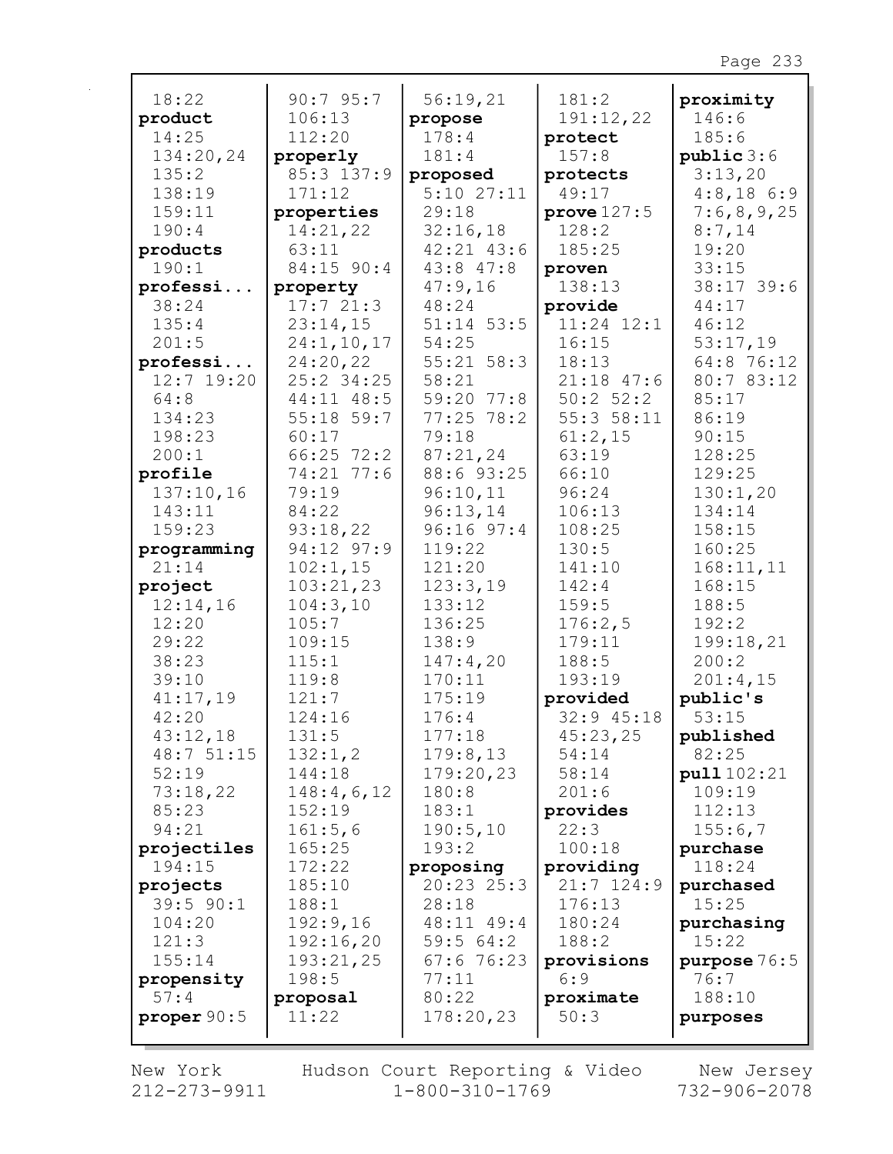|                      | 90:795:7                   |                            |                        |                |
|----------------------|----------------------------|----------------------------|------------------------|----------------|
| 18:22                |                            | 56:19,21                   | 181:2                  | proximity      |
| product              | 106:13                     | propose<br>178:4           | 191:12,22              | 146:6          |
| 14:25                | 112:20                     |                            | protect                | 185:6          |
| 134:20,24            | properly                   | 181:4                      | 157:8                  | public 3:6     |
| 135:2                | 85:3 137:9                 | proposed                   | protects               | 3:13,20        |
| 138:19               | 171:12                     | $5:10$ $27:11$             | 49:17                  | $4:8,18$ 6:9   |
| 159:11               | properties                 | 29:18                      | prove 127:5            | 7:6,8,9,25     |
| 190:4                | 14:21,22                   | 32:16,18                   | 128:2                  | 8:7,14         |
| products<br>190:1    | 63:11                      | $42:21$ $43:6$             | 185:25                 | 19:20          |
|                      | 84:15 90:4                 | 43:8 47:8                  | proven                 | 33:15          |
| professi<br>38:24    | property<br>17:721:3       | 47:9,16                    | 138:13                 | 38:17 39:6     |
|                      |                            | 48:24                      | provide                | 44:17          |
| 135:4                | 23:14,15                   | $51:14$ 53:5               | $11:24$ $12:1$         | 46:12          |
| 201:5                | 24:1, 10, 17               | 54:25                      | 16:15                  | 53:17,19       |
| professi             | 24:20,22<br>$25:2$ 34:25   | $55:21$ $58:3$             | 18:13                  | 64:8 76:12     |
| $12:7$ 19:20         |                            | 58:21                      | $21:18$ 47:6           | 80:7 83:12     |
| 64:8<br>134:23       | 44:11 48:5<br>$55:18$ 59:7 | 59:20 77:8<br>$77:25$ 78:2 | 50:2 52:2<br>55:358:11 | 85:17<br>86:19 |
|                      | 60:17                      | 79:18                      | 61:2,15                | 90:15          |
| 198:23               | $66:25$ 72:2               |                            | 63:19                  | 128:25         |
| 200:1                | 74:21 77:6                 | 87:21,24<br>88:6 93:25     | 66:10                  | 129:25         |
| profile<br>137:10,16 | 79:19                      | 96:10,11                   | 96:24                  | 130:1,20       |
| 143:11               | 84:22                      | 96:13,14                   | 106:13                 | 134:14         |
| 159:23               | 93:18,22                   | $96:16$ $97:4$             | 108:25                 | 158:15         |
|                      | 94:12 97:9                 | 119:22                     | 130:5                  | 160:25         |
| programming<br>21:14 | 102:1,15                   | 121:20                     | 141:10                 | 168:11,11      |
| project              | 103:21,23                  | 123:3,19                   | 142:4                  | 168:15         |
| 12:14,16             | 104:3,10                   | 133:12                     | 159:5                  | 188:5          |
| 12:20                | 105:7                      | 136:25                     | 176:2,5                | 192:2          |
| 29:22                | 109:15                     | 138:9                      | 179:11                 | 199:18,21      |
| 38:23                | 115:1                      | 147:4,20                   | 188:5                  | 200:2          |
| 39:10                | 119:8                      | 170:11                     | 193:19                 | 201:4,15       |
| 41:17,19             | 121:7                      | 175:19                     | provided               | public's       |
| 42:20                | 124:16                     | 176:4                      | 32:9 45:18             | 53:15          |
| 43:12,18             | 131:5                      | 177:18                     | 45:23,25               | published      |
| 48:751:15            | 132:1,2                    | 179:8,13                   | 54:14                  | 82:25          |
| 52:19                | 144:18                     | 179:20,23                  | 58:14                  | pull $102:21$  |
| 73:18,22             | 148:4,6,12                 | 180:8                      | 201:6                  | 109:19         |
| 85:23                | 152:19                     | 183:1                      | provides               | 112:13         |
| 94:21                | 161:5,6                    | 190:5,10                   | 22:3                   | 155:6,7        |
| projectiles          | 165:25                     | 193:2                      | 100:18                 | purchase       |
| 194:15               | 172:22                     | proposing                  | providing              | 118:24         |
| projects             | 185:10                     | 20:23 25:3                 | $21:7$ 124:9           | purchased      |
| $39:5$ $90:1$        | 188:1                      | 28:18                      | 176:13                 | 15:25          |
| 104:20               | 192:9,16                   | 48:11 49:4                 | 180:24                 | purchasing     |
| 121:3                | 192:16,20                  | 59:564:2                   | 188:2                  | 15:22          |
| 155:14               | 193:21,25                  | 67:676:23                  | provisions             | purpose $76:5$ |
| propensity           | 198:5                      | 77:11                      | 6:9                    | 76:7           |
| 57:4                 | proposal                   | 80:22                      | proximate              | 188:10         |
| proper $90:5$        | 11:22                      | 178:20,23                  | 50:3                   | purposes       |
|                      |                            |                            |                        |                |

 $\mathbf{r}$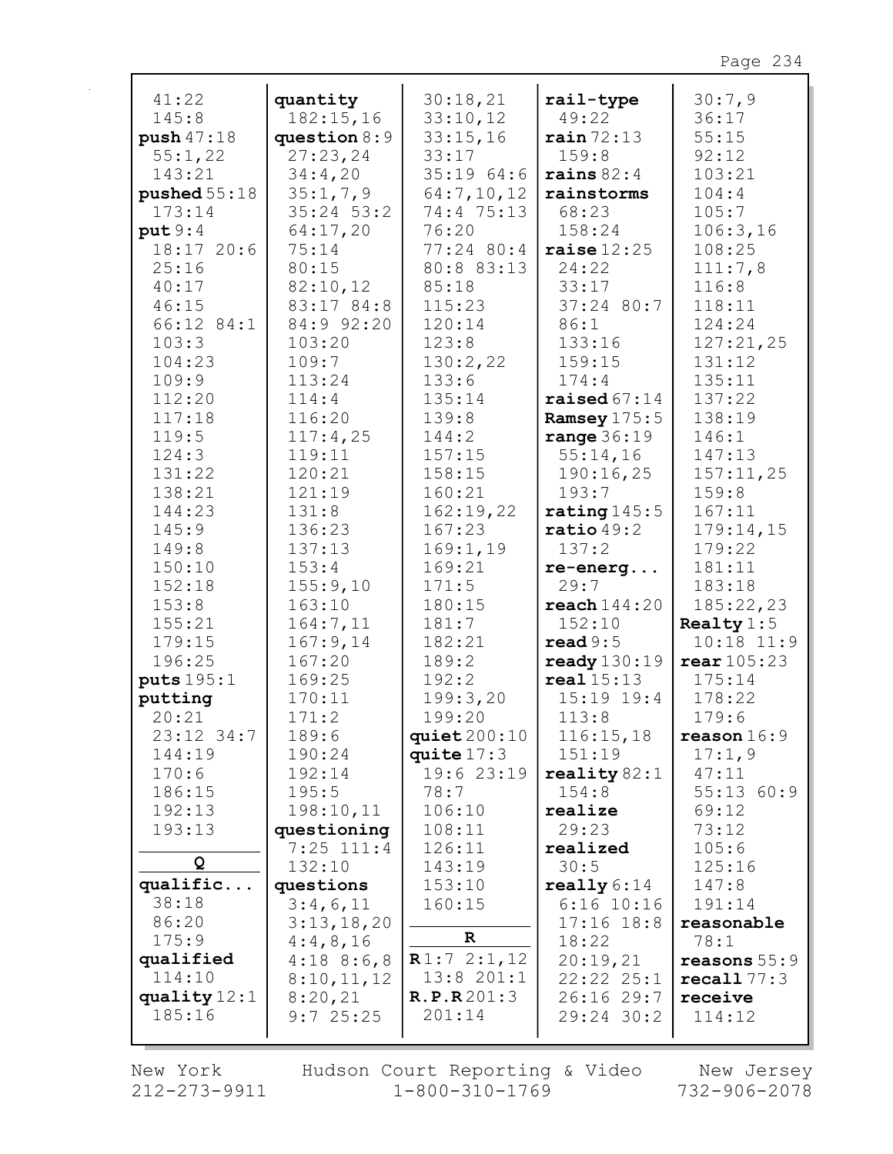| 30:7,9<br>41:22<br>30:18,21<br>quantity<br>rail-type<br>145:8<br>182:15,16<br>33:10,12<br>49:22<br>36:17<br>55:15<br>push 47:18<br>question $8:9$<br>33:15,16<br>rain72:13<br>92:12<br>55:1,22<br>27:23,24<br>33:17<br>159:8<br>35:1964:6<br>143:21<br>34:4,20<br>103:21<br>rains $82:4$<br>64:7,10,12<br>pushed $55:18$<br>35:1,7,9<br>104:4<br>rainstorms<br>173:14<br>$35:24$ 53:2<br>74:4 75:13<br>105:7<br>68:23<br>106:3,16<br>put 9:4<br>64:17,20<br>76:20<br>158:24<br>18:17 20:6<br>77:24 80:4<br>75:14<br>raise $12:25$<br>108:25<br>25:16<br>80:15<br>80:8 83:13<br>24:22<br>111:7,8<br>40:17<br>82:10,12<br>85:18<br>33:17<br>116:8<br>46:15<br>83:17 84:8<br>115:23<br>37:24 80:7<br>118:11<br>66:12 84:1<br>84:9 92:20<br>120:14<br>86:1<br>124:24<br>103:3<br>103:20<br>123:8<br>133:16<br>127:21,25<br>104:23<br>109:7<br>130:2,22<br>159:15<br>131:12<br>135:11<br>109:9<br>113:24<br>133:6<br>174:4<br>112:20<br>137:22<br>114:4<br>135:14<br>raised $67:14$<br>116:20<br>139:8<br>138:19<br>117:18<br>Ramsey $175:5$<br>119:5<br>range $36:19$<br>117:4,25<br>144:2<br>146:1<br>124:3<br>119:11<br>157:15<br>55:14,16<br>147:13<br>131:22<br>120:21<br>158:15<br>190:16,25<br>157:11,25<br>138:21<br>121:19<br>160:21<br>193:7<br>159:8<br>144:23<br>131:8<br>162:19,22<br>rating $145:5$<br>167:11<br>145:9<br>136:23<br>167:23<br>179:14,15<br>$ratio\,49:2$<br>169:1,19<br>149:8<br>137:13<br>137:2<br>179:22<br>150:10<br>169:21<br>181:11<br>153:4<br>$re$ -energ<br>152:18<br>155:9,10<br>171:5<br>29:7<br>183:18<br>163:10<br>180:15<br>185:22,23<br>153:8<br>reach144:20<br>155:21<br>164:7,11<br>181:7<br>Realty $1:5$<br>152:10<br>179:15<br>167:9,14<br>182:21<br>read 9:5<br>$10:18$ $11:9$<br>196:25<br>167:20<br>189:2<br>ready $130:19$<br>rear $105:23$<br>puts 195:1<br>169:25<br>192:2<br>real 15:13<br>175:14<br>199:3,20<br>putting<br>170:11<br>$15:19$ $19:4$<br>178:22<br>199:20<br>20:21<br>171:2<br>113:8<br>179:6<br>23:12 34:7<br>189:6<br>quiet $200:10$<br>116:15,18<br>$\texttt{reason} 16:9$<br>144:19<br>190:24<br>quite $17:3$<br>151:19<br>17:1,9<br>170:6<br>19:6 23:19<br>192:14<br>reality $82:1$<br>47:11<br>55:1360:9<br>186:15<br>195:5<br>78:7<br>154:8<br>198:10,11<br>192:13<br>106:10<br>realize<br>69:12<br>193:13<br>questioning<br>108:11<br>29:23<br>73:12<br>$7:25$ 111:4<br>105:6<br>realized |
|--------------------------------------------------------------------------------------------------------------------------------------------------------------------------------------------------------------------------------------------------------------------------------------------------------------------------------------------------------------------------------------------------------------------------------------------------------------------------------------------------------------------------------------------------------------------------------------------------------------------------------------------------------------------------------------------------------------------------------------------------------------------------------------------------------------------------------------------------------------------------------------------------------------------------------------------------------------------------------------------------------------------------------------------------------------------------------------------------------------------------------------------------------------------------------------------------------------------------------------------------------------------------------------------------------------------------------------------------------------------------------------------------------------------------------------------------------------------------------------------------------------------------------------------------------------------------------------------------------------------------------------------------------------------------------------------------------------------------------------------------------------------------------------------------------------------------------------------------------------------------------------------------------------------------------------------------------------------------------------------------------------------------------------------------------------------------------------------------------------------------------------------------------------------------------------------------------------------------------------------------------------------------------------------------------------------------------------------------------------------|
|                                                                                                                                                                                                                                                                                                                                                                                                                                                                                                                                                                                                                                                                                                                                                                                                                                                                                                                                                                                                                                                                                                                                                                                                                                                                                                                                                                                                                                                                                                                                                                                                                                                                                                                                                                                                                                                                                                                                                                                                                                                                                                                                                                                                                                                                                                                                                                    |
|                                                                                                                                                                                                                                                                                                                                                                                                                                                                                                                                                                                                                                                                                                                                                                                                                                                                                                                                                                                                                                                                                                                                                                                                                                                                                                                                                                                                                                                                                                                                                                                                                                                                                                                                                                                                                                                                                                                                                                                                                                                                                                                                                                                                                                                                                                                                                                    |
|                                                                                                                                                                                                                                                                                                                                                                                                                                                                                                                                                                                                                                                                                                                                                                                                                                                                                                                                                                                                                                                                                                                                                                                                                                                                                                                                                                                                                                                                                                                                                                                                                                                                                                                                                                                                                                                                                                                                                                                                                                                                                                                                                                                                                                                                                                                                                                    |
|                                                                                                                                                                                                                                                                                                                                                                                                                                                                                                                                                                                                                                                                                                                                                                                                                                                                                                                                                                                                                                                                                                                                                                                                                                                                                                                                                                                                                                                                                                                                                                                                                                                                                                                                                                                                                                                                                                                                                                                                                                                                                                                                                                                                                                                                                                                                                                    |
|                                                                                                                                                                                                                                                                                                                                                                                                                                                                                                                                                                                                                                                                                                                                                                                                                                                                                                                                                                                                                                                                                                                                                                                                                                                                                                                                                                                                                                                                                                                                                                                                                                                                                                                                                                                                                                                                                                                                                                                                                                                                                                                                                                                                                                                                                                                                                                    |
|                                                                                                                                                                                                                                                                                                                                                                                                                                                                                                                                                                                                                                                                                                                                                                                                                                                                                                                                                                                                                                                                                                                                                                                                                                                                                                                                                                                                                                                                                                                                                                                                                                                                                                                                                                                                                                                                                                                                                                                                                                                                                                                                                                                                                                                                                                                                                                    |
|                                                                                                                                                                                                                                                                                                                                                                                                                                                                                                                                                                                                                                                                                                                                                                                                                                                                                                                                                                                                                                                                                                                                                                                                                                                                                                                                                                                                                                                                                                                                                                                                                                                                                                                                                                                                                                                                                                                                                                                                                                                                                                                                                                                                                                                                                                                                                                    |
|                                                                                                                                                                                                                                                                                                                                                                                                                                                                                                                                                                                                                                                                                                                                                                                                                                                                                                                                                                                                                                                                                                                                                                                                                                                                                                                                                                                                                                                                                                                                                                                                                                                                                                                                                                                                                                                                                                                                                                                                                                                                                                                                                                                                                                                                                                                                                                    |
|                                                                                                                                                                                                                                                                                                                                                                                                                                                                                                                                                                                                                                                                                                                                                                                                                                                                                                                                                                                                                                                                                                                                                                                                                                                                                                                                                                                                                                                                                                                                                                                                                                                                                                                                                                                                                                                                                                                                                                                                                                                                                                                                                                                                                                                                                                                                                                    |
|                                                                                                                                                                                                                                                                                                                                                                                                                                                                                                                                                                                                                                                                                                                                                                                                                                                                                                                                                                                                                                                                                                                                                                                                                                                                                                                                                                                                                                                                                                                                                                                                                                                                                                                                                                                                                                                                                                                                                                                                                                                                                                                                                                                                                                                                                                                                                                    |
|                                                                                                                                                                                                                                                                                                                                                                                                                                                                                                                                                                                                                                                                                                                                                                                                                                                                                                                                                                                                                                                                                                                                                                                                                                                                                                                                                                                                                                                                                                                                                                                                                                                                                                                                                                                                                                                                                                                                                                                                                                                                                                                                                                                                                                                                                                                                                                    |
|                                                                                                                                                                                                                                                                                                                                                                                                                                                                                                                                                                                                                                                                                                                                                                                                                                                                                                                                                                                                                                                                                                                                                                                                                                                                                                                                                                                                                                                                                                                                                                                                                                                                                                                                                                                                                                                                                                                                                                                                                                                                                                                                                                                                                                                                                                                                                                    |
|                                                                                                                                                                                                                                                                                                                                                                                                                                                                                                                                                                                                                                                                                                                                                                                                                                                                                                                                                                                                                                                                                                                                                                                                                                                                                                                                                                                                                                                                                                                                                                                                                                                                                                                                                                                                                                                                                                                                                                                                                                                                                                                                                                                                                                                                                                                                                                    |
|                                                                                                                                                                                                                                                                                                                                                                                                                                                                                                                                                                                                                                                                                                                                                                                                                                                                                                                                                                                                                                                                                                                                                                                                                                                                                                                                                                                                                                                                                                                                                                                                                                                                                                                                                                                                                                                                                                                                                                                                                                                                                                                                                                                                                                                                                                                                                                    |
|                                                                                                                                                                                                                                                                                                                                                                                                                                                                                                                                                                                                                                                                                                                                                                                                                                                                                                                                                                                                                                                                                                                                                                                                                                                                                                                                                                                                                                                                                                                                                                                                                                                                                                                                                                                                                                                                                                                                                                                                                                                                                                                                                                                                                                                                                                                                                                    |
|                                                                                                                                                                                                                                                                                                                                                                                                                                                                                                                                                                                                                                                                                                                                                                                                                                                                                                                                                                                                                                                                                                                                                                                                                                                                                                                                                                                                                                                                                                                                                                                                                                                                                                                                                                                                                                                                                                                                                                                                                                                                                                                                                                                                                                                                                                                                                                    |
|                                                                                                                                                                                                                                                                                                                                                                                                                                                                                                                                                                                                                                                                                                                                                                                                                                                                                                                                                                                                                                                                                                                                                                                                                                                                                                                                                                                                                                                                                                                                                                                                                                                                                                                                                                                                                                                                                                                                                                                                                                                                                                                                                                                                                                                                                                                                                                    |
|                                                                                                                                                                                                                                                                                                                                                                                                                                                                                                                                                                                                                                                                                                                                                                                                                                                                                                                                                                                                                                                                                                                                                                                                                                                                                                                                                                                                                                                                                                                                                                                                                                                                                                                                                                                                                                                                                                                                                                                                                                                                                                                                                                                                                                                                                                                                                                    |
|                                                                                                                                                                                                                                                                                                                                                                                                                                                                                                                                                                                                                                                                                                                                                                                                                                                                                                                                                                                                                                                                                                                                                                                                                                                                                                                                                                                                                                                                                                                                                                                                                                                                                                                                                                                                                                                                                                                                                                                                                                                                                                                                                                                                                                                                                                                                                                    |
|                                                                                                                                                                                                                                                                                                                                                                                                                                                                                                                                                                                                                                                                                                                                                                                                                                                                                                                                                                                                                                                                                                                                                                                                                                                                                                                                                                                                                                                                                                                                                                                                                                                                                                                                                                                                                                                                                                                                                                                                                                                                                                                                                                                                                                                                                                                                                                    |
|                                                                                                                                                                                                                                                                                                                                                                                                                                                                                                                                                                                                                                                                                                                                                                                                                                                                                                                                                                                                                                                                                                                                                                                                                                                                                                                                                                                                                                                                                                                                                                                                                                                                                                                                                                                                                                                                                                                                                                                                                                                                                                                                                                                                                                                                                                                                                                    |
|                                                                                                                                                                                                                                                                                                                                                                                                                                                                                                                                                                                                                                                                                                                                                                                                                                                                                                                                                                                                                                                                                                                                                                                                                                                                                                                                                                                                                                                                                                                                                                                                                                                                                                                                                                                                                                                                                                                                                                                                                                                                                                                                                                                                                                                                                                                                                                    |
|                                                                                                                                                                                                                                                                                                                                                                                                                                                                                                                                                                                                                                                                                                                                                                                                                                                                                                                                                                                                                                                                                                                                                                                                                                                                                                                                                                                                                                                                                                                                                                                                                                                                                                                                                                                                                                                                                                                                                                                                                                                                                                                                                                                                                                                                                                                                                                    |
|                                                                                                                                                                                                                                                                                                                                                                                                                                                                                                                                                                                                                                                                                                                                                                                                                                                                                                                                                                                                                                                                                                                                                                                                                                                                                                                                                                                                                                                                                                                                                                                                                                                                                                                                                                                                                                                                                                                                                                                                                                                                                                                                                                                                                                                                                                                                                                    |
|                                                                                                                                                                                                                                                                                                                                                                                                                                                                                                                                                                                                                                                                                                                                                                                                                                                                                                                                                                                                                                                                                                                                                                                                                                                                                                                                                                                                                                                                                                                                                                                                                                                                                                                                                                                                                                                                                                                                                                                                                                                                                                                                                                                                                                                                                                                                                                    |
|                                                                                                                                                                                                                                                                                                                                                                                                                                                                                                                                                                                                                                                                                                                                                                                                                                                                                                                                                                                                                                                                                                                                                                                                                                                                                                                                                                                                                                                                                                                                                                                                                                                                                                                                                                                                                                                                                                                                                                                                                                                                                                                                                                                                                                                                                                                                                                    |
|                                                                                                                                                                                                                                                                                                                                                                                                                                                                                                                                                                                                                                                                                                                                                                                                                                                                                                                                                                                                                                                                                                                                                                                                                                                                                                                                                                                                                                                                                                                                                                                                                                                                                                                                                                                                                                                                                                                                                                                                                                                                                                                                                                                                                                                                                                                                                                    |
|                                                                                                                                                                                                                                                                                                                                                                                                                                                                                                                                                                                                                                                                                                                                                                                                                                                                                                                                                                                                                                                                                                                                                                                                                                                                                                                                                                                                                                                                                                                                                                                                                                                                                                                                                                                                                                                                                                                                                                                                                                                                                                                                                                                                                                                                                                                                                                    |
|                                                                                                                                                                                                                                                                                                                                                                                                                                                                                                                                                                                                                                                                                                                                                                                                                                                                                                                                                                                                                                                                                                                                                                                                                                                                                                                                                                                                                                                                                                                                                                                                                                                                                                                                                                                                                                                                                                                                                                                                                                                                                                                                                                                                                                                                                                                                                                    |
|                                                                                                                                                                                                                                                                                                                                                                                                                                                                                                                                                                                                                                                                                                                                                                                                                                                                                                                                                                                                                                                                                                                                                                                                                                                                                                                                                                                                                                                                                                                                                                                                                                                                                                                                                                                                                                                                                                                                                                                                                                                                                                                                                                                                                                                                                                                                                                    |
|                                                                                                                                                                                                                                                                                                                                                                                                                                                                                                                                                                                                                                                                                                                                                                                                                                                                                                                                                                                                                                                                                                                                                                                                                                                                                                                                                                                                                                                                                                                                                                                                                                                                                                                                                                                                                                                                                                                                                                                                                                                                                                                                                                                                                                                                                                                                                                    |
|                                                                                                                                                                                                                                                                                                                                                                                                                                                                                                                                                                                                                                                                                                                                                                                                                                                                                                                                                                                                                                                                                                                                                                                                                                                                                                                                                                                                                                                                                                                                                                                                                                                                                                                                                                                                                                                                                                                                                                                                                                                                                                                                                                                                                                                                                                                                                                    |
|                                                                                                                                                                                                                                                                                                                                                                                                                                                                                                                                                                                                                                                                                                                                                                                                                                                                                                                                                                                                                                                                                                                                                                                                                                                                                                                                                                                                                                                                                                                                                                                                                                                                                                                                                                                                                                                                                                                                                                                                                                                                                                                                                                                                                                                                                                                                                                    |
|                                                                                                                                                                                                                                                                                                                                                                                                                                                                                                                                                                                                                                                                                                                                                                                                                                                                                                                                                                                                                                                                                                                                                                                                                                                                                                                                                                                                                                                                                                                                                                                                                                                                                                                                                                                                                                                                                                                                                                                                                                                                                                                                                                                                                                                                                                                                                                    |
|                                                                                                                                                                                                                                                                                                                                                                                                                                                                                                                                                                                                                                                                                                                                                                                                                                                                                                                                                                                                                                                                                                                                                                                                                                                                                                                                                                                                                                                                                                                                                                                                                                                                                                                                                                                                                                                                                                                                                                                                                                                                                                                                                                                                                                                                                                                                                                    |
|                                                                                                                                                                                                                                                                                                                                                                                                                                                                                                                                                                                                                                                                                                                                                                                                                                                                                                                                                                                                                                                                                                                                                                                                                                                                                                                                                                                                                                                                                                                                                                                                                                                                                                                                                                                                                                                                                                                                                                                                                                                                                                                                                                                                                                                                                                                                                                    |
|                                                                                                                                                                                                                                                                                                                                                                                                                                                                                                                                                                                                                                                                                                                                                                                                                                                                                                                                                                                                                                                                                                                                                                                                                                                                                                                                                                                                                                                                                                                                                                                                                                                                                                                                                                                                                                                                                                                                                                                                                                                                                                                                                                                                                                                                                                                                                                    |
|                                                                                                                                                                                                                                                                                                                                                                                                                                                                                                                                                                                                                                                                                                                                                                                                                                                                                                                                                                                                                                                                                                                                                                                                                                                                                                                                                                                                                                                                                                                                                                                                                                                                                                                                                                                                                                                                                                                                                                                                                                                                                                                                                                                                                                                                                                                                                                    |
|                                                                                                                                                                                                                                                                                                                                                                                                                                                                                                                                                                                                                                                                                                                                                                                                                                                                                                                                                                                                                                                                                                                                                                                                                                                                                                                                                                                                                                                                                                                                                                                                                                                                                                                                                                                                                                                                                                                                                                                                                                                                                                                                                                                                                                                                                                                                                                    |
|                                                                                                                                                                                                                                                                                                                                                                                                                                                                                                                                                                                                                                                                                                                                                                                                                                                                                                                                                                                                                                                                                                                                                                                                                                                                                                                                                                                                                                                                                                                                                                                                                                                                                                                                                                                                                                                                                                                                                                                                                                                                                                                                                                                                                                                                                                                                                                    |
| 126:11<br>Q<br>132:10<br>30:5<br>143:19<br>125:16                                                                                                                                                                                                                                                                                                                                                                                                                                                                                                                                                                                                                                                                                                                                                                                                                                                                                                                                                                                                                                                                                                                                                                                                                                                                                                                                                                                                                                                                                                                                                                                                                                                                                                                                                                                                                                                                                                                                                                                                                                                                                                                                                                                                                                                                                                                  |
| qualific<br>really $6:14$<br>questions<br>153:10<br>147:8                                                                                                                                                                                                                                                                                                                                                                                                                                                                                                                                                                                                                                                                                                                                                                                                                                                                                                                                                                                                                                                                                                                                                                                                                                                                                                                                                                                                                                                                                                                                                                                                                                                                                                                                                                                                                                                                                                                                                                                                                                                                                                                                                                                                                                                                                                          |
| 38:18<br>3:4,6,11<br>$6:16$ $10:16$<br>160:15<br>191:14                                                                                                                                                                                                                                                                                                                                                                                                                                                                                                                                                                                                                                                                                                                                                                                                                                                                                                                                                                                                                                                                                                                                                                                                                                                                                                                                                                                                                                                                                                                                                                                                                                                                                                                                                                                                                                                                                                                                                                                                                                                                                                                                                                                                                                                                                                            |
| 86:20<br>3:13,18,20<br>$17:16$ 18:8<br>reasonable                                                                                                                                                                                                                                                                                                                                                                                                                                                                                                                                                                                                                                                                                                                                                                                                                                                                                                                                                                                                                                                                                                                                                                                                                                                                                                                                                                                                                                                                                                                                                                                                                                                                                                                                                                                                                                                                                                                                                                                                                                                                                                                                                                                                                                                                                                                  |
| $\mathbb{R}$<br>175:9<br>4:4,8,16<br>18:22<br>78:1                                                                                                                                                                                                                                                                                                                                                                                                                                                                                                                                                                                                                                                                                                                                                                                                                                                                                                                                                                                                                                                                                                                                                                                                                                                                                                                                                                                                                                                                                                                                                                                                                                                                                                                                                                                                                                                                                                                                                                                                                                                                                                                                                                                                                                                                                                                 |
| R1:72:1,12<br>qualified<br>$4:18$ 8:6,8<br>20:19,21<br>reasons $55:9$                                                                                                                                                                                                                                                                                                                                                                                                                                                                                                                                                                                                                                                                                                                                                                                                                                                                                                                                                                                                                                                                                                                                                                                                                                                                                                                                                                                                                                                                                                                                                                                                                                                                                                                                                                                                                                                                                                                                                                                                                                                                                                                                                                                                                                                                                              |
| 114:10<br>13:8 201:1<br>8:10,11,12<br>22:22 25:1<br>recall 77:3                                                                                                                                                                                                                                                                                                                                                                                                                                                                                                                                                                                                                                                                                                                                                                                                                                                                                                                                                                                                                                                                                                                                                                                                                                                                                                                                                                                                                                                                                                                                                                                                                                                                                                                                                                                                                                                                                                                                                                                                                                                                                                                                                                                                                                                                                                    |
| quality $12:1$<br>R.P.R201:3<br>8:20,21<br>26:16 29:7<br>receive                                                                                                                                                                                                                                                                                                                                                                                                                                                                                                                                                                                                                                                                                                                                                                                                                                                                                                                                                                                                                                                                                                                                                                                                                                                                                                                                                                                                                                                                                                                                                                                                                                                                                                                                                                                                                                                                                                                                                                                                                                                                                                                                                                                                                                                                                                   |
| 185:16<br>201:14<br>9:725:25<br>29:24 30:2<br>114:12                                                                                                                                                                                                                                                                                                                                                                                                                                                                                                                                                                                                                                                                                                                                                                                                                                                                                                                                                                                                                                                                                                                                                                                                                                                                                                                                                                                                                                                                                                                                                                                                                                                                                                                                                                                                                                                                                                                                                                                                                                                                                                                                                                                                                                                                                                               |
|                                                                                                                                                                                                                                                                                                                                                                                                                                                                                                                                                                                                                                                                                                                                                                                                                                                                                                                                                                                                                                                                                                                                                                                                                                                                                                                                                                                                                                                                                                                                                                                                                                                                                                                                                                                                                                                                                                                                                                                                                                                                                                                                                                                                                                                                                                                                                                    |

New York  $212 - 273 - 9911$ 

Hudson Court Reporting & Video<br>11 1-800-310-1769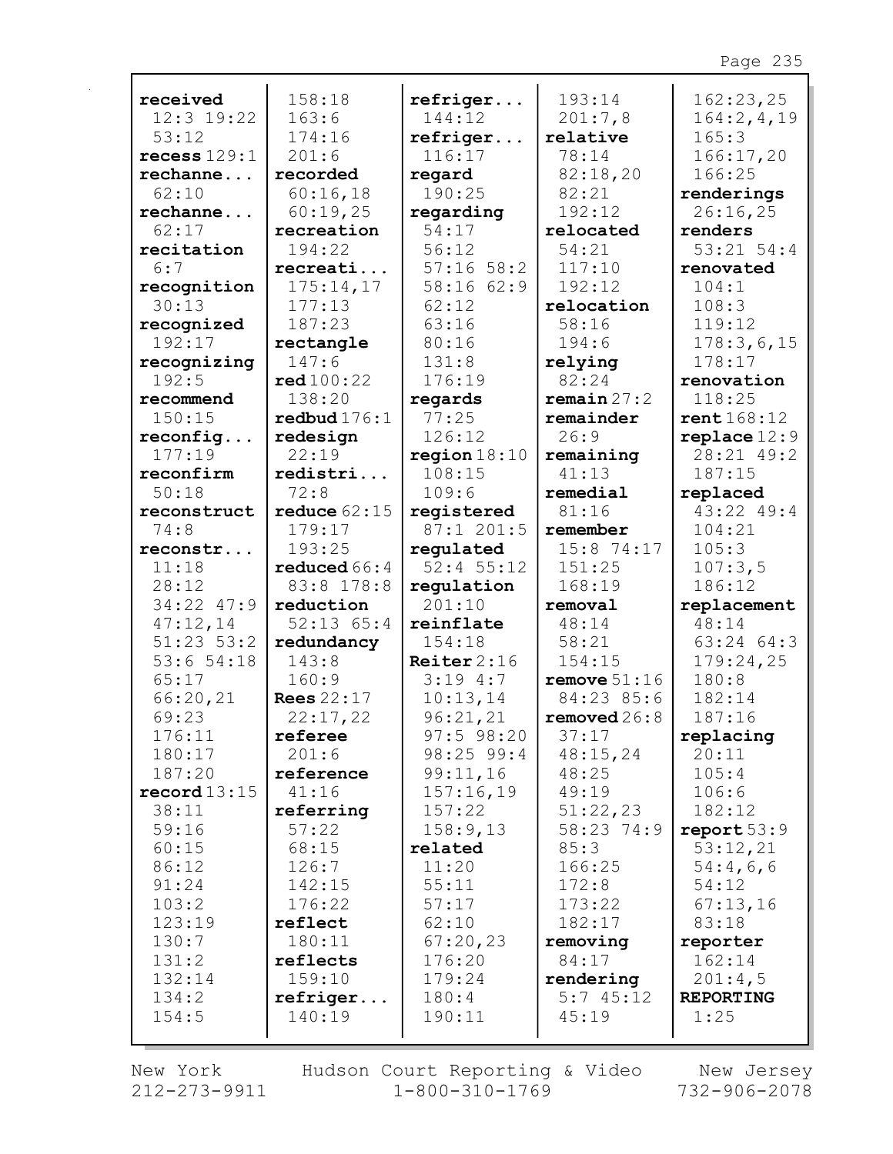| received       | 158:18            | refriger       | 193:14         | 162:23,25        |
|----------------|-------------------|----------------|----------------|------------------|
| 12:3 19:22     | 163:6             | 144:12         | 201:7,8        | 164:2, 4, 19     |
| 53:12          | 174:16            | refriger       | relative       | 165:3            |
| recess $129:1$ | 201:6             | 116:17         | 78:14          | 166:17,20        |
| rechanne       | recorded          | regard         | 82:18,20       | 166:25           |
| 62:10          | 60:16,18          | 190:25         | 82:21          | renderings       |
| rechanne       | 60:19,25          | regarding      | 192:12         | 26:16,25         |
| 62:17          | recreation        | 54:17          | relocated      | renders          |
| recitation     | 194:22            | 56:12          | 54:21          | $53:21$ $54:4$   |
| 6:7            | recreati          | $57:16$ 58:2   | 117:10         | renovated        |
| recognition    | 175:14,17         | 58:16 62:9     | 192:12         | 104:1            |
| 30:13          | 177:13            | 62:12          | relocation     | 108:3            |
| recognized     | 187:23            | 63:16          | 58:16          | 119:12           |
| 192:17         | rectangle         | 80:16          | 194:6          | 178:3,6,15       |
| recognizing    | 147:6             | 131:8          | relying        | 178:17           |
| 192:5          | red 100:22        | 176:19         | 82:24          | renovation       |
| recommend      | 138:20            | regards        | remain 27:2    | 118:25           |
| 150:15         | redbud $176:1$    | 77:25          | remainder      | rent 168:12      |
| reconfig       | redesign          | 126:12         | 26:9           | $replace 12:9$   |
| 177:19         | 22:19             | region $18:10$ | remaining      | 28:21 49:2       |
| reconfirm      | redistri          | 108:15         | 41:13          | 187:15           |
| 50:18          | 72:8              | 109:6          | remedial       | replaced         |
| reconstruct    | reduce $62:15$    | registered     | 81:16          | $43:22$ $49:4$   |
| 74:8           | 179:17            | 87:1 201:5     | remember       | 104:21           |
| reconstr       | 193:25            | regulated      | $15:8$ 74:17   | 105:3            |
| 11:18          | reduced $66:4$    | $52:4$ 55:12   | 151:25         | 107:3,5          |
| 28:12          | 83:8 178:8        | regulation     | 168:19         | 186:12           |
| 34:22 47:9     | reduction         | 201:10         | removal        | replacement      |
| 47:12,14       | $52:13$ $65:4$    | reinflate      | 48:14          | 48:14            |
| $51:23$ $53:2$ | redundancy        | 154:18         | 58:21          | 63:24 64:3       |
| 53:654:18      | 143:8             | Reiter $2:16$  | 154:15         | 179:24,25        |
| 65:17          | 160:9             | 3:194:7        | remove $51:16$ | 180:8            |
| 66:20,21       | <b>Rees</b> 22:17 | 10:13,14       | 84:23 85:6     | 182:14           |
| 69:23          | 22:17,22          | 96:21,21       | removed $26:8$ | 187:16           |
| 176:11         | referee           | $97:5$ 98:20   | 37:17          | replacing        |
| 180:17         | 201:6             | 98:25 99:4     | 48:15,24       | 20:11            |
| 187:20         | reference         | 99:11,16       | 48:25          | 105:4            |
| record13:15    | 41:16             | 157:16,19      | 49:19          | 106:6            |
| 38:11          | referring         | 157:22         | 51:22,23       | 182:12           |
| 59:16          | 57:22             | 158:9,13       | 58:23 74:9     | report 53:9      |
| 60:15          | 68:15             | related        | 85:3           | 53:12,21         |
| 86:12          | 126:7             | 11:20          | 166:25         | 54:4,6,6         |
| 91:24          | 142:15            | 55:11          | 172:8          | 54:12            |
| 103:2          | 176:22            | 57:17          | 173:22         | 67:13,16         |
| 123:19         | reflect           | 62:10          | 182:17         | 83:18            |
| 130:7          | 180:11            | 67:20,23       | removing       | reporter         |
| 131:2          | reflects          | 176:20         | 84:17          | 162:14           |
| 132:14         | 159:10            | 179:24         | rendering      | 201:4,5          |
| 134:2          | refriger          | 180:4          | 5:745:12       | <b>REPORTING</b> |
| 154:5          | 140:19            | 190:11         | 45:19          | 1:25             |
|                |                   |                |                |                  |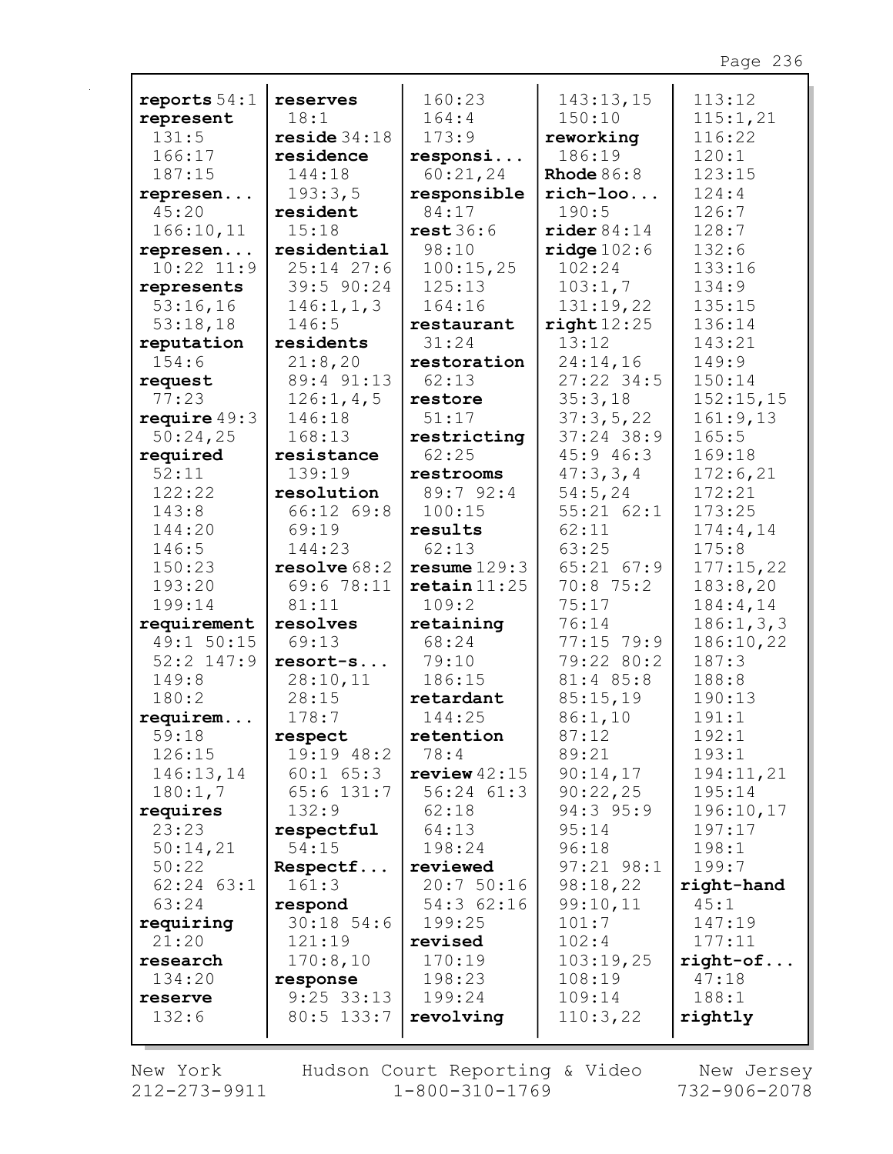| reports $54:1$ | reserves      | 160:23                    | 143:13,15              | 113:12      |
|----------------|---------------|---------------------------|------------------------|-------------|
| represent      | 18:1          | 164:4                     | 150:10                 | 115:1,21    |
| 131:5          | reside 34:18  | 173:9                     | reworking              | 116:22      |
| 166:17         | residence     | responsi                  | 186:19                 | 120:1       |
| 187:15         | 144:18        | 60:21,24                  | Rhode $86:8$           | 123:15      |
| represen       | 193:3,5       | responsible               | $rich-loo$             | 124:4       |
| 45:20          | resident      | 84:17                     | 190:5                  | 126:7       |
| 166:10,11      | 15:18         | rest36:6                  | $\texttt{rider} 84:14$ | 128:7       |
| represen       | residential   | 98:10                     | ridge 102:6            | 132:6       |
| $10:22$ $11:9$ | $25:14$ 27:6  | 100:15,25                 | 102:24                 | 133:16      |
| represents     | 39:5 90:24    | 125:13                    | 103:1,7                | 134:9       |
| 53:16,16       | 146:1, 1, 3   | 164:16                    | 131:19,22              | 135:15      |
| 53:18,18       | 146:5         | restaurant                | right12:25             | 136:14      |
| reputation     | residents     | 31:24                     | 13:12                  | 143:21      |
| 154:6          | 21:8,20       | restoration               | 24:14,16               | 149:9       |
| request        | 89:4 91:13    | 62:13                     | $27:22$ 34:5           | 150:14      |
| 77:23          | 126:1, 4, 5   | restore                   | 35:3,18                | 152:15,15   |
| require $49:3$ | 146:18        | 51:17                     | 37:3,5,22              | 161:9,13    |
| 50:24,25       | 168:13        | restricting               | $37:24$ 38:9           | 165:5       |
| required       | resistance    | 62:25                     | 45:946:3               | 169:18      |
| 52:11          | 139:19        | restrooms                 | 47:3,3,4               | 172:6,21    |
| 122:22         | resolution    | 89:792:4                  | 54:5,24                | 172:21      |
| 143:8          | 66:12 69:8    | 100:15                    | $55:21$ $62:1$         | 173:25      |
| 144:20         | 69:19         | results                   | 62:11                  | 174:4,14    |
| 146:5          | 144:23        | 62:13                     | 63:25                  | 175:8       |
| 150:23         | resolve 68:2  | resume 129:3              | $65:21$ $67:9$         | 177:15,22   |
| 193:20         | 69:6 78:11    | $\texttt{retain}$ $11:25$ | $70:8$ 75:2            | 183:8,20    |
| 199:14         | 81:11         | 109:2                     | 75:17                  | 184:4,14    |
| requirement    | resolves      | retaining                 | 76:14                  | 186:1, 3, 3 |
| 49:1 50:15     | 69:13         | 68:24                     | 77:15 79:9             | 186:10,22   |
| $52:2$ 147:9   | resort-s      | 79:10                     | 79:22 80:2             | 187:3       |
| 149:8          | 28:10,11      | 186:15                    | 81:4 85:8              | 188:8       |
| 180:2          | 28:15         | retardant                 | 85:15,19               | 190:13      |
| requirem       | 178:7         | 144:25                    | 86:1,10                | 191:1       |
| 59:18          | respect       | retention                 | 87:12                  | 192:1       |
| 126:15         | 19:19 48:2    | 78:4                      | 89:21                  | 193:1       |
| 146:13,14      | $60:1$ $65:3$ | review $42:15$            | 90:14,17               | 194:11,21   |
| 180:1,7        | $65:6$ 131:7  | $56:24$ $61:3$            | 90:22,25               | 195:14      |
| requires       | 132:9         | 62:18                     | 94:3 95:9              | 196:10,17   |
| 23:23          | respectful    | 64:13                     | 95:14                  | 197:17      |
| 50:14,21       | 54:15         | 198:24                    | 96:18                  | 198:1       |
| 50:22          | Respectf      | reviewed                  | $97:21$ $98:1$         | 199:7       |
| $62:24$ $63:1$ | 161:3         | 20:750:16                 | 98:18,22               | right-hand  |
| 63:24          | respond       | 54:362:16                 | 99:10,11               | 45:1        |
| requiring      | $30:18$ 54:6  | 199:25                    | 101:7                  | 147:19      |
| 21:20          | 121:19        | revised                   | 102:4                  | 177:11      |
| research       | 170:8,10      | 170:19                    | 103:19,25              | $right-of$  |
| 134:20         | response      | 198:23                    | 108:19                 | 47:18       |
| reserve        | $9:25$ 33:13  | 199:24                    | 109:14                 | 188:1       |
| 132:6          | $80:5$ 133:7  | revolving                 | 110:3,22               | rightly     |
|                |               |                           |                        |             |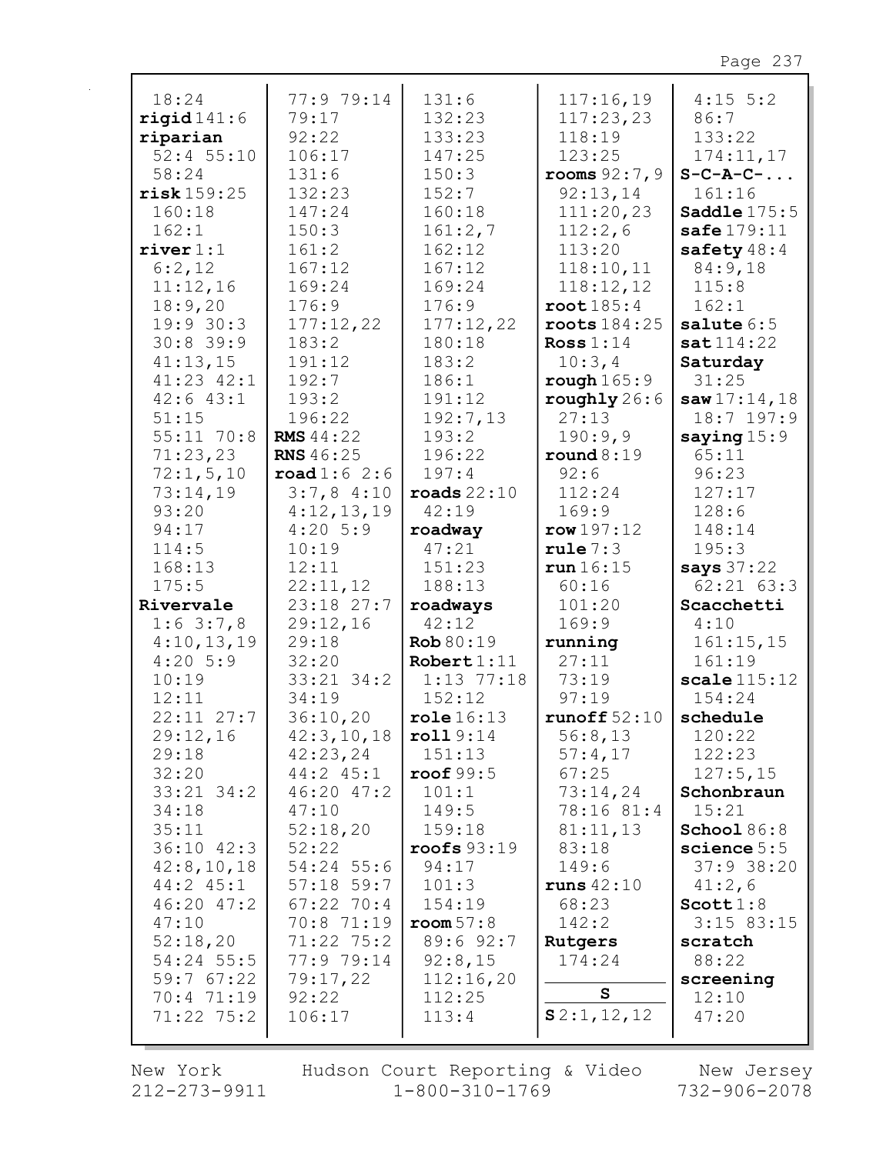| 18:24                | 77:9 79:14                          | 131:6                  | 117:16,19          | $4:15$ 5:2             |
|----------------------|-------------------------------------|------------------------|--------------------|------------------------|
| rigid141:6           | 79:17                               | 132:23                 | 117:23,23          | 86:7                   |
| riparian             | 92:22                               | 133:23                 | 118:19             | 133:22                 |
| $52:4$ 55:10         | 106:17                              | 147:25                 | 123:25             | 174:11,17              |
| 58:24                | 131:6                               | 150:3                  | rooms $92:7,9$     | $S-C-A-C-$             |
| risk159:25           | 132:23                              | 152:7                  | 92:13,14           | 161:16                 |
| 160:18               | 147:24                              | 160:18                 | 111:20,23          | Saddle 175:5           |
| 162:1                | 150:3                               | 161:2,7                | 112:2,6            | safe $179:11$          |
| $\texttt{river} 1:1$ | 161:2                               | 162:12                 | 113:20             | safety $48:4$          |
| 6:2,12               | 167:12                              | 167:12                 | 118:10,11          | 84:9,18                |
| 11:12,16             | 169:24                              | 169:24                 | 118:12,12          | 115:8                  |
| 18:9,20              | 176:9                               | 176:9                  | root 185:4         | 162:1                  |
| 19:930:3             | 177:12,22                           | 177:12,22              | roots 184:25       | salute $6:5$           |
| $30:8$ 39:9          | 183:2                               | 180:18                 | Ross $1:14$        | sat114:22              |
| 41:13,15             | 191:12                              | 183:2                  | 10:3,4             | Saturday               |
| $41:23$ $42:1$       | 192:7                               | 186:1                  | rough $165:9$      | 31:25                  |
| $42:6$ $43:1$        | 193:2                               | 191:12                 | roughly 26:6       | saw17:14,18            |
| 51:15                | 196:22                              | 192:7,13               | 27:13              | $18:7$ 197:9           |
| $55:11$ 70:8         | <b>RMS</b> 44:22                    | 193:2                  | 190:9,9            |                        |
|                      | <b>RNS</b> 46:25                    | 196:22                 |                    | saying $15:9$<br>65:11 |
| 71:23,23             |                                     | 197:4                  | round 8:19<br>92:6 | 96:23                  |
| 72:1, 5, 10          | $\texttt{road1:6}$ 2:6<br>3:7,84:10 | $\texttt{roads}$ 22:10 | 112:24             | 127:17                 |
| 73:14,19             |                                     |                        |                    |                        |
| 93:20                | 4:12,13,19                          | 42:19                  | 169:9              | 128:6                  |
| 94:17                | $4:20$ 5:9                          | roadway                | row 197:12         | 148:14                 |
| 114:5                | 10:19                               | 47:21                  | rule 7:3           | 195:3                  |
| 168:13               | 12:11                               | 151:23                 | run 16:15          | says 37:22             |
| 175:5                | 22:11,12                            | 188:13                 | 60:16              | $62:21$ $63:3$         |
| Rivervale            | 23:18 27:7                          | roadways               | 101:20             | Scacchetti             |
| $1:6$ 3:7,8          | 29:12,16                            | 42:12                  | 169:9              | 4:10                   |
| 4:10,13,19           | 29:18                               | Rob 80:19              | running            | 161:15,15              |
| $4:20$ 5:9           | 32:20                               | Robert $1:11$          | 27:11              | 161:19                 |
| 10:19                | $33:21$ $34:2$                      | $1:13$ 77:18           | 73:19              | scale115:12            |
| 12:11                | 34:19                               | 152:12                 | 97:19              | 154:24                 |
| $22:11$ $27:7$       | 36:10,20                            | role 16:13             | runoff $52:10$     | schedule               |
| 29:12,16             | 42:3,10,18                          | roll9:14               | 56:8,13            | 120:22                 |
| 29:18                | 42:23,24                            | 151:13                 | 57:4,17            | 122:23                 |
| 32:20                | $44:2$ $45:1$                       | roof $99:5$            | 67:25              | 127:5,15               |
| $33:21$ $34:2$       | $46:20$ $47:2$                      | 101:1                  | 73:14,24           | Schonbraun             |
| 34:18                | 47:10                               | 149:5                  | 78:16 81:4         | 15:21                  |
| 35:11                | 52:18,20                            | 159:18                 | 81:11,13           | School $86:8$          |
| $36:10$ $42:3$       | 52:22                               | roots 93:19            | 83:18              | science $5:5$          |
| 42:8,10,18           | 54:24 55:6                          | 94:17                  | 149:6              | $37:9$ 38:20           |
| 44:2 45:1            | $57:18$ 59:7                        | 101:3                  | runs $42:10$       | 41:2,6                 |
| $46:20$ $47:2$       | $67:22$ 70:4                        | 154:19                 | 68:23              | Scott1:8               |
| 47:10                | 70:8 71:19                          | room 57:8              | 142:2              | $3:15$ 83:15           |
| 52:18,20             | 71:22 75:2                          | 89:6 92:7              | Rutgers            | scratch                |
| $54:24$ 55:5         | 77:9 79:14                          | 92:8,15                | 174:24             | 88:22                  |
| 59:767:22            | 79:17,22                            | 112:16,20              |                    | screening              |
| 70:4 71:19           | 92:22                               | 112:25                 | ${\tt S}$          | 12:10                  |
| $71:22$ $75:2$       | 106:17                              | 113:4                  | S2:1,12,12         | 47:20                  |
|                      |                                     |                        |                    |                        |

New York 212-273-9911 Hudson Court Reporting & Video<br>1-800-310-1769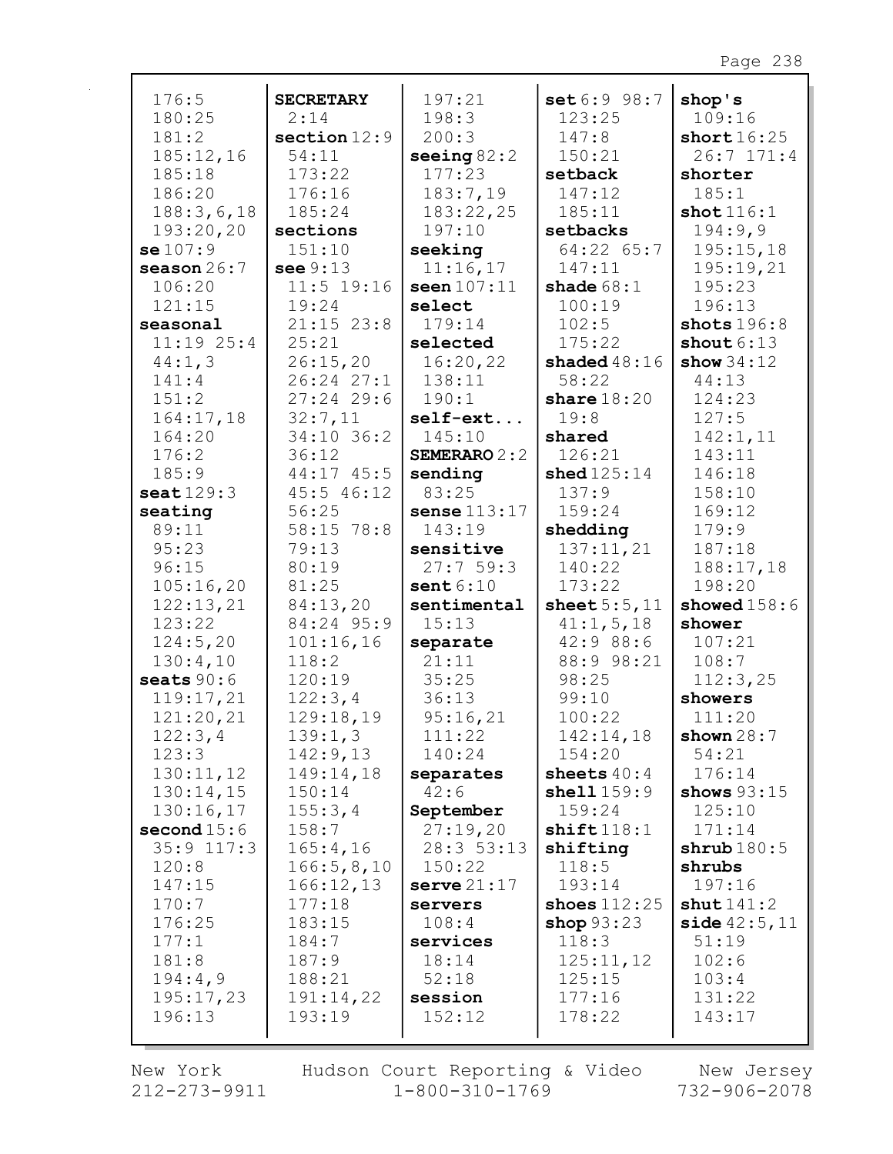| 176:5                 | <b>SECRETARY</b> | 197:21              | set 6:9 98:7   | shop's         |
|-----------------------|------------------|---------------------|----------------|----------------|
| 180:25                | 2:14             | 198:3               | 123:25         | 109:16         |
| 181:2                 | section $12:9$   | 200:3               | 147:8          | short $16:25$  |
| 185:12,16             | 54:11            | seeing $82:2$       | 150:21         | $26:7$ 171:4   |
| 185:18                | 173:22           | 177:23              | setback        | shorter        |
| 186:20                | 176:16           | 183:7,19            | 147:12         | 185:1          |
| 188:3,6,18            | 185:24           | 183:22,25           | 185:11         | shot 116:1     |
| 193:20,20             | sections         | 197:10              | setbacks       | 194:9,9        |
| se107:9               | 151:10           | seeking             | 64:22 65:7     | 195:15,18      |
| season $26:7$         | see $9:13$       | 11:16,17            | 147:11         | 195:19,21      |
| 106:20                | $11:5$ 19:16     | seen 107:11         | shade $68:1$   | 195:23         |
| 121:15                | 19:24            | select              | 100:19         | 196:13         |
| seasonal              | $21:15$ 23:8     | 179:14              | 102:5          | shots $196:8$  |
| $11:19$ $25:4$        | 25:21            | selected            | 175:22         | shout $6:13$   |
| 44:1,3                | 26:15,20         | 16:20,22            | shaded $48:16$ | show $34:12$   |
| 141:4                 | $26:24$ $27:1$   | 138:11              | 58:22          | 44:13          |
| 151:2                 | $27:24$ 29:6     | 190:1               | share $18:20$  | 124:23         |
| 164:17,18             | 32:7,11          | $self-ext$          | 19:8           | 127:5          |
| 164:20                | 34:10 36:2       | 145:10              | shared         | 142:1,11       |
| 176:2                 | 36:12            | <b>SEMERARO 2:2</b> | 126:21         | 143:11         |
| 185:9                 | 44:17 45:5       | sending             | shed $125:14$  | 146:18         |
| $\texttt{seat}$ 129:3 | 45:5 46:12       | 83:25               | 137:9          | 158:10         |
| seating               | 56:25            | sense $113:17$      | 159:24         | 169:12         |
| 89:11                 | 58:15 78:8       | 143:19              | shedding       | 179:9          |
| 95:23                 | 79:13            | sensitive           | 137:11,21      | 187:18         |
| 96:15                 | 80:19            | 27:759:3            | 140:22         | 188:17,18      |
| 105:16,20             | 81:25            | sent $6:10$         | 173:22         | 198:20         |
| 122:13,21             | 84:13,20         | sentimental         | sheet $5:5,11$ | showed $158:6$ |
| 123:22                | 84:24 95:9       | 15:13               | 41:1, 5, 18    | shower         |
| 124:5,20              | 101:16,16        | separate            | 42:9 88:6      | 107:21         |
| 130:4,10              | 118:2            | 21:11               | 88:9 98:21     | 108:7          |
| seats $90:6$          | 120:19           | 35:25               | 98:25          | 112:3,25       |
| 119:17,21             | 122:3,4          | 36:13               | 99:10          | showers        |
| 121:20,21             | 129:18,19        | 95:16,21            | 100:22         | 111:20         |
| 122:3,4               | 139:1,3          | 111:22              | 142:14,18      | shown $28:7$   |
| 123:3                 | 142:9,13         | 140:24              | 154:20         | 54:21          |
| 130:11,12             | 149:14,18        | separates           | sheets $40:4$  | 176:14         |
| 130:14,15             | 150:14           | 42:6                | shell159:9     | shows $93:15$  |
| 130:16,17             | 155:3,4          | September           | 159:24         | 125:10         |
| second $15:6$         | 158:7            | 27:19,20            | shift118:1     | 171:14         |
| $35:9$ 117:3          | 165:4,16         | 28:3 53:13          | shifting       | shrub180:5     |
| 120:8                 | 166:5,8,10       | 150:22              | 118:5          | shrubs         |
| 147:15                | 166:12,13        | serve 21:17         | 193:14         | 197:16         |
| 170:7                 | 177:18           | servers             | shoes $112:25$ | shut141:2      |
| 176:25                | 183:15           | 108:4               | shop $93:23$   | side 42:5, 11  |
| 177:1                 | 184:7            | services            | 118:3          | 51:19          |
| 181:8                 | 187:9            | 18:14               | 125:11,12      | 102:6          |
| 194:4,9               | 188:21           | 52:18               | 125:15         | 103:4          |
| 195:17,23             | 191:14,22        | session             | 177:16         | 131:22         |
| 196:13                | 193:19           | 152:12              | 178:22         | 143:17         |
|                       |                  |                     |                |                |

New York  $212 - 273 - 9911$  Hudson Court Reporting & Video<br>1-800-310-1769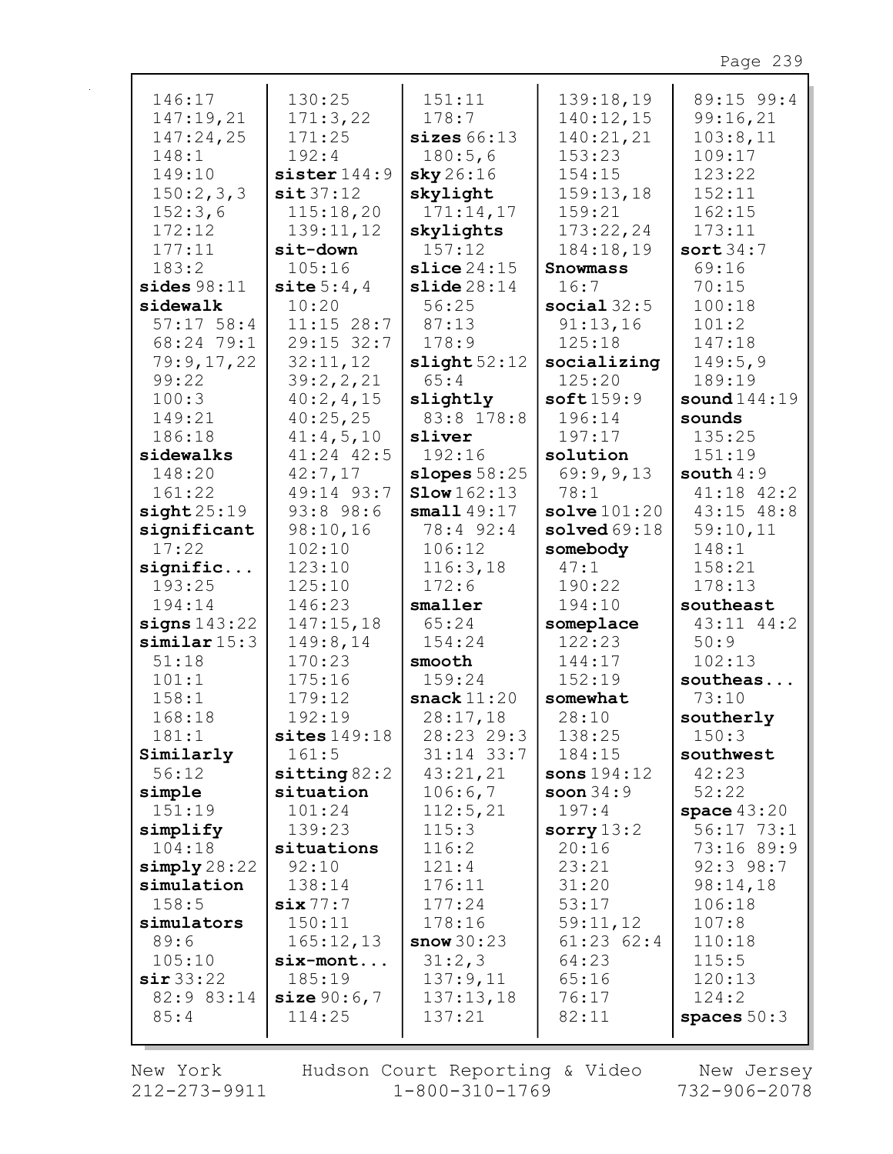| 146:17             | 130:25              | 151:11                 | 139:18,19              | 89:15 99:4     |
|--------------------|---------------------|------------------------|------------------------|----------------|
| 147:19,21          | 171:3,22            | 178:7                  | 140:12,15              | 99:16,21       |
| 147:24,25          | 171:25              | sizes66:13             | 140:21,21              | 103:8,11       |
|                    |                     |                        |                        |                |
| 148:1              | 192:4               | 180:5,6                | 153:23                 | 109:17         |
| 149:10             | sister $144:9$      | sky26:16               | 154:15                 | 123:22         |
| 150:2,3,3          | sit37:12            | skylight               | 159:13,18              | 152:11         |
| 152:3,6            | 115:18,20           | 171:14,17              | 159:21                 | 162:15         |
| 172:12             | 139:11,12           | skylights              | 173:22,24              | 173:11         |
| 177:11             | sit-down            | 157:12                 | 184:18,19              | sort $34:7$    |
| 183:2              | 105:16              | $\texttt{slice} 24:15$ | <b>Snowmass</b>        | 69:16          |
| sides $98:11$      | site $5:4,4$        | slide28:14             | 16:7                   | 70:15          |
| sidewalk           | 10:20               | 56:25                  | social $32:5$          | 100:18         |
| $57:17$ 58:4       | 11:15 28:7          | 87:13                  | 91:13,16               | 101:2          |
| 68:24 79:1         | 29:15 32:7          | 178:9                  | 125:18                 | 147:18         |
| 79:9,17,22         | 32:11,12            | slight 52:12           | socializing            | 149:5,9        |
| 99:22              | 39:2,2,21           | 65:4                   | 125:20                 | 189:19         |
| 100:3              | 40:2, 4, 15         | slightly               | soft159:9              | sound $144:19$ |
| 149:21             | 40:25,25            | 83:8 178:8             | 196:14                 | sounds         |
| 186:18             | 41:4,5,10           | sliver                 | 197:17                 | 135:25         |
| sidewalks          | 41:24 42:5          | 192:16                 | solution               | 151:19         |
|                    |                     |                        |                        |                |
| 148:20             | 42:7,17             | slopes $58:25$         | 69:9,9,13              | south $4:9$    |
| 161:22             | 49:14 93:7          | Slow 162:13            | 78:1                   | 41:18 42:2     |
| sight25:19         | 93:8 98:6           | small $49:17$          | $\texttt{solve}101:20$ | 43:15 48:8     |
| significant        | 98:10,16            | 78:4 92:4              | solved $69:18$         | 59:10,11       |
| 17:22              | 102:10              | 106:12                 | somebody               | 148:1          |
| signific           | 123:10              | 116:3,18               | 47:1                   | 158:21         |
| 193:25             | 125:10              | 172:6                  | 190:22                 | 178:13         |
| 194:14             | 146:23              | smaller                | 194:10                 | southeast      |
| signs $143:22$     | 147:15,18           | 65:24                  | someplace              | 43:11 44:2     |
| similar15:3        | 149:8,14            | 154:24                 | 122:23                 | 50:9           |
| 51:18              | 170:23              | smooth                 | 144:17                 | 102:13         |
| 101:1              | 175:16              | 159:24                 | 152:19                 | southeas       |
| 158:1              | 179:12              | snack $11:20$          | somewhat               | 73:10          |
| 168:18             | 192:19              | 28:17,18               | 28:10                  | southerly      |
| 181:1              | sites149:18         | 28:23 29:3             | 138:25                 | 150:3          |
| Similarly          | 161:5               | $31:14$ 33:7           | 184:15                 | southwest      |
| 56:12              | sitting 82:2        | 43:21,21               | sons $194:12$          | 42:23          |
| simple             | situation           | 106:6,7                | soon $34:9$            | 52:22          |
| 151:19             | 101:24              | 112:5,21               | 197:4                  | space $43:20$  |
|                    | 139:23              | 115:3                  |                        | $56:17$ 73:1   |
| simplify<br>104:18 |                     |                        | sorry $13:2$           |                |
|                    | situations          | 116:2                  | 20:16                  | 73:16 89:9     |
| simply28:22        | 92:10               | 121:4                  | 23:21                  | $92:3$ 98:7    |
| simulation         | 138:14              | 176:11                 | 31:20                  | 98:14,18       |
| 158:5              | $\texttt{six}$ 77:7 | 177:24                 | 53:17                  | 106:18         |
| simulators         | 150:11              | 178:16                 | 59:11,12               | 107:8          |
| 89:6               | 165:12,13           | snow $30:23$           | $61:23$ $62:4$         | 110:18         |
| 105:10             | $six$ -mont         | 31:2,3                 | 64:23                  | 115:5          |
| $\sin 33:22$       | 185:19              | 137:9,11               | 65:16                  | 120:13         |
| 82:9 83:14         | size 90:6,7         | 137:13,18              | 76:17                  | 124:2          |
| 85:4               | 114:25              | 137:21                 | 82:11                  | spaces $50:3$  |
|                    |                     |                        |                        |                |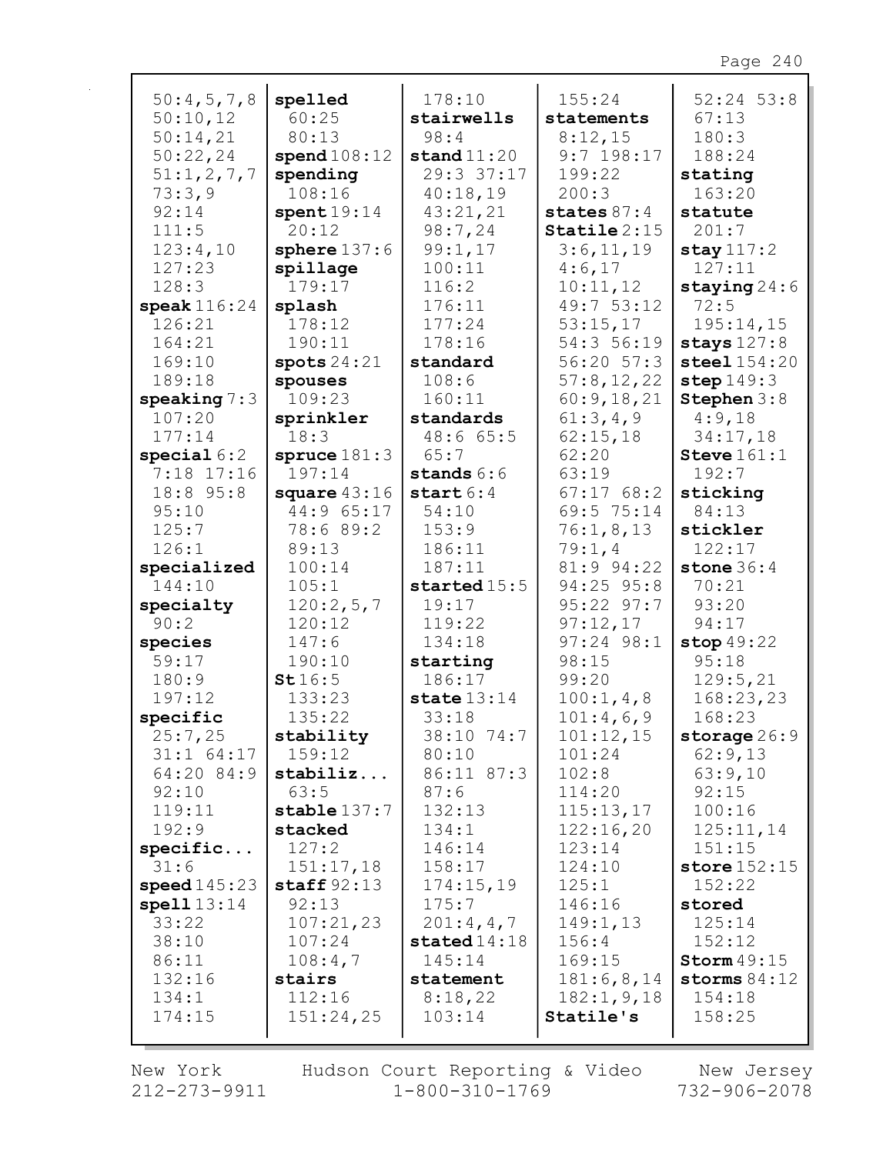| 50:4,5,7,8                 | spelled          | 178:10              | 155:24                   | $52:24$ 53:8     |
|----------------------------|------------------|---------------------|--------------------------|------------------|
| 50:10,12                   | 60:25            | stairwells          | statements               | 67:13            |
| 50:14,21                   | 80:13            | 98:4                | 8:12,15                  | 180:3            |
| 50:22,24                   | spend108:12      | stand $11:20$       | $9:7$ 198:17             | 188:24           |
| 51:1,2,7,7                 | spending         | 29:3 37:17          | 199:22                   | stating          |
| 73:3,9                     | 108:16           | 40:18,19            | 200:3                    | 163:20           |
| 92:14                      | spent19:14       | 43:21,21            | states $87:4$            | statute          |
| 111:5                      | 20:12            | 98:7,24             | $\texttt{Staticle} 2:15$ | 201:7            |
| 123:4,10                   | sphere $137:6$   | 99:1,17             | 3:6,11,19                | stay $117:2$     |
| 127:23                     | spillage         | 100:11              | 4:6,17                   | 127:11           |
| 128:3                      | 179:17           | 116:2               | 10:11,12                 | staying $24:6$   |
| speak $116:24$             | splash           | 176:11              | 49:7 53:12               | 72:5             |
| 126:21                     | 178:12           | 177:24              | 53:15,17                 | 195:14,15        |
| 164:21                     | 190:11           | 178:16              | 54:3 56:19               | stays $127:8$    |
| 169:10                     | spots $24:21$    | standard            | 56:20 57:3               | steel $154:20$   |
| 189:18                     | spouses          | 108:6               | 57:8,12,22               | step $149:3$     |
| speaking $7:3$             | 109:23           | 160:11              | 60:9,18,21               | Stephen 3:8      |
| 107:20                     | sprinkler        | standards           | 61:3,4,9                 | 4:9,18           |
| 177:14                     | 18:3             | 48:665:5            | 62:15,18                 | 34:17,18         |
| special $6:2$              | spruce $181:3$   | 65:7                | 62:20                    | Steve $161:1$    |
| 7:18 17:16                 | 197:14           | stands $6:6$        | 63:19                    | 192:7            |
| 18:8 95:8                  | square $43:16$   | start $6:4$         | 67:1768:2                | sticking         |
| 95:10                      | 44:9 65:17       | 54:10               | 69:5 75:14               | 84:13            |
| 125:7                      | 78:6 89:2        | 153:9               | 76:1,8,13                | stickler         |
| 126:1                      | 89:13            | 186:11              | 79:1,4                   | 122:17           |
| specialized                | 100:14           | 187:11              | 81:9 94:22               | stone $36:4$     |
| 144:10                     | 105:1            | started $15:5$      | 94:25 95:8               | 70:21            |
| specialty                  | 120:2,5,7        | 19:17               | 95:22 97:7               | 93:20            |
| 90:2                       | 120:12           | 119:22              | 97:12,17                 | 94:17            |
| species                    | 147:6            | 134:18              | $97:24$ $98:1$           | stop $49:22$     |
| 59:17                      | 190:10           | starting            | 98:15                    | 95:18            |
| 180:9                      | St16:5           | 186:17              | 99:20                    | 129:5,21         |
| 197:12                     | 133:23           | state $13:14$       | 100:1, 4, 8              | 168:23,23        |
| specific                   | 135:22           | 33:18               | 101:4,6,9                | 168:23           |
| 25:7,25                    | stability        | 38:10 74:7          | 101:12,15                | storage $26:9$   |
| $31:1$ 64:17<br>64:20 84:9 | 159:12           | 80:10<br>86:11 87:3 | 101:24                   | 62:9,13          |
| 92:10                      | stabiliz<br>63:5 | 87:6                | 102:8<br>114:20          | 63:9,10<br>92:15 |
| 119:11                     | stable $137:7$   | 132:13              | 115:13,17                | 100:16           |
| 192:9                      | stacked          | 134:1               | 122:16,20                | 125:11,14        |
| specific                   | 127:2            | 146:14              | 123:14                   | 151:15           |
| 31:6                       | 151:17,18        | 158:17              | 124:10                   | store $152:15$   |
| speed145:23                | staff $92:13$    | 174:15,19           | 125:1                    | 152:22           |
| spell $13:14$              | 92:13            | 175:7               | 146:16                   | stored           |
| 33:22                      | 107:21,23        | 201:4,4,7           | 149:1,13                 | 125:14           |
| 38:10                      | 107:24           | stated14:18         | 156:4                    | 152:12           |
| 86:11                      | 108:4,7          | 145:14              | 169:15                   | Storm $49:15$    |
| 132:16                     | stairs           | statement           | 181:6, 8, 14             | storms $84:12$   |
| 134:1                      | 112:16           | 8:18,22             | 182:1, 9, 18             | 154:18           |
| 174:15                     | 151:24,25        | 103:14              | Statile's                | 158:25           |
|                            |                  |                     |                          |                  |

New York 212-273-9911

 $\mathbf{r}$ 

Hudson Court Reporting & Video  $1 - 800 - 310 - 1769$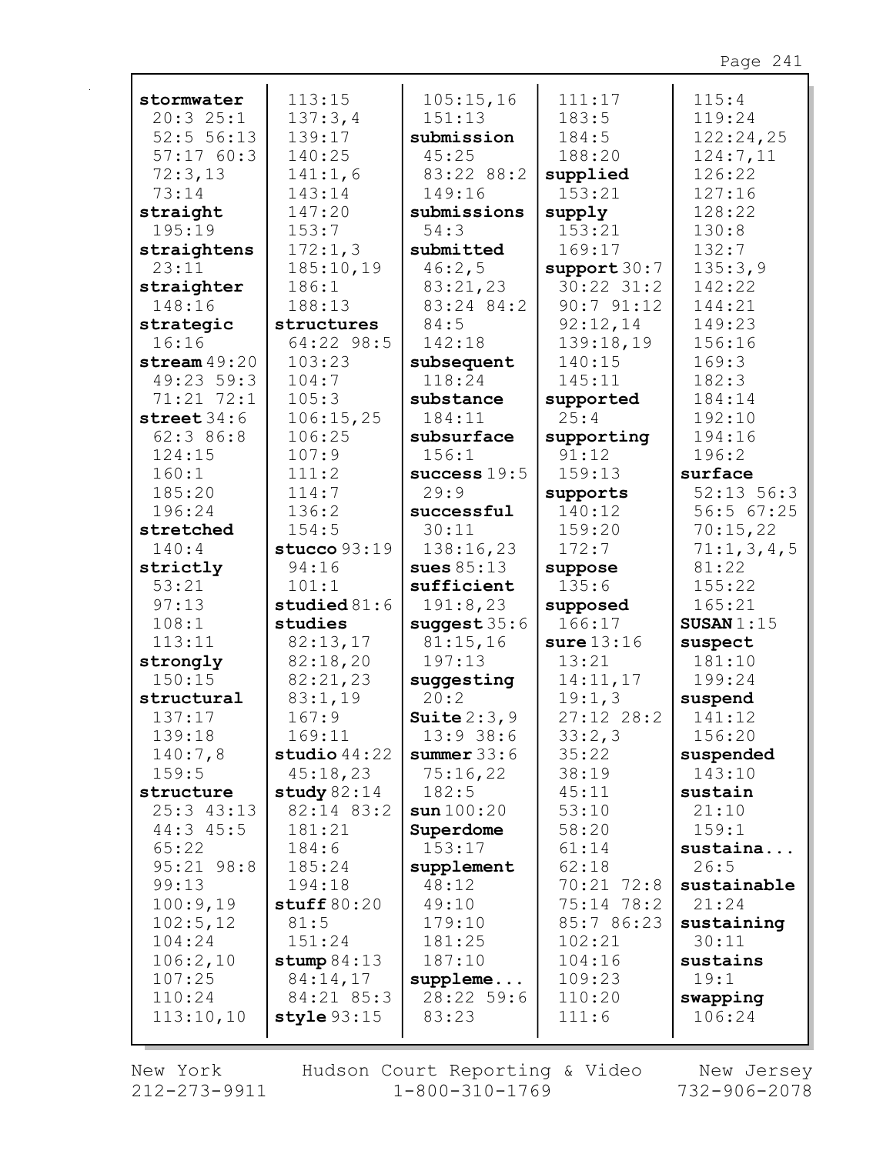| stormwater     | 113:15         | 105:15,16      | 111:17         | 115:4          |
|----------------|----------------|----------------|----------------|----------------|
| 20:325:1       | 137:3,4        | 151:13         | 183:5          | 119:24         |
| 52:5 56:13     | 139:17         | submission     | 184:5          | 122:24,25      |
| 57:1760:3      | 140:25         | 45:25          | 188:20         | 124:7,11       |
| 72:3,13        | 141:1,6        | 83:22 88:2     | supplied       | 126:22         |
| 73:14          | 143:14         | 149:16         | 153:21         | 127:16         |
| straight       | 147:20         | submissions    | supply         | 128:22         |
| 195:19         | 153:7          | 54:3           | 153:21         | 130:8          |
| straightens    | 172:1,3        | submitted      | 169:17         | 132:7          |
| 23:11          | 185:10,19      | 46:2,5         | support 30:7   | 135:3,9        |
| straighter     | 186:1          | 83:21,23       | $30:22$ $31:2$ | 142:22         |
| 148:16         | 188:13         | 83:24 84:2     | 90:791:12      | 144:21         |
| strategic      | structures     | 84:5           | 92:12,14       | 149:23         |
| 16:16          | 64:22 98:5     | 142:18         | 139:18,19      | 156:16         |
| stream $49:20$ | 103:23         | subsequent     | 140:15         | 169:3          |
| 49:23 59:3     | 104:7          | 118:24         | 145:11         | 182:3          |
| 71:21 72:1     | 105:3          | substance      | supported      | 184:14         |
| street $34:6$  | 106:15,25      | 184:11         | 25:4           | 192:10         |
| 62:386:8       | 106:25         | subsurface     | supporting     | 194:16         |
| 124:15         | 107:9          | 156:1          | 91:12          | 196:2          |
| 160:1          | 111:2          | success $19:5$ | 159:13         | surface        |
| 185:20         | 114:7          | 29:9           | supports       | $52:13$ $56:3$ |
| 196:24         | 136:2          | successful     | 140:12         | 56:5 67:25     |
| stretched      | 154:5          | 30:11          | 159:20         | 70:15,22       |
| 140:4          | stucco $93:19$ | 138:16,23      | 172:7          | 71:1,3,4,5     |
| strictly       | 94:16          | sues $85:13$   | suppose        | 81:22          |
| 53:21          | 101:1          | sufficient     | 135:6          | 155:22         |
| 97:13          | studied $81:6$ | 191:8,23       | supposed       | 165:21         |
| 108:1          | studies        | suggest $35:6$ | 166:17         | SUSAN $1:15$   |
| 113:11         | 82:13,17       | 81:15,16       | sure $13:16$   | suspect        |
| strongly       | 82:18,20       | 197:13         | 13:21          | 181:10         |
| 150:15         | 82:21,23       | suggesting     | 14:11,17       | 199:24         |
| structural     | 83:1,19        | 20:2           | 19:1,3         | suspend        |
| 137:17         | 167:9          | Suite $2:3,9$  | $27:12$ $28:2$ | 141:12         |
| 139:18         | 169:11         | 13:938:6       | 33:2,3         | 156:20         |
| 140:7,8        | studio $44:22$ | summer $33:6$  | 35:22          | suspended      |
| 159:5          | 45:18,23       | 75:16,22       | 38:19          | 143:10         |
| structure      | study $82:14$  | 182:5          | 45:11          | sustain        |
| 25:3 43:13     | 82:14 83:2     | sun100:20      | 53:10          | 21:10          |
| $44:3$ $45:5$  | 181:21         | Superdome      | 58:20          | 159:1          |
| 65:22          | 184:6          | 153:17         | 61:14          | sustaina       |
| 95:21 98:8     | 185:24         | supplement     | 62:18          | 26:5           |
| 99:13          | 194:18         | 48:12          | 70:21 72:8     | sustainable    |
| 100:9,19       | stuff $80:20$  | 49:10          | 75:14 78:2     | 21:24          |
| 102:5,12       | 81:5           | 179:10         | 85:7 86:23     | sustaining     |
| 104:24         | 151:24         | 181:25         | 102:21         | 30:11          |
| 106:2,10       | stump $84:13$  | 187:10         | 104:16         | sustains       |
| 107:25         | 84:14,17       | suppleme       | 109:23         | 19:1           |
| 110:24         | 84:21 85:3     | 28:22 59:6     | 110:20         | swapping       |
| 113:10,10      | style 93:15    | 83:23          | 111:6          | 106:24         |
|                |                |                |                |                |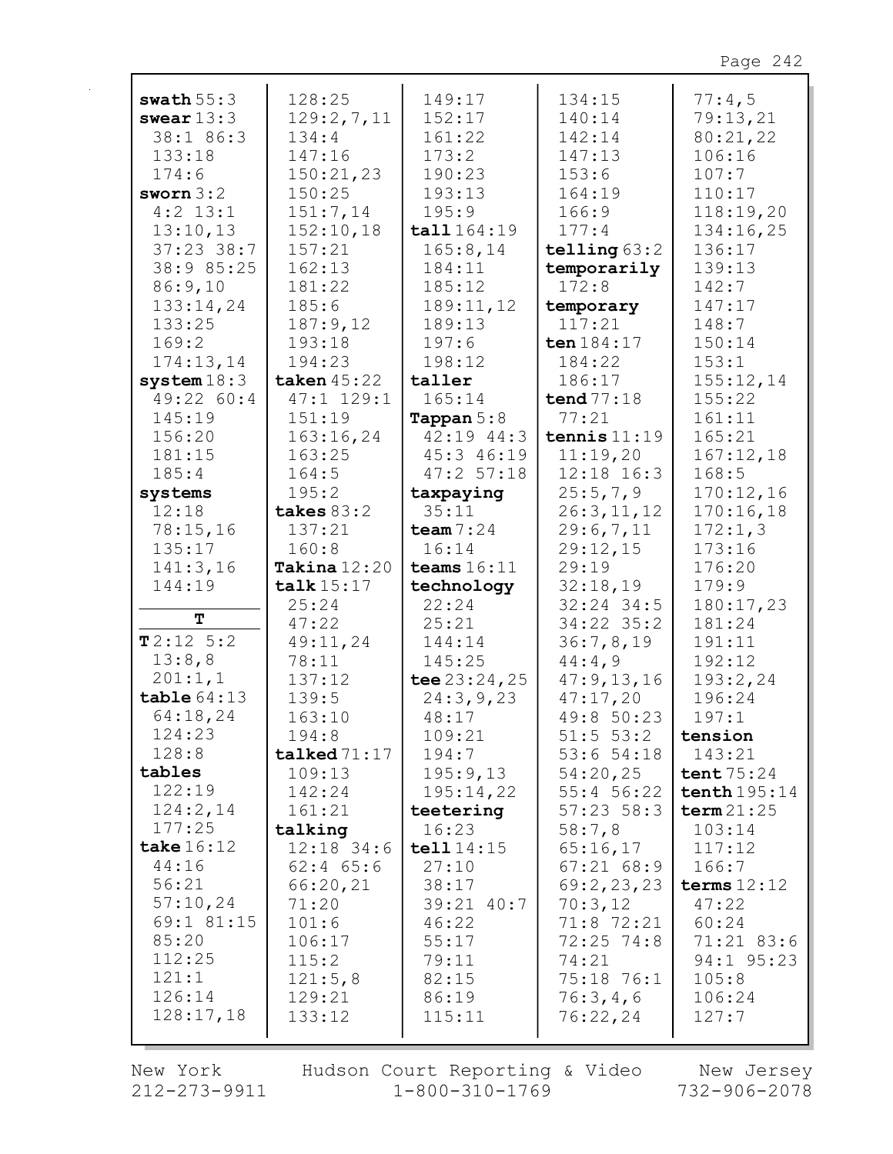| swath $55:3$  | 128:25         | 149:17              | 134:15         | 77:4,5         |
|---------------|----------------|---------------------|----------------|----------------|
| swear $13:3$  | 129:2,7,11     | 152:17              | 140:14         | 79:13,21       |
| 38:1 86:3     | 134:4          | 161:22              | 142:14         | 80:21,22       |
| 133:18        | 147:16         | 173:2               | 147:13         | 106:16         |
| 174:6         | 150:21,23      | 190:23              | 153:6          | 107:7          |
| sworn $3:2$   | 150:25         | 193:13              | 164:19         | 110:17         |
| $4:2$ 13:1    | 151:7,14       | 195:9               | 166:9          | 118:19,20      |
| 13:10,13      | 152:10,18      | tall 164:19         | 177:4          | 134:16,25      |
| $37:23$ 38:7  | 157:21         | 165:8, 14           | telling $63:2$ | 136:17         |
| 38:9 85:25    | 162:13         | 184:11              | temporarily    | 139:13         |
| 86:9,10       | 181:22         | 185:12              | 172:8          | 142:7          |
| 133:14,24     | 185:6          | 189:11,12           | temporary      | 147:17         |
| 133:25        | 187:9,12       | 189:13              | 117:21         | 148:7          |
| 169:2         | 193:18         | 197:6               | ten 184:17     | 150:14         |
| 174:13,14     |                |                     |                | 153:1          |
|               | 194:23         | 198:12              | 184:22         |                |
| system $18:3$ | taken $45:22$  | taller              | 186:17         | 155:12,14      |
| 49:22 60:4    | 47:1 129:1     | 165:14              | tend $77:18$   | 155:22         |
| 145:19        | 151:19         | <b>Tappan</b> $5:8$ | 77:21          | 161:11         |
| 156:20        | 163:16,24      | 42:19 44:3          | tennis $11:19$ | 165:21         |
| 181:15        | 163:25         | 45:3 46:19          | 11:19,20       | 167:12,18      |
| 185:4         | 164:5          | 47:257:18           | $12:18$ $16:3$ | 168:5          |
| systems       | 195:2          | taxpaying           | 25:5,7,9       | 170:12,16      |
| 12:18         | takes $83:2$   | 35:11               | 26:3,11,12     | 170:16,18      |
| 78:15,16      | 137:21         | team $7:24$         | 29:6,7,11      | 172:1,3        |
| 135:17        | 160:8          | 16:14               | 29:12,15       | 173:16         |
| 141:3,16      | Takina $12:20$ | teams $16:11$       | 29:19          | 176:20         |
| 144:19        | talk 15:17     | technology          | 32:18,19       | 179:9          |
| Т             | 25:24          | 22:24               | $32:24$ 34:5   | 180:17,23      |
|               | 47:22          | 25:21               | 34:22 35:2     | 181:24         |
| T2:12 5:2     | 49:11,24       | 144:14              | 36:7,8,19      | 191:11         |
| 13:8,8        | 78:11          | 145:25              | 44:4,9         | 192:12         |
| 201:1,1       | 137:12         | tee $23:24,25$      | 47:9,13,16     | 193:2,24       |
| table64:13    | 139:5          | 24:3,9,23           | 47:17,20       | 196:24         |
| 64:18,24      | 163:10         | 48:17               | 49:8 50:23     | 197:1          |
| 124:23        | 194:8          | 109:21              | $51:5$ 53:2    | tension        |
| 128:8         | talked 71:17   | 194:7               | 53:654:18      | 143:21         |
| tables        | 109:13         | 195:9,13            | 54:20,25       | tent $75:24$   |
| 122:19        | 142:24         | 195:14,22           | $55:4$ 56:22   | tenth $195:14$ |
| 124:2,14      | 161:21         | teetering           | $57:23$ $58:3$ | term 21:25     |
| 177:25        | talking        | 16:23               | 58:7,8         | 103:14         |
| take $16:12$  | $12:18$ 34:6   | tell 14:15          | 65:16,17       | 117:12         |
| 44:16         | $62:4$ $65:6$  | 27:10               | $67:21$ $68:9$ | 166:7          |
| 56:21         | 66:20,21       | 38:17               | 69:2,23,23     | terms $12:12$  |
| 57:10,24      | 71:20          | 39:21 40:7          | 70:3,12        | 47:22          |
| 69:1 81:15    | 101:6          | 46:22               | 71:8 72:21     | 60:24          |
| 85:20         | 106:17         | 55:17               | $72:25$ $74:8$ | 71:21 83:6     |
| 112:25        | 115:2          | 79:11               | 74:21          | 94:1 95:23     |
| 121:1         | 121:5,8        | 82:15               | 75:18 76:1     | 105:8          |
| 126:14        | 129:21         | 86:19               | 76:3,4,6       | 106:24         |
| 128:17,18     | 133:12         | 115:11              | 76:22,24       | 127:7          |
|               |                |                     |                |                |

New York  $212 - 273 - 9911$ 

Hudson Court Reporting & Video Mew Jersey  $1 - 800 - 310 - 1769$ 

732-906-2078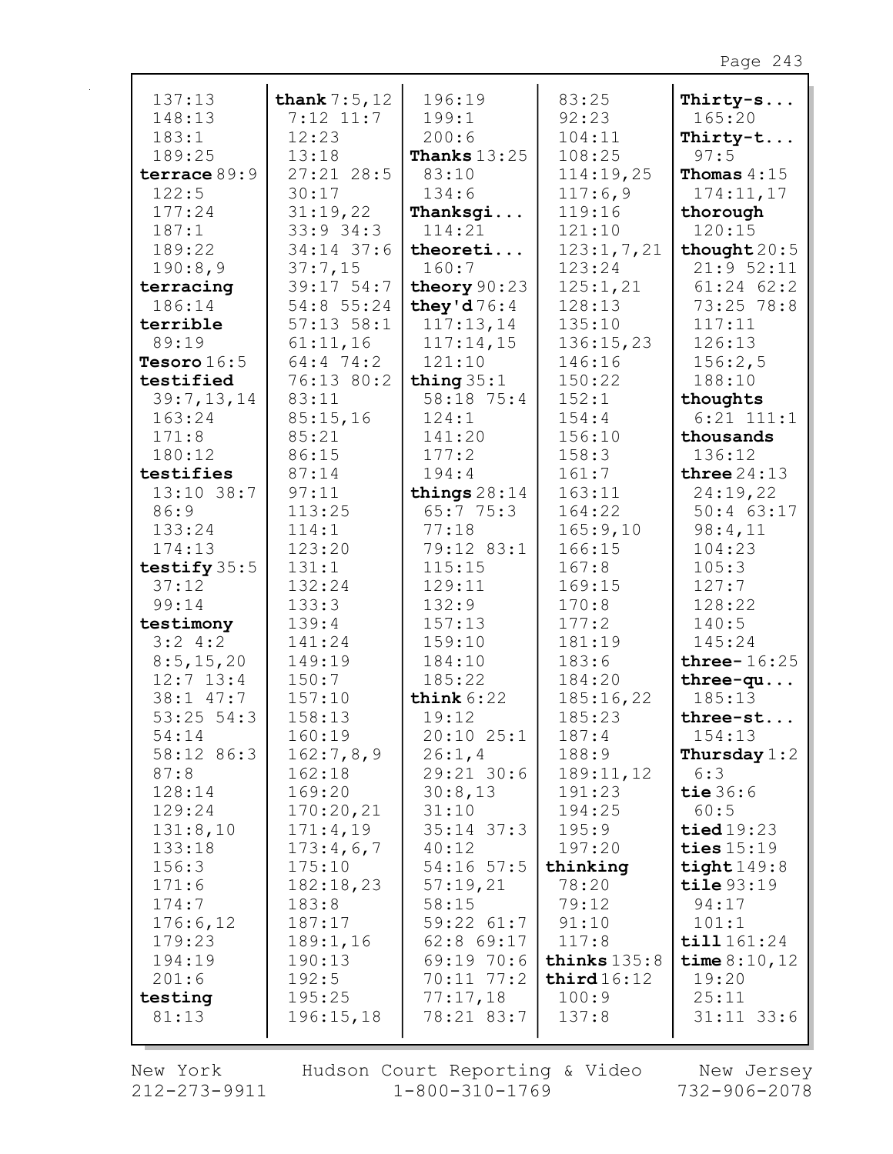| 137:13         | thank $7:5,12$ | 196:19         | 83:25          | Thirty-s              |
|----------------|----------------|----------------|----------------|-----------------------|
| 148:13         | $7:12$ 11:7    | 199:1          | 92:23          | 165:20                |
| 183:1          | 12:23          | 200:6          | 104:11         | Thirty-t              |
| 189:25         | 13:18          | Thanks $13:25$ | 108:25         | 97:5                  |
| terrace 89:9   | $27:21$ 28:5   | 83:10          | 114:19,25      | Thomas $4:15$         |
| 122:5          | 30:17          | 134:6          | 117:6,9        | 174:11,17             |
| 177:24         | 31:19,22       | Thanksgi       | 119:16         | thorough              |
| 187:1          | $33:9$ 34:3    | 114:21         | 121:10         | 120:15                |
| 189:22         | 34:14 37:6     | theoreti       | 123:1, 7, 21   | thought $20:5$        |
| 190:8,9        | 37:7,15        | 160:7          | 123:24         | 21:952:11             |
| terracing      | 39:17 54:7     | theory 90:23   | 125:1,21       | $61:24$ $62:2$        |
| 186:14         | 54:8 55:24     | they'd $76:4$  | 128:13         | 73:25 78:8            |
| terrible       | $57:13$ $58:1$ | 117:13,14      | 135:10         | 117:11                |
| 89:19          | 61:11,16       | 117:14,15      | 136:15,23      | 126:13                |
| Tesoro $16:5$  | 64:4 74:2      | 121:10         | 146:16         | 156:2,5               |
| testified      | 76:13 80:2     | thing $35:1$   | 150:22         | 188:10                |
| 39:7,13,14     | 83:11          | 58:18 75:4     | 152:1          | thoughts              |
| 163:24         | 85:15,16       | 124:1          | 154:4          | $6:21$ $111:1$        |
| 171:8          | 85:21          | 141:20         | 156:10         | thousands             |
| 180:12         | 86:15          | 177:2          | 158:3          | 136:12                |
| testifies      | 87:14          | 194:4          | 161:7          | three $24:13$         |
| 13:10 38:7     | 97:11          | things $28:14$ | 163:11         | 24:19,22              |
| 86:9           | 113:25         | 65:775:3       | 164:22         | $50:4$ 63:17          |
| 133:24         | 114:1          | 77:18          | 165:9,10       | 98:4,11               |
| 174:13         | 123:20         | 79:12 83:1     | 166:15         | 104:23                |
| testify $35:5$ | 131:1          | 115:15         | 167:8          | 105:3                 |
| 37:12          | 132:24         | 129:11         | 169:15         | 127:7                 |
| 99:14          | 133:3          | 132:9          | 170:8          | 128:22                |
| testimony      | 139:4          | 157:13         | 177:2          | 140:5                 |
| 3:24:2         | 141:24         | 159:10         | 181:19         | 145:24                |
| 8:5, 15, 20    | 149:19         | 184:10         | 183:6          | three- $16:25$        |
| $12:7$ $13:4$  | 150:7          | 185:22         | 184:20         | $three-qu$            |
| 38:1 47:7      | 157:10         | think $6:22$   | 185:16,22      | 185:13                |
| $53:25$ $54:3$ | 158:13         | 19:12          | 185:23         | three-st              |
| 54:14          | 160:19         | $20:10$ $25:1$ | 187:4          | 154:13                |
| 58:12 86:3     | 162:7,8,9      | 26:1, 4        | 188:9          | Thursday $1:2$        |
| 87:8           | 162:18         | $29:21$ 30:6   | 189:11,12      | 6:3                   |
| 128:14         | 169:20         | 30:8,13        | 191:23         | tie $36:6$            |
| 129:24         | 170:20,21      | 31:10          | 194:25         | 60:5                  |
| 131:8,10       | 171:4,19       | $35:14$ $37:3$ | 195:9          | $\texttt{tied}$ 19:23 |
| 133:18         | 173:4,6,7      | 40:12          | 197:20         | ties $15:19$          |
| 156:3          | 175:10         | $54:16$ 57:5   | thinking       | tight $149:8$         |
| 171:6          | 182:18,23      | 57:19,21       | 78:20          | $\texttt{tile}$ 93:19 |
| 174:7          | 183:8          | 58:15          | 79:12          | 94:17                 |
| 176:6,12       | 187:17         | $59:22$ $61:7$ | 91:10          | 101:1                 |
| 179:23         | 189:1,16       | 62:8 69:17     | 117:8          | till 161:24           |
| 194:19         | 190:13         | 69:1970:6      | thinks $135:8$ | time $8:10,12$        |
| 201:6          | 192:5          | $70:11$ $77:2$ | third16:12     | 19:20                 |
| testing        | 195:25         | 77:17,18       | 100:9          | 25:11                 |
| 81:13          | 196:15,18      | 78:21 83:7     | 137:8          | $31:11$ $33:6$        |
|                |                |                |                |                       |

New York  $212 - 273 - 9911$  Hudson Court Reporting & Video<br>1-800-310-1769

New Jersey<br>732-906-2078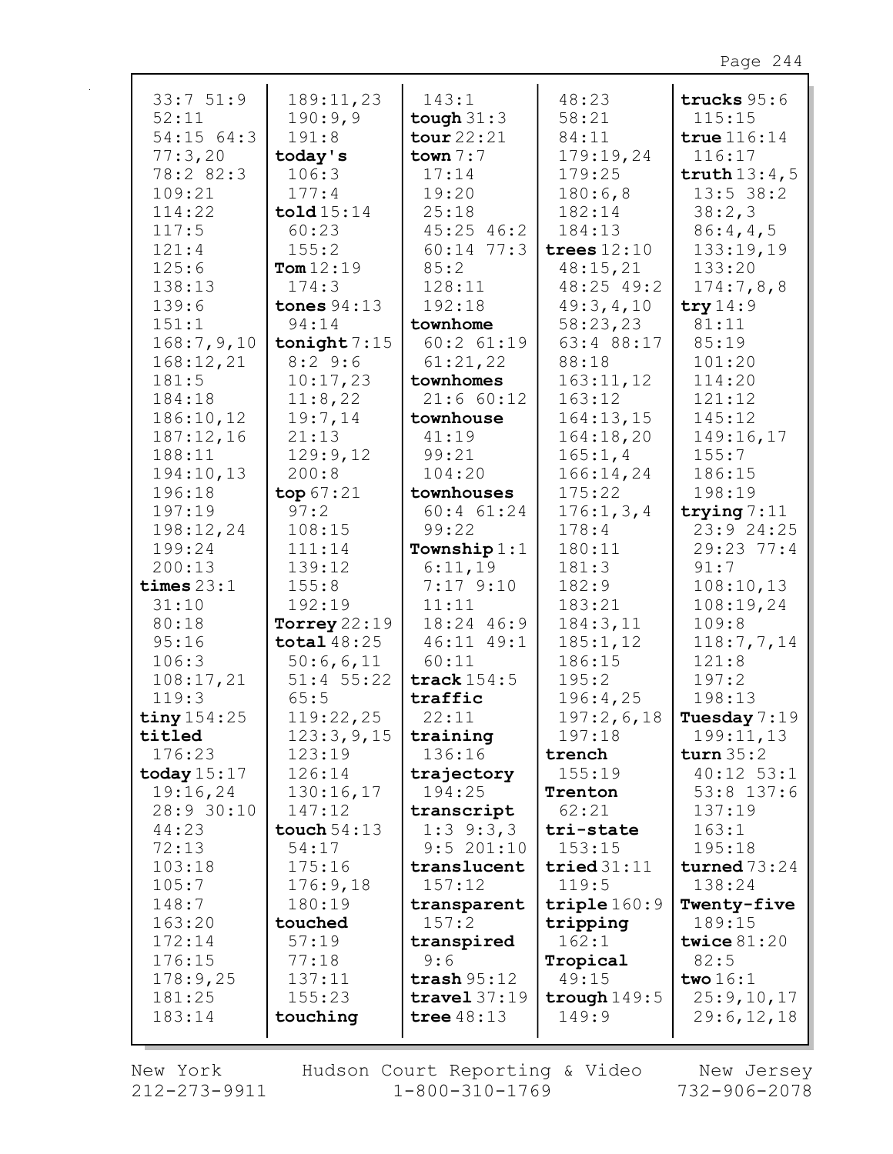| 33:751:9      | 189:11,23            | 143:1          | 48:23          | trucks $95:6$  |
|---------------|----------------------|----------------|----------------|----------------|
| 52:11         | 190:9,9              | tough $31:3$   | 58:21          | 115:15         |
| 54:15 64:3    | 191:8                | tour 22:21     | 84:11          | true $116:14$  |
| 77:3,20       | today's              | town $7:7$     | 179:19,24      | 116:17         |
| 78:2 82:3     | 106:3                | 17:14          | 179:25         | truth $13:4,5$ |
| 109:21        | 177:4                | 19:20          | 180:6,8        | $13:5$ 38:2    |
| 114:22        | $\texttt{told15:14}$ | 25:18          | 182:14         | 38:2,3         |
| 117:5         | 60:23                | $45:25$ $46:2$ | 184:13         | 86:4,4,5       |
| 121:4         | 155:2                | $60:14$ 77:3   | trees $12:10$  | 133:19,19      |
|               | Tom $12:19$          | 85:2           |                |                |
| 125:6         |                      |                | 48:15,21       | 133:20         |
| 138:13        | 174:3                | 128:11         | 48:25 49:2     | 174:7,8,8      |
| 139:6         | tones $94:13$        | 192:18         | 49:3,4,10      | try $14:9$     |
| 151:1         | 94:14                | townhome       | 58:23,23       | 81:11          |
| 168:7,9,10    | tonight $7:15$       | $60:2$ $61:19$ | 63:4 88:17     | 85:19          |
| 168:12,21     | 8:29:6               | 61:21,22       | 88:18          | 101:20         |
| 181:5         | 10:17,23             | townhomes      | 163:11,12      | 114:20         |
| 184:18        | 11:8,22              | 21:660:12      | 163:12         | 121:12         |
| 186:10,12     | 19:7,14              | townhouse      | 164:13,15      | 145:12         |
| 187:12,16     | 21:13                | 41:19          | 164:18,20      | 149:16,17      |
| 188:11        | 129:9,12             | 99:21          | 165:1,4        | 155:7          |
| 194:10,13     | 200:8                | 104:20         | 166:14,24      | 186:15         |
| 196:18        | top $67:21$          | townhouses     | 175:22         | 198:19         |
| 197:19        | 97:2                 | $60:4$ $61:24$ | 176:1, 3, 4    | trying $7:11$  |
| 198:12,24     | 108:15               | 99:22          | 178:4          | 23:9 24:25     |
| 199:24        | 111:14               | Township $1:1$ | 180:11         | 29:23 77:4     |
| 200:13        | 139:12               | 6:11,19        | 181:3          | 91:7           |
|               | 155:8                |                | 182:9          |                |
| times $23:1$  | 192:19               | $7:17$ $9:10$  | 183:21         | 108:10,13      |
| 31:10         |                      | 11:11          |                | 108:19,24      |
| 80:18         | Torrey $22:19$       | 18:24 46:9     | 184:3,11       | 109:8          |
| 95:16         | total $48:25$        | 46:11 49:1     | 185:1,12       | 118:7,7,14     |
| 106:3         | 50:6,6,11            | 60:11          | 186:15         | 121:8          |
| 108:17,21     | $51:4$ 55:22         | track $154:5$  | 195:2          | 197:2          |
| 119:3         | 65:5                 | traffic        | 196:4,25       | 198:13         |
| tiny 154:25   | 119:22,25            | 22:11          | 197:2,6,18     | Tuesday 7:19   |
| titled        | 123:3,9,15           | training       | 197:18         | 199:11,13      |
| 176:23        | 123:19               | 136:16         | trench         | turn 35:2      |
| today $15:17$ | 126:14               | trajectory     | 155:19         | $40:12$ 53:1   |
| 19:16,24      | 130:16,17            | 194:25         | Trenton        | $53:8$ 137:6   |
| 28:9 30:10    | 147:12               | transcript     | 62:21          | 137:19         |
| 44:23         | touch $54:13$        | $1:3$ 9:3,3    | tri-state      | 163:1          |
| 72:13         | 54:17                | 9:5 201:10     | 153:15         | 195:18         |
| 103:18        | 175:16               | translucent    | tried 31:11    | turned $73:24$ |
| 105:7         | 176:9,18             | 157:12         | 119:5          | 138:24         |
| 148:7         | 180:19               | transparent    | triple 160:9   | Twenty-five    |
| 163:20        | touched              | 157:2          | tripping       | 189:15         |
| 172:14        | 57:19                | transpired     | 162:1          | twice $81:20$  |
| 176:15        | 77:18                | 9:6            | Tropical       | 82:5           |
| 178:9,25      | 137:11               | trash $95:12$  | 49:15          | two $16:1$     |
| 181:25        | 155:23               | travel 37:19   | trough $149:5$ | 25:9,10,17     |
| 183:14        | touching             | tree $48:13$   | 149:9          | 29:6,12,18     |
|               |                      |                |                |                |
|               |                      |                |                |                |

New York  $212 - 273 - 9911$  Hudson Court Reporting & Video  $1 - 800 - 310 - 1769$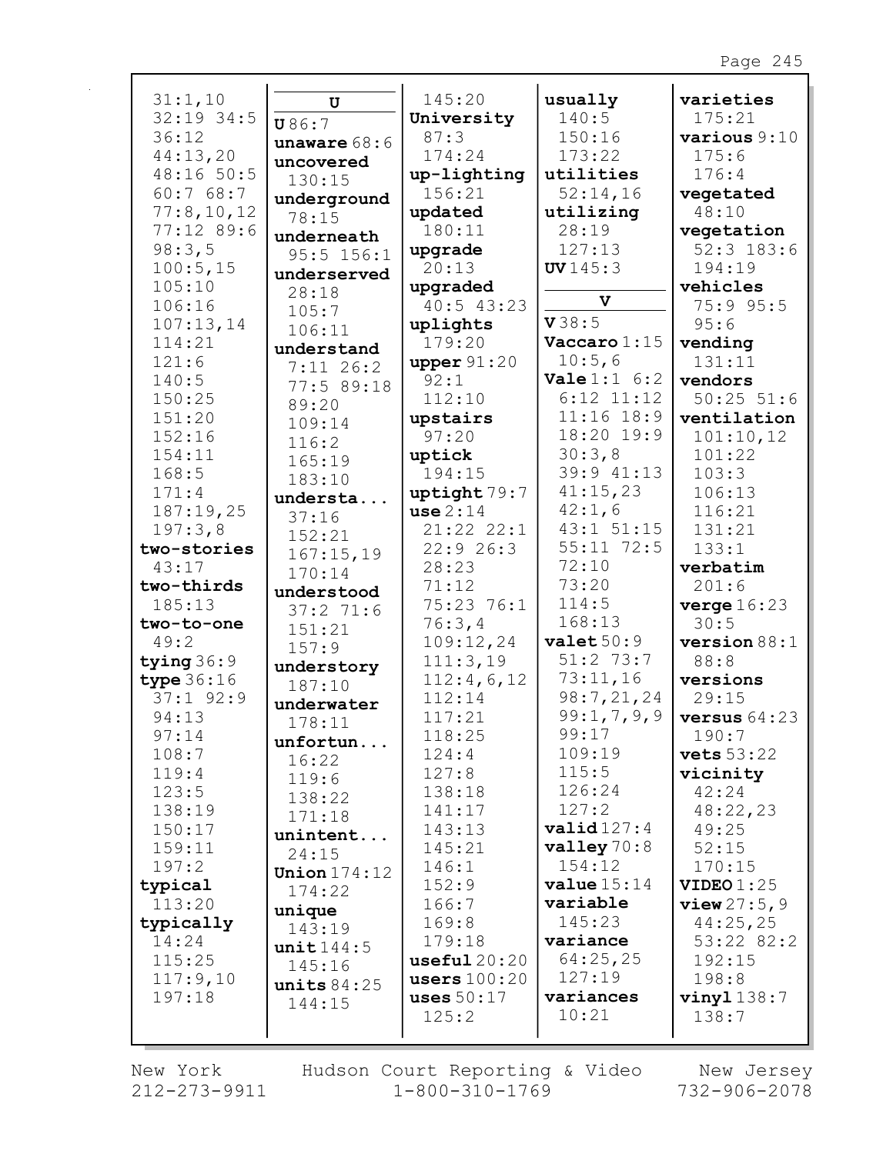| 31:1,10      | U              | 145:20         | usually               | varieties         |
|--------------|----------------|----------------|-----------------------|-------------------|
| $32:19$ 34:5 | U86:7          | University     | 140:5                 | 175:21            |
| 36:12        | unaware $68:6$ | 87:3           | 150:16                | various 9:10      |
| 44:13,20     | uncovered      | 174:24         | 173:22                | 175:6             |
| 48:16 50:5   | 130:15         | up-lighting    | utilities             | 176:4             |
| 60:768:7     | underground    | 156:21         | 52:14,16              | vegetated         |
| 77:8,10,12   | 78:15          | updated        | utilizing             | 48:10             |
| 77:12 89:6   | underneath     | 180:11         | 28:19                 | vegetation        |
| 98:3,5       | $95:5$ 156:1   | upgrade        | 127:13                | $52:3$ 183:6      |
| 100:5, 15    | underserved    | 20:13          | UV145:3               | 194:19            |
| 105:10       | 28:18          | upgraded       |                       | vehicles          |
| 106:16       | 105:7          | $40:5$ 43:23   | V                     | 75:9 95:5         |
| 107:13,14    | 106:11         | uplights       | V38:5                 | 95:6              |
| 114:21       | understand     | 179:20         | Vaccaro 1:15          | vending           |
| 121:6        |                | upper $91:20$  | 10:5,6                | 131:11            |
| 140:5        | $7:11$ 26:2    | 92:1           | <b>Vale</b> $1:1$ 6:2 | vendors           |
| 150:25       | 77:5 89:18     | 112:10         | $6:12$ $11:12$        | $50:25$ $51:6$    |
| 151:20       | 89:20          | upstairs       | $11:16$ $18:9$        | ventilation       |
| 152:16       | 109:14         | 97:20          | 18:20 19:9            | 101:10,12         |
| 154:11       | 116:2          | uptick         | 30:3,8                | 101:22            |
| 168:5        | 165:19         | 194:15         | 39:9 41:13            | 103:3             |
| 171:4        | 183:10         |                | 41:15,23              | 106:13            |
|              | understa       | uptight 79:7   | 42:1,6                |                   |
| 187:19,25    | 37:16          | use 2:14       | 43:1 51:15            | 116:21            |
| 197:3,8      | 152:21         | 21:22 22:1     |                       | 131:21            |
| two-stories  | 167:15,19      | 22:926:3       | $55:11$ 72:5          | 133:1             |
| 43:17        | 170:14         | 28:23          | 72:10                 | verbatim          |
| two-thirds   | understood     | 71:12          | 73:20                 | 201:6             |
| 185:13       | 37:271:6       | 75:23 76:1     | 114:5                 | verge 16:23       |
| two-to-one   | 151:21         | 76:3,4         | 168:13                | 30:5              |
| 49:2         | 157:9          | 109:12,24      | valuet50:9            | version 88:1      |
| tying $36:9$ | understory     | 111:3,19       | $51:2$ 73:7           | 88:8              |
| type $36:16$ | 187:10         | 112:4,6,12     | 73:11,16              | versions          |
| $37:1$ 92:9  | underwater     | 112:14         | 98:7,21,24            | 29:15             |
| 94:13        | 178:11         | 117:21         | 99:1,7,9,9            | versus $64:23$    |
| 97:14        | unfortun       | 118:25         | 99:17                 | 190:7             |
| 108:7        | 16:22          | 124:4          | 109:19                | <b>vets</b> 53:22 |
| 119:4        | 119:6          | 127:8          | 115:5                 | vicinity          |
| 123:5        | 138:22         | 138:18         | 126:24                | 42:24             |
| 138:19       | 171:18         | 141:17         | 127:2                 | 48:22,23          |
| 150:17       | unintent       | 143:13         | valid127:4            | 49:25             |
| 159:11       | 24:15          | 145:21         | valley $70:8$         | 52:15             |
| 197:2        | Union $174:12$ | 146:1          | 154:12                | 170:15            |
| typical      | 174:22         | 152:9          | value 15:14           | VIDEO $1:25$      |
| 113:20       | unique         | 166:7          | variable              | $view\,27:5,9$    |
| typically    | 143:19         | 169:8          | 145:23                | 44:25,25          |
| 14:24        | unit144:5      | 179:18         | variance              | 53:22 82:2        |
| 115:25       | 145:16         | useful20:20    | 64:25,25              | 192:15            |
| 117:9,10     | units $84:25$  | users $100:20$ | 127:19                | 198:8             |
| 197:18       | 144:15         | uses $50:17$   | variances             | $vinyl$ 138:7     |
|              |                | 125:2          | 10:21                 | 138:7             |
|              |                |                |                       |                   |

New York  $212 - 273 - 9911$  Hudson Court Reporting & Video<br>1-800-310-1769

New Jersey<br>732-906-2078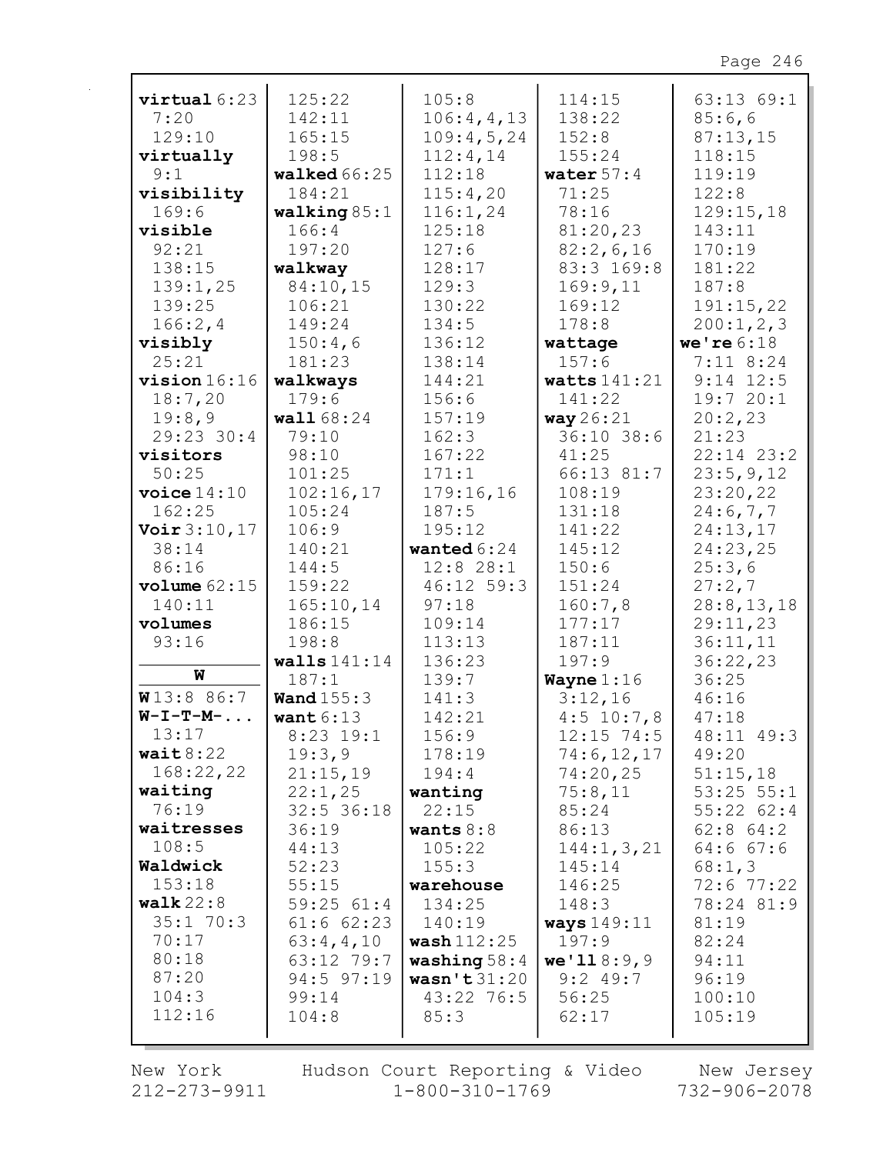| virtual 6:23           | 125:22         | 105:8          | 114:15         | 63:13 69:1     |
|------------------------|----------------|----------------|----------------|----------------|
| 7:20                   | 142:11         | 106:4,4,13     | 138:22         | 85:6,6         |
| 129:10                 | 165:15         | 109:4,5,24     | 152:8          | 87:13,15       |
| virtually              | 198:5          | 112:4,14       | 155:24         | 118:15         |
| 9:1                    | walked $66:25$ | 112:18         | water $57:4$   | 119:19         |
| visibility             | 184:21         | 115:4,20       | 71:25          | 122:8          |
| 169:6                  | walking $85:1$ | 116:1,24       | 78:16          | 129:15,18      |
| visible                | 166:4          | 125:18         | 81:20,23       | 143:11         |
| 92:21                  | 197:20         | 127:6          | 82:2,6,16      | 170:19         |
| 138:15                 | walkway        | 128:17         | 83:3 169:8     | 181:22         |
| 139:1,25               | 84:10,15       | 129:3          | 169:9,11       | 187:8          |
| 139:25                 | 106:21         | 130:22         | 169:12         | 191:15,22      |
| 166:2,4                | 149:24         | 134:5          | 178:8          | 200:1, 2, 3    |
| visibly                | 150:4,6        | 136:12         | wattage        | we're $6:18$   |
| 25:21                  | 181:23         | 138:14         | 157:6          | $7:11$ 8:24    |
| $vision 16:16$         | walkways       | 144:21         | watts $141:21$ | $9:14$ 12:5    |
| 18:7,20                | 179:6          | 156:6          | 141:22         | 19:720:1       |
| 19:8,9                 | wall 68:24     | 157:19         | way 26:21      | 20:2,23        |
| 29:23 30:4             | 79:10          | 162:3          | 36:10 38:6     | 21:23          |
| visitors               | 98:10          | 167:22         | 41:25          | $22:14$ $23:2$ |
| 50:25                  | 101:25         | 171:1          | 66:13 81:7     | 23:5,9,12      |
| $\texttt{voice} 14:10$ | 102:16,17      | 179:16,16      | 108:19         | 23:20,22       |
| 162:25                 | 105:24         | 187:5          | 131:18         | 24:6,7,7       |
| Voir 3:10, 17          | 106:9          | 195:12         | 141:22         | 24:13,17       |
| 38:14                  | 140:21         | wanted $6:24$  | 145:12         | 24:23,25       |
| 86:16                  | 144:5          | 12:8 28:1      | 150:6          | 25:3,6         |
| volume $62:15$         | 159:22         | 46:12 59:3     | 151:24         | 27:2,7         |
| 140:11                 | 165:10,14      | 97:18          | 160:7,8        | 28:8, 13, 18   |
| volumes                | 186:15         | 109:14         | 177:17         | 29:11,23       |
| 93:16                  | 198:8          | 113:13         | 187:11         | 36:11,11       |
|                        | walls $141:14$ | 136:23         | 197:9          | 36:22,23       |
| W                      | 187:1          | 139:7          | Wayne $1:16$   | 36:25          |
| W13:886:7              | Wand $155:3$   | 141:3          | 3:12,16        | 46:16          |
| $W-I-T-M-$             | want $6:13$    | 142:21         | $4:5$ 10:7,8   | 47:18          |
| 13:17                  | $8:23$ 19:1    | 156:9          | $12:15$ 74:5   | 48:11 49:3     |
| wait $8:22$            | 19:3,9         | 178:19         | 74:6,12,17     | 49:20          |
| 168:22,22              | 21:15,19       | 194:4          | 74:20,25       | 51:15,18       |
| waiting                | 22:1,25        | wanting        | 75:8,11        | $53:25$ $55:1$ |
| 76:19                  | $32:5$ 36:18   | 22:15          | 85:24          | 55:22 62:4     |
| waitresses             | 36:19          | wants $8:8$    | 86:13          | $62:8$ $64:2$  |
| 108:5                  | 44:13          | 105:22         | 144:1, 3, 21   | 64:667:6       |
| Waldwick               | 52:23          | 155:3          | 145:14         | 68:1,3         |
| 153:18                 | 55:15          | warehouse      | 146:25         | $72:6$ $77:22$ |
| walk $22:8$            | 59:2561:4      | 134:25         | 148:3          | 78:24 81:9     |
| 35:170:3               | $61:6$ $62:23$ | 140:19         | ways 149:11    | 81:19          |
| 70:17                  | 63:4,4,10      | wash $112:25$  | 197:9          | 82:24          |
| 80:18                  | 63:12 79:7     | washing $58:4$ | we'118:9,9     | 94:11          |
| 87:20                  | 94:5 97:19     | wasn't31:20    | $9:2$ 49:7     | 96:19          |
| 104:3                  | 99:14          | 43:22 76:5     | 56:25          | 100:10         |
| 112:16                 | 104:8          | 85:3           | 62:17          | 105:19         |
|                        |                |                |                |                |

New York Hudson Court Reporting & Video New Jersey<br>212-273-9911 1-800-310-1769 732-906-2078 Hudson Court Reporting & Video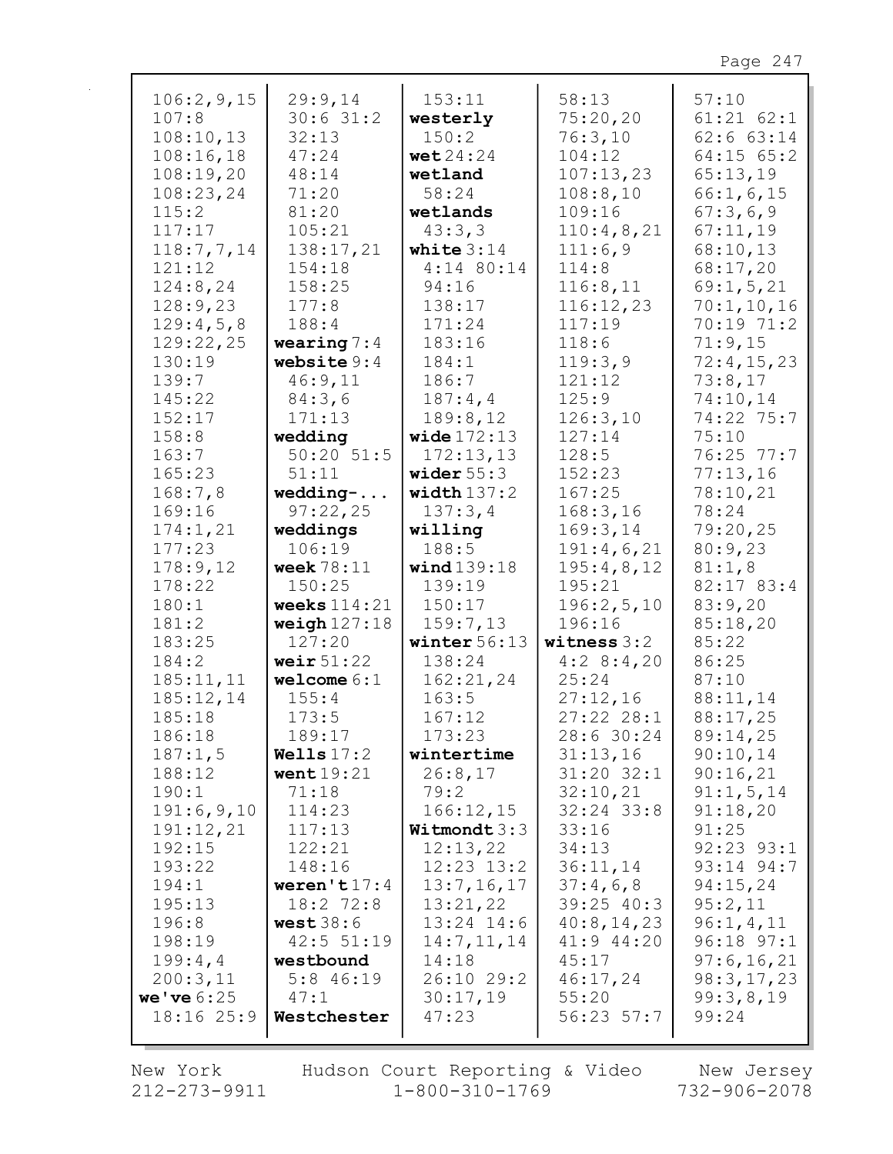| 106:2,9,15<br>107:8    | 29:9,14<br>30:631:2      | 153:11<br>westerly           | 58:13<br>75:20,20      | 57:10<br>$61:21$ $62:1$          |
|------------------------|--------------------------|------------------------------|------------------------|----------------------------------|
| 108:10,13<br>108:16,18 | 32:13<br>47:24           | 150:2<br>wet $24:24$         | 76:3,10<br>104:12      | $62:6$ $63:14$<br>$64:15$ $65:2$ |
| 108:19,20              | 48:14                    | wetland                      | 107:13,23              | 65:13,19                         |
| 108:23,24              | 71:20                    | 58:24                        | 108:8,10               | 66:1, 6, 15                      |
| 115:2                  | 81:20                    | wetlands                     | 109:16                 | 67:3,6,9                         |
| 117:17                 | 105:21                   | 43:3,3                       | 110:4,8,21             | 67:11,19                         |
| 118:7,7,14             | 138:17,21                | white $3:14$                 | 111:6,9                | 68:10,13                         |
| 121:12                 | 154:18                   | $4:14$ 80:14                 | 114:8                  | 68:17,20                         |
| 124:8,24               | 158:25                   | 94:16                        | 116:8,11               | 69:1, 5, 21                      |
| 128:9,23               | 177:8                    | 138:17                       | 116:12,23              | 70:1,10,16                       |
| 129:4,5,8              | 188:4                    | 171:24                       | 117:19                 | 70:19 71:2                       |
| 129:22,25              | wearing $7:4$            | 183:16                       | 118:6                  | 71:9,15                          |
| 130:19                 | website $9:4$            | 184:1                        | 119:3,9                | 72:4,15,23                       |
| 139:7                  | 46:9,11                  | 186:7                        | 121:12                 | 73:8,17                          |
| 145:22                 | 84:3,6                   | 187:4,4                      | 125:9                  | 74:10,14                         |
| 152:17                 | 171:13                   | 189:8,12                     | 126:3,10               | 74:22 75:7                       |
| 158:8                  | wedding                  | wide $172:13$                | 127:14                 | 75:10                            |
| 163:7                  | $50:20$ $51:5$           | 172:13,13                    | 128:5                  | 76:25 77:7                       |
| 165:23                 | 51:11                    | wider $55:3$                 | 152:23                 | 77:13,16                         |
| 168:7,8                | $w$ edding-              | width $137:2$                | 167:25                 | 78:10,21                         |
| 169:16                 | 97:22,25                 | 137:3,4                      | 168:3,16               | 78:24                            |
| 174:1,21<br>177:23     | weddings<br>106:19       | willing<br>188:5             | 169:3,14<br>191:4,6,21 | 79:20,25<br>80:9,23              |
| 178:9,12               | week $78:11$             | wind $139:18$                | 195:4,8,12             | 81:1,8                           |
| 178:22                 | 150:25                   | 139:19                       | 195:21                 | 82:17 83:4                       |
| 180:1                  | weeks $114:21$           | 150:17                       | 196:2,5,10             | 83:9,20                          |
| 181:2                  | weigh $127:18$           | 159:7,13                     | 196:16                 | 85:18,20                         |
| 183:25                 | 127:20                   | winter $56:13$               | witness 3:2            | 85:22                            |
| 184:2                  | weir $51:22$             | 138:24                       | 4:28:4,20              | 86:25                            |
| 185:11,11              | $w$ elcome $6:1$         | 162:21,24                    | 25:24                  | 87:10                            |
| 185:12,14              | 155:4                    | 163:5                        | 27:12,16               | 88:11,14                         |
| 185:18                 | 173:5                    | 167:12                       | 27:222:38:1            | 88:17,25                         |
| 186:18                 | 189:17                   | 173:23                       | 28:6 30:24             | 89:14,25                         |
| 187:1,5                | Wells $17:2$             | wintertime                   | 31:13,16               | 90:10,14                         |
| 188:12                 | went $19:21$             | 26:8,17                      | $31:20$ $32:1$         | 90:16,21                         |
| 190:1                  | 71:18                    | 79:2                         | 32:10,21               | 91:1,5,14                        |
| 191:6,9,10             | 114:23                   | 166:12,15                    | $32:24$ 33:8           | 91:18,20                         |
| 191:12,21              | 117:13                   | Witmondt $3:3$               | 33:16                  | 91:25                            |
| 192:15                 | 122:21                   | 12:13,22                     | 34:13                  | $92:23$ $93:1$                   |
| 193:22<br>194:1        | 148:16<br>weren't $17:4$ | $12:23$ $13:2$<br>13:7,16,17 | 36:11,14<br>37:4,6,8   | 93:14 94:7<br>94:15,24           |
| 195:13                 | $18:2$ 72:8              | 13:21,22                     | $39:25$ 40:3           | 95:2,11                          |
| 196:8                  | west38:6                 | $13:24$ $14:6$               | 40:8,14,23             | 96:1, 4, 11                      |
| 198:19                 | 42:5 51:19               | 14:7, 11, 14                 | 41:9 44:20             | $96:18$ $97:1$                   |
| 199:4,4                | westbound                | 14:18                        | 45:17                  | 97:6,16,21                       |
| 200:3,11               | $5:8$ 46:19              | 26:10 29:2                   | 46:17,24               | 98:3,17,23                       |
| we've $6:25$           | 47:1                     | 30:17,19                     | 55:20                  | 99:3,8,19                        |
| 18:16 25:9             | Westchester              | 47:23                        | $56:23$ $57:7$         | 99:24                            |
|                        |                          |                              |                        |                                  |

New York  $212 - 273 - 9911$ 

 $\mathbf{r}$ 

Hudson Court Reporting & Video<br>1-800-310-1769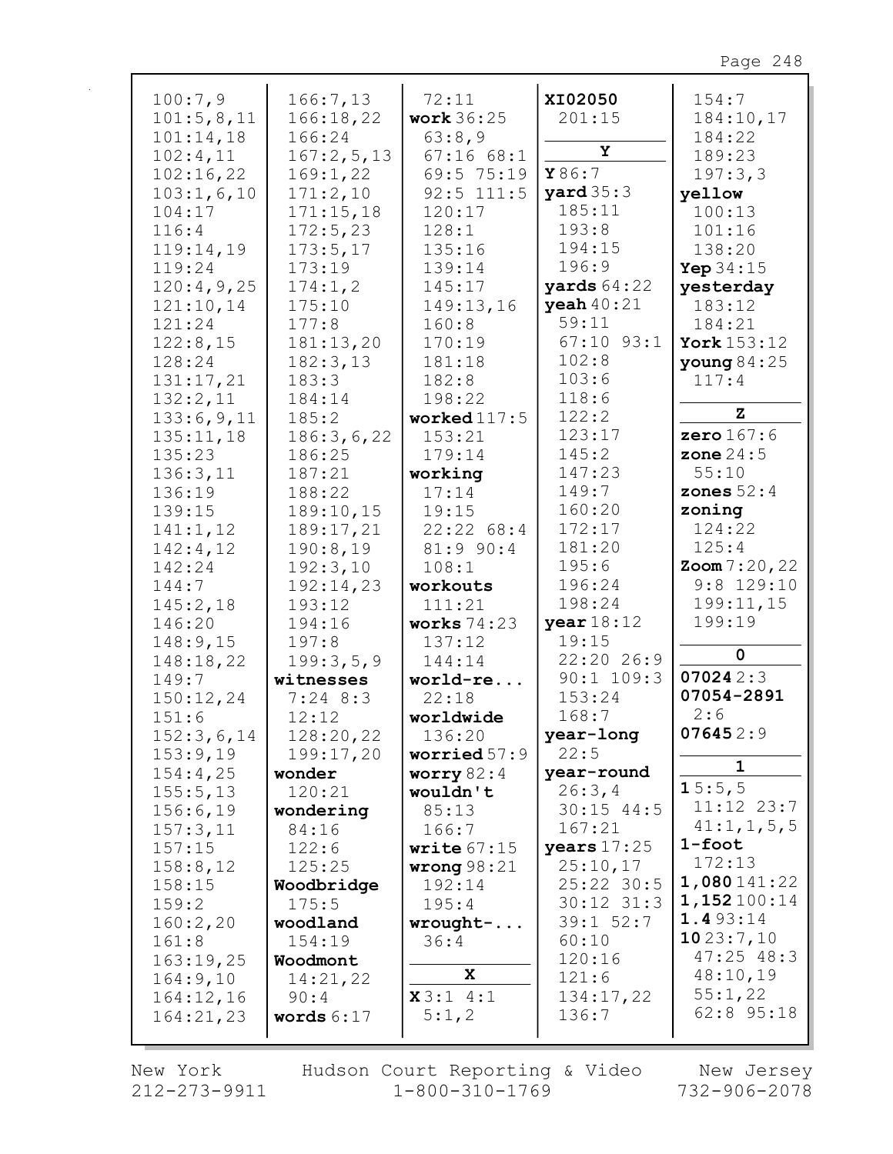| Z<br>122:2<br>133:6,9,11<br>185:2<br>worked $117:5$<br>123:17<br>zero $167:6$<br>186:3,6,22<br>153:21<br>135:11,18<br>145:2<br>zone $24:5$<br>135:23<br>179:14<br>186:25<br>147:23<br>55:10<br>136:3,11<br>187:21<br>working<br>149:7<br>zones $52:4$<br>17:14<br>136:19<br>188:22<br>160:20<br>zoning<br>139:15<br>189:10,15<br>19:15<br>172:17<br>124:22<br>141:1,12<br>189:17,21<br>22:2268:4<br>181:20<br>125:4<br>190:8,19<br>142:4,12<br>$81:9$ 90:4<br>195:6<br>$\text{Zoom } 7:20,22$<br>142:24<br>192:3,10<br>108:1<br>$9:8$ 129:10<br>196:24<br>192:14,23<br>144:7<br>workouts<br>198:24<br>199:11,15<br>145:2,18<br>193:12<br>111:21<br>year $18:12$<br>199:19<br>194:16<br>works $74:23$<br>146:20<br>19:15<br>148:9,15<br>197:8<br>137:12<br>0<br>22:20 26:9<br>148:18,22<br>199:3,5,9<br>144:14<br>070242:3<br>$90:1$ 109:3<br>149:7<br>witnesses<br>world-re<br>07054-2891<br>153:24<br>150:12,24<br>$7:24$ 8:3<br>22:18<br>2:6<br>168:7<br>12:12<br>151:6<br>worldwide<br>076452:9<br>152:3,6,14<br>128:20,22<br>136:20<br>year-long<br>22:5<br>199:17,20<br>153:9,19<br>worried $57:9$<br>$\mathbf{1}$<br>year-round<br>154:4,25<br>worry $82:4$<br>wonder<br>15:5,5<br>26:3,4<br>155:5,13<br>120:21<br>wouldn't<br>$11:12$ $23:7$<br>$30:15$ 44:5<br>156:6,19<br>85:13<br>wondering<br>41:1, 1, 5, 5<br>167:21<br>157:3,11<br>84:16<br>166:7<br>$1$ -foot<br>years $17:25$<br>157:15<br>write $67:15$<br>122:6<br>172:13<br>25:10,17<br>158:8,12<br>125:25<br>wrong $98:21$<br>1,080141:22<br>25:22 30:5<br>158:15<br>192:14<br>Woodbridge<br>1,152100:14<br>$30:12$ $31:3$<br>175:5<br>195:4<br>159:2<br>1.493:14<br>39:1 52:7<br>160:2,20<br>woodland<br>$wrought-.$<br>1023:7,10<br>60:10<br>154:19<br>36:4<br>161:8<br>$47:25$ $48:3$<br>120:16<br>163:19,25<br>Woodmont<br>X<br>48:10,19<br>121:6<br>164:9,10<br>14:21,22<br>55:1,22<br>x3:14:1<br>134:17,22<br>164:12,16<br>90:4<br>62:8 95:18<br>5:1,2<br>136:7<br>words $6:17$<br>164:21,23 | 100:7,9<br>101:5,8,11<br>101:14,18<br>102:4,11<br>102:16,22<br>103:1,6,10<br>104:17<br>116:4<br>119:14,19<br>119:24<br>120:4,9,25<br>121:10,14<br>121:24<br>122:8,15<br>128:24<br>131:17,21<br>132:2,11 | 166:7,13<br>166:18,22<br>166:24<br>167:2,5,13<br>169:1,22<br>171:2,10<br>171:15,18<br>172:5,23<br>173:5,17<br>173:19<br>174:1,2<br>175:10<br>177:8<br>181:13,20<br>182:3,13<br>183:3<br>184:14 | 72:11<br><b>work</b> 36:25<br>63:8,9<br>67:1668:1<br>69:5 75:19<br>$92:5$ 111:5<br>120:17<br>128:1<br>135:16<br>139:14<br>145:17<br>149:13,16<br>160:8<br>170:19<br>181:18<br>182:8<br>198:22 | XI02050<br>201:15<br>Υ<br>Y86:7<br>yard $35:3$<br>185:11<br>193:8<br>194:15<br>196:9<br>yards $64:22$<br>yeah $40:21$<br>59:11<br>$67:10$ $93:1$<br>102:8<br>103:6<br>118:6 | 154:7<br>184:10,17<br>184:22<br>189:23<br>197:3,3<br>yellow<br>100:13<br>101:16<br>138:20<br>Yep $34:15$<br>yesterday<br>183:12<br>184:21<br>York 153:12<br>young $84:25$<br>117:4 |
|-----------------------------------------------------------------------------------------------------------------------------------------------------------------------------------------------------------------------------------------------------------------------------------------------------------------------------------------------------------------------------------------------------------------------------------------------------------------------------------------------------------------------------------------------------------------------------------------------------------------------------------------------------------------------------------------------------------------------------------------------------------------------------------------------------------------------------------------------------------------------------------------------------------------------------------------------------------------------------------------------------------------------------------------------------------------------------------------------------------------------------------------------------------------------------------------------------------------------------------------------------------------------------------------------------------------------------------------------------------------------------------------------------------------------------------------------------------------------------------------------------------------------------------------------------------------------------------------------------------------------------------------------------------------------------------------------------------------------------------------------------------------------------------------------------------------------------------------------------------------------------------------------------------------------------------------------------------------------|---------------------------------------------------------------------------------------------------------------------------------------------------------------------------------------------------------|------------------------------------------------------------------------------------------------------------------------------------------------------------------------------------------------|-----------------------------------------------------------------------------------------------------------------------------------------------------------------------------------------------|-----------------------------------------------------------------------------------------------------------------------------------------------------------------------------|------------------------------------------------------------------------------------------------------------------------------------------------------------------------------------|
|                                                                                                                                                                                                                                                                                                                                                                                                                                                                                                                                                                                                                                                                                                                                                                                                                                                                                                                                                                                                                                                                                                                                                                                                                                                                                                                                                                                                                                                                                                                                                                                                                                                                                                                                                                                                                                                                                                                                                                       |                                                                                                                                                                                                         |                                                                                                                                                                                                |                                                                                                                                                                                               |                                                                                                                                                                             |                                                                                                                                                                                    |
|                                                                                                                                                                                                                                                                                                                                                                                                                                                                                                                                                                                                                                                                                                                                                                                                                                                                                                                                                                                                                                                                                                                                                                                                                                                                                                                                                                                                                                                                                                                                                                                                                                                                                                                                                                                                                                                                                                                                                                       |                                                                                                                                                                                                         |                                                                                                                                                                                                |                                                                                                                                                                                               |                                                                                                                                                                             |                                                                                                                                                                                    |
|                                                                                                                                                                                                                                                                                                                                                                                                                                                                                                                                                                                                                                                                                                                                                                                                                                                                                                                                                                                                                                                                                                                                                                                                                                                                                                                                                                                                                                                                                                                                                                                                                                                                                                                                                                                                                                                                                                                                                                       |                                                                                                                                                                                                         |                                                                                                                                                                                                |                                                                                                                                                                                               |                                                                                                                                                                             |                                                                                                                                                                                    |
|                                                                                                                                                                                                                                                                                                                                                                                                                                                                                                                                                                                                                                                                                                                                                                                                                                                                                                                                                                                                                                                                                                                                                                                                                                                                                                                                                                                                                                                                                                                                                                                                                                                                                                                                                                                                                                                                                                                                                                       |                                                                                                                                                                                                         |                                                                                                                                                                                                |                                                                                                                                                                                               |                                                                                                                                                                             |                                                                                                                                                                                    |
|                                                                                                                                                                                                                                                                                                                                                                                                                                                                                                                                                                                                                                                                                                                                                                                                                                                                                                                                                                                                                                                                                                                                                                                                                                                                                                                                                                                                                                                                                                                                                                                                                                                                                                                                                                                                                                                                                                                                                                       |                                                                                                                                                                                                         |                                                                                                                                                                                                |                                                                                                                                                                                               |                                                                                                                                                                             |                                                                                                                                                                                    |
|                                                                                                                                                                                                                                                                                                                                                                                                                                                                                                                                                                                                                                                                                                                                                                                                                                                                                                                                                                                                                                                                                                                                                                                                                                                                                                                                                                                                                                                                                                                                                                                                                                                                                                                                                                                                                                                                                                                                                                       |                                                                                                                                                                                                         |                                                                                                                                                                                                |                                                                                                                                                                                               |                                                                                                                                                                             |                                                                                                                                                                                    |
|                                                                                                                                                                                                                                                                                                                                                                                                                                                                                                                                                                                                                                                                                                                                                                                                                                                                                                                                                                                                                                                                                                                                                                                                                                                                                                                                                                                                                                                                                                                                                                                                                                                                                                                                                                                                                                                                                                                                                                       |                                                                                                                                                                                                         |                                                                                                                                                                                                |                                                                                                                                                                                               |                                                                                                                                                                             |                                                                                                                                                                                    |
|                                                                                                                                                                                                                                                                                                                                                                                                                                                                                                                                                                                                                                                                                                                                                                                                                                                                                                                                                                                                                                                                                                                                                                                                                                                                                                                                                                                                                                                                                                                                                                                                                                                                                                                                                                                                                                                                                                                                                                       |                                                                                                                                                                                                         |                                                                                                                                                                                                |                                                                                                                                                                                               |                                                                                                                                                                             |                                                                                                                                                                                    |
|                                                                                                                                                                                                                                                                                                                                                                                                                                                                                                                                                                                                                                                                                                                                                                                                                                                                                                                                                                                                                                                                                                                                                                                                                                                                                                                                                                                                                                                                                                                                                                                                                                                                                                                                                                                                                                                                                                                                                                       |                                                                                                                                                                                                         |                                                                                                                                                                                                |                                                                                                                                                                                               |                                                                                                                                                                             |                                                                                                                                                                                    |
|                                                                                                                                                                                                                                                                                                                                                                                                                                                                                                                                                                                                                                                                                                                                                                                                                                                                                                                                                                                                                                                                                                                                                                                                                                                                                                                                                                                                                                                                                                                                                                                                                                                                                                                                                                                                                                                                                                                                                                       |                                                                                                                                                                                                         |                                                                                                                                                                                                |                                                                                                                                                                                               |                                                                                                                                                                             |                                                                                                                                                                                    |
|                                                                                                                                                                                                                                                                                                                                                                                                                                                                                                                                                                                                                                                                                                                                                                                                                                                                                                                                                                                                                                                                                                                                                                                                                                                                                                                                                                                                                                                                                                                                                                                                                                                                                                                                                                                                                                                                                                                                                                       |                                                                                                                                                                                                         |                                                                                                                                                                                                |                                                                                                                                                                                               |                                                                                                                                                                             |                                                                                                                                                                                    |
|                                                                                                                                                                                                                                                                                                                                                                                                                                                                                                                                                                                                                                                                                                                                                                                                                                                                                                                                                                                                                                                                                                                                                                                                                                                                                                                                                                                                                                                                                                                                                                                                                                                                                                                                                                                                                                                                                                                                                                       |                                                                                                                                                                                                         |                                                                                                                                                                                                |                                                                                                                                                                                               |                                                                                                                                                                             |                                                                                                                                                                                    |
|                                                                                                                                                                                                                                                                                                                                                                                                                                                                                                                                                                                                                                                                                                                                                                                                                                                                                                                                                                                                                                                                                                                                                                                                                                                                                                                                                                                                                                                                                                                                                                                                                                                                                                                                                                                                                                                                                                                                                                       |                                                                                                                                                                                                         |                                                                                                                                                                                                |                                                                                                                                                                                               |                                                                                                                                                                             |                                                                                                                                                                                    |
|                                                                                                                                                                                                                                                                                                                                                                                                                                                                                                                                                                                                                                                                                                                                                                                                                                                                                                                                                                                                                                                                                                                                                                                                                                                                                                                                                                                                                                                                                                                                                                                                                                                                                                                                                                                                                                                                                                                                                                       |                                                                                                                                                                                                         |                                                                                                                                                                                                |                                                                                                                                                                                               |                                                                                                                                                                             |                                                                                                                                                                                    |
|                                                                                                                                                                                                                                                                                                                                                                                                                                                                                                                                                                                                                                                                                                                                                                                                                                                                                                                                                                                                                                                                                                                                                                                                                                                                                                                                                                                                                                                                                                                                                                                                                                                                                                                                                                                                                                                                                                                                                                       |                                                                                                                                                                                                         |                                                                                                                                                                                                |                                                                                                                                                                                               |                                                                                                                                                                             |                                                                                                                                                                                    |
|                                                                                                                                                                                                                                                                                                                                                                                                                                                                                                                                                                                                                                                                                                                                                                                                                                                                                                                                                                                                                                                                                                                                                                                                                                                                                                                                                                                                                                                                                                                                                                                                                                                                                                                                                                                                                                                                                                                                                                       |                                                                                                                                                                                                         |                                                                                                                                                                                                |                                                                                                                                                                                               |                                                                                                                                                                             |                                                                                                                                                                                    |
|                                                                                                                                                                                                                                                                                                                                                                                                                                                                                                                                                                                                                                                                                                                                                                                                                                                                                                                                                                                                                                                                                                                                                                                                                                                                                                                                                                                                                                                                                                                                                                                                                                                                                                                                                                                                                                                                                                                                                                       |                                                                                                                                                                                                         |                                                                                                                                                                                                |                                                                                                                                                                                               |                                                                                                                                                                             |                                                                                                                                                                                    |
|                                                                                                                                                                                                                                                                                                                                                                                                                                                                                                                                                                                                                                                                                                                                                                                                                                                                                                                                                                                                                                                                                                                                                                                                                                                                                                                                                                                                                                                                                                                                                                                                                                                                                                                                                                                                                                                                                                                                                                       |                                                                                                                                                                                                         |                                                                                                                                                                                                |                                                                                                                                                                                               |                                                                                                                                                                             |                                                                                                                                                                                    |
|                                                                                                                                                                                                                                                                                                                                                                                                                                                                                                                                                                                                                                                                                                                                                                                                                                                                                                                                                                                                                                                                                                                                                                                                                                                                                                                                                                                                                                                                                                                                                                                                                                                                                                                                                                                                                                                                                                                                                                       |                                                                                                                                                                                                         |                                                                                                                                                                                                |                                                                                                                                                                                               |                                                                                                                                                                             |                                                                                                                                                                                    |
|                                                                                                                                                                                                                                                                                                                                                                                                                                                                                                                                                                                                                                                                                                                                                                                                                                                                                                                                                                                                                                                                                                                                                                                                                                                                                                                                                                                                                                                                                                                                                                                                                                                                                                                                                                                                                                                                                                                                                                       |                                                                                                                                                                                                         |                                                                                                                                                                                                |                                                                                                                                                                                               |                                                                                                                                                                             |                                                                                                                                                                                    |
|                                                                                                                                                                                                                                                                                                                                                                                                                                                                                                                                                                                                                                                                                                                                                                                                                                                                                                                                                                                                                                                                                                                                                                                                                                                                                                                                                                                                                                                                                                                                                                                                                                                                                                                                                                                                                                                                                                                                                                       |                                                                                                                                                                                                         |                                                                                                                                                                                                |                                                                                                                                                                                               |                                                                                                                                                                             |                                                                                                                                                                                    |
|                                                                                                                                                                                                                                                                                                                                                                                                                                                                                                                                                                                                                                                                                                                                                                                                                                                                                                                                                                                                                                                                                                                                                                                                                                                                                                                                                                                                                                                                                                                                                                                                                                                                                                                                                                                                                                                                                                                                                                       |                                                                                                                                                                                                         |                                                                                                                                                                                                |                                                                                                                                                                                               |                                                                                                                                                                             |                                                                                                                                                                                    |
|                                                                                                                                                                                                                                                                                                                                                                                                                                                                                                                                                                                                                                                                                                                                                                                                                                                                                                                                                                                                                                                                                                                                                                                                                                                                                                                                                                                                                                                                                                                                                                                                                                                                                                                                                                                                                                                                                                                                                                       |                                                                                                                                                                                                         |                                                                                                                                                                                                |                                                                                                                                                                                               |                                                                                                                                                                             |                                                                                                                                                                                    |
|                                                                                                                                                                                                                                                                                                                                                                                                                                                                                                                                                                                                                                                                                                                                                                                                                                                                                                                                                                                                                                                                                                                                                                                                                                                                                                                                                                                                                                                                                                                                                                                                                                                                                                                                                                                                                                                                                                                                                                       |                                                                                                                                                                                                         |                                                                                                                                                                                                |                                                                                                                                                                                               |                                                                                                                                                                             |                                                                                                                                                                                    |
|                                                                                                                                                                                                                                                                                                                                                                                                                                                                                                                                                                                                                                                                                                                                                                                                                                                                                                                                                                                                                                                                                                                                                                                                                                                                                                                                                                                                                                                                                                                                                                                                                                                                                                                                                                                                                                                                                                                                                                       |                                                                                                                                                                                                         |                                                                                                                                                                                                |                                                                                                                                                                                               |                                                                                                                                                                             |                                                                                                                                                                                    |
|                                                                                                                                                                                                                                                                                                                                                                                                                                                                                                                                                                                                                                                                                                                                                                                                                                                                                                                                                                                                                                                                                                                                                                                                                                                                                                                                                                                                                                                                                                                                                                                                                                                                                                                                                                                                                                                                                                                                                                       |                                                                                                                                                                                                         |                                                                                                                                                                                                |                                                                                                                                                                                               |                                                                                                                                                                             |                                                                                                                                                                                    |
|                                                                                                                                                                                                                                                                                                                                                                                                                                                                                                                                                                                                                                                                                                                                                                                                                                                                                                                                                                                                                                                                                                                                                                                                                                                                                                                                                                                                                                                                                                                                                                                                                                                                                                                                                                                                                                                                                                                                                                       |                                                                                                                                                                                                         |                                                                                                                                                                                                |                                                                                                                                                                                               |                                                                                                                                                                             |                                                                                                                                                                                    |
|                                                                                                                                                                                                                                                                                                                                                                                                                                                                                                                                                                                                                                                                                                                                                                                                                                                                                                                                                                                                                                                                                                                                                                                                                                                                                                                                                                                                                                                                                                                                                                                                                                                                                                                                                                                                                                                                                                                                                                       |                                                                                                                                                                                                         |                                                                                                                                                                                                |                                                                                                                                                                                               |                                                                                                                                                                             |                                                                                                                                                                                    |
|                                                                                                                                                                                                                                                                                                                                                                                                                                                                                                                                                                                                                                                                                                                                                                                                                                                                                                                                                                                                                                                                                                                                                                                                                                                                                                                                                                                                                                                                                                                                                                                                                                                                                                                                                                                                                                                                                                                                                                       |                                                                                                                                                                                                         |                                                                                                                                                                                                |                                                                                                                                                                                               |                                                                                                                                                                             |                                                                                                                                                                                    |
|                                                                                                                                                                                                                                                                                                                                                                                                                                                                                                                                                                                                                                                                                                                                                                                                                                                                                                                                                                                                                                                                                                                                                                                                                                                                                                                                                                                                                                                                                                                                                                                                                                                                                                                                                                                                                                                                                                                                                                       |                                                                                                                                                                                                         |                                                                                                                                                                                                |                                                                                                                                                                                               |                                                                                                                                                                             |                                                                                                                                                                                    |
|                                                                                                                                                                                                                                                                                                                                                                                                                                                                                                                                                                                                                                                                                                                                                                                                                                                                                                                                                                                                                                                                                                                                                                                                                                                                                                                                                                                                                                                                                                                                                                                                                                                                                                                                                                                                                                                                                                                                                                       |                                                                                                                                                                                                         |                                                                                                                                                                                                |                                                                                                                                                                                               |                                                                                                                                                                             |                                                                                                                                                                                    |
|                                                                                                                                                                                                                                                                                                                                                                                                                                                                                                                                                                                                                                                                                                                                                                                                                                                                                                                                                                                                                                                                                                                                                                                                                                                                                                                                                                                                                                                                                                                                                                                                                                                                                                                                                                                                                                                                                                                                                                       |                                                                                                                                                                                                         |                                                                                                                                                                                                |                                                                                                                                                                                               |                                                                                                                                                                             |                                                                                                                                                                                    |

New York  $212 - 273 - 9911$ 

Hudson Court Reporting & Video  $1 - 800 - 310 - 1769$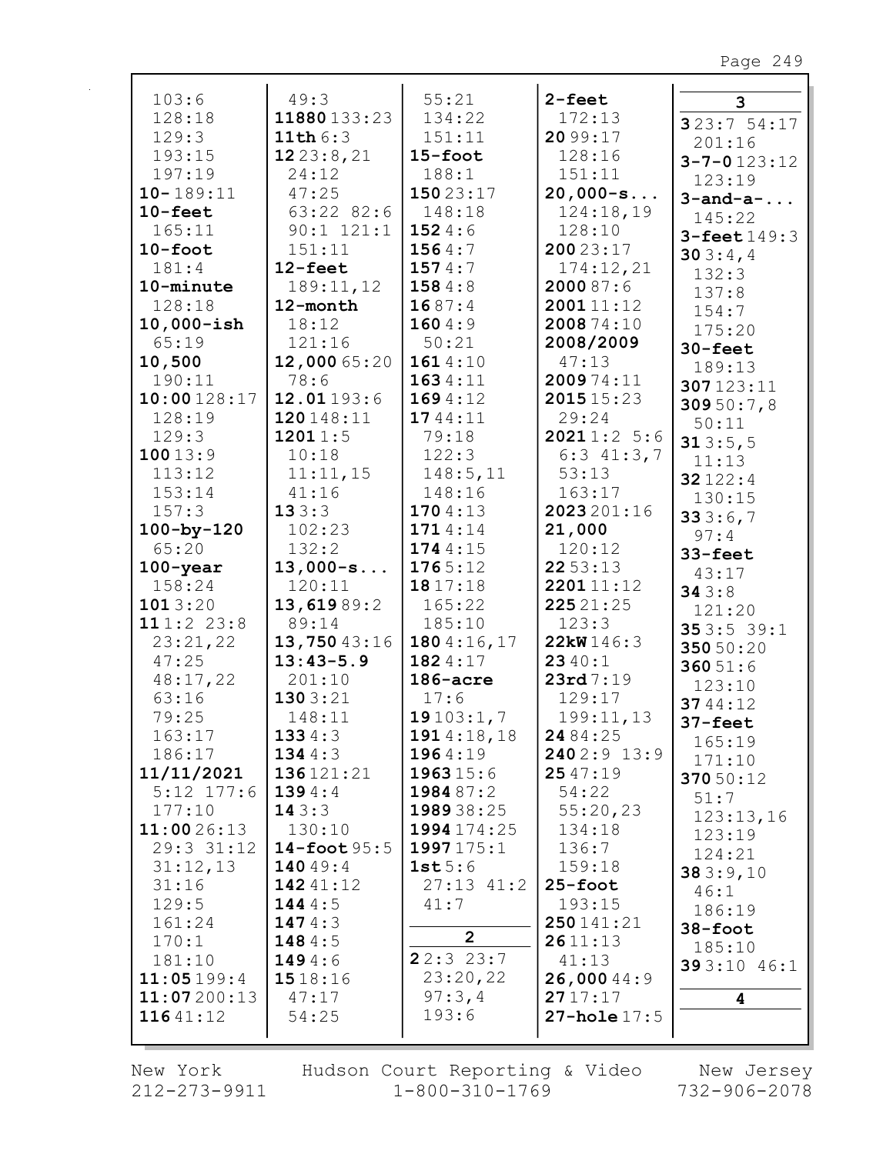| 103:6            | 49:3           | 55:21          | $2 - feet$       | 3                  |
|------------------|----------------|----------------|------------------|--------------------|
| 128:18           | 11880133:23    | 134:22         | 172:13           | 323:754:17         |
| 129:3            | 11th $6:3$     | 151:11         | 20 99:17         | 201:16             |
| 193:15           | 1223:8,21      | $15 - foot$    | 128:16           | $3 - 7 - 0123:12$  |
| 197:19           | 24:12          | 188:1          | 151:11           | 123:19             |
| $10 - 189:11$    | 47:25          | 15023:17       | $20,000-s$       | $3$ -and-a-        |
| $10$ -feet       | $63:22$ $82:6$ | 148:18         | 124:18,19        | 145:22             |
| 165:11           | $90:1$ $121:1$ | 1524:6         | 128:10           | $3 - feet 149:3$   |
| $10$ -foot       | 151:11         | 1564:7         | 20023:17         | 303:4,4            |
| 181:4            | $12$ -feet     | 1574:7         | 174:12,21        | 132:3              |
| 10-minute        | 189:11,12      | 1584:8         | 2000 87:6        | 137:8              |
| 128:18           | 12-month       | 1687:4         | 200111:12        | 154:7              |
| $10,000 - ish$   | 18:12          | 1604:9         | 2008 74:10       | 175:20             |
| 65:19            | 121:16         | 50:21          | 2008/2009        | $30 - \text{feet}$ |
| 10,500           | 12,000 65:20   | 1614:10        | 47:13            | 189:13             |
| 190:11           | 78:6           | 1634:11        | 200974:11        | 307123:11          |
| 10:00128:17      | 12.01193:6     | 1694:12        | 2015 15:23       | 309 50:7,8         |
| 128:19           | 120148:11      | 1744:11        | 29:24            | 50:11              |
| 129:3            | 12011:5        | 79:18          | 20211:25:6       | 313:5,5            |
| 10013:9          | 10:18          | 122:3          | $6:3$ 41:3,7     | 11:13              |
| 113:12           | 11:11,15       | 148:5, 11      | 53:13            | 32122:4            |
| 153:14           | 41:16          | 148:16         | 163:17           | 130:15             |
| 157:3            | 133:3          | 1704:13        | 2023 201:16      | 333:6,7            |
| $100 - by - 120$ | 102:23         | 1714:14        | 21,000           | 97:4               |
| 65:20            | 132:2          | 1744:15        | 120:12           | 33-feet            |
| $100 - year$     | $13,000-s$     | 1765:12        | 2253:13          | 43:17              |
| 158:24           | 120:11         | 1817:18        | 220111:12        | 343:8              |
| 1013:20          | 13,61989:2     | 165:22         | 22521:25         | 121:20             |
| 111:223:8        | 89:14          | 185:10         | 123:3            | 353:539:1          |
| 23:21,22         | 13,75043:16    | 180 $4:16,17$  | 22kW146:3        | 350 50:20          |
| 47:25            | $13:43-5.9$    | 1824:17        | 2340:1           | 36051:6            |
| 48:17,22         | 201:10         | $186$ -acre    | 23rd 7:19        | 123:10             |
| 63:16            | 1303:21        | 17:6           | 129:17           | 3744:12            |
| 79:25            | 148:11         | 19103:1,7      | 199:11,13        | $37 - feet$        |
| 163:17           | 1334:3         | 1914:18,18     | 24 84:25         | 165:19             |
| 186:17           | 134 $4:3$      | 1964:19        | 2402:9 13:9      | 171:10             |
| 11/11/2021       | 136121:21      | 196315:6       | 2547:19          | 370 50:12          |
| $5:12$ $177:6$   | 1394:4         | 1984 87:2      | 54:22            | 51:7               |
| 177:10           | 143:3          | 198938:25      | 55:20,23         | 123:13,16          |
| 11:0026:13       | 130:10         | 1994 174:25    | 134:18           | 123:19             |
| 29:3 31:12       | 14-foot $95:5$ | 1997175:1      | 136:7            | 124:21             |
| 31:12,13         | 14049:4        | 1st5:6         | 159:18           | 383:9,10           |
| 31:16            | 142 41:12      | $27:13$ $41:2$ | $25 - foot$      | 46:1               |
| 129:5            | 1444:5         | 41:7           | 193:15           | 186:19             |
| 161:24           | 147 $4:3$      |                | 250141:21        | 38-foot            |
| 170:1            | 148 $4:5$      | $\overline{2}$ | 2611:13          | 185:10             |
| 181:10           | 1494:6         | 22:323:7       | 41:13            | 393:10 46:1        |
| 11:05199:4       | 1518:16        | 23:20,22       | 26,000 44:9      |                    |
| 11:07200:13      | 47:17          | 97:3,4         | 2717:17          | 4                  |
| 11641:12         | 54:25          | 193:6          | $27 - hole 17:5$ |                    |
|                  |                |                |                  |                    |

New York 212-273-9911

r

Hudson Court Reporting & Video<br>1-800-310-1769